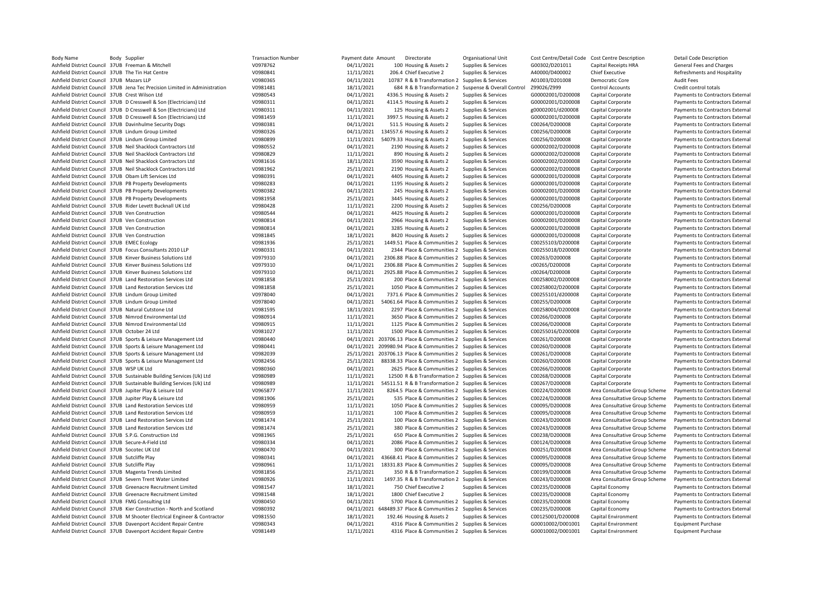| <b>Body Name</b>                                | Body Supplier                                                               | <b>Transaction Number</b> | Payment date Amount | Directorate                                                    | Organisational Unit        | Cost Centre/Detail Code Cost Centre Description |                                | <b>Detail Code Description</b>   |
|-------------------------------------------------|-----------------------------------------------------------------------------|---------------------------|---------------------|----------------------------------------------------------------|----------------------------|-------------------------------------------------|--------------------------------|----------------------------------|
|                                                 | Ashfield District Council 37UB Freeman & Mitchell                           | V0978762                  | 04/11/2021          | 100 Housing & Assets 2                                         | Supplies & Services        | G00302/D201011                                  | Capital Receipts HRA           | General Fees and Charges         |
|                                                 | Ashfield District Council 37UB The Tin Hat Centre                           | V0980841                  | 11/11/2021          | 206.4 Chief Executive 2                                        | Supplies & Services        | A40000/D400002                                  | <b>Chief Executive</b>         | Refreshments and Hospitality     |
| Ashfield District Council 37UB Mazars LLP       |                                                                             | V0980365                  | 04/11/2021          | 10787 R & B Transformation 2                                   | Supplies & Services        | A01003/D201008                                  | Democratic Core                | <b>Audit Fees</b>                |
|                                                 | Ashfield District Council 37UB Jena Tec Precision Limited in Administration | V0981481                  | 18/11/2021          | 684 R & B Transformation 2                                     | Suspense & Overall Control | Z99026/Z999                                     | <b>Control Accounts</b>        | Credit control totals            |
| Ashfield District Council 37UB Crest Wilson Ltd |                                                                             | V0980543                  | 04/11/2021          | 4336.5 Housing & Assets 2                                      | Supplies & Services        | G00002001/D200008                               | Capital Corporate              | Payments to Contractors External |
|                                                 | Ashfield District Council 37UB D Cresswell & Son (Electricians) Ltd         | V0980311                  | 04/11/2021          | 4114.5 Housing & Assets 2                                      | Supplies & Services        | G00002001/D200008                               | Capital Corporate              | Payments to Contractors External |
|                                                 | Ashfield District Council 37UB D Cresswell & Son (Electricians) Ltd         | V0980311                  | 04/11/2021          | 125 Housing & Assets 2                                         | Supplies & Services        | g00002001/d200008                               | Capital Corporate              | Payments to Contractors External |
|                                                 | Ashfield District Council 37UB D Cresswell & Son (Electricians) Ltd         | V0981459                  | 11/11/2021          | 3997.5 Housing & Assets 2                                      | Supplies & Services        | G00002001/D200008                               | Capital Corporate              | Payments to Contractors External |
|                                                 | Ashfield District Council 37UB Davinhulme Security Dogs                     | V0980381                  | 04/11/2021          | 511.5 Housing & Assets 2                                       | Supplies & Services        | C00264/D200008                                  | Capital Corporate              | Payments to Contractors External |
|                                                 | Ashfield District Council 37UB Lindum Group Limited                         | V0980326                  | 04/11/2021          | 134557.6 Housing & Assets 2                                    | Supplies & Services        | C00256/D200008                                  | Capital Corporate              | Payments to Contractors External |
|                                                 | Ashfield District Council 37UB Lindum Group Limited                         | V0980899                  | 11/11/2021          | 54079.33 Housing & Assets 2                                    | Supplies & Services        | C00256/D200008                                  | Capital Corporate              | Payments to Contractors External |
|                                                 | Ashfield District Council 37UB Neil Shacklock Contractors Ltd               | V0980552                  | 04/11/2021          | 2190 Housing & Assets 2                                        | Supplies & Services        | G00002002/D200008                               | Capital Corporate              |                                  |
|                                                 |                                                                             |                           |                     |                                                                |                            |                                                 |                                | Payments to Contractors External |
|                                                 | Ashfield District Council 37UB Neil Shacklock Contractors Ltd               | V0980829                  | 11/11/2021          | 890 Housing & Assets 2                                         | Supplies & Services        | G00002002/D200008                               | Capital Corporate              | Payments to Contractors External |
|                                                 | Ashfield District Council 37UB Neil Shacklock Contractors Ltd               | V0981616                  | 18/11/2021          | 3590 Housing & Assets 2                                        | Supplies & Services        | G00002002/D200008                               | Capital Corporate              | Payments to Contractors External |
|                                                 | Ashfield District Council 37UB Neil Shacklock Contractors Ltd               | V0981962                  | 25/11/2021          | 2190 Housing & Assets 2                                        | Supplies & Services        | G00002002/D200008                               | Capital Corporate              | Payments to Contractors External |
|                                                 | Ashfield District Council 37UB Obam Lift Services Ltd                       | V0980391                  | 04/11/2021          | 4405 Housing & Assets 2                                        | Supplies & Services        | G00002001/D200008                               | Capital Corporate              | Payments to Contractors External |
|                                                 | Ashfield District Council 37UB PB Property Developments                     | V0980283                  | 04/11/2021          | 1195 Housing & Assets 2                                        | Supplies & Services        | G00002001/D200008                               | Capital Corporate              | Payments to Contractors External |
|                                                 | Ashfield District Council 37UB PB Property Developments                     | V0980382                  | 04/11/2021          | 245 Housing & Assets 2                                         | Supplies & Services        | G00002001/D200008                               | Capital Corporate              | Payments to Contractors External |
|                                                 | Ashfield District Council 37UB PB Property Developments                     | V0981958                  | 25/11/2021          | 3445 Housing & Assets 2                                        | Supplies & Services        | G00002001/D200008                               | Capital Corporate              | Payments to Contractors External |
|                                                 | Ashfield District Council 37UB Rider Levett Bucknall UK Ltd                 | V0980428                  | 11/11/2021          | 2200 Housing & Assets 2                                        | Supplies & Services        | C00256/D200008                                  | Capital Corporate              | Payments to Contractors External |
|                                                 | Ashfield District Council 37UB Ven Construction                             | V0980544                  | 04/11/2021          | 4425 Housing & Assets 2                                        | Supplies & Services        | G00002001/D200008                               | Capital Corporate              | Payments to Contractors External |
|                                                 | Ashfield District Council 37UB Ven Construction                             | V0980814                  | 04/11/2021          | 2966 Housing & Assets 2                                        | Supplies & Services        | G00002001/D200008                               | Capital Corporate              | Payments to Contractors External |
|                                                 | Ashfield District Council 37UB Ven Construction                             | V0980814                  | 04/11/2021          | 3285 Housing & Assets 2                                        | Supplies & Services        | G00002001/D200008                               | Capital Corporate              | Payments to Contractors External |
|                                                 | Ashfield District Council 37UB Ven Construction                             | V0981845                  | 18/11/2021          | 8420 Housing & Assets 2                                        | Supplies & Services        | G00002001/D200008                               | Capital Corporate              | Payments to Contractors External |
| Ashfield District Council 37UB EMEC Ecology     |                                                                             | V0981936                  | 25/11/2021          | 1449.51 Place & Communities 2 Supplies & Services              |                            | C00255103/D200008                               | Capital Corporate              | Payments to Contractors External |
|                                                 | Ashfield District Council 37UB Focus Consultants 2010 LLP                   | V0980331                  | 04/11/2021          | 2344 Place & Communities 2 Supplies & Services                 |                            | C00255018/D200008                               |                                |                                  |
|                                                 |                                                                             |                           |                     |                                                                |                            |                                                 | Capital Corporate              | Payments to Contractors External |
|                                                 | Ashfield District Council 37UB Kinver Business Solutions Ltd                | V0979310                  | 04/11/2021          | 2306.88 Place & Communities 2 Supplies & Services              |                            | C00263/D200008                                  | Capital Corporate              | Payments to Contractors External |
|                                                 | Ashfield District Council 37UB Kinver Business Solutions Ltd                | V0979310                  | 04/11/2021          | 2306.88 Place & Communities 2 Supplies & Services              |                            | c00265/D200008                                  | Capital Corporate              | Payments to Contractors External |
|                                                 | Ashfield District Council 37UB Kinver Business Solutions Ltd                | V0979310                  | 04/11/2021          | 2925.88 Place & Communities 2 Supplies & Services              |                            | c00264/D200008                                  | Capital Corporate              | Payments to Contractors External |
|                                                 | Ashfield District Council 37UB Land Restoration Services Ltd                | V0981858                  | 25/11/2021          | 200 Place & Communities 2 Supplies & Services                  |                            | C00258002/D200008                               | Capital Corporate              | Payments to Contractors External |
|                                                 | Ashfield District Council 37UB Land Restoration Services Ltd                | V0981858                  | 25/11/2021          | 1050 Place & Communities 2 Supplies & Services                 |                            | C00258002/D200008                               | Capital Corporate              | Payments to Contractors External |
|                                                 | Ashfield District Council 37UB Lindum Group Limited                         | V0978040                  | 04/11/2021          | 7371.6 Place & Communities 2 Supplies & Services               |                            | C00255101/d200008                               | Capital Corporate              | Payments to Contractors External |
|                                                 | Ashfield District Council 37UB Lindum Group Limited                         | V0978040                  | 04/11/2021          | 54061.64 Place & Communities 2 Supplies & Services             |                            | C00255/D200008                                  | Capital Corporate              | Payments to Contractors External |
|                                                 | Ashfield District Council 37UB Natural Cutstone Ltd                         | V0981595                  | 18/11/2021          | 2297 Place & Communities 2 Supplies & Services                 |                            | C00258004/D200008                               | Capital Corporate              | Payments to Contractors External |
|                                                 | Ashfield District Council 37UB Nimrod Environmental Ltd                     | V0980914                  | 11/11/2021          | 3650 Place & Communities 2 Supplies & Services                 |                            | C00266/D200008                                  | Capital Corporate              | Payments to Contractors External |
|                                                 | Ashfield District Council 37UB Nimrod Environmental Ltd                     | V0980915                  | 11/11/2021          | 1125 Place & Communities 2 Supplies & Services                 |                            | C00266/D200008                                  | Capital Corporate              | Payments to Contractors External |
| Ashfield District Council 37UB October 24 Ltd   |                                                                             | V0981027                  | 11/11/2021          | 1500 Place & Communities 2 Supplies & Services                 |                            | C00255016/D200008                               | Capital Corporate              | Payments to Contractors External |
|                                                 | Ashfield District Council 37UB Sports & Leisure Management Ltd              | V0980440                  |                     | 04/11/2021 203706.13 Place & Communities 2 Supplies & Services |                            | C00261/D200008                                  | Capital Corporate              | Payments to Contractors External |
|                                                 | Ashfield District Council 37UB Sports & Leisure Management Ltd              | V0980441                  |                     | 04/11/2021 209980.94 Place & Communities 2 Supplies & Services |                            | C00260/D200008                                  | Capital Corporate              | Payments to Contractors External |
|                                                 |                                                                             | V0982039                  |                     |                                                                |                            |                                                 |                                |                                  |
|                                                 | Ashfield District Council 37UB Sports & Leisure Management Ltd              | V0982456                  | 25/11/2021          | 25/11/2021 203706.13 Place & Communities 2 Supplies & Services |                            | C00261/D200008                                  | Capital Corporate              | Payments to Contractors External |
|                                                 | Ashfield District Council 37UB Sports & Leisure Management Ltd              |                           |                     | 88338.33 Place & Communities 2 Supplies & Services             |                            | C00260/D200008                                  | Capital Corporate              | Payments to Contractors External |
| Ashfield District Council 37UB WSP UK Ltd       |                                                                             | V0980360                  | 04/11/2021          | 2625 Place & Communities 2 Supplies & Services                 |                            | C00266/D200008                                  | Capital Corporate              | Payments to Contractors External |
|                                                 | Ashfield District Council 37UB Sustainable Building Services (Uk) Ltd       | V0980989                  | 11/11/2021          | 12500 R & B Transformation 2 Supplies & Services               |                            | C00268/D200008                                  | Capital Corporate              | Payments to Contractors External |
|                                                 | Ashfield District Council 37UB Sustainable Building Services (Uk) Ltd       | V0980989                  | 11/11/2021          | 54511.51 R & B Transformation 2 Supplies & Services            |                            | C00267/D200008                                  | Capital Corporate              | Payments to Contractors External |
|                                                 | Ashfield District Council 37UB Jupiter Play & Leisure Ltd                   | V0965877                  | 11/11/2021          | 8264.5 Place & Communities 2 Supplies & Services               |                            | C00224/D200008                                  | Area Consultative Group Scheme | Payments to Contractors External |
|                                                 | Ashfield District Council 37UB Jupiter Play & Leisure Ltd                   | V0981906                  | 25/11/2021          | 535 Place & Communities 2 Supplies & Services                  |                            | C00224/D200008                                  | Area Consultative Group Scheme | Payments to Contractors External |
|                                                 | Ashfield District Council 37UB Land Restoration Services Ltd                | V0980959                  | 11/11/2021          | 1050 Place & Communities 2 Supplies & Services                 |                            | C00095/D200008                                  | Area Consultative Group Scheme | Payments to Contractors External |
|                                                 | Ashfield District Council 37UB Land Restoration Services Ltd                | V0980959                  | 11/11/2021          | 100 Place & Communities 2 Supplies & Services                  |                            | C00095/D200008                                  | Area Consultative Group Scheme | Payments to Contractors External |
|                                                 | Ashfield District Council 37UB Land Restoration Services Ltd                | V0981474                  | 25/11/2021          | 100 Place & Communities 2 Supplies & Services                  |                            | C00243/D200008                                  | Area Consultative Group Scheme | Payments to Contractors External |
|                                                 | Ashfield District Council 37UB Land Restoration Services Ltd                | V0981474                  | 25/11/2021          | 380 Place & Communities 2 Supplies & Services                  |                            | C00243/D200008                                  | Area Consultative Group Scheme | Payments to Contractors External |
|                                                 | Ashfield District Council 37UB S.P.G. Construction Ltd                      | V0981965                  | 25/11/2021          | 650 Place & Communities 2 Supplies & Services                  |                            | C00238/D200008                                  | Area Consultative Group Scheme | Payments to Contractors External |
|                                                 | Ashfield District Council 37UB Secure-A-Field Ltd                           | V0980334                  | 04/11/2021          | 2086 Place & Communities 2 Supplies & Services                 |                            | C00124/D200008                                  | Area Consultative Group Scheme | Payments to Contractors External |
| Ashfield District Council 37UB Socotec UK Ltd   |                                                                             | V0980470                  | 04/11/2021          | 300 Place & Communities 2 Supplies & Services                  |                            | D00251/D200008                                  | Area Consultative Group Scheme | Payments to Contractors External |
| Ashfield District Council 37UB Sutcliffe Play   |                                                                             | V0980341                  | 04/11/2021          | 43668.41 Place & Communities 2 Supplies & Services             |                            | C00095/D200008                                  | Area Consultative Group Scheme | Payments to Contractors External |
| Ashfield District Council 37UB Sutcliffe Play   |                                                                             | V0980961                  | 11/11/2021          | 18331.83 Place & Communities 2 Supplies & Services             |                            | C00095/D200008                                  | Area Consultative Group Scheme | Payments to Contractors External |
|                                                 |                                                                             | V0981856                  |                     |                                                                |                            |                                                 |                                |                                  |
|                                                 | Ashfield District Council 37UB Magenta Trends Limited                       |                           | 25/11/2021          | 350 R & B Transformation 2 Supplies & Services                 |                            | C00199/D200008                                  | Area Consultative Group Scheme | Payments to Contractors External |
|                                                 | Ashfield District Council 37UB Severn Trent Water Limited                   | V0980926                  | 11/11/2021          | 1497.35 R & B Transformation 2 Supplies & Services             |                            | C00243/D200008                                  | Area Consultative Group Scheme | Payments to Contractors External |
|                                                 | Ashfield District Council 37UB Greenacre Recruitment Limited                | V0981547                  | 18/11/2021          | 750 Chief Executive 2                                          | Supplies & Services        | C00235/D200008                                  | Capital Economy                | Payments to Contractors External |
|                                                 | Ashfield District Council 37UB Greenacre Recruitment Limited                | V0981548                  | 18/11/2021          | 1800 Chief Executive 2                                         | Supplies & Services        | C00235/D200008                                  | Capital Economy                | Payments to Contractors External |
|                                                 | Ashfield District Council 37UB FMG Consulting Ltd                           | V0980450                  | 04/11/2021          | 5700 Place & Communities 2 Supplies & Services                 |                            | C00235/D200008                                  | Capital Economy                | Payments to Contractors External |
|                                                 | Ashfield District Council 37UB Kier Construction - North and Scotland       | V0980392                  |                     | 04/11/2021 648489.37 Place & Communities 2 Supplies & Services |                            | C00235/D200008                                  | Capital Economy                | Payments to Contractors External |
|                                                 | Ashfield District Council 37UB M Shooter Electrical Engineer & Contractor   | V0981550                  | 18/11/2021          | 192.46 Housing & Assets 2                                      | Supplies & Services        | C00125001/D200008                               | Capital Environment            | Payments to Contractors External |
|                                                 | Ashfield District Council 37UB Davenport Accident Repair Centre             | V0980343                  | 04/11/2021          | 4316 Place & Communities 2 Supplies & Services                 |                            | G00010002/D001001                               | Capital Environment            | <b>Equipment Purchase</b>        |
|                                                 | Ashfield District Council 37UB Davenport Accident Repair Centre             | V0981449                  | 11/11/2021          | 4316 Place & Communities 2 Supplies & Services                 |                            | G00010002/D001001                               | Capital Environment            | <b>Equipment Purchase</b>        |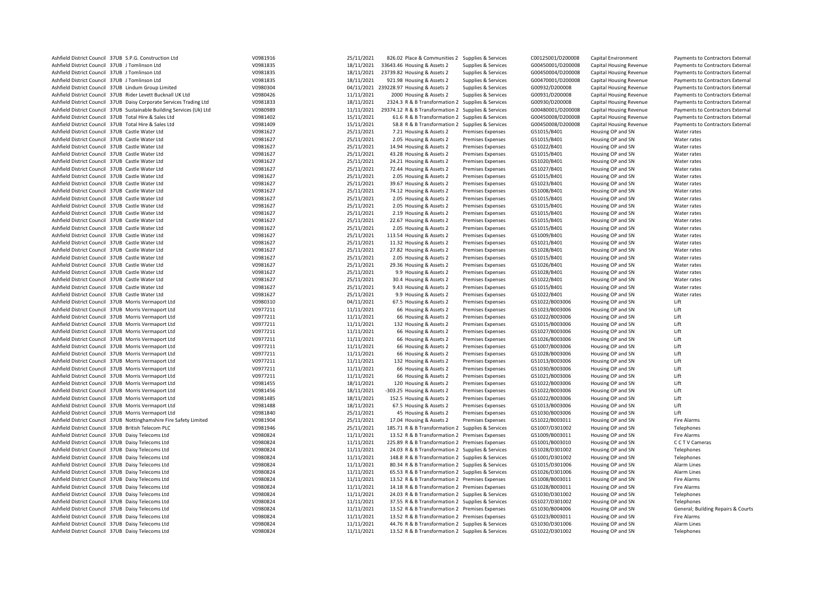| Ashfield District Council 37UB S.P.G. Construction Ltd                | V0981916 | 25/11/2021 | 826.02 Place & Communities 2 Supplies & Services    |                          | C00125001/D200008 | Capital Environment            | Payments to Contractors External   |
|-----------------------------------------------------------------------|----------|------------|-----------------------------------------------------|--------------------------|-------------------|--------------------------------|------------------------------------|
| Ashfield District Council 37UB J Tomlinson Ltd                        | V0981835 | 18/11/2021 | 33643.46 Housing & Assets 2                         | Supplies & Services      | G00450001/D200008 | Capital Housing Revenue        | Payments to Contractors External   |
| Ashfield District Council 37UB J Tomlinson Ltd                        | V0981835 | 18/11/2021 | 23739.82 Housing & Assets 2                         | Supplies & Services      | G00450004/D200008 | Capital Housing Revenue        | Payments to Contractors External   |
| Ashfield District Council 37UB J Tomlinson Ltd                        | V0981835 | 18/11/2021 | 921.98 Housing & Assets 2                           | Supplies & Services      | G00470001/D200008 | <b>Capital Housing Revenue</b> | Payments to Contractors External   |
| Ashfield District Council 37UB Lindum Group Limited                   | V0980304 |            | 04/11/2021 239228.97 Housing & Assets 2             | Supplies & Services      | G00932/D200008    | Capital Housing Revenue        | Payments to Contractors External   |
| Ashfield District Council 37UB Rider Levett Bucknall UK Ltd           | V0980426 | 11/11/2021 | 2000 Housing & Assets 2                             | Supplies & Services      | G00931/D200008    | Capital Housing Revenue        | Payments to Contractors External   |
| Ashfield District Council 37UB Daisy Corporate Services Trading Ltd   | V0981833 | 18/11/2021 | 2324.3 R & B Transformation 2 Supplies & Services   |                          | G00930/D200008    | Capital Housing Revenue        | Payments to Contractors External   |
| Ashfield District Council 37UB Sustainable Building Services (Uk) Ltd | V0980989 | 11/11/2021 | 29374.12 R & B Transformation 2 Supplies & Services |                          | G00480001/D200008 | <b>Capital Housing Revenue</b> | Payments to Contractors External   |
| Ashfield District Council 37UB Total Hire & Sales Ltd                 | V0981402 | 15/11/2021 | 61.6 R & B Transformation 2 Supplies & Services     |                          | G00450008/D200008 | Capital Housing Revenue        | Payments to Contractors External   |
| Ashfield District Council 37UB Total Hire & Sales Ltd                 | V0981409 | 15/11/2021 | 58.8 R & B Transformation 2 Supplies & Services     |                          | G00450008/D200008 | Capital Housing Revenue        | Payments to Contractors External   |
| Ashfield District Council 37UB Castle Water Ltd                       | V0981627 | 25/11/2021 | 7.21 Housing & Assets 2                             | <b>Premises Expenses</b> | G51015/B401       | Housing OP and SN              | Water rates                        |
| Ashfield District Council 37UB Castle Water Ltd                       | V0981627 | 25/11/2021 | 2.05 Housing & Assets 2                             | <b>Premises Expenses</b> | G51015/B401       | Housing OP and SN              | Water rates                        |
| Ashfield District Council 37UB Castle Water Ltd                       | V0981627 | 25/11/2021 | 14.94 Housing & Assets 2                            | <b>Premises Expenses</b> | G51022/B401       | Housing OP and SN              | Water rates                        |
| Ashfield District Council 37UB Castle Water Ltd                       | V0981627 | 25/11/2021 | 43.28 Housing & Assets 2                            | <b>Premises Expenses</b> | G51015/B401       | Housing OP and SN              | Water rates                        |
| Ashfield District Council 37UB Castle Water Ltd                       | V0981627 | 25/11/2021 | 24.21 Housing & Assets 2                            | <b>Premises Expenses</b> | G51020/B401       | Housing OP and SN              | Water rates                        |
| Ashfield District Council 37UB Castle Water Ltd                       | V0981627 | 25/11/2021 | 72.44 Housing & Assets 2                            | Premises Expenses        | G51027/B401       | Housing OP and SN              | Water rates                        |
| Ashfield District Council 37UB Castle Water Ltd                       | V0981627 | 25/11/2021 | 2.05 Housing & Assets 2                             | <b>Premises Expenses</b> | G51015/B401       | Housing OP and SN              | Water rates                        |
| Ashfield District Council 37UB Castle Water Ltd                       | V0981627 | 25/11/2021 | 39.67 Housing & Assets 2                            | <b>Premises Expenses</b> | G51023/B401       | Housing OP and SN              | Water rates                        |
| Ashfield District Council 37UB Castle Water Ltd                       | V0981627 | 25/11/2021 | 74.12 Housing & Assets 2                            | <b>Premises Expenses</b> | G51008/B401       | Housing OP and SN              | Water rates                        |
| Ashfield District Council 37UB Castle Water Ltd                       | V0981627 | 25/11/2021 | 2.05 Housing & Assets 2                             | <b>Premises Expenses</b> | G51015/B401       | Housing OP and SN              | Water rates                        |
| Ashfield District Council 37UB Castle Water Ltd                       | V0981627 | 25/11/2021 | 2.05 Housing & Assets 2                             | <b>Premises Expenses</b> | G51015/B401       | Housing OP and SN              | Water rates                        |
| Ashfield District Council 37UB Castle Water Ltd                       | V0981627 | 25/11/2021 | 2.19 Housing & Assets 2                             | <b>Premises Expenses</b> | G51015/B401       | Housing OP and SN              | Water rates                        |
| Ashfield District Council 37UB Castle Water Ltd                       | V0981627 | 25/11/2021 | 22.67 Housing & Assets 2                            | <b>Premises Expenses</b> | G51015/B401       | Housing OP and SN              | Water rates                        |
| Ashfield District Council 37UB Castle Water Ltd                       | V0981627 | 25/11/2021 | 2.05 Housing & Assets 2                             | <b>Premises Expenses</b> | G51015/B401       | Housing OP and SN              | Water rates                        |
| Ashfield District Council 37UB Castle Water Ltd                       | V0981627 | 25/11/2021 | 113.54 Housing & Assets 2                           | <b>Premises Expenses</b> | G51009/B401       | Housing OP and SN              | Water rates                        |
| Ashfield District Council 37UB Castle Water Ltd                       | V0981627 | 25/11/2021 | 11.32 Housing & Assets 2                            | <b>Premises Expenses</b> | G51021/B401       | Housing OP and SN              | Water rates                        |
| Ashfield District Council 37UB Castle Water Ltd                       | V0981627 | 25/11/2021 | 27.82 Housing & Assets 2                            | <b>Premises Expenses</b> | G51028/B401       | Housing OP and SN              | Water rates                        |
| Ashfield District Council 37UB Castle Water Ltd                       | V0981627 | 25/11/2021 | 2.05 Housing & Assets 2                             | <b>Premises Expenses</b> | G51015/B401       | Housing OP and SN              | Water rates                        |
| Ashfield District Council 37UB Castle Water Ltd                       | V0981627 | 25/11/2021 | 29.36 Housing & Assets 2                            | <b>Premises Expenses</b> | G51026/B401       | Housing OP and SN              | Water rates                        |
| Ashfield District Council 37UB Castle Water Ltd                       | V0981627 | 25/11/2021 | 9.9 Housing & Assets 2                              | <b>Premises Expenses</b> | G51028/B401       | Housing OP and SN              | Water rates                        |
| Ashfield District Council 37UB Castle Water Ltd                       | V0981627 | 25/11/2021 | 30.4 Housing & Assets 2                             | <b>Premises Expenses</b> | G51022/B401       | Housing OP and SN              | Water rates                        |
| Ashfield District Council 37UB Castle Water Ltd                       | V0981627 | 25/11/2021 | 9.43 Housing & Assets 2                             | <b>Premises Expenses</b> | G51015/B401       | Housing OP and SN              | Water rates                        |
| Ashfield District Council 37UB Castle Water Ltd                       | V0981627 | 25/11/2021 | 9.9 Housing & Assets 2                              | <b>Premises Expenses</b> | G51022/B401       | Housing OP and SN              | Water rates                        |
| Ashfield District Council 37UB Morris Vermaport Ltd                   | V0980310 | 04/11/2021 | 67.5 Housing & Assets 2                             | <b>Premises Expenses</b> | G51022/B003006    | Housing OP and SN              | Lift                               |
| Ashfield District Council 37UB Morris Vermaport Ltd                   | V0977211 | 11/11/2021 | 66 Housing & Assets 2                               | <b>Premises Expenses</b> | G51023/B003006    | Housing OP and SN              | Lift                               |
| Ashfield District Council 37UB Morris Vermaport Ltd                   | V0977211 | 11/11/2021 | 66 Housing & Assets 2                               | Premises Expenses        | G51022/B003006    | Housing OP and SN              | Lift                               |
| Ashfield District Council 37UB Morris Vermaport Ltd                   | V0977211 | 11/11/2021 | 132 Housing & Assets 2                              | Premises Expenses        | G51015/B003006    | Housing OP and SN              | Lift                               |
| Ashfield District Council 37UB Morris Vermaport Ltd                   | V0977211 | 11/11/2021 | 66 Housing & Assets 2                               | Premises Expenses        | G51027/B003006    | Housing OP and SN              | Lift                               |
| Ashfield District Council 37UB Morris Vermaport Ltd                   | V0977211 | 11/11/2021 | 66 Housing & Assets 2                               | Premises Expenses        | G51026/B003006    | Housing OP and SN              | Lift                               |
| Ashfield District Council 37UB Morris Vermaport Ltd                   | V0977211 | 11/11/2021 | 66 Housing & Assets 2                               | Premises Expenses        | G51007/B003006    | Housing OP and SN              | Lift                               |
| Ashfield District Council 37UB Morris Vermaport Ltd                   | V0977211 | 11/11/2021 | 66 Housing & Assets 2                               | <b>Premises Expenses</b> | G51028/B003006    | Housing OP and SN              | Lift                               |
| Ashfield District Council 37UB Morris Vermaport Ltd                   | V0977211 | 11/11/2021 | 132 Housing & Assets 2                              | <b>Premises Expenses</b> | G51013/B003006    | Housing OP and SN              | Lift                               |
| Ashfield District Council 37UB Morris Vermaport Ltd                   | V0977211 | 11/11/2021 | 66 Housing & Assets 2                               | Premises Expenses        | G51030/B003006    | Housing OP and SN              | Lift                               |
| Ashfield District Council 37UB Morris Vermaport Ltd                   | V0977211 | 11/11/2021 | 66 Housing & Assets 2                               | Premises Expenses        | G51021/B003006    | Housing OP and SN              | Lift                               |
| Ashfield District Council 37UB Morris Vermaport Ltd                   | V0981455 | 18/11/2021 | 120 Housing & Assets 2                              | Premises Expenses        | G51022/B003006    | Housing OP and SN              | Lift                               |
| Ashfield District Council 37UB Morris Vermaport Ltd                   | V0981456 | 18/11/2021 | -303.25 Housing & Assets 2                          | Premises Expenses        | G51022/B003006    | Housing OP and SN              | Lift                               |
| Ashfield District Council 37UB Morris Vermaport Ltd                   | V0981485 | 18/11/2021 | 152.5 Housing & Assets 2                            | <b>Premises Expenses</b> | G51022/B003006    | Housing OP and SN              | Lift                               |
| Ashfield District Council 37UB Morris Vermaport Ltd                   | V0981488 | 18/11/2021 | 67.5 Housing & Assets 2                             | Premises Expenses        | G51013/B003006    | Housing OP and SN              | Lift                               |
| Ashfield District Council 37UB Morris Vermaport Ltd                   | V0981840 | 25/11/2021 | 45 Housing & Assets 2                               | <b>Premises Expenses</b> | G51030/B003006    | Housing OP and SN              | Lift                               |
| Ashfield District Council 37UB Nottinghamshire Fire Safety Limited    | V0981904 | 25/11/2021 | 17.04 Housing & Assets 2                            | <b>Premises Expenses</b> | G51022/B003011    | Housing OP and SN              | <b>Fire Alarms</b>                 |
| Ashfield District Council 37UB British Telecom PLC                    | V0981946 | 25/11/2021 | 185.71 R & B Transformation 2 Supplies & Services   |                          | G51007/D301002    | Housing OP and SN              | Telephones                         |
| Ashfield District Council 37UB Daisy Telecoms Ltd                     | V0980824 | 11/11/2021 | 13.52 R & B Transformation 2 Premises Expenses      |                          | G51009/B003011    | Housing OP and SN              | <b>Fire Alarms</b>                 |
| Ashfield District Council 37UB Daisy Telecoms Ltd                     | V0980824 | 11/11/2021 | 225.89 R & B Transformation 2 Premises Expenses     |                          | G51001/B003010    | Housing OP and SN              | C C T V Cameras                    |
| Ashfield District Council 37UB Daisy Telecoms Ltd                     | V0980824 | 11/11/2021 | 24.03 R & B Transformation 2 Supplies & Services    |                          | G51028/D301002    | Housing OP and SN              | Telephones                         |
| Ashfield District Council 37UB Daisy Telecoms Ltd                     | V0980824 | 11/11/2021 | 148.8 R & B Transformation 2 Supplies & Services    |                          | G51001/D301002    | Housing OP and SN              | Telephones                         |
| Ashfield District Council 37UB Daisy Telecoms Ltd                     | V0980824 | 11/11/2021 | 80.34 R & B Transformation 2 Supplies & Services    |                          | G51015/D301006    | Housing OP and SN              | Alarm Lines                        |
| Ashfield District Council 37UB Daisy Telecoms Ltd                     | V0980824 | 11/11/2021 | 65.53 R & B Transformation 2 Supplies & Services    |                          | G51026/D301006    | Housing OP and SN              | Alarm Lines                        |
| Ashfield District Council 37UB Daisy Telecoms Ltd                     | V0980824 | 11/11/2021 | 13.52 R & B Transformation 2 Premises Expenses      |                          | G51008/B003011    | Housing OP and SN              | Fire Alarms                        |
| Ashfield District Council 37UB Daisy Telecoms Ltd                     | V0980824 | 11/11/2021 | 14.18 R & B Transformation 2 Premises Expenses      |                          | G51028/B003011    | Housing OP and SN              | <b>Fire Alarms</b>                 |
| Ashfield District Council 37UB Daisy Telecoms Ltd                     | V0980824 | 11/11/2021 | 24.03 R & B Transformation 2 Supplies & Services    |                          | G51030/D301002    | Housing OP and SN              | Telephones                         |
| Ashfield District Council 37UB Daisy Telecoms Ltd                     | V0980824 | 11/11/2021 | 37.55 R & B Transformation 2 Supplies & Services    |                          | G51027/D301002    | Housing OP and SN              | Telephones                         |
| Ashfield District Council 37UB Daisy Telecoms Ltd                     | V0980824 | 11/11/2021 | 13.52 R & B Transformation 2 Premises Expenses      |                          | G51030/B004006    | Housing OP and SN              | General; Building Repairs & Courts |
| Ashfield District Council 37UB Daisy Telecoms Ltd                     | V0980824 | 11/11/2021 | 13.52 R & B Transformation 2 Premises Expenses      |                          | G51023/B003011    | Housing OP and SN              | Fire Alarms                        |
| Ashfield District Council 37UB Daisy Telecoms Ltd                     | V0980824 | 11/11/2021 | 44.76 R & B Transformation 2 Supplies & Services    |                          | G51030/D301006    | Housing OP and SN              | Alarm Lines                        |
| Ashfield District Council 37UB Daisy Telecoms Ltd                     | V0980824 | 11/11/2021 | 13.52 R & B Transformation 2 Supplies & Services    |                          | G51022/D301002    | Housing OP and SN              | Telephones                         |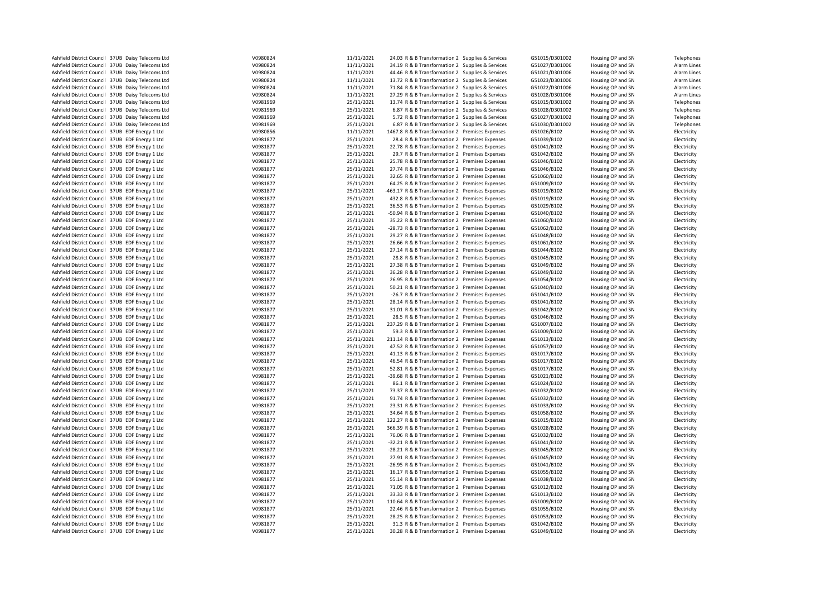| Ashfield District Council 37UB Daisy Telecoms Ltd | V0980824 | 11/11/2021 | 24.03 R & B Transformation 2 Supplies & Services | G51015/D301002 | Housing OP and SN | Telephones  |
|---------------------------------------------------|----------|------------|--------------------------------------------------|----------------|-------------------|-------------|
| Ashfield District Council 37UB Daisy Telecoms Ltd | V0980824 | 11/11/2021 | 34.19 R & B Transformation 2 Supplies & Services | G51027/D301006 | Housing OP and SN | Alarm Lines |
| Ashfield District Council 37UB Daisy Telecoms Ltd | V0980824 | 11/11/2021 | 44.46 R & B Transformation 2 Supplies & Services | G51021/D301006 | Housing OP and SN | Alarm Lines |
|                                                   |          |            |                                                  |                |                   |             |
| Ashfield District Council 37UB Daisy Telecoms Ltd | V0980824 | 11/11/2021 | 13.72 R & B Transformation 2 Supplies & Services | G51023/D301006 | Housing OP and SN | Alarm Lines |
| Ashfield District Council 37UB Daisy Telecoms Ltd | V0980824 | 11/11/2021 | 71.84 R & B Transformation 2 Supplies & Services | G51022/D301006 | Housing OP and SN | Alarm Lines |
| Ashfield District Council 37UB Daisy Telecoms Ltd | V0980824 | 11/11/2021 | 27.29 R & B Transformation 2 Supplies & Services | G51028/D301006 | Housing OP and SN | Alarm Lines |
| Ashfield District Council 37UB Daisy Telecoms Ltd | V0981969 | 25/11/2021 | 13.74 R & B Transformation 2 Supplies & Services | G51015/D301002 | Housing OP and SN | Telephones  |
| Ashfield District Council 37UB Daisy Telecoms Ltd | V0981969 | 25/11/2021 | 6.87 R & B Transformation 2 Supplies & Services  | G51028/D301002 | Housing OP and SN | Telephones  |
| Ashfield District Council 37UB Daisy Telecoms Ltd | V0981969 | 25/11/2021 | 5.72 R & B Transformation 2 Supplies & Services  | G51027/D301002 | Housing OP and SN | Telephones  |
| Ashfield District Council 37UB Daisy Telecoms Ltd | V0981969 | 25/11/2021 | 6.87 R & B Transformation 2 Supplies & Services  | G51030/D301002 | Housing OP and SN | Telephones  |
| Ashfield District Council 37UB EDF Energy 1 Ltd   | V0980856 | 11/11/2021 | 1467.8 R & B Transformation 2 Premises Expenses  | G51026/B102    | Housing OP and SN | Electricity |
| Ashfield District Council 37UB EDF Energy 1 Ltd   | V0981877 | 25/11/2021 | 28.4 R & B Transformation 2 Premises Expenses    | G51039/B102    | Housing OP and SN | Electricity |
| Ashfield District Council 37UB EDF Energy 1 Ltd   | V0981877 | 25/11/2021 | 22.78 R & B Transformation 2 Premises Expenses   | G51041/B102    | Housing OP and SN | Electricity |
| Ashfield District Council 37UB EDF Energy 1 Ltd   | V0981877 | 25/11/2021 | 29.7 R & B Transformation 2 Premises Expenses    | G51042/B102    | Housing OP and SN | Electricity |
|                                                   |          | 25/11/2021 |                                                  |                |                   |             |
| Ashfield District Council 37UB EDF Energy 1 Ltd   | V0981877 |            | 25.78 R & B Transformation 2 Premises Expenses   | G51046/B102    | Housing OP and SN | Electricity |
| Ashfield District Council 37UB EDF Energy 1 Ltd   | V0981877 | 25/11/2021 | 27.74 R & B Transformation 2 Premises Expenses   | G51046/B102    | Housing OP and SN | Electricity |
| Ashfield District Council 37UB EDF Energy 1 Ltd   | V0981877 | 25/11/2021 | 32.65 R & B Transformation 2 Premises Expenses   | G51060/B102    | Housing OP and SN | Electricity |
| Ashfield District Council 37UB EDF Energy 1 Ltd   | V0981877 | 25/11/2021 | 64.25 R & B Transformation 2 Premises Expenses   | G51009/B102    | Housing OP and SN | Electricity |
| Ashfield District Council 37UB EDF Energy 1 Ltd   | V0981877 | 25/11/2021 | -463.17 R & B Transformation 2 Premises Expenses | G51019/B102    | Housing OP and SN | Electricity |
| Ashfield District Council 37UB EDF Energy 1 Ltd   | V0981877 | 25/11/2021 | 432.8 R & B Transformation 2 Premises Expenses   | G51019/B102    | Housing OP and SN | Electricity |
| Ashfield District Council 37UB EDF Energy 1 Ltd   | V0981877 | 25/11/2021 | 36.53 R & B Transformation 2 Premises Expenses   | G51029/B102    | Housing OP and SN | Electricity |
| Ashfield District Council 37UB EDF Energy 1 Ltd   | V0981877 | 25/11/2021 | -50.94 R & B Transformation 2 Premises Expenses  | G51040/B102    | Housing OP and SN | Electricity |
| Ashfield District Council 37UB EDF Energy 1 Ltd   | V0981877 | 25/11/2021 | 35.22 R & B Transformation 2 Premises Expenses   | G51060/B102    | Housing OP and SN | Electricity |
| Ashfield District Council 37UB EDF Energy 1 Ltd   | V0981877 | 25/11/2021 | -28.73 R & B Transformation 2 Premises Expenses  | G51062/B102    | Housing OP and SN | Electricity |
| Ashfield District Council 37UB EDF Energy 1 Ltd   | V0981877 | 25/11/2021 | 29.27 R & B Transformation 2 Premises Expenses   | G51048/B102    | Housing OP and SN | Electricity |
| Ashfield District Council 37UB EDF Energy 1 Ltd   | V0981877 | 25/11/2021 | 26.66 R & B Transformation 2 Premises Expenses   | G51061/B102    | Housing OP and SN | Electricity |
|                                                   |          |            |                                                  |                |                   |             |
| Ashfield District Council 37UB EDF Energy 1 Ltd   | V0981877 | 25/11/2021 | 27.14 R & B Transformation 2 Premises Expenses   | G51044/B102    | Housing OP and SN | Electricity |
| Ashfield District Council 37UB EDF Energy 1 Ltd   | V0981877 | 25/11/2021 | 28.8 R & B Transformation 2 Premises Expenses    | G51045/B102    | Housing OP and SN | Electricity |
| Ashfield District Council 37UB EDF Energy 1 Ltd   | V0981877 | 25/11/2021 | 27.38 R & B Transformation 2 Premises Expenses   | G51049/B102    | Housing OP and SN | Electricity |
| Ashfield District Council 37UB EDF Energy 1 Ltd   | V0981877 | 25/11/2021 | 36.28 R & B Transformation 2 Premises Expenses   | G51049/B102    | Housing OP and SN | Electricity |
| Ashfield District Council 37UB EDF Energy 1 Ltd   | V0981877 | 25/11/2021 | 26.95 R & B Transformation 2 Premises Expenses   | G51054/B102    | Housing OP and SN | Electricity |
| Ashfield District Council 37UB EDF Energy 1 Ltd   | V0981877 | 25/11/2021 | 50.21 R & B Transformation 2 Premises Expenses   | G51040/B102    | Housing OP and SN | Electricity |
| Ashfield District Council 37UB EDF Energy 1 Ltd   | V0981877 | 25/11/2021 | -26.7 R & B Transformation 2 Premises Expenses   | G51041/B102    | Housing OP and SN | Electricity |
| Ashfield District Council 37UB EDF Energy 1 Ltd   | V0981877 | 25/11/2021 | 28.14 R & B Transformation 2 Premises Expenses   | G51041/B102    | Housing OP and SN | Electricity |
| Ashfield District Council 37UB EDF Energy 1 Ltd   | V0981877 | 25/11/2021 | 31.01 R & B Transformation 2 Premises Expenses   | G51042/B102    | Housing OP and SN | Electricity |
| Ashfield District Council 37UB EDF Energy 1 Ltd   | V0981877 | 25/11/2021 | 28.5 R & B Transformation 2 Premises Expenses    | G51046/B102    | Housing OP and SN | Electricity |
| Ashfield District Council 37UB EDF Energy 1 Ltd   | V0981877 | 25/11/2021 | 237.29 R & B Transformation 2 Premises Expenses  | G51007/B102    | Housing OP and SN | Electricity |
| Ashfield District Council 37UB EDF Energy 1 Ltd   | V0981877 | 25/11/2021 | 59.3 R & B Transformation 2 Premises Expenses    | G51009/B102    | Housing OP and SN | Electricity |
| Ashfield District Council 37UB EDF Energy 1 Ltd   | V0981877 | 25/11/2021 | 211.14 R & B Transformation 2 Premises Expenses  | G51013/B102    | Housing OP and SN | Electricity |
|                                                   |          |            |                                                  |                |                   |             |
| Ashfield District Council 37UB EDF Energy 1 Ltd   | V0981877 | 25/11/2021 | 47.52 R & B Transformation 2 Premises Expenses   | G51057/B102    | Housing OP and SN | Electricity |
| Ashfield District Council 37UB EDF Energy 1 Ltd   | V0981877 | 25/11/2021 | 41.13 R & B Transformation 2 Premises Expenses   | G51017/B102    | Housing OP and SN | Electricity |
| Ashfield District Council 37UB EDF Energy 1 Ltd   | V0981877 | 25/11/2021 | 46.54 R & B Transformation 2 Premises Expenses   | G51017/B102    | Housing OP and SN | Electricity |
| Ashfield District Council 37UB EDF Energy 1 Ltd   | V0981877 | 25/11/2021 | 52.81 R & B Transformation 2 Premises Expenses   | G51017/B102    | Housing OP and SN | Electricity |
| Ashfield District Council 37UB EDF Energy 1 Ltd   | V0981877 | 25/11/2021 | -39.68 R & B Transformation 2 Premises Expenses  | G51021/B102    | Housing OP and SN | Electricity |
| Ashfield District Council 37UB EDF Energy 1 Ltd   | V0981877 | 25/11/2021 | 86.1 R & B Transformation 2 Premises Expenses    | G51024/B102    | Housing OP and SN | Electricity |
| Ashfield District Council 37UB EDF Energy 1 Ltd   | V0981877 | 25/11/2021 | 73.37 R & B Transformation 2 Premises Expenses   | G51032/B102    | Housing OP and SN | Electricity |
| Ashfield District Council 37UB EDF Energy 1 Ltd   | V0981877 | 25/11/2021 | 91.74 R & B Transformation 2 Premises Expenses   | G51032/B102    | Housing OP and SN | Electricity |
| Ashfield District Council 37UB EDF Energy 1 Ltd   | V0981877 | 25/11/2021 | 23.31 R & B Transformation 2 Premises Expenses   | G51033/B102    | Housing OP and SN | Electricity |
| Ashfield District Council 37UB EDF Energy 1 Ltd   | V0981877 | 25/11/2021 | 34.64 R & B Transformation 2 Premises Expenses   | G51058/B102    | Housing OP and SN | Electricity |
| Ashfield District Council 37UB EDF Energy 1 Ltd   | V0981877 | 25/11/2021 | 122.27 R & B Transformation 2 Premises Expenses  | G51015/B102    | Housing OP and SN | Electricity |
| Ashfield District Council 37UB EDF Energy 1 Ltd   | V0981877 | 25/11/2021 | 366.39 R & B Transformation 2 Premises Expenses  | G51028/B102    | Housing OP and SN | Electricity |
| Ashfield District Council 37UB EDF Energy 1 Ltd   | V0981877 | 25/11/2021 | 76.06 R & B Transformation 2 Premises Expenses   | G51032/B102    | Housing OP and SN | Electricity |
|                                                   | V0981877 | 25/11/2021 |                                                  | G51041/B102    |                   |             |
| Ashfield District Council 37UB EDF Energy 1 Ltd   |          |            | -32.21 R & B Transformation 2 Premises Expenses  |                | Housing OP and SN | Electricity |
| Ashfield District Council 37UB EDF Energy 1 Ltd   | V0981877 | 25/11/2021 | -28.21 R & B Transformation 2 Premises Expenses  | G51045/B102    | Housing OP and SN | Electricity |
| Ashfield District Council 37UB EDF Energy 1 Ltd   | V0981877 | 25/11/2021 | 27.91 R & B Transformation 2 Premises Expenses   | G51045/B102    | Housing OP and SN | Electricity |
| Ashfield District Council 37UB EDF Energy 1 Ltd   | V0981877 | 25/11/2021 | -26.95 R & B Transformation 2 Premises Expenses  | G51041/B102    | Housing OP and SN | Electricity |
| Ashfield District Council 37UB EDF Energy 1 Ltd   | V0981877 | 25/11/2021 | 16.17 R & B Transformation 2 Premises Expenses   | G51055/B102    | Housing OP and SN | Electricity |
| Ashfield District Council 37UB EDF Energy 1 Ltd   | V0981877 | 25/11/2021 | 55.14 R & B Transformation 2 Premises Expenses   | G51038/B102    | Housing OP and SN | Electricity |
| Ashfield District Council 37UB EDF Energy 1 Ltd   | V0981877 | 25/11/2021 | 71.05 R & B Transformation 2 Premises Expenses   | G51012/B102    | Housing OP and SN | Electricity |
| Ashfield District Council 37UB EDF Energy 1 Ltd   | V0981877 | 25/11/2021 | 33.33 R & B Transformation 2 Premises Expenses   | G51013/B102    | Housing OP and SN | Electricity |
| Ashfield District Council 37UB EDF Energy 1 Ltd   | V0981877 | 25/11/2021 | 110.64 R & B Transformation 2 Premises Expenses  | G51009/B102    | Housing OP and SN | Electricity |
| Ashfield District Council 37UB EDF Energy 1 Ltd   | V0981877 | 25/11/2021 | 22.46 R & B Transformation 2 Premises Expenses   | G51055/B102    | Housing OP and SN | Electricity |
| Ashfield District Council 37UB EDF Energy 1 Ltd   | V0981877 | 25/11/2021 | 28.25 R & B Transformation 2 Premises Expenses   | G51053/B102    | Housing OP and SN | Electricity |
| Ashfield District Council 37UB EDF Energy 1 Ltd   | V0981877 | 25/11/2021 | 31.3 R & B Transformation 2 Premises Expenses    | G51042/B102    | Housing OP and SN | Electricity |
| Ashfield District Council 37UB EDF Energy 1 Ltd   | V0981877 | 25/11/2021 | 30.28 R & B Transformation 2 Premises Expenses   | G51049/B102    | Housing OP and SN | Electricity |
|                                                   |          |            |                                                  |                |                   |             |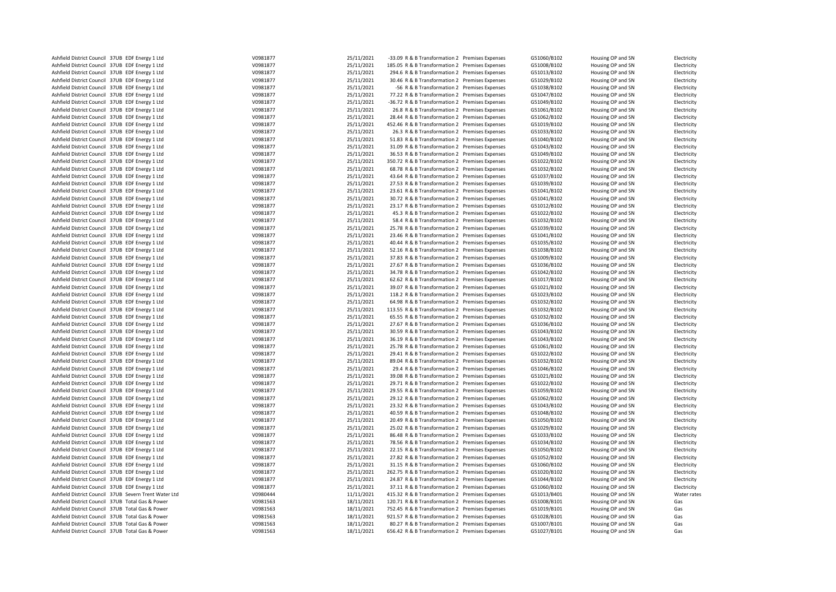| Ashfield District Council 37UB EDF Energy 1 Ltd                                                    | V0981877             | 25/11/2021               | -33.09 R & B Transformation 2 Premises Expenses                                                  | G51060/B102                | Housing OP and SN                      | Electricity                |
|----------------------------------------------------------------------------------------------------|----------------------|--------------------------|--------------------------------------------------------------------------------------------------|----------------------------|----------------------------------------|----------------------------|
| Ashfield District Council 37UB EDF Energy 1 Ltd                                                    | V0981877             | 25/11/2021               | 185.05 R & B Transformation 2 Premises Expenses                                                  | G51008/B102                | Housing OP and SN                      | Electricity                |
| Ashfield District Council 37UB EDF Energy 1 Ltd                                                    | V0981877             | 25/11/2021               | 294.6 R & B Transformation 2 Premises Expenses                                                   | G51013/B102                | Housing OP and SN                      | Electricity                |
| Ashfield District Council 37UB EDF Energy 1 Ltd                                                    | V0981877             | 25/11/2021               | 30.46 R & B Transformation 2 Premises Expenses                                                   | G51029/B102                | Housing OP and SN                      | Electricity                |
|                                                                                                    |                      | 25/11/2021               |                                                                                                  |                            |                                        |                            |
| Ashfield District Council 37UB EDF Energy 1 Ltd                                                    | V0981877             |                          | -56 R & B Transformation 2 Premises Expenses                                                     | G51038/B102                | Housing OP and SN                      | Electricity                |
| Ashfield District Council 37UB EDF Energy 1 Ltd                                                    | V0981877             | 25/11/2021               | 77.22 R & B Transformation 2 Premises Expenses                                                   | G51047/B102                | Housing OP and SN                      | Electricity                |
| Ashfield District Council 37UB EDF Energy 1 Ltd                                                    | V0981877             | 25/11/2021               | -36.72 R & B Transformation 2 Premises Expenses                                                  | G51049/B102                | Housing OP and SN                      | Electricity                |
| Ashfield District Council 37UB EDF Energy 1 Ltd                                                    | V0981877             | 25/11/2021               | 26.8 R & B Transformation 2 Premises Expenses                                                    | G51061/B102                | Housing OP and SN                      | Electricity                |
| Ashfield District Council 37UB EDF Energy 1 Ltd                                                    | V0981877             | 25/11/2021               | 28.44 R & B Transformation 2 Premises Expenses                                                   | G51062/B102                | Housing OP and SN                      | Electricity                |
| Ashfield District Council 37UB EDF Energy 1 Ltd                                                    | V0981877             | 25/11/2021               | 452.46 R & B Transformation 2 Premises Expenses                                                  | G51019/B102                | Housing OP and SN                      | Electricity                |
| Ashfield District Council 37UB EDF Energy 1 Ltd                                                    | V0981877             | 25/11/2021               | 26.3 R & B Transformation 2 Premises Expenses                                                    | G51033/B102                | Housing OP and SN                      | Electricity                |
| Ashfield District Council 37UB EDF Energy 1 Ltd                                                    | V0981877             | 25/11/2021               | 51.83 R & B Transformation 2 Premises Expenses                                                   | G51040/B102                | Housing OP and SN                      | Electricity                |
| Ashfield District Council 37UB EDF Energy 1 Ltd                                                    | V0981877             | 25/11/2021               | 31.09 R & B Transformation 2 Premises Expenses                                                   | G51043/B102                | Housing OP and SN                      | Electricity                |
| Ashfield District Council 37UB EDF Energy 1 Ltd                                                    | V0981877             | 25/11/2021               | 36.53 R & B Transformation 2 Premises Expenses                                                   | G51049/B102                | Housing OP and SN                      | Electricity                |
| Ashfield District Council 37UB EDF Energy 1 Ltd                                                    | V0981877             | 25/11/2021               | 350.72 R & B Transformation 2 Premises Expenses                                                  | G51022/B102                | Housing OP and SN                      | Electricity                |
| Ashfield District Council 37UB EDF Energy 1 Ltd                                                    | V0981877             | 25/11/2021               | 68.78 R & B Transformation 2 Premises Expenses                                                   | G51032/B102                | Housing OP and SN                      | Electricity                |
| Ashfield District Council 37UB EDF Energy 1 Ltd                                                    | V0981877             | 25/11/2021               | 43.64 R & B Transformation 2 Premises Expenses                                                   | G51037/B102                | Housing OP and SN                      | Electricity                |
| Ashfield District Council 37UB EDF Energy 1 Ltd                                                    | V0981877             | 25/11/2021               | 27.53 R & B Transformation 2 Premises Expenses                                                   | G51039/B102                | Housing OP and SN                      | Electricity                |
| Ashfield District Council 37UB EDF Energy 1 Ltd                                                    | V0981877             | 25/11/2021               | 23.61 R & B Transformation 2 Premises Expenses                                                   | G51041/B102                | Housing OP and SN                      | Electricity                |
| Ashfield District Council 37UB EDF Energy 1 Ltd                                                    | V0981877             | 25/11/2021               | 30.72 R & B Transformation 2 Premises Expenses                                                   | G51041/B102                | Housing OP and SN                      | Electricity                |
| Ashfield District Council 37UB EDF Energy 1 Ltd                                                    | V0981877             | 25/11/2021               | 23.17 R & B Transformation 2 Premises Expenses                                                   | G51012/B102                | Housing OP and SN                      | Electricity                |
| Ashfield District Council 37UB EDF Energy 1 Ltd                                                    | V0981877             | 25/11/2021               | 45.3 R & B Transformation 2 Premises Expenses                                                    | G51022/B102                | Housing OP and SN                      | Electricity                |
| Ashfield District Council 37UB EDF Energy 1 Ltd                                                    | V0981877             | 25/11/2021               | 58.4 R & B Transformation 2 Premises Expenses                                                    | G51032/B102                | Housing OP and SN                      | Electricity                |
| Ashfield District Council 37UB EDF Energy 1 Ltd                                                    | V0981877             | 25/11/2021               | 25.78 R & B Transformation 2 Premises Expenses                                                   | G51039/B102                | Housing OP and SN                      | Electricity                |
| Ashfield District Council 37UB EDF Energy 1 Ltd                                                    | V0981877             | 25/11/2021               | 23.46 R & B Transformation 2 Premises Expenses                                                   | G51041/B102                | Housing OP and SN                      | Electricity                |
| Ashfield District Council 37UB EDF Energy 1 Ltd                                                    | V0981877             | 25/11/2021               | 40.44 R & B Transformation 2 Premises Expenses                                                   | G51035/B102                | Housing OP and SN                      | Electricity                |
| Ashfield District Council 37UB EDF Energy 1 Ltd                                                    | V0981877             | 25/11/2021               | 52.16 R & B Transformation 2 Premises Expenses                                                   | G51038/B102                | Housing OP and SN                      | Electricity                |
| Ashfield District Council 37UB EDF Energy 1 Ltd                                                    | V0981877             | 25/11/2021               | 37.83 R & B Transformation 2 Premises Expenses                                                   | G51009/B102                | Housing OP and SN                      | Electricity                |
| Ashfield District Council 37UB EDF Energy 1 Ltd                                                    | V0981877             | 25/11/2021               | 27.67 R & B Transformation 2 Premises Expenses                                                   | G51036/B102                | Housing OP and SN                      | Electricity                |
| Ashfield District Council 37UB EDF Energy 1 Ltd                                                    | V0981877             | 25/11/2021               | 34.78 R & B Transformation 2 Premises Expenses                                                   | G51042/B102                | Housing OP and SN                      | Electricity                |
| Ashfield District Council 37UB EDF Energy 1 Ltd                                                    | V0981877             | 25/11/2021               | 62.62 R & B Transformation 2 Premises Expenses                                                   | G51017/B102                | Housing OP and SN                      | Electricity                |
| Ashfield District Council 37UB EDF Energy 1 Ltd                                                    | V0981877             | 25/11/2021               | 39.07 R & B Transformation 2 Premises Expenses                                                   | G51021/B102                | Housing OP and SN                      | Electricity                |
| Ashfield District Council 37UB EDF Energy 1 Ltd                                                    | V0981877             | 25/11/2021               | 118.2 R & B Transformation 2 Premises Expenses                                                   | G51023/B102                | Housing OP and SN                      | Electricity                |
| Ashfield District Council 37UB EDF Energy 1 Ltd                                                    | V0981877             | 25/11/2021               | 64.98 R & B Transformation 2 Premises Expenses                                                   | G51032/B102                | Housing OP and SN                      | Electricity                |
| Ashfield District Council 37UB EDF Energy 1 Ltd                                                    | V0981877             | 25/11/2021               | 113.55 R & B Transformation 2 Premises Expenses                                                  | G51032/B102                | Housing OP and SN                      | Electricity                |
| Ashfield District Council 37UB EDF Energy 1 Ltd                                                    | V0981877             | 25/11/2021               | 65.55 R & B Transformation 2 Premises Expenses                                                   | G51032/B102                | Housing OP and SN                      | Electricity                |
| Ashfield District Council 37UB EDF Energy 1 Ltd                                                    | V0981877             | 25/11/2021               | 27.67 R & B Transformation 2 Premises Expenses                                                   | G51036/B102                | Housing OP and SN                      | Electricity                |
| Ashfield District Council 37UB EDF Energy 1 Ltd                                                    | V0981877             | 25/11/2021               | 30.59 R & B Transformation 2 Premises Expenses                                                   | G51043/B102                | Housing OP and SN                      |                            |
| Ashfield District Council 37UB EDF Energy 1 Ltd                                                    | V0981877             | 25/11/2021               | 36.19 R & B Transformation 2 Premises Expenses                                                   | G51043/B102                | Housing OP and SN                      | Electricity<br>Electricity |
|                                                                                                    |                      |                          |                                                                                                  |                            |                                        |                            |
| Ashfield District Council 37UB EDF Energy 1 Ltd                                                    | V0981877<br>V0981877 | 25/11/2021<br>25/11/2021 | 25.78 R & B Transformation 2 Premises Expenses                                                   | G51061/B102                | Housing OP and SN                      | Electricity                |
| Ashfield District Council 37UB EDF Energy 1 Ltd<br>Ashfield District Council 37UB EDF Energy 1 Ltd | V0981877             | 25/11/2021               | 29.41 R & B Transformation 2 Premises Expenses<br>89.04 R & B Transformation 2 Premises Expenses | G51022/B102<br>G51032/B102 | Housing OP and SN<br>Housing OP and SN | Electricity                |
|                                                                                                    |                      |                          |                                                                                                  |                            |                                        | Electricity                |
| Ashfield District Council 37UB EDF Energy 1 Ltd                                                    | V0981877             | 25/11/2021               | 29.4 R & B Transformation 2 Premises Expenses                                                    | G51046/B102                | Housing OP and SN                      | Electricity                |
| Ashfield District Council 37UB EDF Energy 1 Ltd                                                    | V0981877             | 25/11/2021               | 39.08 R & B Transformation 2 Premises Expenses                                                   | G51021/B102                | Housing OP and SN                      | Electricity                |
| Ashfield District Council 37UB EDF Energy 1 Ltd                                                    | V0981877             | 25/11/2021               | 29.71 R & B Transformation 2 Premises Expenses                                                   | G51022/B102                | Housing OP and SN                      | Electricity                |
| Ashfield District Council 37UB EDF Energy 1 Ltd                                                    | V0981877             | 25/11/2021               | 29.55 R & B Transformation 2 Premises Expenses                                                   | G51059/B102                | Housing OP and SN                      | Electricity                |
| Ashfield District Council 37UB EDF Energy 1 Ltd                                                    | V0981877             | 25/11/2021               | 29.12 R & B Transformation 2 Premises Expenses                                                   | G51062/B102                | Housing OP and SN                      | Electricity                |
| Ashfield District Council 37UB EDF Energy 1 Ltd                                                    | V0981877             | 25/11/2021               | 23.32 R & B Transformation 2 Premises Expenses                                                   | G51043/B102                | Housing OP and SN                      | Electricity                |
| Ashfield District Council 37UB EDF Energy 1 Ltd                                                    | V0981877             | 25/11/2021               | 40.59 R & B Transformation 2 Premises Expenses                                                   | G51048/B102                | Housing OP and SN                      | Electricity                |
| Ashfield District Council 37UB EDF Energy 1 Ltd                                                    | V0981877             | 25/11/2021               | 20.49 R & B Transformation 2 Premises Expenses                                                   | G51050/B102                | Housing OP and SN                      | Electricity                |
| Ashfield District Council 37UB EDF Energy 1 Ltd                                                    | V0981877             | 25/11/2021               | 25.02 R & B Transformation 2 Premises Expenses                                                   | G51029/B102                | Housing OP and SN                      | Electricity                |
| Ashfield District Council 37UB EDF Energy 1 Ltd                                                    | V0981877             | 25/11/2021               | 86.48 R & B Transformation 2 Premises Expenses                                                   | G51033/B102                | Housing OP and SN                      | Electricity                |
| Ashfield District Council 37UB EDF Energy 1 Ltd                                                    | V0981877             | 25/11/2021               | 78.56 R & B Transformation 2 Premises Expenses                                                   | G51034/B102                | Housing OP and SN                      | Electricity                |
| Ashfield District Council 37UB EDF Energy 1 Ltd                                                    | V0981877             | 25/11/2021               | 22.15 R & B Transformation 2 Premises Expenses                                                   | G51050/B102                | Housing OP and SN                      | Electricity                |
| Ashfield District Council 37UB EDF Energy 1 Ltd                                                    | V0981877             | 25/11/2021               | 27.82 R & B Transformation 2 Premises Expenses                                                   | G51052/B102                | Housing OP and SN                      | Electricity                |
| Ashfield District Council 37UB EDF Energy 1 Ltd                                                    | V0981877             | 25/11/2021               | 31.15 R & B Transformation 2 Premises Expenses                                                   | G51060/B102                | Housing OP and SN                      | Electricity                |
| Ashfield District Council 37UB EDF Energy 1 Ltd                                                    | V0981877             | 25/11/2021               | 262.75 R & B Transformation 2 Premises Expenses                                                  | G51020/B102                | Housing OP and SN                      | Electricity                |
| Ashfield District Council 37UB EDF Energy 1 Ltd                                                    | V0981877             | 25/11/2021               | 24.87 R & B Transformation 2 Premises Expenses                                                   | G51044/B102                | Housing OP and SN                      | Electricity                |
| Ashfield District Council 37UB EDF Energy 1 Ltd                                                    | V0981877             | 25/11/2021               | 37.11 R & B Transformation 2 Premises Expenses                                                   | G51060/B102                | Housing OP and SN                      | Electricity                |
| Ashfield District Council 37UB Severn Trent Water Ltd                                              | V0980444             | 11/11/2021               | 415.32 R & B Transformation 2 Premises Expenses                                                  | G51013/B401                | Housing OP and SN                      | Water rates                |
| Ashfield District Council 37UB Total Gas & Power                                                   | V0981563             | 18/11/2021               | 120.71 R & B Transformation 2 Premises Expenses                                                  | G51008/B101                | Housing OP and SN                      | Gas                        |
| Ashfield District Council 37UB Total Gas & Power                                                   | V0981563             | 18/11/2021               | 752.45 R & B Transformation 2 Premises Expenses                                                  | G51019/B101                | Housing OP and SN                      | Gas                        |
| Ashfield District Council 37UB Total Gas & Power                                                   | V0981563             | 18/11/2021               | 921.57 R & B Transformation 2 Premises Expenses                                                  | G51028/B101                | Housing OP and SN                      | Gas                        |
| Ashfield District Council 37UB Total Gas & Power                                                   | V0981563             | 18/11/2021               | 80.27 R & B Transformation 2 Premises Expenses                                                   | G51007/B101                | Housing OP and SN                      | Gas                        |
| Ashfield District Council 37UB Total Gas & Power                                                   | V0981563             | 18/11/2021               | 656.42 R & B Transformation 2 Premises Expenses                                                  | G51027/B101                | Housing OP and SN                      | Gas                        |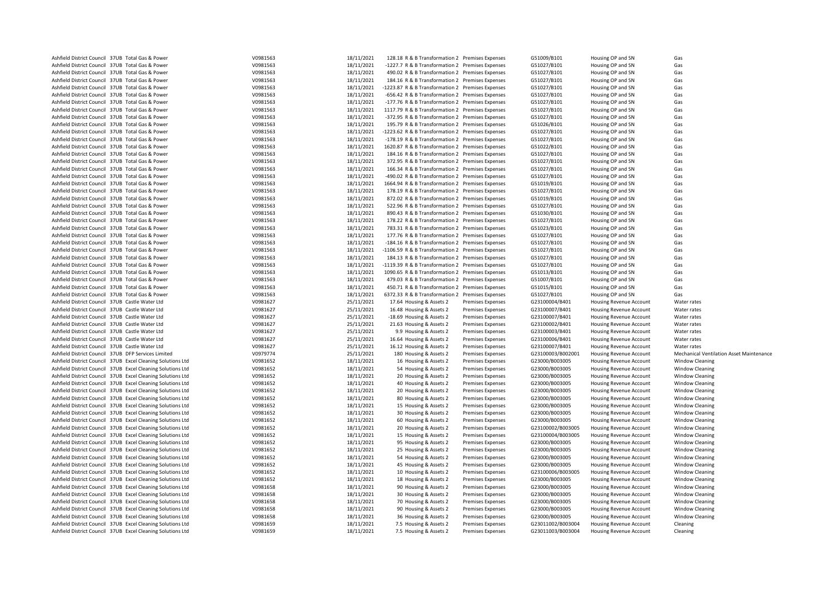| Ashfield District Council 37UB Total Gas & Power            | V0981563 | 18/11/2021 | 128.18 R & B Transformation 2 Premises Expenses   |                          | G51009/B101       | Housing OP and SN              | Gas                                             |
|-------------------------------------------------------------|----------|------------|---------------------------------------------------|--------------------------|-------------------|--------------------------------|-------------------------------------------------|
| Ashfield District Council 37UB Total Gas & Power            | V0981563 | 18/11/2021 | -1227.7 R & B Transformation 2 Premises Expenses  |                          | G51027/B101       | Housing OP and SN              | Gas                                             |
| Ashfield District Council 37UB Total Gas & Power            | V0981563 | 18/11/2021 | 490.02 R & B Transformation 2 Premises Expenses   |                          | G51027/B101       | Housing OP and SN              | Gas                                             |
| Ashfield District Council 37UB Total Gas & Power            | V0981563 | 18/11/2021 | 184.16 R & B Transformation 2 Premises Expenses   |                          | G51027/B101       | Housing OP and SN              | Gas                                             |
| Ashfield District Council 37UB Total Gas & Power            | V0981563 | 18/11/2021 | -1223.87 R & B Transformation 2 Premises Expenses |                          | G51027/B101       | Housing OP and SN              | Gas                                             |
| Ashfield District Council 37UB Total Gas & Power            | V0981563 | 18/11/2021 | -656.42 R & B Transformation 2 Premises Expenses  |                          | G51027/B101       | Housing OP and SN              | Gas                                             |
| Ashfield District Council 37UB Total Gas & Power            | V0981563 | 18/11/2021 | -177.76 R & B Transformation 2 Premises Expenses  |                          | G51027/B101       | Housing OP and SN              | Gas                                             |
| Ashfield District Council 37UB Total Gas & Power            | V0981563 | 18/11/2021 | 1117.79 R & B Transformation 2 Premises Expenses  |                          | G51027/B101       | Housing OP and SN              | Gas                                             |
| Ashfield District Council 37UB Total Gas & Power            | V0981563 | 18/11/2021 | -372.95 R & B Transformation 2 Premises Expenses  |                          | G51027/B101       | Housing OP and SN              | Gas                                             |
| Ashfield District Council 37UB Total Gas & Power            | V0981563 | 18/11/2021 | 195.79 R & B Transformation 2 Premises Expenses   |                          | G51026/B101       | Housing OP and SN              | Gas                                             |
| Ashfield District Council 37UB Total Gas & Power            | V0981563 | 18/11/2021 | -1223.62 R & B Transformation 2 Premises Expenses |                          | G51027/B101       | Housing OP and SN              | Gas                                             |
| Ashfield District Council 37UB Total Gas & Power            | V0981563 | 18/11/2021 | -178.19 R & B Transformation 2 Premises Expenses  |                          | G51027/B101       | Housing OP and SN              | Gas                                             |
| Ashfield District Council 37UB Total Gas & Power            | V0981563 | 18/11/2021 | 1620.87 R & B Transformation 2 Premises Expenses  |                          | G51022/B101       | Housing OP and SN              | Gas                                             |
| Ashfield District Council 37UB Total Gas & Power            | V0981563 | 18/11/2021 | 184.16 R & B Transformation 2 Premises Expenses   |                          | G51027/B101       | Housing OP and SN              | Gas                                             |
| Ashfield District Council 37UB Total Gas & Power            | V0981563 | 18/11/2021 | 372.95 R & B Transformation 2 Premises Expenses   |                          | G51027/B101       | Housing OP and SN              | Gas                                             |
| Ashfield District Council 37UB Total Gas & Power            | V0981563 | 18/11/2021 | 166.34 R & B Transformation 2 Premises Expenses   |                          | G51027/B101       | Housing OP and SN              | Gas                                             |
| Ashfield District Council 37UB Total Gas & Power            | V0981563 | 18/11/2021 | -490.02 R & B Transformation 2 Premises Expenses  |                          | G51027/B101       | Housing OP and SN              | Gas                                             |
| Ashfield District Council 37UB Total Gas & Power            | V0981563 | 18/11/2021 | 1664.94 R & B Transformation 2 Premises Expenses  |                          | G51019/B101       | Housing OP and SN              | Gas                                             |
| Ashfield District Council 37UB Total Gas & Power            | V0981563 | 18/11/2021 | 178.19 R & B Transformation 2 Premises Expenses   |                          | G51027/B101       | Housing OP and SN              | Gas                                             |
| Ashfield District Council 37UB Total Gas & Power            | V0981563 | 18/11/2021 | 872.02 R & B Transformation 2 Premises Expenses   |                          | G51019/B101       | Housing OP and SN              | Gas                                             |
| Ashfield District Council 37UB Total Gas & Power            | V0981563 | 18/11/2021 | 522.96 R & B Transformation 2 Premises Expenses   |                          | G51027/B101       | Housing OP and SN              | Gas                                             |
| Ashfield District Council 37UB Total Gas & Power            | V0981563 | 18/11/2021 | 890.43 R & B Transformation 2 Premises Expenses   |                          | G51030/B101       | Housing OP and SN              | Gas                                             |
| Ashfield District Council 37UB Total Gas & Power            | V0981563 | 18/11/2021 | 178.22 R & B Transformation 2 Premises Expenses   |                          | G51027/B101       | Housing OP and SN              | Gas                                             |
| Ashfield District Council 37UB Total Gas & Power            | V0981563 | 18/11/2021 | 783.31 R & B Transformation 2 Premises Expenses   |                          | G51023/B101       | Housing OP and SN              | Gas                                             |
|                                                             |          |            |                                                   |                          |                   |                                |                                                 |
| Ashfield District Council 37UB Total Gas & Power            | V0981563 | 18/11/2021 | 177.76 R & B Transformation 2 Premises Expenses   |                          | G51027/B101       | Housing OP and SN              | Gas                                             |
| Ashfield District Council 37UB Total Gas & Power            | V0981563 | 18/11/2021 | -184.16 R & B Transformation 2 Premises Expenses  |                          | G51027/B101       | Housing OP and SN              | Gas                                             |
| Ashfield District Council 37UB Total Gas & Power            | V0981563 | 18/11/2021 | -1106.59 R & B Transformation 2 Premises Expenses |                          | G51027/B101       | Housing OP and SN              | Gas                                             |
| Ashfield District Council 37UB Total Gas & Power            | V0981563 | 18/11/2021 | 184.13 R & B Transformation 2 Premises Expenses   |                          | G51027/B101       | Housing OP and SN              | Gas                                             |
| Ashfield District Council 37UB Total Gas & Power            | V0981563 | 18/11/2021 | -1119.39 R & B Transformation 2 Premises Expenses |                          | G51027/B101       | Housing OP and SN              | Gas                                             |
| Ashfield District Council 37UB Total Gas & Power            | V0981563 | 18/11/2021 | 1090.65 R & B Transformation 2 Premises Expenses  |                          | G51013/B101       | Housing OP and SN              | Gas                                             |
| Ashfield District Council 37UB Total Gas & Power            | V0981563 | 18/11/2021 | 479.03 R & B Transformation 2 Premises Expenses   |                          | G51007/B101       | Housing OP and SN              | Gas                                             |
| Ashfield District Council 37UB Total Gas & Power            | V0981563 | 18/11/2021 | 450.71 R & B Transformation 2 Premises Expenses   |                          | G51015/B101       | Housing OP and SN              | Gas                                             |
| Ashfield District Council 37UB Total Gas & Power            | V0981563 | 18/11/2021 | 6372.33 R & B Transformation 2 Premises Expenses  |                          | G51027/B101       | Housing OP and SN              | Gas                                             |
| Ashfield District Council 37UB Castle Water Ltd             | V0981627 | 25/11/2021 | 17.64 Housing & Assets 2                          | <b>Premises Expenses</b> | G23100004/B401    | <b>Housing Revenue Account</b> | Water rates                                     |
| Ashfield District Council 37UB Castle Water Ltd             | V0981627 | 25/11/2021 | 16.48 Housing & Assets 2                          | <b>Premises Expenses</b> | G23100007/B401    | Housing Revenue Account        | Water rates                                     |
| Ashfield District Council 37UB Castle Water Ltd             | V0981627 | 25/11/2021 | -18.69 Housing & Assets 2                         | <b>Premises Expenses</b> | G23100007/B401    | Housing Revenue Account        | Water rates                                     |
| Ashfield District Council 37UB Castle Water Ltd             | V0981627 | 25/11/2021 | 21.63 Housing & Assets 2                          | <b>Premises Expenses</b> | G23100002/B401    | Housing Revenue Account        | Water rates                                     |
| Ashfield District Council 37UB Castle Water Ltd             | V0981627 | 25/11/2021 | 9.9 Housing & Assets 2                            | <b>Premises Expenses</b> | G23100003/B401    | Housing Revenue Account        | Water rates                                     |
| Ashfield District Council 37UB Castle Water Ltd             | V0981627 | 25/11/2021 | 16.64 Housing & Assets 2                          | <b>Premises Expenses</b> | G23100006/B401    | Housing Revenue Account        | Water rates                                     |
| Ashfield District Council 37UB Castle Water Ltd             | V0981627 | 25/11/2021 | 16.12 Housing & Assets 2                          | <b>Premises Expenses</b> | G23100007/B401    | <b>Housing Revenue Account</b> | Water rates                                     |
| Ashfield District Council 37UB DFP Services Limited         | V0979774 | 25/11/2021 | 180 Housing & Assets 2                            | <b>Premises Expenses</b> | G23100003/B002001 | Housing Revenue Account        | <b>Mechanical Ventilation Asset Maintenance</b> |
| Ashfield District Council 37UB Excel Cleaning Solutions Ltd | V0981652 | 18/11/2021 | 16 Housing & Assets 2                             | <b>Premises Expenses</b> | G23000/B003005    | Housing Revenue Account        | <b>Window Cleaning</b>                          |
| Ashfield District Council 37UB Excel Cleaning Solutions Ltd | V0981652 | 18/11/2021 | 54 Housing & Assets 2                             | <b>Premises Expenses</b> | G23000/B003005    | Housing Revenue Account        | <b>Window Cleaning</b>                          |
| Ashfield District Council 37UB Excel Cleaning Solutions Ltd | V0981652 | 18/11/2021 | 20 Housing & Assets 2                             | <b>Premises Expenses</b> | G23000/B003005    | Housing Revenue Account        | <b>Window Cleaning</b>                          |
| Ashfield District Council 37UB Excel Cleaning Solutions Ltd | V0981652 | 18/11/2021 | 40 Housing & Assets 2                             | <b>Premises Expenses</b> | G23000/B003005    | Housing Revenue Account        | <b>Window Cleaning</b>                          |
| Ashfield District Council 37UB Excel Cleaning Solutions Ltd | V0981652 | 18/11/2021 | 20 Housing & Assets 2                             | <b>Premises Expenses</b> | G23000/B003005    | Housing Revenue Account        | <b>Window Cleaning</b>                          |
| Ashfield District Council 37UB Excel Cleaning Solutions Ltd | V0981652 | 18/11/2021 | 80 Housing & Assets 2                             | <b>Premises Expenses</b> | G23000/B003005    | Housing Revenue Account        | <b>Window Cleaning</b>                          |
| Ashfield District Council 37UB Excel Cleaning Solutions Ltd | V0981652 | 18/11/2021 | 15 Housing & Assets 2                             | <b>Premises Expenses</b> | G23000/B003005    | Housing Revenue Account        | <b>Window Cleaning</b>                          |
| Ashfield District Council 37UB Excel Cleaning Solutions Ltd | V0981652 | 18/11/2021 | 30 Housing & Assets 2                             | <b>Premises Expenses</b> | G23000/B003005    | Housing Revenue Account        | <b>Window Cleaning</b>                          |
| Ashfield District Council 37UB Excel Cleaning Solutions Ltd | V0981652 | 18/11/2021 | 60 Housing & Assets 2                             | <b>Premises Expenses</b> | G23000/B003005    | Housing Revenue Account        | <b>Window Cleaning</b>                          |
| Ashfield District Council 37UB Excel Cleaning Solutions Ltd | V0981652 | 18/11/2021 | 20 Housing & Assets 2                             | <b>Premises Expenses</b> | G23100002/B003005 | Housing Revenue Account        | <b>Window Cleaning</b>                          |
| Ashfield District Council 37UB Excel Cleaning Solutions Ltd | V0981652 | 18/11/2021 | 15 Housing & Assets 2                             | <b>Premises Expenses</b> | G23100004/B003005 | Housing Revenue Account        | <b>Window Cleaning</b>                          |
| Ashfield District Council 37UB Excel Cleaning Solutions Ltd | V0981652 |            |                                                   |                          |                   |                                | <b>Window Cleaning</b>                          |
|                                                             |          | 18/11/2021 | 95 Housing & Assets 2                             | <b>Premises Expenses</b> | G23000/B003005    | Housing Revenue Account        |                                                 |
| Ashfield District Council 37UB Excel Cleaning Solutions Ltd | V0981652 | 18/11/2021 | 25 Housing & Assets 2                             | <b>Premises Expenses</b> | G23000/B003005    | Housing Revenue Account        | <b>Window Cleaning</b>                          |
| Ashfield District Council 37UB Excel Cleaning Solutions Ltd | V0981652 | 18/11/2021 | 54 Housing & Assets 2                             | <b>Premises Expenses</b> | G23000/B003005    | Housing Revenue Account        | <b>Window Cleaning</b>                          |
| Ashfield District Council 37UB Excel Cleaning Solutions Ltd | V0981652 | 18/11/2021 | 45 Housing & Assets 2                             | <b>Premises Expenses</b> | G23000/B003005    | Housing Revenue Account        | <b>Window Cleaning</b>                          |
| Ashfield District Council 37UB Excel Cleaning Solutions Ltd | V0981652 | 18/11/2021 | 10 Housing & Assets 2                             | <b>Premises Expenses</b> | G23100006/B003005 | Housing Revenue Account        | <b>Window Cleaning</b>                          |
| Ashfield District Council 37UB Excel Cleaning Solutions Ltd | V0981652 | 18/11/2021 | 18 Housing & Assets 2                             | <b>Premises Expenses</b> | G23000/B003005    | Housing Revenue Account        | <b>Window Cleaning</b>                          |
| Ashfield District Council 37UB Excel Cleaning Solutions Ltd | V0981658 | 18/11/2021 | 90 Housing & Assets 2                             | <b>Premises Expenses</b> | G23000/B003005    | Housing Revenue Account        | <b>Window Cleaning</b>                          |
| Ashfield District Council 37UB Excel Cleaning Solutions Ltd | V0981658 | 18/11/2021 | 30 Housing & Assets 2                             | <b>Premises Expenses</b> | G23000/B003005    | Housing Revenue Account        | <b>Window Cleaning</b>                          |
| Ashfield District Council 37UB Excel Cleaning Solutions Ltd | V0981658 | 18/11/2021 | 70 Housing & Assets 2                             | <b>Premises Expenses</b> | G23000/B003005    | Housing Revenue Account        | <b>Window Cleaning</b>                          |
| Ashfield District Council 37UB Excel Cleaning Solutions Ltd | V0981658 | 18/11/2021 | 90 Housing & Assets 2                             | <b>Premises Expenses</b> | G23000/B003005    | Housing Revenue Account        | <b>Window Cleaning</b>                          |
| Ashfield District Council 37UB Excel Cleaning Solutions Ltd | V0981658 | 18/11/2021 | 36 Housing & Assets 2                             | <b>Premises Expenses</b> | G23000/B003005    | Housing Revenue Account        | <b>Window Cleaning</b>                          |
| Ashfield District Council 37UB Excel Cleaning Solutions Ltd | V0981659 | 18/11/2021 | 7.5 Housing & Assets 2                            | <b>Premises Expenses</b> | G23011002/B003004 | Housing Revenue Account        | Cleaning                                        |
| Ashfield District Council 37UB Excel Cleaning Solutions Ltd | V0981659 | 18/11/2021 | 7.5 Housing & Assets 2                            | <b>Premises Expenses</b> | G23011003/B003004 | Housing Revenue Account        | Cleaning                                        |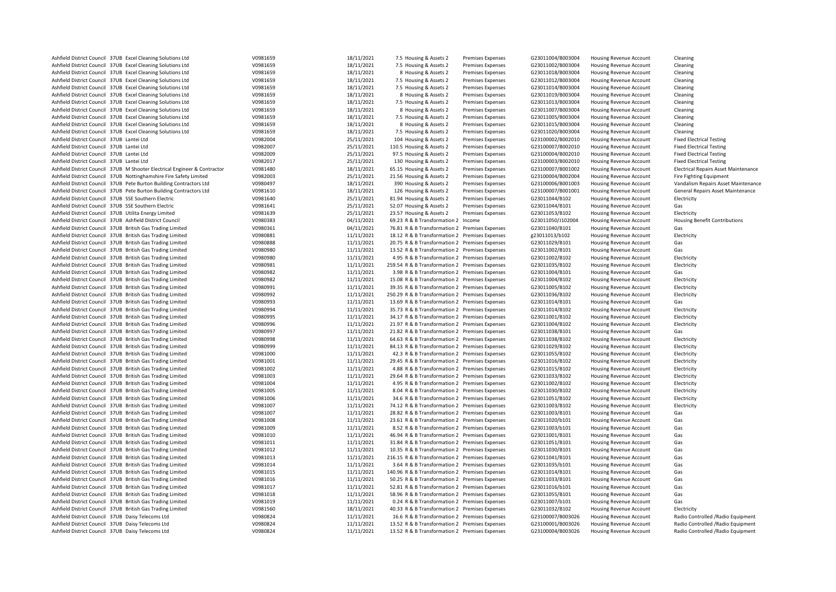| Ashfield District Council 37UB Excel Cleaning Solutions Ltd                                                              | V0981659             | 18/11/2021               | 7.5 Housing & Assets 2                                                                          | <b>Premises Expenses</b> | G23011004/B003004                      | Housing Revenue Account                            | Cleaning                                                                 |
|--------------------------------------------------------------------------------------------------------------------------|----------------------|--------------------------|-------------------------------------------------------------------------------------------------|--------------------------|----------------------------------------|----------------------------------------------------|--------------------------------------------------------------------------|
| Ashfield District Council 37UB Excel Cleaning Solutions Ltd                                                              | V0981659             | 18/11/2021               | 7.5 Housing & Assets 2                                                                          | <b>Premises Expenses</b> | G23011002/B003004                      | Housing Revenue Account                            | Cleaning                                                                 |
| Ashfield District Council 37UB Excel Cleaning Solutions Ltd                                                              | V0981659             | 18/11/2021               | 8 Housing & Assets 2                                                                            | <b>Premises Expenses</b> | G23011018/B003004                      | Housing Revenue Account                            | Cleaning                                                                 |
| Ashfield District Council 37UB Excel Cleaning Solutions Ltd                                                              | V0981659             | 18/11/2021               | 7.5 Housing & Assets 2                                                                          | <b>Premises Expenses</b> | G23011012/B003004                      | Housing Revenue Account                            | Cleaning                                                                 |
| Ashfield District Council 37UB Excel Cleaning Solutions Ltd                                                              | V0981659             | 18/11/2021               | 7.5 Housing & Assets 2                                                                          | <b>Premises Expenses</b> | G23011014/B003004                      | Housing Revenue Account                            | Cleaning                                                                 |
| Ashfield District Council 37UB Excel Cleaning Solutions Ltd                                                              | V0981659             | 18/11/2021               | 8 Housing & Assets 2                                                                            | <b>Premises Expenses</b> | G23011019/B003004                      | Housing Revenue Account                            | Cleaning                                                                 |
| Ashfield District Council 37UB Excel Cleaning Solutions Ltd                                                              | V0981659             | 18/11/2021               | 7.5 Housing & Assets 2                                                                          | <b>Premises Expenses</b> | G23011013/B003004                      | Housing Revenue Account                            | Cleaning                                                                 |
| Ashfield District Council 37UB Excel Cleaning Solutions Ltd                                                              | V0981659             | 18/11/2021               | 8 Housing & Assets 2                                                                            | <b>Premises Expenses</b> | G23011007/B003004                      | <b>Housing Revenue Account</b>                     | Cleaning                                                                 |
| Ashfield District Council 37UB Excel Cleaning Solutions Ltd                                                              | V0981659             | 18/11/2021               | 7.5 Housing & Assets 2                                                                          | <b>Premises Expenses</b> | G23011005/B003004                      | Housing Revenue Account                            | Cleaning                                                                 |
| Ashfield District Council 37UB Excel Cleaning Solutions Ltd                                                              | V0981659             | 18/11/2021               | 8 Housing & Assets 2                                                                            | <b>Premises Expenses</b> | G23011015/B003004                      | Housing Revenue Account                            | Cleaning                                                                 |
| Ashfield District Council 37UB Excel Cleaning Solutions Ltd                                                              | V0981659             | 18/11/2021               | 7.5 Housing & Assets 2                                                                          | <b>Premises Expenses</b> | G23011020/B003004                      | Housing Revenue Account                            | Cleaning                                                                 |
| Ashfield District Council 37UB Lantei Ltd                                                                                | V0982004             | 25/11/2021               | 104 Housing & Assets 2                                                                          | <b>Premises Expenses</b> | G23100002/B002010                      | Housing Revenue Account                            | <b>Fixed Electrical Testing</b>                                          |
| Ashfield District Council 37UB Lantei Ltd                                                                                | V0982007             | 25/11/2021               | 110.5 Housing & Assets 2                                                                        | <b>Premises Expenses</b> | G23100007/B002010                      | Housing Revenue Account                            | <b>Fixed Electrical Testing</b>                                          |
| Ashfield District Council 37UB Lantei Ltd                                                                                | V0982009             | 25/11/2021               | 97.5 Housing & Assets 2                                                                         | <b>Premises Expenses</b> | G23100004/B002010                      | Housing Revenue Account                            | <b>Fixed Electrical Testing</b>                                          |
| Ashfield District Council 37UB Lantei Ltd                                                                                | V0982017             | 25/11/2021               | 130 Housing & Assets 2                                                                          | <b>Premises Expenses</b> | G23100003/B002010                      | Housing Revenue Account                            | <b>Fixed Electrical Testing</b>                                          |
| Ashfield District Council 37UB M Shooter Electrical Engineer & Contractor                                                | V0981480             | 18/11/2021               | 65.15 Housing & Assets 2                                                                        | <b>Premises Expenses</b> | G23100007/B001002                      | Housing Revenue Account                            | <b>Electrical Repairs Asset Maintenance</b>                              |
| Ashfield District Council 37UB Nottinghamshire Fire Safety Limited                                                       | V0982003             | 25/11/2021               | 21.56 Housing & Assets 2                                                                        | <b>Premises Expenses</b> | G23100004/B002004                      | Housing Revenue Account                            | Fire Fighting Equipment                                                  |
| Ashfield District Council 37UB Pete Burton Building Contractors Ltd                                                      | V0980497             | 18/11/2021               | 390 Housing & Assets 2                                                                          | <b>Premises Expenses</b> | G23100006/B001003                      | Housing Revenue Account                            | Vandalism Repairs Asset Maintenance                                      |
| Ashfield District Council 37UB Pete Burton Building Contractors Ltd                                                      | V0981610             | 18/11/2021               | 126 Housing & Assets 2                                                                          | <b>Premises Expenses</b> | G23100007/B001001                      | Housing Revenue Account                            | General Repairs Asset Maintenance                                        |
| Ashfield District Council 37UB SSE Southern Electric                                                                     | V0981640             | 25/11/2021               | 81.94 Housing & Assets 2                                                                        | <b>Premises Expenses</b> | G23011044/B102                         | Housing Revenue Account                            | Electricity                                                              |
| Ashfield District Council 37UB SSE Southern Electric                                                                     | V0981641             | 25/11/2021               | 52.07 Housing & Assets 2                                                                        | <b>Premises Expenses</b> | G23011044/B101                         | Housing Revenue Account                            | Gas                                                                      |
| Ashfield District Council 37UB Utilita Energy Limited                                                                    | V0981639             | 25/11/2021               | 23.57 Housing & Assets 2                                                                        | <b>Premises Expenses</b> | G23011053/B102                         | Housing Revenue Account                            | Electricity                                                              |
| Ashfield District Council 37UB Ashfield District Council                                                                 | V0980383             | 04/11/2021               | 69.23 R & B Transformation 2 Income                                                             |                          | G23011050/J102004                      | Housing Revenue Account                            | <b>Housing Benefit Contributions</b>                                     |
| Ashfield District Council 37UB British Gas Trading Limited                                                               | V0980361             | 04/11/2021               | 76.81 R & B Transformation 2 Premises Expenses                                                  |                          | G23011040/B101                         | Housing Revenue Account                            | Gas                                                                      |
| Ashfield District Council 37UB British Gas Trading Limited                                                               | V0980881             | 11/11/2021               | 18.12 R & B Transformation 2 Premises Expenses                                                  |                          | g23011013/b102                         | Housing Revenue Account                            | Electricity                                                              |
| Ashfield District Council 37UB British Gas Trading Limited                                                               | V0980888             | 11/11/2021               | 20.75 R & B Transformation 2 Premises Expenses                                                  |                          | G23011029/B101                         | Housing Revenue Account                            | Gas                                                                      |
| Ashfield District Council 37UB British Gas Trading Limited                                                               | V0980980             | 11/11/2021               | 13.52 R & B Transformation 2 Premises Expenses                                                  |                          | G23011002/B101                         | Housing Revenue Account                            | Gas                                                                      |
| Ashfield District Council 37UB British Gas Trading Limited                                                               | V0980980             | 11/11/2021               | 4.95 R & B Transformation 2 Premises Expenses                                                   |                          | G23011002/B102                         | <b>Housing Revenue Account</b>                     | Electricity                                                              |
| Ashfield District Council 37UB British Gas Trading Limited                                                               | V0980981             | 11/11/2021               | 259.54 R & B Transformation 2 Premises Expenses                                                 |                          | G23011035/B102                         | Housing Revenue Account                            | Electricity                                                              |
| Ashfield District Council 37UB British Gas Trading Limited                                                               | V0980982             | 11/11/2021               | 3.98 R & B Transformation 2 Premises Expenses                                                   |                          | G23011004/B101                         | Housing Revenue Account                            | Gas                                                                      |
| Ashfield District Council 37UB British Gas Trading Limited                                                               | V0980982             | 11/11/2021               | 15.08 R & B Transformation 2 Premises Expenses                                                  |                          | G23011004/B102                         | Housing Revenue Account                            | Electricity                                                              |
| Ashfield District Council 37UB British Gas Trading Limited                                                               | V0980991             | 11/11/2021               | 39.35 R & B Transformation 2 Premises Expenses                                                  |                          | G23011005/B102                         | Housing Revenue Account                            | Electricity                                                              |
| Ashfield District Council 37UB British Gas Trading Limited                                                               | V0980992             | 11/11/2021               | 250.29 R & B Transformation 2 Premises Expenses                                                 |                          | G23011036/B102                         | Housing Revenue Account                            | Electricity                                                              |
| Ashfield District Council 37UB British Gas Trading Limited                                                               | V0980993             | 11/11/2021               | 13.69 R & B Transformation 2 Premises Expenses                                                  |                          | G23011014/B101                         | Housing Revenue Account                            | Gas                                                                      |
| Ashfield District Council 37UB British Gas Trading Limited                                                               | V0980994             | 11/11/2021               | 35.73 R & B Transformation 2 Premises Expenses                                                  |                          | G23011014/B102                         | Housing Revenue Account                            | Electricity                                                              |
| Ashfield District Council 37UB British Gas Trading Limited                                                               | V0980995             | 11/11/2021               | 34.17 R & B Transformation 2 Premises Expenses                                                  |                          | G23011001/B102                         | Housing Revenue Account                            | Electricity                                                              |
| Ashfield District Council 37UB British Gas Trading Limited                                                               | V0980996             | 11/11/2021               | 21.97 R & B Transformation 2 Premises Expenses                                                  |                          | G23011004/B102                         | Housing Revenue Account                            | Electricity                                                              |
| Ashfield District Council 37UB British Gas Trading Limited                                                               | V0980997             | 11/11/2021               | 21.82 R & B Transformation 2 Premises Expenses                                                  |                          | G23011038/B101                         | Housing Revenue Account                            | Gas                                                                      |
| Ashfield District Council 37UB British Gas Trading Limited                                                               | V0980998             | 11/11/2021               | 64.63 R & B Transformation 2 Premises Expenses                                                  |                          | G23011038/B102                         | Housing Revenue Account                            | Electricity                                                              |
| Ashfield District Council 37UB British Gas Trading Limited                                                               | V0980999             | 11/11/2021               | 84.13 R & B Transformation 2 Premises Expenses                                                  |                          | G23011029/B102                         | Housing Revenue Account                            | Electricity                                                              |
| Ashfield District Council 37UB British Gas Trading Limited                                                               | V0981000             | 11/11/2021               | 42.3 R & B Transformation 2 Premises Expenses                                                   |                          | G23011055/B102                         | <b>Housing Revenue Account</b>                     | Electricity                                                              |
| Ashfield District Council 37UB British Gas Trading Limited                                                               | V0981001             | 11/11/2021               | 29.45 R & B Transformation 2 Premises Expenses                                                  |                          | G23011016/B102                         | Housing Revenue Account                            | Electricity                                                              |
| Ashfield District Council 37UB British Gas Trading Limited                                                               | V0981002             | 11/11/2021               | 4.88 R & B Transformation 2 Premises Expenses                                                   |                          | G23011015/B102                         | Housing Revenue Account                            | Electricity                                                              |
| Ashfield District Council 37UB British Gas Trading Limited                                                               | V0981003             | 11/11/2021               | 29.64 R & B Transformation 2 Premises Expenses                                                  |                          | G23011033/B102                         | Housing Revenue Account                            | Electricity                                                              |
| Ashfield District Council 37UB British Gas Trading Limited                                                               | V0981004             | 11/11/2021               | 4.95 R & B Transformation 2 Premises Expenses                                                   |                          | G23011002/B102                         | Housing Revenue Account                            | Electricity                                                              |
| Ashfield District Council 37UB British Gas Trading Limited                                                               | V0981005             | 11/11/2021               | 8.04 R & B Transformation 2 Premises Expenses                                                   |                          | G23011030/B102                         | Housing Revenue Account                            | Electricity                                                              |
| Ashfield District Council 37UB British Gas Trading Limited                                                               | V0981006             | 11/11/2021               | 34.6 R & B Transformation 2 Premises Expenses                                                   |                          | G23011051/B102                         | Housing Revenue Account                            | Electricity                                                              |
| Ashfield District Council 37UB British Gas Trading Limited                                                               | V0981007             | 11/11/2021               | 74.12 R & B Transformation 2 Premises Expenses                                                  |                          | G23011003/B102                         | Housing Revenue Account                            | Electricity                                                              |
| Ashfield District Council 37UB British Gas Trading Limited                                                               | V0981007             | 11/11/2021               | 28.82 R & B Transformation 2 Premises Expenses                                                  |                          | G23011003/B101                         | Housing Revenue Account                            | Gas                                                                      |
| Ashfield District Council 37UB British Gas Trading Limited                                                               | V0981008             | 11/11/2021               | 23.61 R & B Transformation 2 Premises Expenses                                                  |                          | G23011020/b101                         | Housing Revenue Account                            | Gas                                                                      |
| Ashfield District Council 37UB British Gas Trading Limited                                                               | V0981009             | 11/11/2021               | 8.52 R & B Transformation 2 Premises Expenses                                                   |                          | G23011003/b101                         | Housing Revenue Account                            | Gas                                                                      |
| Ashfield District Council 37UB British Gas Trading Limited                                                               | V0981010             | 11/11/2021               | 46.94 R & B Transformation 2 Premises Expenses                                                  |                          | G23011001/B101                         | Housing Revenue Account                            | Gas                                                                      |
| Ashfield District Council 37UB British Gas Trading Limited                                                               | V0981011             | 11/11/2021               | 31.84 R & B Transformation 2 Premises Expenses                                                  |                          | G23011051/B101                         | Housing Revenue Account                            | Gas                                                                      |
| Ashfield District Council 37UB British Gas Trading Limited                                                               | V0981012             | 11/11/2021               | 10.35 R & B Transformation 2 Premises Expenses                                                  |                          | G23011030/B101                         | <b>Housing Revenue Account</b>                     | Gas                                                                      |
| Ashfield District Council 37UB British Gas Trading Limited                                                               | V0981013             | 11/11/2021               | 216.15 R & B Transformation 2 Premises Expenses                                                 |                          | G23011041/B101                         | Housing Revenue Account                            | Gas                                                                      |
| Ashfield District Council 37UB British Gas Trading Limited                                                               | V0981014             | 11/11/2021               | 3.64 R & B Transformation 2 Premises Expenses                                                   |                          | G23011035/b101                         | Housing Revenue Account                            | Gas                                                                      |
| Ashfield District Council 37UB British Gas Trading Limited                                                               | V0981015             | 11/11/2021               | 140.96 R & B Transformation 2 Premises Expenses                                                 |                          | G23011014/B101                         | Housing Revenue Account                            | Gas                                                                      |
| Ashfield District Council 37UB British Gas Trading Limited                                                               | V0981016             | 11/11/2021               | 50.25 R & B Transformation 2 Premises Expenses                                                  |                          | G23011033/B101                         | Housing Revenue Account                            | Gas                                                                      |
| Ashfield District Council 37UB British Gas Trading Limited                                                               | V0981017             | 11/11/2021               | 52.81 R & B Transformation 2 Premises Expenses                                                  |                          | G23011016/b101                         | Housing Revenue Account                            | Gas                                                                      |
| Ashfield District Council 37UB British Gas Trading Limited                                                               | V0981018             | 11/11/2021               | 58.96 R & B Transformation 2 Premises Expenses                                                  |                          | G23011055/B101                         | <b>Housing Revenue Account</b>                     | Gas<br>Gas                                                               |
| Ashfield District Council 37UB British Gas Trading Limited<br>Ashfield District Council 37UB British Gas Trading Limited | V0981019<br>V0981560 | 11/11/2021<br>18/11/2021 | 0.24 R & B Transformation 2 Premises Expenses<br>40.33 R & B Transformation 2 Premises Expenses |                          | G23011007/b101<br>G23011032/B102       | Housing Revenue Account<br>Housing Revenue Account | Electricity                                                              |
|                                                                                                                          |                      |                          |                                                                                                 |                          |                                        |                                                    |                                                                          |
| Ashfield District Council 37UB Daisy Telecoms Ltd<br>Ashfield District Council 37UB Daisy Telecoms Ltd                   | V0980824<br>V0980824 | 11/11/2021<br>11/11/2021 | 16.6 R & B Transformation 2 Premises Expenses<br>13.52 R & B Transformation 2 Premises Expenses |                          | G23100007/B003026<br>G23100001/B003026 | Housing Revenue Account<br>Housing Revenue Account | Radio Controlled / Radio Equipment<br>Radio Controlled / Radio Equipment |
| Ashfield District Council 37UB Daisy Telecoms Ltd                                                                        | V0980824             | 11/11/2021               | 13.52 R & B Transformation 2 Premises Expenses                                                  |                          | G23100004/B003026                      | Housing Revenue Account                            | Radio Controlled /Radio Equipment                                        |
|                                                                                                                          |                      |                          |                                                                                                 |                          |                                        |                                                    |                                                                          |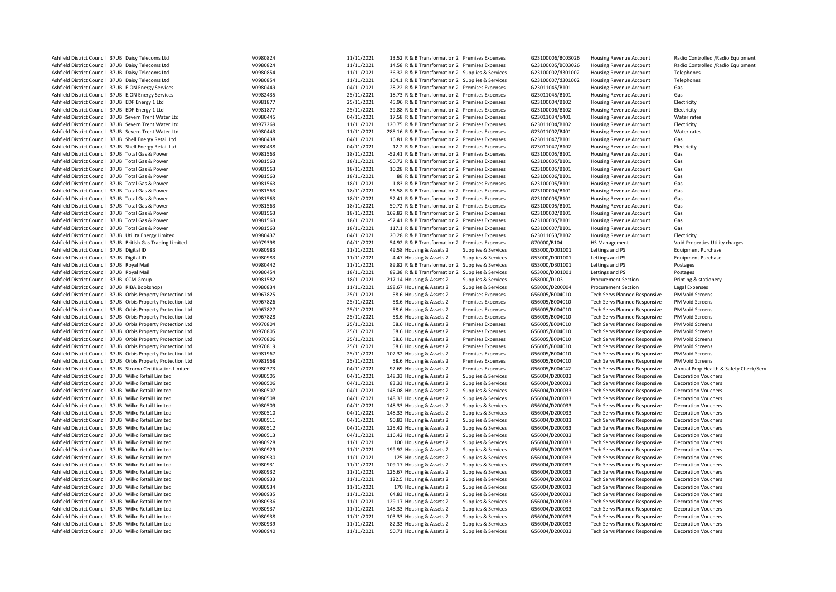| Ashfield District Council 37UB Daisy Telecoms Ltd            | V0980824 | 11/11/2021 | 13.52 R & B Transformation 2 Premises Expenses   |                          | G23100006/B003026 | <b>Housing Revenue Account</b>       | Radio Controlled / Radio Equipment     |
|--------------------------------------------------------------|----------|------------|--------------------------------------------------|--------------------------|-------------------|--------------------------------------|----------------------------------------|
| Ashfield District Council 37UB Daisy Telecoms Ltd            | V0980824 | 11/11/2021 | 14.58 R & B Transformation 2 Premises Expenses   |                          | G23100005/B003026 | Housing Revenue Account              | Radio Controlled / Radio Equipment     |
| Ashfield District Council 37UB Daisy Telecoms Ltd            | V0980854 | 11/11/2021 | 36.32 R & B Transformation 2 Supplies & Services |                          | G23100002/d301002 |                                      | Telephones                             |
|                                                              | V0980854 |            |                                                  |                          |                   | Housing Revenue Account              |                                        |
| Ashfield District Council 37UB Daisy Telecoms Ltd            |          | 11/11/2021 | 104.1 R & B Transformation 2 Supplies & Services |                          | G23100007/d301002 | <b>Housing Revenue Account</b>       | Telephones                             |
| Ashfield District Council 37UB E.ON Energy Services          | V0980449 | 04/11/2021 | 28.22 R & B Transformation 2 Premises Expenses   |                          | G23011045/B101    | Housing Revenue Account              | Gas                                    |
| Ashfield District Council 37UB E.ON Energy Services          | V0982435 | 25/11/2021 | 18.73 R & B Transformation 2 Premises Expenses   |                          | G23011045/B101    | Housing Revenue Account              | Gas                                    |
| Ashfield District Council 37UB EDF Energy 1 Ltd              | V0981877 | 25/11/2021 | 45.96 R & B Transformation 2 Premises Expenses   |                          | G23100004/B102    | Housing Revenue Account              | Electricity                            |
| Ashfield District Council 37UB EDF Energy 1 Ltd              | V0981877 | 25/11/2021 | 39.88 R & B Transformation 2 Premises Expenses   |                          | G23100006/B102    | Housing Revenue Account              | Electricity                            |
| Ashfield District Council 37UB Severn Trent Water Ltd        | V0980445 | 04/11/2021 | 17.58 R & B Transformation 2 Premises Expenses   |                          | G23011034/b401    | Housing Revenue Account              | Water rates                            |
| Ashfield District Council 37UB Severn Trent Water Ltd        | V0977269 | 11/11/2021 | 120.75 R & B Transformation 2 Premises Expenses  |                          | G23011004/B102    | <b>Housing Revenue Account</b>       | Electricity                            |
| Ashfield District Council 37UB Severn Trent Water Ltd        | V0980443 | 11/11/2021 | 285.16 R & B Transformation 2 Premises Expenses  |                          | G23011002/B401    | Housing Revenue Account              | Water rates                            |
| Ashfield District Council 37UB Shell Energy Retail Ltd       | V0980438 | 04/11/2021 | 16.81 R & B Transformation 2 Premises Expenses   |                          | G23011047/B101    | <b>Housing Revenue Account</b>       | Gas                                    |
|                                                              |          |            |                                                  |                          |                   |                                      |                                        |
| Ashfield District Council 37UB Shell Energy Retail Ltd       | V0980438 | 04/11/2021 | 12.2 R & B Transformation 2 Premises Expenses    |                          | G23011047/B102    | <b>Housing Revenue Account</b>       | Electricity                            |
| Ashfield District Council 37UB Total Gas & Power             | V0981563 | 18/11/2021 | -52.41 R & B Transformation 2 Premises Expenses  |                          | G23100005/B101    | Housing Revenue Account              | Gas                                    |
| Ashfield District Council 37UB Total Gas & Power             | V0981563 | 18/11/2021 | -50.72 R & B Transformation 2 Premises Expenses  |                          | G23100005/B101    | Housing Revenue Account              | Gas                                    |
| Ashfield District Council 37UB Total Gas & Power             | V0981563 | 18/11/2021 | 10.28 R & B Transformation 2 Premises Expenses   |                          | G23100005/B101    | Housing Revenue Account              | Gas                                    |
| Ashfield District Council 37UB Total Gas & Power             | V0981563 | 18/11/2021 | 88 R & B Transformation 2 Premises Expenses      |                          | G23100006/B101    | Housing Revenue Account              | Gas                                    |
| Ashfield District Council 37UB Total Gas & Power             | V0981563 | 18/11/2021 | -1.83 R & B Transformation 2 Premises Expenses   |                          | G23100005/B101    | <b>Housing Revenue Account</b>       | Gas                                    |
| Ashfield District Council 37UB Total Gas & Power             | V0981563 | 18/11/2021 | 96.58 R & B Transformation 2 Premises Expenses   |                          | G23100004/B101    | Housing Revenue Account              | Gas                                    |
| Ashfield District Council 37UB Total Gas & Power             | V0981563 | 18/11/2021 | -52.41 R & B Transformation 2 Premises Expenses  |                          | G23100005/B101    | Housing Revenue Account              | Gas                                    |
| Ashfield District Council 37UB Total Gas & Power             | V0981563 | 18/11/2021 | -50.72 R & B Transformation 2 Premises Expenses  |                          | G23100005/B101    | Housing Revenue Account              | Gas                                    |
| Ashfield District Council 37UB Total Gas & Power             | V0981563 | 18/11/2021 | 169.82 R & B Transformation 2 Premises Expenses  |                          | G23100002/B101    | Housing Revenue Account              | Gas                                    |
|                                                              |          |            |                                                  |                          |                   |                                      |                                        |
| Ashfield District Council 37UB Total Gas & Power             | V0981563 | 18/11/2021 | -52.41 R & B Transformation 2 Premises Expenses  |                          | G23100005/B101    | <b>Housing Revenue Account</b>       | Gas                                    |
| Ashfield District Council 37UB Total Gas & Power             | V0981563 | 18/11/2021 | 117.1 R & B Transformation 2 Premises Expenses   |                          | G23100007/B101    | <b>Housing Revenue Account</b>       | Gas                                    |
| Ashfield District Council 37UB Utilita Energy Limited        | V0980437 | 04/11/2021 | 20.28 R & B Transformation 2 Premises Expenses   |                          | G23011053/B102    | Housing Revenue Account              | Electricity                            |
| Ashfield District Council 37UB British Gas Trading Limited   | V0979398 | 04/11/2021 | 54.92 R & B Transformation 2 Premises Expenses   |                          | G70000/B104       | HS Management                        | Void Properties Utility charges        |
| Ashfield District Council 37UB Digital ID                    | V0980983 | 11/11/2021 | 49.58 Housing & Assets 2                         | Supplies & Services      | G53000/D001001    | Lettings and PS                      | <b>Equipment Purchase</b>              |
| Ashfield District Council 37UB Digital ID                    | V0980983 | 11/11/2021 | 4.47 Housing & Assets 2                          | Supplies & Services      | G53000/D001001    | Lettings and PS                      | <b>Equipment Purchase</b>              |
| Ashfield District Council 37UB Royal Mail                    | V0980442 | 11/11/2021 | 89.82 R & B Transformation 2 Supplies & Services |                          | G53000/D301001    | Lettings and PS                      | Postages                               |
| Ashfield District Council 37UB Royal Mail                    | V0980454 | 18/11/2021 | 89.38 R & B Transformation 2 Supplies & Services |                          | G53000/D301001    | Lettings and PS                      | Postages                               |
| Ashfield District Council 37UB CCM Group                     | V0981582 | 18/11/2021 | 217.14 Housing & Assets 2                        | Supplies & Services      | G58000/D103       | <b>Procurement Section</b>           | Printing & stationery                  |
| Ashfield District Council 37UB RIBA Bookshops                | V0980834 | 11/11/2021 | 198.67 Housing & Assets 2                        |                          | G58000/D200004    |                                      |                                        |
|                                                              |          |            |                                                  | Supplies & Services      |                   | <b>Procurement Section</b>           | Legal Expenses                         |
| Ashfield District Council 37UB Orbis Property Protection Ltd | V0967825 | 25/11/2021 | 58.6 Housing & Assets 2                          | <b>Premises Expenses</b> | G56005/B004010    | <b>Tech Servs Planned Responsive</b> | PM Void Screens                        |
| Ashfield District Council 37UB Orbis Property Protection Ltd | V0967826 | 25/11/2021 | 58.6 Housing & Assets 2                          | <b>Premises Expenses</b> | G56005/B004010    | <b>Tech Servs Planned Responsive</b> | PM Void Screens                        |
| Ashfield District Council 37UB Orbis Property Protection Ltd | V0967827 | 25/11/2021 | 58.6 Housing & Assets 2                          | <b>Premises Expenses</b> | G56005/B004010    | <b>Tech Servs Planned Responsive</b> | PM Void Screens                        |
| Ashfield District Council 37UB Orbis Property Protection Ltd | V0967828 | 25/11/2021 | 58.6 Housing & Assets 2                          | <b>Premises Expenses</b> | G56005/B004010    | <b>Tech Servs Planned Responsive</b> | PM Void Screens                        |
| Ashfield District Council 37UB Orbis Property Protection Ltd | V0970804 | 25/11/2021 | 58.6 Housing & Assets 2                          | <b>Premises Expenses</b> | G56005/B004010    | <b>Tech Servs Planned Responsive</b> | PM Void Screens                        |
| Ashfield District Council 37UB Orbis Property Protection Ltd | V0970805 | 25/11/2021 | 58.6 Housing & Assets 2                          | <b>Premises Expenses</b> | G56005/B004010    | Tech Servs Planned Responsive        | PM Void Screens                        |
| Ashfield District Council 37UB Orbis Property Protection Ltd | V0970806 | 25/11/2021 | 58.6 Housing & Assets 2                          | <b>Premises Expenses</b> | G56005/B004010    | <b>Tech Servs Planned Responsive</b> | PM Void Screens                        |
| Ashfield District Council 37UB Orbis Property Protection Ltd | V0970819 | 25/11/2021 | 58.6 Housing & Assets 2                          | <b>Premises Expenses</b> | G56005/B004010    | <b>Tech Servs Planned Responsive</b> | PM Void Screens                        |
| Ashfield District Council 37UB Orbis Property Protection Ltd | V0981967 | 25/11/2021 | 102.32 Housing & Assets 2                        | <b>Premises Expenses</b> | G56005/B004010    | <b>Tech Servs Planned Responsive</b> | PM Void Screens                        |
|                                                              |          |            |                                                  |                          |                   |                                      |                                        |
| Ashfield District Council 37UB Orbis Property Protection Ltd | V0981968 | 25/11/2021 | 58.6 Housing & Assets 2                          | <b>Premises Expenses</b> | G56005/B004010    | <b>Tech Servs Planned Responsive</b> | PM Void Screens                        |
| Ashfield District Council 37UB Stroma Certification Limited  | V0980373 | 04/11/2021 | 92.69 Housing & Assets 2                         | <b>Premises Expenses</b> | G56005/B004042    | <b>Tech Servs Planned Responsive</b> | Annual Prop Health & Safety Check/Serv |
| Ashfield District Council 37UB Wilko Retail Limited          | V0980505 | 04/11/2021 | 148.33 Housing & Assets 2                        | Supplies & Services      | G56004/D200033    | <b>Tech Servs Planned Responsive</b> | <b>Decoration Vouchers</b>             |
| Ashfield District Council 37UB Wilko Retail Limited          | V0980506 | 04/11/2021 | 83.33 Housing & Assets 2                         | Supplies & Services      | G56004/D200033    | <b>Tech Servs Planned Responsive</b> | <b>Decoration Vouchers</b>             |
| Ashfield District Council 37UB Wilko Retail Limited          | V0980507 | 04/11/2021 | 148.08 Housing & Assets 2                        | Supplies & Services      | G56004/D200033    | <b>Tech Servs Planned Responsive</b> | <b>Decoration Vouchers</b>             |
| Ashfield District Council 37UB Wilko Retail Limited          | V0980508 | 04/11/2021 | 148.33 Housing & Assets 2                        | Supplies & Services      | G56004/D200033    | <b>Tech Servs Planned Responsive</b> | <b>Decoration Vouchers</b>             |
| Ashfield District Council 37UB Wilko Retail Limited          | V0980509 | 04/11/2021 | 148.33 Housing & Assets 2                        | Supplies & Services      | G56004/D200033    | Tech Servs Planned Responsive        | <b>Decoration Vouchers</b>             |
| Ashfield District Council 37UB Wilko Retail Limited          | V0980510 | 04/11/2021 | 148.33 Housing & Assets 2                        | Supplies & Services      | G56004/D200033    | <b>Tech Servs Planned Responsive</b> | <b>Decoration Vouchers</b>             |
| Ashfield District Council 37UB Wilko Retail Limited          | V0980511 | 04/11/2021 | 90.83 Housing & Assets 2                         | Supplies & Services      | G56004/D200033    | <b>Tech Servs Planned Responsive</b> | <b>Decoration Vouchers</b>             |
| Ashfield District Council 37UB Wilko Retail Limited          | V0980512 | 04/11/2021 | 125.42 Housing & Assets 2                        | Supplies & Services      | G56004/D200033    | <b>Tech Servs Planned Responsive</b> | <b>Decoration Vouchers</b>             |
| Ashfield District Council 37UB Wilko Retail Limited          | V0980513 | 04/11/2021 | 116.42 Housing & Assets 2                        | Supplies & Services      | G56004/D200033    | <b>Tech Servs Planned Responsive</b> | <b>Decoration Vouchers</b>             |
|                                                              |          |            |                                                  |                          |                   |                                      |                                        |
| Ashfield District Council 37UB Wilko Retail Limited          | V0980928 | 11/11/2021 | 100 Housing & Assets 2                           | Supplies & Services      | G56004/D200033    | <b>Tech Servs Planned Responsive</b> | <b>Decoration Vouchers</b>             |
| Ashfield District Council 37UB Wilko Retail Limited          | V0980929 | 11/11/2021 | 199.92 Housing & Assets 2                        | Supplies & Services      | G56004/D200033    | <b>Tech Servs Planned Responsive</b> | <b>Decoration Vouchers</b>             |
| Ashfield District Council 37UB Wilko Retail Limited          | V0980930 | 11/11/2021 | 125 Housing & Assets 2                           | Supplies & Services      | G56004/D200033    | <b>Tech Servs Planned Responsive</b> | <b>Decoration Vouchers</b>             |
| Ashfield District Council 37UB Wilko Retail Limited          | V0980931 | 11/11/2021 | 109.17 Housing & Assets 2                        | Supplies & Services      | G56004/D200033    | <b>Tech Servs Planned Responsive</b> | <b>Decoration Vouchers</b>             |
| Ashfield District Council 37UB Wilko Retail Limited          | V0980932 | 11/11/2021 | 126.67 Housing & Assets 2                        | Supplies & Services      | G56004/D200033    | <b>Tech Servs Planned Responsive</b> | <b>Decoration Vouchers</b>             |
| Ashfield District Council 37UB Wilko Retail Limited          | V0980933 | 11/11/2021 | 122.5 Housing & Assets 2                         | Supplies & Services      | G56004/D200033    | <b>Tech Servs Planned Responsive</b> | <b>Decoration Vouchers</b>             |
| Ashfield District Council 37UB Wilko Retail Limited          | V0980934 | 11/11/2021 | 170 Housing & Assets 2                           | Supplies & Services      | G56004/D200033    | <b>Tech Servs Planned Responsive</b> | <b>Decoration Vouchers</b>             |
| Ashfield District Council 37UB Wilko Retail Limited          | V0980935 | 11/11/2021 | 64.83 Housing & Assets 2                         | Supplies & Services      | G56004/D200033    | <b>Tech Servs Planned Responsive</b> | <b>Decoration Vouchers</b>             |
| Ashfield District Council 37UB Wilko Retail Limited          | V0980936 | 11/11/2021 | 129.17 Housing & Assets 2                        | Supplies & Services      | G56004/D200033    | Tech Servs Planned Responsive        | <b>Decoration Vouchers</b>             |
|                                                              |          |            |                                                  |                          |                   |                                      |                                        |
| Ashfield District Council 37UB Wilko Retail Limited          | V0980937 | 11/11/2021 | 148.33 Housing & Assets 2                        | Supplies & Services      | G56004/D200033    | <b>Tech Servs Planned Responsive</b> | <b>Decoration Vouchers</b>             |
| Ashfield District Council 37UB Wilko Retail Limited          | V0980938 | 11/11/2021 | 103.33 Housing & Assets 2                        | Supplies & Services      | G56004/D200033    | <b>Tech Servs Planned Responsive</b> | <b>Decoration Vouchers</b>             |
| Ashfield District Council 37UB Wilko Retail Limited          | V0980939 | 11/11/2021 | 82.33 Housing & Assets 2                         | Supplies & Services      | G56004/D200033    | Tech Servs Planned Responsive        | <b>Decoration Vouchers</b>             |
| Ashfield District Council 37UB Wilko Retail Limited          | V0980940 | 11/11/2021 | 50.71 Housing & Assets 2                         | Supplies & Services      | G56004/D200033    | <b>Tech Servs Planned Responsive</b> | <b>Decoration Vouchers</b>             |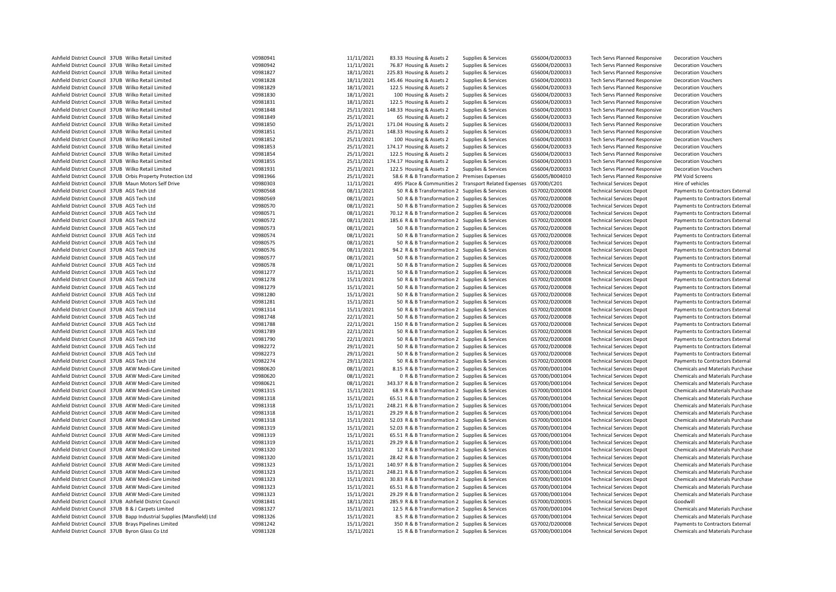| Ashfield District Council 37UB Wilko Retail Limited                     | V0980941 | 11/11/2021 | 83.33 Housing & Assets 2                                         | Supplies & Services | G56004/D200033 | <b>Tech Servs Planned Responsive</b> | <b>Decoration Vouchers</b>              |
|-------------------------------------------------------------------------|----------|------------|------------------------------------------------------------------|---------------------|----------------|--------------------------------------|-----------------------------------------|
| Ashfield District Council 37UB Wilko Retail Limited                     | V0980942 | 11/11/2021 | 76.87 Housing & Assets 2                                         | Supplies & Services | G56004/D200033 | <b>Tech Servs Planned Responsive</b> | <b>Decoration Vouchers</b>              |
| Ashfield District Council 37UB Wilko Retail Limited                     | V0981827 | 18/11/2021 | 225.83 Housing & Assets 2                                        | Supplies & Services | G56004/D200033 | Tech Servs Planned Responsive        | <b>Decoration Vouchers</b>              |
| Ashfield District Council 37UB Wilko Retail Limited                     | V0981828 | 18/11/2021 | 145.46 Housing & Assets 2                                        | Supplies & Services | G56004/D200033 | <b>Tech Servs Planned Responsive</b> | <b>Decoration Vouchers</b>              |
|                                                                         |          |            |                                                                  |                     |                |                                      |                                         |
| Ashfield District Council 37UB Wilko Retail Limited                     | V0981829 | 18/11/2021 | 122.5 Housing & Assets 2                                         | Supplies & Services | G56004/D200033 | <b>Tech Servs Planned Responsive</b> | <b>Decoration Vouchers</b>              |
| Ashfield District Council 37UB Wilko Retail Limited                     | V0981830 | 18/11/2021 | 100 Housing & Assets 2                                           | Supplies & Services | G56004/D200033 | <b>Tech Servs Planned Responsive</b> | <b>Decoration Vouchers</b>              |
| Ashfield District Council 37UB Wilko Retail Limited                     | V0981831 | 18/11/2021 | 122.5 Housing & Assets 2                                         | Supplies & Services | G56004/D200033 | <b>Tech Servs Planned Responsive</b> | <b>Decoration Vouchers</b>              |
| Ashfield District Council 37UB Wilko Retail Limited                     | V0981848 | 25/11/2021 | 148.33 Housing & Assets 2                                        | Supplies & Services | G56004/D200033 | Tech Servs Planned Responsive        | <b>Decoration Vouchers</b>              |
| Ashfield District Council 37UB Wilko Retail Limited                     | V0981849 | 25/11/2021 | 65 Housing & Assets 2                                            | Supplies & Services | G56004/D200033 | Tech Servs Planned Responsive        | <b>Decoration Vouchers</b>              |
| Ashfield District Council 37UB Wilko Retail Limited                     | V0981850 | 25/11/2021 | 171.04 Housing & Assets 2                                        | Supplies & Services | G56004/D200033 | Tech Servs Planned Responsive        | <b>Decoration Vouchers</b>              |
| Ashfield District Council 37UB Wilko Retail Limited                     | V0981851 | 25/11/2021 | 148.33 Housing & Assets 2                                        | Supplies & Services | G56004/D200033 | <b>Tech Servs Planned Responsive</b> | <b>Decoration Vouchers</b>              |
| Ashfield District Council 37UB Wilko Retail Limited                     | V0981852 | 25/11/2021 | 100 Housing & Assets 2                                           | Supplies & Services | G56004/D200033 | Tech Servs Planned Responsive        | <b>Decoration Vouchers</b>              |
| Ashfield District Council 37UB Wilko Retail Limited                     | V0981853 | 25/11/2021 | 174.17 Housing & Assets 2                                        | Supplies & Services | G56004/D200033 | <b>Tech Servs Planned Responsive</b> | <b>Decoration Vouchers</b>              |
|                                                                         |          |            |                                                                  |                     |                |                                      |                                         |
| Ashfield District Council 37UB Wilko Retail Limited                     | V0981854 | 25/11/2021 | 122.5 Housing & Assets 2                                         | Supplies & Services | G56004/D200033 | Tech Servs Planned Responsive        | <b>Decoration Vouchers</b>              |
| Ashfield District Council 37UB Wilko Retail Limited                     | V0981855 | 25/11/2021 | 174.17 Housing & Assets 2                                        | Supplies & Services | G56004/D200033 | Tech Servs Planned Responsive        | <b>Decoration Vouchers</b>              |
| Ashfield District Council 37UB Wilko Retail Limited                     | V0981931 | 25/11/2021 | 122.5 Housing & Assets 2                                         | Supplies & Services | G56004/D200033 | Tech Servs Planned Responsive        | <b>Decoration Vouchers</b>              |
| Ashfield District Council 37UB Orbis Property Protection Ltd            | V0981966 | 25/11/2021 | 58.6 R & B Transformation 2 Premises Expenses                    |                     | G56005/B004010 | Tech Servs Planned Responsive        | PM Void Screens                         |
| Ashfield District Council 37UB Maun Motors Self Drive                   | V0980303 | 11/11/2021 | 495 Place & Communities 2 Transport Related Expenses G57000/C201 |                     |                | <b>Technical Services Depot</b>      | Hire of vehicles                        |
| Ashfield District Council 37UB AGS Tech Ltd                             | V0980568 | 08/11/2021 | 50 R & B Transformation 2 Supplies & Services                    |                     | G57002/D200008 | <b>Technical Services Depot</b>      | Payments to Contractors External        |
| Ashfield District Council 37UB AGS Tech Ltd                             | V0980569 | 08/11/2021 | 50 R & B Transformation 2 Supplies & Services                    |                     | G57002/D200008 | <b>Technical Services Depot</b>      | Payments to Contractors External        |
| Ashfield District Council 37UB AGS Tech Ltd                             | V0980570 | 08/11/2021 | 50 R & B Transformation 2 Supplies & Services                    |                     | G57002/D200008 | <b>Technical Services Depot</b>      | Payments to Contractors External        |
| Ashfield District Council 37UB AGS Tech Ltd                             | V0980571 | 08/11/2021 | 70.12 R & B Transformation 2 Supplies & Services                 |                     | G57002/D200008 | <b>Technical Services Depot</b>      | Payments to Contractors External        |
| Ashfield District Council 37UB AGS Tech Ltd                             | V0980572 | 08/11/2021 | 185.6 R & B Transformation 2 Supplies & Services                 |                     | G57002/D200008 | <b>Technical Services Depot</b>      | Payments to Contractors External        |
|                                                                         |          |            |                                                                  |                     |                |                                      |                                         |
| Ashfield District Council 37UB AGS Tech Ltd                             | V0980573 | 08/11/2021 | 50 R & B Transformation 2 Supplies & Services                    |                     | G57002/D200008 | <b>Technical Services Depot</b>      | Payments to Contractors External        |
| Ashfield District Council 37UB AGS Tech Ltd                             | V0980574 | 08/11/2021 | 50 R & B Transformation 2 Supplies & Services                    |                     | G57002/D200008 | <b>Technical Services Depot</b>      | Payments to Contractors External        |
| Ashfield District Council 37UB AGS Tech Ltd                             | V0980575 | 08/11/2021 | 50 R & B Transformation 2 Supplies & Services                    |                     | G57002/D200008 | <b>Technical Services Depot</b>      | Payments to Contractors External        |
| Ashfield District Council 37UB AGS Tech Ltd                             | V0980576 | 08/11/2021 | 94.2 R & B Transformation 2 Supplies & Services                  |                     | G57002/D200008 | <b>Technical Services Depot</b>      | Payments to Contractors External        |
| Ashfield District Council 37UB AGS Tech Ltd                             | V0980577 | 08/11/2021 | 50 R & B Transformation 2 Supplies & Services                    |                     | G57002/D200008 | <b>Technical Services Depot</b>      | Payments to Contractors External        |
| Ashfield District Council 37UB AGS Tech Ltd                             | V0980578 | 08/11/2021 | 50 R & B Transformation 2 Supplies & Services                    |                     | G57002/D200008 | <b>Technical Services Depot</b>      | Payments to Contractors External        |
| Ashfield District Council 37UB AGS Tech Ltd                             | V0981277 | 15/11/2021 | 50 R & B Transformation 2 Supplies & Services                    |                     | G57002/D200008 | <b>Technical Services Depot</b>      | Payments to Contractors External        |
| Ashfield District Council 37UB AGS Tech Ltd                             | V0981278 | 15/11/2021 | 50 R & B Transformation 2 Supplies & Services                    |                     | G57002/D200008 | <b>Technical Services Depot</b>      | Payments to Contractors External        |
| Ashfield District Council 37UB AGS Tech Ltd                             | V0981279 | 15/11/2021 | 50 R & B Transformation 2 Supplies & Services                    |                     | G57002/D200008 | <b>Technical Services Depot</b>      | Payments to Contractors External        |
|                                                                         | V0981280 |            |                                                                  |                     |                |                                      |                                         |
| Ashfield District Council 37UB AGS Tech Ltd                             |          | 15/11/2021 | 50 R & B Transformation 2 Supplies & Services                    |                     | G57002/D200008 | <b>Technical Services Depot</b>      | Payments to Contractors External        |
| Ashfield District Council 37UB AGS Tech Ltd                             | V0981281 | 15/11/2021 | 50 R & B Transformation 2 Supplies & Services                    |                     | G57002/D200008 | <b>Technical Services Depot</b>      | Payments to Contractors External        |
| Ashfield District Council 37UB AGS Tech Ltd                             | V0981314 | 15/11/2021 | 50 R & B Transformation 2 Supplies & Services                    |                     | G57002/D200008 | <b>Technical Services Depot</b>      | Payments to Contractors External        |
| Ashfield District Council 37UB AGS Tech Ltd                             | V0981748 | 22/11/2021 | 50 R & B Transformation 2 Supplies & Services                    |                     | G57002/D200008 | <b>Technical Services Depot</b>      | Payments to Contractors External        |
| Ashfield District Council 37UB AGS Tech Ltd                             | V0981788 | 22/11/2021 | 150 R & B Transformation 2 Supplies & Services                   |                     | G57002/D200008 | <b>Technical Services Depot</b>      | Payments to Contractors External        |
| Ashfield District Council 37UB AGS Tech Ltd                             | V0981789 | 22/11/2021 | 50 R & B Transformation 2 Supplies & Services                    |                     | G57002/D200008 | <b>Technical Services Depot</b>      | Payments to Contractors External        |
| Ashfield District Council 37UB AGS Tech Ltd                             | V0981790 | 22/11/2021 | 50 R & B Transformation 2 Supplies & Services                    |                     | G57002/D200008 | <b>Technical Services Depot</b>      | Payments to Contractors External        |
| Ashfield District Council 37UB AGS Tech Ltd                             | V0982272 | 29/11/2021 | 50 R & B Transformation 2 Supplies & Services                    |                     | G57002/D200008 | <b>Technical Services Depot</b>      | Payments to Contractors External        |
| Ashfield District Council 37UB AGS Tech Ltd                             | V0982273 | 29/11/2021 | 50 R & B Transformation 2 Supplies & Services                    |                     | G57002/D200008 | <b>Technical Services Depot</b>      | Payments to Contractors External        |
| Ashfield District Council 37UB AGS Tech Ltd                             | V0982274 | 29/11/2021 | 50 R & B Transformation 2 Supplies & Services                    |                     | G57002/D200008 | <b>Technical Services Depot</b>      | Payments to Contractors External        |
|                                                                         | V0980620 |            |                                                                  |                     |                |                                      |                                         |
| Ashfield District Council 37UB AKW Medi-Care Limited                    |          | 08/11/2021 | 8.15 R & B Transformation 2 Supplies & Services                  |                     | G57000/D001004 | <b>Technical Services Depot</b>      | Chemicals and Materials Purchase        |
| Ashfield District Council 37UB AKW Medi-Care Limited                    | V0980620 | 08/11/2021 | O R & B Transformation 2 Supplies & Services                     |                     | G57000/D001004 | <b>Technical Services Depot</b>      | Chemicals and Materials Purchase        |
| Ashfield District Council 37UB AKW Medi-Care Limited                    | V0980621 | 08/11/2021 | 343.37 R & B Transformation 2 Supplies & Services                |                     | G57000/D001004 | <b>Technical Services Depot</b>      | Chemicals and Materials Purchase        |
| Ashfield District Council 37UB AKW Medi-Care Limited                    | V0981315 | 15/11/2021 | 68.9 R & B Transformation 2 Supplies & Services                  |                     | G57000/D001004 | <b>Technical Services Depot</b>      | Chemicals and Materials Purchase        |
| Ashfield District Council 37UB AKW Medi-Care Limited                    | V0981318 | 15/11/2021 | 65.51 R & B Transformation 2 Supplies & Services                 |                     | G57000/D001004 | <b>Technical Services Depot</b>      | Chemicals and Materials Purchase        |
| Ashfield District Council 37UB AKW Medi-Care Limited                    | V0981318 | 15/11/2021 | 248.21 R & B Transformation 2 Supplies & Services                |                     | G57000/D001004 | <b>Technical Services Depot</b>      | Chemicals and Materials Purchase        |
| Ashfield District Council 37UB AKW Medi-Care Limited                    | V0981318 | 15/11/2021 | 29.29 R & B Transformation 2 Supplies & Services                 |                     | G57000/D001004 | <b>Technical Services Depot</b>      | Chemicals and Materials Purchase        |
| Ashfield District Council 37UB AKW Medi-Care Limited                    | V0981318 | 15/11/2021 | 52.03 R & B Transformation 2 Supplies & Services                 |                     | G57000/D001004 | <b>Technical Services Depot</b>      | Chemicals and Materials Purchase        |
| Ashfield District Council 37UB AKW Medi-Care Limited                    | V0981319 | 15/11/2021 | 52.03 R & B Transformation 2 Supplies & Services                 |                     | G57000/D001004 | <b>Technical Services Depot</b>      | Chemicals and Materials Purchase        |
| Ashfield District Council 37UB AKW Medi-Care Limited                    | V0981319 | 15/11/2021 | 65.51 R & B Transformation 2 Supplies & Services                 |                     | G57000/D001004 | <b>Technical Services Depot</b>      | Chemicals and Materials Purchase        |
| Ashfield District Council 37UB AKW Medi-Care Limited                    | V0981319 | 15/11/2021 |                                                                  |                     |                |                                      |                                         |
|                                                                         |          |            | 29.29 R & B Transformation 2 Supplies & Services                 |                     | G57000/D001004 | <b>Technical Services Depot</b>      | Chemicals and Materials Purchase        |
| Ashfield District Council 37UB AKW Medi-Care Limited                    | V0981320 | 15/11/2021 | 12 R & B Transformation 2 Supplies & Services                    |                     | G57000/D001004 | <b>Technical Services Depot</b>      | Chemicals and Materials Purchase        |
| Ashfield District Council 37UB AKW Medi-Care Limited                    | V0981320 | 15/11/2021 | 28.42 R & B Transformation 2 Supplies & Services                 |                     | G57000/D001004 | <b>Technical Services Depot</b>      | Chemicals and Materials Purchase        |
| Ashfield District Council 37UB AKW Medi-Care Limited                    | V0981323 | 15/11/2021 | 140.97 R & B Transformation 2 Supplies & Services                |                     | G57000/D001004 | <b>Technical Services Depot</b>      | Chemicals and Materials Purchase        |
| Ashfield District Council 37UB AKW Medi-Care Limited                    | V0981323 | 15/11/2021 | 248.21 R & B Transformation 2 Supplies & Services                |                     | G57000/D001004 | <b>Technical Services Depot</b>      | Chemicals and Materials Purchase        |
| Ashfield District Council 37UB AKW Medi-Care Limited                    | V0981323 | 15/11/2021 | 30.83 R & B Transformation 2 Supplies & Services                 |                     | G57000/D001004 | <b>Technical Services Depot</b>      | Chemicals and Materials Purchase        |
| Ashfield District Council 37UB AKW Medi-Care Limited                    | V0981323 | 15/11/2021 | 65.51 R & B Transformation 2 Supplies & Services                 |                     | G57000/D001004 | <b>Technical Services Depot</b>      | <b>Chemicals and Materials Purchase</b> |
| Ashfield District Council 37UB AKW Medi-Care Limited                    | V0981323 | 15/11/2021 | 29.29 R & B Transformation 2 Supplies & Services                 |                     | G57000/D001004 | <b>Technical Services Depot</b>      | Chemicals and Materials Purchase        |
| Ashfield District Council 37UB Ashfield District Council                | V0981841 | 18/11/2021 | 285.9 R & B Transformation 2 Supplies & Services                 |                     | G57000/D200035 | <b>Technical Services Depot</b>      | Goodwill                                |
| Ashfield District Council 37UB B & J Carpets Limited                    | V0981327 | 15/11/2021 | 12.5 R & B Transformation 2 Supplies & Services                  |                     | G57000/D001004 | <b>Technical Services Depot</b>      | Chemicals and Materials Purchase        |
| Ashfield District Council 37UB Bapp Industrial Supplies (Mansfield) Ltd | V0981326 | 15/11/2021 | 8.5 R & B Transformation 2 Supplies & Services                   |                     | G57000/D001004 |                                      | Chemicals and Materials Purchase        |
|                                                                         |          |            |                                                                  |                     |                | <b>Technical Services Depot</b>      |                                         |
| Ashfield District Council 37UB Brays Pipelines Limited                  | V0981242 | 15/11/2021 | 350 R & B Transformation 2 Supplies & Services                   |                     | G57002/D200008 | <b>Technical Services Depot</b>      | Payments to Contractors External        |
| Ashfield District Council 37UB Byron Glass Co Ltd                       | V0981328 | 15/11/2021 | 15 R & B Transformation 2 Supplies & Services                    |                     | G57000/D001004 | <b>Technical Services Depot</b>      | Chemicals and Materials Purchase        |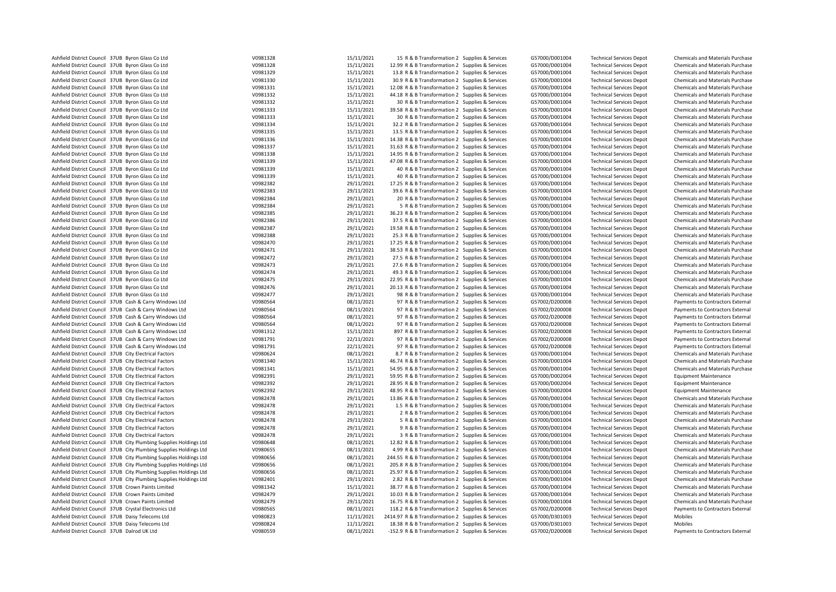| Ashfield District Council 37UB Byron Glass Co Ltd                  | V0981328 | 15/11/2021 | 15 R & B Transformation 2 Supplies & Services      | G57000/D001004 | <b>Technical Services Depot</b> | Chemicals and Materials Purchase        |
|--------------------------------------------------------------------|----------|------------|----------------------------------------------------|----------------|---------------------------------|-----------------------------------------|
| Ashfield District Council 37UB Byron Glass Co Ltd                  | V0981328 | 15/11/2021 | 12.99 R & B Transformation 2 Supplies & Services   | G57000/D001004 | <b>Technical Services Depot</b> | <b>Chemicals and Materials Purchase</b> |
| Ashfield District Council 37UB Byron Glass Co Ltd                  | V0981329 | 15/11/2021 | 13.8 R & B Transformation 2 Supplies & Services    | G57000/D001004 | <b>Technical Services Depot</b> | Chemicals and Materials Purchase        |
| Ashfield District Council 37UB Byron Glass Co Ltd                  | V0981330 | 15/11/2021 | 30.9 R & B Transformation 2 Supplies & Services    | G57000/D001004 | <b>Technical Services Depot</b> | Chemicals and Materials Purchase        |
| Ashfield District Council 37UB Byron Glass Co Ltd                  | V0981331 | 15/11/2021 | 12.08 R & B Transformation 2 Supplies & Services   | G57000/D001004 | <b>Technical Services Depot</b> | Chemicals and Materials Purchase        |
| Ashfield District Council 37UB Byron Glass Co Ltd                  | V0981332 | 15/11/2021 | 44.18 R & B Transformation 2 Supplies & Services   | G57000/D001004 | <b>Technical Services Depot</b> | Chemicals and Materials Purchase        |
| Ashfield District Council 37UB Byron Glass Co Ltd                  | V0981332 | 15/11/2021 | 30 R & B Transformation 2 Supplies & Services      | G57000/D001004 | <b>Technical Services Depot</b> | Chemicals and Materials Purchase        |
| Ashfield District Council 37UB Byron Glass Co Ltd                  | V0981333 | 15/11/2021 | 39.58 R & B Transformation 2 Supplies & Services   | G57000/D001004 | <b>Technical Services Depot</b> | Chemicals and Materials Purchase        |
| Ashfield District Council 37UB Byron Glass Co Ltd                  | V0981333 | 15/11/2021 | 30 R & B Transformation 2 Supplies & Services      | G57000/D001004 | <b>Technical Services Depot</b> | Chemicals and Materials Purchase        |
| Ashfield District Council 37UB Byron Glass Co Ltd                  | V0981334 | 15/11/2021 | 32.2 R & B Transformation 2 Supplies & Services    | G57000/D001004 | <b>Technical Services Depot</b> | Chemicals and Materials Purchase        |
| Ashfield District Council 37UB Byron Glass Co Ltd                  | V0981335 | 15/11/2021 | 13.5 R & B Transformation 2 Supplies & Services    | G57000/D001004 | <b>Technical Services Depot</b> | Chemicals and Materials Purchase        |
| Ashfield District Council 37UB Byron Glass Co Ltd                  | V0981336 | 15/11/2021 | 14.38 R & B Transformation 2 Supplies & Services   | G57000/D001004 | <b>Technical Services Depot</b> | Chemicals and Materials Purchase        |
| Ashfield District Council 37UB Byron Glass Co Ltd                  | V0981337 | 15/11/2021 | 31.63 R & B Transformation 2 Supplies & Services   | G57000/D001004 | <b>Technical Services Depot</b> | Chemicals and Materials Purchase        |
| Ashfield District Council 37UB Byron Glass Co Ltd                  | V0981338 | 15/11/2021 | 14.95 R & B Transformation 2 Supplies & Services   | G57000/D001004 | <b>Technical Services Depot</b> | Chemicals and Materials Purchase        |
| Ashfield District Council 37UB Byron Glass Co Ltd                  | V0981339 | 15/11/2021 | 47.08 R & B Transformation 2 Supplies & Services   | G57000/D001004 | <b>Technical Services Depot</b> | Chemicals and Materials Purchase        |
| Ashfield District Council 37UB Byron Glass Co Ltd                  | V0981339 | 15/11/2021 | 40 R & B Transformation 2 Supplies & Services      | G57000/D001004 | <b>Technical Services Depot</b> | Chemicals and Materials Purchase        |
| Ashfield District Council 37UB Byron Glass Co Ltd                  | V0981339 | 15/11/2021 | 40 R & B Transformation 2 Supplies & Services      | G57000/D001004 | <b>Technical Services Depot</b> | Chemicals and Materials Purchase        |
| Ashfield District Council 37UB Byron Glass Co Ltd                  | V0982382 | 29/11/2021 | 17.25 R & B Transformation 2 Supplies & Services   | G57000/D001004 | <b>Technical Services Depot</b> | Chemicals and Materials Purchase        |
| Ashfield District Council 37UB Byron Glass Co Ltd                  | V0982383 | 29/11/2021 | 39.6 R & B Transformation 2 Supplies & Services    | G57000/D001004 | <b>Technical Services Depot</b> | Chemicals and Materials Purchase        |
| Ashfield District Council 37UB Byron Glass Co Ltd                  | V0982384 | 29/11/2021 | 20 R & B Transformation 2 Supplies & Services      | G57000/D001004 | <b>Technical Services Depot</b> | Chemicals and Materials Purchase        |
| Ashfield District Council 37UB Byron Glass Co Ltd                  | V0982384 | 29/11/2021 | 5 R & B Transformation 2 Supplies & Services       | G57000/D001004 | <b>Technical Services Depot</b> | Chemicals and Materials Purchase        |
| Ashfield District Council 37UB Byron Glass Co Ltd                  | V0982385 | 29/11/2021 | 36.23 R & B Transformation 2 Supplies & Services   | G57000/D001004 | <b>Technical Services Depot</b> | Chemicals and Materials Purchase        |
| Ashfield District Council 37UB Byron Glass Co Ltd                  | V0982386 | 29/11/2021 | 37.5 R & B Transformation 2 Supplies & Services    | G57000/D001004 | <b>Technical Services Depot</b> | Chemicals and Materials Purchase        |
| Ashfield District Council 37UB Byron Glass Co Ltd                  | V0982387 | 29/11/2021 | 19.58 R & B Transformation 2 Supplies & Services   | G57000/D001004 | <b>Technical Services Depot</b> | <b>Chemicals and Materials Purchase</b> |
| Ashfield District Council 37UB Byron Glass Co Ltd                  | V0982388 | 29/11/2021 | 25.3 R & B Transformation 2 Supplies & Services    | G57000/D001004 | <b>Technical Services Depot</b> | Chemicals and Materials Purchase        |
| Ashfield District Council 37UB Byron Glass Co Ltd                  | V0982470 | 29/11/2021 | 17.25 R & B Transformation 2 Supplies & Services   | G57000/D001004 | <b>Technical Services Depot</b> | Chemicals and Materials Purchase        |
| Ashfield District Council 37UB Byron Glass Co Ltd                  | V0982471 | 29/11/2021 | 38.53 R & B Transformation 2 Supplies & Services   | G57000/D001004 | <b>Technical Services Depot</b> | Chemicals and Materials Purchase        |
| Ashfield District Council 37UB Byron Glass Co Ltd                  | V0982472 | 29/11/2021 | 27.5 R & B Transformation 2 Supplies & Services    | G57000/D001004 | <b>Technical Services Depot</b> | <b>Chemicals and Materials Purchase</b> |
| Ashfield District Council 37UB Byron Glass Co Ltd                  | V0982473 | 29/11/2021 | 27.6 R & B Transformation 2 Supplies & Services    | G57000/D001004 | <b>Technical Services Depot</b> | Chemicals and Materials Purchase        |
| Ashfield District Council 37UB Byron Glass Co Ltd                  | V0982474 | 29/11/2021 | 49.3 R & B Transformation 2 Supplies & Services    | G57000/D001004 | <b>Technical Services Depot</b> | Chemicals and Materials Purchase        |
| Ashfield District Council 37UB Byron Glass Co Ltd                  | V0982475 | 29/11/2021 | 22.95 R & B Transformation 2 Supplies & Services   | G57000/D001004 | <b>Technical Services Depot</b> | Chemicals and Materials Purchase        |
| Ashfield District Council 37UB Byron Glass Co Ltd                  | V0982476 | 29/11/2021 | 20.13 R & B Transformation 2 Supplies & Services   | G57000/D001004 | <b>Technical Services Depot</b> | Chemicals and Materials Purchase        |
| Ashfield District Council 37UB Byron Glass Co Ltd                  | V0982477 | 29/11/2021 | 98 R & B Transformation 2 Supplies & Services      | G57000/D001004 | <b>Technical Services Depot</b> | Chemicals and Materials Purchase        |
| Ashfield District Council 37UB Cash & Carry Windows Ltd            | V0980564 | 08/11/2021 | 97 R & B Transformation 2 Supplies & Services      | G57002/D200008 | <b>Technical Services Depot</b> | Payments to Contractors External        |
| Ashfield District Council 37UB Cash & Carry Windows Ltd            | V0980564 | 08/11/2021 | 97 R & B Transformation 2 Supplies & Services      | G57002/D200008 | <b>Technical Services Depot</b> | Payments to Contractors External        |
| Ashfield District Council 37UB Cash & Carry Windows Ltd            | V0980564 | 08/11/2021 | 97 R & B Transformation 2 Supplies & Services      | G57002/D200008 | <b>Technical Services Depot</b> | Payments to Contractors External        |
| Ashfield District Council 37UB Cash & Carry Windows Ltd            | V0980564 | 08/11/2021 | 97 R & B Transformation 2 Supplies & Services      | G57002/D200008 | <b>Technical Services Depot</b> | Payments to Contractors External        |
| Ashfield District Council 37UB Cash & Carry Windows Ltd            | V0981312 | 15/11/2021 | 897 R & B Transformation 2 Supplies & Services     | G57002/D200008 | <b>Technical Services Depot</b> | Payments to Contractors External        |
| Ashfield District Council 37UB Cash & Carry Windows Ltd            | V0981791 | 22/11/2021 | 97 R & B Transformation 2 Supplies & Services      | G57002/D200008 | <b>Technical Services Depot</b> | Payments to Contractors External        |
| Ashfield District Council 37UB Cash & Carry Windows Ltd            | V0981791 | 22/11/2021 | 97 R & B Transformation 2 Supplies & Services      | G57002/D200008 | <b>Technical Services Depot</b> | Payments to Contractors External        |
| Ashfield District Council 37UB City Electrical Factors             | V0980624 | 08/11/2021 | 8.7 R & B Transformation 2 Supplies & Services     | G57000/D001004 | <b>Technical Services Depot</b> | Chemicals and Materials Purchase        |
| Ashfield District Council 37UB City Electrical Factors             | V0981340 | 15/11/2021 | 46.74 R & B Transformation 2 Supplies & Services   | G57000/D001004 | <b>Technical Services Depot</b> | Chemicals and Materials Purchase        |
| Ashfield District Council 37UB City Electrical Factors             | V0981341 | 15/11/2021 | 54.95 R & B Transformation 2 Supplies & Services   | G57000/D001004 | <b>Technical Services Depot</b> | Chemicals and Materials Purchase        |
| Ashfield District Council 37UB City Electrical Factors             | V0982391 | 29/11/2021 | 59.95 R & B Transformation 2 Supplies & Services   | G57000/D002004 | <b>Technical Services Depot</b> | <b>Equipment Maintenance</b>            |
| Ashfield District Council 37UB City Electrical Factors             | V0982392 | 29/11/2021 | 28.95 R & B Transformation 2 Supplies & Services   | G57000/D002004 | <b>Technical Services Depot</b> | <b>Equipment Maintenance</b>            |
| Ashfield District Council 37UB City Electrical Factors             | V0982392 | 29/11/2021 | 48.95 R & B Transformation 2 Supplies & Services   | G57000/D002004 | <b>Technical Services Depot</b> | <b>Equipment Maintenance</b>            |
| Ashfield District Council 37UB City Electrical Factors             | V0982478 | 29/11/2021 | 13.86 R & B Transformation 2 Supplies & Services   | G57000/D001004 | <b>Technical Services Depot</b> | Chemicals and Materials Purchase        |
| Ashfield District Council 37UB City Electrical Factors             | V0982478 | 29/11/2021 | 1.5 R & B Transformation 2 Supplies & Services     | G57000/D001004 | <b>Technical Services Depot</b> | Chemicals and Materials Purchase        |
| Ashfield District Council 37UB City Electrical Factors             | V0982478 | 29/11/2021 | 2 R & B Transformation 2 Supplies & Services       | G57000/D001004 | <b>Technical Services Depot</b> | Chemicals and Materials Purchase        |
| Ashfield District Council 37UB City Electrical Factors             | V0982478 | 29/11/2021 | 5 R & B Transformation 2 Supplies & Services       | G57000/D001004 | <b>Technical Services Depot</b> | Chemicals and Materials Purchase        |
| Ashfield District Council 37UB City Electrical Factors             | V0982478 | 29/11/2021 | 9 R & B Transformation 2 Supplies & Services       | G57000/D001004 | <b>Technical Services Depot</b> | Chemicals and Materials Purchase        |
| Ashfield District Council 37UB City Electrical Factors             | V0982478 | 29/11/2021 | 3 R & B Transformation 2 Supplies & Services       | G57000/D001004 | <b>Technical Services Depot</b> | Chemicals and Materials Purchase        |
| Ashfield District Council 37UB City Plumbing Supplies Holdings Ltd | V0980648 | 08/11/2021 | 12.82 R & B Transformation 2 Supplies & Services   | G57000/D001004 | <b>Technical Services Depot</b> | Chemicals and Materials Purchase        |
| Ashfield District Council 37UB City Plumbing Supplies Holdings Ltd | V0980655 | 08/11/2021 | 4.99 R & B Transformation 2 Supplies & Services    | G57000/D001004 | <b>Technical Services Depot</b> | Chemicals and Materials Purchase        |
| Ashfield District Council 37UB City Plumbing Supplies Holdings Ltd | V0980656 | 08/11/2021 | 244.55 R & B Transformation 2 Supplies & Services  | G57000/D001004 | <b>Technical Services Depot</b> | <b>Chemicals and Materials Purchase</b> |
| Ashfield District Council 37UB City Plumbing Supplies Holdings Ltd | V0980656 | 08/11/2021 | 205.8 R & B Transformation 2 Supplies & Services   | G57000/D001004 | <b>Technical Services Depot</b> | Chemicals and Materials Purchase        |
| Ashfield District Council 37UB City Plumbing Supplies Holdings Ltd | V0980656 | 08/11/2021 | 25.97 R & B Transformation 2 Supplies & Services   | G57000/D001004 | <b>Technical Services Depot</b> | <b>Chemicals and Materials Purchase</b> |
| Ashfield District Council 37UB City Plumbing Supplies Holdings Ltd | V0982401 | 29/11/2021 | 2.82 R & B Transformation 2 Supplies & Services    | G57000/D001004 | <b>Technical Services Depot</b> | Chemicals and Materials Purchase        |
| Ashfield District Council 37UB Crown Paints Limited                | V0981342 | 15/11/2021 | 38.77 R & B Transformation 2 Supplies & Services   | G57000/D001004 | <b>Technical Services Depot</b> | Chemicals and Materials Purchase        |
| Ashfield District Council 37UB Crown Paints Limited                | V0982479 | 29/11/2021 | 10.03 R & B Transformation 2 Supplies & Services   | G57000/D001004 | <b>Technical Services Depot</b> | Chemicals and Materials Purchase        |
| Ashfield District Council 37UB Crown Paints Limited                | V0982479 | 29/11/2021 | 16.75 R & B Transformation 2 Supplies & Services   | G57000/D001004 | <b>Technical Services Depot</b> | Chemicals and Materials Purchase        |
| Ashfield District Council 37UB Crystal Electronics Ltd             | V0980565 | 08/11/2021 | 118.2 R & B Transformation 2 Supplies & Services   | G57002/D200008 | <b>Technical Services Depot</b> | Payments to Contractors External        |
| Ashfield District Council 37UB Daisy Telecoms Ltd                  | V0980823 | 11/11/2021 | 2414.97 R & B Transformation 2 Supplies & Services | G57000/D301003 | <b>Technical Services Depot</b> | Mobiles                                 |
| Ashfield District Council 37UB Daisy Telecoms Ltd                  | V0980824 | 11/11/2021 | 18.38 R & B Transformation 2 Supplies & Services   | G57000/D301003 | <b>Technical Services Depot</b> | Mobiles                                 |
| Ashfield District Council 37UB Dalrod UK Ltd                       | V0980559 | 08/11/2021 | -152.9 R & B Transformation 2 Supplies & Services  | G57002/D200008 | <b>Technical Services Depot</b> | Payments to Contractors External        |
|                                                                    |          |            |                                                    |                |                                 |                                         |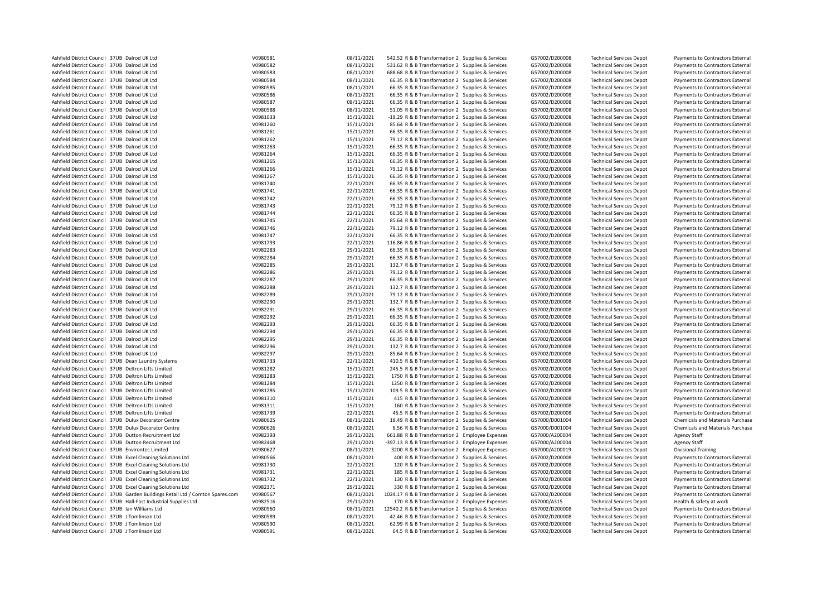|                                                                                |          | 08/11/2021 |                                                    |                |                                 |                                         |
|--------------------------------------------------------------------------------|----------|------------|----------------------------------------------------|----------------|---------------------------------|-----------------------------------------|
| Ashfield District Council 37UB Dalrod UK Ltd                                   | V0980581 |            | 542.52 R & B Transformation 2 Supplies & Services  | G57002/D200008 | <b>Technical Services Depot</b> | Payments to Contractors External        |
| Ashfield District Council 37UB Dalrod UK Ltd                                   | V0980582 | 08/11/2021 | 531.62 R & B Transformation 2 Supplies & Services  | G57002/D200008 | <b>Technical Services Depot</b> | Payments to Contractors External        |
| Ashfield District Council 37UB Dalrod UK Ltd                                   | V0980583 | 08/11/2021 | 688.68 R & B Transformation 2 Supplies & Services  | G57002/D200008 | <b>Technical Services Depot</b> | Payments to Contractors External        |
| Ashfield District Council 37UB Dalrod UK Ltd                                   | V0980584 | 08/11/2021 | 66.35 R & B Transformation 2 Supplies & Services   | G57002/D200008 | <b>Technical Services Depot</b> | Payments to Contractors External        |
| Ashfield District Council 37UB Dalrod UK Ltd                                   | V0980585 | 08/11/2021 | 66.35 R & B Transformation 2 Supplies & Services   | G57002/D200008 | <b>Technical Services Depot</b> | Payments to Contractors External        |
| Ashfield District Council 37UB Dalrod UK Ltd                                   | V0980586 | 08/11/2021 | 66.35 R & B Transformation 2 Supplies & Services   | G57002/D200008 | <b>Technical Services Depot</b> | Payments to Contractors External        |
| Ashfield District Council 37UB Dalrod UK Ltd                                   | V0980587 |            |                                                    |                |                                 |                                         |
|                                                                                |          | 08/11/2021 | 66.35 R & B Transformation 2 Supplies & Services   | G57002/D200008 | <b>Technical Services Depot</b> | Payments to Contractors External        |
| Ashfield District Council 37UB Dalrod UK Ltd                                   | V0980588 | 08/11/2021 | 51.05 R & B Transformation 2 Supplies & Services   | G57002/D200008 | <b>Technical Services Depot</b> | Payments to Contractors External        |
| Ashfield District Council 37UB Dalrod UK Ltd                                   | V0981033 | 15/11/2021 | -19.29 R & B Transformation 2 Supplies & Services  | G57002/D200008 | <b>Technical Services Depot</b> | Payments to Contractors External        |
| Ashfield District Council 37UB Dalrod UK Ltd                                   | V0981260 | 15/11/2021 | 85.64 R & B Transformation 2 Supplies & Services   | G57002/D200008 | <b>Technical Services Depot</b> | Payments to Contractors External        |
| Ashfield District Council 37UB Dalrod UK Ltd                                   | V0981261 | 15/11/2021 | 66.35 R & B Transformation 2 Supplies & Services   | G57002/D200008 | <b>Technical Services Depot</b> | Payments to Contractors External        |
| Ashfield District Council 37UB Dalrod UK Ltd                                   | V0981262 | 15/11/2021 | 79.12 R & B Transformation 2 Supplies & Services   | G57002/D200008 | <b>Technical Services Depot</b> | Payments to Contractors External        |
|                                                                                |          |            |                                                    |                |                                 |                                         |
| Ashfield District Council 37UB Dalrod UK Ltd                                   | V0981263 | 15/11/2021 | 66.35 R & B Transformation 2 Supplies & Services   | G57002/D200008 | <b>Technical Services Depot</b> | Payments to Contractors External        |
| Ashfield District Council 37UB Dalrod UK Ltd                                   | V0981264 | 15/11/2021 | 66.35 R & B Transformation 2 Supplies & Services   | G57002/D200008 | <b>Technical Services Depot</b> | Payments to Contractors External        |
| Ashfield District Council 37UB Dalrod UK Ltd                                   | V0981265 | 15/11/2021 | 66.35 R & B Transformation 2 Supplies & Services   | G57002/D200008 | <b>Technical Services Depot</b> | Payments to Contractors External        |
| Ashfield District Council 37UB Dalrod UK Ltd                                   | V0981266 | 15/11/2021 | 79.12 R & B Transformation 2 Supplies & Services   | G57002/D200008 | <b>Technical Services Depot</b> | Payments to Contractors External        |
| Ashfield District Council 37UB Dalrod UK Ltd                                   | V0981267 | 15/11/2021 | 66.35 R & B Transformation 2 Supplies & Services   | G57002/D200008 | <b>Technical Services Depot</b> | Payments to Contractors External        |
| Ashfield District Council 37UB Dalrod UK Ltd                                   | V0981740 | 22/11/2021 | 66.35 R & B Transformation 2 Supplies & Services   | G57002/D200008 |                                 |                                         |
|                                                                                |          |            |                                                    |                | <b>Technical Services Depot</b> | Payments to Contractors External        |
| Ashfield District Council 37UB Dalrod UK Ltd                                   | V0981741 | 22/11/2021 | 66.35 R & B Transformation 2 Supplies & Services   | G57002/D200008 | <b>Technical Services Depot</b> | Payments to Contractors External        |
| Ashfield District Council 37UB Dalrod UK Ltd                                   | V0981742 | 22/11/2021 | 66.35 R & B Transformation 2 Supplies & Services   | G57002/D200008 | <b>Technical Services Depot</b> | Payments to Contractors External        |
| Ashfield District Council 37UB Dalrod UK Ltd                                   | V0981743 | 22/11/2021 | 79.12 R & B Transformation 2 Supplies & Services   | G57002/D200008 | <b>Technical Services Depot</b> | Payments to Contractors External        |
| Ashfield District Council 37UB Dalrod UK Ltd                                   | V0981744 | 22/11/2021 | 66.35 R & B Transformation 2 Supplies & Services   | G57002/D200008 | <b>Technical Services Depot</b> | Payments to Contractors External        |
| Ashfield District Council 37UB Dalrod UK Ltd                                   | V0981745 | 22/11/2021 | 85.64 R & B Transformation 2 Supplies & Services   | G57002/D200008 | <b>Technical Services Depot</b> | Payments to Contractors External        |
|                                                                                |          |            |                                                    |                |                                 |                                         |
| Ashfield District Council 37UB Dalrod UK Ltd                                   | V0981746 | 22/11/2021 | 79.12 R & B Transformation 2 Supplies & Services   | G57002/D200008 | <b>Technical Services Depot</b> | Payments to Contractors External        |
| Ashfield District Council 37UB Dalrod UK Ltd                                   | V0981747 | 22/11/2021 | 66.35 R & B Transformation 2 Supplies & Services   | G57002/D200008 | <b>Technical Services Depot</b> | Payments to Contractors External        |
| Ashfield District Council 37UB Dalrod UK Ltd                                   | V0981793 | 22/11/2021 | 116.86 R & B Transformation 2 Supplies & Services  | G57002/D200008 | <b>Technical Services Depot</b> | Payments to Contractors External        |
| Ashfield District Council 37UB Dalrod UK Ltd                                   | V0982283 | 29/11/2021 | 66.35 R & B Transformation 2 Supplies & Services   | G57002/D200008 | <b>Technical Services Depot</b> | Payments to Contractors External        |
| Ashfield District Council 37UB Dalrod UK Ltd                                   | V0982284 | 29/11/2021 | 66.35 R & B Transformation 2 Supplies & Services   | G57002/D200008 | <b>Technical Services Depot</b> | Payments to Contractors External        |
|                                                                                |          |            |                                                    |                |                                 |                                         |
| Ashfield District Council 37UB Dalrod UK Ltd                                   | V0982285 | 29/11/2021 | 132.7 R & B Transformation 2 Supplies & Services   | G57002/D200008 | <b>Technical Services Depot</b> | Payments to Contractors External        |
| Ashfield District Council 37UB Dalrod UK Ltd                                   | V0982286 | 29/11/2021 | 79.12 R & B Transformation 2 Supplies & Services   | G57002/D200008 | <b>Technical Services Depot</b> | Payments to Contractors External        |
| Ashfield District Council 37UB Dalrod UK Ltd                                   | V0982287 | 29/11/2021 | 66.35 R & B Transformation 2 Supplies & Services   | G57002/D200008 | <b>Technical Services Depot</b> | Payments to Contractors External        |
| Ashfield District Council 37UB Dalrod UK Ltd                                   | V0982288 | 29/11/2021 | 132.7 R & B Transformation 2 Supplies & Services   | G57002/D200008 | <b>Technical Services Depot</b> | Payments to Contractors External        |
| Ashfield District Council 37UB Dalrod UK Ltd                                   | V0982289 | 29/11/2021 | 79.12 R & B Transformation 2 Supplies & Services   | G57002/D200008 | <b>Technical Services Depot</b> | Payments to Contractors External        |
| Ashfield District Council 37UB Dalrod UK Ltd                                   | V0982290 | 29/11/2021 | 132.7 R & B Transformation 2 Supplies & Services   | G57002/D200008 | <b>Technical Services Depot</b> | Payments to Contractors External        |
|                                                                                |          |            |                                                    |                |                                 |                                         |
| Ashfield District Council 37UB Dalrod UK Ltd                                   | V0982291 | 29/11/2021 | 66.35 R & B Transformation 2 Supplies & Services   | G57002/D200008 | <b>Technical Services Depot</b> | Payments to Contractors External        |
| Ashfield District Council 37UB Dalrod UK Ltd                                   | V0982292 | 29/11/2021 | 66.35 R & B Transformation 2 Supplies & Services   | G57002/D200008 | <b>Technical Services Depot</b> | Payments to Contractors External        |
| Ashfield District Council 37UB Dalrod UK Ltd                                   | V0982293 | 29/11/2021 | 66.35 R & B Transformation 2 Supplies & Services   | G57002/D200008 | <b>Technical Services Depot</b> | Payments to Contractors External        |
| Ashfield District Council 37UB Dalrod UK Ltd                                   | V0982294 | 29/11/2021 | 66.35 R & B Transformation 2 Supplies & Services   | G57002/D200008 | <b>Technical Services Depot</b> | Payments to Contractors External        |
| Ashfield District Council 37UB Dalrod UK Ltd                                   | V0982295 | 29/11/2021 | 66.35 R & B Transformation 2 Supplies & Services   | G57002/D200008 | <b>Technical Services Depot</b> | Payments to Contractors External        |
|                                                                                |          |            |                                                    |                |                                 |                                         |
| Ashfield District Council 37UB Dalrod UK Ltd                                   | V0982296 | 29/11/2021 | 132.7 R & B Transformation 2 Supplies & Services   | G57002/D200008 | <b>Technical Services Depot</b> | Payments to Contractors External        |
| Ashfield District Council 37UB Dalrod UK Ltd                                   | V0982297 | 29/11/2021 | 85.64 R & B Transformation 2 Supplies & Services   | G57002/D200008 | <b>Technical Services Depot</b> | Payments to Contractors External        |
| Ashfield District Council 37UB Dean Laundry Systems                            | V0981733 | 22/11/2021 | 410.5 R & B Transformation 2 Supplies & Services   | G57002/D200008 | <b>Technical Services Depot</b> | Payments to Contractors External        |
| Ashfield District Council 37UB Deltron Lifts Limited                           | V0981282 | 15/11/2021 | 245.5 R & B Transformation 2 Supplies & Services   | G57002/D200008 | <b>Technical Services Depot</b> | Payments to Contractors External        |
| Ashfield District Council 37UB Deltron Lifts Limited                           | V0981283 | 15/11/2021 | 1750 R & B Transformation 2 Supplies & Services    | G57002/D200008 | <b>Technical Services Depot</b> | Payments to Contractors External        |
| Ashfield District Council 37UB Deltron Lifts Limited                           | V0981284 | 15/11/2021 | 1250 R & B Transformation 2 Supplies & Services    | G57002/D200008 | <b>Technical Services Depot</b> | Payments to Contractors External        |
|                                                                                |          |            |                                                    |                |                                 |                                         |
| Ashfield District Council 37UB Deltron Lifts Limited                           | V0981285 | 15/11/2021 | 109.5 R & B Transformation 2 Supplies & Services   | G57002/D200008 | <b>Technical Services Depot</b> | Payments to Contractors External        |
| Ashfield District Council 37UB Deltron Lifts Limited                           | V0981310 | 15/11/2021 | 415 R & B Transformation 2 Supplies & Services     | G57002/D200008 | <b>Technical Services Depot</b> | Payments to Contractors External        |
| Ashfield District Council 37UB Deltron Lifts Limited                           | V0981311 | 15/11/2021 | 160 R & B Transformation 2 Supplies & Services     | G57002/D200008 | <b>Technical Services Depot</b> | Payments to Contractors External        |
| Ashfield District Council 37UB Deltron Lifts Limited                           | V0981739 | 22/11/2021 | 45.5 R & B Transformation 2 Supplies & Services    | G57002/D200008 | <b>Technical Services Depot</b> | Payments to Contractors External        |
| Ashfield District Council 37UB Dulux Decorator Centre                          | V0980625 | 08/11/2021 | 19.49 R & B Transformation 2 Supplies & Services   | G57000/D001004 | <b>Technical Services Depot</b> | Chemicals and Materials Purchase        |
| Ashfield District Council 37UB Dulux Decorator Centre                          | V0980626 | 08/11/2021 | 6.56 R & B Transformation 2 Supplies & Services    | G57000/D001004 | <b>Technical Services Depot</b> | <b>Chemicals and Materials Purchase</b> |
|                                                                                |          |            |                                                    |                |                                 |                                         |
| Ashfield District Council 37UB Dutton Recruitment Ltd                          | V0982393 | 29/11/2021 | 661.88 R & B Transformation 2 Employee Expenses    | G57000/A200004 | <b>Technical Services Depot</b> | <b>Agency Staff</b>                     |
| Ashfield District Council 37UB Dutton Recruitment Ltd                          | V0982468 | 29/11/2021 | -397.13 R & B Transformation 2 Employee Expenses   | G57000/A200004 | <b>Technical Services Depot</b> | <b>Agency Staff</b>                     |
| Ashfield District Council 37UB Environtec Limited                              | V0980627 | 08/11/2021 | 3200 R & B Transformation 2 Employee Expenses      | G57000/A200019 | <b>Technical Services Depot</b> | <b>Divisional Training</b>              |
| Ashfield District Council 37UB Excel Cleaning Solutions Ltd                    | V0980566 | 08/11/2021 | 400 R & B Transformation 2 Supplies & Services     | G57002/D200008 | <b>Technical Services Depot</b> | Payments to Contractors External        |
| Ashfield District Council 37UB Excel Cleaning Solutions Ltd                    | V0981730 | 22/11/2021 | 120 R & B Transformation 2 Supplies & Services     | G57002/D200008 | <b>Technical Services Depot</b> | Payments to Contractors External        |
|                                                                                |          |            |                                                    |                |                                 |                                         |
| Ashfield District Council 37UB Excel Cleaning Solutions Ltd                    | V0981731 | 22/11/2021 | 185 R & B Transformation 2 Supplies & Services     | G57002/D200008 | <b>Technical Services Depot</b> | Payments to Contractors External        |
| Ashfield District Council 37UB Excel Cleaning Solutions Ltd                    | V0981732 | 22/11/2021 | 130 R & B Transformation 2 Supplies & Services     | G57002/D200008 | <b>Technical Services Depot</b> | Payments to Contractors External        |
| Ashfield District Council 37UB Excel Cleaning Solutions Ltd                    | V0982371 | 29/11/2021 | 330 R & B Transformation 2 Supplies & Services     | G57002/D200008 | <b>Technical Services Depot</b> | Payments to Contractors External        |
| Ashfield District Council 37UB Garden Buildings Retail Ltd / Comton Spares.com | V0980567 | 08/11/2021 | 1024.17 R & B Transformation 2 Supplies & Services | G57002/D200008 | <b>Technical Services Depot</b> | Payments to Contractors External        |
| Ashfield District Council 37UB Hall-Fast Industrial Supplies Ltd               | V0982516 | 29/11/2021 | 170 R & B Transformation 2 Employee Expenses       | G57000/A315    | <b>Technical Services Depot</b> | Health & safety at work                 |
| Ashfield District Council 37UB Ian Williams Ltd                                | V0980560 | 08/11/2021 | 12540.2 R & B Transformation 2 Supplies & Services |                |                                 |                                         |
|                                                                                |          |            |                                                    | G57002/D200008 | <b>Technical Services Depot</b> | Payments to Contractors External        |
| Ashfield District Council 37UB J Tomlinson Ltd                                 | V0980589 | 08/11/2021 | 42.46 R & B Transformation 2 Supplies & Services   | G57002/D200008 | <b>Technical Services Depot</b> | Payments to Contractors External        |
| Ashfield District Council 37UB J Tomlinson Ltd                                 | V0980590 | 08/11/2021 | 62.99 R & B Transformation 2 Supplies & Services   | G57002/D200008 | <b>Technical Services Depot</b> | Payments to Contractors External        |
| Ashfield District Council 37UB J Tomlinson Ltd                                 | V0980591 | 08/11/2021 | 64.5 R & B Transformation 2 Supplies & Services    | G57002/D200008 | <b>Technical Services Depot</b> | Payments to Contractors External        |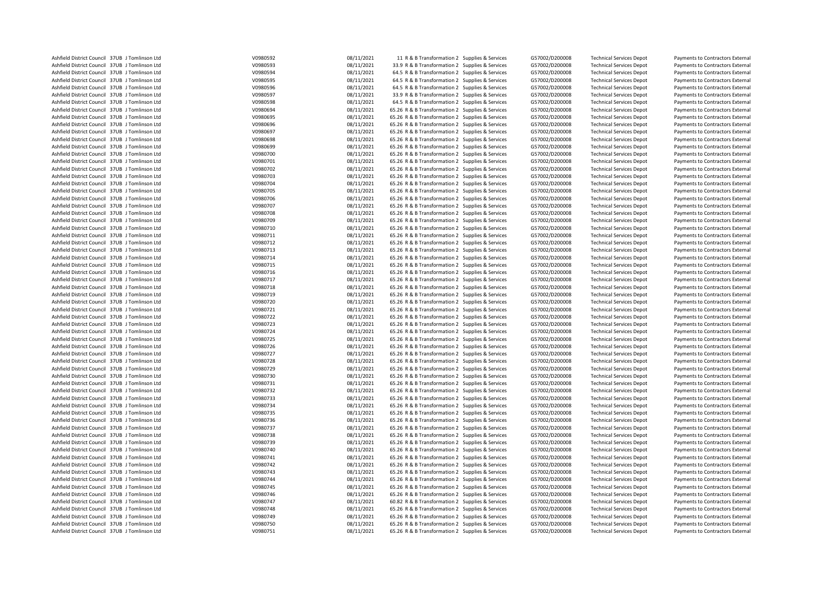| Ashfield District Council 37UB J Tomlinson Ltd | V0980592             | 08/11/2021 | 11 R & B Transformation 2 Supplies & Services    | G57002/D200008 | <b>Technical Services Depot</b> | Payments to Contractors External |
|------------------------------------------------|----------------------|------------|--------------------------------------------------|----------------|---------------------------------|----------------------------------|
| Ashfield District Council 37UB J Tomlinson Ltd | V0980593             | 08/11/2021 | 33.9 R & B Transformation 2 Supplies & Services  | G57002/D200008 | <b>Technical Services Depot</b> | Payments to Contractors External |
| Ashfield District Council 37UB J Tomlinson Ltd | V0980594             | 08/11/2021 | 64.5 R & B Transformation 2 Supplies & Services  | G57002/D200008 | <b>Technical Services Depot</b> | Payments to Contractors External |
| Ashfield District Council 37UB J Tomlinson Ltd | V0980595             | 08/11/2021 | 64.5 R & B Transformation 2 Supplies & Services  | G57002/D200008 | <b>Technical Services Depot</b> | Payments to Contractors External |
| Ashfield District Council 37UB J Tomlinson Ltd | V0980596             | 08/11/2021 | 64.5 R & B Transformation 2 Supplies & Services  | G57002/D200008 | <b>Technical Services Depot</b> | Payments to Contractors External |
| Ashfield District Council 37UB J Tomlinson Ltd | V0980597             | 08/11/2021 | 33.9 R & B Transformation 2 Supplies & Services  | G57002/D200008 | <b>Technical Services Depot</b> | Payments to Contractors External |
| Ashfield District Council 37UB J Tomlinson Ltd | V0980598             | 08/11/2021 | 64.5 R & B Transformation 2 Supplies & Services  | G57002/D200008 | <b>Technical Services Depot</b> | Payments to Contractors External |
| Ashfield District Council 37UB J Tomlinson Ltd | V0980694             | 08/11/2021 | 65.26 R & B Transformation 2 Supplies & Services | G57002/D200008 | <b>Technical Services Depot</b> | Payments to Contractors External |
| Ashfield District Council 37UB J Tomlinson Ltd | V0980695             | 08/11/2021 | 65.26 R & B Transformation 2 Supplies & Services | G57002/D200008 | <b>Technical Services Depot</b> | Payments to Contractors External |
| Ashfield District Council 37UB J Tomlinson Ltd | V0980696             | 08/11/2021 | 65.26 R & B Transformation 2 Supplies & Services | G57002/D200008 | <b>Technical Services Depot</b> | Payments to Contractors External |
| Ashfield District Council 37UB J Tomlinson Ltd | V0980697             | 08/11/2021 | 65.26 R & B Transformation 2 Supplies & Services | G57002/D200008 | <b>Technical Services Depot</b> | Payments to Contractors External |
| Ashfield District Council 37UB J Tomlinson Ltd | V0980698             | 08/11/2021 | 65.26 R & B Transformation 2 Supplies & Services | G57002/D200008 | <b>Technical Services Depot</b> | Payments to Contractors External |
| Ashfield District Council 37UB J Tomlinson Ltd | V0980699             | 08/11/2021 | 65.26 R & B Transformation 2 Supplies & Services | G57002/D200008 | <b>Technical Services Depot</b> | Payments to Contractors External |
| Ashfield District Council 37UB J Tomlinson Ltd |                      | 08/11/2021 |                                                  |                |                                 |                                  |
| Ashfield District Council 37UB J Tomlinson Ltd | V0980700<br>V0980701 | 08/11/2021 | 65.26 R & B Transformation 2 Supplies & Services | G57002/D200008 | <b>Technical Services Depot</b> | Payments to Contractors External |
|                                                |                      |            | 65.26 R & B Transformation 2 Supplies & Services | G57002/D200008 | <b>Technical Services Depot</b> | Payments to Contractors External |
| Ashfield District Council 37UB J Tomlinson Ltd | V0980702             | 08/11/2021 | 65.26 R & B Transformation 2 Supplies & Services | G57002/D200008 | <b>Technical Services Depot</b> | Payments to Contractors External |
| Ashfield District Council 37UB J Tomlinson Ltd | V0980703             | 08/11/2021 | 65.26 R & B Transformation 2 Supplies & Services | G57002/D200008 | <b>Technical Services Depot</b> | Payments to Contractors External |
| Ashfield District Council 37UB J Tomlinson Ltd | V0980704             | 08/11/2021 | 65.26 R & B Transformation 2 Supplies & Services | G57002/D200008 | <b>Technical Services Depot</b> | Payments to Contractors External |
| Ashfield District Council 37UB J Tomlinson Ltd | V0980705             | 08/11/2021 | 65.26 R & B Transformation 2 Supplies & Services | G57002/D200008 | <b>Technical Services Depot</b> | Payments to Contractors External |
| Ashfield District Council 37UB J Tomlinson Ltd | V0980706             | 08/11/2021 | 65.26 R & B Transformation 2 Supplies & Services | G57002/D200008 | <b>Technical Services Depot</b> | Payments to Contractors External |
| Ashfield District Council 37UB J Tomlinson Ltd | V0980707             | 08/11/2021 | 65.26 R & B Transformation 2 Supplies & Services | G57002/D200008 | <b>Technical Services Depot</b> | Payments to Contractors External |
| Ashfield District Council 37UB J Tomlinson Ltd | V0980708             | 08/11/2021 | 65.26 R & B Transformation 2 Supplies & Services | G57002/D200008 | <b>Technical Services Depot</b> | Payments to Contractors External |
| Ashfield District Council 37UB J Tomlinson Ltd | V0980709             | 08/11/2021 | 65.26 R & B Transformation 2 Supplies & Services | G57002/D200008 | <b>Technical Services Depot</b> | Payments to Contractors External |
| Ashfield District Council 37UB J Tomlinson Ltd | V0980710             | 08/11/2021 | 65.26 R & B Transformation 2 Supplies & Services | G57002/D200008 | <b>Technical Services Depot</b> | Payments to Contractors External |
| Ashfield District Council 37UB J Tomlinson Ltd | V0980711             | 08/11/2021 | 65.26 R & B Transformation 2 Supplies & Services | G57002/D200008 | <b>Technical Services Depot</b> | Payments to Contractors External |
| Ashfield District Council 37UB J Tomlinson Ltd | V0980712             | 08/11/2021 | 65.26 R & B Transformation 2 Supplies & Services | G57002/D200008 | <b>Technical Services Depot</b> | Payments to Contractors External |
| Ashfield District Council 37UB J Tomlinson Ltd | V0980713             | 08/11/2021 | 65.26 R & B Transformation 2 Supplies & Services | G57002/D200008 | <b>Technical Services Depot</b> | Payments to Contractors External |
| Ashfield District Council 37UB J Tomlinson Ltd | V0980714             | 08/11/2021 | 65.26 R & B Transformation 2 Supplies & Services | G57002/D200008 | <b>Technical Services Depot</b> | Payments to Contractors External |
| Ashfield District Council 37UB J Tomlinson Ltd | V0980715             | 08/11/2021 | 65.26 R & B Transformation 2 Supplies & Services | G57002/D200008 | <b>Technical Services Depot</b> | Payments to Contractors External |
| Ashfield District Council 37UB J Tomlinson Ltd | V0980716             | 08/11/2021 | 65.26 R & B Transformation 2 Supplies & Services | G57002/D200008 | <b>Technical Services Depot</b> | Payments to Contractors External |
| Ashfield District Council 37UB J Tomlinson Ltd | V0980717             | 08/11/2021 | 65.26 R & B Transformation 2 Supplies & Services | G57002/D200008 | <b>Technical Services Depot</b> | Payments to Contractors External |
| Ashfield District Council 37UB J Tomlinson Ltd | V0980718             | 08/11/2021 | 65.26 R & B Transformation 2 Supplies & Services | G57002/D200008 | <b>Technical Services Depot</b> | Payments to Contractors External |
| Ashfield District Council 37UB J Tomlinson Ltd | V0980719             | 08/11/2021 | 65.26 R & B Transformation 2 Supplies & Services | G57002/D200008 | <b>Technical Services Depot</b> | Payments to Contractors External |
| Ashfield District Council 37UB J Tomlinson Ltd | V0980720             | 08/11/2021 | 65.26 R & B Transformation 2 Supplies & Services | G57002/D200008 | <b>Technical Services Depot</b> | Payments to Contractors External |
| Ashfield District Council 37UB J Tomlinson Ltd | V0980721             | 08/11/2021 | 65.26 R & B Transformation 2 Supplies & Services | G57002/D200008 | <b>Technical Services Depot</b> | Payments to Contractors External |
| Ashfield District Council 37UB J Tomlinson Ltd | V0980722             | 08/11/2021 | 65.26 R & B Transformation 2 Supplies & Services | G57002/D200008 | <b>Technical Services Depot</b> | Payments to Contractors External |
| Ashfield District Council 37UB J Tomlinson Ltd | V0980723             | 08/11/2021 | 65.26 R & B Transformation 2 Supplies & Services | G57002/D200008 | <b>Technical Services Depot</b> | Payments to Contractors External |
| Ashfield District Council 37UB J Tomlinson Ltd | V0980724             | 08/11/2021 | 65.26 R & B Transformation 2 Supplies & Services | G57002/D200008 | <b>Technical Services Depot</b> | Payments to Contractors External |
| Ashfield District Council 37UB J Tomlinson Ltd | V0980725             | 08/11/2021 | 65.26 R & B Transformation 2 Supplies & Services | G57002/D200008 | <b>Technical Services Depot</b> | Payments to Contractors External |
| Ashfield District Council 37UB J Tomlinson Ltd | V0980726             | 08/11/2021 | 65.26 R & B Transformation 2 Supplies & Services | G57002/D200008 | <b>Technical Services Depot</b> | Payments to Contractors External |
| Ashfield District Council 37UB J Tomlinson Ltd | V0980727             | 08/11/2021 | 65.26 R & B Transformation 2 Supplies & Services | G57002/D200008 | <b>Technical Services Depot</b> | Payments to Contractors External |
| Ashfield District Council 37UB J Tomlinson Ltd | V0980728             | 08/11/2021 | 65.26 R & B Transformation 2 Supplies & Services | G57002/D200008 | <b>Technical Services Depot</b> | Payments to Contractors External |
| Ashfield District Council 37UB J Tomlinson Ltd | V0980729             | 08/11/2021 | 65.26 R & B Transformation 2 Supplies & Services | G57002/D200008 | <b>Technical Services Depot</b> | Payments to Contractors External |
| Ashfield District Council 37UB J Tomlinson Ltd | V0980730             | 08/11/2021 | 65.26 R & B Transformation 2 Supplies & Services | G57002/D200008 |                                 |                                  |
| Ashfield District Council 37UB J Tomlinson Ltd | V0980731             | 08/11/2021 | 65.26 R & B Transformation 2 Supplies & Services | G57002/D200008 | <b>Technical Services Depot</b> | Payments to Contractors External |
|                                                |                      |            |                                                  |                | <b>Technical Services Depot</b> | Payments to Contractors External |
| Ashfield District Council 37UB J Tomlinson Ltd | V0980732             | 08/11/2021 | 65.26 R & B Transformation 2 Supplies & Services | G57002/D200008 | <b>Technical Services Depot</b> | Payments to Contractors External |
| Ashfield District Council 37UB J Tomlinson Ltd | V0980733             | 08/11/2021 | 65.26 R & B Transformation 2 Supplies & Services | G57002/D200008 | <b>Technical Services Depot</b> | Payments to Contractors External |
| Ashfield District Council 37UB J Tomlinson Ltd | V0980734             | 08/11/2021 | 65.26 R & B Transformation 2 Supplies & Services | G57002/D200008 | <b>Technical Services Depot</b> | Payments to Contractors External |
| Ashfield District Council 37UB J Tomlinson Ltd | V0980735             | 08/11/2021 | 65.26 R & B Transformation 2 Supplies & Services | G57002/D200008 | <b>Technical Services Depot</b> | Payments to Contractors External |
| Ashfield District Council 37UB J Tomlinson Ltd | V0980736             | 08/11/2021 | 65.26 R & B Transformation 2 Supplies & Services | G57002/D200008 | <b>Technical Services Depot</b> | Payments to Contractors External |
| Ashfield District Council 37UB J Tomlinson Ltd | V0980737             | 08/11/2021 | 65.26 R & B Transformation 2 Supplies & Services | G57002/D200008 | <b>Technical Services Depot</b> | Payments to Contractors External |
| Ashfield District Council 37UB J Tomlinson Ltd | V0980738             | 08/11/2021 | 65.26 R & B Transformation 2 Supplies & Services | G57002/D200008 | <b>Technical Services Depot</b> | Payments to Contractors External |
| Ashfield District Council 37UB J Tomlinson Ltd | V0980739             | 08/11/2021 | 65.26 R & B Transformation 2 Supplies & Services | G57002/D200008 | <b>Technical Services Depot</b> | Payments to Contractors External |
| Ashfield District Council 37UB J Tomlinson Ltd | V0980740             | 08/11/2021 | 65.26 R & B Transformation 2 Supplies & Services | G57002/D200008 | <b>Technical Services Depot</b> | Payments to Contractors External |
| Ashfield District Council 37UB J Tomlinson Ltd | V0980741             | 08/11/2021 | 65.26 R & B Transformation 2 Supplies & Services | G57002/D200008 | <b>Technical Services Depot</b> | Payments to Contractors External |
| Ashfield District Council 37UB J Tomlinson Ltd | V0980742             | 08/11/2021 | 65.26 R & B Transformation 2 Supplies & Services | G57002/D200008 | <b>Technical Services Depot</b> | Payments to Contractors External |
| Ashfield District Council 37UB J Tomlinson Ltd | V0980743             | 08/11/2021 | 65.26 R & B Transformation 2 Supplies & Services | G57002/D200008 | <b>Technical Services Depot</b> | Payments to Contractors External |
| Ashfield District Council 37UB J Tomlinson Ltd | V0980744             | 08/11/2021 | 65.26 R & B Transformation 2 Supplies & Services | G57002/D200008 | <b>Technical Services Depot</b> | Payments to Contractors External |
| Ashfield District Council 37UB J Tomlinson Ltd | V0980745             | 08/11/2021 | 65.26 R & B Transformation 2 Supplies & Services | G57002/D200008 | <b>Technical Services Depot</b> | Payments to Contractors External |
| Ashfield District Council 37UB J Tomlinson Ltd | V0980746             | 08/11/2021 | 65.26 R & B Transformation 2 Supplies & Services | G57002/D200008 | <b>Technical Services Depot</b> | Payments to Contractors External |
| Ashfield District Council 37UB J Tomlinson Ltd | V0980747             | 08/11/2021 | 60.82 R & B Transformation 2 Supplies & Services | G57002/D200008 | <b>Technical Services Depot</b> | Payments to Contractors External |
| Ashfield District Council 37UB J Tomlinson Ltd | V0980748             | 08/11/2021 | 65.26 R & B Transformation 2 Supplies & Services | G57002/D200008 | <b>Technical Services Depot</b> | Payments to Contractors External |
| Ashfield District Council 37UB J Tomlinson Ltd | V0980749             | 08/11/2021 | 65.26 R & B Transformation 2 Supplies & Services | G57002/D200008 | <b>Technical Services Depot</b> | Payments to Contractors External |
| Ashfield District Council 37UB J Tomlinson Ltd | V0980750             | 08/11/2021 | 65.26 R & B Transformation 2 Supplies & Services | G57002/D200008 | <b>Technical Services Depot</b> | Payments to Contractors External |
| Ashfield District Council 37UB J Tomlinson Ltd | V0980751             | 08/11/2021 | 65.26 R & B Transformation 2 Supplies & Services | G57002/D200008 | <b>Technical Services Depot</b> | Payments to Contractors External |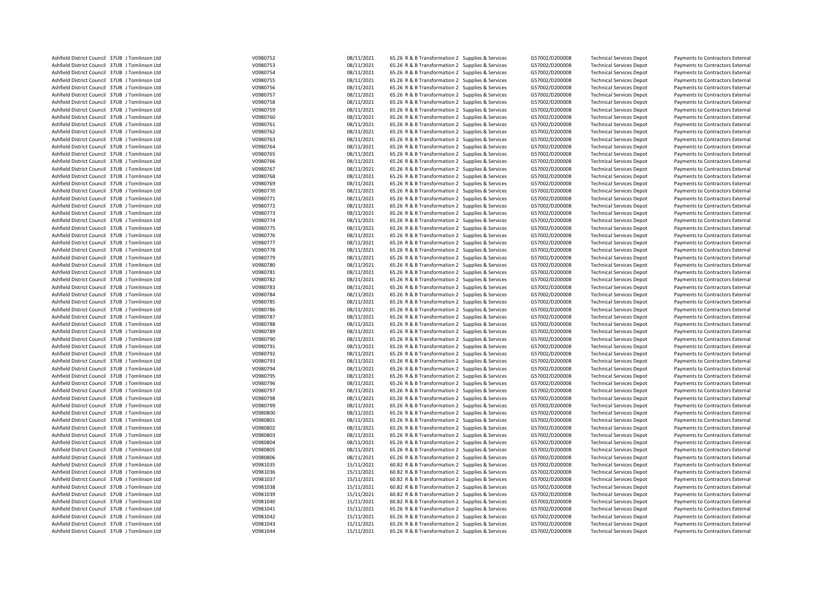| Ashfield District Council 37UB J Tomlinson Ltd | V0980752 | 08/11/2021 | 65.26 R & B Transformation 2 Supplies & Services | G57002/D200008 | <b>Technical Services Depot</b> | Payments to Contractors External |
|------------------------------------------------|----------|------------|--------------------------------------------------|----------------|---------------------------------|----------------------------------|
| Ashfield District Council 37UB J Tomlinson Ltd | V0980753 | 08/11/2021 | 65.26 R & B Transformation 2 Supplies & Services | G57002/D200008 | <b>Technical Services Depot</b> | Payments to Contractors External |
| Ashfield District Council 37UB J Tomlinson Ltd | V0980754 | 08/11/2021 | 65.26 R & B Transformation 2 Supplies & Services | G57002/D200008 | <b>Technical Services Depot</b> | Payments to Contractors External |
| Ashfield District Council 37UB J Tomlinson Ltd | V0980755 | 08/11/2021 | 65.26 R & B Transformation 2 Supplies & Services | G57002/D200008 | <b>Technical Services Depot</b> | Payments to Contractors External |
|                                                |          |            |                                                  |                |                                 |                                  |
| Ashfield District Council 37UB J Tomlinson Ltd | V0980756 | 08/11/2021 | 65.26 R & B Transformation 2 Supplies & Services | G57002/D200008 | <b>Technical Services Depot</b> | Payments to Contractors External |
| Ashfield District Council 37UB J Tomlinson Ltd | V0980757 | 08/11/2021 | 65.26 R & B Transformation 2 Supplies & Services | G57002/D200008 | <b>Technical Services Depot</b> | Payments to Contractors External |
| Ashfield District Council 37UB J Tomlinson Ltd | V0980758 | 08/11/2021 | 65.26 R & B Transformation 2 Supplies & Services | G57002/D200008 | <b>Technical Services Depot</b> | Payments to Contractors External |
| Ashfield District Council 37UB J Tomlinson Ltd | V0980759 | 08/11/2021 | 65.26 R & B Transformation 2 Supplies & Services | G57002/D200008 | <b>Technical Services Depot</b> | Payments to Contractors External |
| Ashfield District Council 37UB J Tomlinson Ltd | V0980760 | 08/11/2021 | 65.26 R & B Transformation 2 Supplies & Services | G57002/D200008 | <b>Technical Services Depot</b> | Payments to Contractors External |
| Ashfield District Council 37UB J Tomlinson Ltd | V0980761 | 08/11/2021 | 65.26 R & B Transformation 2 Supplies & Services | G57002/D200008 | <b>Technical Services Depot</b> | Payments to Contractors External |
| Ashfield District Council 37UB J Tomlinson Ltd | V0980762 | 08/11/2021 | 65.26 R & B Transformation 2 Supplies & Services | G57002/D200008 | <b>Technical Services Depot</b> | Payments to Contractors External |
| Ashfield District Council 37UB J Tomlinson Ltd | V0980763 | 08/11/2021 | 65.26 R & B Transformation 2 Supplies & Services | G57002/D200008 | <b>Technical Services Depot</b> | Payments to Contractors External |
| Ashfield District Council 37UB J Tomlinson Ltd | V0980764 | 08/11/2021 | 65.26 R & B Transformation 2 Supplies & Services | G57002/D200008 | <b>Technical Services Depot</b> | Payments to Contractors External |
|                                                |          |            |                                                  |                |                                 |                                  |
| Ashfield District Council 37UB J Tomlinson Ltd | V0980765 | 08/11/2021 | 65.26 R & B Transformation 2 Supplies & Services | G57002/D200008 | <b>Technical Services Depot</b> | Payments to Contractors External |
| Ashfield District Council 37UB J Tomlinson Ltd | V0980766 | 08/11/2021 | 65.26 R & B Transformation 2 Supplies & Services | G57002/D200008 | <b>Technical Services Depot</b> | Payments to Contractors External |
| Ashfield District Council 37UB J Tomlinson Ltd | V0980767 | 08/11/2021 | 65.26 R & B Transformation 2 Supplies & Services | G57002/D200008 | <b>Technical Services Depot</b> | Payments to Contractors External |
| Ashfield District Council 37UB J Tomlinson Ltd | V0980768 | 08/11/2021 | 65.26 R & B Transformation 2 Supplies & Services | G57002/D200008 | <b>Technical Services Depot</b> | Payments to Contractors External |
| Ashfield District Council 37UB J Tomlinson Ltd | V0980769 | 08/11/2021 | 65.26 R & B Transformation 2 Supplies & Services | G57002/D200008 | <b>Technical Services Depot</b> | Payments to Contractors External |
| Ashfield District Council 37UB J Tomlinson Ltd | V0980770 | 08/11/2021 | 65.26 R & B Transformation 2 Supplies & Services | G57002/D200008 | <b>Technical Services Depot</b> | Payments to Contractors External |
| Ashfield District Council 37UB J Tomlinson Ltd | V0980771 | 08/11/2021 | 65.26 R & B Transformation 2 Supplies & Services | G57002/D200008 | <b>Technical Services Depot</b> | Payments to Contractors External |
| Ashfield District Council 37UB J Tomlinson Ltd | V0980772 | 08/11/2021 | 65.26 R & B Transformation 2 Supplies & Services | G57002/D200008 | <b>Technical Services Depot</b> | Payments to Contractors External |
| Ashfield District Council 37UB J Tomlinson Ltd | V0980773 | 08/11/2021 | 65.26 R & B Transformation 2 Supplies & Services | G57002/D200008 | <b>Technical Services Depot</b> | Payments to Contractors External |
| Ashfield District Council 37UB J Tomlinson Ltd | V0980774 | 08/11/2021 | 65.26 R & B Transformation 2 Supplies & Services | G57002/D200008 | <b>Technical Services Depot</b> | Payments to Contractors External |
|                                                |          |            |                                                  |                |                                 |                                  |
| Ashfield District Council 37UB J Tomlinson Ltd | V0980775 | 08/11/2021 | 65.26 R & B Transformation 2 Supplies & Services | G57002/D200008 | <b>Technical Services Depot</b> | Payments to Contractors External |
| Ashfield District Council 37UB J Tomlinson Ltd | V0980776 | 08/11/2021 | 65.26 R & B Transformation 2 Supplies & Services | G57002/D200008 | <b>Technical Services Depot</b> | Payments to Contractors External |
| Ashfield District Council 37UB J Tomlinson Ltd | V0980777 | 08/11/2021 | 65.26 R & B Transformation 2 Supplies & Services | G57002/D200008 | <b>Technical Services Depot</b> | Payments to Contractors External |
| Ashfield District Council 37UB J Tomlinson Ltd | V0980778 | 08/11/2021 | 65.26 R & B Transformation 2 Supplies & Services | G57002/D200008 | <b>Technical Services Depot</b> | Payments to Contractors External |
| Ashfield District Council 37UB J Tomlinson Ltd | V0980779 | 08/11/2021 | 65.26 R & B Transformation 2 Supplies & Services | G57002/D200008 | <b>Technical Services Depot</b> | Payments to Contractors External |
| Ashfield District Council 37UB J Tomlinson Ltd | V0980780 | 08/11/2021 | 65.26 R & B Transformation 2 Supplies & Services | G57002/D200008 | <b>Technical Services Depot</b> | Payments to Contractors External |
| Ashfield District Council 37UB J Tomlinson Ltd | V0980781 | 08/11/2021 | 65.26 R & B Transformation 2 Supplies & Services | G57002/D200008 | <b>Technical Services Depot</b> | Payments to Contractors External |
| Ashfield District Council 37UB J Tomlinson Ltd | V0980782 | 08/11/2021 | 65.26 R & B Transformation 2 Supplies & Services | G57002/D200008 | <b>Technical Services Depot</b> | Payments to Contractors External |
| Ashfield District Council 37UB J Tomlinson Ltd | V0980783 | 08/11/2021 | 65.26 R & B Transformation 2 Supplies & Services | G57002/D200008 | <b>Technical Services Depot</b> | Payments to Contractors External |
| Ashfield District Council 37UB J Tomlinson Ltd | V0980784 | 08/11/2021 | 65.26 R & B Transformation 2 Supplies & Services | G57002/D200008 | <b>Technical Services Depot</b> | Payments to Contractors External |
|                                                |          |            |                                                  |                |                                 |                                  |
| Ashfield District Council 37UB J Tomlinson Ltd | V0980785 | 08/11/2021 | 65.26 R & B Transformation 2 Supplies & Services | G57002/D200008 | <b>Technical Services Depot</b> | Payments to Contractors External |
| Ashfield District Council 37UB J Tomlinson Ltd | V0980786 | 08/11/2021 | 65.26 R & B Transformation 2 Supplies & Services | G57002/D200008 | <b>Technical Services Depot</b> | Payments to Contractors External |
| Ashfield District Council 37UB J Tomlinson Ltd | V0980787 | 08/11/2021 | 65.26 R & B Transformation 2 Supplies & Services | G57002/D200008 | <b>Technical Services Depot</b> | Payments to Contractors External |
| Ashfield District Council 37UB J Tomlinson Ltd | V0980788 | 08/11/2021 | 65.26 R & B Transformation 2 Supplies & Services | G57002/D200008 | <b>Technical Services Depot</b> | Payments to Contractors External |
| Ashfield District Council 37UB J Tomlinson Ltd | V0980789 | 08/11/2021 | 65.26 R & B Transformation 2 Supplies & Services | G57002/D200008 | <b>Technical Services Depot</b> | Payments to Contractors External |
| Ashfield District Council 37UB J Tomlinson Ltd | V0980790 | 08/11/2021 | 65.26 R & B Transformation 2 Supplies & Services | G57002/D200008 | <b>Technical Services Depot</b> | Payments to Contractors External |
| Ashfield District Council 37UB J Tomlinson Ltd | V0980791 | 08/11/2021 | 65.26 R & B Transformation 2 Supplies & Services | G57002/D200008 | <b>Technical Services Depot</b> | Payments to Contractors External |
| Ashfield District Council 37UB J Tomlinson Ltd | V0980792 | 08/11/2021 | 65.26 R & B Transformation 2 Supplies & Services | G57002/D200008 | <b>Technical Services Depot</b> | Payments to Contractors External |
| Ashfield District Council 37UB J Tomlinson Ltd | V0980793 | 08/11/2021 | 65.26 R & B Transformation 2 Supplies & Services | G57002/D200008 | <b>Technical Services Depot</b> | Payments to Contractors External |
| Ashfield District Council 37UB J Tomlinson Ltd | V0980794 | 08/11/2021 | 65.26 R & B Transformation 2 Supplies & Services | G57002/D200008 | <b>Technical Services Depot</b> | Payments to Contractors External |
|                                                |          | 08/11/2021 |                                                  |                |                                 |                                  |
| Ashfield District Council 37UB J Tomlinson Ltd | V0980795 |            | 65.26 R & B Transformation 2 Supplies & Services | G57002/D200008 | <b>Technical Services Depot</b> | Payments to Contractors External |
| Ashfield District Council 37UB J Tomlinson Ltd | V0980796 | 08/11/2021 | 65.26 R & B Transformation 2 Supplies & Services | G57002/D200008 | <b>Technical Services Depot</b> | Payments to Contractors External |
| Ashfield District Council 37UB J Tomlinson Ltd | V0980797 | 08/11/2021 | 65.26 R & B Transformation 2 Supplies & Services | G57002/D200008 | <b>Technical Services Depot</b> | Payments to Contractors External |
| Ashfield District Council 37UB J Tomlinson Ltd | V0980798 | 08/11/2021 | 65.26 R & B Transformation 2 Supplies & Services | G57002/D200008 | <b>Technical Services Depot</b> | Payments to Contractors External |
| Ashfield District Council 37UB J Tomlinson Ltd | V0980799 | 08/11/2021 | 65.26 R & B Transformation 2 Supplies & Services | G57002/D200008 | <b>Technical Services Depot</b> | Payments to Contractors External |
| Ashfield District Council 37UB J Tomlinson Ltd | V0980800 | 08/11/2021 | 65.26 R & B Transformation 2 Supplies & Services | G57002/D200008 | <b>Technical Services Depot</b> | Payments to Contractors External |
| Ashfield District Council 37UB J Tomlinson Ltd | V0980801 | 08/11/2021 | 65.26 R & B Transformation 2 Supplies & Services | G57002/D200008 | <b>Technical Services Depot</b> | Payments to Contractors External |
| Ashfield District Council 37UB J Tomlinson Ltd | V0980802 | 08/11/2021 | 65.26 R & B Transformation 2 Supplies & Services | G57002/D200008 | <b>Technical Services Depot</b> | Payments to Contractors External |
| Ashfield District Council 37UB J Tomlinson Ltd | V0980803 | 08/11/2021 | 65.26 R & B Transformation 2 Supplies & Services | G57002/D200008 | <b>Technical Services Depot</b> | Payments to Contractors External |
| Ashfield District Council 37UB J Tomlinson Ltd | V0980804 | 08/11/2021 | 65.26 R & B Transformation 2 Supplies & Services | G57002/D200008 | <b>Technical Services Depot</b> | Payments to Contractors External |
| Ashfield District Council 37UB J Tomlinson Ltd | V0980805 | 08/11/2021 | 65.26 R & B Transformation 2 Supplies & Services | G57002/D200008 | <b>Technical Services Depot</b> | Payments to Contractors External |
|                                                |          |            |                                                  |                |                                 |                                  |
| Ashfield District Council 37UB J Tomlinson Ltd | V0980806 | 08/11/2021 | 65.26 R & B Transformation 2 Supplies & Services | G57002/D200008 | <b>Technical Services Depot</b> | Payments to Contractors External |
| Ashfield District Council 37UB J Tomlinson Ltd | V0981035 | 15/11/2021 | 60.82 R & B Transformation 2 Supplies & Services | G57002/D200008 | <b>Technical Services Depot</b> | Payments to Contractors External |
| Ashfield District Council 37UB J Tomlinson Ltd | V0981036 | 15/11/2021 | 60.82 R & B Transformation 2 Supplies & Services | G57002/D200008 | <b>Technical Services Depot</b> | Payments to Contractors External |
| Ashfield District Council 37UB J Tomlinson Ltd | V0981037 | 15/11/2021 | 60.82 R & B Transformation 2 Supplies & Services | G57002/D200008 | <b>Technical Services Depot</b> | Payments to Contractors External |
| Ashfield District Council 37UB J Tomlinson Ltd | V0981038 | 15/11/2021 | 60.82 R & B Transformation 2 Supplies & Services | G57002/D200008 | <b>Technical Services Depot</b> | Payments to Contractors External |
| Ashfield District Council 37UB J Tomlinson Ltd | V0981039 | 15/11/2021 | 60.82 R & B Transformation 2 Supplies & Services | G57002/D200008 | <b>Technical Services Depot</b> | Payments to Contractors External |
| Ashfield District Council 37UB J Tomlinson Ltd | V0981040 | 15/11/2021 | 60.82 R & B Transformation 2 Supplies & Services | G57002/D200008 | <b>Technical Services Depot</b> | Payments to Contractors External |
| Ashfield District Council 37UB J Tomlinson Ltd | V0981041 | 15/11/2021 | 65.26 R & B Transformation 2 Supplies & Services | G57002/D200008 | <b>Technical Services Depot</b> | Payments to Contractors External |
| Ashfield District Council 37UB J Tomlinson Ltd | V0981042 | 15/11/2021 | 65.26 R & B Transformation 2 Supplies & Services | G57002/D200008 | <b>Technical Services Depot</b> | Payments to Contractors External |
| Ashfield District Council 37UB J Tomlinson Ltd | V0981043 | 15/11/2021 | 65.26 R & B Transformation 2 Supplies & Services | G57002/D200008 | <b>Technical Services Depot</b> |                                  |
|                                                | V0981044 |            |                                                  |                |                                 | Payments to Contractors External |
| Ashfield District Council 37UB J Tomlinson Ltd |          | 15/11/2021 | 65.26 R & B Transformation 2 Supplies & Services | G57002/D200008 | <b>Technical Services Depot</b> | Payments to Contractors External |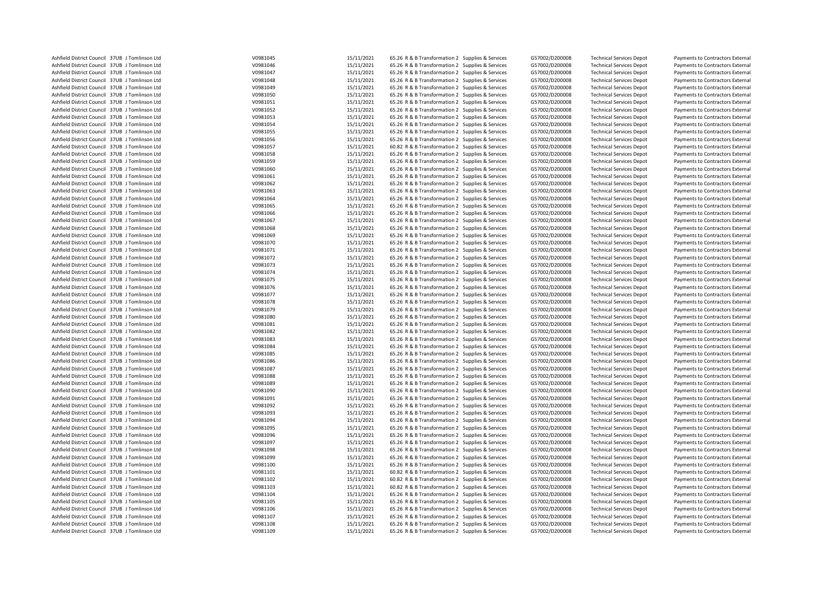| Ashfield District Council 37UB J Tomlinson Ltd                                                   | V0981045             | 15/11/2021               | 65.26 R & B Transformation 2 Supplies & Services                                                     | G57002/D200008                   | <b>Technical Services Depot</b>                                    | Payments to Contractors External                                     |
|--------------------------------------------------------------------------------------------------|----------------------|--------------------------|------------------------------------------------------------------------------------------------------|----------------------------------|--------------------------------------------------------------------|----------------------------------------------------------------------|
| Ashfield District Council 37UB J Tomlinson Ltd                                                   | V0981046             | 15/11/2021               | 65.26 R & B Transformation 2 Supplies & Services                                                     | G57002/D200008                   | <b>Technical Services Depot</b>                                    | Payments to Contractors External                                     |
| Ashfield District Council 37UB J Tomlinson Ltd                                                   | V0981047             | 15/11/2021               | 65.26 R & B Transformation 2 Supplies & Services                                                     | G57002/D200008                   | <b>Technical Services Depot</b>                                    | Payments to Contractors External                                     |
| Ashfield District Council 37UB J Tomlinson Ltd                                                   | V0981048             | 15/11/2021               | 65.26 R & B Transformation 2 Supplies & Services                                                     | G57002/D200008                   | <b>Technical Services Depot</b>                                    | Payments to Contractors External                                     |
| Ashfield District Council 37UB J Tomlinson Ltd                                                   | V0981049             | 15/11/2021               | 65.26 R & B Transformation 2 Supplies & Services                                                     | G57002/D200008                   | <b>Technical Services Depot</b>                                    | Payments to Contractors External                                     |
| Ashfield District Council 37UB J Tomlinson Ltd                                                   | V0981050             | 15/11/2021               | 65.26 R & B Transformation 2 Supplies & Services                                                     | G57002/D200008                   | <b>Technical Services Depot</b>                                    | Payments to Contractors External                                     |
| Ashfield District Council 37UB J Tomlinson Ltd                                                   | V0981051             | 15/11/2021               | 65.26 R & B Transformation 2 Supplies & Services                                                     | G57002/D200008                   | <b>Technical Services Depot</b>                                    | Payments to Contractors External                                     |
| Ashfield District Council 37UB J Tomlinson Ltd                                                   | V0981052             | 15/11/2021               | 65.26 R & B Transformation 2 Supplies & Services                                                     | G57002/D200008                   | <b>Technical Services Depot</b>                                    | Payments to Contractors External                                     |
| Ashfield District Council 37UB J Tomlinson Ltd                                                   | V0981053             | 15/11/2021               | 65.26 R & B Transformation 2 Supplies & Services                                                     | G57002/D200008                   | <b>Technical Services Depot</b>                                    | Payments to Contractors External                                     |
| Ashfield District Council 37UB J Tomlinson Ltd                                                   | V0981054             | 15/11/2021               | 65.26 R & B Transformation 2 Supplies & Services                                                     | G57002/D200008                   | <b>Technical Services Depot</b>                                    | Payments to Contractors External                                     |
| Ashfield District Council 37UB J Tomlinson Ltd                                                   | V0981055             | 15/11/2021               | 65.26 R & B Transformation 2 Supplies & Services                                                     | G57002/D200008                   | <b>Technical Services Depot</b>                                    | Payments to Contractors External                                     |
| Ashfield District Council 37UB J Tomlinson Ltd                                                   | V0981056             | 15/11/2021               | 65.26 R & B Transformation 2 Supplies & Services                                                     | G57002/D200008                   | <b>Technical Services Depot</b>                                    | Payments to Contractors External                                     |
| Ashfield District Council 37UB J Tomlinson Ltd                                                   | V0981057             | 15/11/2021               | 60.82 R & B Transformation 2 Supplies & Services                                                     | G57002/D200008                   | <b>Technical Services Depot</b>                                    | Payments to Contractors External                                     |
|                                                                                                  |                      | 15/11/2021               |                                                                                                      |                                  |                                                                    |                                                                      |
| Ashfield District Council 37UB J Tomlinson Ltd<br>Ashfield District Council 37UB J Tomlinson Ltd | V0981058<br>V0981059 | 15/11/2021               | 65.26 R & B Transformation 2 Supplies & Services                                                     | G57002/D200008                   | <b>Technical Services Depot</b>                                    | Payments to Contractors External                                     |
|                                                                                                  |                      |                          | 65.26 R & B Transformation 2 Supplies & Services                                                     | G57002/D200008                   | <b>Technical Services Depot</b>                                    | Payments to Contractors External                                     |
| Ashfield District Council 37UB J Tomlinson Ltd                                                   | V0981060             | 15/11/2021               | 65.26 R & B Transformation 2 Supplies & Services                                                     | G57002/D200008                   | <b>Technical Services Depot</b>                                    | Payments to Contractors External                                     |
| Ashfield District Council 37UB J Tomlinson Ltd                                                   | V0981061             | 15/11/2021               | 65.26 R & B Transformation 2 Supplies & Services                                                     | G57002/D200008                   | <b>Technical Services Depot</b>                                    | Payments to Contractors External                                     |
| Ashfield District Council 37UB J Tomlinson Ltd                                                   | V0981062             | 15/11/2021               | 65.26 R & B Transformation 2 Supplies & Services                                                     | G57002/D200008                   | <b>Technical Services Depot</b>                                    | Payments to Contractors External                                     |
| Ashfield District Council 37UB J Tomlinson Ltd                                                   | V0981063             | 15/11/2021               | 65.26 R & B Transformation 2 Supplies & Services                                                     | G57002/D200008                   | <b>Technical Services Depot</b>                                    | Payments to Contractors External                                     |
| Ashfield District Council 37UB J Tomlinson Ltd                                                   | V0981064             | 15/11/2021               | 65.26 R & B Transformation 2 Supplies & Services                                                     | G57002/D200008                   | <b>Technical Services Depot</b>                                    | Payments to Contractors External                                     |
| Ashfield District Council 37UB J Tomlinson Ltd                                                   | V0981065             | 15/11/2021               | 65.26 R & B Transformation 2 Supplies & Services                                                     | G57002/D200008                   | <b>Technical Services Depot</b>                                    | Payments to Contractors External                                     |
| Ashfield District Council 37UB J Tomlinson Ltd                                                   | V0981066             | 15/11/2021               | 65.26 R & B Transformation 2 Supplies & Services                                                     | G57002/D200008                   | <b>Technical Services Depot</b>                                    | Payments to Contractors External                                     |
| Ashfield District Council 37UB J Tomlinson Ltd                                                   | V0981067             | 15/11/2021               | 65.26 R & B Transformation 2 Supplies & Services                                                     | G57002/D200008                   | <b>Technical Services Depot</b>                                    | Payments to Contractors External                                     |
| Ashfield District Council 37UB J Tomlinson Ltd                                                   | V0981068             | 15/11/2021               | 65.26 R & B Transformation 2 Supplies & Services                                                     | G57002/D200008                   | <b>Technical Services Depot</b>                                    | Payments to Contractors External                                     |
| Ashfield District Council 37UB J Tomlinson Ltd                                                   | V0981069             | 15/11/2021               | 65.26 R & B Transformation 2 Supplies & Services                                                     | G57002/D200008                   | <b>Technical Services Depot</b>                                    | Payments to Contractors External                                     |
| Ashfield District Council 37UB J Tomlinson Ltd                                                   | V0981070             | 15/11/2021               | 65.26 R & B Transformation 2 Supplies & Services                                                     | G57002/D200008                   | <b>Technical Services Depot</b>                                    | Payments to Contractors External                                     |
| Ashfield District Council 37UB J Tomlinson Ltd                                                   | V0981071             | 15/11/2021               | 65.26 R & B Transformation 2 Supplies & Services                                                     | G57002/D200008                   | <b>Technical Services Depot</b>                                    | Payments to Contractors External                                     |
| Ashfield District Council 37UB J Tomlinson Ltd                                                   | V0981072             | 15/11/2021               | 65.26 R & B Transformation 2 Supplies & Services                                                     | G57002/D200008                   | <b>Technical Services Depot</b>                                    | Payments to Contractors External                                     |
| Ashfield District Council 37UB J Tomlinson Ltd                                                   | V0981073             | 15/11/2021               | 65.26 R & B Transformation 2 Supplies & Services                                                     | G57002/D200008                   | <b>Technical Services Depot</b>                                    | Payments to Contractors External                                     |
| Ashfield District Council 37UB J Tomlinson Ltd                                                   | V0981074             | 15/11/2021               | 65.26 R & B Transformation 2 Supplies & Services                                                     | G57002/D200008                   | <b>Technical Services Depot</b>                                    | Payments to Contractors External                                     |
| Ashfield District Council 37UB J Tomlinson Ltd                                                   | V0981075             | 15/11/2021               | 65.26 R & B Transformation 2 Supplies & Services                                                     | G57002/D200008                   | <b>Technical Services Depot</b>                                    | Payments to Contractors External                                     |
| Ashfield District Council 37UB J Tomlinson Ltd                                                   | V0981076             | 15/11/2021               | 65.26 R & B Transformation 2 Supplies & Services                                                     | G57002/D200008                   | <b>Technical Services Depot</b>                                    | Payments to Contractors External                                     |
| Ashfield District Council 37UB J Tomlinson Ltd                                                   | V0981077             | 15/11/2021               | 65.26 R & B Transformation 2 Supplies & Services                                                     | G57002/D200008                   | <b>Technical Services Depot</b>                                    | Payments to Contractors External                                     |
| Ashfield District Council 37UB J Tomlinson Ltd                                                   | V0981078             | 15/11/2021               | 65.26 R & B Transformation 2 Supplies & Services                                                     | G57002/D200008                   | <b>Technical Services Depot</b>                                    | Payments to Contractors External                                     |
| Ashfield District Council 37UB J Tomlinson Ltd                                                   | V0981079             | 15/11/2021               | 65.26 R & B Transformation 2 Supplies & Services                                                     | G57002/D200008                   | <b>Technical Services Depot</b>                                    | Payments to Contractors External                                     |
| Ashfield District Council 37UB J Tomlinson Ltd                                                   | V0981080             | 15/11/2021               | 65.26 R & B Transformation 2 Supplies & Services                                                     | G57002/D200008                   | <b>Technical Services Depot</b>                                    | Payments to Contractors External                                     |
| Ashfield District Council 37UB J Tomlinson Ltd                                                   | V0981081             | 15/11/2021               | 65.26 R & B Transformation 2 Supplies & Services                                                     | G57002/D200008                   | <b>Technical Services Depot</b>                                    | Payments to Contractors External                                     |
| Ashfield District Council 37UB J Tomlinson Ltd                                                   | V0981082             | 15/11/2021               | 65.26 R & B Transformation 2 Supplies & Services                                                     | G57002/D200008                   | <b>Technical Services Depot</b>                                    | Payments to Contractors External                                     |
| Ashfield District Council 37UB J Tomlinson Ltd                                                   | V0981083             | 15/11/2021               | 65.26 R & B Transformation 2 Supplies & Services                                                     | G57002/D200008                   | <b>Technical Services Depot</b>                                    | Payments to Contractors External                                     |
| Ashfield District Council 37UB J Tomlinson Ltd                                                   | V0981084             | 15/11/2021               | 65.26 R & B Transformation 2 Supplies & Services                                                     | G57002/D200008                   | <b>Technical Services Depot</b>                                    | Payments to Contractors External                                     |
| Ashfield District Council 37UB J Tomlinson Ltd                                                   | V0981085             | 15/11/2021               | 65.26 R & B Transformation 2 Supplies & Services                                                     | G57002/D200008                   | <b>Technical Services Depot</b>                                    | Payments to Contractors External                                     |
| Ashfield District Council 37UB J Tomlinson Ltd                                                   | V0981086             | 15/11/2021               | 65.26 R & B Transformation 2 Supplies & Services                                                     | G57002/D200008                   | <b>Technical Services Depot</b>                                    | Payments to Contractors External                                     |
| Ashfield District Council 37UB J Tomlinson Ltd                                                   | V0981087             | 15/11/2021               | 65.26 R & B Transformation 2 Supplies & Services                                                     | G57002/D200008                   | <b>Technical Services Depot</b>                                    | Payments to Contractors External                                     |
| Ashfield District Council 37UB J Tomlinson Ltd                                                   | V0981088             | 15/11/2021               | 65.26 R & B Transformation 2 Supplies & Services                                                     | G57002/D200008                   | <b>Technical Services Depot</b>                                    | Payments to Contractors External                                     |
| Ashfield District Council 37UB J Tomlinson Ltd                                                   | V0981089             | 15/11/2021               | 65.26 R & B Transformation 2 Supplies & Services                                                     | G57002/D200008                   | <b>Technical Services Depot</b>                                    | Payments to Contractors External                                     |
| Ashfield District Council 37UB J Tomlinson Ltd                                                   | V0981090             | 15/11/2021               | 65.26 R & B Transformation 2 Supplies & Services                                                     | G57002/D200008                   | <b>Technical Services Depot</b>                                    | Payments to Contractors External                                     |
|                                                                                                  | V0981091             | 15/11/2021               | 65.26 R & B Transformation 2 Supplies & Services                                                     |                                  |                                                                    |                                                                      |
| Ashfield District Council 37UB J Tomlinson Ltd<br>Ashfield District Council 37UB J Tomlinson Ltd | V0981092             | 15/11/2021               | 65.26 R & B Transformation 2 Supplies & Services                                                     | G57002/D200008<br>G57002/D200008 | <b>Technical Services Depot</b><br><b>Technical Services Depot</b> | Payments to Contractors External<br>Payments to Contractors External |
|                                                                                                  |                      |                          |                                                                                                      |                                  |                                                                    |                                                                      |
| Ashfield District Council 37UB J Tomlinson Ltd<br>Ashfield District Council 37UB J Tomlinson Ltd | V0981093<br>V0981094 | 15/11/2021<br>15/11/2021 | 65.26 R & B Transformation 2 Supplies & Services<br>65.26 R & B Transformation 2 Supplies & Services | G57002/D200008<br>G57002/D200008 | <b>Technical Services Depot</b><br><b>Technical Services Depot</b> | Payments to Contractors External<br>Payments to Contractors External |
|                                                                                                  |                      |                          |                                                                                                      |                                  |                                                                    |                                                                      |
| Ashfield District Council 37UB J Tomlinson Ltd                                                   | V0981095             | 15/11/2021               | 65.26 R & B Transformation 2 Supplies & Services                                                     | G57002/D200008                   | <b>Technical Services Depot</b>                                    | Payments to Contractors External                                     |
| Ashfield District Council 37UB J Tomlinson Ltd                                                   | V0981096             | 15/11/2021               | 65.26 R & B Transformation 2 Supplies & Services                                                     | G57002/D200008                   | <b>Technical Services Depot</b>                                    | Payments to Contractors External                                     |
| Ashfield District Council 37UB J Tomlinson Ltd                                                   | V0981097             | 15/11/2021               | 65.26 R & B Transformation 2 Supplies & Services                                                     | G57002/D200008                   | <b>Technical Services Depot</b>                                    | Payments to Contractors External                                     |
| Ashfield District Council 37UB J Tomlinson Ltd                                                   | V0981098             | 15/11/2021               | 65.26 R & B Transformation 2 Supplies & Services                                                     | G57002/D200008                   | <b>Technical Services Depot</b>                                    | Payments to Contractors External                                     |
| Ashfield District Council 37UB J Tomlinson Ltd                                                   | V0981099             | 15/11/2021               | 65.26 R & B Transformation 2 Supplies & Services                                                     | G57002/D200008                   | <b>Technical Services Depot</b>                                    | Payments to Contractors External                                     |
| Ashfield District Council 37UB J Tomlinson Ltd                                                   | V0981100             | 15/11/2021               | 65.26 R & B Transformation 2 Supplies & Services                                                     | G57002/D200008                   | <b>Technical Services Depot</b>                                    | Payments to Contractors External                                     |
| Ashfield District Council 37UB J Tomlinson Ltd                                                   | V0981101             | 15/11/2021               | 60.82 R & B Transformation 2 Supplies & Services                                                     | G57002/D200008                   | <b>Technical Services Depot</b>                                    | Payments to Contractors External                                     |
| Ashfield District Council 37UB J Tomlinson Ltd                                                   | V0981102             | 15/11/2021               | 60.82 R & B Transformation 2 Supplies & Services                                                     | G57002/D200008                   | <b>Technical Services Depot</b>                                    | Payments to Contractors External                                     |
| Ashfield District Council 37UB J Tomlinson Ltd                                                   | V0981103             | 15/11/2021               | 60.82 R & B Transformation 2 Supplies & Services                                                     | G57002/D200008                   | <b>Technical Services Depot</b>                                    | Payments to Contractors External                                     |
| Ashfield District Council 37UB J Tomlinson Ltd                                                   | V0981104             | 15/11/2021               | 65.26 R & B Transformation 2 Supplies & Services                                                     | G57002/D200008                   | <b>Technical Services Depot</b>                                    | Payments to Contractors External                                     |
| Ashfield District Council 37UB J Tomlinson Ltd                                                   | V0981105             | 15/11/2021               | 65.26 R & B Transformation 2 Supplies & Services                                                     | G57002/D200008                   | <b>Technical Services Depot</b>                                    | Payments to Contractors External                                     |
| Ashfield District Council 37UB J Tomlinson Ltd                                                   | V0981106             | 15/11/2021               | 65.26 R & B Transformation 2 Supplies & Services                                                     | G57002/D200008                   | <b>Technical Services Depot</b>                                    | Payments to Contractors External                                     |
| Ashfield District Council 37UB J Tomlinson Ltd                                                   | V0981107             | 15/11/2021               | 65.26 R & B Transformation 2 Supplies & Services                                                     | G57002/D200008                   | <b>Technical Services Depot</b>                                    | Payments to Contractors External                                     |
| Ashfield District Council 37UB J Tomlinson Ltd                                                   | V0981108             | 15/11/2021               | 65.26 R & B Transformation 2 Supplies & Services                                                     | G57002/D200008                   | <b>Technical Services Depot</b>                                    | Payments to Contractors External                                     |
| Ashfield District Council 37UB J Tomlinson Ltd                                                   | V0981109             | 15/11/2021               | 65.26 R & B Transformation 2 Supplies & Services                                                     | G57002/D200008                   | <b>Technical Services Depot</b>                                    | Payments to Contractors External                                     |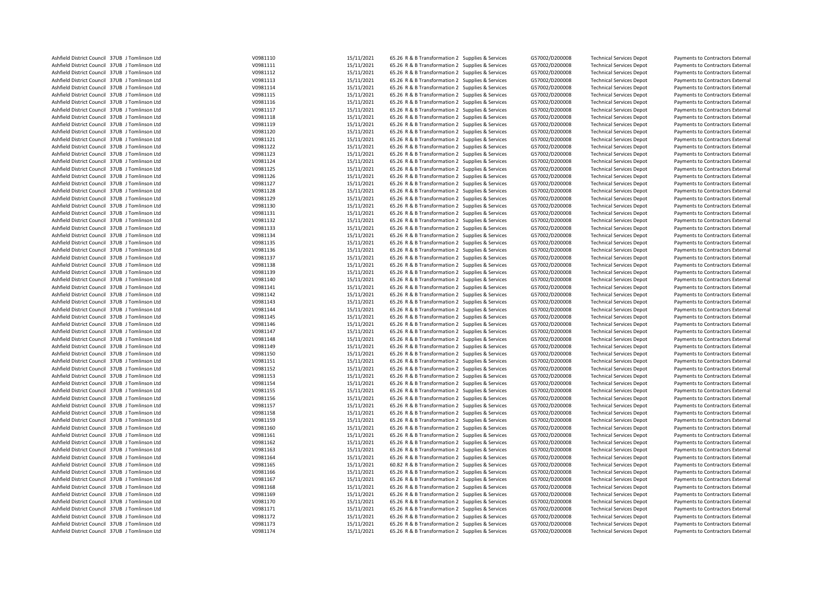| Ashfield District Council 37UB J Tomlinson Ltd | V0981110 | 15/11/2021 | 65.26 R & B Transformation 2 Supplies & Services | G57002/D200008 | <b>Technical Services Depot</b> | Payments to Contractors External |
|------------------------------------------------|----------|------------|--------------------------------------------------|----------------|---------------------------------|----------------------------------|
| Ashfield District Council 37UB J Tomlinson Ltd | V0981111 | 15/11/2021 | 65.26 R & B Transformation 2 Supplies & Services | G57002/D200008 | <b>Technical Services Depot</b> | Payments to Contractors External |
| Ashfield District Council 37UB J Tomlinson Ltd | V0981112 | 15/11/2021 | 65.26 R & B Transformation 2 Supplies & Services | G57002/D200008 | <b>Technical Services Depot</b> | Payments to Contractors External |
| Ashfield District Council 37UB J Tomlinson Ltd | V0981113 | 15/11/2021 | 65.26 R & B Transformation 2 Supplies & Services | G57002/D200008 | <b>Technical Services Depot</b> | Payments to Contractors External |
| Ashfield District Council 37UB J Tomlinson Ltd | V0981114 | 15/11/2021 | 65.26 R & B Transformation 2 Supplies & Services | G57002/D200008 | <b>Technical Services Depot</b> | Payments to Contractors External |
| Ashfield District Council 37UB J Tomlinson Ltd | V0981115 | 15/11/2021 | 65.26 R & B Transformation 2 Supplies & Services | G57002/D200008 | <b>Technical Services Depot</b> | Payments to Contractors External |
| Ashfield District Council 37UB J Tomlinson Ltd | V0981116 | 15/11/2021 | 65.26 R & B Transformation 2 Supplies & Services | G57002/D200008 | <b>Technical Services Depot</b> | Payments to Contractors External |
| Ashfield District Council 37UB J Tomlinson Ltd | V0981117 | 15/11/2021 | 65.26 R & B Transformation 2 Supplies & Services | G57002/D200008 | <b>Technical Services Depot</b> | Payments to Contractors External |
| Ashfield District Council 37UB J Tomlinson Ltd | V0981118 | 15/11/2021 | 65.26 R & B Transformation 2 Supplies & Services | G57002/D200008 | <b>Technical Services Depot</b> | Payments to Contractors External |
| Ashfield District Council 37UB J Tomlinson Ltd | V0981119 | 15/11/2021 | 65.26 R & B Transformation 2 Supplies & Services | G57002/D200008 | <b>Technical Services Depot</b> | Payments to Contractors External |
| Ashfield District Council 37UB J Tomlinson Ltd | V0981120 | 15/11/2021 | 65.26 R & B Transformation 2 Supplies & Services | G57002/D200008 | <b>Technical Services Depot</b> | Payments to Contractors External |
| Ashfield District Council 37UB J Tomlinson Ltd | V0981121 | 15/11/2021 | 65.26 R & B Transformation 2 Supplies & Services | G57002/D200008 | <b>Technical Services Depot</b> | Payments to Contractors External |
| Ashfield District Council 37UB J Tomlinson Ltd | V0981122 | 15/11/2021 | 65.26 R & B Transformation 2 Supplies & Services | G57002/D200008 | <b>Technical Services Depot</b> | Payments to Contractors External |
| Ashfield District Council 37UB J Tomlinson Ltd | V0981123 | 15/11/2021 | 65.26 R & B Transformation 2 Supplies & Services | G57002/D200008 | <b>Technical Services Depot</b> | Payments to Contractors External |
| Ashfield District Council 37UB J Tomlinson Ltd | V0981124 | 15/11/2021 | 65.26 R & B Transformation 2 Supplies & Services | G57002/D200008 | <b>Technical Services Depot</b> | Payments to Contractors External |
| Ashfield District Council 37UB J Tomlinson Ltd | V0981125 | 15/11/2021 | 65.26 R & B Transformation 2 Supplies & Services | G57002/D200008 | <b>Technical Services Depot</b> | Payments to Contractors External |
| Ashfield District Council 37UB J Tomlinson Ltd | V0981126 | 15/11/2021 | 65.26 R & B Transformation 2 Supplies & Services | G57002/D200008 | <b>Technical Services Depot</b> | Payments to Contractors External |
| Ashfield District Council 37UB J Tomlinson Ltd | V0981127 | 15/11/2021 | 65.26 R & B Transformation 2 Supplies & Services | G57002/D200008 | <b>Technical Services Depot</b> | Payments to Contractors External |
| Ashfield District Council 37UB J Tomlinson Ltd | V0981128 | 15/11/2021 | 65.26 R & B Transformation 2 Supplies & Services | G57002/D200008 | <b>Technical Services Depot</b> | Payments to Contractors External |
| Ashfield District Council 37UB J Tomlinson Ltd | V0981129 | 15/11/2021 | 65.26 R & B Transformation 2 Supplies & Services | G57002/D200008 | <b>Technical Services Depot</b> | Payments to Contractors External |
| Ashfield District Council 37UB J Tomlinson Ltd | V0981130 | 15/11/2021 | 65.26 R & B Transformation 2 Supplies & Services | G57002/D200008 | <b>Technical Services Depot</b> | Payments to Contractors External |
| Ashfield District Council 37UB J Tomlinson Ltd | V0981131 | 15/11/2021 | 65.26 R & B Transformation 2 Supplies & Services | G57002/D200008 | <b>Technical Services Depot</b> | Payments to Contractors External |
| Ashfield District Council 37UB J Tomlinson Ltd | V0981132 | 15/11/2021 | 65.26 R & B Transformation 2 Supplies & Services | G57002/D200008 | <b>Technical Services Depot</b> | Payments to Contractors External |
| Ashfield District Council 37UB J Tomlinson Ltd | V0981133 | 15/11/2021 | 65.26 R & B Transformation 2 Supplies & Services | G57002/D200008 | <b>Technical Services Depot</b> | Payments to Contractors External |
| Ashfield District Council 37UB J Tomlinson Ltd | V0981134 | 15/11/2021 | 65.26 R & B Transformation 2 Supplies & Services | G57002/D200008 | <b>Technical Services Depot</b> | Payments to Contractors External |
| Ashfield District Council 37UB J Tomlinson Ltd | V0981135 | 15/11/2021 | 65.26 R & B Transformation 2 Supplies & Services | G57002/D200008 | <b>Technical Services Depot</b> | Payments to Contractors External |
| Ashfield District Council 37UB J Tomlinson Ltd | V0981136 | 15/11/2021 | 65.26 R & B Transformation 2 Supplies & Services | G57002/D200008 | <b>Technical Services Depot</b> | Payments to Contractors External |
| Ashfield District Council 37UB J Tomlinson Ltd | V0981137 | 15/11/2021 | 65.26 R & B Transformation 2 Supplies & Services | G57002/D200008 | <b>Technical Services Depot</b> | Payments to Contractors External |
| Ashfield District Council 37UB J Tomlinson Ltd | V0981138 | 15/11/2021 | 65.26 R & B Transformation 2 Supplies & Services | G57002/D200008 | <b>Technical Services Depot</b> | Payments to Contractors External |
| Ashfield District Council 37UB J Tomlinson Ltd | V0981139 | 15/11/2021 | 65.26 R & B Transformation 2 Supplies & Services | G57002/D200008 | <b>Technical Services Depot</b> | Payments to Contractors External |
| Ashfield District Council 37UB J Tomlinson Ltd | V0981140 | 15/11/2021 | 65.26 R & B Transformation 2 Supplies & Services | G57002/D200008 | <b>Technical Services Depot</b> | Payments to Contractors External |
| Ashfield District Council 37UB J Tomlinson Ltd | V0981141 | 15/11/2021 | 65.26 R & B Transformation 2 Supplies & Services | G57002/D200008 | <b>Technical Services Depot</b> | Payments to Contractors External |
| Ashfield District Council 37UB J Tomlinson Ltd | V0981142 | 15/11/2021 | 65.26 R & B Transformation 2 Supplies & Services | G57002/D200008 | <b>Technical Services Depot</b> | Payments to Contractors External |
| Ashfield District Council 37UB J Tomlinson Ltd | V0981143 | 15/11/2021 | 65.26 R & B Transformation 2 Supplies & Services | G57002/D200008 | <b>Technical Services Depot</b> | Payments to Contractors External |
| Ashfield District Council 37UB J Tomlinson Ltd | V0981144 | 15/11/2021 | 65.26 R & B Transformation 2 Supplies & Services | G57002/D200008 | <b>Technical Services Depot</b> | Payments to Contractors External |
| Ashfield District Council 37UB J Tomlinson Ltd | V0981145 | 15/11/2021 | 65.26 R & B Transformation 2 Supplies & Services | G57002/D200008 | <b>Technical Services Depot</b> | Payments to Contractors External |
| Ashfield District Council 37UB J Tomlinson Ltd | V0981146 | 15/11/2021 | 65.26 R & B Transformation 2 Supplies & Services | G57002/D200008 | <b>Technical Services Depot</b> | Payments to Contractors External |
| Ashfield District Council 37UB J Tomlinson Ltd | V0981147 | 15/11/2021 | 65.26 R & B Transformation 2 Supplies & Services | G57002/D200008 | <b>Technical Services Depot</b> | Payments to Contractors External |
| Ashfield District Council 37UB J Tomlinson Ltd | V0981148 | 15/11/2021 | 65.26 R & B Transformation 2 Supplies & Services | G57002/D200008 | <b>Technical Services Depot</b> | Payments to Contractors External |
| Ashfield District Council 37UB J Tomlinson Ltd | V0981149 | 15/11/2021 | 65.26 R & B Transformation 2 Supplies & Services | G57002/D200008 | <b>Technical Services Depot</b> | Payments to Contractors External |
| Ashfield District Council 37UB J Tomlinson Ltd | V0981150 | 15/11/2021 | 65.26 R & B Transformation 2 Supplies & Services | G57002/D200008 | <b>Technical Services Depot</b> | Payments to Contractors External |
| Ashfield District Council 37UB J Tomlinson Ltd | V0981151 | 15/11/2021 | 65.26 R & B Transformation 2 Supplies & Services | G57002/D200008 | <b>Technical Services Depot</b> | Payments to Contractors External |
| Ashfield District Council 37UB J Tomlinson Ltd | V0981152 | 15/11/2021 | 65.26 R & B Transformation 2 Supplies & Services | G57002/D200008 | <b>Technical Services Depot</b> | Payments to Contractors External |
| Ashfield District Council 37UB J Tomlinson Ltd | V0981153 | 15/11/2021 | 65.26 R & B Transformation 2 Supplies & Services | G57002/D200008 | <b>Technical Services Depot</b> | Payments to Contractors External |
| Ashfield District Council 37UB J Tomlinson Ltd | V0981154 | 15/11/2021 | 65.26 R & B Transformation 2 Supplies & Services | G57002/D200008 | <b>Technical Services Depot</b> | Payments to Contractors External |
| Ashfield District Council 37UB J Tomlinson Ltd | V0981155 | 15/11/2021 | 65.26 R & B Transformation 2 Supplies & Services | G57002/D200008 | <b>Technical Services Depot</b> | Payments to Contractors External |
| Ashfield District Council 37UB J Tomlinson Ltd | V0981156 | 15/11/2021 | 65.26 R & B Transformation 2 Supplies & Services | G57002/D200008 | <b>Technical Services Depot</b> | Payments to Contractors External |
| Ashfield District Council 37UB J Tomlinson Ltd | V0981157 | 15/11/2021 | 65.26 R & B Transformation 2 Supplies & Services | G57002/D200008 | <b>Technical Services Depot</b> | Payments to Contractors External |
| Ashfield District Council 37UB J Tomlinson Ltd | V0981158 | 15/11/2021 | 65.26 R & B Transformation 2 Supplies & Services | G57002/D200008 | <b>Technical Services Depot</b> | Payments to Contractors External |
| Ashfield District Council 37UB J Tomlinson Ltd | V0981159 | 15/11/2021 | 65.26 R & B Transformation 2 Supplies & Services | G57002/D200008 | <b>Technical Services Depot</b> | Payments to Contractors External |
| Ashfield District Council 37UB J Tomlinson Ltd | V0981160 | 15/11/2021 | 65.26 R & B Transformation 2 Supplies & Services | G57002/D200008 | <b>Technical Services Depot</b> | Payments to Contractors External |
| Ashfield District Council 37UB J Tomlinson Ltd | V0981161 | 15/11/2021 | 65.26 R & B Transformation 2 Supplies & Services | G57002/D200008 | <b>Technical Services Depot</b> | Payments to Contractors External |
| Ashfield District Council 37UB J Tomlinson Ltd | V0981162 | 15/11/2021 | 65.26 R & B Transformation 2 Supplies & Services | G57002/D200008 | <b>Technical Services Depot</b> | Payments to Contractors External |
| Ashfield District Council 37UB J Tomlinson Ltd | V0981163 | 15/11/2021 | 65.26 R & B Transformation 2 Supplies & Services | G57002/D200008 | <b>Technical Services Depot</b> | Payments to Contractors External |
| Ashfield District Council 37UB J Tomlinson Ltd | V0981164 | 15/11/2021 | 65.26 R & B Transformation 2 Supplies & Services | G57002/D200008 | <b>Technical Services Depot</b> | Payments to Contractors External |
| Ashfield District Council 37UB J Tomlinson Ltd | V0981165 | 15/11/2021 | 60.82 R & B Transformation 2 Supplies & Services | G57002/D200008 | <b>Technical Services Depot</b> | Payments to Contractors External |
| Ashfield District Council 37UB J Tomlinson Ltd | V0981166 | 15/11/2021 | 65.26 R & B Transformation 2 Supplies & Services | G57002/D200008 | <b>Technical Services Depot</b> | Payments to Contractors External |
| Ashfield District Council 37UB J Tomlinson Ltd | V0981167 | 15/11/2021 | 65.26 R & B Transformation 2 Supplies & Services | G57002/D200008 | <b>Technical Services Depot</b> | Payments to Contractors External |
| Ashfield District Council 37UB J Tomlinson Ltd | V0981168 | 15/11/2021 | 65.26 R & B Transformation 2 Supplies & Services | G57002/D200008 | <b>Technical Services Depot</b> | Payments to Contractors External |
| Ashfield District Council 37UB J Tomlinson Ltd | V0981169 | 15/11/2021 | 65.26 R & B Transformation 2 Supplies & Services | G57002/D200008 | <b>Technical Services Depot</b> | Payments to Contractors External |
| Ashfield District Council 37UB J Tomlinson Ltd | V0981170 | 15/11/2021 | 65.26 R & B Transformation 2 Supplies & Services | G57002/D200008 | <b>Technical Services Depot</b> | Payments to Contractors External |
| Ashfield District Council 37UB J Tomlinson Ltd | V0981171 | 15/11/2021 | 65.26 R & B Transformation 2 Supplies & Services | G57002/D200008 | <b>Technical Services Depot</b> | Payments to Contractors External |
| Ashfield District Council 37UB J Tomlinson Ltd | V0981172 | 15/11/2021 | 65.26 R & B Transformation 2 Supplies & Services | G57002/D200008 | <b>Technical Services Depot</b> | Payments to Contractors External |
| Ashfield District Council 37UB J Tomlinson Ltd | V0981173 | 15/11/2021 | 65.26 R & B Transformation 2 Supplies & Services | G57002/D200008 | <b>Technical Services Depot</b> | Payments to Contractors External |
| Ashfield District Council 37UB J Tomlinson Ltd | V0981174 | 15/11/2021 | 65.26 R & B Transformation 2 Supplies & Services | G57002/D200008 | <b>Technical Services Depot</b> | Payments to Contractors External |
|                                                |          |            |                                                  |                |                                 |                                  |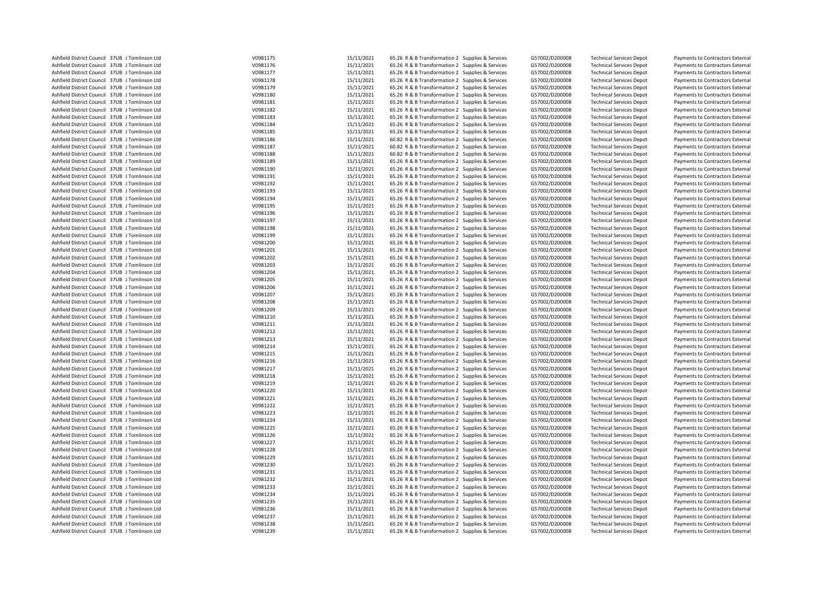| Ashfield District Council 37UB J Tomlinson Ltd | V0981175             | 15/11/2021 | 65.26 R & B Transformation 2 Supplies & Services | G57002/D200008 | <b>Technical Services Depot</b> | Payments to Contractors External |
|------------------------------------------------|----------------------|------------|--------------------------------------------------|----------------|---------------------------------|----------------------------------|
| Ashfield District Council 37UB J Tomlinson Ltd | V0981176             | 15/11/2021 | 65.26 R & B Transformation 2 Supplies & Services | G57002/D200008 | <b>Technical Services Depot</b> | Payments to Contractors External |
| Ashfield District Council 37UB J Tomlinson Ltd | V0981177             | 15/11/2021 | 65.26 R & B Transformation 2 Supplies & Services | G57002/D200008 | <b>Technical Services Depot</b> | Payments to Contractors External |
| Ashfield District Council 37UB J Tomlinson Ltd | V0981178             | 15/11/2021 | 65.26 R & B Transformation 2 Supplies & Services | G57002/D200008 | <b>Technical Services Depot</b> | Payments to Contractors External |
| Ashfield District Council 37UB J Tomlinson Ltd | V0981179             | 15/11/2021 | 65.26 R & B Transformation 2 Supplies & Services | G57002/D200008 | <b>Technical Services Depot</b> | Payments to Contractors External |
| Ashfield District Council 37UB J Tomlinson Ltd | V0981180             | 15/11/2021 | 65.26 R & B Transformation 2 Supplies & Services | G57002/D200008 | <b>Technical Services Depot</b> | Payments to Contractors External |
| Ashfield District Council 37UB J Tomlinson Ltd | V0981181             | 15/11/2021 | 65.26 R & B Transformation 2 Supplies & Services | G57002/D200008 | <b>Technical Services Depot</b> | Payments to Contractors External |
| Ashfield District Council 37UB J Tomlinson Ltd | V0981182             | 15/11/2021 | 65.26 R & B Transformation 2 Supplies & Services | G57002/D200008 | <b>Technical Services Depot</b> | Payments to Contractors External |
| Ashfield District Council 37UB J Tomlinson Ltd | V0981183             | 15/11/2021 | 65.26 R & B Transformation 2 Supplies & Services | G57002/D200008 | <b>Technical Services Depot</b> | Payments to Contractors External |
| Ashfield District Council 37UB J Tomlinson Ltd | V0981184             | 15/11/2021 | 65.26 R & B Transformation 2 Supplies & Services | G57002/D200008 | <b>Technical Services Depot</b> | Payments to Contractors External |
| Ashfield District Council 37UB J Tomlinson Ltd | V0981185             | 15/11/2021 | 65.26 R & B Transformation 2 Supplies & Services | G57002/D200008 | <b>Technical Services Depot</b> | Payments to Contractors External |
| Ashfield District Council 37UB J Tomlinson Ltd | V0981186             | 15/11/2021 | 60.82 R & B Transformation 2 Supplies & Services | G57002/D200008 | <b>Technical Services Depot</b> | Payments to Contractors External |
| Ashfield District Council 37UB J Tomlinson Ltd | V0981187             | 15/11/2021 | 60.82 R & B Transformation 2 Supplies & Services | G57002/D200008 | <b>Technical Services Depot</b> | Payments to Contractors External |
|                                                |                      |            |                                                  |                |                                 |                                  |
| Ashfield District Council 37UB J Tomlinson Ltd | V0981188             | 15/11/2021 | 60.82 R & B Transformation 2 Supplies & Services | G57002/D200008 | <b>Technical Services Depot</b> | Payments to Contractors External |
| Ashfield District Council 37UB J Tomlinson Ltd | V0981189             | 15/11/2021 | 65.26 R & B Transformation 2 Supplies & Services | G57002/D200008 | <b>Technical Services Depot</b> | Payments to Contractors External |
| Ashfield District Council 37UB J Tomlinson Ltd | V0981190             | 15/11/2021 | 65.26 R & B Transformation 2 Supplies & Services | G57002/D200008 | <b>Technical Services Depot</b> | Payments to Contractors External |
| Ashfield District Council 37UB J Tomlinson Ltd | V0981191             | 15/11/2021 | 65.26 R & B Transformation 2 Supplies & Services | G57002/D200008 | <b>Technical Services Depot</b> | Payments to Contractors External |
| Ashfield District Council 37UB J Tomlinson Ltd | V0981192             | 15/11/2021 | 65.26 R & B Transformation 2 Supplies & Services | G57002/D200008 | <b>Technical Services Depot</b> | Payments to Contractors External |
| Ashfield District Council 37UB J Tomlinson Ltd | V0981193             | 15/11/2021 | 65.26 R & B Transformation 2 Supplies & Services | G57002/D200008 | <b>Technical Services Depot</b> | Payments to Contractors External |
| Ashfield District Council 37UB J Tomlinson Ltd | V0981194             | 15/11/2021 | 65.26 R & B Transformation 2 Supplies & Services | G57002/D200008 | <b>Technical Services Depot</b> | Payments to Contractors External |
| Ashfield District Council 37UB J Tomlinson Ltd | V0981195             | 15/11/2021 | 65.26 R & B Transformation 2 Supplies & Services | G57002/D200008 | <b>Technical Services Depot</b> | Payments to Contractors External |
| Ashfield District Council 37UB J Tomlinson Ltd | V0981196             | 15/11/2021 | 65.26 R & B Transformation 2 Supplies & Services | G57002/D200008 | <b>Technical Services Depot</b> | Payments to Contractors External |
| Ashfield District Council 37UB J Tomlinson Ltd | V0981197             | 15/11/2021 | 65.26 R & B Transformation 2 Supplies & Services | G57002/D200008 | <b>Technical Services Depot</b> | Payments to Contractors External |
| Ashfield District Council 37UB J Tomlinson Ltd | V0981198             | 15/11/2021 | 65.26 R & B Transformation 2 Supplies & Services | G57002/D200008 | <b>Technical Services Depot</b> | Payments to Contractors External |
| Ashfield District Council 37UB J Tomlinson Ltd | V0981199             | 15/11/2021 | 65.26 R & B Transformation 2 Supplies & Services | G57002/D200008 | <b>Technical Services Depot</b> | Payments to Contractors External |
| Ashfield District Council 37UB J Tomlinson Ltd | V0981200             | 15/11/2021 | 65.26 R & B Transformation 2 Supplies & Services | G57002/D200008 | <b>Technical Services Depot</b> | Payments to Contractors External |
| Ashfield District Council 37UB J Tomlinson Ltd | V0981201             | 15/11/2021 | 65.26 R & B Transformation 2 Supplies & Services | G57002/D200008 | <b>Technical Services Depot</b> | Payments to Contractors External |
| Ashfield District Council 37UB J Tomlinson Ltd | V0981202             | 15/11/2021 | 65.26 R & B Transformation 2 Supplies & Services | G57002/D200008 | <b>Technical Services Depot</b> | Payments to Contractors External |
| Ashfield District Council 37UB J Tomlinson Ltd | V0981203             | 15/11/2021 | 65.26 R & B Transformation 2 Supplies & Services | G57002/D200008 | <b>Technical Services Depot</b> | Payments to Contractors External |
| Ashfield District Council 37UB J Tomlinson Ltd | V0981204             | 15/11/2021 | 65.26 R & B Transformation 2 Supplies & Services | G57002/D200008 | <b>Technical Services Depot</b> | Payments to Contractors External |
| Ashfield District Council 37UB J Tomlinson Ltd | V0981205             | 15/11/2021 | 65.26 R & B Transformation 2 Supplies & Services | G57002/D200008 | <b>Technical Services Depot</b> | Payments to Contractors External |
| Ashfield District Council 37UB J Tomlinson Ltd | V0981206             | 15/11/2021 | 65.26 R & B Transformation 2 Supplies & Services | G57002/D200008 | <b>Technical Services Depot</b> | Payments to Contractors External |
| Ashfield District Council 37UB J Tomlinson Ltd | V0981207             | 15/11/2021 | 65.26 R & B Transformation 2 Supplies & Services | G57002/D200008 | <b>Technical Services Depot</b> | Payments to Contractors External |
| Ashfield District Council 37UB J Tomlinson Ltd | V0981208             | 15/11/2021 | 65.26 R & B Transformation 2 Supplies & Services | G57002/D200008 | <b>Technical Services Depot</b> | Payments to Contractors External |
| Ashfield District Council 37UB J Tomlinson Ltd | V0981209             | 15/11/2021 | 65.26 R & B Transformation 2 Supplies & Services | G57002/D200008 | <b>Technical Services Depot</b> | Payments to Contractors External |
| Ashfield District Council 37UB J Tomlinson Ltd | V0981210             | 15/11/2021 | 65.26 R & B Transformation 2 Supplies & Services | G57002/D200008 | <b>Technical Services Depot</b> | Payments to Contractors External |
| Ashfield District Council 37UB J Tomlinson Ltd | V0981211             | 15/11/2021 | 65.26 R & B Transformation 2 Supplies & Services | G57002/D200008 | <b>Technical Services Depot</b> | Payments to Contractors External |
| Ashfield District Council 37UB J Tomlinson Ltd | V0981212             | 15/11/2021 | 65.26 R & B Transformation 2 Supplies & Services | G57002/D200008 | <b>Technical Services Depot</b> | Payments to Contractors External |
| Ashfield District Council 37UB J Tomlinson Ltd | V0981213             | 15/11/2021 | 65.26 R & B Transformation 2 Supplies & Services | G57002/D200008 | <b>Technical Services Depot</b> | Payments to Contractors External |
| Ashfield District Council 37UB J Tomlinson Ltd | V0981214             | 15/11/2021 | 65.26 R & B Transformation 2 Supplies & Services | G57002/D200008 | <b>Technical Services Depot</b> | Payments to Contractors External |
| Ashfield District Council 37UB J Tomlinson Ltd | V0981215             | 15/11/2021 | 65.26 R & B Transformation 2 Supplies & Services | G57002/D200008 | <b>Technical Services Depot</b> | Payments to Contractors External |
| Ashfield District Council 37UB J Tomlinson Ltd | V0981216             | 15/11/2021 | 65.26 R & B Transformation 2 Supplies & Services | G57002/D200008 | <b>Technical Services Depot</b> | Payments to Contractors External |
| Ashfield District Council 37UB J Tomlinson Ltd | V0981217             | 15/11/2021 | 65.26 R & B Transformation 2 Supplies & Services | G57002/D200008 | <b>Technical Services Depot</b> | Payments to Contractors External |
|                                                |                      |            |                                                  |                |                                 |                                  |
| Ashfield District Council 37UB J Tomlinson Ltd | V0981218<br>V0981219 | 15/11/2021 | 65.26 R & B Transformation 2 Supplies & Services | G57002/D200008 | <b>Technical Services Depot</b> | Payments to Contractors External |
| Ashfield District Council 37UB J Tomlinson Ltd |                      | 15/11/2021 | 65.26 R & B Transformation 2 Supplies & Services | G57002/D200008 | <b>Technical Services Depot</b> | Payments to Contractors External |
| Ashfield District Council 37UB J Tomlinson Ltd | V0981220             | 15/11/2021 | 65.26 R & B Transformation 2 Supplies & Services | G57002/D200008 | <b>Technical Services Depot</b> | Payments to Contractors External |
| Ashfield District Council 37UB J Tomlinson Ltd | V0981221             | 15/11/2021 | 65.26 R & B Transformation 2 Supplies & Services | G57002/D200008 | <b>Technical Services Depot</b> | Payments to Contractors External |
| Ashfield District Council 37UB J Tomlinson Ltd | V0981222             | 15/11/2021 | 65.26 R & B Transformation 2 Supplies & Services | G57002/D200008 | <b>Technical Services Depot</b> | Payments to Contractors External |
| Ashfield District Council 37UB J Tomlinson Ltd | V0981223             | 15/11/2021 | 65.26 R & B Transformation 2 Supplies & Services | G57002/D200008 | <b>Technical Services Depot</b> | Payments to Contractors External |
| Ashfield District Council 37UB J Tomlinson Ltd | V0981224             | 15/11/2021 | 65.26 R & B Transformation 2 Supplies & Services | G57002/D200008 | <b>Technical Services Depot</b> | Payments to Contractors External |
| Ashfield District Council 37UB J Tomlinson Ltd | V0981225             | 15/11/2021 | 65.26 R & B Transformation 2 Supplies & Services | G57002/D200008 | <b>Technical Services Depot</b> | Payments to Contractors External |
| Ashfield District Council 37UB J Tomlinson Ltd | V0981226             | 15/11/2021 | 65.26 R & B Transformation 2 Supplies & Services | G57002/D200008 | <b>Technical Services Depot</b> | Payments to Contractors External |
| Ashfield District Council 37UB J Tomlinson Ltd | V0981227             | 15/11/2021 | 65.26 R & B Transformation 2 Supplies & Services | G57002/D200008 | <b>Technical Services Depot</b> | Payments to Contractors External |
| Ashfield District Council 37UB J Tomlinson Ltd | V0981228             | 15/11/2021 | 65.26 R & B Transformation 2 Supplies & Services | G57002/D200008 | <b>Technical Services Depot</b> | Payments to Contractors External |
| Ashfield District Council 37UB J Tomlinson Ltd | V0981229             | 15/11/2021 | 65.26 R & B Transformation 2 Supplies & Services | G57002/D200008 | <b>Technical Services Depot</b> | Payments to Contractors External |
| Ashfield District Council 37UB J Tomlinson Ltd | V0981230             | 15/11/2021 | 65.26 R & B Transformation 2 Supplies & Services | G57002/D200008 | <b>Technical Services Depot</b> | Payments to Contractors External |
| Ashfield District Council 37UB J Tomlinson Ltd | V0981231             | 15/11/2021 | 65.26 R & B Transformation 2 Supplies & Services | G57002/D200008 | <b>Technical Services Depot</b> | Payments to Contractors External |
| Ashfield District Council 37UB J Tomlinson Ltd | V0981232             | 15/11/2021 | 65.26 R & B Transformation 2 Supplies & Services | G57002/D200008 | <b>Technical Services Depot</b> | Payments to Contractors External |
| Ashfield District Council 37UB J Tomlinson Ltd | V0981233             | 15/11/2021 | 65.26 R & B Transformation 2 Supplies & Services | G57002/D200008 | <b>Technical Services Depot</b> | Payments to Contractors External |
| Ashfield District Council 37UB J Tomlinson Ltd | V0981234             | 15/11/2021 | 65.26 R & B Transformation 2 Supplies & Services | G57002/D200008 | <b>Technical Services Depot</b> | Payments to Contractors External |
| Ashfield District Council 37UB J Tomlinson Ltd | V0981235             | 15/11/2021 | 65.26 R & B Transformation 2 Supplies & Services | G57002/D200008 | <b>Technical Services Depot</b> | Payments to Contractors External |
| Ashfield District Council 37UB J Tomlinson Ltd | V0981236             | 15/11/2021 | 65.26 R & B Transformation 2 Supplies & Services | G57002/D200008 | <b>Technical Services Depot</b> | Payments to Contractors External |
| Ashfield District Council 37UB J Tomlinson Ltd | V0981237             | 15/11/2021 | 65.26 R & B Transformation 2 Supplies & Services | G57002/D200008 | <b>Technical Services Depot</b> | Payments to Contractors External |
| Ashfield District Council 37UB J Tomlinson Ltd | V0981238             | 15/11/2021 | 65.26 R & B Transformation 2 Supplies & Services | G57002/D200008 | <b>Technical Services Depot</b> | Payments to Contractors External |
| Ashfield District Council 37UB J Tomlinson Ltd | V0981239             | 15/11/2021 | 65.26 R & B Transformation 2 Supplies & Services | G57002/D200008 | <b>Technical Services Depot</b> | Payments to Contractors External |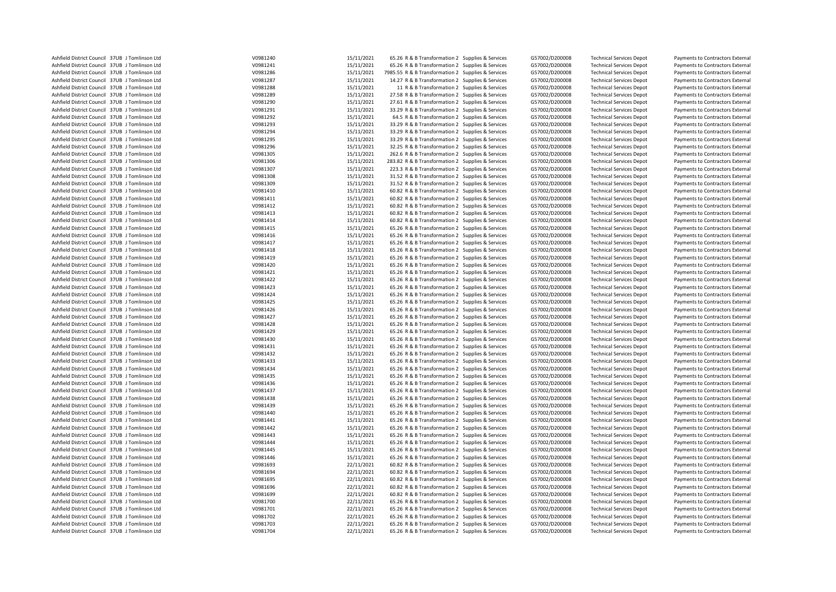| Ashfield District Council 37UB J Tomlinson Ltd                                                   | V0981240             | 15/11/2021               | 65.26 R & B Transformation 2 Supplies & Services                                                     | G57002/D200008                   | <b>Technical Services Depot</b>                                    | Payments to Contractors External |
|--------------------------------------------------------------------------------------------------|----------------------|--------------------------|------------------------------------------------------------------------------------------------------|----------------------------------|--------------------------------------------------------------------|----------------------------------|
| Ashfield District Council 37UB J Tomlinson Ltd                                                   | V0981241             | 15/11/2021               | 65.26 R & B Transformation 2 Supplies & Services                                                     | G57002/D200008                   | <b>Technical Services Depot</b>                                    | Payments to Contractors External |
| Ashfield District Council 37UB J Tomlinson Ltd                                                   | V0981286             | 15/11/2021               | 7985.55 R & B Transformation 2 Supplies & Services                                                   | G57002/D200008                   | <b>Technical Services Depot</b>                                    | Payments to Contractors External |
| Ashfield District Council 37UB J Tomlinson Ltd                                                   | V0981287             | 15/11/2021               | 14.27 R & B Transformation 2 Supplies & Services                                                     | G57002/D200008                   | <b>Technical Services Depot</b>                                    | Payments to Contractors External |
| Ashfield District Council 37UB J Tomlinson Ltd                                                   | V0981288             | 15/11/2021               | 11 R & B Transformation 2 Supplies & Services                                                        | G57002/D200008                   | <b>Technical Services Depot</b>                                    | Payments to Contractors External |
| Ashfield District Council 37UB J Tomlinson Ltd                                                   | V0981289             | 15/11/2021               | 27.58 R & B Transformation 2 Supplies & Services                                                     | G57002/D200008                   | <b>Technical Services Depot</b>                                    | Payments to Contractors External |
| Ashfield District Council 37UB J Tomlinson Ltd                                                   | V0981290             | 15/11/2021               | 27.61 R & B Transformation 2 Supplies & Services                                                     | G57002/D200008                   | <b>Technical Services Depot</b>                                    | Payments to Contractors External |
| Ashfield District Council 37UB J Tomlinson Ltd                                                   | V0981291             | 15/11/2021               | 33.29 R & B Transformation 2 Supplies & Services                                                     | G57002/D200008                   | <b>Technical Services Depot</b>                                    | Payments to Contractors External |
| Ashfield District Council 37UB J Tomlinson Ltd                                                   | V0981292             | 15/11/2021               | 64.5 R & B Transformation 2 Supplies & Services                                                      | G57002/D200008                   | <b>Technical Services Depot</b>                                    | Payments to Contractors External |
| Ashfield District Council 37UB J Tomlinson Ltd                                                   | V0981293             | 15/11/2021               | 33.29 R & B Transformation 2 Supplies & Services                                                     | G57002/D200008                   | <b>Technical Services Depot</b>                                    | Payments to Contractors External |
| Ashfield District Council 37UB J Tomlinson Ltd                                                   | V0981294             | 15/11/2021               | 33.29 R & B Transformation 2 Supplies & Services                                                     | G57002/D200008                   | <b>Technical Services Depot</b>                                    | Payments to Contractors External |
| Ashfield District Council 37UB J Tomlinson Ltd                                                   | V0981295             | 15/11/2021               | 33.29 R & B Transformation 2 Supplies & Services                                                     | G57002/D200008                   | <b>Technical Services Depot</b>                                    | Payments to Contractors External |
| Ashfield District Council 37UB J Tomlinson Ltd                                                   | V0981296             | 15/11/2021               | 32.25 R & B Transformation 2 Supplies & Services                                                     | G57002/D200008                   | <b>Technical Services Depot</b>                                    | Payments to Contractors External |
| Ashfield District Council 37UB J Tomlinson Ltd                                                   | V0981305             | 15/11/2021               | 262.6 R & B Transformation 2 Supplies & Services                                                     | G57002/D200008                   | <b>Technical Services Depot</b>                                    | Payments to Contractors External |
| Ashfield District Council 37UB J Tomlinson Ltd                                                   | V0981306             | 15/11/2021               | 283.82 R & B Transformation 2 Supplies & Services                                                    | G57002/D200008                   | <b>Technical Services Depot</b>                                    | Payments to Contractors External |
| Ashfield District Council 37UB J Tomlinson Ltd                                                   | V0981307             | 15/11/2021               | 223.3 R & B Transformation 2 Supplies & Services                                                     | G57002/D200008                   | <b>Technical Services Depot</b>                                    | Payments to Contractors External |
| Ashfield District Council 37UB J Tomlinson Ltd                                                   | V0981308             | 15/11/2021               | 31.52 R & B Transformation 2 Supplies & Services                                                     | G57002/D200008                   | <b>Technical Services Depot</b>                                    | Payments to Contractors External |
| Ashfield District Council 37UB J Tomlinson Ltd                                                   | V0981309             | 15/11/2021               | 31.52 R & B Transformation 2 Supplies & Services                                                     | G57002/D200008                   | <b>Technical Services Depot</b>                                    | Payments to Contractors External |
| Ashfield District Council 37UB J Tomlinson Ltd                                                   | V0981410             | 15/11/2021               | 60.82 R & B Transformation 2 Supplies & Services                                                     | G57002/D200008                   | <b>Technical Services Depot</b>                                    | Payments to Contractors External |
| Ashfield District Council 37UB J Tomlinson Ltd                                                   | V0981411             | 15/11/2021               | 60.82 R & B Transformation 2 Supplies & Services                                                     | G57002/D200008                   | <b>Technical Services Depot</b>                                    | Payments to Contractors External |
| Ashfield District Council 37UB J Tomlinson Ltd                                                   | V0981412             | 15/11/2021               | 60.82 R & B Transformation 2 Supplies & Services                                                     | G57002/D200008                   | <b>Technical Services Depot</b>                                    | Payments to Contractors External |
| Ashfield District Council 37UB J Tomlinson Ltd                                                   | V0981413             | 15/11/2021               | 60.82 R & B Transformation 2 Supplies & Services                                                     | G57002/D200008                   | <b>Technical Services Depot</b>                                    | Payments to Contractors External |
| Ashfield District Council 37UB J Tomlinson Ltd                                                   | V0981414             | 15/11/2021               | 60.82 R & B Transformation 2 Supplies & Services                                                     | G57002/D200008                   | <b>Technical Services Depot</b>                                    | Payments to Contractors External |
| Ashfield District Council 37UB J Tomlinson Ltd                                                   | V0981415             | 15/11/2021               | 65.26 R & B Transformation 2 Supplies & Services                                                     | G57002/D200008                   | <b>Technical Services Depot</b>                                    | Payments to Contractors External |
| Ashfield District Council 37UB J Tomlinson Ltd                                                   | V0981416             | 15/11/2021               | 65.26 R & B Transformation 2 Supplies & Services                                                     | G57002/D200008                   | <b>Technical Services Depot</b>                                    | Payments to Contractors External |
| Ashfield District Council 37UB J Tomlinson Ltd                                                   | V0981417             | 15/11/2021               | 65.26 R & B Transformation 2 Supplies & Services                                                     | G57002/D200008                   | <b>Technical Services Depot</b>                                    | Payments to Contractors External |
| Ashfield District Council 37UB J Tomlinson Ltd                                                   | V0981418             | 15/11/2021               | 65.26 R & B Transformation 2 Supplies & Services                                                     | G57002/D200008                   | <b>Technical Services Depot</b>                                    | Payments to Contractors External |
| Ashfield District Council 37UB J Tomlinson Ltd                                                   | V0981419             | 15/11/2021               | 65.26 R & B Transformation 2 Supplies & Services                                                     | G57002/D200008                   | <b>Technical Services Depot</b>                                    | Payments to Contractors External |
| Ashfield District Council 37UB J Tomlinson Ltd                                                   | V0981420             | 15/11/2021               | 65.26 R & B Transformation 2 Supplies & Services                                                     | G57002/D200008                   | <b>Technical Services Depot</b>                                    | Payments to Contractors External |
| Ashfield District Council 37UB J Tomlinson Ltd                                                   | V0981421             | 15/11/2021               | 65.26 R & B Transformation 2 Supplies & Services                                                     | G57002/D200008                   | <b>Technical Services Depot</b>                                    | Payments to Contractors External |
| Ashfield District Council 37UB J Tomlinson Ltd                                                   | V0981422             | 15/11/2021               | 65.26 R & B Transformation 2 Supplies & Services                                                     | G57002/D200008                   | <b>Technical Services Depot</b>                                    | Payments to Contractors External |
|                                                                                                  | V0981423             | 15/11/2021               | 65.26 R & B Transformation 2 Supplies & Services                                                     | G57002/D200008                   |                                                                    |                                  |
| Ashfield District Council 37UB J Tomlinson Ltd<br>Ashfield District Council 37UB J Tomlinson Ltd | V0981424             |                          |                                                                                                      |                                  | <b>Technical Services Depot</b>                                    | Payments to Contractors External |
|                                                                                                  |                      | 15/11/2021               | 65.26 R & B Transformation 2 Supplies & Services                                                     | G57002/D200008                   | <b>Technical Services Depot</b>                                    | Payments to Contractors External |
| Ashfield District Council 37UB J Tomlinson Ltd<br>Ashfield District Council 37UB J Tomlinson Ltd | V0981425<br>V0981426 | 15/11/2021<br>15/11/2021 | 65.26 R & B Transformation 2 Supplies & Services<br>65.26 R & B Transformation 2 Supplies & Services | G57002/D200008<br>G57002/D200008 | <b>Technical Services Depot</b><br><b>Technical Services Depot</b> | Payments to Contractors External |
|                                                                                                  |                      | 15/11/2021               |                                                                                                      |                                  |                                                                    | Payments to Contractors External |
| Ashfield District Council 37UB J Tomlinson Ltd<br>Ashfield District Council 37UB J Tomlinson Ltd | V0981427<br>V0981428 | 15/11/2021               | 65.26 R & B Transformation 2 Supplies & Services                                                     | G57002/D200008                   | <b>Technical Services Depot</b>                                    | Payments to Contractors External |
|                                                                                                  |                      |                          | 65.26 R & B Transformation 2 Supplies & Services                                                     | G57002/D200008                   | <b>Technical Services Depot</b>                                    | Payments to Contractors External |
| Ashfield District Council 37UB J Tomlinson Ltd                                                   | V0981429             | 15/11/2021               | 65.26 R & B Transformation 2 Supplies & Services                                                     | G57002/D200008                   | <b>Technical Services Depot</b>                                    | Payments to Contractors External |
| Ashfield District Council 37UB J Tomlinson Ltd                                                   | V0981430             | 15/11/2021               | 65.26 R & B Transformation 2 Supplies & Services                                                     | G57002/D200008                   | <b>Technical Services Depot</b>                                    | Payments to Contractors External |
| Ashfield District Council 37UB J Tomlinson Ltd                                                   | V0981431             | 15/11/2021               | 65.26 R & B Transformation 2 Supplies & Services                                                     | G57002/D200008                   | <b>Technical Services Depot</b>                                    | Payments to Contractors External |
| Ashfield District Council 37UB J Tomlinson Ltd                                                   | V0981432             | 15/11/2021               | 65.26 R & B Transformation 2 Supplies & Services                                                     | G57002/D200008                   | <b>Technical Services Depot</b>                                    | Payments to Contractors External |
| Ashfield District Council 37UB J Tomlinson Ltd                                                   | V0981433             | 15/11/2021               | 65.26 R & B Transformation 2 Supplies & Services                                                     | G57002/D200008                   | <b>Technical Services Depot</b>                                    | Payments to Contractors External |
| Ashfield District Council 37UB J Tomlinson Ltd                                                   | V0981434             | 15/11/2021               | 65.26 R & B Transformation 2 Supplies & Services                                                     | G57002/D200008                   | <b>Technical Services Depot</b>                                    | Payments to Contractors External |
| Ashfield District Council 37UB J Tomlinson Ltd                                                   | V0981435             | 15/11/2021               | 65.26 R & B Transformation 2 Supplies & Services                                                     | G57002/D200008                   | <b>Technical Services Depot</b>                                    | Payments to Contractors External |
| Ashfield District Council 37UB J Tomlinson Ltd                                                   | V0981436             | 15/11/2021               | 65.26 R & B Transformation 2 Supplies & Services                                                     | G57002/D200008                   | <b>Technical Services Depot</b>                                    | Payments to Contractors External |
| Ashfield District Council 37UB J Tomlinson Ltd                                                   | V0981437             | 15/11/2021               | 65.26 R & B Transformation 2 Supplies & Services                                                     | G57002/D200008                   | <b>Technical Services Depot</b>                                    | Payments to Contractors External |
| Ashfield District Council 37UB J Tomlinson Ltd                                                   | V0981438             | 15/11/2021               | 65.26 R & B Transformation 2 Supplies & Services                                                     | G57002/D200008                   | <b>Technical Services Depot</b>                                    | Payments to Contractors External |
| Ashfield District Council 37UB J Tomlinson Ltd                                                   | V0981439             | 15/11/2021               | 65.26 R & B Transformation 2 Supplies & Services                                                     | G57002/D200008                   | <b>Technical Services Depot</b>                                    | Payments to Contractors External |
| Ashfield District Council 37UB J Tomlinson Ltd                                                   | V0981440             | 15/11/2021               | 65.26 R & B Transformation 2 Supplies & Services                                                     | G57002/D200008                   | <b>Technical Services Depot</b>                                    | Payments to Contractors External |
| Ashfield District Council 37UB J Tomlinson Ltd                                                   | V0981441             | 15/11/2021               | 65.26 R & B Transformation 2 Supplies & Services                                                     | G57002/D200008                   | <b>Technical Services Depot</b>                                    | Payments to Contractors External |
| Ashfield District Council 37UB J Tomlinson Ltd                                                   | V0981442             | 15/11/2021               | 65.26 R & B Transformation 2 Supplies & Services                                                     | G57002/D200008                   | <b>Technical Services Depot</b>                                    | Payments to Contractors External |
| Ashfield District Council 37UB J Tomlinson Ltd                                                   | V0981443             | 15/11/2021               | 65.26 R & B Transformation 2 Supplies & Services                                                     | G57002/D200008                   | <b>Technical Services Depot</b>                                    | Payments to Contractors External |
| Ashfield District Council 37UB J Tomlinson Ltd                                                   | V0981444             | 15/11/2021               | 65.26 R & B Transformation 2 Supplies & Services                                                     | G57002/D200008                   | <b>Technical Services Depot</b>                                    | Payments to Contractors External |
| Ashfield District Council 37UB J Tomlinson Ltd                                                   | V0981445             | 15/11/2021               | 65.26 R & B Transformation 2 Supplies & Services                                                     | G57002/D200008                   | <b>Technical Services Depot</b>                                    | Payments to Contractors External |
| Ashfield District Council 37UB J Tomlinson Ltd                                                   | V0981446             | 15/11/2021               | 65.26 R & B Transformation 2 Supplies & Services                                                     | G57002/D200008                   | <b>Technical Services Depot</b>                                    | Payments to Contractors External |
| Ashfield District Council 37UB J Tomlinson Ltd                                                   | V0981693             | 22/11/2021               | 60.82 R & B Transformation 2 Supplies & Services                                                     | G57002/D200008                   | <b>Technical Services Depot</b>                                    | Payments to Contractors External |
| Ashfield District Council 37UB J Tomlinson Ltd                                                   | V0981694             | 22/11/2021               | 60.82 R & B Transformation 2 Supplies & Services                                                     | G57002/D200008                   | <b>Technical Services Depot</b>                                    | Payments to Contractors External |
| Ashfield District Council 37UB J Tomlinson Ltd                                                   | V0981695             | 22/11/2021               | 60.82 R & B Transformation 2 Supplies & Services                                                     | G57002/D200008                   | <b>Technical Services Depot</b>                                    | Payments to Contractors External |
| Ashfield District Council 37UB J Tomlinson Ltd                                                   | V0981696             | 22/11/2021               | 60.82 R & B Transformation 2 Supplies & Services                                                     | G57002/D200008                   | <b>Technical Services Depot</b>                                    | Payments to Contractors External |
| Ashfield District Council 37UB J Tomlinson Ltd                                                   | V0981699             | 22/11/2021               | 60.82 R & B Transformation 2 Supplies & Services                                                     | G57002/D200008                   | <b>Technical Services Depot</b>                                    | Payments to Contractors External |
| Ashfield District Council 37UB J Tomlinson Ltd                                                   | V0981700             | 22/11/2021               | 65.26 R & B Transformation 2 Supplies & Services                                                     | G57002/D200008                   | <b>Technical Services Depot</b>                                    | Payments to Contractors External |
| Ashfield District Council 37UB J Tomlinson Ltd                                                   | V0981701             | 22/11/2021               | 65.26 R & B Transformation 2 Supplies & Services                                                     | G57002/D200008                   | <b>Technical Services Depot</b>                                    | Payments to Contractors External |
| Ashfield District Council 37UB J Tomlinson Ltd                                                   | V0981702             | 22/11/2021               | 65.26 R & B Transformation 2 Supplies & Services                                                     | G57002/D200008                   | <b>Technical Services Depot</b>                                    | Payments to Contractors External |
| Ashfield District Council 37UB J Tomlinson Ltd                                                   | V0981703             | 22/11/2021               | 65.26 R & B Transformation 2 Supplies & Services                                                     | G57002/D200008                   | <b>Technical Services Depot</b>                                    | Payments to Contractors External |
| Ashfield District Council 37UB J Tomlinson Ltd                                                   | V0981704             | 22/11/2021               | 65.26 R & B Transformation 2 Supplies & Services                                                     | G57002/D200008                   | <b>Technical Services Depot</b>                                    | Payments to Contractors External |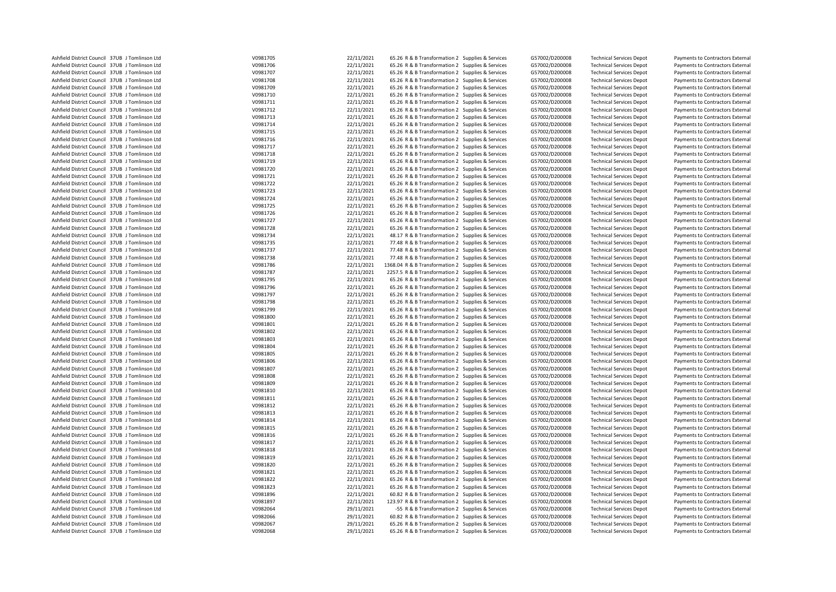| Ashfield District Council 37UB J Tomlinson Ltd | V0981705 | 22/11/2021               | 65.26 R & B Transformation 2 Supplies & Services   | G57002/D200008 | <b>Technical Services Depot</b>                                    | Payments to Contractors External |
|------------------------------------------------|----------|--------------------------|----------------------------------------------------|----------------|--------------------------------------------------------------------|----------------------------------|
| Ashfield District Council 37UB J Tomlinson Ltd | V0981706 | 22/11/2021               | 65.26 R & B Transformation 2 Supplies & Services   | G57002/D200008 | <b>Technical Services Depot</b>                                    | Payments to Contractors External |
| Ashfield District Council 37UB J Tomlinson Ltd | V0981707 | 22/11/2021               | 65.26 R & B Transformation 2 Supplies & Services   | G57002/D200008 | <b>Technical Services Depot</b>                                    | Payments to Contractors External |
| Ashfield District Council 37UB J Tomlinson Ltd | V0981708 | 22/11/2021               | 65.26 R & B Transformation 2 Supplies & Services   | G57002/D200008 | <b>Technical Services Depot</b>                                    | Payments to Contractors External |
| Ashfield District Council 37UB J Tomlinson Ltd | V0981709 | 22/11/2021               | 65.26 R & B Transformation 2 Supplies & Services   | G57002/D200008 | <b>Technical Services Depot</b>                                    | Payments to Contractors External |
| Ashfield District Council 37UB J Tomlinson Ltd | V0981710 | 22/11/2021               | 65.26 R & B Transformation 2 Supplies & Services   | G57002/D200008 | <b>Technical Services Depot</b>                                    | Payments to Contractors External |
| Ashfield District Council 37UB J Tomlinson Ltd | V0981711 | 22/11/2021               | 65.26 R & B Transformation 2 Supplies & Services   | G57002/D200008 | <b>Technical Services Depot</b>                                    | Payments to Contractors External |
| Ashfield District Council 37UB J Tomlinson Ltd | V0981712 | 22/11/2021               | 65.26 R & B Transformation 2 Supplies & Services   | G57002/D200008 | <b>Technical Services Depot</b>                                    | Payments to Contractors External |
| Ashfield District Council 37UB J Tomlinson Ltd | V0981713 | 22/11/2021               | 65.26 R & B Transformation 2 Supplies & Services   | G57002/D200008 | <b>Technical Services Depot</b>                                    | Payments to Contractors External |
| Ashfield District Council 37UB J Tomlinson Ltd | V0981714 | 22/11/2021               | 65.26 R & B Transformation 2 Supplies & Services   | G57002/D200008 | <b>Technical Services Depot</b>                                    | Payments to Contractors External |
| Ashfield District Council 37UB J Tomlinson Ltd | V0981715 | 22/11/2021               | 65.26 R & B Transformation 2 Supplies & Services   | G57002/D200008 | <b>Technical Services Depot</b>                                    | Payments to Contractors External |
| Ashfield District Council 37UB J Tomlinson Ltd | V0981716 | 22/11/2021               | 65.26 R & B Transformation 2 Supplies & Services   | G57002/D200008 | <b>Technical Services Depot</b>                                    | Payments to Contractors External |
| Ashfield District Council 37UB J Tomlinson Ltd | V0981717 | 22/11/2021               | 65.26 R & B Transformation 2 Supplies & Services   | G57002/D200008 | <b>Technical Services Depot</b>                                    | Payments to Contractors External |
|                                                |          |                          |                                                    |                |                                                                    |                                  |
| Ashfield District Council 37UB J Tomlinson Ltd | V0981718 | 22/11/2021               | 65.26 R & B Transformation 2 Supplies & Services   | G57002/D200008 | <b>Technical Services Depot</b>                                    | Payments to Contractors External |
| Ashfield District Council 37UB J Tomlinson Ltd | V0981719 | 22/11/2021               | 65.26 R & B Transformation 2 Supplies & Services   | G57002/D200008 | <b>Technical Services Depot</b>                                    | Payments to Contractors External |
| Ashfield District Council 37UB J Tomlinson Ltd | V0981720 | 22/11/2021               | 65.26 R & B Transformation 2 Supplies & Services   | G57002/D200008 | <b>Technical Services Depot</b>                                    | Payments to Contractors External |
| Ashfield District Council 37UB J Tomlinson Ltd | V0981721 | 22/11/2021               | 65.26 R & B Transformation 2 Supplies & Services   | G57002/D200008 | <b>Technical Services Depot</b>                                    | Payments to Contractors External |
| Ashfield District Council 37UB J Tomlinson Ltd | V0981722 | 22/11/2021               | 65.26 R & B Transformation 2 Supplies & Services   | G57002/D200008 | <b>Technical Services Depot</b>                                    | Payments to Contractors External |
| Ashfield District Council 37UB J Tomlinson Ltd | V0981723 | 22/11/2021               | 65.26 R & B Transformation 2 Supplies & Services   | G57002/D200008 | <b>Technical Services Depot</b>                                    | Payments to Contractors External |
| Ashfield District Council 37UB J Tomlinson Ltd | V0981724 | 22/11/2021               | 65.26 R & B Transformation 2 Supplies & Services   | G57002/D200008 | <b>Technical Services Depot</b>                                    | Payments to Contractors External |
| Ashfield District Council 37UB J Tomlinson Ltd | V0981725 | 22/11/2021               | 65.26 R & B Transformation 2 Supplies & Services   | G57002/D200008 | <b>Technical Services Depot</b>                                    | Payments to Contractors External |
| Ashfield District Council 37UB J Tomlinson Ltd | V0981726 | 22/11/2021               | 65.26 R & B Transformation 2 Supplies & Services   | G57002/D200008 | <b>Technical Services Depot</b>                                    | Payments to Contractors External |
| Ashfield District Council 37UB J Tomlinson Ltd | V0981727 | 22/11/2021               | 65.26 R & B Transformation 2 Supplies & Services   | G57002/D200008 | <b>Technical Services Depot</b>                                    | Payments to Contractors External |
| Ashfield District Council 37UB J Tomlinson Ltd | V0981728 | 22/11/2021               | 65.26 R & B Transformation 2 Supplies & Services   | G57002/D200008 | <b>Technical Services Depot</b>                                    | Payments to Contractors External |
| Ashfield District Council 37UB J Tomlinson Ltd | V0981734 | 22/11/2021               | 48.17 R & B Transformation 2 Supplies & Services   | G57002/D200008 | <b>Technical Services Depot</b>                                    | Payments to Contractors External |
| Ashfield District Council 37UB J Tomlinson Ltd | V0981735 | 22/11/2021               | 77.48 R & B Transformation 2 Supplies & Services   | G57002/D200008 | <b>Technical Services Depot</b>                                    | Payments to Contractors External |
| Ashfield District Council 37UB J Tomlinson Ltd | V0981737 | 22/11/2021               | 77.48 R & B Transformation 2 Supplies & Services   | G57002/D200008 | <b>Technical Services Depot</b>                                    | Payments to Contractors External |
| Ashfield District Council 37UB J Tomlinson Ltd | V0981738 | 22/11/2021               | 77.48 R & B Transformation 2 Supplies & Services   | G57002/D200008 | <b>Technical Services Depot</b>                                    | Payments to Contractors External |
| Ashfield District Council 37UB J Tomlinson Ltd | V0981786 | 22/11/2021               | 1368.04 R & B Transformation 2 Supplies & Services | G57002/D200008 | <b>Technical Services Depot</b>                                    | Payments to Contractors External |
| Ashfield District Council 37UB J Tomlinson Ltd | V0981787 | 22/11/2021               | 2257.5 R & B Transformation 2 Supplies & Services  | G57002/D200008 | <b>Technical Services Depot</b>                                    | Payments to Contractors External |
| Ashfield District Council 37UB J Tomlinson Ltd | V0981795 | 22/11/2021               | 65.26 R & B Transformation 2 Supplies & Services   | G57002/D200008 | <b>Technical Services Depot</b>                                    | Payments to Contractors External |
| Ashfield District Council 37UB J Tomlinson Ltd | V0981796 | 22/11/2021               | 65.26 R & B Transformation 2 Supplies & Services   | G57002/D200008 | <b>Technical Services Depot</b>                                    | Payments to Contractors External |
| Ashfield District Council 37UB J Tomlinson Ltd | V0981797 | 22/11/2021               | 65.26 R & B Transformation 2 Supplies & Services   | G57002/D200008 | <b>Technical Services Depot</b>                                    | Payments to Contractors External |
| Ashfield District Council 37UB J Tomlinson Ltd | V0981798 | 22/11/2021               | 65.26 R & B Transformation 2 Supplies & Services   | G57002/D200008 | <b>Technical Services Depot</b>                                    | Payments to Contractors External |
| Ashfield District Council 37UB J Tomlinson Ltd | V0981799 | 22/11/2021               | 65.26 R & B Transformation 2 Supplies & Services   | G57002/D200008 | <b>Technical Services Depot</b>                                    | Payments to Contractors External |
| Ashfield District Council 37UB J Tomlinson Ltd | V0981800 | 22/11/2021               | 65.26 R & B Transformation 2 Supplies & Services   | G57002/D200008 | <b>Technical Services Depot</b>                                    | Payments to Contractors External |
| Ashfield District Council 37UB J Tomlinson Ltd | V0981801 | 22/11/2021               | 65.26 R & B Transformation 2 Supplies & Services   | G57002/D200008 | <b>Technical Services Depot</b>                                    | Payments to Contractors External |
| Ashfield District Council 37UB J Tomlinson Ltd | V0981802 | 22/11/2021               | 65.26 R & B Transformation 2 Supplies & Services   | G57002/D200008 | <b>Technical Services Depot</b>                                    | Payments to Contractors External |
| Ashfield District Council 37UB J Tomlinson Ltd | V0981803 | 22/11/2021               | 65.26 R & B Transformation 2 Supplies & Services   | G57002/D200008 | <b>Technical Services Depot</b>                                    | Payments to Contractors External |
| Ashfield District Council 37UB J Tomlinson Ltd | V0981804 | 22/11/2021               | 65.26 R & B Transformation 2 Supplies & Services   | G57002/D200008 | <b>Technical Services Depot</b>                                    | Payments to Contractors External |
| Ashfield District Council 37UB J Tomlinson Ltd | V0981805 | 22/11/2021               | 65.26 R & B Transformation 2 Supplies & Services   | G57002/D200008 | <b>Technical Services Depot</b>                                    | Payments to Contractors External |
| Ashfield District Council 37UB J Tomlinson Ltd | V0981806 | 22/11/2021               | 65.26 R & B Transformation 2 Supplies & Services   | G57002/D200008 | <b>Technical Services Depot</b>                                    | Payments to Contractors External |
| Ashfield District Council 37UB J Tomlinson Ltd | V0981807 | 22/11/2021               | 65.26 R & B Transformation 2 Supplies & Services   | G57002/D200008 | <b>Technical Services Depot</b>                                    | Payments to Contractors External |
| Ashfield District Council 37UB J Tomlinson Ltd | V0981808 | 22/11/2021               | 65.26 R & B Transformation 2 Supplies & Services   | G57002/D200008 | <b>Technical Services Depot</b>                                    | Payments to Contractors External |
| Ashfield District Council 37UB J Tomlinson Ltd | V0981809 | 22/11/2021               | 65.26 R & B Transformation 2 Supplies & Services   | G57002/D200008 |                                                                    |                                  |
| Ashfield District Council 37UB J Tomlinson Ltd | V0981810 | 22/11/2021               | 65.26 R & B Transformation 2 Supplies & Services   | G57002/D200008 | <b>Technical Services Depot</b><br><b>Technical Services Depot</b> | Payments to Contractors External |
|                                                |          |                          |                                                    |                |                                                                    | Payments to Contractors External |
| Ashfield District Council 37UB J Tomlinson Ltd | V0981811 | 22/11/2021<br>22/11/2021 | 65.26 R & B Transformation 2 Supplies & Services   | G57002/D200008 | <b>Technical Services Depot</b>                                    | Payments to Contractors External |
| Ashfield District Council 37UB J Tomlinson Ltd | V0981812 |                          | 65.26 R & B Transformation 2 Supplies & Services   | G57002/D200008 | <b>Technical Services Depot</b>                                    | Payments to Contractors External |
| Ashfield District Council 37UB J Tomlinson Ltd | V0981813 | 22/11/2021               | 65.26 R & B Transformation 2 Supplies & Services   | G57002/D200008 | <b>Technical Services Depot</b>                                    | Payments to Contractors External |
| Ashfield District Council 37UB J Tomlinson Ltd | V0981814 | 22/11/2021               | 65.26 R & B Transformation 2 Supplies & Services   | G57002/D200008 | <b>Technical Services Depot</b>                                    | Payments to Contractors External |
| Ashfield District Council 37UB J Tomlinson Ltd | V0981815 | 22/11/2021               | 65.26 R & B Transformation 2 Supplies & Services   | G57002/D200008 | <b>Technical Services Depot</b>                                    | Payments to Contractors External |
| Ashfield District Council 37UB J Tomlinson Ltd | V0981816 | 22/11/2021               | 65.26 R & B Transformation 2 Supplies & Services   | G57002/D200008 | <b>Technical Services Depot</b>                                    | Payments to Contractors External |
| Ashfield District Council 37UB J Tomlinson Ltd | V0981817 | 22/11/2021               | 65.26 R & B Transformation 2 Supplies & Services   | G57002/D200008 | <b>Technical Services Depot</b>                                    | Payments to Contractors External |
| Ashfield District Council 37UB J Tomlinson Ltd | V0981818 | 22/11/2021               | 65.26 R & B Transformation 2 Supplies & Services   | G57002/D200008 | <b>Technical Services Depot</b>                                    | Payments to Contractors External |
| Ashfield District Council 37UB J Tomlinson Ltd | V0981819 | 22/11/2021               | 65.26 R & B Transformation 2 Supplies & Services   | G57002/D200008 | <b>Technical Services Depot</b>                                    | Payments to Contractors External |
| Ashfield District Council 37UB J Tomlinson Ltd | V0981820 | 22/11/2021               | 65.26 R & B Transformation 2 Supplies & Services   | G57002/D200008 | <b>Technical Services Depot</b>                                    | Payments to Contractors External |
| Ashfield District Council 37UB J Tomlinson Ltd | V0981821 | 22/11/2021               | 65.26 R & B Transformation 2 Supplies & Services   | G57002/D200008 | <b>Technical Services Depot</b>                                    | Payments to Contractors External |
| Ashfield District Council 37UB J Tomlinson Ltd | V0981822 | 22/11/2021               | 65.26 R & B Transformation 2 Supplies & Services   | G57002/D200008 | <b>Technical Services Depot</b>                                    | Payments to Contractors External |
| Ashfield District Council 37UB J Tomlinson Ltd | V0981823 | 22/11/2021               | 65.26 R & B Transformation 2 Supplies & Services   | G57002/D200008 | <b>Technical Services Depot</b>                                    | Payments to Contractors External |
| Ashfield District Council 37UB J Tomlinson Ltd | V0981896 | 22/11/2021               | 60.82 R & B Transformation 2 Supplies & Services   | G57002/D200008 | <b>Technical Services Depot</b>                                    | Payments to Contractors External |
| Ashfield District Council 37UB J Tomlinson Ltd | V0981897 | 22/11/2021               | 123.97 R & B Transformation 2 Supplies & Services  | G57002/D200008 | <b>Technical Services Depot</b>                                    | Payments to Contractors External |
| Ashfield District Council 37UB J Tomlinson Ltd | V0982064 | 29/11/2021               | -55 R & B Transformation 2 Supplies & Services     | G57002/D200008 | <b>Technical Services Depot</b>                                    | Payments to Contractors External |
| Ashfield District Council 37UB J Tomlinson Ltd | V0982066 | 29/11/2021               | 60.82 R & B Transformation 2 Supplies & Services   | G57002/D200008 | <b>Technical Services Depot</b>                                    | Payments to Contractors External |
| Ashfield District Council 37UB J Tomlinson Ltd | V0982067 | 29/11/2021               | 65.26 R & B Transformation 2 Supplies & Services   | G57002/D200008 | <b>Technical Services Depot</b>                                    | Payments to Contractors External |
| Ashfield District Council 37UB J Tomlinson Ltd | V0982068 | 29/11/2021               | 65.26 R & B Transformation 2 Supplies & Services   | G57002/D200008 | <b>Technical Services Depot</b>                                    | Payments to Contractors External |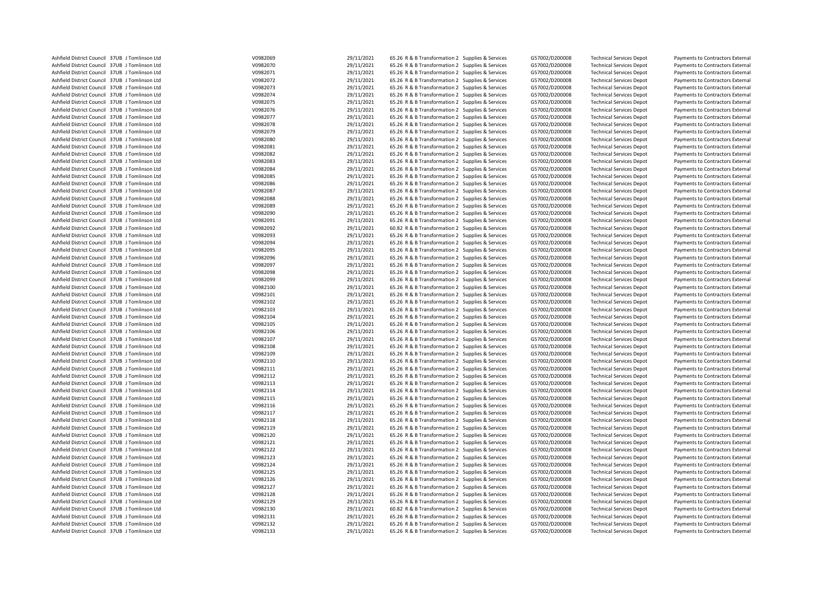| Ashfield District Council 37UB J Tomlinson Ltd                                                   | V0982069             | 29/11/2021 | 65.26 R & B Transformation 2 Supplies & Services | G57002/D200008                   | <b>Technical Services Depot</b>                                    | Payments to Contractors External                                     |
|--------------------------------------------------------------------------------------------------|----------------------|------------|--------------------------------------------------|----------------------------------|--------------------------------------------------------------------|----------------------------------------------------------------------|
| Ashfield District Council 37UB J Tomlinson Ltd                                                   | V0982070             | 29/11/2021 | 65.26 R & B Transformation 2 Supplies & Services | G57002/D200008                   | <b>Technical Services Depot</b>                                    | Payments to Contractors External                                     |
| Ashfield District Council 37UB J Tomlinson Ltd                                                   | V0982071             | 29/11/2021 | 65.26 R & B Transformation 2 Supplies & Services | G57002/D200008                   | <b>Technical Services Depot</b>                                    | Payments to Contractors External                                     |
| Ashfield District Council 37UB J Tomlinson Ltd                                                   | V0982072             | 29/11/2021 | 65.26 R & B Transformation 2 Supplies & Services | G57002/D200008                   | <b>Technical Services Depot</b>                                    | Payments to Contractors External                                     |
| Ashfield District Council 37UB J Tomlinson Ltd                                                   | V0982073             | 29/11/2021 | 65.26 R & B Transformation 2 Supplies & Services | G57002/D200008                   | <b>Technical Services Depot</b>                                    | Payments to Contractors External                                     |
| Ashfield District Council 37UB J Tomlinson Ltd                                                   | V0982074             | 29/11/2021 | 65.26 R & B Transformation 2 Supplies & Services | G57002/D200008                   | <b>Technical Services Depot</b>                                    | Payments to Contractors External                                     |
| Ashfield District Council 37UB J Tomlinson Ltd                                                   | V0982075             | 29/11/2021 | 65.26 R & B Transformation 2 Supplies & Services | G57002/D200008                   | <b>Technical Services Depot</b>                                    | Payments to Contractors External                                     |
| Ashfield District Council 37UB J Tomlinson Ltd                                                   | V0982076             | 29/11/2021 | 65.26 R & B Transformation 2 Supplies & Services | G57002/D200008                   | <b>Technical Services Depot</b>                                    | Payments to Contractors External                                     |
| Ashfield District Council 37UB J Tomlinson Ltd                                                   | V0982077             | 29/11/2021 | 65.26 R & B Transformation 2 Supplies & Services | G57002/D200008                   | <b>Technical Services Depot</b>                                    | Payments to Contractors External                                     |
| Ashfield District Council 37UB J Tomlinson Ltd                                                   | V0982078             | 29/11/2021 | 65.26 R & B Transformation 2 Supplies & Services | G57002/D200008                   | <b>Technical Services Depot</b>                                    | Payments to Contractors External                                     |
| Ashfield District Council 37UB J Tomlinson Ltd                                                   | V0982079             | 29/11/2021 | 65.26 R & B Transformation 2 Supplies & Services | G57002/D200008                   | <b>Technical Services Depot</b>                                    | Payments to Contractors External                                     |
| Ashfield District Council 37UB J Tomlinson Ltd                                                   | V0982080             | 29/11/2021 | 65.26 R & B Transformation 2 Supplies & Services | G57002/D200008                   | <b>Technical Services Depot</b>                                    | Payments to Contractors External                                     |
| Ashfield District Council 37UB J Tomlinson Ltd                                                   | V0982081             | 29/11/2021 | 65.26 R & B Transformation 2 Supplies & Services | G57002/D200008                   | <b>Technical Services Depot</b>                                    | Payments to Contractors External                                     |
|                                                                                                  |                      | 29/11/2021 |                                                  |                                  |                                                                    |                                                                      |
| Ashfield District Council 37UB J Tomlinson Ltd<br>Ashfield District Council 37UB J Tomlinson Ltd | V0982082<br>V0982083 | 29/11/2021 | 65.26 R & B Transformation 2 Supplies & Services | G57002/D200008                   | <b>Technical Services Depot</b>                                    | Payments to Contractors External                                     |
|                                                                                                  |                      |            | 65.26 R & B Transformation 2 Supplies & Services | G57002/D200008                   | <b>Technical Services Depot</b>                                    | Payments to Contractors External                                     |
| Ashfield District Council 37UB J Tomlinson Ltd                                                   | V0982084             | 29/11/2021 | 65.26 R & B Transformation 2 Supplies & Services | G57002/D200008                   | <b>Technical Services Depot</b>                                    | Payments to Contractors External                                     |
| Ashfield District Council 37UB J Tomlinson Ltd                                                   | V0982085             | 29/11/2021 | 65.26 R & B Transformation 2 Supplies & Services | G57002/D200008                   | <b>Technical Services Depot</b>                                    | Payments to Contractors External                                     |
| Ashfield District Council 37UB J Tomlinson Ltd                                                   | V0982086             | 29/11/2021 | 65.26 R & B Transformation 2 Supplies & Services | G57002/D200008                   | <b>Technical Services Depot</b>                                    | Payments to Contractors External                                     |
| Ashfield District Council 37UB J Tomlinson Ltd                                                   | V0982087             | 29/11/2021 | 65.26 R & B Transformation 2 Supplies & Services | G57002/D200008                   | <b>Technical Services Depot</b>                                    | Payments to Contractors External                                     |
| Ashfield District Council 37UB J Tomlinson Ltd                                                   | V0982088             | 29/11/2021 | 65.26 R & B Transformation 2 Supplies & Services | G57002/D200008                   | <b>Technical Services Depot</b>                                    | Payments to Contractors External                                     |
| Ashfield District Council 37UB J Tomlinson Ltd                                                   | V0982089             | 29/11/2021 | 65.26 R & B Transformation 2 Supplies & Services | G57002/D200008                   | <b>Technical Services Depot</b>                                    | Payments to Contractors External                                     |
| Ashfield District Council 37UB J Tomlinson Ltd                                                   | V0982090             | 29/11/2021 | 65.26 R & B Transformation 2 Supplies & Services | G57002/D200008                   | <b>Technical Services Depot</b>                                    | Payments to Contractors External                                     |
| Ashfield District Council 37UB J Tomlinson Ltd                                                   | V0982091             | 29/11/2021 | 65.26 R & B Transformation 2 Supplies & Services | G57002/D200008                   | <b>Technical Services Depot</b>                                    | Payments to Contractors External                                     |
| Ashfield District Council 37UB J Tomlinson Ltd                                                   | V0982092             | 29/11/2021 | 60.82 R & B Transformation 2 Supplies & Services | G57002/D200008                   | <b>Technical Services Depot</b>                                    | Payments to Contractors External                                     |
| Ashfield District Council 37UB J Tomlinson Ltd                                                   | V0982093             | 29/11/2021 | 65.26 R & B Transformation 2 Supplies & Services | G57002/D200008                   | <b>Technical Services Depot</b>                                    | Payments to Contractors External                                     |
| Ashfield District Council 37UB J Tomlinson Ltd                                                   | V0982094             | 29/11/2021 | 65.26 R & B Transformation 2 Supplies & Services | G57002/D200008                   | <b>Technical Services Depot</b>                                    | Payments to Contractors External                                     |
| Ashfield District Council 37UB J Tomlinson Ltd                                                   | V0982095             | 29/11/2021 | 65.26 R & B Transformation 2 Supplies & Services | G57002/D200008                   | <b>Technical Services Depot</b>                                    | Payments to Contractors External                                     |
| Ashfield District Council 37UB J Tomlinson Ltd                                                   | V0982096             | 29/11/2021 | 65.26 R & B Transformation 2 Supplies & Services | G57002/D200008                   | <b>Technical Services Depot</b>                                    | Payments to Contractors External                                     |
| Ashfield District Council 37UB J Tomlinson Ltd                                                   | V0982097             | 29/11/2021 | 65.26 R & B Transformation 2 Supplies & Services | G57002/D200008                   | <b>Technical Services Depot</b>                                    | Payments to Contractors External                                     |
| Ashfield District Council 37UB J Tomlinson Ltd                                                   | V0982098             | 29/11/2021 | 65.26 R & B Transformation 2 Supplies & Services | G57002/D200008                   | <b>Technical Services Depot</b>                                    | Payments to Contractors External                                     |
| Ashfield District Council 37UB J Tomlinson Ltd                                                   | V0982099             | 29/11/2021 | 65.26 R & B Transformation 2 Supplies & Services | G57002/D200008                   | <b>Technical Services Depot</b>                                    | Payments to Contractors External                                     |
| Ashfield District Council 37UB J Tomlinson Ltd                                                   | V0982100             | 29/11/2021 | 65.26 R & B Transformation 2 Supplies & Services | G57002/D200008                   | <b>Technical Services Depot</b>                                    | Payments to Contractors External                                     |
| Ashfield District Council 37UB J Tomlinson Ltd                                                   | V0982101             | 29/11/2021 | 65.26 R & B Transformation 2 Supplies & Services | G57002/D200008                   | <b>Technical Services Depot</b>                                    | Payments to Contractors External                                     |
| Ashfield District Council 37UB J Tomlinson Ltd                                                   | V0982102             | 29/11/2021 | 65.26 R & B Transformation 2 Supplies & Services | G57002/D200008                   | <b>Technical Services Depot</b>                                    | Payments to Contractors External                                     |
| Ashfield District Council 37UB J Tomlinson Ltd                                                   | V0982103             | 29/11/2021 | 65.26 R & B Transformation 2 Supplies & Services | G57002/D200008                   | <b>Technical Services Depot</b>                                    | Payments to Contractors External                                     |
| Ashfield District Council 37UB J Tomlinson Ltd                                                   | V0982104             | 29/11/2021 | 65.26 R & B Transformation 2 Supplies & Services | G57002/D200008                   | <b>Technical Services Depot</b>                                    | Payments to Contractors External                                     |
| Ashfield District Council 37UB J Tomlinson Ltd                                                   | V0982105             | 29/11/2021 | 65.26 R & B Transformation 2 Supplies & Services | G57002/D200008                   | <b>Technical Services Depot</b>                                    | Payments to Contractors External                                     |
| Ashfield District Council 37UB J Tomlinson Ltd                                                   | V0982106             | 29/11/2021 | 65.26 R & B Transformation 2 Supplies & Services | G57002/D200008                   | <b>Technical Services Depot</b>                                    | Payments to Contractors External                                     |
| Ashfield District Council 37UB J Tomlinson Ltd                                                   | V0982107             | 29/11/2021 | 65.26 R & B Transformation 2 Supplies & Services | G57002/D200008                   | <b>Technical Services Depot</b>                                    | Payments to Contractors External                                     |
| Ashfield District Council 37UB J Tomlinson Ltd                                                   | V0982108             | 29/11/2021 | 65.26 R & B Transformation 2 Supplies & Services | G57002/D200008                   | <b>Technical Services Depot</b>                                    | Payments to Contractors External                                     |
| Ashfield District Council 37UB J Tomlinson Ltd                                                   | V0982109             | 29/11/2021 | 65.26 R & B Transformation 2 Supplies & Services | G57002/D200008                   | <b>Technical Services Depot</b>                                    | Payments to Contractors External                                     |
| Ashfield District Council 37UB J Tomlinson Ltd                                                   | V0982110             | 29/11/2021 | 65.26 R & B Transformation 2 Supplies & Services | G57002/D200008                   | <b>Technical Services Depot</b>                                    | Payments to Contractors External                                     |
| Ashfield District Council 37UB J Tomlinson Ltd                                                   | V0982111             | 29/11/2021 | 65.26 R & B Transformation 2 Supplies & Services | G57002/D200008                   | <b>Technical Services Depot</b>                                    | Payments to Contractors External                                     |
| Ashfield District Council 37UB J Tomlinson Ltd                                                   | V0982112             | 29/11/2021 | 65.26 R & B Transformation 2 Supplies & Services | G57002/D200008                   | <b>Technical Services Depot</b>                                    | Payments to Contractors External                                     |
| Ashfield District Council 37UB J Tomlinson Ltd                                                   | V0982113             | 29/11/2021 | 65.26 R & B Transformation 2 Supplies & Services | G57002/D200008                   | <b>Technical Services Depot</b>                                    | Payments to Contractors External                                     |
| Ashfield District Council 37UB J Tomlinson Ltd                                                   | V0982114             | 29/11/2021 | 65.26 R & B Transformation 2 Supplies & Services | G57002/D200008                   | <b>Technical Services Depot</b>                                    | Payments to Contractors External                                     |
|                                                                                                  | V0982115             | 29/11/2021 | 65.26 R & B Transformation 2 Supplies & Services |                                  |                                                                    |                                                                      |
| Ashfield District Council 37UB J Tomlinson Ltd<br>Ashfield District Council 37UB J Tomlinson Ltd | V0982116             | 29/11/2021 | 65.26 R & B Transformation 2 Supplies & Services | G57002/D200008<br>G57002/D200008 | <b>Technical Services Depot</b><br><b>Technical Services Depot</b> | Payments to Contractors External<br>Payments to Contractors External |
|                                                                                                  | V0982117             | 29/11/2021 |                                                  |                                  |                                                                    |                                                                      |
| Ashfield District Council 37UB J Tomlinson Ltd                                                   |                      | 29/11/2021 | 65.26 R & B Transformation 2 Supplies & Services | G57002/D200008                   | <b>Technical Services Depot</b>                                    | Payments to Contractors External                                     |
| Ashfield District Council 37UB J Tomlinson Ltd                                                   | V0982118             |            | 65.26 R & B Transformation 2 Supplies & Services | G57002/D200008                   | <b>Technical Services Depot</b>                                    | Payments to Contractors External                                     |
| Ashfield District Council 37UB J Tomlinson Ltd                                                   | V0982119             | 29/11/2021 | 65.26 R & B Transformation 2 Supplies & Services | G57002/D200008                   | <b>Technical Services Depot</b>                                    | Payments to Contractors External                                     |
| Ashfield District Council 37UB J Tomlinson Ltd                                                   | V0982120             | 29/11/2021 | 65.26 R & B Transformation 2 Supplies & Services | G57002/D200008                   | <b>Technical Services Depot</b>                                    | Payments to Contractors External                                     |
| Ashfield District Council 37UB J Tomlinson Ltd                                                   | V0982121             | 29/11/2021 | 65.26 R & B Transformation 2 Supplies & Services | G57002/D200008                   | <b>Technical Services Depot</b>                                    | Payments to Contractors External                                     |
| Ashfield District Council 37UB J Tomlinson Ltd                                                   | V0982122             | 29/11/2021 | 65.26 R & B Transformation 2 Supplies & Services | G57002/D200008                   | <b>Technical Services Depot</b>                                    | Payments to Contractors External                                     |
| Ashfield District Council 37UB J Tomlinson Ltd                                                   | V0982123             | 29/11/2021 | 65.26 R & B Transformation 2 Supplies & Services | G57002/D200008                   | <b>Technical Services Depot</b>                                    | Payments to Contractors External                                     |
| Ashfield District Council 37UB J Tomlinson Ltd                                                   | V0982124             | 29/11/2021 | 65.26 R & B Transformation 2 Supplies & Services | G57002/D200008                   | <b>Technical Services Depot</b>                                    | Payments to Contractors External                                     |
| Ashfield District Council 37UB J Tomlinson Ltd                                                   | V0982125             | 29/11/2021 | 65.26 R & B Transformation 2 Supplies & Services | G57002/D200008                   | <b>Technical Services Depot</b>                                    | Payments to Contractors External                                     |
| Ashfield District Council 37UB J Tomlinson Ltd                                                   | V0982126             | 29/11/2021 | 65.26 R & B Transformation 2 Supplies & Services | G57002/D200008                   | <b>Technical Services Depot</b>                                    | Payments to Contractors External                                     |
| Ashfield District Council 37UB J Tomlinson Ltd                                                   | V0982127             | 29/11/2021 | 65.26 R & B Transformation 2 Supplies & Services | G57002/D200008                   | <b>Technical Services Depot</b>                                    | Payments to Contractors External                                     |
| Ashfield District Council 37UB J Tomlinson Ltd                                                   | V0982128             | 29/11/2021 | 65.26 R & B Transformation 2 Supplies & Services | G57002/D200008                   | <b>Technical Services Depot</b>                                    | Payments to Contractors External                                     |
| Ashfield District Council 37UB J Tomlinson Ltd                                                   | V0982129             | 29/11/2021 | 65.26 R & B Transformation 2 Supplies & Services | G57002/D200008                   | <b>Technical Services Depot</b>                                    | Payments to Contractors External                                     |
| Ashfield District Council 37UB J Tomlinson Ltd                                                   | V0982130             | 29/11/2021 | 60.82 R & B Transformation 2 Supplies & Services | G57002/D200008                   | <b>Technical Services Depot</b>                                    | Payments to Contractors External                                     |
| Ashfield District Council 37UB J Tomlinson Ltd                                                   | V0982131             | 29/11/2021 | 65.26 R & B Transformation 2 Supplies & Services | G57002/D200008                   | <b>Technical Services Depot</b>                                    | Payments to Contractors External                                     |
| Ashfield District Council 37UB J Tomlinson Ltd                                                   | V0982132             | 29/11/2021 | 65.26 R & B Transformation 2 Supplies & Services | G57002/D200008                   | <b>Technical Services Depot</b>                                    | Payments to Contractors External                                     |
| Ashfield District Council 37UB J Tomlinson Ltd                                                   | V0982133             | 29/11/2021 | 65.26 R & B Transformation 2 Supplies & Services | G57002/D200008                   | <b>Technical Services Depot</b>                                    | Payments to Contractors External                                     |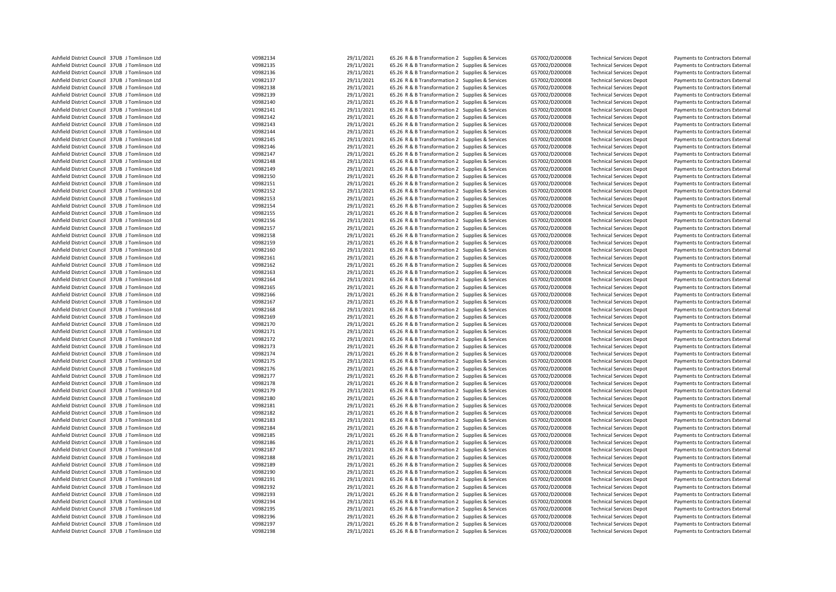| Ashfield District Council 37UB J Tomlinson Ltd | V0982134 | 29/11/2021 | 65.26 R & B Transformation 2 Supplies & Services | G57002/D200008 | <b>Technical Services Depot</b> | Payments to Contractors External |
|------------------------------------------------|----------|------------|--------------------------------------------------|----------------|---------------------------------|----------------------------------|
| Ashfield District Council 37UB J Tomlinson Ltd | V0982135 | 29/11/2021 | 65.26 R & B Transformation 2 Supplies & Services | G57002/D200008 | <b>Technical Services Depot</b> | Payments to Contractors External |
| Ashfield District Council 37UB J Tomlinson Ltd | V0982136 | 29/11/2021 | 65.26 R & B Transformation 2 Supplies & Services | G57002/D200008 | <b>Technical Services Depot</b> | Payments to Contractors External |
| Ashfield District Council 37UB J Tomlinson Ltd | V0982137 | 29/11/2021 | 65.26 R & B Transformation 2 Supplies & Services | G57002/D200008 | <b>Technical Services Depot</b> | Payments to Contractors External |
|                                                |          |            |                                                  |                |                                 |                                  |
| Ashfield District Council 37UB J Tomlinson Ltd | V0982138 | 29/11/2021 | 65.26 R & B Transformation 2 Supplies & Services | G57002/D200008 | <b>Technical Services Depot</b> | Payments to Contractors External |
| Ashfield District Council 37UB J Tomlinson Ltd | V0982139 | 29/11/2021 | 65.26 R & B Transformation 2 Supplies & Services | G57002/D200008 | <b>Technical Services Depot</b> | Payments to Contractors External |
| Ashfield District Council 37UB J Tomlinson Ltd | V0982140 | 29/11/2021 | 65.26 R & B Transformation 2 Supplies & Services | G57002/D200008 | <b>Technical Services Depot</b> | Payments to Contractors External |
| Ashfield District Council 37UB J Tomlinson Ltd | V0982141 | 29/11/2021 | 65.26 R & B Transformation 2 Supplies & Services | G57002/D200008 | <b>Technical Services Depot</b> | Payments to Contractors External |
| Ashfield District Council 37UB J Tomlinson Ltd | V0982142 | 29/11/2021 | 65.26 R & B Transformation 2 Supplies & Services | G57002/D200008 | <b>Technical Services Depot</b> | Payments to Contractors External |
| Ashfield District Council 37UB J Tomlinson Ltd | V0982143 | 29/11/2021 | 65.26 R & B Transformation 2 Supplies & Services | G57002/D200008 | <b>Technical Services Depot</b> | Payments to Contractors External |
| Ashfield District Council 37UB J Tomlinson Ltd | V0982144 | 29/11/2021 | 65.26 R & B Transformation 2 Supplies & Services | G57002/D200008 | <b>Technical Services Depot</b> | Payments to Contractors External |
| Ashfield District Council 37UB J Tomlinson Ltd | V0982145 | 29/11/2021 | 65.26 R & B Transformation 2 Supplies & Services | G57002/D200008 | <b>Technical Services Depot</b> | Payments to Contractors External |
| Ashfield District Council 37UB J Tomlinson Ltd | V0982146 | 29/11/2021 | 65.26 R & B Transformation 2 Supplies & Services | G57002/D200008 | <b>Technical Services Depot</b> | Payments to Contractors External |
|                                                |          |            |                                                  |                |                                 |                                  |
| Ashfield District Council 37UB J Tomlinson Ltd | V0982147 | 29/11/2021 | 65.26 R & B Transformation 2 Supplies & Services | G57002/D200008 | <b>Technical Services Depot</b> | Payments to Contractors External |
| Ashfield District Council 37UB J Tomlinson Ltd | V0982148 | 29/11/2021 | 65.26 R & B Transformation 2 Supplies & Services | G57002/D200008 | <b>Technical Services Depot</b> | Payments to Contractors External |
| Ashfield District Council 37UB J Tomlinson Ltd | V0982149 | 29/11/2021 | 65.26 R & B Transformation 2 Supplies & Services | G57002/D200008 | <b>Technical Services Depot</b> | Payments to Contractors External |
| Ashfield District Council 37UB J Tomlinson Ltd | V0982150 | 29/11/2021 | 65.26 R & B Transformation 2 Supplies & Services | G57002/D200008 | <b>Technical Services Depot</b> | Payments to Contractors External |
| Ashfield District Council 37UB J Tomlinson Ltd | V0982151 | 29/11/2021 | 65.26 R & B Transformation 2 Supplies & Services | G57002/D200008 | <b>Technical Services Depot</b> | Payments to Contractors External |
| Ashfield District Council 37UB J Tomlinson Ltd | V0982152 | 29/11/2021 | 65.26 R & B Transformation 2 Supplies & Services | G57002/D200008 | <b>Technical Services Depot</b> | Payments to Contractors External |
| Ashfield District Council 37UB J Tomlinson Ltd | V0982153 | 29/11/2021 | 65.26 R & B Transformation 2 Supplies & Services | G57002/D200008 | <b>Technical Services Depot</b> | Payments to Contractors External |
| Ashfield District Council 37UB J Tomlinson Ltd | V0982154 | 29/11/2021 | 65.26 R & B Transformation 2 Supplies & Services | G57002/D200008 | <b>Technical Services Depot</b> | Payments to Contractors External |
| Ashfield District Council 37UB J Tomlinson Ltd | V0982155 | 29/11/2021 | 65.26 R & B Transformation 2 Supplies & Services | G57002/D200008 | <b>Technical Services Depot</b> | Payments to Contractors External |
| Ashfield District Council 37UB J Tomlinson Ltd | V0982156 | 29/11/2021 | 65.26 R & B Transformation 2 Supplies & Services | G57002/D200008 | <b>Technical Services Depot</b> | Payments to Contractors External |
|                                                |          |            |                                                  |                |                                 |                                  |
| Ashfield District Council 37UB J Tomlinson Ltd | V0982157 | 29/11/2021 | 65.26 R & B Transformation 2 Supplies & Services | G57002/D200008 | <b>Technical Services Depot</b> | Payments to Contractors External |
| Ashfield District Council 37UB J Tomlinson Ltd | V0982158 | 29/11/2021 | 65.26 R & B Transformation 2 Supplies & Services | G57002/D200008 | <b>Technical Services Depot</b> | Payments to Contractors External |
| Ashfield District Council 37UB J Tomlinson Ltd | V0982159 | 29/11/2021 | 65.26 R & B Transformation 2 Supplies & Services | G57002/D200008 | <b>Technical Services Depot</b> | Payments to Contractors External |
| Ashfield District Council 37UB J Tomlinson Ltd | V0982160 | 29/11/2021 | 65.26 R & B Transformation 2 Supplies & Services | G57002/D200008 | <b>Technical Services Depot</b> | Payments to Contractors External |
| Ashfield District Council 37UB J Tomlinson Ltd | V0982161 | 29/11/2021 | 65.26 R & B Transformation 2 Supplies & Services | G57002/D200008 | <b>Technical Services Depot</b> | Payments to Contractors External |
| Ashfield District Council 37UB J Tomlinson Ltd | V0982162 | 29/11/2021 | 65.26 R & B Transformation 2 Supplies & Services | G57002/D200008 | <b>Technical Services Depot</b> | Payments to Contractors External |
| Ashfield District Council 37UB J Tomlinson Ltd | V0982163 | 29/11/2021 | 65.26 R & B Transformation 2 Supplies & Services | G57002/D200008 | <b>Technical Services Depot</b> | Payments to Contractors External |
| Ashfield District Council 37UB J Tomlinson Ltd | V0982164 | 29/11/2021 | 65.26 R & B Transformation 2 Supplies & Services | G57002/D200008 | <b>Technical Services Depot</b> | Payments to Contractors External |
| Ashfield District Council 37UB J Tomlinson Ltd | V0982165 | 29/11/2021 | 65.26 R & B Transformation 2 Supplies & Services | G57002/D200008 | <b>Technical Services Depot</b> | Payments to Contractors External |
|                                                | V0982166 |            |                                                  |                |                                 |                                  |
| Ashfield District Council 37UB J Tomlinson Ltd |          | 29/11/2021 | 65.26 R & B Transformation 2 Supplies & Services | G57002/D200008 | <b>Technical Services Depot</b> | Payments to Contractors External |
| Ashfield District Council 37UB J Tomlinson Ltd | V0982167 | 29/11/2021 | 65.26 R & B Transformation 2 Supplies & Services | G57002/D200008 | <b>Technical Services Depot</b> | Payments to Contractors External |
| Ashfield District Council 37UB J Tomlinson Ltd | V0982168 | 29/11/2021 | 65.26 R & B Transformation 2 Supplies & Services | G57002/D200008 | <b>Technical Services Depot</b> | Payments to Contractors External |
| Ashfield District Council 37UB J Tomlinson Ltd | V0982169 | 29/11/2021 | 65.26 R & B Transformation 2 Supplies & Services | G57002/D200008 | <b>Technical Services Depot</b> | Payments to Contractors External |
| Ashfield District Council 37UB J Tomlinson Ltd | V0982170 | 29/11/2021 | 65.26 R & B Transformation 2 Supplies & Services | G57002/D200008 | <b>Technical Services Depot</b> | Payments to Contractors External |
| Ashfield District Council 37UB J Tomlinson Ltd | V0982171 | 29/11/2021 | 65.26 R & B Transformation 2 Supplies & Services | G57002/D200008 | <b>Technical Services Depot</b> | Payments to Contractors External |
| Ashfield District Council 37UB J Tomlinson Ltd | V0982172 | 29/11/2021 | 65.26 R & B Transformation 2 Supplies & Services | G57002/D200008 | <b>Technical Services Depot</b> | Payments to Contractors External |
| Ashfield District Council 37UB J Tomlinson Ltd | V0982173 | 29/11/2021 | 65.26 R & B Transformation 2 Supplies & Services | G57002/D200008 | <b>Technical Services Depot</b> | Payments to Contractors External |
| Ashfield District Council 37UB J Tomlinson Ltd | V0982174 | 29/11/2021 | 65.26 R & B Transformation 2 Supplies & Services | G57002/D200008 | <b>Technical Services Depot</b> | Payments to Contractors External |
| Ashfield District Council 37UB J Tomlinson Ltd | V0982175 | 29/11/2021 | 65.26 R & B Transformation 2 Supplies & Services | G57002/D200008 | <b>Technical Services Depot</b> | Payments to Contractors External |
| Ashfield District Council 37UB J Tomlinson Ltd | V0982176 | 29/11/2021 | 65.26 R & B Transformation 2 Supplies & Services | G57002/D200008 | <b>Technical Services Depot</b> | Payments to Contractors External |
|                                                |          |            |                                                  |                |                                 |                                  |
| Ashfield District Council 37UB J Tomlinson Ltd | V0982177 | 29/11/2021 | 65.26 R & B Transformation 2 Supplies & Services | G57002/D200008 | <b>Technical Services Depot</b> | Payments to Contractors External |
| Ashfield District Council 37UB J Tomlinson Ltd | V0982178 | 29/11/2021 | 65.26 R & B Transformation 2 Supplies & Services | G57002/D200008 | <b>Technical Services Depot</b> | Payments to Contractors External |
| Ashfield District Council 37UB J Tomlinson Ltd | V0982179 | 29/11/2021 | 65.26 R & B Transformation 2 Supplies & Services | G57002/D200008 | <b>Technical Services Depot</b> | Payments to Contractors External |
| Ashfield District Council 37UB J Tomlinson Ltd | V0982180 | 29/11/2021 | 65.26 R & B Transformation 2 Supplies & Services | G57002/D200008 | <b>Technical Services Depot</b> | Payments to Contractors External |
| Ashfield District Council 37UB J Tomlinson Ltd | V0982181 | 29/11/2021 | 65.26 R & B Transformation 2 Supplies & Services | G57002/D200008 | <b>Technical Services Depot</b> | Payments to Contractors External |
| Ashfield District Council 37UB J Tomlinson Ltd | V0982182 | 29/11/2021 | 65.26 R & B Transformation 2 Supplies & Services | G57002/D200008 | <b>Technical Services Depot</b> | Payments to Contractors External |
| Ashfield District Council 37UB J Tomlinson Ltd | V0982183 | 29/11/2021 | 65.26 R & B Transformation 2 Supplies & Services | G57002/D200008 | <b>Technical Services Depot</b> | Payments to Contractors External |
| Ashfield District Council 37UB J Tomlinson Ltd | V0982184 | 29/11/2021 | 65.26 R & B Transformation 2 Supplies & Services | G57002/D200008 | <b>Technical Services Depot</b> | Payments to Contractors External |
| Ashfield District Council 37UB J Tomlinson Ltd | V0982185 | 29/11/2021 | 65.26 R & B Transformation 2 Supplies & Services | G57002/D200008 | <b>Technical Services Depot</b> | Payments to Contractors External |
|                                                | V0982186 | 29/11/2021 |                                                  |                |                                 |                                  |
| Ashfield District Council 37UB J Tomlinson Ltd |          |            | 65.26 R & B Transformation 2 Supplies & Services | G57002/D200008 | <b>Technical Services Depot</b> | Payments to Contractors External |
| Ashfield District Council 37UB J Tomlinson Ltd | V0982187 | 29/11/2021 | 65.26 R & B Transformation 2 Supplies & Services | G57002/D200008 | <b>Technical Services Depot</b> | Payments to Contractors External |
| Ashfield District Council 37UB J Tomlinson Ltd | V0982188 | 29/11/2021 | 65.26 R & B Transformation 2 Supplies & Services | G57002/D200008 | <b>Technical Services Depot</b> | Payments to Contractors External |
| Ashfield District Council 37UB J Tomlinson Ltd | V0982189 | 29/11/2021 | 65.26 R & B Transformation 2 Supplies & Services | G57002/D200008 | <b>Technical Services Depot</b> | Payments to Contractors External |
| Ashfield District Council 37UB J Tomlinson Ltd | V0982190 | 29/11/2021 | 65.26 R & B Transformation 2 Supplies & Services | G57002/D200008 | <b>Technical Services Depot</b> | Payments to Contractors External |
| Ashfield District Council 37UB J Tomlinson Ltd | V0982191 | 29/11/2021 | 65.26 R & B Transformation 2 Supplies & Services | G57002/D200008 | <b>Technical Services Depot</b> | Payments to Contractors External |
| Ashfield District Council 37UB J Tomlinson Ltd | V0982192 | 29/11/2021 | 65.26 R & B Transformation 2 Supplies & Services | G57002/D200008 | <b>Technical Services Depot</b> | Payments to Contractors External |
| Ashfield District Council 37UB J Tomlinson Ltd | V0982193 | 29/11/2021 | 65.26 R & B Transformation 2 Supplies & Services | G57002/D200008 | <b>Technical Services Depot</b> | Payments to Contractors External |
| Ashfield District Council 37UB J Tomlinson Ltd | V0982194 | 29/11/2021 | 65.26 R & B Transformation 2 Supplies & Services | G57002/D200008 | <b>Technical Services Depot</b> | Payments to Contractors External |
| Ashfield District Council 37UB J Tomlinson Ltd | V0982195 | 29/11/2021 | 65.26 R & B Transformation 2 Supplies & Services | G57002/D200008 | <b>Technical Services Depot</b> | Payments to Contractors External |
| Ashfield District Council 37UB J Tomlinson Ltd | V0982196 | 29/11/2021 | 65.26 R & B Transformation 2 Supplies & Services | G57002/D200008 | <b>Technical Services Depot</b> | Payments to Contractors External |
|                                                |          |            |                                                  |                |                                 |                                  |
| Ashfield District Council 37UB J Tomlinson Ltd | V0982197 | 29/11/2021 | 65.26 R & B Transformation 2 Supplies & Services | G57002/D200008 | <b>Technical Services Depot</b> | Payments to Contractors External |
| Ashfield District Council 37UB J Tomlinson Ltd | V0982198 | 29/11/2021 | 65.26 R & B Transformation 2 Supplies & Services | G57002/D200008 | <b>Technical Services Depot</b> | Payments to Contractors External |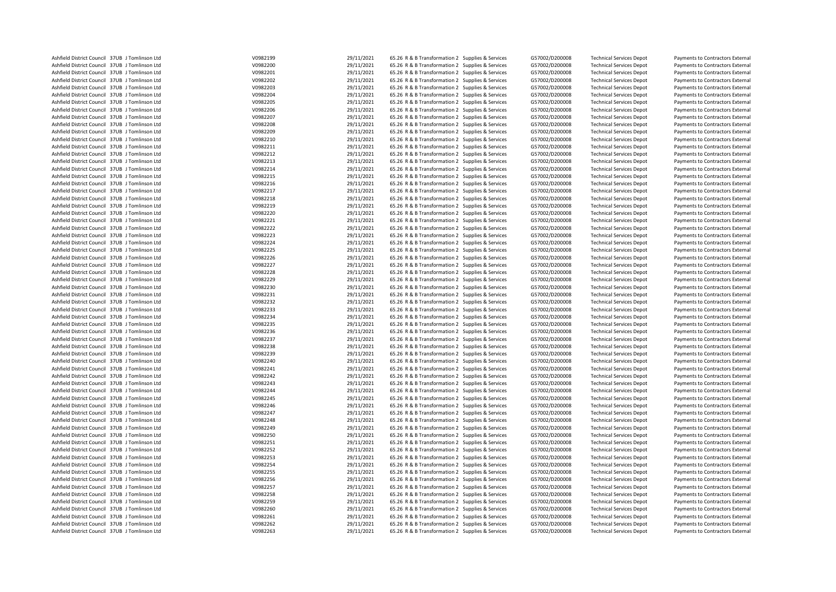| Ashfield District Council 37UB J Tomlinson Ltd                                                   | V0982199             | 29/11/2021               | 65.26 R & B Transformation 2 Supplies & Services                                                     | G57002/D200008                   | <b>Technical Services Depot</b>                                    | Payments to Contractors External                                     |
|--------------------------------------------------------------------------------------------------|----------------------|--------------------------|------------------------------------------------------------------------------------------------------|----------------------------------|--------------------------------------------------------------------|----------------------------------------------------------------------|
| Ashfield District Council 37UB J Tomlinson Ltd                                                   | V0982200             | 29/11/2021               | 65.26 R & B Transformation 2 Supplies & Services                                                     | G57002/D200008                   | <b>Technical Services Depot</b>                                    | Payments to Contractors External                                     |
| Ashfield District Council 37UB J Tomlinson Ltd                                                   | V0982201             | 29/11/2021               | 65.26 R & B Transformation 2 Supplies & Services                                                     | G57002/D200008                   | <b>Technical Services Depot</b>                                    | Payments to Contractors External                                     |
| Ashfield District Council 37UB J Tomlinson Ltd                                                   | V0982202             | 29/11/2021               | 65.26 R & B Transformation 2 Supplies & Services                                                     | G57002/D200008                   | <b>Technical Services Depot</b>                                    | Payments to Contractors External                                     |
| Ashfield District Council 37UB J Tomlinson Ltd                                                   | V0982203             | 29/11/2021               | 65.26 R & B Transformation 2 Supplies & Services                                                     | G57002/D200008                   | <b>Technical Services Depot</b>                                    | Payments to Contractors External                                     |
| Ashfield District Council 37UB J Tomlinson Ltd                                                   | V0982204             | 29/11/2021               | 65.26 R & B Transformation 2 Supplies & Services                                                     | G57002/D200008                   | <b>Technical Services Depot</b>                                    | Payments to Contractors External                                     |
| Ashfield District Council 37UB J Tomlinson Ltd                                                   | V0982205             | 29/11/2021               | 65.26 R & B Transformation 2 Supplies & Services                                                     | G57002/D200008                   | <b>Technical Services Depot</b>                                    | Payments to Contractors External                                     |
| Ashfield District Council 37UB J Tomlinson Ltd                                                   | V0982206             | 29/11/2021               | 65.26 R & B Transformation 2 Supplies & Services                                                     | G57002/D200008                   | <b>Technical Services Depot</b>                                    | Payments to Contractors External                                     |
| Ashfield District Council 37UB J Tomlinson Ltd                                                   | V0982207             | 29/11/2021               | 65.26 R & B Transformation 2 Supplies & Services                                                     | G57002/D200008                   | <b>Technical Services Depot</b>                                    | Payments to Contractors External                                     |
| Ashfield District Council 37UB J Tomlinson Ltd                                                   | V0982208             | 29/11/2021               | 65.26 R & B Transformation 2 Supplies & Services                                                     | G57002/D200008                   | <b>Technical Services Depot</b>                                    | Payments to Contractors External                                     |
| Ashfield District Council 37UB J Tomlinson Ltd                                                   | V0982209             | 29/11/2021               | 65.26 R & B Transformation 2 Supplies & Services                                                     | G57002/D200008                   | <b>Technical Services Depot</b>                                    | Payments to Contractors External                                     |
| Ashfield District Council 37UB J Tomlinson Ltd                                                   | V0982210             | 29/11/2021               | 65.26 R & B Transformation 2 Supplies & Services                                                     | G57002/D200008                   | <b>Technical Services Depot</b>                                    | Payments to Contractors External                                     |
| Ashfield District Council 37UB J Tomlinson Ltd                                                   | V0982211             | 29/11/2021               | 65.26 R & B Transformation 2 Supplies & Services                                                     | G57002/D200008                   | <b>Technical Services Depot</b>                                    | Payments to Contractors External                                     |
|                                                                                                  |                      | 29/11/2021               |                                                                                                      |                                  |                                                                    |                                                                      |
| Ashfield District Council 37UB J Tomlinson Ltd<br>Ashfield District Council 37UB J Tomlinson Ltd | V0982212<br>V0982213 | 29/11/2021               | 65.26 R & B Transformation 2 Supplies & Services                                                     | G57002/D200008                   | <b>Technical Services Depot</b>                                    | Payments to Contractors External                                     |
|                                                                                                  |                      |                          | 65.26 R & B Transformation 2 Supplies & Services                                                     | G57002/D200008                   | <b>Technical Services Depot</b>                                    | Payments to Contractors External                                     |
| Ashfield District Council 37UB J Tomlinson Ltd                                                   | V0982214             | 29/11/2021               | 65.26 R & B Transformation 2 Supplies & Services                                                     | G57002/D200008                   | <b>Technical Services Depot</b>                                    | Payments to Contractors External                                     |
| Ashfield District Council 37UB J Tomlinson Ltd                                                   | V0982215             | 29/11/2021               | 65.26 R & B Transformation 2 Supplies & Services                                                     | G57002/D200008                   | <b>Technical Services Depot</b>                                    | Payments to Contractors External                                     |
| Ashfield District Council 37UB J Tomlinson Ltd                                                   | V0982216             | 29/11/2021               | 65.26 R & B Transformation 2 Supplies & Services                                                     | G57002/D200008                   | <b>Technical Services Depot</b>                                    | Payments to Contractors External                                     |
| Ashfield District Council 37UB J Tomlinson Ltd                                                   | V0982217             | 29/11/2021               | 65.26 R & B Transformation 2 Supplies & Services                                                     | G57002/D200008                   | <b>Technical Services Depot</b>                                    | Payments to Contractors External                                     |
| Ashfield District Council 37UB J Tomlinson Ltd                                                   | V0982218             | 29/11/2021               | 65.26 R & B Transformation 2 Supplies & Services                                                     | G57002/D200008                   | <b>Technical Services Depot</b>                                    | Payments to Contractors External                                     |
| Ashfield District Council 37UB J Tomlinson Ltd                                                   | V0982219             | 29/11/2021               | 65.26 R & B Transformation 2 Supplies & Services                                                     | G57002/D200008                   | <b>Technical Services Depot</b>                                    | Payments to Contractors External                                     |
| Ashfield District Council 37UB J Tomlinson Ltd                                                   | V0982220             | 29/11/2021               | 65.26 R & B Transformation 2 Supplies & Services                                                     | G57002/D200008                   | <b>Technical Services Depot</b>                                    | Payments to Contractors External                                     |
| Ashfield District Council 37UB J Tomlinson Ltd                                                   | V0982221             | 29/11/2021               | 65.26 R & B Transformation 2 Supplies & Services                                                     | G57002/D200008                   | <b>Technical Services Depot</b>                                    | Payments to Contractors External                                     |
| Ashfield District Council 37UB J Tomlinson Ltd                                                   | V0982222             | 29/11/2021               | 65.26 R & B Transformation 2 Supplies & Services                                                     | G57002/D200008                   | <b>Technical Services Depot</b>                                    | Payments to Contractors External                                     |
| Ashfield District Council 37UB J Tomlinson Ltd                                                   | V0982223             | 29/11/2021               | 65.26 R & B Transformation 2 Supplies & Services                                                     | G57002/D200008                   | <b>Technical Services Depot</b>                                    | Payments to Contractors External                                     |
| Ashfield District Council 37UB J Tomlinson Ltd                                                   | V0982224             | 29/11/2021               | 65.26 R & B Transformation 2 Supplies & Services                                                     | G57002/D200008                   | <b>Technical Services Depot</b>                                    | Payments to Contractors External                                     |
| Ashfield District Council 37UB J Tomlinson Ltd                                                   | V0982225             | 29/11/2021               | 65.26 R & B Transformation 2 Supplies & Services                                                     | G57002/D200008                   | <b>Technical Services Depot</b>                                    | Payments to Contractors External                                     |
| Ashfield District Council 37UB J Tomlinson Ltd                                                   | V0982226             | 29/11/2021               | 65.26 R & B Transformation 2 Supplies & Services                                                     | G57002/D200008                   | <b>Technical Services Depot</b>                                    | Payments to Contractors External                                     |
| Ashfield District Council 37UB J Tomlinson Ltd                                                   | V0982227             | 29/11/2021               | 65.26 R & B Transformation 2 Supplies & Services                                                     | G57002/D200008                   | <b>Technical Services Depot</b>                                    | Payments to Contractors External                                     |
| Ashfield District Council 37UB J Tomlinson Ltd                                                   | V0982228             | 29/11/2021               | 65.26 R & B Transformation 2 Supplies & Services                                                     | G57002/D200008                   | <b>Technical Services Depot</b>                                    | Payments to Contractors External                                     |
| Ashfield District Council 37UB J Tomlinson Ltd                                                   | V0982229             | 29/11/2021               | 65.26 R & B Transformation 2 Supplies & Services                                                     | G57002/D200008                   | <b>Technical Services Depot</b>                                    | Payments to Contractors External                                     |
| Ashfield District Council 37UB J Tomlinson Ltd                                                   | V0982230             | 29/11/2021               | 65.26 R & B Transformation 2 Supplies & Services                                                     | G57002/D200008                   | <b>Technical Services Depot</b>                                    | Payments to Contractors External                                     |
| Ashfield District Council 37UB J Tomlinson Ltd                                                   | V0982231             | 29/11/2021               | 65.26 R & B Transformation 2 Supplies & Services                                                     | G57002/D200008                   | <b>Technical Services Depot</b>                                    | Payments to Contractors External                                     |
| Ashfield District Council 37UB J Tomlinson Ltd                                                   | V0982232             | 29/11/2021               | 65.26 R & B Transformation 2 Supplies & Services                                                     | G57002/D200008                   | <b>Technical Services Depot</b>                                    | Payments to Contractors External                                     |
| Ashfield District Council 37UB J Tomlinson Ltd                                                   | V0982233             | 29/11/2021               | 65.26 R & B Transformation 2 Supplies & Services                                                     | G57002/D200008                   | <b>Technical Services Depot</b>                                    | Payments to Contractors External                                     |
| Ashfield District Council 37UB J Tomlinson Ltd                                                   | V0982234             | 29/11/2021               | 65.26 R & B Transformation 2 Supplies & Services                                                     | G57002/D200008                   | <b>Technical Services Depot</b>                                    | Payments to Contractors External                                     |
| Ashfield District Council 37UB J Tomlinson Ltd                                                   | V0982235             | 29/11/2021               | 65.26 R & B Transformation 2 Supplies & Services                                                     | G57002/D200008                   | <b>Technical Services Depot</b>                                    | Payments to Contractors External                                     |
| Ashfield District Council 37UB J Tomlinson Ltd                                                   | V0982236             | 29/11/2021               | 65.26 R & B Transformation 2 Supplies & Services                                                     | G57002/D200008                   | <b>Technical Services Depot</b>                                    | Payments to Contractors External                                     |
| Ashfield District Council 37UB J Tomlinson Ltd                                                   | V0982237             | 29/11/2021               | 65.26 R & B Transformation 2 Supplies & Services                                                     | G57002/D200008                   | <b>Technical Services Depot</b>                                    | Payments to Contractors External                                     |
| Ashfield District Council 37UB J Tomlinson Ltd                                                   | V0982238             | 29/11/2021               | 65.26 R & B Transformation 2 Supplies & Services                                                     | G57002/D200008                   | <b>Technical Services Depot</b>                                    | Payments to Contractors External                                     |
| Ashfield District Council 37UB J Tomlinson Ltd                                                   | V0982239             | 29/11/2021               | 65.26 R & B Transformation 2 Supplies & Services                                                     | G57002/D200008                   | <b>Technical Services Depot</b>                                    | Payments to Contractors External                                     |
| Ashfield District Council 37UB J Tomlinson Ltd                                                   | V0982240             | 29/11/2021               | 65.26 R & B Transformation 2 Supplies & Services                                                     | G57002/D200008                   | <b>Technical Services Depot</b>                                    | Payments to Contractors External                                     |
| Ashfield District Council 37UB J Tomlinson Ltd                                                   | V0982241             | 29/11/2021               | 65.26 R & B Transformation 2 Supplies & Services                                                     | G57002/D200008                   | <b>Technical Services Depot</b>                                    | Payments to Contractors External                                     |
| Ashfield District Council 37UB J Tomlinson Ltd                                                   | V0982242             | 29/11/2021               | 65.26 R & B Transformation 2 Supplies & Services                                                     | G57002/D200008                   | <b>Technical Services Depot</b>                                    | Payments to Contractors External                                     |
| Ashfield District Council 37UB J Tomlinson Ltd                                                   | V0982243             | 29/11/2021               | 65.26 R & B Transformation 2 Supplies & Services                                                     | G57002/D200008                   | <b>Technical Services Depot</b>                                    | Payments to Contractors External                                     |
| Ashfield District Council 37UB J Tomlinson Ltd                                                   | V0982244             | 29/11/2021               | 65.26 R & B Transformation 2 Supplies & Services                                                     | G57002/D200008                   | <b>Technical Services Depot</b>                                    | Payments to Contractors External                                     |
|                                                                                                  | V0982245             | 29/11/2021               | 65.26 R & B Transformation 2 Supplies & Services                                                     |                                  |                                                                    |                                                                      |
| Ashfield District Council 37UB J Tomlinson Ltd<br>Ashfield District Council 37UB J Tomlinson Ltd | V0982246             |                          | 65.26 R & B Transformation 2 Supplies & Services                                                     | G57002/D200008<br>G57002/D200008 | <b>Technical Services Depot</b>                                    | Payments to Contractors External                                     |
|                                                                                                  | V0982247             | 29/11/2021<br>29/11/2021 |                                                                                                      |                                  | <b>Technical Services Depot</b>                                    | Payments to Contractors External                                     |
| Ashfield District Council 37UB J Tomlinson Ltd<br>Ashfield District Council 37UB J Tomlinson Ltd | V0982248             | 29/11/2021               | 65.26 R & B Transformation 2 Supplies & Services<br>65.26 R & B Transformation 2 Supplies & Services | G57002/D200008<br>G57002/D200008 | <b>Technical Services Depot</b><br><b>Technical Services Depot</b> | Payments to Contractors External<br>Payments to Contractors External |
|                                                                                                  |                      |                          |                                                                                                      |                                  |                                                                    |                                                                      |
| Ashfield District Council 37UB J Tomlinson Ltd                                                   | V0982249             | 29/11/2021               | 65.26 R & B Transformation 2 Supplies & Services                                                     | G57002/D200008                   | <b>Technical Services Depot</b>                                    | Payments to Contractors External                                     |
| Ashfield District Council 37UB J Tomlinson Ltd                                                   | V0982250             | 29/11/2021               | 65.26 R & B Transformation 2 Supplies & Services                                                     | G57002/D200008                   | <b>Technical Services Depot</b>                                    | Payments to Contractors External                                     |
| Ashfield District Council 37UB J Tomlinson Ltd                                                   | V0982251             | 29/11/2021               | 65.26 R & B Transformation 2 Supplies & Services                                                     | G57002/D200008                   | <b>Technical Services Depot</b>                                    | Payments to Contractors External                                     |
| Ashfield District Council 37UB J Tomlinson Ltd                                                   | V0982252             | 29/11/2021               | 65.26 R & B Transformation 2 Supplies & Services                                                     | G57002/D200008                   | <b>Technical Services Depot</b>                                    | Payments to Contractors External                                     |
| Ashfield District Council 37UB J Tomlinson Ltd                                                   | V0982253             | 29/11/2021               | 65.26 R & B Transformation 2 Supplies & Services                                                     | G57002/D200008                   | <b>Technical Services Depot</b>                                    | Payments to Contractors External                                     |
| Ashfield District Council 37UB J Tomlinson Ltd                                                   | V0982254             | 29/11/2021               | 65.26 R & B Transformation 2 Supplies & Services                                                     | G57002/D200008                   | <b>Technical Services Depot</b>                                    | Payments to Contractors External                                     |
| Ashfield District Council 37UB J Tomlinson Ltd                                                   | V0982255             | 29/11/2021               | 65.26 R & B Transformation 2 Supplies & Services                                                     | G57002/D200008                   | <b>Technical Services Depot</b>                                    | Payments to Contractors External                                     |
| Ashfield District Council 37UB J Tomlinson Ltd                                                   | V0982256             | 29/11/2021               | 65.26 R & B Transformation 2 Supplies & Services                                                     | G57002/D200008                   | <b>Technical Services Depot</b>                                    | Payments to Contractors External                                     |
| Ashfield District Council 37UB J Tomlinson Ltd                                                   | V0982257             | 29/11/2021               | 65.26 R & B Transformation 2 Supplies & Services                                                     | G57002/D200008                   | <b>Technical Services Depot</b>                                    | Payments to Contractors External                                     |
| Ashfield District Council 37UB J Tomlinson Ltd                                                   | V0982258             | 29/11/2021               | 65.26 R & B Transformation 2 Supplies & Services                                                     | G57002/D200008                   | <b>Technical Services Depot</b>                                    | Payments to Contractors External                                     |
| Ashfield District Council 37UB J Tomlinson Ltd                                                   | V0982259             | 29/11/2021               | 65.26 R & B Transformation 2 Supplies & Services                                                     | G57002/D200008                   | <b>Technical Services Depot</b>                                    | Payments to Contractors External                                     |
| Ashfield District Council 37UB J Tomlinson Ltd                                                   | V0982260             | 29/11/2021               | 65.26 R & B Transformation 2 Supplies & Services                                                     | G57002/D200008                   | <b>Technical Services Depot</b>                                    | Payments to Contractors External                                     |
| Ashfield District Council 37UB J Tomlinson Ltd                                                   | V0982261             | 29/11/2021               | 65.26 R & B Transformation 2 Supplies & Services                                                     | G57002/D200008                   | <b>Technical Services Depot</b>                                    | Payments to Contractors External                                     |
| Ashfield District Council 37UB J Tomlinson Ltd                                                   | V0982262             | 29/11/2021               | 65.26 R & B Transformation 2 Supplies & Services                                                     | G57002/D200008                   | <b>Technical Services Depot</b>                                    | Payments to Contractors External                                     |
| Ashfield District Council 37UB J Tomlinson Ltd                                                   | V0982263             | 29/11/2021               | 65.26 R & B Transformation 2 Supplies & Services                                                     | G57002/D200008                   | <b>Technical Services Depot</b>                                    | Payments to Contractors External                                     |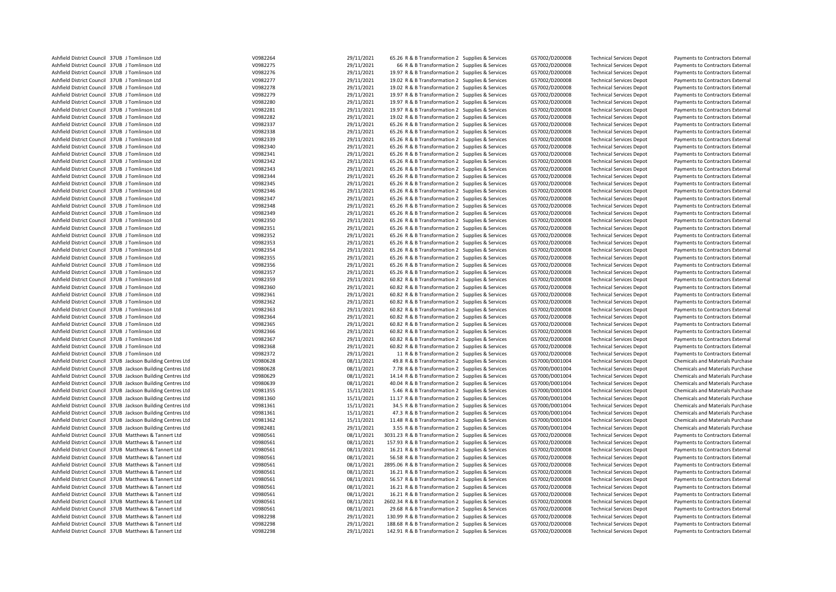| Ashfield District Council 37UB J Tomlinson Ltd              | V0982264 | 29/11/2021 | 65.26 R & B Transformation 2 Supplies & Services   | G57002/D200008 | <b>Technical Services Depot</b> | Payments to Contractors External        |
|-------------------------------------------------------------|----------|------------|----------------------------------------------------|----------------|---------------------------------|-----------------------------------------|
| Ashfield District Council 37UB J Tomlinson Ltd              | V0982275 | 29/11/2021 | 66 R & B Transformation 2 Supplies & Services      | G57002/D200008 | <b>Technical Services Depot</b> | Payments to Contractors External        |
| Ashfield District Council 37UB J Tomlinson Ltd              | V0982276 | 29/11/2021 | 19.97 R & B Transformation 2 Supplies & Services   | G57002/D200008 | <b>Technical Services Depot</b> | Payments to Contractors External        |
| Ashfield District Council 37UB J Tomlinson Ltd              | V0982277 | 29/11/2021 | 19.02 R & B Transformation 2 Supplies & Services   | G57002/D200008 | <b>Technical Services Depot</b> | Payments to Contractors External        |
| Ashfield District Council 37UB J Tomlinson Ltd              | V0982278 | 29/11/2021 | 19.02 R & B Transformation 2 Supplies & Services   | G57002/D200008 | <b>Technical Services Depot</b> | Payments to Contractors External        |
| Ashfield District Council 37UB J Tomlinson Ltd              | V0982279 | 29/11/2021 | 19.97 R & B Transformation 2 Supplies & Services   | G57002/D200008 | <b>Technical Services Depot</b> | Payments to Contractors External        |
| Ashfield District Council 37UB J Tomlinson Ltd              | V0982280 | 29/11/2021 | 19.97 R & B Transformation 2 Supplies & Services   | G57002/D200008 | <b>Technical Services Depot</b> | Payments to Contractors External        |
| Ashfield District Council 37UB J Tomlinson Ltd              | V0982281 | 29/11/2021 | 19.97 R & B Transformation 2 Supplies & Services   | G57002/D200008 | <b>Technical Services Depot</b> | Payments to Contractors External        |
| Ashfield District Council 37UB J Tomlinson Ltd              | V0982282 | 29/11/2021 | 19.02 R & B Transformation 2 Supplies & Services   | G57002/D200008 | <b>Technical Services Depot</b> | Payments to Contractors External        |
| Ashfield District Council 37UB J Tomlinson Ltd              | V0982337 | 29/11/2021 | 65.26 R & B Transformation 2 Supplies & Services   | G57002/D200008 | <b>Technical Services Depot</b> | Payments to Contractors External        |
| Ashfield District Council 37UB J Tomlinson Ltd              | V0982338 | 29/11/2021 | 65.26 R & B Transformation 2 Supplies & Services   | G57002/D200008 | <b>Technical Services Depot</b> | Payments to Contractors External        |
| Ashfield District Council 37UB J Tomlinson Ltd              | V0982339 | 29/11/2021 | 65.26 R & B Transformation 2 Supplies & Services   | G57002/D200008 | <b>Technical Services Depot</b> | Payments to Contractors External        |
| Ashfield District Council 37UB J Tomlinson Ltd              | V0982340 | 29/11/2021 | 65.26 R & B Transformation 2 Supplies & Services   | G57002/D200008 | <b>Technical Services Depot</b> | Payments to Contractors External        |
| Ashfield District Council 37UB J Tomlinson Ltd              | V0982341 | 29/11/2021 | 65.26 R & B Transformation 2 Supplies & Services   | G57002/D200008 | <b>Technical Services Depot</b> | Payments to Contractors External        |
| Ashfield District Council 37UB J Tomlinson Ltd              | V0982342 | 29/11/2021 | 65.26 R & B Transformation 2 Supplies & Services   | G57002/D200008 | <b>Technical Services Depot</b> | Payments to Contractors External        |
| Ashfield District Council 37UB J Tomlinson Ltd              | V0982343 | 29/11/2021 | 65.26 R & B Transformation 2 Supplies & Services   | G57002/D200008 | <b>Technical Services Depot</b> | Payments to Contractors External        |
| Ashfield District Council 37UB J Tomlinson Ltd              | V0982344 | 29/11/2021 | 65.26 R & B Transformation 2 Supplies & Services   | G57002/D200008 | <b>Technical Services Depot</b> | Payments to Contractors External        |
| Ashfield District Council 37UB J Tomlinson Ltd              | V0982345 | 29/11/2021 | 65.26 R & B Transformation 2 Supplies & Services   | G57002/D200008 | <b>Technical Services Depot</b> | Payments to Contractors External        |
| Ashfield District Council 37UB J Tomlinson Ltd              | V0982346 | 29/11/2021 | 65.26 R & B Transformation 2 Supplies & Services   | G57002/D200008 | <b>Technical Services Depot</b> | Payments to Contractors External        |
| Ashfield District Council 37UB J Tomlinson Ltd              | V0982347 | 29/11/2021 | 65.26 R & B Transformation 2 Supplies & Services   | G57002/D200008 | <b>Technical Services Depot</b> | Payments to Contractors External        |
| Ashfield District Council 37UB J Tomlinson Ltd              | V0982348 | 29/11/2021 | 65.26 R & B Transformation 2 Supplies & Services   | G57002/D200008 | <b>Technical Services Depot</b> | Payments to Contractors External        |
| Ashfield District Council 37UB J Tomlinson Ltd              | V0982349 | 29/11/2021 | 65.26 R & B Transformation 2 Supplies & Services   | G57002/D200008 | <b>Technical Services Depot</b> | Payments to Contractors External        |
| Ashfield District Council 37UB J Tomlinson Ltd              | V0982350 | 29/11/2021 | 65.26 R & B Transformation 2 Supplies & Services   | G57002/D200008 | <b>Technical Services Depot</b> | Payments to Contractors External        |
| Ashfield District Council 37UB J Tomlinson Ltd              | V0982351 | 29/11/2021 | 65.26 R & B Transformation 2 Supplies & Services   | G57002/D200008 | <b>Technical Services Depot</b> | Payments to Contractors External        |
| Ashfield District Council 37UB J Tomlinson Ltd              | V0982352 | 29/11/2021 | 65.26 R & B Transformation 2 Supplies & Services   | G57002/D200008 |                                 |                                         |
| Ashfield District Council 37UB J Tomlinson Ltd              | V0982353 |            | 65.26 R & B Transformation 2 Supplies & Services   | G57002/D200008 | <b>Technical Services Depot</b> | Payments to Contractors External        |
|                                                             |          | 29/11/2021 |                                                    |                | <b>Technical Services Depot</b> | Payments to Contractors External        |
| Ashfield District Council 37UB J Tomlinson Ltd              | V0982354 | 29/11/2021 | 65.26 R & B Transformation 2 Supplies & Services   | G57002/D200008 | <b>Technical Services Depot</b> | Payments to Contractors External        |
| Ashfield District Council 37UB J Tomlinson Ltd              | V0982355 | 29/11/2021 | 65.26 R & B Transformation 2 Supplies & Services   | G57002/D200008 | <b>Technical Services Depot</b> | Payments to Contractors External        |
| Ashfield District Council 37UB J Tomlinson Ltd              | V0982356 | 29/11/2021 | 65.26 R & B Transformation 2 Supplies & Services   | G57002/D200008 | <b>Technical Services Depot</b> | Payments to Contractors External        |
| Ashfield District Council 37UB J Tomlinson Ltd              | V0982357 | 29/11/2021 | 65.26 R & B Transformation 2 Supplies & Services   | G57002/D200008 | <b>Technical Services Depot</b> | Payments to Contractors External        |
| Ashfield District Council 37UB J Tomlinson Ltd              | V0982359 | 29/11/2021 | 60.82 R & B Transformation 2 Supplies & Services   | G57002/D200008 | <b>Technical Services Depot</b> | Payments to Contractors External        |
| Ashfield District Council 37UB J Tomlinson Ltd              | V0982360 | 29/11/2021 | 60.82 R & B Transformation 2 Supplies & Services   | G57002/D200008 | <b>Technical Services Depot</b> | Payments to Contractors External        |
| Ashfield District Council 37UB J Tomlinson Ltd              | V0982361 | 29/11/2021 | 60.82 R & B Transformation 2 Supplies & Services   | G57002/D200008 | <b>Technical Services Depot</b> | Payments to Contractors External        |
| Ashfield District Council 37UB J Tomlinson Ltd              | V0982362 | 29/11/2021 | 60.82 R & B Transformation 2 Supplies & Services   | G57002/D200008 | <b>Technical Services Depot</b> | Payments to Contractors External        |
| Ashfield District Council 37UB J Tomlinson Ltd              | V0982363 | 29/11/2021 | 60.82 R & B Transformation 2 Supplies & Services   | G57002/D200008 | <b>Technical Services Depot</b> | Payments to Contractors External        |
| Ashfield District Council 37UB J Tomlinson Ltd              | V0982364 | 29/11/2021 | 60.82 R & B Transformation 2 Supplies & Services   | G57002/D200008 | <b>Technical Services Depot</b> | Payments to Contractors External        |
| Ashfield District Council 37UB J Tomlinson Ltd              | V0982365 | 29/11/2021 | 60.82 R & B Transformation 2 Supplies & Services   | G57002/D200008 | <b>Technical Services Depot</b> | Payments to Contractors External        |
| Ashfield District Council 37UB J Tomlinson Ltd              | V0982366 | 29/11/2021 | 60.82 R & B Transformation 2 Supplies & Services   | G57002/D200008 | <b>Technical Services Depot</b> | Payments to Contractors External        |
| Ashfield District Council 37UB J Tomlinson Ltd              | V0982367 | 29/11/2021 | 60.82 R & B Transformation 2 Supplies & Services   | G57002/D200008 | <b>Technical Services Depot</b> | Payments to Contractors External        |
| Ashfield District Council 37UB J Tomlinson Ltd              | V0982368 | 29/11/2021 | 60.82 R & B Transformation 2 Supplies & Services   | G57002/D200008 | <b>Technical Services Depot</b> | Payments to Contractors External        |
| Ashfield District Council 37UB J Tomlinson Ltd              | V0982372 | 29/11/2021 | 11 R & B Transformation 2 Supplies & Services      | G57002/D200008 | <b>Technical Services Depot</b> | Payments to Contractors External        |
| Ashfield District Council 37UB Jackson Building Centres Ltd | V0980628 | 08/11/2021 | 49.8 R & B Transformation 2 Supplies & Services    | G57000/D001004 | <b>Technical Services Depot</b> | Chemicals and Materials Purchase        |
| Ashfield District Council 37UB Jackson Building Centres Ltd | V0980628 | 08/11/2021 | 7.78 R & B Transformation 2 Supplies & Services    | G57000/D001004 | <b>Technical Services Depot</b> | Chemicals and Materials Purchase        |
| Ashfield District Council 37UB Jackson Building Centres Ltd | V0980629 | 08/11/2021 | 14.14 R & B Transformation 2 Supplies & Services   | G57000/D001004 | <b>Technical Services Depot</b> | Chemicals and Materials Purchase        |
| Ashfield District Council 37UB Jackson Building Centres Ltd | V0980639 | 08/11/2021 | 40.04 R & B Transformation 2 Supplies & Services   | G57000/D001004 | <b>Technical Services Depot</b> | Chemicals and Materials Purchase        |
| Ashfield District Council 37UB Jackson Building Centres Ltd | V0981355 | 15/11/2021 | 5.46 R & B Transformation 2 Supplies & Services    | G57000/D001004 | <b>Technical Services Depot</b> | <b>Chemicals and Materials Purchase</b> |
| Ashfield District Council 37UB Jackson Building Centres Ltd | V0981360 | 15/11/2021 | 11.17 R & B Transformation 2 Supplies & Services   | G57000/D001004 | <b>Technical Services Depot</b> | Chemicals and Materials Purchase        |
| Ashfield District Council 37UB Jackson Building Centres Ltd | V0981361 | 15/11/2021 | 34.5 R & B Transformation 2 Supplies & Services    | G57000/D001004 | <b>Technical Services Depot</b> | Chemicals and Materials Purchase        |
| Ashfield District Council 37UB Jackson Building Centres Ltd | V0981361 | 15/11/2021 | 47.3 R & B Transformation 2 Supplies & Services    | G57000/D001004 | <b>Technical Services Depot</b> | Chemicals and Materials Purchase        |
| Ashfield District Council 37UB Jackson Building Centres Ltd | V0981362 | 15/11/2021 | 11.48 R & B Transformation 2 Supplies & Services   | G57000/D001004 | <b>Technical Services Depot</b> | Chemicals and Materials Purchase        |
| Ashfield District Council 37UB Jackson Building Centres Ltd | V0982481 | 29/11/2021 | 3.55 R & B Transformation 2 Supplies & Services    | G57000/D001004 | <b>Technical Services Depot</b> | Chemicals and Materials Purchase        |
| Ashfield District Council 37UB Matthews & Tannert Ltd       | V0980561 | 08/11/2021 | 3031.23 R & B Transformation 2 Supplies & Services | G57002/D200008 | <b>Technical Services Depot</b> | Payments to Contractors External        |
| Ashfield District Council 37UB Matthews & Tannert Ltd       | V0980561 | 08/11/2021 | 157.93 R & B Transformation 2 Supplies & Services  | G57002/D200008 | <b>Technical Services Depot</b> | Payments to Contractors External        |
| Ashfield District Council 37UB Matthews & Tannert Ltd       | V0980561 | 08/11/2021 | 16.21 R & B Transformation 2 Supplies & Services   | G57002/D200008 | <b>Technical Services Depot</b> | Payments to Contractors External        |
| Ashfield District Council 37UB Matthews & Tannert Ltd       | V0980561 | 08/11/2021 | 56.58 R & B Transformation 2 Supplies & Services   | G57002/D200008 | <b>Technical Services Depot</b> | Payments to Contractors External        |
| Ashfield District Council 37UB Matthews & Tannert Ltd       | V0980561 | 08/11/2021 | 2895.06 R & B Transformation 2 Supplies & Services | G57002/D200008 | <b>Technical Services Depot</b> | Payments to Contractors External        |
| Ashfield District Council 37UB Matthews & Tannert Ltd       | V0980561 | 08/11/2021 | 16.21 R & B Transformation 2 Supplies & Services   | G57002/D200008 | <b>Technical Services Depot</b> | Payments to Contractors External        |
| Ashfield District Council 37UB Matthews & Tannert Ltd       | V0980561 | 08/11/2021 | 56.57 R & B Transformation 2 Supplies & Services   | G57002/D200008 | <b>Technical Services Depot</b> | Payments to Contractors External        |
| Ashfield District Council 37UB Matthews & Tannert Ltd       | V0980561 | 08/11/2021 | 16.21 R & B Transformation 2 Supplies & Services   | G57002/D200008 | <b>Technical Services Depot</b> | Payments to Contractors External        |
| Ashfield District Council 37UB Matthews & Tannert Ltd       | V0980561 | 08/11/2021 | 16.21 R & B Transformation 2 Supplies & Services   | G57002/D200008 | <b>Technical Services Depot</b> | Payments to Contractors External        |
| Ashfield District Council 37UB Matthews & Tannert Ltd       | V0980561 | 08/11/2021 | 2602.34 R & B Transformation 2 Supplies & Services | G57002/D200008 | <b>Technical Services Depot</b> | Payments to Contractors External        |
| Ashfield District Council 37UB Matthews & Tannert Ltd       | V0980561 | 08/11/2021 | 29.68 R & B Transformation 2 Supplies & Services   | G57002/D200008 | <b>Technical Services Depot</b> | Payments to Contractors External        |
| Ashfield District Council 37UB Matthews & Tannert Ltd       | V0982298 | 29/11/2021 | 130.99 R & B Transformation 2 Supplies & Services  | G57002/D200008 | <b>Technical Services Depot</b> | Payments to Contractors External        |
| Ashfield District Council 37UB Matthews & Tannert Ltd       | V0982298 | 29/11/2021 | 188.68 R & B Transformation 2 Supplies & Services  | G57002/D200008 | <b>Technical Services Depot</b> | Payments to Contractors External        |
| Ashfield District Council 37UB Matthews & Tannert Ltd       | V0982298 | 29/11/2021 | 142.91 R & B Transformation 2 Supplies & Services  | G57002/D200008 | <b>Technical Services Depot</b> | Payments to Contractors External        |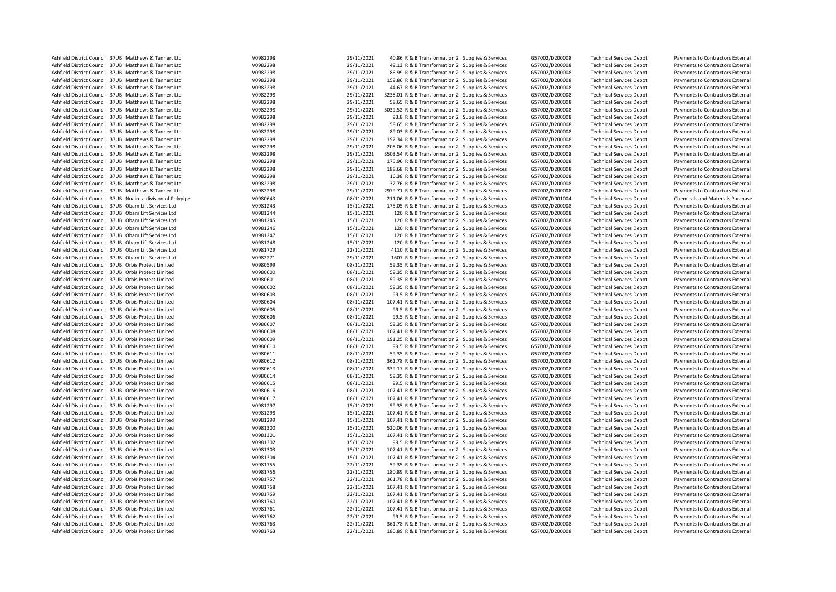| Ashfield District Council 37UB Matthews & Tannert Ltd        | V0982298 | 29/11/2021 | 40.86 R & B Transformation 2 Supplies & Services   | G57002/D200008 | <b>Technical Services Depot</b> | Payments to Contractors External |
|--------------------------------------------------------------|----------|------------|----------------------------------------------------|----------------|---------------------------------|----------------------------------|
| Ashfield District Council 37UB Matthews & Tannert Ltd        | V0982298 | 29/11/2021 | 49.13 R & B Transformation 2 Supplies & Services   | G57002/D200008 | <b>Technical Services Depot</b> | Payments to Contractors External |
| Ashfield District Council 37UB Matthews & Tannert Ltd        | V0982298 | 29/11/2021 | 86.99 R & B Transformation 2 Supplies & Services   | G57002/D200008 | <b>Technical Services Depot</b> | Payments to Contractors External |
|                                                              |          |            |                                                    |                |                                 |                                  |
| Ashfield District Council 37UB Matthews & Tannert Ltd        | V0982298 | 29/11/2021 | 159.86 R & B Transformation 2 Supplies & Services  | G57002/D200008 | <b>Technical Services Depot</b> | Payments to Contractors External |
| Ashfield District Council 37UB Matthews & Tannert Ltd        | V0982298 | 29/11/2021 | 44.67 R & B Transformation 2 Supplies & Services   | G57002/D200008 | <b>Technical Services Depot</b> | Payments to Contractors External |
| Ashfield District Council 37UB Matthews & Tannert Ltd        | V0982298 | 29/11/2021 | 3238.01 R & B Transformation 2 Supplies & Services | G57002/D200008 | <b>Technical Services Depot</b> | Payments to Contractors External |
| Ashfield District Council 37UB Matthews & Tannert Ltd        | V0982298 | 29/11/2021 | 58.65 R & B Transformation 2 Supplies & Services   | G57002/D200008 | <b>Technical Services Depot</b> | Payments to Contractors External |
| Ashfield District Council 37UB Matthews & Tannert Ltd        | V0982298 | 29/11/2021 | 5039.52 R & B Transformation 2 Supplies & Services | G57002/D200008 | <b>Technical Services Depot</b> | Payments to Contractors External |
| Ashfield District Council 37UB Matthews & Tannert Ltd        | V0982298 | 29/11/2021 | 93.8 R & B Transformation 2 Supplies & Services    | G57002/D200008 | <b>Technical Services Depot</b> | Payments to Contractors External |
| Ashfield District Council 37UB Matthews & Tannert Ltd        | V0982298 | 29/11/2021 | 58.65 R & B Transformation 2 Supplies & Services   | G57002/D200008 | <b>Technical Services Depot</b> | Payments to Contractors External |
| Ashfield District Council 37UB Matthews & Tannert Ltd        | V0982298 | 29/11/2021 | 89.03 R & B Transformation 2 Supplies & Services   | G57002/D200008 | <b>Technical Services Depot</b> | Payments to Contractors External |
| Ashfield District Council 37UB Matthews & Tannert Ltd        | V0982298 | 29/11/2021 | 192.34 R & B Transformation 2 Supplies & Services  | G57002/D200008 | <b>Technical Services Depot</b> | Payments to Contractors External |
| Ashfield District Council 37UB Matthews & Tannert Ltd        | V0982298 | 29/11/2021 | 205.06 R & B Transformation 2 Supplies & Services  | G57002/D200008 | <b>Technical Services Depot</b> | Payments to Contractors External |
|                                                              |          |            |                                                    |                |                                 |                                  |
| Ashfield District Council 37UB Matthews & Tannert Ltd        | V0982298 | 29/11/2021 | 3503.54 R & B Transformation 2 Supplies & Services | G57002/D200008 | <b>Technical Services Depot</b> | Payments to Contractors External |
| Ashfield District Council 37UB Matthews & Tannert Ltd        | V0982298 | 29/11/2021 | 175.96 R & B Transformation 2 Supplies & Services  | G57002/D200008 | <b>Technical Services Depot</b> | Payments to Contractors External |
| Ashfield District Council 37UB Matthews & Tannert Ltd        | V0982298 | 29/11/2021 | 188.68 R & B Transformation 2 Supplies & Services  | G57002/D200008 | <b>Technical Services Depot</b> | Payments to Contractors External |
| Ashfield District Council 37UB Matthews & Tannert Ltd        | V0982298 | 29/11/2021 | 16.38 R & B Transformation 2 Supplies & Services   | G57002/D200008 | <b>Technical Services Depot</b> | Payments to Contractors External |
| Ashfield District Council 37UB Matthews & Tannert Ltd        | V0982298 | 29/11/2021 | 32.76 R & B Transformation 2 Supplies & Services   | G57002/D200008 | <b>Technical Services Depot</b> | Payments to Contractors External |
| Ashfield District Council 37UB Matthews & Tannert Ltd        | V0982298 | 29/11/2021 | 2979.71 R & B Transformation 2 Supplies & Services | G57002/D200008 | <b>Technical Services Depot</b> | Payments to Contractors External |
| Ashfield District Council 37UB Nuaire a division of Polypipe | V0980643 | 08/11/2021 | 211.06 R & B Transformation 2 Supplies & Services  | G57000/D001004 | <b>Technical Services Depot</b> | Chemicals and Materials Purchase |
| Ashfield District Council 37UB Obam Lift Services Ltd        | V0981243 | 15/11/2021 | 175.05 R & B Transformation 2 Supplies & Services  | G57002/D200008 | <b>Technical Services Depot</b> | Payments to Contractors External |
| Ashfield District Council 37UB Obam Lift Services Ltd        | V0981244 | 15/11/2021 | 120 R & B Transformation 2 Supplies & Services     | G57002/D200008 | <b>Technical Services Depot</b> | Payments to Contractors External |
| Ashfield District Council 37UB Obam Lift Services Ltd        | V0981245 | 15/11/2021 | 120 R & B Transformation 2 Supplies & Services     | G57002/D200008 |                                 |                                  |
|                                                              |          |            |                                                    |                | <b>Technical Services Depot</b> | Payments to Contractors External |
| Ashfield District Council 37UB Obam Lift Services Ltd        | V0981246 | 15/11/2021 | 120 R & B Transformation 2 Supplies & Services     | G57002/D200008 | <b>Technical Services Depot</b> | Payments to Contractors External |
| Ashfield District Council 37UB Obam Lift Services Ltd        | V0981247 | 15/11/2021 | 120 R & B Transformation 2 Supplies & Services     | G57002/D200008 | <b>Technical Services Depot</b> | Payments to Contractors External |
| Ashfield District Council 37UB Obam Lift Services Ltd        | V0981248 | 15/11/2021 | 120 R & B Transformation 2 Supplies & Services     | G57002/D200008 | <b>Technical Services Depot</b> | Payments to Contractors External |
| Ashfield District Council 37UB Obam Lift Services Ltd        | V0981729 | 22/11/2021 | 4110 R & B Transformation 2 Supplies & Services    | G57002/D200008 | <b>Technical Services Depot</b> | Payments to Contractors External |
| Ashfield District Council 37UB Obam Lift Services Ltd        | V0982271 | 29/11/2021 | 1607 R & B Transformation 2 Supplies & Services    | G57002/D200008 | <b>Technical Services Depot</b> | Payments to Contractors External |
| Ashfield District Council 37UB Orbis Protect Limited         | V0980599 | 08/11/2021 | 59.35 R & B Transformation 2 Supplies & Services   | G57002/D200008 | <b>Technical Services Depot</b> | Payments to Contractors External |
| Ashfield District Council 37UB Orbis Protect Limited         | V0980600 | 08/11/2021 | 59.35 R & B Transformation 2 Supplies & Services   | G57002/D200008 | <b>Technical Services Depot</b> | Payments to Contractors External |
| Ashfield District Council 37UB Orbis Protect Limited         | V0980601 | 08/11/2021 | 59.35 R & B Transformation 2 Supplies & Services   | G57002/D200008 | <b>Technical Services Depot</b> | Payments to Contractors External |
| Ashfield District Council 37UB Orbis Protect Limited         | V0980602 | 08/11/2021 | 59.35 R & B Transformation 2 Supplies & Services   | G57002/D200008 | <b>Technical Services Depot</b> | Payments to Contractors External |
|                                                              |          |            |                                                    |                |                                 |                                  |
| Ashfield District Council 37UB Orbis Protect Limited         | V0980603 | 08/11/2021 | 99.5 R & B Transformation 2 Supplies & Services    | G57002/D200008 | <b>Technical Services Depot</b> | Payments to Contractors External |
| Ashfield District Council 37UB Orbis Protect Limited         | V0980604 | 08/11/2021 | 107.41 R & B Transformation 2 Supplies & Services  | G57002/D200008 | <b>Technical Services Depot</b> | Payments to Contractors External |
| Ashfield District Council 37UB Orbis Protect Limited         | V0980605 | 08/11/2021 | 99.5 R & B Transformation 2 Supplies & Services    | G57002/D200008 | <b>Technical Services Depot</b> | Payments to Contractors External |
| Ashfield District Council 37UB Orbis Protect Limited         | V0980606 | 08/11/2021 | 99.5 R & B Transformation 2 Supplies & Services    | G57002/D200008 | <b>Technical Services Depot</b> | Payments to Contractors External |
| Ashfield District Council 37UB Orbis Protect Limited         | V0980607 | 08/11/2021 | 59.35 R & B Transformation 2 Supplies & Services   | G57002/D200008 | <b>Technical Services Depot</b> | Payments to Contractors External |
| Ashfield District Council 37UB Orbis Protect Limited         | V0980608 | 08/11/2021 | 107.41 R & B Transformation 2 Supplies & Services  | G57002/D200008 | <b>Technical Services Depot</b> | Payments to Contractors External |
| Ashfield District Council 37UB Orbis Protect Limited         | V0980609 | 08/11/2021 | 191.25 R & B Transformation 2 Supplies & Services  | G57002/D200008 | <b>Technical Services Depot</b> | Payments to Contractors External |
| Ashfield District Council 37UB Orbis Protect Limited         | V0980610 | 08/11/2021 | 99.5 R & B Transformation 2 Supplies & Services    | G57002/D200008 | <b>Technical Services Depot</b> | Payments to Contractors External |
| Ashfield District Council 37UB Orbis Protect Limited         | V0980611 | 08/11/2021 | 59.35 R & B Transformation 2 Supplies & Services   | G57002/D200008 | <b>Technical Services Depot</b> | Payments to Contractors External |
| Ashfield District Council 37UB Orbis Protect Limited         | V0980612 | 08/11/2021 | 361.78 R & B Transformation 2 Supplies & Services  | G57002/D200008 | <b>Technical Services Depot</b> | Payments to Contractors External |
|                                                              |          |            |                                                    |                |                                 |                                  |
| Ashfield District Council 37UB Orbis Protect Limited         | V0980613 | 08/11/2021 | 339.17 R & B Transformation 2 Supplies & Services  | G57002/D200008 | <b>Technical Services Depot</b> | Payments to Contractors External |
| Ashfield District Council 37UB Orbis Protect Limited         | V0980614 | 08/11/2021 | 59.35 R & B Transformation 2 Supplies & Services   | G57002/D200008 | <b>Technical Services Depot</b> | Payments to Contractors External |
| Ashfield District Council 37UB Orbis Protect Limited         | V0980615 | 08/11/2021 | 99.5 R & B Transformation 2 Supplies & Services    | G57002/D200008 | <b>Technical Services Depot</b> | Payments to Contractors External |
| Ashfield District Council 37UB Orbis Protect Limited         | V0980616 | 08/11/2021 | 107.41 R & B Transformation 2 Supplies & Services  | G57002/D200008 | <b>Technical Services Depot</b> | Payments to Contractors External |
| Ashfield District Council 37UB Orbis Protect Limited         | V0980617 | 08/11/2021 | 107.41 R & B Transformation 2 Supplies & Services  | G57002/D200008 | <b>Technical Services Depot</b> | Payments to Contractors External |
| Ashfield District Council 37UB Orbis Protect Limited         | V0981297 | 15/11/2021 | 59.35 R & B Transformation 2 Supplies & Services   | G57002/D200008 | <b>Technical Services Depot</b> | Payments to Contractors External |
| Ashfield District Council 37UB Orbis Protect Limited         | V0981298 | 15/11/2021 | 107.41 R & B Transformation 2 Supplies & Services  | G57002/D200008 | <b>Technical Services Depot</b> | Payments to Contractors External |
| Ashfield District Council 37UB Orbis Protect Limited         | V0981299 | 15/11/2021 | 107.41 R & B Transformation 2 Supplies & Services  | G57002/D200008 | <b>Technical Services Depot</b> | Payments to Contractors External |
| Ashfield District Council 37UB Orbis Protect Limited         | V0981300 | 15/11/2021 | 520.06 R & B Transformation 2 Supplies & Services  | G57002/D200008 | <b>Technical Services Depot</b> | Payments to Contractors External |
| Ashfield District Council 37UB Orbis Protect Limited         | V0981301 | 15/11/2021 | 107.41 R & B Transformation 2 Supplies & Services  | G57002/D200008 |                                 |                                  |
|                                                              |          |            |                                                    |                | <b>Technical Services Depot</b> | Payments to Contractors External |
| Ashfield District Council 37UB Orbis Protect Limited         | V0981302 | 15/11/2021 | 99.5 R & B Transformation 2 Supplies & Services    | G57002/D200008 | <b>Technical Services Depot</b> | Payments to Contractors External |
| Ashfield District Council 37UB Orbis Protect Limited         | V0981303 | 15/11/2021 | 107.41 R & B Transformation 2 Supplies & Services  | G57002/D200008 | <b>Technical Services Depot</b> | Payments to Contractors External |
| Ashfield District Council 37UB Orbis Protect Limited         | V0981304 | 15/11/2021 | 107.41 R & B Transformation 2 Supplies & Services  | G57002/D200008 | <b>Technical Services Depot</b> | Payments to Contractors External |
| Ashfield District Council 37UB Orbis Protect Limited         | V0981755 | 22/11/2021 | 59.35 R & B Transformation 2 Supplies & Services   | G57002/D200008 | <b>Technical Services Depot</b> | Payments to Contractors External |
| Ashfield District Council 37UB Orbis Protect Limited         | V0981756 | 22/11/2021 | 180.89 R & B Transformation 2 Supplies & Services  | G57002/D200008 | <b>Technical Services Depot</b> | Payments to Contractors External |
| Ashfield District Council 37UB Orbis Protect Limited         | V0981757 | 22/11/2021 | 361.78 R & B Transformation 2 Supplies & Services  | G57002/D200008 | <b>Technical Services Depot</b> | Payments to Contractors External |
| Ashfield District Council 37UB Orbis Protect Limited         | V0981758 | 22/11/2021 | 107.41 R & B Transformation 2 Supplies & Services  | G57002/D200008 | <b>Technical Services Depot</b> | Payments to Contractors External |
| Ashfield District Council 37UB Orbis Protect Limited         | V0981759 | 22/11/2021 | 107.41 R & B Transformation 2 Supplies & Services  | G57002/D200008 | <b>Technical Services Depot</b> | Payments to Contractors External |
| Ashfield District Council 37UB Orbis Protect Limited         | V0981760 | 22/11/2021 | 107.41 R & B Transformation 2 Supplies & Services  | G57002/D200008 | <b>Technical Services Depot</b> | Payments to Contractors External |
| Ashfield District Council 37UB Orbis Protect Limited         | V0981761 | 22/11/2021 |                                                    |                |                                 |                                  |
|                                                              |          |            | 107.41 R & B Transformation 2 Supplies & Services  | G57002/D200008 | <b>Technical Services Depot</b> | Payments to Contractors External |
| Ashfield District Council 37UB Orbis Protect Limited         | V0981762 | 22/11/2021 | 99.5 R & B Transformation 2 Supplies & Services    | G57002/D200008 | <b>Technical Services Depot</b> | Payments to Contractors External |
| Ashfield District Council 37UB Orbis Protect Limited         | V0981763 | 22/11/2021 | 361.78 R & B Transformation 2 Supplies & Services  | G57002/D200008 | <b>Technical Services Depot</b> | Payments to Contractors External |
| Ashfield District Council 37UB Orbis Protect Limited         | V0981763 | 22/11/2021 | 180.89 R & B Transformation 2 Supplies & Services  | G57002/D200008 | <b>Technical Services Depot</b> | Payments to Contractors External |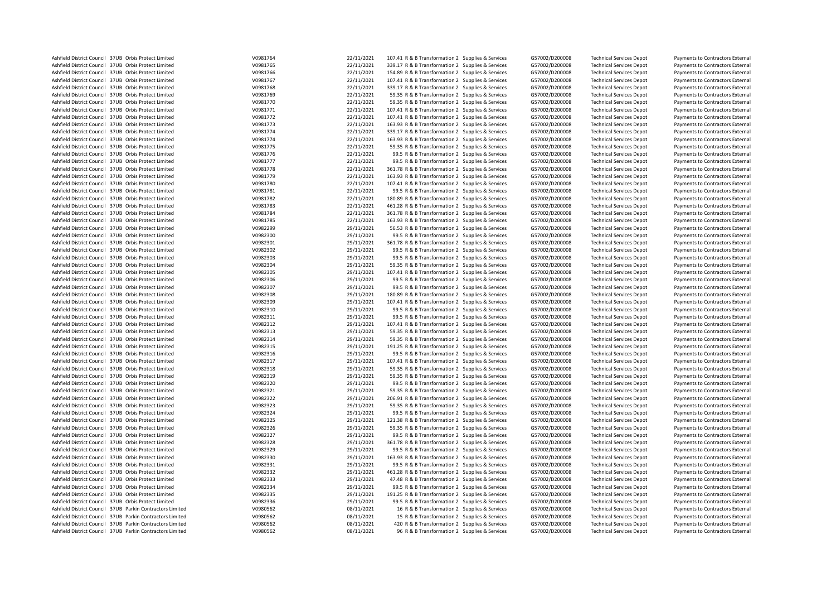| Ashfield District Council 37UB Orbis Protect Limited      | V0981764             | 22/11/2021 | 107.41 R & B Transformation 2 Supplies & Services | G57002/D200008 | <b>Technical Services Depot</b> | Payments to Contractors External |
|-----------------------------------------------------------|----------------------|------------|---------------------------------------------------|----------------|---------------------------------|----------------------------------|
| Ashfield District Council 37UB Orbis Protect Limited      | V0981765             | 22/11/2021 | 339.17 R & B Transformation 2 Supplies & Services | G57002/D200008 | <b>Technical Services Depot</b> | Payments to Contractors External |
| Ashfield District Council 37UB Orbis Protect Limited      | V0981766             | 22/11/2021 | 154.89 R & B Transformation 2 Supplies & Services | G57002/D200008 | <b>Technical Services Depot</b> | Payments to Contractors External |
| Ashfield District Council 37UB Orbis Protect Limited      | V0981767             | 22/11/2021 | 107.41 R & B Transformation 2 Supplies & Services | G57002/D200008 | <b>Technical Services Depot</b> | Payments to Contractors External |
| Ashfield District Council 37UB Orbis Protect Limited      | V0981768             | 22/11/2021 | 339.17 R & B Transformation 2 Supplies & Services | G57002/D200008 | <b>Technical Services Depot</b> | Payments to Contractors External |
| Ashfield District Council 37UB Orbis Protect Limited      | V0981769             | 22/11/2021 | 59.35 R & B Transformation 2 Supplies & Services  | G57002/D200008 | <b>Technical Services Depot</b> | Payments to Contractors External |
| Ashfield District Council 37UB Orbis Protect Limited      | V0981770             | 22/11/2021 | 59.35 R & B Transformation 2 Supplies & Services  | G57002/D200008 | <b>Technical Services Depot</b> | Payments to Contractors External |
| Ashfield District Council 37UB Orbis Protect Limited      | V0981771             | 22/11/2021 | 107.41 R & B Transformation 2 Supplies & Services | G57002/D200008 | <b>Technical Services Depot</b> | Payments to Contractors External |
| Ashfield District Council 37UB Orbis Protect Limited      | V0981772             | 22/11/2021 | 107.41 R & B Transformation 2 Supplies & Services | G57002/D200008 | <b>Technical Services Depot</b> | Payments to Contractors External |
| Ashfield District Council 37UB Orbis Protect Limited      | V0981773             | 22/11/2021 | 163.93 R & B Transformation 2 Supplies & Services | G57002/D200008 | <b>Technical Services Depot</b> | Payments to Contractors External |
| Ashfield District Council 37UB Orbis Protect Limited      | V0981774             | 22/11/2021 | 339.17 R & B Transformation 2 Supplies & Services | G57002/D200008 | <b>Technical Services Depot</b> | Payments to Contractors External |
| Ashfield District Council 37UB Orbis Protect Limited      | V0981774             | 22/11/2021 | 163.93 R & B Transformation 2 Supplies & Services | G57002/D200008 | <b>Technical Services Depot</b> | Payments to Contractors External |
| Ashfield District Council 37UB Orbis Protect Limited      | V0981775             | 22/11/2021 | 59.35 R & B Transformation 2 Supplies & Services  | G57002/D200008 | <b>Technical Services Depot</b> | Payments to Contractors External |
| Ashfield District Council 37UB Orbis Protect Limited      | V0981776             | 22/11/2021 | 99.5 R & B Transformation 2 Supplies & Services   | G57002/D200008 | <b>Technical Services Depot</b> | Payments to Contractors External |
| Ashfield District Council 37UB Orbis Protect Limited      | V0981777             | 22/11/2021 | 99.5 R & B Transformation 2 Supplies & Services   | G57002/D200008 | <b>Technical Services Depot</b> | Payments to Contractors External |
| Ashfield District Council 37UB Orbis Protect Limited      | V0981778             | 22/11/2021 | 361.78 R & B Transformation 2 Supplies & Services | G57002/D200008 | <b>Technical Services Depot</b> | Payments to Contractors External |
| Ashfield District Council 37UB Orbis Protect Limited      | V0981779             | 22/11/2021 | 163.93 R & B Transformation 2 Supplies & Services | G57002/D200008 | <b>Technical Services Depot</b> | Payments to Contractors External |
| Ashfield District Council 37UB Orbis Protect Limited      | V0981780             | 22/11/2021 | 107.41 R & B Transformation 2 Supplies & Services | G57002/D200008 | <b>Technical Services Depot</b> | Payments to Contractors External |
| Ashfield District Council 37UB Orbis Protect Limited      | V0981781             | 22/11/2021 | 99.5 R & B Transformation 2 Supplies & Services   | G57002/D200008 | <b>Technical Services Depot</b> | Payments to Contractors External |
|                                                           |                      |            |                                                   |                |                                 |                                  |
| Ashfield District Council 37UB Orbis Protect Limited      | V0981782<br>V0981783 | 22/11/2021 | 180.89 R & B Transformation 2 Supplies & Services | G57002/D200008 | <b>Technical Services Depot</b> | Payments to Contractors External |
| Ashfield District Council 37UB Orbis Protect Limited      |                      | 22/11/2021 | 461.28 R & B Transformation 2 Supplies & Services | G57002/D200008 | <b>Technical Services Depot</b> | Payments to Contractors External |
| Ashfield District Council 37UB Orbis Protect Limited      | V0981784             | 22/11/2021 | 361.78 R & B Transformation 2 Supplies & Services | G57002/D200008 | <b>Technical Services Depot</b> | Payments to Contractors External |
| Ashfield District Council 37UB Orbis Protect Limited      | V0981785             | 22/11/2021 | 163.93 R & B Transformation 2 Supplies & Services | G57002/D200008 | <b>Technical Services Depot</b> | Payments to Contractors External |
| Ashfield District Council 37UB Orbis Protect Limited      | V0982299             | 29/11/2021 | 56.53 R & B Transformation 2 Supplies & Services  | G57002/D200008 | <b>Technical Services Depot</b> | Payments to Contractors External |
| Ashfield District Council 37UB Orbis Protect Limited      | V0982300             | 29/11/2021 | 99.5 R & B Transformation 2 Supplies & Services   | G57002/D200008 | <b>Technical Services Depot</b> | Payments to Contractors External |
| Ashfield District Council 37UB Orbis Protect Limited      | V0982301             | 29/11/2021 | 361.78 R & B Transformation 2 Supplies & Services | G57002/D200008 | <b>Technical Services Depot</b> | Payments to Contractors External |
| Ashfield District Council 37UB Orbis Protect Limited      | V0982302             | 29/11/2021 | 99.5 R & B Transformation 2 Supplies & Services   | G57002/D200008 | <b>Technical Services Depot</b> | Payments to Contractors External |
| Ashfield District Council 37UB Orbis Protect Limited      | V0982303             | 29/11/2021 | 99.5 R & B Transformation 2 Supplies & Services   | G57002/D200008 | <b>Technical Services Depot</b> | Payments to Contractors External |
| Ashfield District Council 37UB Orbis Protect Limited      | V0982304             | 29/11/2021 | 59.35 R & B Transformation 2 Supplies & Services  | G57002/D200008 | <b>Technical Services Depot</b> | Payments to Contractors External |
| Ashfield District Council 37UB Orbis Protect Limited      | V0982305             | 29/11/2021 | 107.41 R & B Transformation 2 Supplies & Services | G57002/D200008 | <b>Technical Services Depot</b> | Payments to Contractors External |
| Ashfield District Council 37UB Orbis Protect Limited      | V0982306             | 29/11/2021 | 99.5 R & B Transformation 2 Supplies & Services   | G57002/D200008 | <b>Technical Services Depot</b> | Payments to Contractors External |
| Ashfield District Council 37UB Orbis Protect Limited      | V0982307             | 29/11/2021 | 99.5 R & B Transformation 2 Supplies & Services   | G57002/D200008 | <b>Technical Services Depot</b> | Payments to Contractors External |
| Ashfield District Council 37UB Orbis Protect Limited      | V0982308             | 29/11/2021 | 180.89 R & B Transformation 2 Supplies & Services | G57002/D200008 | <b>Technical Services Depot</b> | Payments to Contractors External |
| Ashfield District Council 37UB Orbis Protect Limited      | V0982309             | 29/11/2021 | 107.41 R & B Transformation 2 Supplies & Services | G57002/D200008 | <b>Technical Services Depot</b> | Payments to Contractors External |
| Ashfield District Council 37UB Orbis Protect Limited      | V0982310             | 29/11/2021 | 99.5 R & B Transformation 2 Supplies & Services   | G57002/D200008 | <b>Technical Services Depot</b> | Payments to Contractors External |
| Ashfield District Council 37UB Orbis Protect Limited      | V0982311             | 29/11/2021 | 99.5 R & B Transformation 2 Supplies & Services   | G57002/D200008 | <b>Technical Services Depot</b> | Payments to Contractors External |
| Ashfield District Council 37UB Orbis Protect Limited      | V0982312             | 29/11/2021 | 107.41 R & B Transformation 2 Supplies & Services | G57002/D200008 | <b>Technical Services Depot</b> | Payments to Contractors External |
| Ashfield District Council 37UB Orbis Protect Limited      | V0982313             | 29/11/2021 | 59.35 R & B Transformation 2 Supplies & Services  | G57002/D200008 | <b>Technical Services Depot</b> | Payments to Contractors External |
| Ashfield District Council 37UB Orbis Protect Limited      | V0982314             | 29/11/2021 | 59.35 R & B Transformation 2 Supplies & Services  | G57002/D200008 | <b>Technical Services Depot</b> | Payments to Contractors External |
| Ashfield District Council 37UB Orbis Protect Limited      | V0982315             | 29/11/2021 | 191.25 R & B Transformation 2 Supplies & Services | G57002/D200008 | <b>Technical Services Depot</b> | Payments to Contractors External |
| Ashfield District Council 37UB Orbis Protect Limited      | V0982316             | 29/11/2021 | 99.5 R & B Transformation 2 Supplies & Services   | G57002/D200008 | <b>Technical Services Depot</b> | Payments to Contractors External |
| Ashfield District Council 37UB Orbis Protect Limited      | V0982317             | 29/11/2021 | 107.41 R & B Transformation 2 Supplies & Services | G57002/D200008 | <b>Technical Services Depot</b> | Payments to Contractors External |
| Ashfield District Council 37UB Orbis Protect Limited      | V0982318             | 29/11/2021 | 59.35 R & B Transformation 2 Supplies & Services  | G57002/D200008 | <b>Technical Services Depot</b> | Payments to Contractors External |
| Ashfield District Council 37UB Orbis Protect Limited      | V0982319             | 29/11/2021 | 59.35 R & B Transformation 2 Supplies & Services  | G57002/D200008 | <b>Technical Services Depot</b> | Payments to Contractors External |
| Ashfield District Council 37UB Orbis Protect Limited      | V0982320             | 29/11/2021 | 99.5 R & B Transformation 2 Supplies & Services   | G57002/D200008 | <b>Technical Services Depot</b> | Payments to Contractors External |
| Ashfield District Council 37UB Orbis Protect Limited      | V0982321             | 29/11/2021 | 59.35 R & B Transformation 2 Supplies & Services  | G57002/D200008 | <b>Technical Services Depot</b> | Payments to Contractors External |
| Ashfield District Council 37UB Orbis Protect Limited      | V0982322             | 29/11/2021 | 206.91 R & B Transformation 2 Supplies & Services | G57002/D200008 | <b>Technical Services Depot</b> | Payments to Contractors External |
| Ashfield District Council 37UB Orbis Protect Limited      | V0982323             | 29/11/2021 | 59.35 R & B Transformation 2 Supplies & Services  | G57002/D200008 | <b>Technical Services Depot</b> | Payments to Contractors External |
| Ashfield District Council 37UB Orbis Protect Limited      | V0982324             | 29/11/2021 | 99.5 R & B Transformation 2 Supplies & Services   | G57002/D200008 | <b>Technical Services Depot</b> | Payments to Contractors External |
| Ashfield District Council 37UB Orbis Protect Limited      | V0982325             | 29/11/2021 | 121.38 R & B Transformation 2 Supplies & Services | G57002/D200008 | <b>Technical Services Depot</b> | Payments to Contractors External |
| Ashfield District Council 37UB Orbis Protect Limited      | V0982326             | 29/11/2021 | 59.35 R & B Transformation 2 Supplies & Services  | G57002/D200008 | <b>Technical Services Depot</b> | Payments to Contractors External |
| Ashfield District Council 37UB Orbis Protect Limited      | V0982327             | 29/11/2021 | 99.5 R & B Transformation 2 Supplies & Services   | G57002/D200008 | <b>Technical Services Depot</b> | Payments to Contractors External |
| Ashfield District Council 37UB Orbis Protect Limited      | V0982328             | 29/11/2021 | 361.78 R & B Transformation 2 Supplies & Services | G57002/D200008 | <b>Technical Services Depot</b> | Payments to Contractors External |
| Ashfield District Council 37UB Orbis Protect Limited      | V0982329             | 29/11/2021 | 99.5 R & B Transformation 2 Supplies & Services   | G57002/D200008 | <b>Technical Services Depot</b> | Payments to Contractors External |
| Ashfield District Council 37UB Orbis Protect Limited      | V0982330             | 29/11/2021 | 163.93 R & B Transformation 2 Supplies & Services | G57002/D200008 | <b>Technical Services Depot</b> | Payments to Contractors External |
| Ashfield District Council 37UB Orbis Protect Limited      | V0982331             | 29/11/2021 | 99.5 R & B Transformation 2 Supplies & Services   | G57002/D200008 | <b>Technical Services Depot</b> | Payments to Contractors External |
| Ashfield District Council 37UB Orbis Protect Limited      |                      | 29/11/2021 |                                                   |                |                                 |                                  |
|                                                           | V0982332             |            | 461.28 R & B Transformation 2 Supplies & Services | G57002/D200008 | <b>Technical Services Depot</b> | Payments to Contractors External |
| Ashfield District Council 37UB Orbis Protect Limited      | V0982333             | 29/11/2021 | 47.48 R & B Transformation 2 Supplies & Services  | G57002/D200008 | <b>Technical Services Depot</b> | Payments to Contractors External |
| Ashfield District Council 37UB Orbis Protect Limited      | V0982334             | 29/11/2021 | 99.5 R & B Transformation 2 Supplies & Services   | G57002/D200008 | <b>Technical Services Depot</b> | Payments to Contractors External |
| Ashfield District Council 37UB Orbis Protect Limited      | V0982335             | 29/11/2021 | 191.25 R & B Transformation 2 Supplies & Services | G57002/D200008 | <b>Technical Services Depot</b> | Payments to Contractors External |
| Ashfield District Council 37UB Orbis Protect Limited      | V0982336             | 29/11/2021 | 99.5 R & B Transformation 2 Supplies & Services   | G57002/D200008 | <b>Technical Services Depot</b> | Payments to Contractors External |
| Ashfield District Council 37UB Parkin Contractors Limited | V0980562             | 08/11/2021 | 16 R & B Transformation 2 Supplies & Services     | G57002/D200008 | <b>Technical Services Depot</b> | Payments to Contractors External |
| Ashfield District Council 37UB Parkin Contractors Limited | V0980562             | 08/11/2021 | 15 R & B Transformation 2 Supplies & Services     | G57002/D200008 | <b>Technical Services Depot</b> | Payments to Contractors External |
| Ashfield District Council 37UB Parkin Contractors Limited | V0980562             | 08/11/2021 | 420 R & B Transformation 2 Supplies & Services    | G57002/D200008 | <b>Technical Services Depot</b> | Payments to Contractors External |
| Ashfield District Council 37UB Parkin Contractors Limited | V0980562             | 08/11/2021 | 96 R & B Transformation 2 Supplies & Services     | G57002/D200008 | <b>Technical Services Depot</b> | Payments to Contractors External |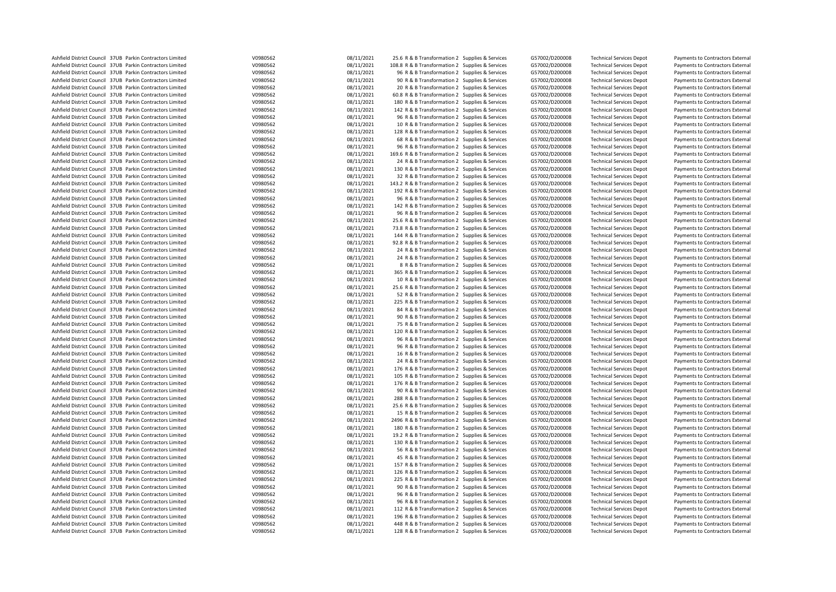| Ashfield District Council 37UB Parkin Contractors Limited | V0980562 | 08/11/2021 | 25.6 R & B Transformation 2 Supplies & Services  | G57002/D200008 | <b>Technical Services Depot</b> | Payments to Contractors External |
|-----------------------------------------------------------|----------|------------|--------------------------------------------------|----------------|---------------------------------|----------------------------------|
| Ashfield District Council 37UB Parkin Contractors Limited | V0980562 | 08/11/2021 | 108.8 R & B Transformation 2 Supplies & Services | G57002/D200008 | <b>Technical Services Depot</b> | Payments to Contractors External |
| Ashfield District Council 37UB Parkin Contractors Limited | V0980562 | 08/11/2021 |                                                  |                |                                 |                                  |
|                                                           |          |            | 96 R & B Transformation 2 Supplies & Services    | G57002/D200008 | <b>Technical Services Depot</b> | Payments to Contractors External |
| Ashfield District Council 37UB Parkin Contractors Limited | V0980562 | 08/11/2021 | 90 R & B Transformation 2 Supplies & Services    | G57002/D200008 | <b>Technical Services Depot</b> | Payments to Contractors External |
| Ashfield District Council 37UB Parkin Contractors Limited | V0980562 | 08/11/2021 | 20 R & B Transformation 2 Supplies & Services    | G57002/D200008 | <b>Technical Services Depot</b> | Payments to Contractors External |
| Ashfield District Council 37UB Parkin Contractors Limited | V0980562 | 08/11/2021 | 60.8 R & B Transformation 2 Supplies & Services  | G57002/D200008 | <b>Technical Services Depot</b> | Payments to Contractors External |
| Ashfield District Council 37UB Parkin Contractors Limited | V0980562 | 08/11/2021 | 180 R & B Transformation 2 Supplies & Services   | G57002/D200008 | <b>Technical Services Depot</b> | Payments to Contractors External |
| Ashfield District Council 37UB Parkin Contractors Limited | V0980562 | 08/11/2021 | 142 R & B Transformation 2 Supplies & Services   | G57002/D200008 | <b>Technical Services Depot</b> | Payments to Contractors External |
| Ashfield District Council 37UB Parkin Contractors Limited | V0980562 | 08/11/2021 | 96 R & B Transformation 2 Supplies & Services    | G57002/D200008 | <b>Technical Services Depot</b> | Payments to Contractors External |
| Ashfield District Council 37UB Parkin Contractors Limited | V0980562 | 08/11/2021 | 10 R & B Transformation 2 Supplies & Services    | G57002/D200008 | <b>Technical Services Depot</b> | Payments to Contractors External |
| Ashfield District Council 37UB Parkin Contractors Limited | V0980562 | 08/11/2021 | 128 R & B Transformation 2 Supplies & Services   | G57002/D200008 | <b>Technical Services Depot</b> | Payments to Contractors External |
|                                                           |          |            |                                                  |                |                                 |                                  |
| Ashfield District Council 37UB Parkin Contractors Limited | V0980562 | 08/11/2021 | 68 R & B Transformation 2 Supplies & Services    | G57002/D200008 | <b>Technical Services Depot</b> | Payments to Contractors External |
| Ashfield District Council 37UB Parkin Contractors Limited | V0980562 | 08/11/2021 | 96 R & B Transformation 2 Supplies & Services    | G57002/D200008 | <b>Technical Services Depot</b> | Payments to Contractors External |
| Ashfield District Council 37UB Parkin Contractors Limited | V0980562 | 08/11/2021 | 169.6 R & B Transformation 2 Supplies & Services | G57002/D200008 | <b>Technical Services Depot</b> | Payments to Contractors External |
| Ashfield District Council 37UB Parkin Contractors Limited | V0980562 | 08/11/2021 | 24 R & B Transformation 2 Supplies & Services    | G57002/D200008 | <b>Technical Services Depot</b> | Payments to Contractors External |
| Ashfield District Council 37UB Parkin Contractors Limited | V0980562 | 08/11/2021 | 130 R & B Transformation 2 Supplies & Services   | G57002/D200008 | <b>Technical Services Depot</b> | Payments to Contractors External |
| Ashfield District Council 37UB Parkin Contractors Limited | V0980562 | 08/11/2021 | 32 R & B Transformation 2 Supplies & Services    | G57002/D200008 | <b>Technical Services Depot</b> | Payments to Contractors External |
| Ashfield District Council 37UB Parkin Contractors Limited | V0980562 | 08/11/2021 | 143.2 R & B Transformation 2 Supplies & Services | G57002/D200008 | <b>Technical Services Depot</b> | Payments to Contractors External |
| Ashfield District Council 37UB Parkin Contractors Limited | V0980562 | 08/11/2021 | 192 R & B Transformation 2 Supplies & Services   | G57002/D200008 | <b>Technical Services Depot</b> | Payments to Contractors External |
| Ashfield District Council 37UB Parkin Contractors Limited | V0980562 | 08/11/2021 | 96 R & B Transformation 2 Supplies & Services    | G57002/D200008 | <b>Technical Services Depot</b> | Payments to Contractors External |
|                                                           |          |            |                                                  |                |                                 |                                  |
| Ashfield District Council 37UB Parkin Contractors Limited | V0980562 | 08/11/2021 | 142 R & B Transformation 2 Supplies & Services   | G57002/D200008 | <b>Technical Services Depot</b> | Payments to Contractors External |
| Ashfield District Council 37UB Parkin Contractors Limited | V0980562 | 08/11/2021 | 96 R & B Transformation 2 Supplies & Services    | G57002/D200008 | <b>Technical Services Depot</b> | Payments to Contractors External |
| Ashfield District Council 37UB Parkin Contractors Limited | V0980562 | 08/11/2021 | 25.6 R & B Transformation 2 Supplies & Services  | G57002/D200008 | <b>Technical Services Depot</b> | Payments to Contractors External |
| Ashfield District Council 37UB Parkin Contractors Limited | V0980562 | 08/11/2021 | 73.8 R & B Transformation 2 Supplies & Services  | G57002/D200008 | <b>Technical Services Depot</b> | Payments to Contractors External |
| Ashfield District Council 37UB Parkin Contractors Limited | V0980562 | 08/11/2021 | 144 R & B Transformation 2 Supplies & Services   | G57002/D200008 | <b>Technical Services Depot</b> | Payments to Contractors External |
| Ashfield District Council 37UB Parkin Contractors Limited | V0980562 | 08/11/2021 | 92.8 R & B Transformation 2 Supplies & Services  | G57002/D200008 | <b>Technical Services Depot</b> | Payments to Contractors External |
| Ashfield District Council 37UB Parkin Contractors Limited | V0980562 | 08/11/2021 | 24 R & B Transformation 2 Supplies & Services    | G57002/D200008 | <b>Technical Services Depot</b> | Payments to Contractors External |
| Ashfield District Council 37UB Parkin Contractors Limited | V0980562 | 08/11/2021 | 24 R & B Transformation 2 Supplies & Services    | G57002/D200008 | <b>Technical Services Depot</b> | Payments to Contractors External |
| Ashfield District Council 37UB Parkin Contractors Limited | V0980562 | 08/11/2021 | 8 R & B Transformation 2 Supplies & Services     | G57002/D200008 | <b>Technical Services Depot</b> | Payments to Contractors External |
| Ashfield District Council 37UB Parkin Contractors Limited |          |            |                                                  |                |                                 |                                  |
|                                                           | V0980562 | 08/11/2021 | 365 R & B Transformation 2 Supplies & Services   | G57002/D200008 | <b>Technical Services Depot</b> | Payments to Contractors External |
| Ashfield District Council 37UB Parkin Contractors Limited | V0980562 | 08/11/2021 | 10 R & B Transformation 2 Supplies & Services    | G57002/D200008 | <b>Technical Services Depot</b> | Payments to Contractors External |
| Ashfield District Council 37UB Parkin Contractors Limited | V0980562 | 08/11/2021 | 25.6 R & B Transformation 2 Supplies & Services  | G57002/D200008 | <b>Technical Services Depot</b> | Payments to Contractors External |
| Ashfield District Council 37UB Parkin Contractors Limited | V0980562 | 08/11/2021 | 52 R & B Transformation 2 Supplies & Services    | G57002/D200008 | <b>Technical Services Depot</b> | Payments to Contractors External |
| Ashfield District Council 37UB Parkin Contractors Limited | V0980562 | 08/11/2021 | 225 R & B Transformation 2 Supplies & Services   | G57002/D200008 | <b>Technical Services Depot</b> | Payments to Contractors External |
| Ashfield District Council 37UB Parkin Contractors Limited | V0980562 | 08/11/2021 | 84 R & B Transformation 2 Supplies & Services    | G57002/D200008 | <b>Technical Services Depot</b> | Payments to Contractors External |
| Ashfield District Council 37UB Parkin Contractors Limited | V0980562 | 08/11/2021 | 90 R & B Transformation 2 Supplies & Services    | G57002/D200008 | <b>Technical Services Depot</b> | Payments to Contractors External |
| Ashfield District Council 37UB Parkin Contractors Limited | V0980562 | 08/11/2021 | 75 R & B Transformation 2 Supplies & Services    | G57002/D200008 | <b>Technical Services Depot</b> | Payments to Contractors External |
| Ashfield District Council 37UB Parkin Contractors Limited | V0980562 | 08/11/2021 | 120 R & B Transformation 2 Supplies & Services   | G57002/D200008 | <b>Technical Services Depot</b> | Payments to Contractors External |
| Ashfield District Council 37UB Parkin Contractors Limited | V0980562 | 08/11/2021 | 96 R & B Transformation 2 Supplies & Services    | G57002/D200008 | <b>Technical Services Depot</b> | Payments to Contractors External |
| Ashfield District Council 37UB Parkin Contractors Limited | V0980562 | 08/11/2021 |                                                  |                |                                 |                                  |
|                                                           |          |            | 96 R & B Transformation 2 Supplies & Services    | G57002/D200008 | <b>Technical Services Depot</b> | Payments to Contractors External |
| Ashfield District Council 37UB Parkin Contractors Limited | V0980562 | 08/11/2021 | 16 R & B Transformation 2 Supplies & Services    | G57002/D200008 | <b>Technical Services Depot</b> | Payments to Contractors External |
| Ashfield District Council 37UB Parkin Contractors Limited | V0980562 | 08/11/2021 | 24 R & B Transformation 2 Supplies & Services    | G57002/D200008 | <b>Technical Services Depot</b> | Payments to Contractors External |
| Ashfield District Council 37UB Parkin Contractors Limited | V0980562 | 08/11/2021 | 176 R & B Transformation 2 Supplies & Services   | G57002/D200008 | <b>Technical Services Depot</b> | Payments to Contractors External |
| Ashfield District Council 37UB Parkin Contractors Limited | V0980562 | 08/11/2021 | 105 R & B Transformation 2 Supplies & Services   | G57002/D200008 | <b>Technical Services Depot</b> | Payments to Contractors External |
| Ashfield District Council 37UB Parkin Contractors Limited | V0980562 | 08/11/2021 | 176 R & B Transformation 2 Supplies & Services   | G57002/D200008 | <b>Technical Services Depot</b> | Payments to Contractors External |
| Ashfield District Council 37UB Parkin Contractors Limited | V0980562 | 08/11/2021 | 90 R & B Transformation 2 Supplies & Services    | G57002/D200008 | <b>Technical Services Depot</b> | Payments to Contractors External |
| Ashfield District Council 37UB Parkin Contractors Limited | V0980562 | 08/11/2021 | 288 R & B Transformation 2 Supplies & Services   | G57002/D200008 | <b>Technical Services Depot</b> | Payments to Contractors External |
| Ashfield District Council 37UB Parkin Contractors Limited | V0980562 | 08/11/2021 | 25.6 R & B Transformation 2 Supplies & Services  | G57002/D200008 | <b>Technical Services Depot</b> | Payments to Contractors External |
| Ashfield District Council 37UB Parkin Contractors Limited | V0980562 | 08/11/2021 | 15 R & B Transformation 2 Supplies & Services    | G57002/D200008 | <b>Technical Services Depot</b> | Payments to Contractors External |
| Ashfield District Council 37UB Parkin Contractors Limited | V0980562 | 08/11/2021 |                                                  | G57002/D200008 | <b>Technical Services Depot</b> |                                  |
|                                                           |          |            | 2496 R & B Transformation 2 Supplies & Services  |                |                                 | Payments to Contractors External |
| Ashfield District Council 37UB Parkin Contractors Limited | V0980562 | 08/11/2021 | 180 R & B Transformation 2 Supplies & Services   | G57002/D200008 | <b>Technical Services Depot</b> | Payments to Contractors External |
| Ashfield District Council 37UB Parkin Contractors Limited | V0980562 | 08/11/2021 | 19.2 R & B Transformation 2 Supplies & Services  | G57002/D200008 | <b>Technical Services Depot</b> | Payments to Contractors External |
| Ashfield District Council 37UB Parkin Contractors Limited | V0980562 | 08/11/2021 | 130 R & B Transformation 2 Supplies & Services   | G57002/D200008 | <b>Technical Services Depot</b> | Payments to Contractors External |
| Ashfield District Council 37UB Parkin Contractors Limited | V0980562 | 08/11/2021 | 56 R & B Transformation 2 Supplies & Services    | G57002/D200008 | <b>Technical Services Depot</b> | Payments to Contractors External |
| Ashfield District Council 37UB Parkin Contractors Limited | V0980562 | 08/11/2021 | 45 R & B Transformation 2 Supplies & Services    | G57002/D200008 | <b>Technical Services Depot</b> | Payments to Contractors External |
| Ashfield District Council 37UB Parkin Contractors Limited | V0980562 | 08/11/2021 | 157 R & B Transformation 2 Supplies & Services   | G57002/D200008 | <b>Technical Services Depot</b> | Payments to Contractors External |
| Ashfield District Council 37UB Parkin Contractors Limited | V0980562 | 08/11/2021 | 126 R & B Transformation 2 Supplies & Services   | G57002/D200008 | <b>Technical Services Depot</b> | Payments to Contractors External |
| Ashfield District Council 37UB Parkin Contractors Limited | V0980562 | 08/11/2021 | 225 R & B Transformation 2 Supplies & Services   | G57002/D200008 | <b>Technical Services Depot</b> | Payments to Contractors External |
| Ashfield District Council 37UB Parkin Contractors Limited | V0980562 | 08/11/2021 | 90 R & B Transformation 2 Supplies & Services    | G57002/D200008 | <b>Technical Services Depot</b> | Payments to Contractors External |
| Ashfield District Council 37UB Parkin Contractors Limited | V0980562 | 08/11/2021 | 96 R & B Transformation 2 Supplies & Services    | G57002/D200008 | <b>Technical Services Depot</b> | Payments to Contractors External |
| Ashfield District Council 37UB Parkin Contractors Limited | V0980562 | 08/11/2021 | 96 R & B Transformation 2 Supplies & Services    | G57002/D200008 |                                 |                                  |
|                                                           |          |            |                                                  |                | <b>Technical Services Depot</b> | Payments to Contractors External |
| Ashfield District Council 37UB Parkin Contractors Limited | V0980562 | 08/11/2021 | 112 R & B Transformation 2 Supplies & Services   | G57002/D200008 | <b>Technical Services Depot</b> | Payments to Contractors External |
| Ashfield District Council 37UB Parkin Contractors Limited | V0980562 | 08/11/2021 | 196 R & B Transformation 2 Supplies & Services   | G57002/D200008 | <b>Technical Services Depot</b> | Payments to Contractors External |
| Ashfield District Council 37UB Parkin Contractors Limited | V0980562 | 08/11/2021 | 448 R & B Transformation 2 Supplies & Services   | G57002/D200008 | <b>Technical Services Depot</b> | Payments to Contractors External |
| Ashfield District Council 37UB Parkin Contractors Limited | V0980562 | 08/11/2021 | 128 R & B Transformation 2 Supplies & Services   | G57002/D200008 | <b>Technical Services Depot</b> | Payments to Contractors External |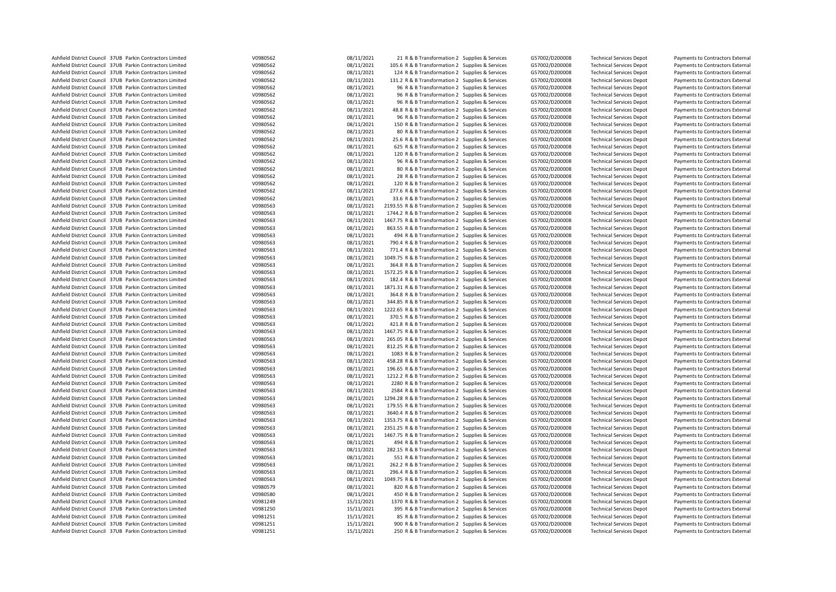| Ashfield District Council 37UB Parkin Contractors Limited | V0980562 | 08/11/2021 | 21 R & B Transformation 2 Supplies & Services      | G57002/D200008 | <b>Technical Services Depot</b>                                    | Payments to Contractors External                                     |
|-----------------------------------------------------------|----------|------------|----------------------------------------------------|----------------|--------------------------------------------------------------------|----------------------------------------------------------------------|
| Ashfield District Council 37UB Parkin Contractors Limited | V0980562 | 08/11/2021 | 105.6 R & B Transformation 2 Supplies & Services   | G57002/D200008 | <b>Technical Services Depot</b>                                    | Payments to Contractors External                                     |
| Ashfield District Council 37UB Parkin Contractors Limited | V0980562 | 08/11/2021 | 124 R & B Transformation 2 Supplies & Services     | G57002/D200008 | <b>Technical Services Depot</b>                                    | Payments to Contractors External                                     |
| Ashfield District Council 37UB Parkin Contractors Limited | V0980562 | 08/11/2021 | 131.2 R & B Transformation 2 Supplies & Services   | G57002/D200008 | <b>Technical Services Depot</b>                                    | Payments to Contractors External                                     |
| Ashfield District Council 37UB Parkin Contractors Limited | V0980562 | 08/11/2021 | 96 R & B Transformation 2 Supplies & Services      | G57002/D200008 | <b>Technical Services Depot</b>                                    | Payments to Contractors External                                     |
| Ashfield District Council 37UB Parkin Contractors Limited | V0980562 | 08/11/2021 | 96 R & B Transformation 2 Supplies & Services      | G57002/D200008 | <b>Technical Services Depot</b>                                    | Payments to Contractors External                                     |
| Ashfield District Council 37UB Parkin Contractors Limited | V0980562 | 08/11/2021 | 96 R & B Transformation 2 Supplies & Services      | G57002/D200008 | <b>Technical Services Depot</b>                                    | Payments to Contractors External                                     |
| Ashfield District Council 37UB Parkin Contractors Limited | V0980562 | 08/11/2021 | 48.8 R & B Transformation 2 Supplies & Services    | G57002/D200008 | <b>Technical Services Depot</b>                                    | Payments to Contractors External                                     |
| Ashfield District Council 37UB Parkin Contractors Limited | V0980562 | 08/11/2021 | 96 R & B Transformation 2 Supplies & Services      | G57002/D200008 | <b>Technical Services Depot</b>                                    | Payments to Contractors External                                     |
| Ashfield District Council 37UB Parkin Contractors Limited | V0980562 | 08/11/2021 | 150 R & B Transformation 2 Supplies & Services     | G57002/D200008 | <b>Technical Services Depot</b>                                    | Payments to Contractors External                                     |
| Ashfield District Council 37UB Parkin Contractors Limited | V0980562 | 08/11/2021 | 80 R & B Transformation 2 Supplies & Services      | G57002/D200008 | <b>Technical Services Depot</b>                                    | Payments to Contractors External                                     |
| Ashfield District Council 37UB Parkin Contractors Limited | V0980562 | 08/11/2021 | 25.6 R & B Transformation 2 Supplies & Services    | G57002/D200008 | <b>Technical Services Depot</b>                                    | Payments to Contractors External                                     |
| Ashfield District Council 37UB Parkin Contractors Limited | V0980562 | 08/11/2021 | 625 R & B Transformation 2 Supplies & Services     | G57002/D200008 | <b>Technical Services Depot</b>                                    | Payments to Contractors External                                     |
| Ashfield District Council 37UB Parkin Contractors Limited | V0980562 | 08/11/2021 | 120 R & B Transformation 2 Supplies & Services     | G57002/D200008 | <b>Technical Services Depot</b>                                    | Payments to Contractors External                                     |
| Ashfield District Council 37UB Parkin Contractors Limited | V0980562 | 08/11/2021 | 96 R & B Transformation 2 Supplies & Services      | G57002/D200008 | <b>Technical Services Depot</b>                                    | Payments to Contractors External                                     |
| Ashfield District Council 37UB Parkin Contractors Limited | V0980562 | 08/11/2021 | 80 R & B Transformation 2 Supplies & Services      | G57002/D200008 | <b>Technical Services Depot</b>                                    | Payments to Contractors External                                     |
| Ashfield District Council 37UB Parkin Contractors Limited | V0980562 | 08/11/2021 | 28 R & B Transformation 2 Supplies & Services      | G57002/D200008 | <b>Technical Services Depot</b>                                    | Payments to Contractors External                                     |
| Ashfield District Council 37UB Parkin Contractors Limited | V0980562 | 08/11/2021 | 120 R & B Transformation 2 Supplies & Services     | G57002/D200008 | <b>Technical Services Depot</b>                                    | Payments to Contractors External                                     |
| Ashfield District Council 37UB Parkin Contractors Limited | V0980562 | 08/11/2021 | 277.6 R & B Transformation 2 Supplies & Services   | G57002/D200008 | <b>Technical Services Depot</b>                                    | Payments to Contractors External                                     |
| Ashfield District Council 37UB Parkin Contractors Limited | V0980562 | 08/11/2021 | 33.6 R & B Transformation 2 Supplies & Services    | G57002/D200008 | <b>Technical Services Depot</b>                                    | Payments to Contractors External                                     |
| Ashfield District Council 37UB Parkin Contractors Limited | V0980563 | 08/11/2021 | 2193.55 R & B Transformation 2 Supplies & Services | G57002/D200008 | <b>Technical Services Depot</b>                                    | Payments to Contractors External                                     |
| Ashfield District Council 37UB Parkin Contractors Limited | V0980563 | 08/11/2021 | 1744.2 R & B Transformation 2 Supplies & Services  | G57002/D200008 | <b>Technical Services Depot</b>                                    | Payments to Contractors External                                     |
| Ashfield District Council 37UB Parkin Contractors Limited | V0980563 | 08/11/2021 | 1467.75 R & B Transformation 2 Supplies & Services | G57002/D200008 | <b>Technical Services Depot</b>                                    | Payments to Contractors External                                     |
| Ashfield District Council 37UB Parkin Contractors Limited | V0980563 | 08/11/2021 | 863.55 R & B Transformation 2 Supplies & Services  | G57002/D200008 | <b>Technical Services Depot</b>                                    | Payments to Contractors External                                     |
| Ashfield District Council 37UB Parkin Contractors Limited | V0980563 | 08/11/2021 | 494 R & B Transformation 2 Supplies & Services     | G57002/D200008 | <b>Technical Services Depot</b>                                    | Payments to Contractors External                                     |
| Ashfield District Council 37UB Parkin Contractors Limited | V0980563 | 08/11/2021 | 790.4 R & B Transformation 2 Supplies & Services   | G57002/D200008 | <b>Technical Services Depot</b>                                    | Payments to Contractors External                                     |
| Ashfield District Council 37UB Parkin Contractors Limited | V0980563 | 08/11/2021 | 771.4 R & B Transformation 2 Supplies & Services   | G57002/D200008 | <b>Technical Services Depot</b>                                    | Payments to Contractors External                                     |
| Ashfield District Council 37UB Parkin Contractors Limited | V0980563 | 08/11/2021 | 1049.75 R & B Transformation 2 Supplies & Services | G57002/D200008 | <b>Technical Services Depot</b>                                    | Payments to Contractors External                                     |
| Ashfield District Council 37UB Parkin Contractors Limited | V0980563 | 08/11/2021 | 364.8 R & B Transformation 2 Supplies & Services   | G57002/D200008 | <b>Technical Services Depot</b>                                    | Payments to Contractors External                                     |
| Ashfield District Council 37UB Parkin Contractors Limited | V0980563 | 08/11/2021 | 1572.25 R & B Transformation 2 Supplies & Services | G57002/D200008 | <b>Technical Services Depot</b>                                    | Payments to Contractors External                                     |
| Ashfield District Council 37UB Parkin Contractors Limited | V0980563 | 08/11/2021 | 182.4 R & B Transformation 2 Supplies & Services   | G57002/D200008 | <b>Technical Services Depot</b>                                    | Payments to Contractors External                                     |
| Ashfield District Council 37UB Parkin Contractors Limited | V0980563 | 08/11/2021 | 1871.31 R & B Transformation 2 Supplies & Services | G57002/D200008 | <b>Technical Services Depot</b>                                    | Payments to Contractors External                                     |
| Ashfield District Council 37UB Parkin Contractors Limited | V0980563 | 08/11/2021 | 364.8 R & B Transformation 2 Supplies & Services   | G57002/D200008 | <b>Technical Services Depot</b>                                    | Payments to Contractors External                                     |
| Ashfield District Council 37UB Parkin Contractors Limited | V0980563 | 08/11/2021 | 344.85 R & B Transformation 2 Supplies & Services  | G57002/D200008 | <b>Technical Services Depot</b>                                    | Payments to Contractors External                                     |
| Ashfield District Council 37UB Parkin Contractors Limited | V0980563 | 08/11/2021 | 1222.65 R & B Transformation 2 Supplies & Services | G57002/D200008 | <b>Technical Services Depot</b>                                    | Payments to Contractors External                                     |
| Ashfield District Council 37UB Parkin Contractors Limited | V0980563 | 08/11/2021 | 370.5 R & B Transformation 2 Supplies & Services   | G57002/D200008 | <b>Technical Services Depot</b>                                    | Payments to Contractors External                                     |
| Ashfield District Council 37UB Parkin Contractors Limited | V0980563 | 08/11/2021 | 421.8 R & B Transformation 2 Supplies & Services   | G57002/D200008 | <b>Technical Services Depot</b>                                    | Payments to Contractors External                                     |
| Ashfield District Council 37UB Parkin Contractors Limited | V0980563 | 08/11/2021 | 1467.75 R & B Transformation 2 Supplies & Services | G57002/D200008 | <b>Technical Services Depot</b>                                    | Payments to Contractors External                                     |
| Ashfield District Council 37UB Parkin Contractors Limited | V0980563 | 08/11/2021 | 265.05 R & B Transformation 2 Supplies & Services  | G57002/D200008 | <b>Technical Services Depot</b>                                    | Payments to Contractors External                                     |
| Ashfield District Council 37UB Parkin Contractors Limited | V0980563 | 08/11/2021 | 812.25 R & B Transformation 2 Supplies & Services  | G57002/D200008 | <b>Technical Services Depot</b>                                    | Payments to Contractors External                                     |
| Ashfield District Council 37UB Parkin Contractors Limited | V0980563 | 08/11/2021 | 1083 R & B Transformation 2 Supplies & Services    | G57002/D200008 | <b>Technical Services Depot</b>                                    | Payments to Contractors External                                     |
| Ashfield District Council 37UB Parkin Contractors Limited | V0980563 | 08/11/2021 | 458.28 R & B Transformation 2 Supplies & Services  | G57002/D200008 | <b>Technical Services Depot</b>                                    | Payments to Contractors External                                     |
| Ashfield District Council 37UB Parkin Contractors Limited | V0980563 | 08/11/2021 | 196.65 R & B Transformation 2 Supplies & Services  | G57002/D200008 | <b>Technical Services Depot</b>                                    | Payments to Contractors External                                     |
| Ashfield District Council 37UB Parkin Contractors Limited | V0980563 | 08/11/2021 | 1212.2 R & B Transformation 2 Supplies & Services  | G57002/D200008 | <b>Technical Services Depot</b>                                    | Payments to Contractors External                                     |
| Ashfield District Council 37UB Parkin Contractors Limited | V0980563 | 08/11/2021 | 2280 R & B Transformation 2 Supplies & Services    | G57002/D200008 | <b>Technical Services Depot</b>                                    | Payments to Contractors External                                     |
| Ashfield District Council 37UB Parkin Contractors Limited | V0980563 | 08/11/2021 | 2584 R & B Transformation 2 Supplies & Services    | G57002/D200008 | <b>Technical Services Depot</b>                                    | Payments to Contractors External                                     |
| Ashfield District Council 37UB Parkin Contractors Limited | V0980563 | 08/11/2021 | 1294.28 R & B Transformation 2 Supplies & Services | G57002/D200008 | <b>Technical Services Depot</b>                                    | Payments to Contractors External                                     |
| Ashfield District Council 37UB Parkin Contractors Limited | V0980563 | 08/11/2021 | 179.55 R & B Transformation 2 Supplies & Services  | G57002/D200008 | <b>Technical Services Depot</b>                                    | Payments to Contractors External                                     |
| Ashfield District Council 37UB Parkin Contractors Limited | V0980563 | 08/11/2021 | 3640.4 R & B Transformation 2 Supplies & Services  | G57002/D200008 | <b>Technical Services Depot</b>                                    | Payments to Contractors External                                     |
| Ashfield District Council 37UB Parkin Contractors Limited | V0980563 | 08/11/2021 | 1353.75 R & B Transformation 2 Supplies & Services | G57002/D200008 | <b>Technical Services Depot</b>                                    | Payments to Contractors External                                     |
| Ashfield District Council 37UB Parkin Contractors Limited | V0980563 | 08/11/2021 | 2351.25 R & B Transformation 2 Supplies & Services | G57002/D200008 | <b>Technical Services Depot</b>                                    | Payments to Contractors External                                     |
| Ashfield District Council 37UB Parkin Contractors Limited | V0980563 | 08/11/2021 | 1467.75 R & B Transformation 2 Supplies & Services | G57002/D200008 | <b>Technical Services Depot</b>                                    | Payments to Contractors External                                     |
| Ashfield District Council 37UB Parkin Contractors Limited | V0980563 | 08/11/2021 | 494 R & B Transformation 2 Supplies & Services     | G57002/D200008 | <b>Technical Services Depot</b>                                    | Payments to Contractors External                                     |
| Ashfield District Council 37UB Parkin Contractors Limited | V0980563 | 08/11/2021 | 282.15 R & B Transformation 2 Supplies & Services  | G57002/D200008 | <b>Technical Services Depot</b>                                    | Payments to Contractors External                                     |
| Ashfield District Council 37UB Parkin Contractors Limited | V0980563 | 08/11/2021 | 551 R & B Transformation 2 Supplies & Services     | G57002/D200008 | <b>Technical Services Depot</b>                                    | Payments to Contractors External                                     |
| Ashfield District Council 37UB Parkin Contractors Limited | V0980563 | 08/11/2021 | 262.2 R & B Transformation 2 Supplies & Services   | G57002/D200008 | <b>Technical Services Depot</b>                                    | Payments to Contractors External                                     |
| Ashfield District Council 37UB Parkin Contractors Limited | V0980563 | 08/11/2021 | 296.4 R & B Transformation 2 Supplies & Services   | G57002/D200008 | <b>Technical Services Depot</b>                                    |                                                                      |
| Ashfield District Council 37UB Parkin Contractors Limited | V0980563 | 08/11/2021 | 1049.75 R & B Transformation 2 Supplies & Services | G57002/D200008 | <b>Technical Services Depot</b>                                    | Payments to Contractors External<br>Payments to Contractors External |
| Ashfield District Council 37UB Parkin Contractors Limited | V0980579 | 08/11/2021 | 820 R & B Transformation 2 Supplies & Services     | G57002/D200008 |                                                                    |                                                                      |
| Ashfield District Council 37UB Parkin Contractors Limited | V0980580 | 08/11/2021 | 450 R & B Transformation 2 Supplies & Services     | G57002/D200008 | <b>Technical Services Depot</b>                                    | Payments to Contractors External                                     |
| Ashfield District Council 37UB Parkin Contractors Limited | V0981249 | 15/11/2021 | 1370 R & B Transformation 2 Supplies & Services    | G57002/D200008 | <b>Technical Services Depot</b><br><b>Technical Services Depot</b> | Payments to Contractors External<br>Payments to Contractors External |
| Ashfield District Council 37UB Parkin Contractors Limited | V0981250 | 15/11/2021 | 395 R & B Transformation 2 Supplies & Services     | G57002/D200008 | <b>Technical Services Depot</b>                                    | Payments to Contractors External                                     |
| Ashfield District Council 37UB Parkin Contractors Limited | V0981251 | 15/11/2021 | 85 R & B Transformation 2 Supplies & Services      | G57002/D200008 | <b>Technical Services Depot</b>                                    | Payments to Contractors External                                     |
| Ashfield District Council 37UB Parkin Contractors Limited | V0981251 | 15/11/2021 | 900 R & B Transformation 2 Supplies & Services     | G57002/D200008 | <b>Technical Services Depot</b>                                    |                                                                      |
| Ashfield District Council 37UB Parkin Contractors Limited | V0981251 | 15/11/2021 | 250 R & B Transformation 2 Supplies & Services     | G57002/D200008 | <b>Technical Services Depot</b>                                    | Payments to Contractors External<br>Payments to Contractors External |
|                                                           |          |            |                                                    |                |                                                                    |                                                                      |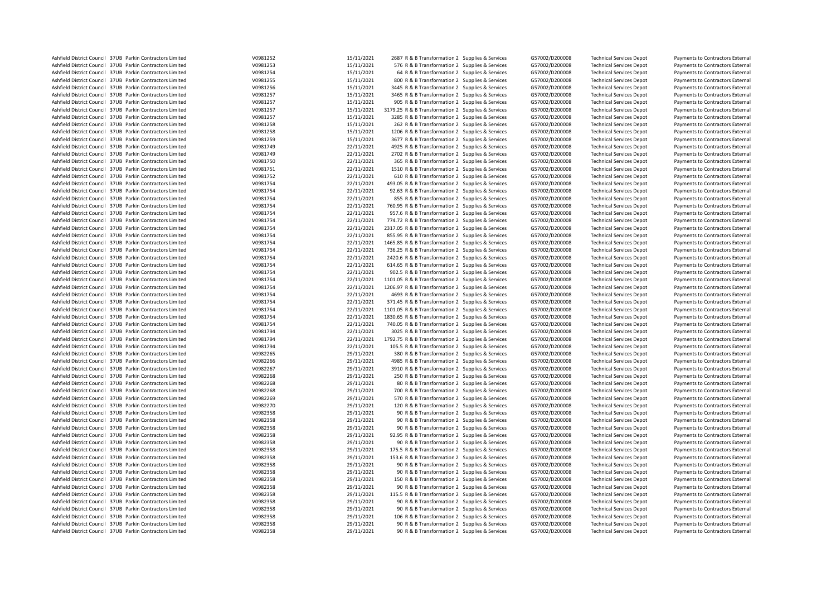| Ashfield District Council 37UB Parkin Contractors Limited | V0981252 | 15/11/2021 | 2687 R & B Transformation 2 Supplies & Services                                                  | G57002/D200008 | <b>Technical Services Depot</b>                                    | Payments to Contractors External |
|-----------------------------------------------------------|----------|------------|--------------------------------------------------------------------------------------------------|----------------|--------------------------------------------------------------------|----------------------------------|
| Ashfield District Council 37UB Parkin Contractors Limited | V0981253 | 15/11/2021 | 576 R & B Transformation 2 Supplies & Services                                                   | G57002/D200008 | <b>Technical Services Depot</b>                                    | Payments to Contractors External |
| Ashfield District Council 37UB Parkin Contractors Limited | V0981254 | 15/11/2021 | 64 R & B Transformation 2 Supplies & Services                                                    | G57002/D200008 | <b>Technical Services Depot</b>                                    | Payments to Contractors External |
| Ashfield District Council 37UB Parkin Contractors Limited | V0981255 | 15/11/2021 | 800 R & B Transformation 2 Supplies & Services                                                   | G57002/D200008 | <b>Technical Services Depot</b>                                    | Payments to Contractors External |
| Ashfield District Council 37UB Parkin Contractors Limited | V0981256 | 15/11/2021 | 3445 R & B Transformation 2 Supplies & Services                                                  | G57002/D200008 | <b>Technical Services Depot</b>                                    | Payments to Contractors External |
| Ashfield District Council 37UB Parkin Contractors Limited | V0981257 | 15/11/2021 | 3465 R & B Transformation 2 Supplies & Services                                                  | G57002/D200008 | <b>Technical Services Depot</b>                                    | Payments to Contractors External |
| Ashfield District Council 37UB Parkin Contractors Limited | V0981257 | 15/11/2021 | 905 R & B Transformation 2 Supplies & Services                                                   | G57002/D200008 | <b>Technical Services Depot</b>                                    | Payments to Contractors External |
| Ashfield District Council 37UB Parkin Contractors Limited | V0981257 | 15/11/2021 | 3179.25 R & B Transformation 2 Supplies & Services                                               | G57002/D200008 | <b>Technical Services Depot</b>                                    | Payments to Contractors External |
| Ashfield District Council 37UB Parkin Contractors Limited | V0981257 | 15/11/2021 | 3285 R & B Transformation 2 Supplies & Services                                                  | G57002/D200008 | <b>Technical Services Depot</b>                                    | Payments to Contractors External |
| Ashfield District Council 37UB Parkin Contractors Limited | V0981258 | 15/11/2021 | 262 R & B Transformation 2 Supplies & Services                                                   | G57002/D200008 | <b>Technical Services Depot</b>                                    | Payments to Contractors External |
| Ashfield District Council 37UB Parkin Contractors Limited | V0981258 | 15/11/2021 | 1206 R & B Transformation 2 Supplies & Services                                                  | G57002/D200008 | <b>Technical Services Depot</b>                                    | Payments to Contractors External |
| Ashfield District Council 37UB Parkin Contractors Limited | V0981259 | 15/11/2021 | 3677 R & B Transformation 2 Supplies & Services                                                  | G57002/D200008 | <b>Technical Services Depot</b>                                    | Payments to Contractors External |
| Ashfield District Council 37UB Parkin Contractors Limited | V0981749 | 22/11/2021 | 4925 R & B Transformation 2 Supplies & Services                                                  | G57002/D200008 | <b>Technical Services Depot</b>                                    | Payments to Contractors External |
| Ashfield District Council 37UB Parkin Contractors Limited | V0981749 | 22/11/2021 | 2702 R & B Transformation 2 Supplies & Services                                                  | G57002/D200008 | <b>Technical Services Depot</b>                                    | Payments to Contractors External |
| Ashfield District Council 37UB Parkin Contractors Limited | V0981750 | 22/11/2021 | 365 R & B Transformation 2 Supplies & Services                                                   | G57002/D200008 | <b>Technical Services Depot</b>                                    | Payments to Contractors External |
| Ashfield District Council 37UB Parkin Contractors Limited | V0981751 | 22/11/2021 | 1510 R & B Transformation 2 Supplies & Services                                                  | G57002/D200008 | <b>Technical Services Depot</b>                                    | Payments to Contractors External |
| Ashfield District Council 37UB Parkin Contractors Limited | V0981752 | 22/11/2021 | 610 R & B Transformation 2 Supplies & Services                                                   | G57002/D200008 | <b>Technical Services Depot</b>                                    | Payments to Contractors External |
| Ashfield District Council 37UB Parkin Contractors Limited | V0981754 | 22/11/2021 |                                                                                                  |                |                                                                    |                                  |
|                                                           | V0981754 |            | 493.05 R & B Transformation 2 Supplies & Services                                                | G57002/D200008 | <b>Technical Services Depot</b>                                    | Payments to Contractors External |
| Ashfield District Council 37UB Parkin Contractors Limited |          | 22/11/2021 | 92.63 R & B Transformation 2 Supplies & Services                                                 | G57002/D200008 | <b>Technical Services Depot</b>                                    | Payments to Contractors External |
| Ashfield District Council 37UB Parkin Contractors Limited | V0981754 | 22/11/2021 | 855 R & B Transformation 2 Supplies & Services                                                   | G57002/D200008 | <b>Technical Services Depot</b>                                    | Payments to Contractors External |
| Ashfield District Council 37UB Parkin Contractors Limited | V0981754 | 22/11/2021 | 760.95 R & B Transformation 2 Supplies & Services                                                | G57002/D200008 | <b>Technical Services Depot</b>                                    | Payments to Contractors External |
| Ashfield District Council 37UB Parkin Contractors Limited | V0981754 | 22/11/2021 | 957.6 R & B Transformation 2 Supplies & Services                                                 | G57002/D200008 | <b>Technical Services Depot</b>                                    | Payments to Contractors External |
| Ashfield District Council 37UB Parkin Contractors Limited | V0981754 | 22/11/2021 | 774.72 R & B Transformation 2 Supplies & Services                                                | G57002/D200008 | <b>Technical Services Depot</b>                                    | Payments to Contractors External |
| Ashfield District Council 37UB Parkin Contractors Limited | V0981754 | 22/11/2021 | 2317.05 R & B Transformation 2 Supplies & Services                                               | G57002/D200008 | <b>Technical Services Depot</b>                                    | Payments to Contractors External |
| Ashfield District Council 37UB Parkin Contractors Limited | V0981754 | 22/11/2021 | 855.95 R & B Transformation 2 Supplies & Services                                                | G57002/D200008 | <b>Technical Services Depot</b>                                    | Payments to Contractors External |
| Ashfield District Council 37UB Parkin Contractors Limited | V0981754 | 22/11/2021 | 1465.85 R & B Transformation 2 Supplies & Services                                               | G57002/D200008 | <b>Technical Services Depot</b>                                    | Payments to Contractors External |
| Ashfield District Council 37UB Parkin Contractors Limited | V0981754 | 22/11/2021 | 736.25 R & B Transformation 2 Supplies & Services                                                | G57002/D200008 | <b>Technical Services Depot</b>                                    | Payments to Contractors External |
| Ashfield District Council 37UB Parkin Contractors Limited | V0981754 | 22/11/2021 | 2420.6 R & B Transformation 2 Supplies & Services                                                | G57002/D200008 | <b>Technical Services Depot</b>                                    | Payments to Contractors External |
| Ashfield District Council 37UB Parkin Contractors Limited | V0981754 | 22/11/2021 | 614.65 R & B Transformation 2 Supplies & Services                                                | G57002/D200008 | <b>Technical Services Depot</b>                                    | Payments to Contractors External |
| Ashfield District Council 37UB Parkin Contractors Limited | V0981754 | 22/11/2021 | 902.5 R & B Transformation 2 Supplies & Services                                                 | G57002/D200008 | <b>Technical Services Depot</b>                                    | Payments to Contractors External |
| Ashfield District Council 37UB Parkin Contractors Limited | V0981754 | 22/11/2021 | 1101.05 R & B Transformation 2 Supplies & Services                                               | G57002/D200008 | <b>Technical Services Depot</b>                                    | Payments to Contractors External |
| Ashfield District Council 37UB Parkin Contractors Limited | V0981754 | 22/11/2021 | 1206.97 R & B Transformation 2 Supplies & Services                                               | G57002/D200008 | <b>Technical Services Depot</b>                                    | Payments to Contractors External |
| Ashfield District Council 37UB Parkin Contractors Limited | V0981754 | 22/11/2021 | 4693 R & B Transformation 2 Supplies & Services                                                  | G57002/D200008 | <b>Technical Services Depot</b>                                    | Payments to Contractors External |
| Ashfield District Council 37UB Parkin Contractors Limited | V0981754 | 22/11/2021 | 371.45 R & B Transformation 2 Supplies & Services                                                | G57002/D200008 | <b>Technical Services Depot</b>                                    | Payments to Contractors External |
| Ashfield District Council 37UB Parkin Contractors Limited | V0981754 | 22/11/2021 | 1101.05 R & B Transformation 2 Supplies & Services                                               | G57002/D200008 | <b>Technical Services Depot</b>                                    | Payments to Contractors External |
| Ashfield District Council 37UB Parkin Contractors Limited | V0981754 | 22/11/2021 | 1830.65 R & B Transformation 2 Supplies & Services                                               | G57002/D200008 | <b>Technical Services Depot</b>                                    | Payments to Contractors External |
| Ashfield District Council 37UB Parkin Contractors Limited | V0981754 | 22/11/2021 | 740.05 R & B Transformation 2 Supplies & Services                                                | G57002/D200008 | <b>Technical Services Depot</b>                                    | Payments to Contractors External |
| Ashfield District Council 37UB Parkin Contractors Limited | V0981794 | 22/11/2021 | 3025 R & B Transformation 2 Supplies & Services                                                  | G57002/D200008 | <b>Technical Services Depot</b>                                    | Payments to Contractors External |
| Ashfield District Council 37UB Parkin Contractors Limited | V0981794 | 22/11/2021 | 1792.75 R & B Transformation 2 Supplies & Services                                               | G57002/D200008 | <b>Technical Services Depot</b>                                    | Payments to Contractors External |
| Ashfield District Council 37UB Parkin Contractors Limited | V0981794 | 22/11/2021 | 105.5 R & B Transformation 2 Supplies & Services                                                 | G57002/D200008 | <b>Technical Services Depot</b>                                    | Payments to Contractors External |
| Ashfield District Council 37UB Parkin Contractors Limited | V0982265 | 29/11/2021 | 380 R & B Transformation 2 Supplies & Services                                                   | G57002/D200008 | <b>Technical Services Depot</b>                                    | Payments to Contractors External |
| Ashfield District Council 37UB Parkin Contractors Limited | V0982266 | 29/11/2021 | 4985 R & B Transformation 2 Supplies & Services                                                  | G57002/D200008 | <b>Technical Services Depot</b>                                    | Payments to Contractors External |
| Ashfield District Council 37UB Parkin Contractors Limited | V0982267 | 29/11/2021 | 3910 R & B Transformation 2 Supplies & Services                                                  | G57002/D200008 | <b>Technical Services Depot</b>                                    | Payments to Contractors External |
| Ashfield District Council 37UB Parkin Contractors Limited | V0982268 | 29/11/2021 | 250 R & B Transformation 2 Supplies & Services                                                   | G57002/D200008 | <b>Technical Services Depot</b>                                    | Payments to Contractors External |
| Ashfield District Council 37UB Parkin Contractors Limited | V0982268 | 29/11/2021 | 80 R & B Transformation 2 Supplies & Services                                                    | G57002/D200008 | <b>Technical Services Depot</b>                                    | Payments to Contractors External |
| Ashfield District Council 37UB Parkin Contractors Limited | V0982268 | 29/11/2021 | 700 R & B Transformation 2 Supplies & Services                                                   | G57002/D200008 | <b>Technical Services Depot</b>                                    | Payments to Contractors External |
| Ashfield District Council 37UB Parkin Contractors Limited | V0982269 | 29/11/2021 |                                                                                                  | G57002/D200008 |                                                                    | Payments to Contractors External |
| Ashfield District Council 37UB Parkin Contractors Limited | V0982270 | 29/11/2021 | 570 R & B Transformation 2 Supplies & Services<br>120 R & B Transformation 2 Supplies & Services | G57002/D200008 | <b>Technical Services Depot</b><br><b>Technical Services Depot</b> | Payments to Contractors External |
| Ashfield District Council 37UB Parkin Contractors Limited | V0982358 | 29/11/2021 |                                                                                                  | G57002/D200008 |                                                                    |                                  |
|                                                           |          |            | 90 R & B Transformation 2 Supplies & Services                                                    |                | <b>Technical Services Depot</b>                                    | Payments to Contractors External |
| Ashfield District Council 37UB Parkin Contractors Limited | V0982358 | 29/11/2021 | 90 R & B Transformation 2 Supplies & Services                                                    | G57002/D200008 | <b>Technical Services Depot</b>                                    | Payments to Contractors External |
| Ashfield District Council 37UB Parkin Contractors Limited | V0982358 | 29/11/2021 | 90 R & B Transformation 2 Supplies & Services                                                    | G57002/D200008 | <b>Technical Services Depot</b>                                    | Payments to Contractors External |
| Ashfield District Council 37UB Parkin Contractors Limited | V0982358 | 29/11/2021 | 92.95 R & B Transformation 2 Supplies & Services                                                 | G57002/D200008 | <b>Technical Services Depot</b>                                    | Payments to Contractors External |
| Ashfield District Council 37UB Parkin Contractors Limited | V0982358 | 29/11/2021 | 90 R & B Transformation 2 Supplies & Services                                                    | G57002/D200008 | <b>Technical Services Depot</b>                                    | Payments to Contractors External |
| Ashfield District Council 37UB Parkin Contractors Limited | V0982358 | 29/11/2021 | 175.5 R & B Transformation 2 Supplies & Services                                                 | G57002/D200008 | <b>Technical Services Depot</b>                                    | Payments to Contractors External |
| Ashfield District Council 37UB Parkin Contractors Limited | V0982358 | 29/11/2021 | 153.6 R & B Transformation 2 Supplies & Services                                                 | G57002/D200008 | <b>Technical Services Depot</b>                                    | Payments to Contractors External |
| Ashfield District Council 37UB Parkin Contractors Limited | V0982358 | 29/11/2021 | 90 R & B Transformation 2 Supplies & Services                                                    | G57002/D200008 | <b>Technical Services Depot</b>                                    | Payments to Contractors External |
| Ashfield District Council 37UB Parkin Contractors Limited | V0982358 | 29/11/2021 | 90 R & B Transformation 2 Supplies & Services                                                    | G57002/D200008 | <b>Technical Services Depot</b>                                    | Payments to Contractors External |
| Ashfield District Council 37UB Parkin Contractors Limited | V0982358 | 29/11/2021 | 150 R & B Transformation 2 Supplies & Services                                                   | G57002/D200008 | <b>Technical Services Depot</b>                                    | Payments to Contractors External |
| Ashfield District Council 37UB Parkin Contractors Limited | V0982358 | 29/11/2021 | 90 R & B Transformation 2 Supplies & Services                                                    | G57002/D200008 | <b>Technical Services Depot</b>                                    | Payments to Contractors External |
| Ashfield District Council 37UB Parkin Contractors Limited | V0982358 | 29/11/2021 | 115.5 R & B Transformation 2 Supplies & Services                                                 | G57002/D200008 | <b>Technical Services Depot</b>                                    | Payments to Contractors External |
| Ashfield District Council 37UB Parkin Contractors Limited | V0982358 | 29/11/2021 | 90 R & B Transformation 2 Supplies & Services                                                    | G57002/D200008 | <b>Technical Services Depot</b>                                    | Payments to Contractors External |
| Ashfield District Council 37UB Parkin Contractors Limited | V0982358 | 29/11/2021 | 90 R & B Transformation 2 Supplies & Services                                                    | G57002/D200008 | <b>Technical Services Depot</b>                                    | Payments to Contractors External |
| Ashfield District Council 37UB Parkin Contractors Limited | V0982358 | 29/11/2021 | 106 R & B Transformation 2 Supplies & Services                                                   | G57002/D200008 | <b>Technical Services Depot</b>                                    | Payments to Contractors External |
| Ashfield District Council 37UB Parkin Contractors Limited | V0982358 | 29/11/2021 | 90 R & B Transformation 2 Supplies & Services                                                    | G57002/D200008 | <b>Technical Services Depot</b>                                    | Payments to Contractors External |
| Ashfield District Council 37UB Parkin Contractors Limited | V0982358 | 29/11/2021 | 90 R & B Transformation 2 Supplies & Services                                                    | G57002/D200008 | <b>Technical Services Depot</b>                                    | Payments to Contractors External |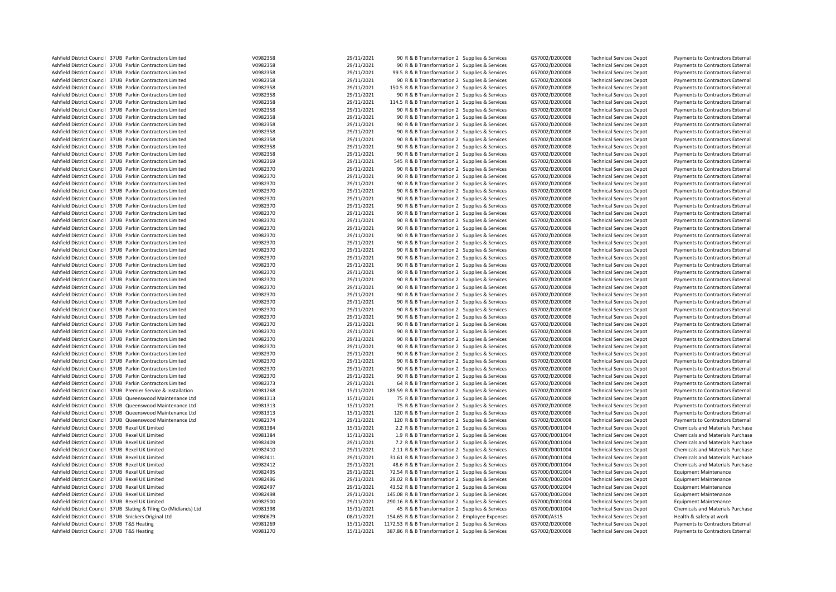| Ashfield District Council 37UB Parkin Contractors Limited<br>Ashfield District Council 37UB Parkin Contractors Limited | V0982358 |            |                                                    |                |                                 |                                  |
|------------------------------------------------------------------------------------------------------------------------|----------|------------|----------------------------------------------------|----------------|---------------------------------|----------------------------------|
|                                                                                                                        |          | 29/11/2021 | 90 R & B Transformation 2 Supplies & Services      | G57002/D200008 | <b>Technical Services Depot</b> | Payments to Contractors External |
|                                                                                                                        | V0982358 | 29/11/2021 | 90 R & B Transformation 2 Supplies & Services      | G57002/D200008 | <b>Technical Services Depot</b> | Payments to Contractors External |
| Ashfield District Council 37UB Parkin Contractors Limited                                                              | V0982358 | 29/11/2021 | 99.5 R & B Transformation 2 Supplies & Services    | G57002/D200008 | <b>Technical Services Depot</b> | Payments to Contractors External |
| Ashfield District Council 37UB Parkin Contractors Limited                                                              | V0982358 | 29/11/2021 | 90 R & B Transformation 2 Supplies & Services      | G57002/D200008 | <b>Technical Services Depot</b> | Payments to Contractors External |
| Ashfield District Council 37UB Parkin Contractors Limited                                                              | V0982358 | 29/11/2021 | 150.5 R & B Transformation 2 Supplies & Services   | G57002/D200008 | <b>Technical Services Depot</b> | Payments to Contractors External |
| Ashfield District Council 37UB Parkin Contractors Limited                                                              | V0982358 | 29/11/2021 | 90 R & B Transformation 2 Supplies & Services      | G57002/D200008 | <b>Technical Services Depot</b> | Payments to Contractors External |
| Ashfield District Council 37UB Parkin Contractors Limited                                                              | V0982358 | 29/11/2021 | 114.5 R & B Transformation 2 Supplies & Services   | G57002/D200008 | <b>Technical Services Depot</b> | Payments to Contractors External |
| Ashfield District Council 37UB Parkin Contractors Limited                                                              | V0982358 | 29/11/2021 | 90 R & B Transformation 2 Supplies & Services      | G57002/D200008 | <b>Technical Services Depot</b> | Payments to Contractors External |
| Ashfield District Council 37UB Parkin Contractors Limited                                                              | V0982358 | 29/11/2021 | 90 R & B Transformation 2 Supplies & Services      | G57002/D200008 | <b>Technical Services Depot</b> | Payments to Contractors External |
|                                                                                                                        |          | 29/11/2021 |                                                    |                |                                 |                                  |
| Ashfield District Council 37UB Parkin Contractors Limited                                                              | V0982358 |            | 90 R & B Transformation 2 Supplies & Services      | G57002/D200008 | <b>Technical Services Depot</b> | Payments to Contractors External |
| Ashfield District Council 37UB Parkin Contractors Limited                                                              | V0982358 | 29/11/2021 | 90 R & B Transformation 2 Supplies & Services      | G57002/D200008 | <b>Technical Services Depot</b> | Payments to Contractors External |
| Ashfield District Council 37UB Parkin Contractors Limited                                                              | V0982358 | 29/11/2021 | 90 R & B Transformation 2 Supplies & Services      | G57002/D200008 | <b>Technical Services Depot</b> | Payments to Contractors External |
| Ashfield District Council 37UB Parkin Contractors Limited                                                              | V0982358 | 29/11/2021 | 90 R & B Transformation 2 Supplies & Services      | G57002/D200008 | <b>Technical Services Depot</b> | Payments to Contractors External |
| Ashfield District Council 37UB Parkin Contractors Limited                                                              | V0982358 | 29/11/2021 | 90 R & B Transformation 2 Supplies & Services      | G57002/D200008 | <b>Technical Services Depot</b> | Payments to Contractors External |
| Ashfield District Council 37UB Parkin Contractors Limited                                                              | V0982369 | 29/11/2021 | 545 R & B Transformation 2 Supplies & Services     | G57002/D200008 | <b>Technical Services Depot</b> | Payments to Contractors External |
| Ashfield District Council 37UB Parkin Contractors Limited                                                              | V0982370 | 29/11/2021 | 90 R & B Transformation 2 Supplies & Services      | G57002/D200008 | <b>Technical Services Depot</b> | Payments to Contractors External |
| Ashfield District Council 37UB Parkin Contractors Limited                                                              | V0982370 | 29/11/2021 | 90 R & B Transformation 2 Supplies & Services      | G57002/D200008 | <b>Technical Services Depot</b> | Payments to Contractors External |
| Ashfield District Council 37UB Parkin Contractors Limited                                                              | V0982370 | 29/11/2021 | 90 R & B Transformation 2 Supplies & Services      | G57002/D200008 | <b>Technical Services Depot</b> | Payments to Contractors External |
| Ashfield District Council 37UB Parkin Contractors Limited                                                              | V0982370 | 29/11/2021 | 90 R & B Transformation 2 Supplies & Services      | G57002/D200008 | <b>Technical Services Depot</b> | Payments to Contractors External |
| Ashfield District Council 37UB Parkin Contractors Limited                                                              | V0982370 | 29/11/2021 | 90 R & B Transformation 2 Supplies & Services      | G57002/D200008 | <b>Technical Services Depot</b> | Payments to Contractors External |
| Ashfield District Council 37UB Parkin Contractors Limited                                                              | V0982370 |            |                                                    | G57002/D200008 |                                 |                                  |
|                                                                                                                        |          | 29/11/2021 | 90 R & B Transformation 2 Supplies & Services      |                | <b>Technical Services Depot</b> | Payments to Contractors External |
| Ashfield District Council 37UB Parkin Contractors Limited                                                              | V0982370 | 29/11/2021 | 90 R & B Transformation 2 Supplies & Services      | G57002/D200008 | <b>Technical Services Depot</b> | Payments to Contractors External |
| Ashfield District Council 37UB Parkin Contractors Limited                                                              | V0982370 | 29/11/2021 | 90 R & B Transformation 2 Supplies & Services      | G57002/D200008 | <b>Technical Services Depot</b> | Payments to Contractors External |
| Ashfield District Council 37UB Parkin Contractors Limited                                                              | V0982370 | 29/11/2021 | 90 R & B Transformation 2 Supplies & Services      | G57002/D200008 | <b>Technical Services Depot</b> | Payments to Contractors External |
| Ashfield District Council 37UB Parkin Contractors Limited                                                              | V0982370 | 29/11/2021 | 90 R & B Transformation 2 Supplies & Services      | G57002/D200008 | <b>Technical Services Depot</b> | Payments to Contractors External |
| Ashfield District Council 37UB Parkin Contractors Limited                                                              | V0982370 | 29/11/2021 | 90 R & B Transformation 2 Supplies & Services      | G57002/D200008 | <b>Technical Services Depot</b> | Payments to Contractors External |
| Ashfield District Council 37UB Parkin Contractors Limited                                                              | V0982370 | 29/11/2021 | 90 R & B Transformation 2 Supplies & Services      | G57002/D200008 | <b>Technical Services Depot</b> | Payments to Contractors External |
| Ashfield District Council 37UB Parkin Contractors Limited                                                              | V0982370 | 29/11/2021 | 90 R & B Transformation 2 Supplies & Services      | G57002/D200008 | <b>Technical Services Depot</b> | Payments to Contractors External |
| Ashfield District Council 37UB Parkin Contractors Limited                                                              | V0982370 | 29/11/2021 | 90 R & B Transformation 2 Supplies & Services      | G57002/D200008 | <b>Technical Services Depot</b> | Payments to Contractors External |
| Ashfield District Council 37UB Parkin Contractors Limited                                                              | V0982370 | 29/11/2021 | 90 R & B Transformation 2 Supplies & Services      | G57002/D200008 | <b>Technical Services Depot</b> | Payments to Contractors External |
| Ashfield District Council 37UB Parkin Contractors Limited                                                              | V0982370 | 29/11/2021 | 90 R & B Transformation 2 Supplies & Services      | G57002/D200008 | <b>Technical Services Depot</b> | Payments to Contractors External |
| Ashfield District Council 37UB Parkin Contractors Limited                                                              | V0982370 | 29/11/2021 | 90 R & B Transformation 2 Supplies & Services      | G57002/D200008 | <b>Technical Services Depot</b> | Payments to Contractors External |
|                                                                                                                        |          |            |                                                    |                |                                 |                                  |
| Ashfield District Council 37UB Parkin Contractors Limited                                                              | V0982370 | 29/11/2021 | 90 R & B Transformation 2 Supplies & Services      | G57002/D200008 | <b>Technical Services Depot</b> | Payments to Contractors External |
| Ashfield District Council 37UB Parkin Contractors Limited                                                              | V0982370 | 29/11/2021 | 90 R & B Transformation 2 Supplies & Services      | G57002/D200008 | <b>Technical Services Depot</b> | Payments to Contractors External |
| Ashfield District Council 37UB Parkin Contractors Limited                                                              | V0982370 | 29/11/2021 | 90 R & B Transformation 2 Supplies & Services      | G57002/D200008 | <b>Technical Services Depot</b> | Payments to Contractors External |
| Ashfield District Council 37UB Parkin Contractors Limited                                                              | V0982370 | 29/11/2021 | 90 R & B Transformation 2 Supplies & Services      | G57002/D200008 | <b>Technical Services Depot</b> | Payments to Contractors External |
| Ashfield District Council 37UB Parkin Contractors Limited                                                              | V0982370 | 29/11/2021 | 90 R & B Transformation 2 Supplies & Services      | G57002/D200008 | <b>Technical Services Depot</b> | Payments to Contractors External |
| Ashfield District Council 37UB Parkin Contractors Limited                                                              | V0982370 | 29/11/2021 | 90 R & B Transformation 2 Supplies & Services      | G57002/D200008 | <b>Technical Services Depot</b> | Payments to Contractors External |
| Ashfield District Council 37UB Parkin Contractors Limited                                                              | V0982370 | 29/11/2021 | 90 R & B Transformation 2 Supplies & Services      | G57002/D200008 | <b>Technical Services Depot</b> | Payments to Contractors External |
| Ashfield District Council 37UB Parkin Contractors Limited                                                              | V0982370 | 29/11/2021 | 90 R & B Transformation 2 Supplies & Services      |                |                                 |                                  |
|                                                                                                                        |          |            |                                                    |                |                                 |                                  |
|                                                                                                                        |          |            |                                                    | G57002/D200008 | <b>Technical Services Depot</b> | Payments to Contractors External |
| Ashfield District Council 37UB Parkin Contractors Limited                                                              | V0982370 | 29/11/2021 | 90 R & B Transformation 2 Supplies & Services      | G57002/D200008 | <b>Technical Services Depot</b> | Payments to Contractors External |
| Ashfield District Council 37UB Parkin Contractors Limited                                                              | V0982370 | 29/11/2021 | 90 R & B Transformation 2 Supplies & Services      | G57002/D200008 | <b>Technical Services Depot</b> | Payments to Contractors External |
| Ashfield District Council 37UB Parkin Contractors Limited                                                              | V0982370 | 29/11/2021 | 90 R & B Transformation 2 Supplies & Services      | G57002/D200008 | <b>Technical Services Depot</b> | Payments to Contractors External |
| Ashfield District Council 37UB Parkin Contractors Limited                                                              | V0982370 | 29/11/2021 | 90 R & B Transformation 2 Supplies & Services      | G57002/D200008 | <b>Technical Services Depot</b> | Payments to Contractors External |
| Ashfield District Council 37UB Parkin Contractors Limited                                                              | V0982373 | 29/11/2021 | 64 R & B Transformation 2 Supplies & Services      | G57002/D200008 | <b>Technical Services Depot</b> | Payments to Contractors External |
| Ashfield District Council 37UB Premier Service & Installation                                                          | V0981268 | 15/11/2021 | 189.59 R & B Transformation 2 Supplies & Services  | G57002/D200008 | <b>Technical Services Depot</b> | Payments to Contractors External |
| Ashfield District Council 37UB Queenswood Maintenance Ltd                                                              | V0981313 | 15/11/2021 | 75 R & B Transformation 2 Supplies & Services      | G57002/D200008 | <b>Technical Services Depot</b> | Payments to Contractors External |
| Ashfield District Council 37UB Queenswood Maintenance Ltd                                                              | V0981313 | 15/11/2021 | 75 R & B Transformation 2 Supplies & Services      | G57002/D200008 | <b>Technical Services Depot</b> | Payments to Contractors External |
| Ashfield District Council 37UB Queenswood Maintenance Ltd                                                              | V0981313 | 15/11/2021 | 120 R & B Transformation 2 Supplies & Services     | G57002/D200008 | <b>Technical Services Depot</b> | Payments to Contractors External |
| Ashfield District Council 37UB Queenswood Maintenance Ltd                                                              | V0982374 | 29/11/2021 | 120 R & B Transformation 2 Supplies & Services     | G57002/D200008 | <b>Technical Services Depot</b> | Payments to Contractors External |
| Ashfield District Council 37UB Rexel UK Limited                                                                        | V0981384 | 15/11/2021 | 2.2 R & B Transformation 2 Supplies & Services     | G57000/D001004 | <b>Technical Services Depot</b> | Chemicals and Materials Purchase |
|                                                                                                                        |          |            |                                                    |                |                                 |                                  |
| Ashfield District Council 37UB Rexel UK Limited                                                                        | V0981384 | 15/11/2021 | 1.9 R & B Transformation 2 Supplies & Services     | G57000/D001004 | <b>Technical Services Depot</b> | Chemicals and Materials Purchase |
| Ashfield District Council 37UB Rexel UK Limited                                                                        | V0982409 | 29/11/2021 | 7.2 R & B Transformation 2 Supplies & Services     | G57000/D001004 | <b>Technical Services Depot</b> | Chemicals and Materials Purchase |
| Ashfield District Council 37UB Rexel UK Limited                                                                        | V0982410 | 29/11/2021 | 2.11 R & B Transformation 2 Supplies & Services    | G57000/D001004 | <b>Technical Services Depot</b> | Chemicals and Materials Purchase |
| Ashfield District Council 37UB Rexel UK Limited                                                                        | V0982411 | 29/11/2021 | 31.61 R & B Transformation 2 Supplies & Services   | G57000/D001004 | <b>Technical Services Depot</b> | Chemicals and Materials Purchase |
| Ashfield District Council 37UB Rexel UK Limited                                                                        | V0982412 | 29/11/2021 | 48.6 R & B Transformation 2 Supplies & Services    | G57000/D001004 | <b>Technical Services Depot</b> | Chemicals and Materials Purchase |
| Ashfield District Council 37UB Rexel UK Limited                                                                        | V0982495 | 29/11/2021 | 72.54 R & B Transformation 2 Supplies & Services   | G57000/D002004 | <b>Technical Services Depot</b> | <b>Equipment Maintenance</b>     |
| Ashfield District Council 37UB Rexel UK Limited                                                                        | V0982496 | 29/11/2021 | 29.02 R & B Transformation 2 Supplies & Services   | G57000/D002004 | <b>Technical Services Depot</b> | <b>Equipment Maintenance</b>     |
| Ashfield District Council 37UB Rexel UK Limited                                                                        | V0982497 | 29/11/2021 | 43.52 R & B Transformation 2 Supplies & Services   | G57000/D002004 | <b>Technical Services Depot</b> | <b>Equipment Maintenance</b>     |
| Ashfield District Council 37UB Rexel UK Limited                                                                        | V0982498 | 29/11/2021 | 145.08 R & B Transformation 2 Supplies & Services  | G57000/D002004 | <b>Technical Services Depot</b> | <b>Equipment Maintenance</b>     |
| Ashfield District Council 37UB Rexel UK Limited                                                                        | V0982500 | 29/11/2021 | 290.16 R & B Transformation 2 Supplies & Services  | G57000/D002004 | <b>Technical Services Depot</b> | <b>Equipment Maintenance</b>     |
| Ashfield District Council 37UB Slating & Tiling Co (Midlands) Ltd                                                      | V0981398 | 15/11/2021 | 45 R & B Transformation 2 Supplies & Services      | G57000/D001004 | <b>Technical Services Depot</b> | Chemicals and Materials Purchase |
| Ashfield District Council 37UB Snickers Original Ltd                                                                   | V0980679 | 08/11/2021 | 154.65 R & B Transformation 2 Employee Expenses    | G57000/A315    | <b>Technical Services Depot</b> | Health & safety at work          |
| Ashfield District Council 37UB T&S Heating                                                                             | V0981269 | 15/11/2021 | 1172.53 R & B Transformation 2 Supplies & Services | G57002/D200008 | <b>Technical Services Depot</b> | Payments to Contractors External |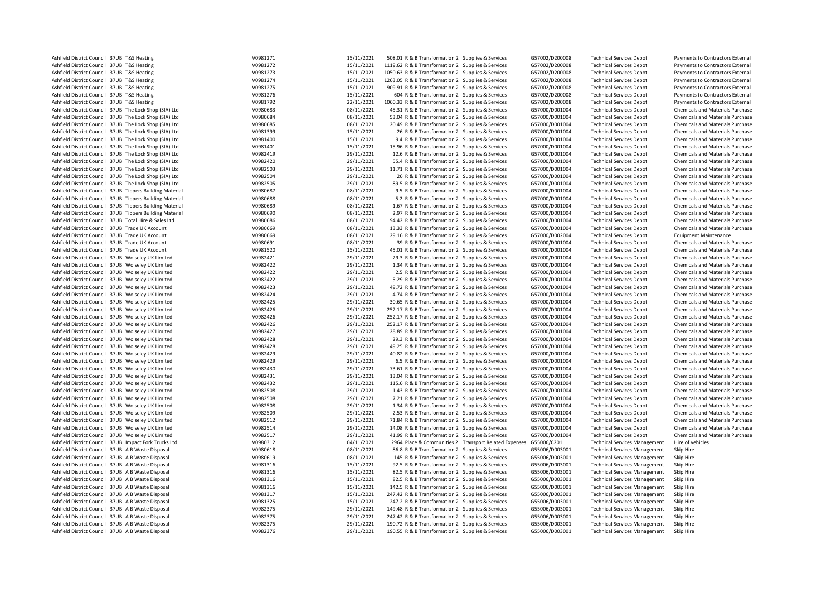| Ashfield District Council 37UB T&S Heating                                                         | V0981271 | 15/11/2021 | 508.01 R & B Transformation 2 Supplies & Services                 | G57002/D200008 | <b>Technical Services Depot</b>      | Payments to Contractors External        |
|----------------------------------------------------------------------------------------------------|----------|------------|-------------------------------------------------------------------|----------------|--------------------------------------|-----------------------------------------|
| Ashfield District Council 37UB T&S Heating                                                         | V0981272 | 15/11/2021 | 1119.62 R & B Transformation 2 Supplies & Services                | G57002/D200008 | <b>Technical Services Depot</b>      | Payments to Contractors External        |
| Ashfield District Council 37UB T&S Heating                                                         | V0981273 | 15/11/2021 | 1050.63 R & B Transformation 2 Supplies & Services                | G57002/D200008 | <b>Technical Services Depot</b>      | Payments to Contractors External        |
| Ashfield District Council 37UB T&S Heating                                                         | V0981274 | 15/11/2021 | 1263.05 R & B Transformation 2 Supplies & Services                | G57002/D200008 | <b>Technical Services Depot</b>      | Payments to Contractors External        |
| Ashfield District Council 37UB T&S Heating                                                         | V0981275 | 15/11/2021 | 909.91 R & B Transformation 2 Supplies & Services                 | G57002/D200008 | <b>Technical Services Depot</b>      | Payments to Contractors External        |
| Ashfield District Council 37UB T&S Heating                                                         | V0981276 | 15/11/2021 | 604 R & B Transformation 2 Supplies & Services                    | G57002/D200008 | <b>Technical Services Depot</b>      | Payments to Contractors External        |
| Ashfield District Council 37UB T&S Heating                                                         | V0981792 | 22/11/2021 | 1060.33 R & B Transformation 2 Supplies & Services                | G57002/D200008 | <b>Technical Services Depot</b>      | Payments to Contractors External        |
| Ashfield District Council 37UB The Lock Shop (SIA) Ltd                                             | V0980683 | 08/11/2021 | 45.31 R & B Transformation 2 Supplies & Services                  | G57000/D001004 | <b>Technical Services Depot</b>      | Chemicals and Materials Purchase        |
| Ashfield District Council 37UB The Lock Shop (SIA) Ltd                                             | V0980684 | 08/11/2021 | 53.04 R & B Transformation 2 Supplies & Services                  | G57000/D001004 | <b>Technical Services Depot</b>      | Chemicals and Materials Purchase        |
| Ashfield District Council 37UB The Lock Shop (SIA) Ltd                                             | V0980685 | 08/11/2021 | 20.49 R & B Transformation 2 Supplies & Services                  | G57000/D001004 | <b>Technical Services Depot</b>      | <b>Chemicals and Materials Purchase</b> |
| Ashfield District Council 37UB The Lock Shop (SIA) Ltd                                             | V0981399 | 15/11/2021 | 26 R & B Transformation 2 Supplies & Services                     | G57000/D001004 | <b>Technical Services Depot</b>      | Chemicals and Materials Purchase        |
| Ashfield District Council 37UB The Lock Shop (SIA) Ltd                                             | V0981400 | 15/11/2021 | 9.4 R & B Transformation 2 Supplies & Services                    | G57000/D001004 | <b>Technical Services Depot</b>      | <b>Chemicals and Materials Purchase</b> |
| Ashfield District Council 37UB The Lock Shop (SIA) Ltd                                             | V0981401 | 15/11/2021 | 15.96 R & B Transformation 2 Supplies & Services                  | G57000/D001004 | <b>Technical Services Depot</b>      | Chemicals and Materials Purchase        |
| Ashfield District Council 37UB The Lock Shop (SIA) Ltd                                             | V0982419 | 29/11/2021 | 12.6 R & B Transformation 2 Supplies & Services                   | G57000/D001004 | <b>Technical Services Depot</b>      | Chemicals and Materials Purchase        |
| Ashfield District Council 37UB The Lock Shop (SIA) Ltd                                             | V0982420 | 29/11/2021 | 55.4 R & B Transformation 2 Supplies & Services                   | G57000/D001004 | <b>Technical Services Depot</b>      | Chemicals and Materials Purchase        |
| Ashfield District Council 37UB The Lock Shop (SIA) Ltd                                             | V0982503 | 29/11/2021 | 11.71 R & B Transformation 2 Supplies & Services                  | G57000/D001004 | <b>Technical Services Depot</b>      | Chemicals and Materials Purchase        |
| Ashfield District Council 37UB The Lock Shop (SIA) Ltd                                             | V0982504 | 29/11/2021 | 26 R & B Transformation 2 Supplies & Services                     | G57000/D001004 | <b>Technical Services Depot</b>      | Chemicals and Materials Purchase        |
| Ashfield District Council 37UB The Lock Shop (SIA) Ltd                                             | V0982505 | 29/11/2021 | 89.5 R & B Transformation 2 Supplies & Services                   | G57000/D001004 | <b>Technical Services Depot</b>      | Chemicals and Materials Purchase        |
| Ashfield District Council 37UB Tippers Building Material                                           | V0980687 | 08/11/2021 | 9.5 R & B Transformation 2 Supplies & Services                    | G57000/D001004 | <b>Technical Services Depot</b>      | Chemicals and Materials Purchase        |
| Ashfield District Council 37UB Tippers Building Material                                           | V0980688 | 08/11/2021 | 5.2 R & B Transformation 2 Supplies & Services                    | G57000/D001004 | <b>Technical Services Depot</b>      | Chemicals and Materials Purchase        |
| Ashfield District Council 37UB Tippers Building Material                                           | V0980689 | 08/11/2021 | 1.67 R & B Transformation 2 Supplies & Services                   | G57000/D001004 | <b>Technical Services Depot</b>      | Chemicals and Materials Purchase        |
| Ashfield District Council 37UB Tippers Building Material                                           | V0980690 | 08/11/2021 | 2.97 R & B Transformation 2 Supplies & Services                   | G57000/D001004 | <b>Technical Services Depot</b>      | <b>Chemicals and Materials Purchase</b> |
| Ashfield District Council 37UB Total Hire & Sales Ltd                                              | V0980686 | 08/11/2021 | 94.42 R & B Transformation 2 Supplies & Services                  | G57000/D001004 | <b>Technical Services Depot</b>      | Chemicals and Materials Purchase        |
| Ashfield District Council 37UB Trade UK Account                                                    | V0980669 | 08/11/2021 | 13.33 R & B Transformation 2 Supplies & Services                  | G57000/D001004 | <b>Technical Services Depot</b>      | Chemicals and Materials Purchase        |
|                                                                                                    | V0980669 |            | 29.16 R & B Transformation 2 Supplies & Services                  | G57000/D002004 |                                      |                                         |
| Ashfield District Council 37UB Trade UK Account<br>Ashfield District Council 37UB Trade UK Account | V0980691 | 08/11/2021 |                                                                   | G57000/D001004 | <b>Technical Services Depot</b>      | <b>Equipment Maintenance</b>            |
|                                                                                                    |          | 08/11/2021 | 39 R & B Transformation 2 Supplies & Services                     |                | <b>Technical Services Depot</b>      | Chemicals and Materials Purchase        |
| Ashfield District Council 37UB Trade UK Account                                                    | V0981520 | 15/11/2021 | 45.01 R & B Transformation 2 Supplies & Services                  | G57000/D001004 | <b>Technical Services Depot</b>      | Chemicals and Materials Purchase        |
| Ashfield District Council 37UB Wolseley UK Limited                                                 | V0982421 | 29/11/2021 | 29.3 R & B Transformation 2 Supplies & Services                   | G57000/D001004 | <b>Technical Services Depot</b>      | Chemicals and Materials Purchase        |
| Ashfield District Council 37UB Wolseley UK Limited                                                 | V0982422 | 29/11/2021 | 1.34 R & B Transformation 2 Supplies & Services                   | G57000/D001004 | <b>Technical Services Depot</b>      | <b>Chemicals and Materials Purchase</b> |
| Ashfield District Council 37UB Wolseley UK Limited                                                 | V0982422 | 29/11/2021 | 2.5 R & B Transformation 2 Supplies & Services                    | G57000/D001004 | <b>Technical Services Depot</b>      | Chemicals and Materials Purchase        |
| Ashfield District Council 37UB Wolseley UK Limited                                                 | V0982422 | 29/11/2021 | 5.29 R & B Transformation 2 Supplies & Services                   | G57000/D001004 | <b>Technical Services Depot</b>      | Chemicals and Materials Purchase        |
| Ashfield District Council 37UB Wolseley UK Limited                                                 | V0982423 | 29/11/2021 | 49.72 R & B Transformation 2 Supplies & Services                  | G57000/D001004 | <b>Technical Services Depot</b>      | Chemicals and Materials Purchase        |
| Ashfield District Council 37UB Wolseley UK Limited                                                 | V0982424 | 29/11/2021 | 4.74 R & B Transformation 2 Supplies & Services                   | G57000/D001004 | <b>Technical Services Depot</b>      | Chemicals and Materials Purchase        |
| Ashfield District Council 37UB Wolseley UK Limited                                                 | V0982425 | 29/11/2021 | 30.65 R & B Transformation 2 Supplies & Services                  | G57000/D001004 | <b>Technical Services Depot</b>      | Chemicals and Materials Purchase        |
| Ashfield District Council 37UB Wolseley UK Limited                                                 | V0982426 | 29/11/2021 | 252.17 R & B Transformation 2 Supplies & Services                 | G57000/D001004 | <b>Technical Services Depot</b>      | Chemicals and Materials Purchase        |
| Ashfield District Council 37UB Wolseley UK Limited                                                 | V0982426 | 29/11/2021 | 252.17 R & B Transformation 2 Supplies & Services                 | G57000/D001004 | <b>Technical Services Depot</b>      | Chemicals and Materials Purchase        |
| Ashfield District Council 37UB Wolseley UK Limited                                                 | V0982426 | 29/11/2021 | 252.17 R & B Transformation 2 Supplies & Services                 | G57000/D001004 | <b>Technical Services Depot</b>      | Chemicals and Materials Purchase        |
| Ashfield District Council 37UB Wolseley UK Limited                                                 | V0982427 | 29/11/2021 | 28.89 R & B Transformation 2 Supplies & Services                  | G57000/D001004 | <b>Technical Services Depot</b>      | Chemicals and Materials Purchase        |
| Ashfield District Council 37UB Wolseley UK Limited                                                 | V0982428 | 29/11/2021 | 29.3 R & B Transformation 2 Supplies & Services                   | G57000/D001004 | <b>Technical Services Depot</b>      | Chemicals and Materials Purchase        |
| Ashfield District Council 37UB Wolseley UK Limited                                                 | V0982428 | 29/11/2021 | 49.25 R & B Transformation 2 Supplies & Services                  | G57000/D001004 | <b>Technical Services Depot</b>      | Chemicals and Materials Purchase        |
| Ashfield District Council 37UB Wolseley UK Limited                                                 | V0982429 | 29/11/2021 | 40.82 R & B Transformation 2 Supplies & Services                  | G57000/D001004 | <b>Technical Services Depot</b>      | <b>Chemicals and Materials Purchase</b> |
| Ashfield District Council 37UB Wolseley UK Limited                                                 | V0982429 | 29/11/2021 | 6.5 R & B Transformation 2 Supplies & Services                    | G57000/D001004 | <b>Technical Services Depot</b>      | Chemicals and Materials Purchase        |
| Ashfield District Council 37UB Wolseley UK Limited                                                 | V0982430 | 29/11/2021 | 73.61 R & B Transformation 2 Supplies & Services                  | G57000/D001004 | <b>Technical Services Depot</b>      | Chemicals and Materials Purchase        |
| Ashfield District Council 37UB Wolseley UK Limited                                                 | V0982431 | 29/11/2021 | 13.04 R & B Transformation 2 Supplies & Services                  | G57000/D001004 | <b>Technical Services Depot</b>      | Chemicals and Materials Purchase        |
| Ashfield District Council 37UB Wolseley UK Limited                                                 | V0982432 | 29/11/2021 | 115.6 R & B Transformation 2 Supplies & Services                  | G57000/D001004 | <b>Technical Services Depot</b>      | Chemicals and Materials Purchase        |
| Ashfield District Council 37UB Wolseley UK Limited                                                 | V0982508 | 29/11/2021 | 1.43 R & B Transformation 2 Supplies & Services                   | G57000/D001004 | <b>Technical Services Depot</b>      | Chemicals and Materials Purchase        |
| Ashfield District Council 37UB Wolseley UK Limited                                                 | V0982508 | 29/11/2021 | 7.21 R & B Transformation 2 Supplies & Services                   | G57000/D001004 | <b>Technical Services Depot</b>      | Chemicals and Materials Purchase        |
| Ashfield District Council 37UB Wolseley UK Limited                                                 | V0982508 | 29/11/2021 | 1.34 R & B Transformation 2 Supplies & Services                   | G57000/D001004 | <b>Technical Services Depot</b>      | Chemicals and Materials Purchase        |
| Ashfield District Council 37UB Wolseley UK Limited                                                 | V0982509 | 29/11/2021 | 2.53 R & B Transformation 2 Supplies & Services                   | G57000/D001004 | <b>Technical Services Depot</b>      | Chemicals and Materials Purchase        |
| Ashfield District Council 37UB Wolseley UK Limited                                                 | V0982512 | 29/11/2021 | 71.84 R & B Transformation 2 Supplies & Services                  | G57000/D001004 | <b>Technical Services Depot</b>      | Chemicals and Materials Purchase        |
| Ashfield District Council 37UB Wolseley UK Limited                                                 | V0982514 | 29/11/2021 | 14.08 R & B Transformation 2 Supplies & Services                  | G57000/D001004 | <b>Technical Services Depot</b>      | Chemicals and Materials Purchase        |
| Ashfield District Council 37UB Wolseley UK Limited                                                 | V0982517 | 29/11/2021 | 41.99 R & B Transformation 2 Supplies & Services                  | G57000/D001004 | <b>Technical Services Depot</b>      | Chemicals and Materials Purchase        |
| Ashfield District Council 37UB Impact Fork Trucks Ltd                                              | V0980312 | 04/11/2021 | 2964 Place & Communities 2 Transport Related Expenses G55006/C201 |                | <b>Technical Services Management</b> | Hire of vehicles                        |
| Ashfield District Council 37UB A B Waste Disposal                                                  | V0980618 | 08/11/2021 | 86.8 R & B Transformation 2 Supplies & Services                   | G55006/D003001 | <b>Technical Services Management</b> | Skip Hire                               |
| Ashfield District Council 37UB A B Waste Disposal                                                  | V0980619 | 08/11/2021 | 145 R & B Transformation 2 Supplies & Services                    | G55006/D003001 | <b>Technical Services Management</b> | Skip Hire                               |
| Ashfield District Council 37UB A B Waste Disposal                                                  | V0981316 | 15/11/2021 | 92.5 R & B Transformation 2 Supplies & Services                   | G55006/D003001 | <b>Technical Services Management</b> | Skip Hire                               |
| Ashfield District Council 37UB A B Waste Disposal                                                  | V0981316 | 15/11/2021 | 82.5 R & B Transformation 2 Supplies & Services                   | G55006/D003001 | <b>Technical Services Management</b> | Skip Hire                               |
| Ashfield District Council 37UB A B Waste Disposal                                                  | V0981316 | 15/11/2021 | 82.5 R & B Transformation 2 Supplies & Services                   | G55006/D003001 | <b>Technical Services Management</b> | Skip Hire                               |
| Ashfield District Council 37UB A B Waste Disposal                                                  | V0981316 | 15/11/2021 | 142.5 R & B Transformation 2 Supplies & Services                  | G55006/D003001 | <b>Technical Services Management</b> | Skip Hire                               |
| Ashfield District Council 37UB A B Waste Disposal                                                  | V0981317 | 15/11/2021 | 247.42 R & B Transformation 2 Supplies & Services                 | G55006/D003001 | <b>Technical Services Management</b> | Skip Hire                               |
| Ashfield District Council 37UB A B Waste Disposal                                                  | V0981325 | 15/11/2021 | 247.2 R & B Transformation 2 Supplies & Services                  | G55006/D003001 | <b>Technical Services Management</b> | Skip Hire                               |
| Ashfield District Council 37UB A B Waste Disposal                                                  | V0982375 | 29/11/2021 | 149.48 R & B Transformation 2 Supplies & Services                 | G55006/D003001 | <b>Technical Services Management</b> | Skip Hire                               |
| Ashfield District Council 37UB A B Waste Disposal                                                  | V0982375 | 29/11/2021 | 247.42 R & B Transformation 2 Supplies & Services                 | G55006/D003001 | <b>Technical Services Management</b> | Skip Hire                               |
| Ashfield District Council 37UB A B Waste Disposal                                                  | V0982375 | 29/11/2021 | 190.72 R & B Transformation 2 Supplies & Services                 | G55006/D003001 | <b>Technical Services Management</b> | Skip Hire                               |
| Ashfield District Council 37UB A B Waste Disposal                                                  | V0982376 | 29/11/2021 | 190.55 R & B Transformation 2 Supplies & Services                 | G55006/D003001 | <b>Technical Services Management</b> | Skip Hire                               |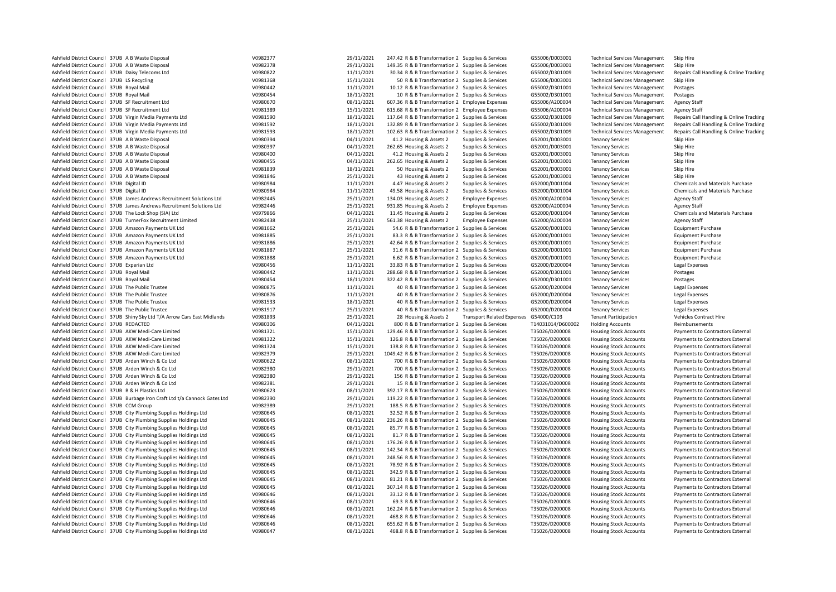| Ashfield District Council 37UB A B Waste Disposal                                                                                        | V0982377             | 29/11/2021               | 247.42 R & B Transformation 2 Supplies & Services                                                     |                                        | G55006/D003001                   | <b>Technical Services Management</b>                           | Skip Hire                                                            |
|------------------------------------------------------------------------------------------------------------------------------------------|----------------------|--------------------------|-------------------------------------------------------------------------------------------------------|----------------------------------------|----------------------------------|----------------------------------------------------------------|----------------------------------------------------------------------|
| Ashfield District Council 37UB A B Waste Disposal                                                                                        | V0982378             | 29/11/2021               | 149.35 R & B Transformation 2 Supplies & Services                                                     |                                        | G55006/D003001                   | <b>Technical Services Management</b>                           | Skip Hire                                                            |
| Ashfield District Council 37UB Daisy Telecoms Ltd                                                                                        | V0980822             | 11/11/2021               | 30.34 R & B Transformation 2 Supplies & Services                                                      |                                        | G55002/D301009                   | <b>Technical Services Management</b>                           | Repairs Call Handling & Online Tracking                              |
| Ashfield District Council 37UB LS Recycling                                                                                              | V0981368             | 15/11/2021               | 50 R & B Transformation 2 Supplies & Services                                                         |                                        | G55006/D003001                   | <b>Technical Services Management</b>                           | Skip Hire                                                            |
| Ashfield District Council 37UB Royal Mail                                                                                                | V0980442             | 11/11/2021               | 10.12 R & B Transformation 2 Supplies & Services                                                      |                                        | G55002/D301001                   | <b>Technical Services Management</b>                           | Postages                                                             |
| Ashfield District Council 37UB Royal Mail                                                                                                | V0980454             | 18/11/2021               | 10 R & B Transformation 2 Supplies & Services                                                         |                                        | G55002/D301001                   | <b>Technical Services Management</b>                           | Postages                                                             |
| Ashfield District Council 37UB SF Recruitment Ltd                                                                                        | V0980670             | 08/11/2021               | 607.36 R & B Transformation 2 Employee Expenses                                                       |                                        | G55006/A200004                   | <b>Technical Services Management</b>                           | <b>Agency Staff</b>                                                  |
| Ashfield District Council 37UB SF Recruitment Ltd                                                                                        | V0981389             | 15/11/2021               | 615.68 R & B Transformation 2 Employee Expenses                                                       |                                        | G55006/A200004                   | <b>Technical Services Management</b>                           | <b>Agency Staff</b>                                                  |
| Ashfield District Council 37UB Virgin Media Payments Ltd                                                                                 | V0981590             | 18/11/2021               | 117.64 R & B Transformation 2 Supplies & Services                                                     |                                        | G55002/D301009                   | <b>Technical Services Management</b>                           | Repairs Call Handling & Online Tracking                              |
| Ashfield District Council 37UB Virgin Media Payments Ltd                                                                                 | V0981592             | 18/11/2021               | 132.89 R & B Transformation 2 Supplies & Services                                                     |                                        | G55002/D301009                   | <b>Technical Services Management</b>                           | Repairs Call Handling & Online Tracking                              |
| Ashfield District Council 37UB Virgin Media Payments Ltd                                                                                 | V0981593             | 18/11/2021               | 102.63 R & B Transformation 2 Supplies & Services                                                     |                                        | G55002/D301009                   | <b>Technical Services Management</b>                           | Repairs Call Handling & Online Tracking                              |
| Ashfield District Council 37UB A B Waste Disposal                                                                                        | V0980394             | 04/11/2021               | 41.2 Housing & Assets 2                                                                               | Supplies & Services                    | G52001/D003001                   | <b>Tenancy Services</b>                                        | Skip Hire                                                            |
| Ashfield District Council 37UB A B Waste Disposal                                                                                        | V0980397             | 04/11/2021               | 262.65 Housing & Assets 2                                                                             | Supplies & Services                    | G52001/D003001                   | <b>Tenancy Services</b>                                        | Skip Hire                                                            |
| Ashfield District Council 37UB A B Waste Disposal                                                                                        | V0980400             | 04/11/2021               | 41.2 Housing & Assets 2                                                                               | Supplies & Services                    | G52001/D003001                   | <b>Tenancy Services</b>                                        | Skip Hire                                                            |
| Ashfield District Council 37UB A B Waste Disposal                                                                                        | V0980455             | 04/11/2021               | 262.65 Housing & Assets 2                                                                             | Supplies & Services                    | G52001/D003001                   | <b>Tenancy Services</b>                                        | Skip Hire                                                            |
| Ashfield District Council 37UB A B Waste Disposal                                                                                        | V0981839             | 18/11/2021               | 50 Housing & Assets 2                                                                                 | Supplies & Services                    | G52001/D003001                   | <b>Tenancy Services</b>                                        | Skip Hire                                                            |
| Ashfield District Council 37UB A B Waste Disposal                                                                                        | V0981846             | 25/11/2021               | 43 Housing & Assets 2                                                                                 | Supplies & Services                    | G52001/D003001                   | <b>Tenancy Services</b>                                        | Skip Hire                                                            |
| Ashfield District Council 37UB Digital ID                                                                                                | V0980984             | 11/11/2021               | 4.47 Housing & Assets 2                                                                               | Supplies & Services                    | G52000/D001004                   | <b>Tenancy Services</b>                                        | Chemicals and Materials Purchase                                     |
| Ashfield District Council 37UB Digital ID                                                                                                | V0980984             | 11/11/2021               | 49.58 Housing & Assets 2                                                                              | Supplies & Services                    | G52000/D001004                   | <b>Tenancy Services</b>                                        | Chemicals and Materials Purchase                                     |
| Ashfield District Council 37UB James Andrews Recruitment Solutions Ltd                                                                   | V0982445             | 25/11/2021               | 134.03 Housing & Assets 2                                                                             | <b>Employee Expenses</b>               | G52000/A200004                   | <b>Tenancy Services</b>                                        | <b>Agency Staff</b>                                                  |
| Ashfield District Council 37UB James Andrews Recruitment Solutions Ltd                                                                   | V0982446             | 25/11/2021               | 931.85 Housing & Assets 2                                                                             | <b>Employee Expenses</b>               | G52000/A200004                   | <b>Tenancy Services</b>                                        | <b>Agency Staff</b>                                                  |
| Ashfield District Council 37UB The Lock Shop (SIA) Ltd<br>Ashfield District Council 37UB TurnerFox Recruitment Limited                   | V0979866             | 04/11/2021               | 11.45 Housing & Assets 2                                                                              | Supplies & Services                    | G52000/D001004<br>G52000/A200004 | <b>Tenancy Services</b>                                        | Chemicals and Materials Purchase                                     |
| Ashfield District Council 37UB Amazon Payments UK Ltd                                                                                    | V0982438<br>V0981662 | 25/11/2021<br>25/11/2021 | 561.38 Housing & Assets 2<br>54.6 R & B Transformation 2 Supplies & Services                          | <b>Employee Expenses</b>               | G52000/D001001                   | <b>Tenancy Services</b><br><b>Tenancy Services</b>             | Agency Staff                                                         |
|                                                                                                                                          |                      | 25/11/2021               |                                                                                                       |                                        |                                  |                                                                | <b>Equipment Purchase</b>                                            |
| Ashfield District Council 37UB Amazon Payments UK Ltd<br>Ashfield District Council 37UB Amazon Payments UK Ltd                           | V0981885<br>V0981886 | 25/11/2021               | 83.3 R & B Transformation 2 Supplies & Services<br>42.64 R & B Transformation 2 Supplies & Services   |                                        | G52000/D001001<br>G52000/D001001 | <b>Tenancy Services</b><br><b>Tenancy Services</b>             | <b>Equipment Purchase</b><br><b>Equipment Purchase</b>               |
| Ashfield District Council 37UB Amazon Payments UK Ltd                                                                                    | V0981887             | 25/11/2021               | 31.6 R & B Transformation 2 Supplies & Services                                                       |                                        | G52000/D001001                   | <b>Tenancy Services</b>                                        | <b>Equipment Purchase</b>                                            |
| Ashfield District Council 37UB Amazon Payments UK Ltd                                                                                    | V0981888             | 25/11/2021               | 6.62 R & B Transformation 2 Supplies & Services                                                       |                                        | G52000/D001001                   | <b>Tenancy Services</b>                                        | <b>Equipment Purchase</b>                                            |
| Ashfield District Council 37UB Experian Ltd                                                                                              | V0980456             | 11/11/2021               | 33.83 R & B Transformation 2 Supplies & Services                                                      |                                        | G52000/D200004                   | <b>Tenancy Services</b>                                        | Legal Expenses                                                       |
| Ashfield District Council 37UB Royal Mail                                                                                                | V0980442             | 11/11/2021               | 288.68 R & B Transformation 2 Supplies & Services                                                     |                                        | G52000/D301001                   | <b>Tenancy Services</b>                                        | Postages                                                             |
| Ashfield District Council 37UB Royal Mail                                                                                                | V0980454             | 18/11/2021               | 322.42 R & B Transformation 2 Supplies & Services                                                     |                                        | G52000/D301001                   | <b>Tenancy Services</b>                                        | Postages                                                             |
| Ashfield District Council 37UB The Public Trustee                                                                                        | V0980875             | 11/11/2021               | 40 R & B Transformation 2 Supplies & Services                                                         |                                        | G52000/D200004                   | <b>Tenancy Services</b>                                        | Legal Expenses                                                       |
| Ashfield District Council 37UB The Public Trustee                                                                                        | V0980876             | 11/11/2021               | 40 R & B Transformation 2 Supplies & Services                                                         |                                        | G52000/D200004                   | <b>Tenancy Services</b>                                        | Legal Expenses                                                       |
| Ashfield District Council 37UB The Public Trustee                                                                                        | V0981533             | 18/11/2021               | 40 R & B Transformation 2 Supplies & Services                                                         |                                        | G52000/D200004                   | <b>Tenancy Services</b>                                        | Legal Expenses                                                       |
| Ashfield District Council 37UB The Public Trustee                                                                                        | V0981917             | 25/11/2021               | 40 R & B Transformation 2 Supplies & Services                                                         |                                        | G52000/D200004                   | <b>Tenancy Services</b>                                        | Legal Expenses                                                       |
| Ashfield District Council 37UB Shiny Sky Ltd T/A Arrow Cars East Midlands                                                                | V0981893             | 25/11/2021               | 28 Housing & Assets 2                                                                                 | Transport Related Expenses G54000/C103 |                                  | <b>Tenant Participation</b>                                    | Vehicles Contract Hire                                               |
|                                                                                                                                          |                      |                          |                                                                                                       |                                        | T14031014/D600002                | <b>Holding Accounts</b>                                        | Reimbursements                                                       |
|                                                                                                                                          |                      |                          |                                                                                                       |                                        |                                  |                                                                |                                                                      |
| Ashfield District Council 37UB REDACTED                                                                                                  | V0980306             | 04/11/2021               | 800 R & B Transformation 2 Supplies & Services                                                        |                                        |                                  |                                                                |                                                                      |
| Ashfield District Council 37UB AKW Medi-Care Limited                                                                                     | V0981321             | 15/11/2021               | 129.46 R & B Transformation 2 Supplies & Services                                                     |                                        | T35026/D200008                   | <b>Housing Stock Accounts</b>                                  | Payments to Contractors External                                     |
| Ashfield District Council 37UB AKW Medi-Care Limited                                                                                     | V0981322             | 15/11/2021               | 126.8 R & B Transformation 2 Supplies & Services                                                      |                                        | T35026/D200008                   | <b>Housing Stock Accounts</b>                                  | Payments to Contractors External                                     |
| Ashfield District Council 37UB AKW Medi-Care Limited<br>Ashfield District Council 37UB AKW Medi-Care Limited                             | V0981324<br>V0982379 | 15/11/2021<br>29/11/2021 | 138.8 R & B Transformation 2 Supplies & Services                                                      |                                        | T35026/D200008<br>T35026/D200008 | <b>Housing Stock Accounts</b>                                  | Payments to Contractors External                                     |
| Ashfield District Council 37UB Arden Winch & Co Ltd                                                                                      | V0980622             | 08/11/2021               | 1049.42 R & B Transformation 2 Supplies & Services<br>700 R & B Transformation 2 Supplies & Services  |                                        | T35026/D200008                   | <b>Housing Stock Accounts</b><br><b>Housing Stock Accounts</b> | Payments to Contractors External<br>Payments to Contractors External |
| Ashfield District Council 37UB Arden Winch & Co Ltd                                                                                      | V0982380             | 29/11/2021               | 700 R & B Transformation 2 Supplies & Services                                                        |                                        | T35026/D200008                   | <b>Housing Stock Accounts</b>                                  | Payments to Contractors External                                     |
| Ashfield District Council 37UB Arden Winch & Co Ltd                                                                                      | V0982380             | 29/11/2021               | 156 R & B Transformation 2 Supplies & Services                                                        |                                        | T35026/D200008                   | <b>Housing Stock Accounts</b>                                  | Payments to Contractors External                                     |
| Ashfield District Council 37UB Arden Winch & Co Ltd                                                                                      | V0982381             | 29/11/2021               | 15 R & B Transformation 2 Supplies & Services                                                         |                                        | T35026/D200008                   | <b>Housing Stock Accounts</b>                                  | Payments to Contractors External                                     |
| Ashfield District Council 37UB B & H Plastics Ltd                                                                                        | V0980623             | 08/11/2021               | 392.17 R & B Transformation 2 Supplies & Services                                                     |                                        | T35026/D200008                   | <b>Housing Stock Accounts</b>                                  | Payments to Contractors External                                     |
| Ashfield District Council 37UB Burbage Iron Craft Ltd t/a Cannock Gates Ltd                                                              | V0982390             | 29/11/2021               | 119.22 R & B Transformation 2 Supplies & Services                                                     |                                        | T35026/D200008                   | <b>Housing Stock Accounts</b>                                  | Payments to Contractors External                                     |
| Ashfield District Council 37UB CCM Group                                                                                                 | V0982389             | 29/11/2021               | 188.5 R & B Transformation 2 Supplies & Services                                                      |                                        | T35026/D200008                   | <b>Housing Stock Accounts</b>                                  | Payments to Contractors External                                     |
| Ashfield District Council 37UB City Plumbing Supplies Holdings Ltd                                                                       | V0980645             | 08/11/2021               | 32.52 R & B Transformation 2 Supplies & Services                                                      |                                        | T35026/D200008                   | <b>Housing Stock Accounts</b>                                  | Payments to Contractors External                                     |
| Ashfield District Council 37UB City Plumbing Supplies Holdings Ltd                                                                       | V0980645             | 08/11/2021               | 236.26 R & B Transformation 2 Supplies & Services                                                     |                                        | T35026/D200008                   | <b>Housing Stock Accounts</b>                                  | Payments to Contractors External                                     |
| Ashfield District Council 37UB City Plumbing Supplies Holdings Ltd                                                                       | V0980645             | 08/11/2021               | 85.77 R & B Transformation 2 Supplies & Services                                                      |                                        | T35026/D200008                   | <b>Housing Stock Accounts</b>                                  | Payments to Contractors External                                     |
| Ashfield District Council 37UB City Plumbing Supplies Holdings Ltd                                                                       | V0980645             | 08/11/2021               | 81.7 R & B Transformation 2 Supplies & Services                                                       |                                        | T35026/D200008                   | <b>Housing Stock Accounts</b>                                  | Payments to Contractors External                                     |
| Ashfield District Council 37UB City Plumbing Supplies Holdings Ltd                                                                       | V0980645             | 08/11/2021               | 176.26 R & B Transformation 2 Supplies & Services                                                     |                                        | T35026/D200008                   | <b>Housing Stock Accounts</b>                                  | Payments to Contractors External                                     |
| Ashfield District Council 37UB City Plumbing Supplies Holdings Ltd                                                                       | V0980645             | 08/11/2021               | 142.34 R & B Transformation 2 Supplies & Services                                                     |                                        | T35026/D200008                   | <b>Housing Stock Accounts</b>                                  | Payments to Contractors External                                     |
| Ashfield District Council 37UB City Plumbing Supplies Holdings Ltd                                                                       | V0980645             | 08/11/2021               | 248.56 R & B Transformation 2 Supplies & Services                                                     |                                        | T35026/D200008                   | <b>Housing Stock Accounts</b>                                  | Payments to Contractors External                                     |
| Ashfield District Council 37UB City Plumbing Supplies Holdings Ltd                                                                       | V0980645             | 08/11/2021               | 78.92 R & B Transformation 2 Supplies & Services                                                      |                                        | T35026/D200008                   | <b>Housing Stock Accounts</b>                                  | Payments to Contractors External                                     |
| Ashfield District Council 37UB City Plumbing Supplies Holdings Ltd                                                                       | V0980645             | 08/11/2021               | 342.9 R & B Transformation 2 Supplies & Services                                                      |                                        | T35026/D200008                   | <b>Housing Stock Accounts</b>                                  | Payments to Contractors External                                     |
| Ashfield District Council 37UB City Plumbing Supplies Holdings Ltd                                                                       | V0980645             | 08/11/2021               | 81.21 R & B Transformation 2 Supplies & Services                                                      |                                        | T35026/D200008                   | <b>Housing Stock Accounts</b>                                  | Payments to Contractors External                                     |
| Ashfield District Council 37UB City Plumbing Supplies Holdings Ltd                                                                       | V0980645             | 08/11/2021               | 307.14 R & B Transformation 2 Supplies & Services                                                     |                                        | T35026/D200008                   | <b>Housing Stock Accounts</b>                                  | Payments to Contractors External                                     |
| Ashfield District Council 37UB City Plumbing Supplies Holdings Ltd                                                                       | V0980646             | 08/11/2021               | 33.12 R & B Transformation 2 Supplies & Services                                                      |                                        | T35026/D200008                   | <b>Housing Stock Accounts</b>                                  | Payments to Contractors External                                     |
| Ashfield District Council 37UB City Plumbing Supplies Holdings Ltd                                                                       | V0980646             | 08/11/2021               | 69.3 R & B Transformation 2 Supplies & Services                                                       |                                        | T35026/D200008                   | <b>Housing Stock Accounts</b>                                  | Payments to Contractors External                                     |
| Ashfield District Council 37UB City Plumbing Supplies Holdings Ltd                                                                       | V0980646             | 08/11/2021               | 162.24 R & B Transformation 2 Supplies & Services                                                     |                                        | T35026/D200008                   | <b>Housing Stock Accounts</b>                                  | Payments to Contractors External                                     |
| Ashfield District Council 37UB City Plumbing Supplies Holdings Ltd                                                                       | V0980646             | 08/11/2021               | 468.8 R & B Transformation 2 Supplies & Services                                                      |                                        | T35026/D200008                   | <b>Housing Stock Accounts</b>                                  | Payments to Contractors External                                     |
| Ashfield District Council 37UB City Plumbing Supplies Holdings Ltd<br>Ashfield District Council 37UB City Plumbing Supplies Holdings Ltd | V0980646<br>V0980647 | 08/11/2021<br>08/11/2021 | 655.62 R & B Transformation 2 Supplies & Services<br>468.8 R & B Transformation 2 Supplies & Services |                                        | T35026/D200008<br>T35026/D200008 | <b>Housing Stock Accounts</b><br><b>Housing Stock Accounts</b> | Payments to Contractors External<br>Payments to Contractors External |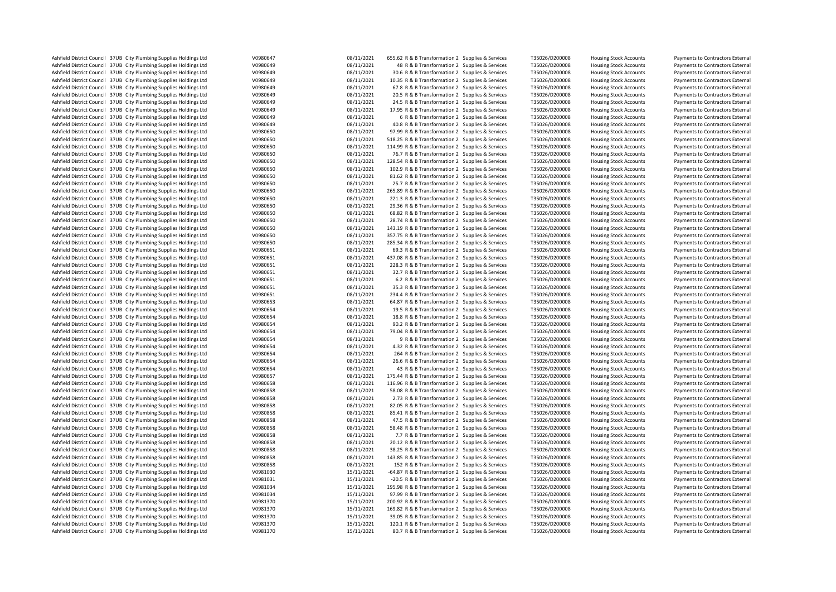| Ashfield District Council 37UB City Plumbing Supplies Holdings Ltd | V0980647 | 08/11/2021 | 655.62 R & B Transformation 2 Supplies & Services | T35026/D200008 | <b>Housing Stock Accounts</b> | Payments to Contractors External |
|--------------------------------------------------------------------|----------|------------|---------------------------------------------------|----------------|-------------------------------|----------------------------------|
| Ashfield District Council 37UB City Plumbing Supplies Holdings Ltd | V0980649 | 08/11/2021 | 48 R & B Transformation 2 Supplies & Services     | T35026/D200008 | <b>Housing Stock Accounts</b> | Payments to Contractors External |
|                                                                    |          |            |                                                   |                |                               |                                  |
| Ashfield District Council 37UB City Plumbing Supplies Holdings Ltd | V0980649 | 08/11/2021 | 30.6 R & B Transformation 2 Supplies & Services   | T35026/D200008 | <b>Housing Stock Accounts</b> | Payments to Contractors External |
| Ashfield District Council 37UB City Plumbing Supplies Holdings Ltd | V0980649 | 08/11/2021 | 10.35 R & B Transformation 2 Supplies & Services  | T35026/D200008 | <b>Housing Stock Accounts</b> | Payments to Contractors External |
| Ashfield District Council 37UB City Plumbing Supplies Holdings Ltd | V0980649 | 08/11/2021 | 67.8 R & B Transformation 2 Supplies & Services   | T35026/D200008 | <b>Housing Stock Accounts</b> | Payments to Contractors External |
| Ashfield District Council 37UB City Plumbing Supplies Holdings Ltd | V0980649 | 08/11/2021 | 20.5 R & B Transformation 2 Supplies & Services   | T35026/D200008 | <b>Housing Stock Accounts</b> | Payments to Contractors External |
| Ashfield District Council 37UB City Plumbing Supplies Holdings Ltd | V0980649 | 08/11/2021 | 24.5 R & B Transformation 2 Supplies & Services   | T35026/D200008 | <b>Housing Stock Accounts</b> | Payments to Contractors External |
|                                                                    |          |            |                                                   |                |                               |                                  |
| Ashfield District Council 37UB City Plumbing Supplies Holdings Ltd | V0980649 | 08/11/2021 | 17.95 R & B Transformation 2 Supplies & Services  | T35026/D200008 | <b>Housing Stock Accounts</b> | Payments to Contractors External |
| Ashfield District Council 37UB City Plumbing Supplies Holdings Ltd | V0980649 | 08/11/2021 | 6 R & B Transformation 2 Supplies & Services      | T35026/D200008 | <b>Housing Stock Accounts</b> | Payments to Contractors External |
| Ashfield District Council 37UB City Plumbing Supplies Holdings Ltd | V0980649 | 08/11/2021 | 40.8 R & B Transformation 2 Supplies & Services   | T35026/D200008 | <b>Housing Stock Accounts</b> | Payments to Contractors External |
| Ashfield District Council 37UB City Plumbing Supplies Holdings Ltd | V0980650 | 08/11/2021 | 97.99 R & B Transformation 2 Supplies & Services  | T35026/D200008 | <b>Housing Stock Accounts</b> | Payments to Contractors External |
| Ashfield District Council 37UB City Plumbing Supplies Holdings Ltd | V0980650 | 08/11/2021 | 518.25 R & B Transformation 2 Supplies & Services | T35026/D200008 | <b>Housing Stock Accounts</b> | Payments to Contractors External |
| Ashfield District Council 37UB City Plumbing Supplies Holdings Ltd | V0980650 |            | 114.99 R & B Transformation 2 Supplies & Services | T35026/D200008 |                               |                                  |
|                                                                    |          | 08/11/2021 |                                                   |                | <b>Housing Stock Accounts</b> | Payments to Contractors External |
| Ashfield District Council 37UB City Plumbing Supplies Holdings Ltd | V0980650 | 08/11/2021 | 76.7 R & B Transformation 2 Supplies & Services   | T35026/D200008 | <b>Housing Stock Accounts</b> | Payments to Contractors External |
| Ashfield District Council 37UB City Plumbing Supplies Holdings Ltd | V0980650 | 08/11/2021 | 128.54 R & B Transformation 2 Supplies & Services | T35026/D200008 | <b>Housing Stock Accounts</b> | Payments to Contractors External |
| Ashfield District Council 37UB City Plumbing Supplies Holdings Ltd | V0980650 | 08/11/2021 | 102.9 R & B Transformation 2 Supplies & Services  | T35026/D200008 | <b>Housing Stock Accounts</b> | Payments to Contractors External |
| Ashfield District Council 37UB City Plumbing Supplies Holdings Ltd | V0980650 | 08/11/2021 | 81.62 R & B Transformation 2 Supplies & Services  | T35026/D200008 | <b>Housing Stock Accounts</b> | Payments to Contractors External |
| Ashfield District Council 37UB City Plumbing Supplies Holdings Ltd | V0980650 | 08/11/2021 | 25.7 R & B Transformation 2 Supplies & Services   | T35026/D200008 | <b>Housing Stock Accounts</b> | Payments to Contractors External |
|                                                                    |          |            |                                                   |                |                               |                                  |
| Ashfield District Council 37UB City Plumbing Supplies Holdings Ltd | V0980650 | 08/11/2021 | 265.89 R & B Transformation 2 Supplies & Services | T35026/D200008 | <b>Housing Stock Accounts</b> | Payments to Contractors External |
| Ashfield District Council 37UB City Plumbing Supplies Holdings Ltd | V0980650 | 08/11/2021 | 221.3 R & B Transformation 2 Supplies & Services  | T35026/D200008 | <b>Housing Stock Accounts</b> | Payments to Contractors External |
| Ashfield District Council 37UB City Plumbing Supplies Holdings Ltd | V0980650 | 08/11/2021 | 29.36 R & B Transformation 2 Supplies & Services  | T35026/D200008 | <b>Housing Stock Accounts</b> | Payments to Contractors External |
| Ashfield District Council 37UB City Plumbing Supplies Holdings Ltd | V0980650 | 08/11/2021 | 68.82 R & B Transformation 2 Supplies & Services  | T35026/D200008 | <b>Housing Stock Accounts</b> | Payments to Contractors External |
| Ashfield District Council 37UB City Plumbing Supplies Holdings Ltd | V0980650 | 08/11/2021 | 28.74 R & B Transformation 2 Supplies & Services  | T35026/D200008 | <b>Housing Stock Accounts</b> | Payments to Contractors External |
|                                                                    |          |            |                                                   |                |                               |                                  |
| Ashfield District Council 37UB City Plumbing Supplies Holdings Ltd | V0980650 | 08/11/2021 | 143.19 R & B Transformation 2 Supplies & Services | T35026/D200008 | <b>Housing Stock Accounts</b> | Payments to Contractors External |
| Ashfield District Council 37UB City Plumbing Supplies Holdings Ltd | V0980650 | 08/11/2021 | 357.75 R & B Transformation 2 Supplies & Services | T35026/D200008 | <b>Housing Stock Accounts</b> | Payments to Contractors External |
| Ashfield District Council 37UB City Plumbing Supplies Holdings Ltd | V0980650 | 08/11/2021 | 285.34 R & B Transformation 2 Supplies & Services | T35026/D200008 | <b>Housing Stock Accounts</b> | Payments to Contractors External |
| Ashfield District Council 37UB City Plumbing Supplies Holdings Ltd | V0980651 | 08/11/2021 | 69.3 R & B Transformation 2 Supplies & Services   | T35026/D200008 | <b>Housing Stock Accounts</b> | Payments to Contractors External |
| Ashfield District Council 37UB City Plumbing Supplies Holdings Ltd | V0980651 | 08/11/2021 | 437.08 R & B Transformation 2 Supplies & Services | T35026/D200008 | <b>Housing Stock Accounts</b> | Payments to Contractors External |
|                                                                    |          |            |                                                   |                |                               |                                  |
| Ashfield District Council 37UB City Plumbing Supplies Holdings Ltd | V0980651 | 08/11/2021 | 228.3 R & B Transformation 2 Supplies & Services  | T35026/D200008 | <b>Housing Stock Accounts</b> | Payments to Contractors External |
| Ashfield District Council 37UB City Plumbing Supplies Holdings Ltd | V0980651 | 08/11/2021 | 32.7 R & B Transformation 2 Supplies & Services   | T35026/D200008 | <b>Housing Stock Accounts</b> | Payments to Contractors External |
| Ashfield District Council 37UB City Plumbing Supplies Holdings Ltd | V0980651 | 08/11/2021 | 6.2 R & B Transformation 2 Supplies & Services    | T35026/D200008 | <b>Housing Stock Accounts</b> | Payments to Contractors External |
| Ashfield District Council 37UB City Plumbing Supplies Holdings Ltd | V0980651 | 08/11/2021 | 35.3 R & B Transformation 2 Supplies & Services   | T35026/D200008 | <b>Housing Stock Accounts</b> | Payments to Contractors External |
| Ashfield District Council 37UB City Plumbing Supplies Holdings Ltd | V0980651 | 08/11/2021 | 234.4 R & B Transformation 2 Supplies & Services  | T35026/D200008 | <b>Housing Stock Accounts</b> | Payments to Contractors External |
|                                                                    |          |            |                                                   |                |                               |                                  |
| Ashfield District Council 37UB City Plumbing Supplies Holdings Ltd | V0980653 | 08/11/2021 | 64.87 R & B Transformation 2 Supplies & Services  | T35026/D200008 | <b>Housing Stock Accounts</b> | Payments to Contractors External |
| Ashfield District Council 37UB City Plumbing Supplies Holdings Ltd | V0980654 | 08/11/2021 | 19.5 R & B Transformation 2 Supplies & Services   | T35026/D200008 | <b>Housing Stock Accounts</b> | Payments to Contractors External |
| Ashfield District Council 37UB City Plumbing Supplies Holdings Ltd | V0980654 | 08/11/2021 | 18.8 R & B Transformation 2 Supplies & Services   | T35026/D200008 | <b>Housing Stock Accounts</b> | Payments to Contractors External |
| Ashfield District Council 37UB City Plumbing Supplies Holdings Ltd | V0980654 | 08/11/2021 | 90.2 R & B Transformation 2 Supplies & Services   | T35026/D200008 | <b>Housing Stock Accounts</b> | Payments to Contractors External |
| Ashfield District Council 37UB City Plumbing Supplies Holdings Ltd | V0980654 | 08/11/2021 | 79.04 R & B Transformation 2 Supplies & Services  | T35026/D200008 | <b>Housing Stock Accounts</b> | Payments to Contractors External |
| Ashfield District Council 37UB City Plumbing Supplies Holdings Ltd | V0980654 | 08/11/2021 | 9 R & B Transformation 2 Supplies & Services      | T35026/D200008 | <b>Housing Stock Accounts</b> |                                  |
|                                                                    |          |            |                                                   |                |                               | Payments to Contractors External |
| Ashfield District Council 37UB City Plumbing Supplies Holdings Ltd | V0980654 | 08/11/2021 | 4.32 R & B Transformation 2 Supplies & Services   | T35026/D200008 | <b>Housing Stock Accounts</b> | Payments to Contractors External |
| Ashfield District Council 37UB City Plumbing Supplies Holdings Ltd | V0980654 | 08/11/2021 | 264 R & B Transformation 2 Supplies & Services    | T35026/D200008 | <b>Housing Stock Accounts</b> | Payments to Contractors External |
| Ashfield District Council 37UB City Plumbing Supplies Holdings Ltd | V0980654 | 08/11/2021 | 26.6 R & B Transformation 2 Supplies & Services   | T35026/D200008 | <b>Housing Stock Accounts</b> | Payments to Contractors External |
| Ashfield District Council 37UB City Plumbing Supplies Holdings Ltd | V0980654 | 08/11/2021 | 43 R & B Transformation 2 Supplies & Services     | T35026/D200008 | <b>Housing Stock Accounts</b> | Payments to Contractors External |
| Ashfield District Council 37UB City Plumbing Supplies Holdings Ltd | V0980657 | 08/11/2021 | 175.44 R & B Transformation 2 Supplies & Services | T35026/D200008 | <b>Housing Stock Accounts</b> | Payments to Contractors External |
|                                                                    |          |            |                                                   |                |                               |                                  |
| Ashfield District Council 37UB City Plumbing Supplies Holdings Ltd | V0980658 | 08/11/2021 | 116.96 R & B Transformation 2 Supplies & Services | T35026/D200008 | <b>Housing Stock Accounts</b> | Payments to Contractors External |
| Ashfield District Council 37UB City Plumbing Supplies Holdings Ltd | V0980858 | 08/11/2021 | 58.08 R & B Transformation 2 Supplies & Services  | T35026/D200008 | <b>Housing Stock Accounts</b> | Payments to Contractors External |
| Ashfield District Council 37UB City Plumbing Supplies Holdings Ltd | V0980858 | 08/11/2021 | 2.73 R & B Transformation 2 Supplies & Services   | T35026/D200008 | <b>Housing Stock Accounts</b> | Payments to Contractors External |
| Ashfield District Council 37UB City Plumbing Supplies Holdings Ltd | V0980858 | 08/11/2021 | 82.05 R & B Transformation 2 Supplies & Services  | T35026/D200008 | <b>Housing Stock Accounts</b> | Payments to Contractors External |
| Ashfield District Council 37UB City Plumbing Supplies Holdings Ltd | V0980858 | 08/11/2021 | 85.41 R & B Transformation 2 Supplies & Services  | T35026/D200008 | <b>Housing Stock Accounts</b> | Payments to Contractors External |
|                                                                    |          |            |                                                   |                |                               |                                  |
| Ashfield District Council 37UB City Plumbing Supplies Holdings Ltd | V0980858 | 08/11/2021 | 47.5 R & B Transformation 2 Supplies & Services   | T35026/D200008 | <b>Housing Stock Accounts</b> | Payments to Contractors External |
| Ashfield District Council 37UB City Plumbing Supplies Holdings Ltd | V0980858 | 08/11/2021 | 58.48 R & B Transformation 2 Supplies & Services  | T35026/D200008 | <b>Housing Stock Accounts</b> | Payments to Contractors External |
| Ashfield District Council 37UB City Plumbing Supplies Holdings Ltd | V0980858 | 08/11/2021 | 7.7 R & B Transformation 2 Supplies & Services    | T35026/D200008 | <b>Housing Stock Accounts</b> | Payments to Contractors External |
| Ashfield District Council 37UB City Plumbing Supplies Holdings Ltd | V0980858 | 08/11/2021 | 20.12 R & B Transformation 2 Supplies & Services  | T35026/D200008 | <b>Housing Stock Accounts</b> | Payments to Contractors External |
| Ashfield District Council 37UB City Plumbing Supplies Holdings Ltd | V0980858 | 08/11/2021 | 38.25 R & B Transformation 2 Supplies & Services  | T35026/D200008 | <b>Housing Stock Accounts</b> | Payments to Contractors External |
|                                                                    | V0980858 |            |                                                   | T35026/D200008 |                               |                                  |
| Ashfield District Council 37UB City Plumbing Supplies Holdings Ltd |          | 08/11/2021 | 143.85 R & B Transformation 2 Supplies & Services |                | <b>Housing Stock Accounts</b> | Payments to Contractors External |
| Ashfield District Council 37UB City Plumbing Supplies Holdings Ltd | V0980858 | 08/11/2021 | 152 R & B Transformation 2 Supplies & Services    | T35026/D200008 | <b>Housing Stock Accounts</b> | Payments to Contractors External |
| Ashfield District Council 37UB City Plumbing Supplies Holdings Ltd | V0981030 | 15/11/2021 | -64.87 R & B Transformation 2 Supplies & Services | T35026/D200008 | <b>Housing Stock Accounts</b> | Payments to Contractors External |
| Ashfield District Council 37UB City Plumbing Supplies Holdings Ltd | V0981031 | 15/11/2021 | -20.5 R & B Transformation 2 Supplies & Services  | T35026/D200008 | <b>Housing Stock Accounts</b> | Payments to Contractors External |
| Ashfield District Council 37UB City Plumbing Supplies Holdings Ltd | V0981034 | 15/11/2021 | 195.98 R & B Transformation 2 Supplies & Services | T35026/D200008 | <b>Housing Stock Accounts</b> | Payments to Contractors External |
| Ashfield District Council 37UB City Plumbing Supplies Holdings Ltd | V0981034 | 15/11/2021 | 97.99 R & B Transformation 2 Supplies & Services  | T35026/D200008 | <b>Housing Stock Accounts</b> | Payments to Contractors External |
|                                                                    |          |            |                                                   |                |                               |                                  |
| Ashfield District Council 37UB City Plumbing Supplies Holdings Ltd | V0981370 | 15/11/2021 | 200.92 R & B Transformation 2 Supplies & Services | T35026/D200008 | <b>Housing Stock Accounts</b> | Payments to Contractors External |
| Ashfield District Council 37UB City Plumbing Supplies Holdings Ltd | V0981370 | 15/11/2021 | 169.82 R & B Transformation 2 Supplies & Services | T35026/D200008 | <b>Housing Stock Accounts</b> | Payments to Contractors External |
| Ashfield District Council 37UB City Plumbing Supplies Holdings Ltd | V0981370 | 15/11/2021 | 39.05 R & B Transformation 2 Supplies & Services  | T35026/D200008 | <b>Housing Stock Accounts</b> | Payments to Contractors External |
| Ashfield District Council 37UB City Plumbing Supplies Holdings Ltd | V0981370 | 15/11/2021 | 120.1 R & B Transformation 2 Supplies & Services  | T35026/D200008 | <b>Housing Stock Accounts</b> | Payments to Contractors External |
| Ashfield District Council 37UB City Plumbing Supplies Holdings Ltd | V0981370 | 15/11/2021 | 80.7 R & B Transformation 2 Supplies & Services   | T35026/D200008 | <b>Housing Stock Accounts</b> | Payments to Contractors External |
|                                                                    |          |            |                                                   |                |                               |                                  |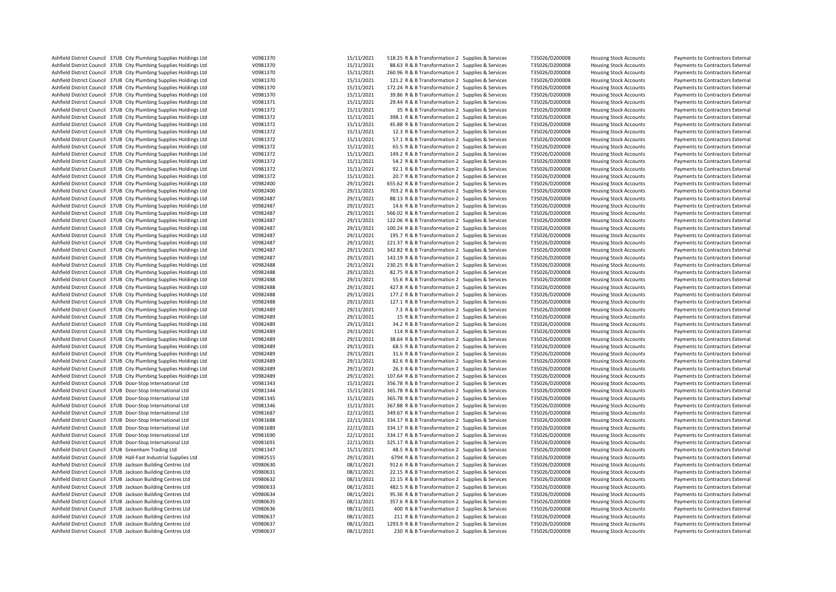| Ashfield District Council 37UB City Plumbing Supplies Holdings Ltd | V0981370 | 15/11/2021 | 518.25 R & B Transformation 2 Supplies & Services | T35026/D200008 | <b>Housing Stock Accounts</b> | Payments to Contractors External |
|--------------------------------------------------------------------|----------|------------|---------------------------------------------------|----------------|-------------------------------|----------------------------------|
| Ashfield District Council 37UB City Plumbing Supplies Holdings Ltd | V0981370 | 15/11/2021 | 88.63 R & B Transformation 2 Supplies & Services  | T35026/D200008 | <b>Housing Stock Accounts</b> | Payments to Contractors External |
| Ashfield District Council 37UB City Plumbing Supplies Holdings Ltd | V0981370 | 15/11/2021 | 260.96 R & B Transformation 2 Supplies & Services | T35026/D200008 | <b>Housing Stock Accounts</b> | Payments to Contractors External |
| Ashfield District Council 37UB City Plumbing Supplies Holdings Ltd | V0981370 | 15/11/2021 | 121.2 R & B Transformation 2 Supplies & Services  | T35026/D200008 | <b>Housing Stock Accounts</b> | Payments to Contractors External |
| Ashfield District Council 37UB City Plumbing Supplies Holdings Ltd | V0981370 | 15/11/2021 | 172.24 R & B Transformation 2 Supplies & Services | T35026/D200008 | <b>Housing Stock Accounts</b> | Payments to Contractors External |
| Ashfield District Council 37UB City Plumbing Supplies Holdings Ltd | V0981370 | 15/11/2021 | 39.86 R & B Transformation 2 Supplies & Services  | T35026/D200008 | <b>Housing Stock Accounts</b> | Payments to Contractors External |
| Ashfield District Council 37UB City Plumbing Supplies Holdings Ltd | V0981371 | 15/11/2021 | 29.44 R & B Transformation 2 Supplies & Services  | T35026/D200008 | <b>Housing Stock Accounts</b> | Payments to Contractors External |
| Ashfield District Council 37UB City Plumbing Supplies Holdings Ltd | V0981372 | 15/11/2021 | 35 R & B Transformation 2 Supplies & Services     | T35026/D200008 | <b>Housing Stock Accounts</b> | Payments to Contractors External |
|                                                                    |          | 15/11/2021 |                                                   |                |                               |                                  |
| Ashfield District Council 37UB City Plumbing Supplies Holdings Ltd | V0981372 |            | 398.1 R & B Transformation 2 Supplies & Services  | T35026/D200008 | <b>Housing Stock Accounts</b> | Payments to Contractors External |
| Ashfield District Council 37UB City Plumbing Supplies Holdings Ltd | V0981372 | 15/11/2021 | 45.88 R & B Transformation 2 Supplies & Services  | T35026/D200008 | <b>Housing Stock Accounts</b> | Payments to Contractors External |
| Ashfield District Council 37UB City Plumbing Supplies Holdings Ltd | V0981372 | 15/11/2021 | 12.3 R & B Transformation 2 Supplies & Services   | T35026/D200008 | <b>Housing Stock Accounts</b> | Payments to Contractors External |
| Ashfield District Council 37UB City Plumbing Supplies Holdings Ltd | V0981372 | 15/11/2021 | 57.1 R & B Transformation 2 Supplies & Services   | T35026/D200008 | <b>Housing Stock Accounts</b> | Payments to Contractors External |
| Ashfield District Council 37UB City Plumbing Supplies Holdings Ltd | V0981372 | 15/11/2021 | 65.5 R & B Transformation 2 Supplies & Services   | T35026/D200008 | <b>Housing Stock Accounts</b> | Payments to Contractors External |
| Ashfield District Council 37UB City Plumbing Supplies Holdings Ltd | V0981372 | 15/11/2021 | 149.2 R & B Transformation 2 Supplies & Services  | T35026/D200008 | <b>Housing Stock Accounts</b> | Payments to Contractors External |
| Ashfield District Council 37UB City Plumbing Supplies Holdings Ltd | V0981372 | 15/11/2021 | 54.2 R & B Transformation 2 Supplies & Services   | T35026/D200008 | <b>Housing Stock Accounts</b> | Payments to Contractors External |
| Ashfield District Council 37UB City Plumbing Supplies Holdings Ltd | V0981372 | 15/11/2021 | 92.1 R & B Transformation 2 Supplies & Services   | T35026/D200008 | <b>Housing Stock Accounts</b> | Payments to Contractors External |
| Ashfield District Council 37UB City Plumbing Supplies Holdings Ltd | V0981372 | 15/11/2021 | 20.7 R & B Transformation 2 Supplies & Services   | T35026/D200008 | <b>Housing Stock Accounts</b> | Payments to Contractors External |
| Ashfield District Council 37UB City Plumbing Supplies Holdings Ltd | V0982400 | 29/11/2021 | 655.62 R & B Transformation 2 Supplies & Services | T35026/D200008 | <b>Housing Stock Accounts</b> | Payments to Contractors External |
| Ashfield District Council 37UB City Plumbing Supplies Holdings Ltd | V0982400 | 29/11/2021 | 703.2 R & B Transformation 2 Supplies & Services  | T35026/D200008 | <b>Housing Stock Accounts</b> | Payments to Contractors External |
| Ashfield District Council 37UB City Plumbing Supplies Holdings Ltd | V0982487 | 29/11/2021 | 88.13 R & B Transformation 2 Supplies & Services  | T35026/D200008 | <b>Housing Stock Accounts</b> | Payments to Contractors External |
| Ashfield District Council 37UB City Plumbing Supplies Holdings Ltd | V0982487 | 29/11/2021 | 14.6 R & B Transformation 2 Supplies & Services   | T35026/D200008 |                               | Payments to Contractors External |
|                                                                    |          |            |                                                   |                | <b>Housing Stock Accounts</b> |                                  |
| Ashfield District Council 37UB City Plumbing Supplies Holdings Ltd | V0982487 | 29/11/2021 | 566.02 R & B Transformation 2 Supplies & Services | T35026/D200008 | <b>Housing Stock Accounts</b> | Payments to Contractors External |
| Ashfield District Council 37UB City Plumbing Supplies Holdings Ltd | V0982487 | 29/11/2021 | 122.06 R & B Transformation 2 Supplies & Services | T35026/D200008 | <b>Housing Stock Accounts</b> | Payments to Contractors External |
| Ashfield District Council 37UB City Plumbing Supplies Holdings Ltd | V0982487 | 29/11/2021 | 100.24 R & B Transformation 2 Supplies & Services | T35026/D200008 | <b>Housing Stock Accounts</b> | Payments to Contractors External |
| Ashfield District Council 37UB City Plumbing Supplies Holdings Ltd | V0982487 | 29/11/2021 | 195.7 R & B Transformation 2 Supplies & Services  | T35026/D200008 | <b>Housing Stock Accounts</b> | Payments to Contractors External |
| Ashfield District Council 37UB City Plumbing Supplies Holdings Ltd | V0982487 | 29/11/2021 | 221.37 R & B Transformation 2 Supplies & Services | T35026/D200008 | <b>Housing Stock Accounts</b> | Payments to Contractors External |
| Ashfield District Council 37UB City Plumbing Supplies Holdings Ltd | V0982487 | 29/11/2021 | 342.82 R & B Transformation 2 Supplies & Services | T35026/D200008 | <b>Housing Stock Accounts</b> | Payments to Contractors External |
| Ashfield District Council 37UB City Plumbing Supplies Holdings Ltd | V0982487 | 29/11/2021 | 143.19 R & B Transformation 2 Supplies & Services | T35026/D200008 | <b>Housing Stock Accounts</b> | Payments to Contractors External |
| Ashfield District Council 37UB City Plumbing Supplies Holdings Ltd | V0982488 | 29/11/2021 | 230.25 R & B Transformation 2 Supplies & Services | T35026/D200008 | <b>Housing Stock Accounts</b> | Payments to Contractors External |
| Ashfield District Council 37UB City Plumbing Supplies Holdings Ltd | V0982488 | 29/11/2021 | 82.75 R & B Transformation 2 Supplies & Services  | T35026/D200008 | <b>Housing Stock Accounts</b> | Payments to Contractors External |
| Ashfield District Council 37UB City Plumbing Supplies Holdings Ltd | V0982488 | 29/11/2021 | 55.6 R & B Transformation 2 Supplies & Services   | T35026/D200008 | <b>Housing Stock Accounts</b> | Payments to Contractors External |
| Ashfield District Council 37UB City Plumbing Supplies Holdings Ltd | V0982488 | 29/11/2021 | 427.8 R & B Transformation 2 Supplies & Services  | T35026/D200008 | <b>Housing Stock Accounts</b> | Payments to Contractors External |
| Ashfield District Council 37UB City Plumbing Supplies Holdings Ltd | V0982488 | 29/11/2021 | 177.2 R & B Transformation 2 Supplies & Services  | T35026/D200008 | <b>Housing Stock Accounts</b> | Payments to Contractors External |
| Ashfield District Council 37UB City Plumbing Supplies Holdings Ltd | V0982488 | 29/11/2021 | 127.1 R & B Transformation 2 Supplies & Services  | T35026/D200008 | <b>Housing Stock Accounts</b> | Payments to Contractors External |
|                                                                    |          | 29/11/2021 |                                                   |                |                               |                                  |
| Ashfield District Council 37UB City Plumbing Supplies Holdings Ltd | V0982489 |            | 7.3 R & B Transformation 2 Supplies & Services    | T35026/D200008 | <b>Housing Stock Accounts</b> | Payments to Contractors External |
| Ashfield District Council 37UB City Plumbing Supplies Holdings Ltd | V0982489 | 29/11/2021 | 15 R & B Transformation 2 Supplies & Services     | T35026/D200008 | <b>Housing Stock Accounts</b> | Payments to Contractors External |
| Ashfield District Council 37UB City Plumbing Supplies Holdings Ltd | V0982489 | 29/11/2021 | 34.2 R & B Transformation 2 Supplies & Services   | T35026/D200008 | <b>Housing Stock Accounts</b> | Payments to Contractors External |
| Ashfield District Council 37UB City Plumbing Supplies Holdings Ltd | V0982489 | 29/11/2021 | 114 R & B Transformation 2 Supplies & Services    | T35026/D200008 | <b>Housing Stock Accounts</b> | Payments to Contractors External |
| Ashfield District Council 37UB City Plumbing Supplies Holdings Ltd | V0982489 | 29/11/2021 | 38.64 R & B Transformation 2 Supplies & Services  | T35026/D200008 | <b>Housing Stock Accounts</b> | Payments to Contractors External |
| Ashfield District Council 37UB City Plumbing Supplies Holdings Ltd | V0982489 | 29/11/2021 | 68.5 R & B Transformation 2 Supplies & Services   | T35026/D200008 | <b>Housing Stock Accounts</b> | Payments to Contractors External |
| Ashfield District Council 37UB City Plumbing Supplies Holdings Ltd | V0982489 | 29/11/2021 | 31.6 R & B Transformation 2 Supplies & Services   | T35026/D200008 | <b>Housing Stock Accounts</b> | Payments to Contractors External |
| Ashfield District Council 37UB City Plumbing Supplies Holdings Ltd | V0982489 | 29/11/2021 | 82.6 R & B Transformation 2 Supplies & Services   | T35026/D200008 | <b>Housing Stock Accounts</b> | Payments to Contractors External |
| Ashfield District Council 37UB City Plumbing Supplies Holdings Ltd | V0982489 | 29/11/2021 | 26.3 R & B Transformation 2 Supplies & Services   | T35026/D200008 | <b>Housing Stock Accounts</b> | Payments to Contractors External |
| Ashfield District Council 37UB City Plumbing Supplies Holdings Ltd | V0982489 | 29/11/2021 | 107.64 R & B Transformation 2 Supplies & Services | T35026/D200008 | <b>Housing Stock Accounts</b> | Payments to Contractors External |
| Ashfield District Council 37UB Door-Stop International Ltd         | V0981343 | 15/11/2021 | 356.78 R & B Transformation 2 Supplies & Services | T35026/D200008 | <b>Housing Stock Accounts</b> | Payments to Contractors External |
| Ashfield District Council 37UB Door-Stop International Ltd         | V0981344 | 15/11/2021 | 365.78 R & B Transformation 2 Supplies & Services | T35026/D200008 | <b>Housing Stock Accounts</b> | Payments to Contractors External |
| Ashfield District Council 37UB Door-Stop International Ltd         | V0981345 | 15/11/2021 | 365.78 R & B Transformation 2 Supplies & Services | T35026/D200008 | <b>Housing Stock Accounts</b> | Payments to Contractors External |
| Ashfield District Council 37UB Door-Stop International Ltd         | V0981346 | 15/11/2021 | 367.88 R & B Transformation 2 Supplies & Services | T35026/D200008 | <b>Housing Stock Accounts</b> | Payments to Contractors External |
|                                                                    |          |            |                                                   |                |                               |                                  |
| Ashfield District Council 37UB Door-Stop International Ltd         | V0981687 | 22/11/2021 | 349.67 R & B Transformation 2 Supplies & Services | T35026/D200008 | <b>Housing Stock Accounts</b> | Payments to Contractors External |
| Ashfield District Council 37UB Door-Stop International Ltd         | V0981688 | 22/11/2021 | 334.17 R & B Transformation 2 Supplies & Services | T35026/D200008 | <b>Housing Stock Accounts</b> | Payments to Contractors External |
| Ashfield District Council 37UB Door-Stop International Ltd         | V0981689 | 22/11/2021 | 334.17 R & B Transformation 2 Supplies & Services | T35026/D200008 | <b>Housing Stock Accounts</b> | Payments to Contractors External |
| Ashfield District Council 37UB Door-Stop International Ltd         | V0981690 | 22/11/2021 | 334.17 R & B Transformation 2 Supplies & Services | T35026/D200008 | <b>Housing Stock Accounts</b> | Payments to Contractors External |
| Ashfield District Council 37UB Door-Stop International Ltd         | V0981691 | 22/11/2021 | 325.17 R & B Transformation 2 Supplies & Services | T35026/D200008 | <b>Housing Stock Accounts</b> | Payments to Contractors External |
| Ashfield District Council 37UB Greenham Trading Ltd                | V0981347 | 15/11/2021 | 48.5 R & B Transformation 2 Supplies & Services   | T35026/D200008 | <b>Housing Stock Accounts</b> | Payments to Contractors External |
| Ashfield District Council 37UB Hall-Fast Industrial Supplies Ltd   | V0982515 | 29/11/2021 | 6794 R & B Transformation 2 Supplies & Services   | T35026/D200008 | <b>Housing Stock Accounts</b> | Payments to Contractors External |
| Ashfield District Council 37UB Jackson Building Centres Ltd        | V0980630 | 08/11/2021 | 912.6 R & B Transformation 2 Supplies & Services  | T35026/D200008 | <b>Housing Stock Accounts</b> | Payments to Contractors External |
| Ashfield District Council 37UB Jackson Building Centres Ltd        | V0980631 | 08/11/2021 | 22.15 R & B Transformation 2 Supplies & Services  | T35026/D200008 | <b>Housing Stock Accounts</b> | Payments to Contractors External |
| Ashfield District Council 37UB Jackson Building Centres Ltd        | V0980632 | 08/11/2021 | 22.15 R & B Transformation 2 Supplies & Services  | T35026/D200008 | <b>Housing Stock Accounts</b> | Payments to Contractors External |
| Ashfield District Council 37UB Jackson Building Centres Ltd        | V0980633 | 08/11/2021 | 482.5 R & B Transformation 2 Supplies & Services  | T35026/D200008 | <b>Housing Stock Accounts</b> | Payments to Contractors External |
| Ashfield District Council 37UB Jackson Building Centres Ltd        | V0980634 | 08/11/2021 | 95.36 R & B Transformation 2 Supplies & Services  | T35026/D200008 | <b>Housing Stock Accounts</b> | Payments to Contractors External |
|                                                                    |          | 08/11/2021 |                                                   |                |                               |                                  |
| Ashfield District Council 37UB Jackson Building Centres Ltd        | V0980635 |            | 357.6 R & B Transformation 2 Supplies & Services  | T35026/D200008 | <b>Housing Stock Accounts</b> | Payments to Contractors External |
| Ashfield District Council 37UB Jackson Building Centres Ltd        | V0980636 | 08/11/2021 | 400 R & B Transformation 2 Supplies & Services    | T35026/D200008 | <b>Housing Stock Accounts</b> | Payments to Contractors External |
| Ashfield District Council 37UB Jackson Building Centres Ltd        | V0980637 | 08/11/2021 | 211 R & B Transformation 2 Supplies & Services    | T35026/D200008 | <b>Housing Stock Accounts</b> | Payments to Contractors External |
| Ashfield District Council 37UB Jackson Building Centres Ltd        | V0980637 | 08/11/2021 | 1293.9 R & B Transformation 2 Supplies & Services | T35026/D200008 | <b>Housing Stock Accounts</b> | Payments to Contractors External |
| Ashfield District Council 37UB Jackson Building Centres Ltd        | V0980637 | 08/11/2021 | 230 R & B Transformation 2 Supplies & Services    | T35026/D200008 | <b>Housing Stock Accounts</b> | Payments to Contractors External |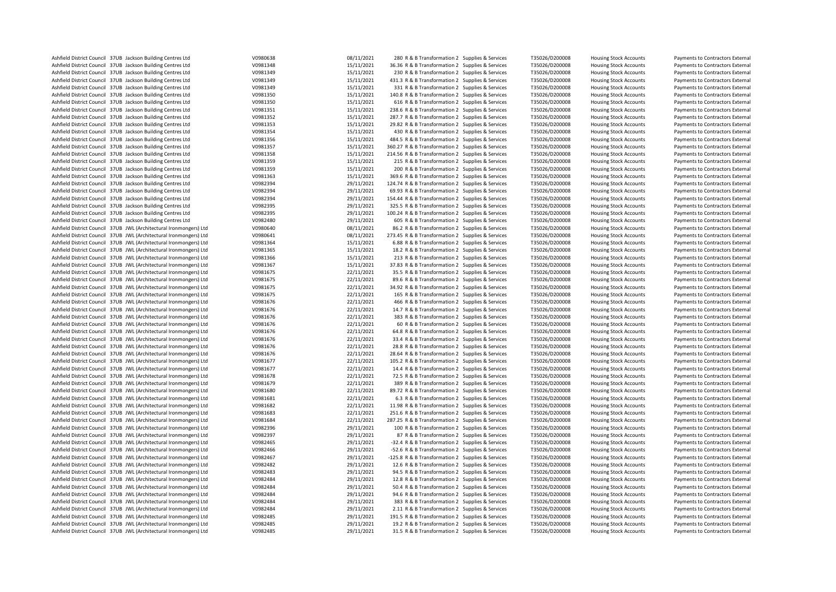| Ashfield District Council 37UB Jackson Building Centres Ltd        | V0980638 | 08/11/2021 | 280 R & B Transformation 2 Supplies & Services    | T35026/D200008 | <b>Housing Stock Accounts</b> | Payments to Contractors External |
|--------------------------------------------------------------------|----------|------------|---------------------------------------------------|----------------|-------------------------------|----------------------------------|
| Ashfield District Council 37UB Jackson Building Centres Ltd        | V0981348 | 15/11/2021 | 36.36 R & B Transformation 2 Supplies & Services  | T35026/D200008 | <b>Housing Stock Accounts</b> | Payments to Contractors External |
| Ashfield District Council 37UB Jackson Building Centres Ltd        | V0981349 | 15/11/2021 | 230 R & B Transformation 2 Supplies & Services    | T35026/D200008 | <b>Housing Stock Accounts</b> | Payments to Contractors External |
| Ashfield District Council 37UB Jackson Building Centres Ltd        | V0981349 | 15/11/2021 | 431.3 R & B Transformation 2 Supplies & Services  | T35026/D200008 | <b>Housing Stock Accounts</b> | Payments to Contractors External |
| Ashfield District Council 37UB Jackson Building Centres Ltd        | V0981349 | 15/11/2021 | 331 R & B Transformation 2 Supplies & Services    | T35026/D200008 | <b>Housing Stock Accounts</b> | Payments to Contractors External |
| Ashfield District Council 37UB Jackson Building Centres Ltd        | V0981350 | 15/11/2021 | 140.8 R & B Transformation 2 Supplies & Services  | T35026/D200008 | <b>Housing Stock Accounts</b> | Payments to Contractors External |
| Ashfield District Council 37UB Jackson Building Centres Ltd        | V0981350 | 15/11/2021 | 616 R & B Transformation 2 Supplies & Services    | T35026/D200008 | <b>Housing Stock Accounts</b> | Payments to Contractors External |
| Ashfield District Council 37UB Jackson Building Centres Ltd        | V0981351 | 15/11/2021 | 238.6 R & B Transformation 2 Supplies & Services  | T35026/D200008 | <b>Housing Stock Accounts</b> | Payments to Contractors External |
| Ashfield District Council 37UB Jackson Building Centres Ltd        | V0981352 | 15/11/2021 | 287.7 R & B Transformation 2 Supplies & Services  | T35026/D200008 | <b>Housing Stock Accounts</b> | Payments to Contractors External |
| Ashfield District Council 37UB Jackson Building Centres Ltd        | V0981353 | 15/11/2021 | 29.82 R & B Transformation 2 Supplies & Services  | T35026/D200008 | <b>Housing Stock Accounts</b> | Payments to Contractors External |
| Ashfield District Council 37UB Jackson Building Centres Ltd        | V0981354 | 15/11/2021 | 430 R & B Transformation 2 Supplies & Services    | T35026/D200008 | <b>Housing Stock Accounts</b> | Payments to Contractors External |
| Ashfield District Council 37UB Jackson Building Centres Ltd        | V0981356 | 15/11/2021 | 484.5 R & B Transformation 2 Supplies & Services  | T35026/D200008 | <b>Housing Stock Accounts</b> | Payments to Contractors External |
| Ashfield District Council 37UB Jackson Building Centres Ltd        | V0981357 | 15/11/2021 | 360.27 R & B Transformation 2 Supplies & Services | T35026/D200008 | <b>Housing Stock Accounts</b> | Payments to Contractors External |
| Ashfield District Council 37UB Jackson Building Centres Ltd        | V0981358 | 15/11/2021 | 214.56 R & B Transformation 2 Supplies & Services | T35026/D200008 | <b>Housing Stock Accounts</b> | Payments to Contractors External |
| Ashfield District Council 37UB Jackson Building Centres Ltd        | V0981359 | 15/11/2021 | 215 R & B Transformation 2 Supplies & Services    | T35026/D200008 | <b>Housing Stock Accounts</b> | Payments to Contractors External |
| Ashfield District Council 37UB Jackson Building Centres Ltd        | V0981359 | 15/11/2021 | 200 R & B Transformation 2 Supplies & Services    | T35026/D200008 | <b>Housing Stock Accounts</b> | Payments to Contractors External |
|                                                                    |          | 15/11/2021 |                                                   |                |                               |                                  |
| Ashfield District Council 37UB Jackson Building Centres Ltd        | V0981363 |            | 369.6 R & B Transformation 2 Supplies & Services  | T35026/D200008 | <b>Housing Stock Accounts</b> | Payments to Contractors External |
| Ashfield District Council 37UB Jackson Building Centres Ltd        | V0982394 | 29/11/2021 | 124.74 R & B Transformation 2 Supplies & Services | T35026/D200008 | <b>Housing Stock Accounts</b> | Payments to Contractors External |
| Ashfield District Council 37UB Jackson Building Centres Ltd        | V0982394 | 29/11/2021 | 69.93 R & B Transformation 2 Supplies & Services  | T35026/D200008 | <b>Housing Stock Accounts</b> | Payments to Contractors External |
| Ashfield District Council 37UB Jackson Building Centres Ltd        | V0982394 | 29/11/2021 | 154.44 R & B Transformation 2 Supplies & Services | T35026/D200008 | <b>Housing Stock Accounts</b> | Payments to Contractors External |
| Ashfield District Council 37UB Jackson Building Centres Ltd        | V0982395 | 29/11/2021 | 325.5 R & B Transformation 2 Supplies & Services  | T35026/D200008 | <b>Housing Stock Accounts</b> | Payments to Contractors External |
| Ashfield District Council 37UB Jackson Building Centres Ltd        | V0982395 | 29/11/2021 | 100.24 R & B Transformation 2 Supplies & Services | T35026/D200008 | <b>Housing Stock Accounts</b> | Payments to Contractors External |
| Ashfield District Council 37UB Jackson Building Centres Ltd        | V0982480 | 29/11/2021 | 605 R & B Transformation 2 Supplies & Services    | T35026/D200008 | <b>Housing Stock Accounts</b> | Payments to Contractors External |
| Ashfield District Council 37UB JWL (Architectural Ironmongers) Ltd | V0980640 | 08/11/2021 | 86.2 R & B Transformation 2 Supplies & Services   | T35026/D200008 | <b>Housing Stock Accounts</b> | Payments to Contractors External |
| Ashfield District Council 37UB JWL (Architectural Ironmongers) Ltd | V0980641 | 08/11/2021 | 273.45 R & B Transformation 2 Supplies & Services | T35026/D200008 | <b>Housing Stock Accounts</b> | Payments to Contractors External |
| Ashfield District Council 37UB JWL (Architectural Ironmongers) Ltd | V0981364 | 15/11/2021 | 6.88 R & B Transformation 2 Supplies & Services   | T35026/D200008 | <b>Housing Stock Accounts</b> | Payments to Contractors External |
| Ashfield District Council 37UB JWL (Architectural Ironmongers) Ltd | V0981365 | 15/11/2021 | 18.2 R & B Transformation 2 Supplies & Services   | T35026/D200008 | <b>Housing Stock Accounts</b> | Payments to Contractors External |
| Ashfield District Council 37UB JWL (Architectural Ironmongers) Ltd | V0981366 | 15/11/2021 | 213 R & B Transformation 2 Supplies & Services    | T35026/D200008 | <b>Housing Stock Accounts</b> | Payments to Contractors External |
| Ashfield District Council 37UB JWL (Architectural Ironmongers) Ltd | V0981367 | 15/11/2021 | 37.83 R & B Transformation 2 Supplies & Services  | T35026/D200008 | <b>Housing Stock Accounts</b> | Payments to Contractors External |
| Ashfield District Council 37UB JWL (Architectural Ironmongers) Ltd | V0981675 | 22/11/2021 | 35.5 R & B Transformation 2 Supplies & Services   | T35026/D200008 | <b>Housing Stock Accounts</b> | Payments to Contractors External |
| Ashfield District Council 37UB JWL (Architectural Ironmongers) Ltd | V0981675 | 22/11/2021 | 89.6 R & B Transformation 2 Supplies & Services   | T35026/D200008 | <b>Housing Stock Accounts</b> | Payments to Contractors External |
| Ashfield District Council 37UB JWL (Architectural Ironmongers) Ltd | V0981675 | 22/11/2021 | 34.92 R & B Transformation 2 Supplies & Services  | T35026/D200008 | <b>Housing Stock Accounts</b> | Payments to Contractors External |
| Ashfield District Council 37UB JWL (Architectural Ironmongers) Ltd | V0981675 | 22/11/2021 | 165 R & B Transformation 2 Supplies & Services    | T35026/D200008 | <b>Housing Stock Accounts</b> | Payments to Contractors External |
| Ashfield District Council 37UB JWL (Architectural Ironmongers) Ltd | V0981676 | 22/11/2021 | 466 R & B Transformation 2 Supplies & Services    | T35026/D200008 | <b>Housing Stock Accounts</b> | Payments to Contractors External |
| Ashfield District Council 37UB JWL (Architectural Ironmongers) Ltd | V0981676 | 22/11/2021 | 14.7 R & B Transformation 2 Supplies & Services   | T35026/D200008 | <b>Housing Stock Accounts</b> | Payments to Contractors External |
| Ashfield District Council 37UB JWL (Architectural Ironmongers) Ltd | V0981676 | 22/11/2021 | 383 R & B Transformation 2 Supplies & Services    | T35026/D200008 | <b>Housing Stock Accounts</b> | Payments to Contractors External |
| Ashfield District Council 37UB JWL (Architectural Ironmongers) Ltd | V0981676 | 22/11/2021 | 60 R & B Transformation 2 Supplies & Services     | T35026/D200008 | <b>Housing Stock Accounts</b> | Payments to Contractors External |
| Ashfield District Council 37UB JWL (Architectural Ironmongers) Ltd | V0981676 | 22/11/2021 | 64.8 R & B Transformation 2 Supplies & Services   | T35026/D200008 | <b>Housing Stock Accounts</b> | Payments to Contractors External |
| Ashfield District Council 37UB JWL (Architectural Ironmongers) Ltd | V0981676 | 22/11/2021 | 33.4 R & B Transformation 2 Supplies & Services   | T35026/D200008 | <b>Housing Stock Accounts</b> | Payments to Contractors External |
|                                                                    |          | 22/11/2021 |                                                   |                |                               |                                  |
| Ashfield District Council 37UB JWL (Architectural Ironmongers) Ltd | V0981676 |            | 28.8 R & B Transformation 2 Supplies & Services   | T35026/D200008 | <b>Housing Stock Accounts</b> | Payments to Contractors External |
| Ashfield District Council 37UB JWL (Architectural Ironmongers) Ltd | V0981676 | 22/11/2021 | 28.64 R & B Transformation 2 Supplies & Services  | T35026/D200008 | <b>Housing Stock Accounts</b> | Payments to Contractors External |
| Ashfield District Council 37UB JWL (Architectural Ironmongers) Ltd | V0981677 | 22/11/2021 | 105.2 R & B Transformation 2 Supplies & Services  | T35026/D200008 | <b>Housing Stock Accounts</b> | Payments to Contractors External |
| Ashfield District Council 37UB JWL (Architectural Ironmongers) Ltd | V0981677 | 22/11/2021 | 14.4 R & B Transformation 2 Supplies & Services   | T35026/D200008 | <b>Housing Stock Accounts</b> | Payments to Contractors External |
| Ashfield District Council 37UB JWL (Architectural Ironmongers) Ltd | V0981678 | 22/11/2021 | 72.5 R & B Transformation 2 Supplies & Services   | T35026/D200008 | <b>Housing Stock Accounts</b> | Payments to Contractors External |
| Ashfield District Council 37UB JWL (Architectural Ironmongers) Ltd | V0981679 | 22/11/2021 | 389 R & B Transformation 2 Supplies & Services    | T35026/D200008 | <b>Housing Stock Accounts</b> | Payments to Contractors External |
| Ashfield District Council 37UB JWL (Architectural Ironmongers) Ltd | V0981680 | 22/11/2021 | 89.72 R & B Transformation 2 Supplies & Services  | T35026/D200008 | <b>Housing Stock Accounts</b> | Payments to Contractors External |
| Ashfield District Council 37UB JWL (Architectural Ironmongers) Ltd | V0981681 | 22/11/2021 | 6.3 R & B Transformation 2 Supplies & Services    | T35026/D200008 | <b>Housing Stock Accounts</b> | Payments to Contractors External |
| Ashfield District Council 37UB JWL (Architectural Ironmongers) Ltd | V0981682 | 22/11/2021 | 11.98 R & B Transformation 2 Supplies & Services  | T35026/D200008 | <b>Housing Stock Accounts</b> | Payments to Contractors External |
| Ashfield District Council 37UB JWL (Architectural Ironmongers) Ltd | V0981683 | 22/11/2021 | 251.6 R & B Transformation 2 Supplies & Services  | T35026/D200008 | <b>Housing Stock Accounts</b> | Payments to Contractors External |
| Ashfield District Council 37UB JWL (Architectural Ironmongers) Ltd | V0981684 | 22/11/2021 | 287.25 R & B Transformation 2 Supplies & Services | T35026/D200008 | <b>Housing Stock Accounts</b> | Payments to Contractors External |
| Ashfield District Council 37UB JWL (Architectural Ironmongers) Ltd | V0982396 | 29/11/2021 | 100 R & B Transformation 2 Supplies & Services    | T35026/D200008 | <b>Housing Stock Accounts</b> | Payments to Contractors External |
| Ashfield District Council 37UB JWL (Architectural Ironmongers) Ltd | V0982397 | 29/11/2021 | 87 R & B Transformation 2 Supplies & Services     | T35026/D200008 | <b>Housing Stock Accounts</b> | Payments to Contractors External |
| Ashfield District Council 37UB JWL (Architectural Ironmongers) Ltd | V0982465 | 29/11/2021 | -32.4 R & B Transformation 2 Supplies & Services  | T35026/D200008 | <b>Housing Stock Accounts</b> | Payments to Contractors External |
| Ashfield District Council 37UB JWL (Architectural Ironmongers) Ltd | V0982466 | 29/11/2021 | -52.6 R & B Transformation 2 Supplies & Services  | T35026/D200008 | <b>Housing Stock Accounts</b> | Payments to Contractors External |
| Ashfield District Council 37UB JWL (Architectural Ironmongers) Ltd | V0982467 | 29/11/2021 | -125.8 R & B Transformation 2 Supplies & Services | T35026/D200008 | <b>Housing Stock Accounts</b> | Payments to Contractors External |
| Ashfield District Council 37UB JWL (Architectural Ironmongers) Ltd | V0982482 | 29/11/2021 | 12.6 R & B Transformation 2 Supplies & Services   | T35026/D200008 | <b>Housing Stock Accounts</b> | Payments to Contractors External |
| Ashfield District Council 37UB JWL (Architectural Ironmongers) Ltd | V0982483 | 29/11/2021 | 94.5 R & B Transformation 2 Supplies & Services   | T35026/D200008 | <b>Housing Stock Accounts</b> | Payments to Contractors External |
| Ashfield District Council 37UB JWL (Architectural Ironmongers) Ltd | V0982484 | 29/11/2021 | 12.8 R & B Transformation 2 Supplies & Services   | T35026/D200008 | <b>Housing Stock Accounts</b> | Payments to Contractors External |
| Ashfield District Council 37UB JWL (Architectural Ironmongers) Ltd | V0982484 | 29/11/2021 | 50.4 R & B Transformation 2 Supplies & Services   | T35026/D200008 | <b>Housing Stock Accounts</b> | Payments to Contractors External |
| Ashfield District Council 37UB JWL (Architectural Ironmongers) Ltd | V0982484 | 29/11/2021 | 94.6 R & B Transformation 2 Supplies & Services   | T35026/D200008 | <b>Housing Stock Accounts</b> | Payments to Contractors External |
| Ashfield District Council 37UB JWL (Architectural Ironmongers) Ltd | V0982484 | 29/11/2021 | 383 R & B Transformation 2 Supplies & Services    | T35026/D200008 | <b>Housing Stock Accounts</b> | Payments to Contractors External |
| Ashfield District Council 37UB JWL (Architectural Ironmongers) Ltd | V0982484 | 29/11/2021 | 2.11 R & B Transformation 2 Supplies & Services   | T35026/D200008 | <b>Housing Stock Accounts</b> | Payments to Contractors External |
| Ashfield District Council 37UB JWL (Architectural Ironmongers) Ltd | V0982485 | 29/11/2021 |                                                   |                |                               | Payments to Contractors External |
|                                                                    | V0982485 |            | 191.5 R & B Transformation 2 Supplies & Services  | T35026/D200008 | <b>Housing Stock Accounts</b> |                                  |
| Ashfield District Council 37UB JWL (Architectural Ironmongers) Ltd |          | 29/11/2021 | 19.2 R & B Transformation 2 Supplies & Services   | T35026/D200008 | <b>Housing Stock Accounts</b> | Payments to Contractors External |
| Ashfield District Council 37UB JWL (Architectural Ironmongers) Ltd | V0982485 | 29/11/2021 | 31.5 R & B Transformation 2 Supplies & Services   | T35026/D200008 | <b>Housing Stock Accounts</b> | Payments to Contractors External |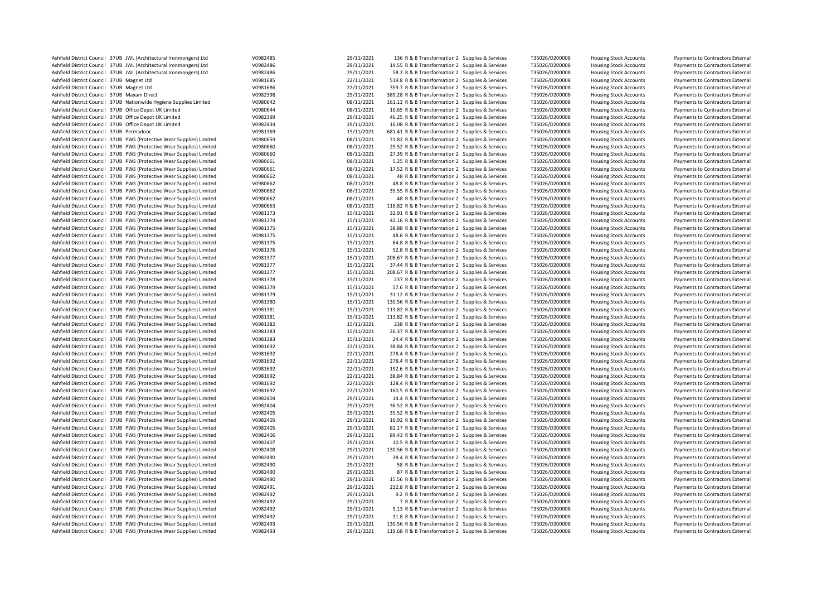| Ashfield District Council 37UB JWL (Architectural Ironmongers) Ltd    | V0982485 | 29/11/2021 | 136 R & B Transformation 2 Supplies & Services    | T35026/D200008 | <b>Housing Stock Accounts</b> | Payments to Contractors External |
|-----------------------------------------------------------------------|----------|------------|---------------------------------------------------|----------------|-------------------------------|----------------------------------|
| Ashfield District Council 37UB JWL (Architectural Ironmongers) Ltd    | V0982486 | 29/11/2021 | 14.55 R & B Transformation 2 Supplies & Services  | T35026/D200008 | <b>Housing Stock Accounts</b> | Payments to Contractors External |
| Ashfield District Council 37UB JWL (Architectural Ironmongers) Ltd    | V0982486 | 29/11/2021 | 58.2 R & B Transformation 2 Supplies & Services   | T35026/D200008 | <b>Housing Stock Accounts</b> | Payments to Contractors External |
| Ashfield District Council 37UB Magnet Ltd                             | V0981685 | 22/11/2021 | 519.8 R & B Transformation 2 Supplies & Services  | T35026/D200008 | <b>Housing Stock Accounts</b> | Payments to Contractors External |
| Ashfield District Council 37UB Magnet Ltd                             | V0981686 | 22/11/2021 | 359.7 R & B Transformation 2 Supplies & Services  | T35026/D200008 | <b>Housing Stock Accounts</b> | Payments to Contractors External |
| Ashfield District Council 37UB Maxam Direct                           | V0982398 | 29/11/2021 | 389.28 R & B Transformation 2 Supplies & Services | T35026/D200008 | <b>Housing Stock Accounts</b> | Payments to Contractors External |
| Ashfield District Council 37UB Nationwide Hygiene Supplies Limited    | V0980642 | 08/11/2021 | 161.13 R & B Transformation 2 Supplies & Services | T35026/D200008 | <b>Housing Stock Accounts</b> | Payments to Contractors External |
| Ashfield District Council 37UB Office Depot UK Limited                | V0980644 | 08/11/2021 | 10.65 R & B Transformation 2 Supplies & Services  | T35026/D200008 | <b>Housing Stock Accounts</b> | Payments to Contractors External |
| Ashfield District Council 37UB Office Depot UK Limited                | V0982399 | 29/11/2021 | 46.25 R & B Transformation 2 Supplies & Services  | T35026/D200008 | <b>Housing Stock Accounts</b> | Payments to Contractors External |
| Ashfield District Council 37UB Office Depot UK Limited                | V0982434 | 29/11/2021 | 16.08 R & B Transformation 2 Supplies & Services  | T35026/D200008 | <b>Housing Stock Accounts</b> | Payments to Contractors External |
| Ashfield District Council 37UB Permadoor                              | V0981369 | 15/11/2021 | 681.41 R & B Transformation 2 Supplies & Services | T35026/D200008 | <b>Housing Stock Accounts</b> | Payments to Contractors External |
| Ashfield District Council 37UB PWS (Protective Wear Supplies) Limited | V0980659 | 08/11/2021 | 71.82 R & B Transformation 2 Supplies & Services  | T35026/D200008 | <b>Housing Stock Accounts</b> | Payments to Contractors External |
| Ashfield District Council 37UB PWS (Protective Wear Supplies) Limited | V0980660 | 08/11/2021 | 29.52 R & B Transformation 2 Supplies & Services  | T35026/D200008 | <b>Housing Stock Accounts</b> | Payments to Contractors External |
| Ashfield District Council 37UB PWS (Protective Wear Supplies) Limited | V0980660 | 08/11/2021 | 27.39 R & B Transformation 2 Supplies & Services  | T35026/D200008 | <b>Housing Stock Accounts</b> | Payments to Contractors External |
| Ashfield District Council 37UB PWS (Protective Wear Supplies) Limited | V0980661 | 08/11/2021 | 5.25 R & B Transformation 2 Supplies & Services   | T35026/D200008 | <b>Housing Stock Accounts</b> | Payments to Contractors External |
| Ashfield District Council 37UB PWS (Protective Wear Supplies) Limited | V0980661 | 08/11/2021 | 17.52 R & B Transformation 2 Supplies & Services  | T35026/D200008 | <b>Housing Stock Accounts</b> | Payments to Contractors External |
|                                                                       |          | 08/11/2021 |                                                   |                |                               |                                  |
| Ashfield District Council 37UB PWS (Protective Wear Supplies) Limited | V0980662 |            | 48 R & B Transformation 2 Supplies & Services     | T35026/D200008 | <b>Housing Stock Accounts</b> | Payments to Contractors External |
| Ashfield District Council 37UB PWS (Protective Wear Supplies) Limited | V0980662 | 08/11/2021 | 48.8 R & B Transformation 2 Supplies & Services   | T35026/D200008 | <b>Housing Stock Accounts</b> | Payments to Contractors External |
| Ashfield District Council 37UB PWS (Protective Wear Supplies) Limited | V0980662 | 08/11/2021 | 35.55 R & B Transformation 2 Supplies & Services  | T35026/D200008 | <b>Housing Stock Accounts</b> | Payments to Contractors External |
| Ashfield District Council 37UB PWS (Protective Wear Supplies) Limited | V0980662 | 08/11/2021 | 48 R & B Transformation 2 Supplies & Services     | T35026/D200008 | <b>Housing Stock Accounts</b> | Payments to Contractors External |
| Ashfield District Council 37UB PWS (Protective Wear Supplies) Limited | V0980663 | 08/11/2021 | 116.82 R & B Transformation 2 Supplies & Services | T35026/D200008 | <b>Housing Stock Accounts</b> | Payments to Contractors External |
| Ashfield District Council 37UB PWS (Protective Wear Supplies) Limited | V0981373 | 15/11/2021 | 32.91 R & B Transformation 2 Supplies & Services  | T35026/D200008 | <b>Housing Stock Accounts</b> | Payments to Contractors External |
| Ashfield District Council 37UB PWS (Protective Wear Supplies) Limited | V0981374 | 15/11/2021 | 42.16 R & B Transformation 2 Supplies & Services  | T35026/D200008 | <b>Housing Stock Accounts</b> | Payments to Contractors External |
| Ashfield District Council 37UB PWS (Protective Wear Supplies) Limited | V0981375 | 15/11/2021 | 38.88 R & B Transformation 2 Supplies & Services  | T35026/D200008 | <b>Housing Stock Accounts</b> | Payments to Contractors External |
| Ashfield District Council 37UB PWS (Protective Wear Supplies) Limited | V0981375 | 15/11/2021 | 48.6 R & B Transformation 2 Supplies & Services   | T35026/D200008 | <b>Housing Stock Accounts</b> | Payments to Contractors External |
| Ashfield District Council 37UB PWS (Protective Wear Supplies) Limited | V0981375 | 15/11/2021 | 64.8 R & B Transformation 2 Supplies & Services   | T35026/D200008 | <b>Housing Stock Accounts</b> | Payments to Contractors External |
| Ashfield District Council 37UB PWS (Protective Wear Supplies) Limited | V0981376 | 15/11/2021 | 52.8 R & B Transformation 2 Supplies & Services   | T35026/D200008 | <b>Housing Stock Accounts</b> | Payments to Contractors External |
| Ashfield District Council 37UB PWS (Protective Wear Supplies) Limited | V0981377 | 15/11/2021 | 208.67 R & B Transformation 2 Supplies & Services | T35026/D200008 | <b>Housing Stock Accounts</b> | Payments to Contractors External |
| Ashfield District Council 37UB PWS (Protective Wear Supplies) Limited | V0981377 | 15/11/2021 | 37.44 R & B Transformation 2 Supplies & Services  | T35026/D200008 | <b>Housing Stock Accounts</b> | Payments to Contractors External |
| Ashfield District Council 37UB PWS (Protective Wear Supplies) Limited | V0981377 | 15/11/2021 | 208.67 R & B Transformation 2 Supplies & Services | T35026/D200008 | <b>Housing Stock Accounts</b> | Payments to Contractors External |
| Ashfield District Council 37UB PWS (Protective Wear Supplies) Limited | V0981378 | 15/11/2021 | 237 R & B Transformation 2 Supplies & Services    | T35026/D200008 | <b>Housing Stock Accounts</b> | Payments to Contractors External |
| Ashfield District Council 37UB PWS (Protective Wear Supplies) Limited | V0981379 | 15/11/2021 | 57.6 R & B Transformation 2 Supplies & Services   | T35026/D200008 | <b>Housing Stock Accounts</b> | Payments to Contractors External |
| Ashfield District Council 37UB PWS (Protective Wear Supplies) Limited | V0981379 | 15/11/2021 | 31.12 R & B Transformation 2 Supplies & Services  | T35026/D200008 | <b>Housing Stock Accounts</b> | Payments to Contractors External |
| Ashfield District Council 37UB PWS (Protective Wear Supplies) Limited | V0981380 | 15/11/2021 | 130.56 R & B Transformation 2 Supplies & Services | T35026/D200008 | <b>Housing Stock Accounts</b> | Payments to Contractors External |
| Ashfield District Council 37UB PWS (Protective Wear Supplies) Limited | V0981381 | 15/11/2021 | 113.82 R & B Transformation 2 Supplies & Services | T35026/D200008 | Housing Stock Accounts        | Payments to Contractors External |
| Ashfield District Council 37UB PWS (Protective Wear Supplies) Limited | V0981381 | 15/11/2021 | 113.82 R & B Transformation 2 Supplies & Services | T35026/D200008 | <b>Housing Stock Accounts</b> | Payments to Contractors External |
| Ashfield District Council 37UB PWS (Protective Wear Supplies) Limited | V0981382 | 15/11/2021 | 238 R & B Transformation 2 Supplies & Services    | T35026/D200008 | <b>Housing Stock Accounts</b> | Payments to Contractors External |
| Ashfield District Council 37UB PWS (Protective Wear Supplies) Limited | V0981383 | 15/11/2021 | 26.37 R & B Transformation 2 Supplies & Services  | T35026/D200008 | <b>Housing Stock Accounts</b> | Payments to Contractors External |
| Ashfield District Council 37UB PWS (Protective Wear Supplies) Limited | V0981383 | 15/11/2021 | 24.4 R & B Transformation 2 Supplies & Services   | T35026/D200008 | <b>Housing Stock Accounts</b> | Payments to Contractors External |
|                                                                       |          |            |                                                   |                |                               |                                  |
| Ashfield District Council 37UB PWS (Protective Wear Supplies) Limited | V0981692 | 22/11/2021 | 38.84 R & B Transformation 2 Supplies & Services  | T35026/D200008 | <b>Housing Stock Accounts</b> | Payments to Contractors External |
| Ashfield District Council 37UB PWS (Protective Wear Supplies) Limited | V0981692 | 22/11/2021 | 278.4 R & B Transformation 2 Supplies & Services  | T35026/D200008 | <b>Housing Stock Accounts</b> | Payments to Contractors External |
| Ashfield District Council 37UB PWS (Protective Wear Supplies) Limited | V0981692 | 22/11/2021 | 278.4 R & B Transformation 2 Supplies & Services  | T35026/D200008 | <b>Housing Stock Accounts</b> | Payments to Contractors External |
| Ashfield District Council 37UB PWS (Protective Wear Supplies) Limited | V0981692 | 22/11/2021 | 192.6 R & B Transformation 2 Supplies & Services  | T35026/D200008 | <b>Housing Stock Accounts</b> | Payments to Contractors External |
| Ashfield District Council 37UB PWS (Protective Wear Supplies) Limited | V0981692 | 22/11/2021 | 38.84 R & B Transformation 2 Supplies & Services  | T35026/D200008 | <b>Housing Stock Accounts</b> | Payments to Contractors External |
| Ashfield District Council 37UB PWS (Protective Wear Supplies) Limited | V0981692 | 22/11/2021 | 128.4 R & B Transformation 2 Supplies & Services  | T35026/D200008 | <b>Housing Stock Accounts</b> | Payments to Contractors External |
| Ashfield District Council 37UB PWS (Protective Wear Supplies) Limited | V0981692 | 22/11/2021 | 160.5 R & B Transformation 2 Supplies & Services  | T35026/D200008 | <b>Housing Stock Accounts</b> | Payments to Contractors External |
| Ashfield District Council 37UB PWS (Protective Wear Supplies) Limited | V0982404 | 29/11/2021 | 14.4 R & B Transformation 2 Supplies & Services   | T35026/D200008 | <b>Housing Stock Accounts</b> | Payments to Contractors External |
| Ashfield District Council 37UB PWS (Protective Wear Supplies) Limited | V0982404 | 29/11/2021 | 36.52 R & B Transformation 2 Supplies & Services  | T35026/D200008 | <b>Housing Stock Accounts</b> | Payments to Contractors External |
| Ashfield District Council 37UB PWS (Protective Wear Supplies) Limited | V0982405 | 29/11/2021 | 35.52 R & B Transformation 2 Supplies & Services  | T35026/D200008 | <b>Housing Stock Accounts</b> | Payments to Contractors External |
| Ashfield District Council 37UB PWS (Protective Wear Supplies) Limited | V0982405 | 29/11/2021 | 10.92 R & B Transformation 2 Supplies & Services  | T35026/D200008 | <b>Housing Stock Accounts</b> | Payments to Contractors External |
| Ashfield District Council 37UB PWS (Protective Wear Supplies) Limited | V0982405 | 29/11/2021 | 82.17 R & B Transformation 2 Supplies & Services  | T35026/D200008 | <b>Housing Stock Accounts</b> | Payments to Contractors External |
| Ashfield District Council 37UB PWS (Protective Wear Supplies) Limited | V0982406 | 29/11/2021 | 89.43 R & B Transformation 2 Supplies & Services  | T35026/D200008 | <b>Housing Stock Accounts</b> | Payments to Contractors External |
| Ashfield District Council 37UB PWS (Protective Wear Supplies) Limited | V0982407 | 29/11/2021 | 10.5 R & B Transformation 2 Supplies & Services   | T35026/D200008 | <b>Housing Stock Accounts</b> | Payments to Contractors External |
| Ashfield District Council 37UB PWS (Protective Wear Supplies) Limited | V0982408 | 29/11/2021 | 130.56 R & B Transformation 2 Supplies & Services | T35026/D200008 | <b>Housing Stock Accounts</b> | Payments to Contractors External |
| Ashfield District Council 37UB PWS (Protective Wear Supplies) Limited | V0982490 | 29/11/2021 | 38.4 R & B Transformation 2 Supplies & Services   | T35026/D200008 | <b>Housing Stock Accounts</b> | Payments to Contractors External |
| Ashfield District Council 37UB PWS (Protective Wear Supplies) Limited | V0982490 | 29/11/2021 | 58 R & B Transformation 2 Supplies & Services     | T35026/D200008 | Housing Stock Accounts        | Payments to Contractors External |
| Ashfield District Council 37UB PWS (Protective Wear Supplies) Limited | V0982490 | 29/11/2021 | 87 R & B Transformation 2 Supplies & Services     | T35026/D200008 | <b>Housing Stock Accounts</b> | Payments to Contractors External |
| Ashfield District Council 37UB PWS (Protective Wear Supplies) Limited | V0982490 | 29/11/2021 | 15.56 R & B Transformation 2 Supplies & Services  | T35026/D200008 | <b>Housing Stock Accounts</b> | Payments to Contractors External |
| Ashfield District Council 37UB PWS (Protective Wear Supplies) Limited | V0982491 | 29/11/2021 | 232.8 R & B Transformation 2 Supplies & Services  | T35026/D200008 | <b>Housing Stock Accounts</b> | Payments to Contractors External |
| Ashfield District Council 37UB PWS (Protective Wear Supplies) Limited | V0982492 | 29/11/2021 | 9.2 R & B Transformation 2 Supplies & Services    | T35026/D200008 | <b>Housing Stock Accounts</b> | Payments to Contractors External |
| Ashfield District Council 37UB PWS (Protective Wear Supplies) Limited | V0982492 | 29/11/2021 | 7 R & B Transformation 2 Supplies & Services      | T35026/D200008 | <b>Housing Stock Accounts</b> | Payments to Contractors External |
| Ashfield District Council 37UB PWS (Protective Wear Supplies) Limited | V0982492 | 29/11/2021 |                                                   |                |                               |                                  |
|                                                                       |          | 29/11/2021 | 9.13 R & B Transformation 2 Supplies & Services   | T35026/D200008 | <b>Housing Stock Accounts</b> | Payments to Contractors External |
| Ashfield District Council 37UB PWS (Protective Wear Supplies) Limited | V0982492 |            | 31.8 R & B Transformation 2 Supplies & Services   | T35026/D200008 | Housing Stock Accounts        | Payments to Contractors External |
| Ashfield District Council 37UB PWS (Protective Wear Supplies) Limited | V0982493 | 29/11/2021 | 130.56 R & B Transformation 2 Supplies & Services | T35026/D200008 | <b>Housing Stock Accounts</b> | Payments to Contractors External |
| Ashfield District Council 37UB PWS (Protective Wear Supplies) Limited | V0982493 | 29/11/2021 | 119.68 R & B Transformation 2 Supplies & Services | T35026/D200008 | <b>Housing Stock Accounts</b> | Payments to Contractors External |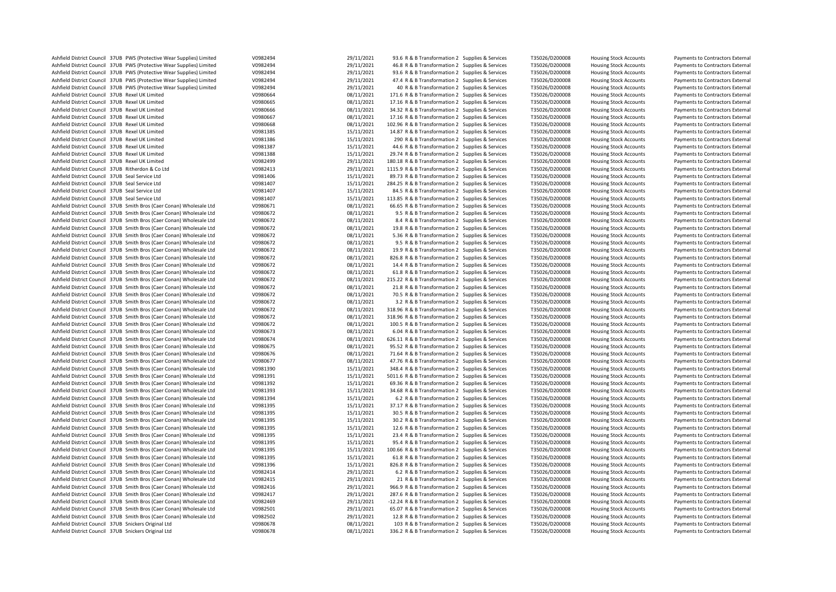| Ashfield District Council 37UB PWS (Protective Wear Supplies) Limited                                                                        | V0982494             | 29/11/2021 | 93.6 R & B Transformation 2 Supplies & Services                                                       | T35026/D200008 | <b>Housing Stock Accounts</b> | Payments to Contractors External                                     |
|----------------------------------------------------------------------------------------------------------------------------------------------|----------------------|------------|-------------------------------------------------------------------------------------------------------|----------------|-------------------------------|----------------------------------------------------------------------|
| Ashfield District Council 37UB PWS (Protective Wear Supplies) Limited                                                                        | V0982494             | 29/11/2021 | 46.8 R & B Transformation 2 Supplies & Services                                                       | T35026/D200008 | <b>Housing Stock Accounts</b> | Payments to Contractors External                                     |
| Ashfield District Council 37UB PWS (Protective Wear Supplies) Limited                                                                        | V0982494             | 29/11/2021 | 93.6 R & B Transformation 2 Supplies & Services                                                       | T35026/D200008 | <b>Housing Stock Accounts</b> | Payments to Contractors External                                     |
| Ashfield District Council 37UB PWS (Protective Wear Supplies) Limited                                                                        | V0982494             | 29/11/2021 | 47.4 R & B Transformation 2 Supplies & Services                                                       | T35026/D200008 | <b>Housing Stock Accounts</b> | Payments to Contractors External                                     |
| Ashfield District Council 37UB PWS (Protective Wear Supplies) Limited                                                                        | V0982494             | 29/11/2021 | 40 R & B Transformation 2 Supplies & Services                                                         | T35026/D200008 | <b>Housing Stock Accounts</b> | Payments to Contractors External                                     |
| Ashfield District Council 37UB Rexel UK Limited                                                                                              | V0980664             | 08/11/2021 | 171.6 R & B Transformation 2 Supplies & Services                                                      | T35026/D200008 | <b>Housing Stock Accounts</b> | Payments to Contractors External                                     |
| Ashfield District Council 37UB Rexel UK Limited                                                                                              | V0980665             | 08/11/2021 | 17.16 R & B Transformation 2 Supplies & Services                                                      | T35026/D200008 | <b>Housing Stock Accounts</b> | Payments to Contractors External                                     |
| Ashfield District Council 37UB Rexel UK Limited                                                                                              | V0980666             | 08/11/2021 | 34.32 R & B Transformation 2 Supplies & Services                                                      | T35026/D200008 | <b>Housing Stock Accounts</b> | Payments to Contractors External                                     |
| Ashfield District Council 37UB Rexel UK Limited                                                                                              | V0980667             | 08/11/2021 | 17.16 R & B Transformation 2 Supplies & Services                                                      | T35026/D200008 | <b>Housing Stock Accounts</b> | Payments to Contractors External                                     |
| Ashfield District Council 37UB Rexel UK Limited                                                                                              | V0980668             | 08/11/2021 | 102.96 R & B Transformation 2 Supplies & Services                                                     | T35026/D200008 | <b>Housing Stock Accounts</b> | Payments to Contractors External                                     |
| Ashfield District Council 37UB Rexel UK Limited                                                                                              | V0981385             | 15/11/2021 | 14.87 R & B Transformation 2 Supplies & Services                                                      | T35026/D200008 | <b>Housing Stock Accounts</b> | Payments to Contractors External                                     |
| Ashfield District Council 37UB Rexel UK Limited                                                                                              | V0981386             | 15/11/2021 | 290 R & B Transformation 2 Supplies & Services                                                        | T35026/D200008 | <b>Housing Stock Accounts</b> | Payments to Contractors External                                     |
| Ashfield District Council 37UB Rexel UK Limited                                                                                              | V0981387             | 15/11/2021 | 44.6 R & B Transformation 2 Supplies & Services                                                       | T35026/D200008 | <b>Housing Stock Accounts</b> | Payments to Contractors External                                     |
| Ashfield District Council 37UB Rexel UK Limited                                                                                              | V0981388             | 15/11/2021 | 29.74 R & B Transformation 2 Supplies & Services                                                      | T35026/D200008 | <b>Housing Stock Accounts</b> | Payments to Contractors External                                     |
| Ashfield District Council 37UB Rexel UK Limited                                                                                              | V0982499             | 29/11/2021 | 180.18 R & B Transformation 2 Supplies & Services                                                     | T35026/D200008 | <b>Housing Stock Accounts</b> | Payments to Contractors External                                     |
| Ashfield District Council 37UB Ritherdon & Co Ltd                                                                                            | V0982413             | 29/11/2021 | 1115.9 R & B Transformation 2 Supplies & Services                                                     | T35026/D200008 | <b>Housing Stock Accounts</b> | Payments to Contractors External                                     |
| Ashfield District Council 37UB Seal Service Ltd                                                                                              | V0981406             | 15/11/2021 | 89.73 R & B Transformation 2 Supplies & Services                                                      | T35026/D200008 | <b>Housing Stock Accounts</b> | Payments to Contractors External                                     |
| Ashfield District Council 37UB Seal Service Ltd                                                                                              | V0981407             | 15/11/2021 | 284.25 R & B Transformation 2 Supplies & Services                                                     | T35026/D200008 | <b>Housing Stock Accounts</b> | Payments to Contractors External                                     |
|                                                                                                                                              | V0981407             |            |                                                                                                       |                |                               |                                                                      |
| Ashfield District Council 37UB Seal Service Ltd                                                                                              |                      | 15/11/2021 | 84.5 R & B Transformation 2 Supplies & Services                                                       | T35026/D200008 | <b>Housing Stock Accounts</b> | Payments to Contractors External                                     |
| Ashfield District Council 37UB Seal Service Ltd                                                                                              | V0981407             | 15/11/2021 | 113.85 R & B Transformation 2 Supplies & Services                                                     | T35026/D200008 | <b>Housing Stock Accounts</b> | Payments to Contractors External                                     |
| Ashfield District Council 37UB Smith Bros (Caer Conan) Wholesale Ltd                                                                         | V0980671             | 08/11/2021 | 66.65 R & B Transformation 2 Supplies & Services                                                      | T35026/D200008 | <b>Housing Stock Accounts</b> | Payments to Contractors External                                     |
| Ashfield District Council 37UB Smith Bros (Caer Conan) Wholesale Ltd                                                                         | V0980672             | 08/11/2021 | 9.5 R & B Transformation 2 Supplies & Services                                                        | T35026/D200008 | <b>Housing Stock Accounts</b> | Payments to Contractors External                                     |
| Ashfield District Council 37UB Smith Bros (Caer Conan) Wholesale Ltd                                                                         | V0980672             | 08/11/2021 | 8.4 R & B Transformation 2 Supplies & Services                                                        | T35026/D200008 | <b>Housing Stock Accounts</b> | Payments to Contractors External                                     |
| Ashfield District Council 37UB Smith Bros (Caer Conan) Wholesale Ltd                                                                         | V0980672             | 08/11/2021 | 19.8 R & B Transformation 2 Supplies & Services                                                       | T35026/D200008 | <b>Housing Stock Accounts</b> | Payments to Contractors External                                     |
| Ashfield District Council 37UB Smith Bros (Caer Conan) Wholesale Ltd                                                                         | V0980672             | 08/11/2021 | 5.36 R & B Transformation 2 Supplies & Services                                                       | T35026/D200008 | <b>Housing Stock Accounts</b> | Payments to Contractors External                                     |
| Ashfield District Council 37UB Smith Bros (Caer Conan) Wholesale Ltd                                                                         | V0980672             | 08/11/2021 | 9.5 R & B Transformation 2 Supplies & Services                                                        | T35026/D200008 | <b>Housing Stock Accounts</b> | Payments to Contractors External                                     |
| Ashfield District Council 37UB Smith Bros (Caer Conan) Wholesale Ltd                                                                         | V0980672             | 08/11/2021 | 19.9 R & B Transformation 2 Supplies & Services                                                       | T35026/D200008 | <b>Housing Stock Accounts</b> | Payments to Contractors External                                     |
| Ashfield District Council 37UB Smith Bros (Caer Conan) Wholesale Ltd                                                                         | V0980672             | 08/11/2021 | 826.8 R & B Transformation 2 Supplies & Services                                                      | T35026/D200008 | <b>Housing Stock Accounts</b> | Payments to Contractors External                                     |
| Ashfield District Council 37UB Smith Bros (Caer Conan) Wholesale Ltd                                                                         | V0980672             | 08/11/2021 | 14.4 R & B Transformation 2 Supplies & Services                                                       | T35026/D200008 | <b>Housing Stock Accounts</b> | Payments to Contractors External                                     |
| Ashfield District Council 37UB Smith Bros (Caer Conan) Wholesale Ltd                                                                         | V0980672             | 08/11/2021 | 61.8 R & B Transformation 2 Supplies & Services                                                       | T35026/D200008 | <b>Housing Stock Accounts</b> | Payments to Contractors External                                     |
| Ashfield District Council 37UB Smith Bros (Caer Conan) Wholesale Ltd                                                                         | V0980672             | 08/11/2021 | 215.22 R & B Transformation 2 Supplies & Services                                                     | T35026/D200008 | <b>Housing Stock Accounts</b> | Payments to Contractors External                                     |
| Ashfield District Council 37UB Smith Bros (Caer Conan) Wholesale Ltd                                                                         | V0980672             | 08/11/2021 | 21.8 R & B Transformation 2 Supplies & Services                                                       | T35026/D200008 | <b>Housing Stock Accounts</b> | Payments to Contractors External                                     |
| Ashfield District Council 37UB Smith Bros (Caer Conan) Wholesale Ltd                                                                         | V0980672             | 08/11/2021 | 70.5 R & B Transformation 2 Supplies & Services                                                       | T35026/D200008 | <b>Housing Stock Accounts</b> | Payments to Contractors External                                     |
| Ashfield District Council 37UB Smith Bros (Caer Conan) Wholesale Ltd                                                                         | V0980672             | 08/11/2021 | 3.2 R & B Transformation 2 Supplies & Services                                                        | T35026/D200008 | <b>Housing Stock Accounts</b> | Payments to Contractors External                                     |
| Ashfield District Council 37UB Smith Bros (Caer Conan) Wholesale Ltd                                                                         | V0980672             | 08/11/2021 | 318.96 R & B Transformation 2 Supplies & Services                                                     | T35026/D200008 | <b>Housing Stock Accounts</b> | Payments to Contractors External                                     |
| Ashfield District Council 37UB Smith Bros (Caer Conan) Wholesale Ltd                                                                         | V0980672             | 08/11/2021 | 318.96 R & B Transformation 2 Supplies & Services                                                     | T35026/D200008 | <b>Housing Stock Accounts</b> | Payments to Contractors External                                     |
| Ashfield District Council 37UB Smith Bros (Caer Conan) Wholesale Ltd                                                                         | V0980672             | 08/11/2021 | 100.5 R & B Transformation 2 Supplies & Services                                                      | T35026/D200008 | <b>Housing Stock Accounts</b> | Payments to Contractors External                                     |
| Ashfield District Council 37UB Smith Bros (Caer Conan) Wholesale Ltd                                                                         | V0980673             | 08/11/2021 | 6.04 R & B Transformation 2 Supplies & Services                                                       | T35026/D200008 | <b>Housing Stock Accounts</b> | Payments to Contractors External                                     |
| Ashfield District Council 37UB Smith Bros (Caer Conan) Wholesale Ltd                                                                         | V0980674             | 08/11/2021 | 626.11 R & B Transformation 2 Supplies & Services                                                     | T35026/D200008 | <b>Housing Stock Accounts</b> | Payments to Contractors External                                     |
| Ashfield District Council 37UB Smith Bros (Caer Conan) Wholesale Ltd                                                                         | V0980675             | 08/11/2021 | 95.52 R & B Transformation 2 Supplies & Services                                                      | T35026/D200008 | <b>Housing Stock Accounts</b> | Payments to Contractors External                                     |
| Ashfield District Council 37UB Smith Bros (Caer Conan) Wholesale Ltd                                                                         | V0980676             | 08/11/2021 | 71.64 R & B Transformation 2 Supplies & Services                                                      | T35026/D200008 | <b>Housing Stock Accounts</b> | Payments to Contractors External                                     |
| Ashfield District Council 37UB Smith Bros (Caer Conan) Wholesale Ltd                                                                         | V0980677             | 08/11/2021 | 47.76 R & B Transformation 2 Supplies & Services                                                      | T35026/D200008 |                               | Payments to Contractors External                                     |
|                                                                                                                                              |                      | 15/11/2021 |                                                                                                       |                | <b>Housing Stock Accounts</b> |                                                                      |
| Ashfield District Council 37UB Smith Bros (Caer Conan) Wholesale Ltd<br>Ashfield District Council 37UB Smith Bros (Caer Conan) Wholesale Ltd | V0981390<br>V0981391 | 15/11/2021 | 348.4 R & B Transformation 2 Supplies & Services<br>5011.6 R & B Transformation 2 Supplies & Services | T35026/D200008 | <b>Housing Stock Accounts</b> | Payments to Contractors External<br>Payments to Contractors External |
|                                                                                                                                              |                      |            |                                                                                                       | T35026/D200008 | <b>Housing Stock Accounts</b> |                                                                      |
| Ashfield District Council 37UB Smith Bros (Caer Conan) Wholesale Ltd                                                                         | V0981392             | 15/11/2021 | 69.36 R & B Transformation 2 Supplies & Services                                                      | T35026/D200008 | <b>Housing Stock Accounts</b> | Payments to Contractors External                                     |
| Ashfield District Council 37UB Smith Bros (Caer Conan) Wholesale Ltd                                                                         | V0981393             | 15/11/2021 | 34.68 R & B Transformation 2 Supplies & Services                                                      | T35026/D200008 | <b>Housing Stock Accounts</b> | Payments to Contractors External                                     |
| Ashfield District Council 37UB Smith Bros (Caer Conan) Wholesale Ltd                                                                         | V0981394             | 15/11/2021 | 6.2 R & B Transformation 2 Supplies & Services                                                        | T35026/D200008 | <b>Housing Stock Accounts</b> | Payments to Contractors External                                     |
| Ashfield District Council 37UB Smith Bros (Caer Conan) Wholesale Ltd                                                                         | V0981395             | 15/11/2021 | 37.17 R & B Transformation 2 Supplies & Services                                                      | T35026/D200008 | <b>Housing Stock Accounts</b> | Payments to Contractors External                                     |
| Ashfield District Council 37UB Smith Bros (Caer Conan) Wholesale Ltd                                                                         | V0981395             | 15/11/2021 | 30.5 R & B Transformation 2 Supplies & Services                                                       | T35026/D200008 | <b>Housing Stock Accounts</b> | Payments to Contractors External                                     |
| Ashfield District Council 37UB Smith Bros (Caer Conan) Wholesale Ltd                                                                         | V0981395             | 15/11/2021 | 30.2 R & B Transformation 2 Supplies & Services                                                       | T35026/D200008 | <b>Housing Stock Accounts</b> | Payments to Contractors External                                     |
| Ashfield District Council 37UB Smith Bros (Caer Conan) Wholesale Ltd                                                                         | V0981395             | 15/11/2021 | 12.6 R & B Transformation 2 Supplies & Services                                                       | T35026/D200008 | <b>Housing Stock Accounts</b> | Payments to Contractors External                                     |
| Ashfield District Council 37UB Smith Bros (Caer Conan) Wholesale Ltd                                                                         | V0981395             | 15/11/2021 | 23.4 R & B Transformation 2 Supplies & Services                                                       | T35026/D200008 | <b>Housing Stock Accounts</b> | Payments to Contractors External                                     |
| Ashfield District Council 37UB Smith Bros (Caer Conan) Wholesale Ltd                                                                         | V0981395             | 15/11/2021 | 95.4 R & B Transformation 2 Supplies & Services                                                       | T35026/D200008 | <b>Housing Stock Accounts</b> | Payments to Contractors External                                     |
| Ashfield District Council 37UB Smith Bros (Caer Conan) Wholesale Ltd                                                                         | V0981395             | 15/11/2021 | 100.66 R & B Transformation 2 Supplies & Services                                                     | T35026/D200008 | <b>Housing Stock Accounts</b> | Payments to Contractors External                                     |
| Ashfield District Council 37UB Smith Bros (Caer Conan) Wholesale Ltd                                                                         | V0981395             | 15/11/2021 | 61.8 R & B Transformation 2 Supplies & Services                                                       | T35026/D200008 | <b>Housing Stock Accounts</b> | Payments to Contractors External                                     |
| Ashfield District Council 37UB Smith Bros (Caer Conan) Wholesale Ltd                                                                         | V0981396             | 15/11/2021 | 826.8 R & B Transformation 2 Supplies & Services                                                      | T35026/D200008 | <b>Housing Stock Accounts</b> | Payments to Contractors External                                     |
| Ashfield District Council 37UB Smith Bros (Caer Conan) Wholesale Ltd                                                                         | V0982414             | 29/11/2021 | 6.2 R & B Transformation 2 Supplies & Services                                                        | T35026/D200008 | <b>Housing Stock Accounts</b> | Payments to Contractors External                                     |
| Ashfield District Council 37UB Smith Bros (Caer Conan) Wholesale Ltd                                                                         | V0982415             | 29/11/2021 | 21 R & B Transformation 2 Supplies & Services                                                         | T35026/D200008 | <b>Housing Stock Accounts</b> | Payments to Contractors External                                     |
| Ashfield District Council 37UB Smith Bros (Caer Conan) Wholesale Ltd                                                                         | V0982416             | 29/11/2021 | 966.9 R & B Transformation 2 Supplies & Services                                                      | T35026/D200008 | <b>Housing Stock Accounts</b> | Payments to Contractors External                                     |
| Ashfield District Council 37UB Smith Bros (Caer Conan) Wholesale Ltd                                                                         | V0982417             | 29/11/2021 | 287.6 R & B Transformation 2 Supplies & Services                                                      | T35026/D200008 | <b>Housing Stock Accounts</b> | Payments to Contractors External                                     |
| Ashfield District Council 37UB Smith Bros (Caer Conan) Wholesale Ltd                                                                         | V0982469             | 29/11/2021 | -12.24 R & B Transformation 2 Supplies & Services                                                     | T35026/D200008 | <b>Housing Stock Accounts</b> | Payments to Contractors External                                     |
| Ashfield District Council 37UB Smith Bros (Caer Conan) Wholesale Ltd                                                                         | V0982501             | 29/11/2021 | 65.07 R & B Transformation 2 Supplies & Services                                                      | T35026/D200008 | <b>Housing Stock Accounts</b> | Payments to Contractors External                                     |
| Ashfield District Council 37UB Smith Bros (Caer Conan) Wholesale Ltd                                                                         | V0982502             | 29/11/2021 | 12.8 R & B Transformation 2 Supplies & Services                                                       | T35026/D200008 | <b>Housing Stock Accounts</b> | Payments to Contractors External                                     |
| Ashfield District Council 37UB Snickers Original Ltd                                                                                         | V0980678             | 08/11/2021 | 103 R & B Transformation 2 Supplies & Services                                                        | T35026/D200008 | <b>Housing Stock Accounts</b> | Payments to Contractors External                                     |
| Ashfield District Council 37UB Snickers Original Ltd                                                                                         | V0980678             | 08/11/2021 | 336.2 R & B Transformation 2 Supplies & Services                                                      | T35026/D200008 | <b>Housing Stock Accounts</b> | Payments to Contractors External                                     |
|                                                                                                                                              |                      |            |                                                                                                       |                |                               |                                                                      |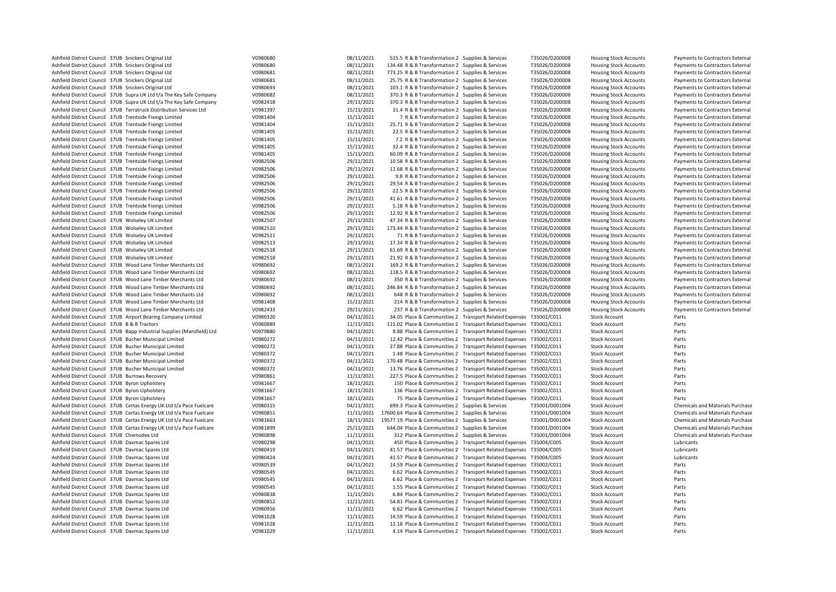| Ashfield District Council 37UB Snickers Original Ltd                    | V0980680 | 08/11/2021 | 515.5 R & B Transformation 2 Supplies & Services                    |                                                                   | T35026/D200008 | <b>Housing Stock Accounts</b> | Payments to Contractors External                                     |
|-------------------------------------------------------------------------|----------|------------|---------------------------------------------------------------------|-------------------------------------------------------------------|----------------|-------------------------------|----------------------------------------------------------------------|
| Ashfield District Council 37UB Snickers Original Ltd                    | V0980680 | 08/11/2021 | 134.48 R & B Transformation 2 Supplies & Services                   |                                                                   | T35026/D200008 | <b>Housing Stock Accounts</b> | Payments to Contractors External                                     |
| Ashfield District Council 37UB Snickers Original Ltd                    | V0980681 | 08/11/2021 | 773.25 R & B Transformation 2 Supplies & Services                   |                                                                   | T35026/D200008 | <b>Housing Stock Accounts</b> | Payments to Contractors External                                     |
| Ashfield District Council 37UB Snickers Original Ltd                    | V0980681 | 08/11/2021 | 25.75 R & B Transformation 2 Supplies & Services                    |                                                                   | T35026/D200008 | <b>Housing Stock Accounts</b> | Payments to Contractors External                                     |
| Ashfield District Council 37UB Snickers Original Ltd                    | V0980693 | 08/11/2021 | 103.1 R & B Transformation 2 Supplies & Services                    |                                                                   | T35026/D200008 | <b>Housing Stock Accounts</b> | Payments to Contractors External                                     |
| Ashfield District Council 37UB Supra UK Ltd t/a The Key Safe Company    | V0980682 | 08/11/2021 | 370.3 R & B Transformation 2 Supplies & Services                    |                                                                   | T35026/D200008 | <b>Housing Stock Accounts</b> | Payments to Contractors External                                     |
| Ashfield District Council 37UB Supra UK Ltd t/a The Key Safe Company    | V0982418 | 29/11/2021 | 370.3 R & B Transformation 2 Supplies & Services                    |                                                                   | T35026/D200008 | <b>Housing Stock Accounts</b> | Payments to Contractors External                                     |
| Ashfield District Council 37UB Terratruck Distribution Services Ltd     | V0981397 | 15/11/2021 | 31.4 R & B Transformation 2 Supplies & Services                     |                                                                   | T35026/D200008 | <b>Housing Stock Accounts</b> | Payments to Contractors External                                     |
| Ashfield District Council 37UB Trentside Fixings Limited                | V0981404 | 15/11/2021 | 7 R & B Transformation 2 Supplies & Services                        |                                                                   | T35026/D200008 | <b>Housing Stock Accounts</b> | Payments to Contractors External                                     |
| Ashfield District Council 37UB Trentside Fixings Limited                | V0981404 | 15/11/2021 | 25.71 R & B Transformation 2 Supplies & Services                    |                                                                   | T35026/D200008 | <b>Housing Stock Accounts</b> |                                                                      |
| Ashfield District Council 37UB Trentside Fixings Limited                | V0981405 | 15/11/2021 | 22.5 R & B Transformation 2 Supplies & Services                     |                                                                   | T35026/D200008 | <b>Housing Stock Accounts</b> | Payments to Contractors External<br>Payments to Contractors External |
|                                                                         |          |            |                                                                     |                                                                   |                |                               |                                                                      |
| Ashfield District Council 37UB Trentside Fixings Limited                | V0981405 | 15/11/2021 | 7.2 R & B Transformation 2 Supplies & Services                      |                                                                   | T35026/D200008 | <b>Housing Stock Accounts</b> | Payments to Contractors External                                     |
| Ashfield District Council 37UB Trentside Fixings Limited                | V0981405 | 15/11/2021 | 32.4 R & B Transformation 2 Supplies & Services                     |                                                                   | T35026/D200008 | <b>Housing Stock Accounts</b> | Payments to Contractors External                                     |
| Ashfield District Council 37UB Trentside Fixings Limited                | V0981405 | 15/11/2021 | 60.09 R & B Transformation 2 Supplies & Services                    |                                                                   | T35026/D200008 | <b>Housing Stock Accounts</b> | Payments to Contractors External                                     |
| Ashfield District Council 37UB Trentside Fixings Limited                | V0982506 | 29/11/2021 | 10.58 R & B Transformation 2 Supplies & Services                    |                                                                   | T35026/D200008 | <b>Housing Stock Accounts</b> | Payments to Contractors External                                     |
| Ashfield District Council 37UB Trentside Fixings Limited                | V0982506 | 29/11/2021 | 11.68 R & B Transformation 2 Supplies & Services                    |                                                                   | T35026/D200008 | <b>Housing Stock Accounts</b> | Payments to Contractors External                                     |
| Ashfield District Council 37UB Trentside Fixings Limited                | V0982506 | 29/11/2021 | 9.8 R & B Transformation 2 Supplies & Services                      |                                                                   | T35026/D200008 | <b>Housing Stock Accounts</b> | Payments to Contractors External                                     |
| Ashfield District Council 37UB Trentside Fixings Limited                | V0982506 | 29/11/2021 | 29.54 R & B Transformation 2 Supplies & Services                    |                                                                   | T35026/D200008 | <b>Housing Stock Accounts</b> | Payments to Contractors External                                     |
| Ashfield District Council 37UB Trentside Fixings Limited                | V0982506 | 29/11/2021 | 22.5 R & B Transformation 2 Supplies & Services                     |                                                                   | T35026/D200008 | <b>Housing Stock Accounts</b> | Payments to Contractors External                                     |
| Ashfield District Council 37UB Trentside Fixings Limited                | V0982506 | 29/11/2021 | 41.61 R & B Transformation 2 Supplies & Services                    |                                                                   | T35026/D200008 | <b>Housing Stock Accounts</b> | Payments to Contractors External                                     |
| Ashfield District Council 37UB Trentside Fixings Limited                | V0982506 | 29/11/2021 | 5.18 R & B Transformation 2 Supplies & Services                     |                                                                   | T35026/D200008 | <b>Housing Stock Accounts</b> | Payments to Contractors External                                     |
| Ashfield District Council 37UB Trentside Fixings Limited                | V0982506 | 29/11/2021 | 12.92 R & B Transformation 2 Supplies & Services                    |                                                                   | T35026/D200008 | <b>Housing Stock Accounts</b> | Payments to Contractors External                                     |
| Ashfield District Council 37UB Wolseley UK Limited                      | V0982507 | 29/11/2021 | 47.34 R & B Transformation 2 Supplies & Services                    |                                                                   | T35026/D200008 | <b>Housing Stock Accounts</b> | Payments to Contractors External                                     |
| Ashfield District Council 37UB Wolseley UK Limited                      | V0982510 | 29/11/2021 | 173.44 R & B Transformation 2 Supplies & Services                   |                                                                   | T35026/D200008 | <b>Housing Stock Accounts</b> | Payments to Contractors External                                     |
| Ashfield District Council 37UB Wolseley UK Limited                      | V0982511 | 29/11/2021 | 71 R & B Transformation 2 Supplies & Services                       |                                                                   | T35026/D200008 | <b>Housing Stock Accounts</b> | Payments to Contractors External                                     |
| Ashfield District Council 37UB Wolseley UK Limited                      | V0982513 | 29/11/2021 | 17.34 R & B Transformation 2 Supplies & Services                    |                                                                   | T35026/D200008 | <b>Housing Stock Accounts</b> | Payments to Contractors External                                     |
| Ashfield District Council 37UB Wolseley UK Limited                      | V0982518 | 29/11/2021 | 61.69 R & B Transformation 2 Supplies & Services                    |                                                                   | T35026/D200008 | <b>Housing Stock Accounts</b> | Payments to Contractors External                                     |
| Ashfield District Council 37UB Wolseley UK Limited                      | V0982518 | 29/11/2021 | 21.92 R & B Transformation 2 Supplies & Services                    |                                                                   | T35026/D200008 | <b>Housing Stock Accounts</b> | Payments to Contractors External                                     |
| Ashfield District Council 37UB Wood Lane Timber Merchants Ltd           | V0980692 | 08/11/2021 | 169.2 R & B Transformation 2 Supplies & Services                    |                                                                   | T35026/D200008 | <b>Housing Stock Accounts</b> | Payments to Contractors External                                     |
| Ashfield District Council 37UB Wood Lane Timber Merchants Ltd           | V0980692 | 08/11/2021 | 118.5 R & B Transformation 2 Supplies & Services                    |                                                                   | T35026/D200008 | <b>Housing Stock Accounts</b> | Payments to Contractors External                                     |
| Ashfield District Council 37UB Wood Lane Timber Merchants Ltd           | V0980692 | 08/11/2021 | 350 R & B Transformation 2 Supplies & Services                      |                                                                   | T35026/D200008 | <b>Housing Stock Accounts</b> | Payments to Contractors External                                     |
|                                                                         |          |            |                                                                     |                                                                   |                |                               |                                                                      |
| Ashfield District Council 37UB Wood Lane Timber Merchants Ltd           | V0980692 | 08/11/2021 | 246.84 R & B Transformation 2 Supplies & Services                   |                                                                   | T35026/D200008 | <b>Housing Stock Accounts</b> | Payments to Contractors External                                     |
| Ashfield District Council 37UB Wood Lane Timber Merchants Ltd           | V0980692 | 08/11/2021 | 648 R & B Transformation 2 Supplies & Services                      |                                                                   | T35026/D200008 | <b>Housing Stock Accounts</b> | Payments to Contractors External                                     |
| Ashfield District Council 37UB Wood Lane Timber Merchants Ltd           | V0981408 | 15/11/2021 | 214 R & B Transformation 2 Supplies & Services                      |                                                                   | T35026/D200008 | <b>Housing Stock Accounts</b> | Payments to Contractors External                                     |
| Ashfield District Council 37UB Wood Lane Timber Merchants Ltd           | V0982433 | 29/11/2021 | 237 R & B Transformation 2 Supplies & Services                      |                                                                   | T35026/D200008 | <b>Housing Stock Accounts</b> | Payments to Contractors External                                     |
| Ashfield District Council 37UB Airport Bearing Company Limited          | V0980320 | 04/11/2021 | 34.05 Place & Communities 2 Transport Related Expenses T35002/C011  |                                                                   |                | <b>Stock Account</b>          | Parts                                                                |
| Ashfield District Council 37UB B & B Tractors                           | V0980889 | 11/11/2021 | 115.02 Place & Communities 2 Transport Related Expenses T35002/C011 |                                                                   |                | <b>Stock Account</b>          | Parts                                                                |
| Ashfield District Council 37UB Bapp Industrial Supplies (Mansfield) Ltd | V0979880 | 04/11/2021 |                                                                     | 9.88 Place & Communities 2 Transport Related Expenses T35002/C011 |                | <b>Stock Account</b>          | Parts                                                                |
| Ashfield District Council 37UB Bucher Municipal Limited                 | V0980272 | 04/11/2021 | 12.42 Place & Communities 2 Transport Related Expenses T35002/C011  |                                                                   |                | <b>Stock Account</b>          | Parts                                                                |
| Ashfield District Council 37UB Bucher Municipal Limited                 | V0980272 | 04/11/2021 | 27.88 Place & Communities 2 Transport Related Expenses T35002/C011  |                                                                   |                | <b>Stock Account</b>          | Parts                                                                |
| Ashfield District Council 37UB Bucher Municipal Limited                 | V0980372 | 04/11/2021 | 1.48 Place & Communities 2 Transport Related Expenses T35002/C011   |                                                                   |                | <b>Stock Account</b>          | Parts                                                                |
| Ashfield District Council 37UB Bucher Municipal Limited                 | V0980372 | 04/11/2021 | 170.48 Place & Communities 2 Transport Related Expenses T35002/C011 |                                                                   |                | <b>Stock Account</b>          | Parts                                                                |
| Ashfield District Council 37UB Bucher Municipal Limited                 | V0980372 | 04/11/2021 | 13.76 Place & Communities 2 Transport Related Expenses T35002/C011  |                                                                   |                | <b>Stock Account</b>          | Parts                                                                |
| Ashfield District Council 37UB Burrows Recovery                         | V0980861 | 11/11/2021 | 227.5 Place & Communities 2 Transport Related Expenses T35002/C011  |                                                                   |                | <b>Stock Account</b>          | Parts                                                                |
| Ashfield District Council 37UB Byron Upholstery                         | V0981667 | 18/11/2021 |                                                                     | 150 Place & Communities 2 Transport Related Expenses T35002/C011  |                | <b>Stock Account</b>          | Parts                                                                |
| Ashfield District Council 37UB Byron Upholstery                         | V0981667 | 18/11/2021 |                                                                     | 136 Place & Communities 2 Transport Related Expenses T35002/C011  |                | <b>Stock Account</b>          | Parts                                                                |
| Ashfield District Council 37UB Byron Upholstery                         | V0981667 | 18/11/2021 |                                                                     | 75 Place & Communities 2 Transport Related Expenses T35002/C011   |                | <b>Stock Account</b>          | Parts                                                                |
| Ashfield District Council 37UB Certas Energy UK Ltd t/a Pace Fuelcare   | V0980315 | 04/11/2021 | 699.3 Place & Communities 2 Supplies & Services                     |                                                                   | T35001/D001004 | <b>Stock Account</b>          | Chemicals and Materials Purchase                                     |
| Ashfield District Council 37UB Certas Energy UK Ltd t/a Pace Fuelcare   | V0980851 | 11/11/2021 | 17600.64 Place & Communities 2 Supplies & Services                  |                                                                   | T35001/D001004 | <b>Stock Account</b>          | Chemicals and Materials Purchase                                     |
| Ashfield District Council 37UB Certas Energy UK Ltd t/a Pace Fuelcare   | V0981663 | 18/11/2021 | 19577.19 Place & Communities 2 Supplies & Services                  |                                                                   | T35001/D001004 | <b>Stock Account</b>          | Chemicals and Materials Purchase                                     |
| Ashfield District Council 37UB Certas Energy UK Ltd t/a Pace Fuelcare   | V0981899 | 25/11/2021 | 644.04 Place & Communities 2 Supplies & Services                    |                                                                   | T35001/D001004 | <b>Stock Account</b>          | Chemicals and Materials Purchase                                     |
|                                                                         |          |            |                                                                     |                                                                   |                |                               |                                                                      |
| Ashfield District Council 37UB Chemodex Ltd                             | V0980898 | 11/11/2021 | 312 Place & Communities 2 Supplies & Services                       |                                                                   | T35001/D001004 | <b>Stock Account</b>          | Chemicals and Materials Purchase                                     |
| Ashfield District Council 37UB Davmac Spares Ltd                        | V0980298 | 04/11/2021 |                                                                     | 450 Place & Communities 2 Transport Related Expenses T35004/C005  |                | <b>Stock Account</b>          | Lubricants                                                           |
| Ashfield District Council 37UB Daymac Spares Ltd                        | V0980419 | 04/11/2021 | 41.57 Place & Communities 2 Transport Related Expenses T35004/C005  |                                                                   |                | <b>Stock Account</b>          | Lubricants                                                           |
| Ashfield District Council 37UB Davmac Spares Ltd                        | V0980424 | 04/11/2021 | 41.57 Place & Communities 2 Transport Related Expenses T35004/C005  |                                                                   |                | <b>Stock Account</b>          | Lubricants                                                           |
| Ashfield District Council 37UB Davmac Spares Ltd                        | V0980539 | 04/11/2021 | 14.59 Place & Communities 2 Transport Related Expenses T35002/C011  |                                                                   |                | <b>Stock Account</b>          | Parts                                                                |
| Ashfield District Council 37UB Davmac Spares Ltd                        | V0980545 | 04/11/2021 |                                                                     | 6.62 Place & Communities 2 Transport Related Expenses T35002/C011 |                | <b>Stock Account</b>          | Parts                                                                |
| Ashfield District Council 37UB Davmac Spares Ltd                        | V0980545 | 04/11/2021 |                                                                     | 6.62 Place & Communities 2 Transport Related Expenses T35002/C011 |                | <b>Stock Account</b>          | Parts                                                                |
| Ashfield District Council 37UB Davmac Spares Ltd                        | V0980545 | 04/11/2021 |                                                                     | 1.55 Place & Communities 2 Transport Related Expenses T35002/C011 |                | <b>Stock Account</b>          | Parts                                                                |
| Ashfield District Council 37UB Davmac Spares Ltd                        | V0980838 | 11/11/2021 |                                                                     | 6.84 Place & Communities 2 Transport Related Expenses T35002/C011 |                | <b>Stock Account</b>          | Parts                                                                |
| Ashfield District Council 37UB Davmac Spares Ltd                        | V0980852 | 11/11/2021 | 54.81 Place & Communities 2 Transport Related Expenses T35002/C011  |                                                                   |                | <b>Stock Account</b>          | Parts                                                                |
| Ashfield District Council 37UB Davmac Spares Ltd                        | V0980956 | 11/11/2021 |                                                                     | 6.62 Place & Communities 2 Transport Related Expenses T35002/C011 |                | <b>Stock Account</b>          | Parts                                                                |
| Ashfield District Council 37UB Davmac Spares Ltd                        | V0981028 | 11/11/2021 | 14.59 Place & Communities 2 Transport Related Expenses T35002/C011  |                                                                   |                | <b>Stock Account</b>          | Parts                                                                |
| Ashfield District Council 37UB Davmac Spares Ltd                        | V0981028 | 11/11/2021 | 12.18 Place & Communities 2 Transport Related Expenses T35002/C011  |                                                                   |                | <b>Stock Account</b>          | Parts                                                                |
| Ashfield District Council 37UB Davmac Spares Ltd                        | V0981029 | 11/11/2021 |                                                                     | 4.14 Place & Communities 2 Transport Related Expenses T35002/C011 |                | <b>Stock Account</b>          | Parts                                                                |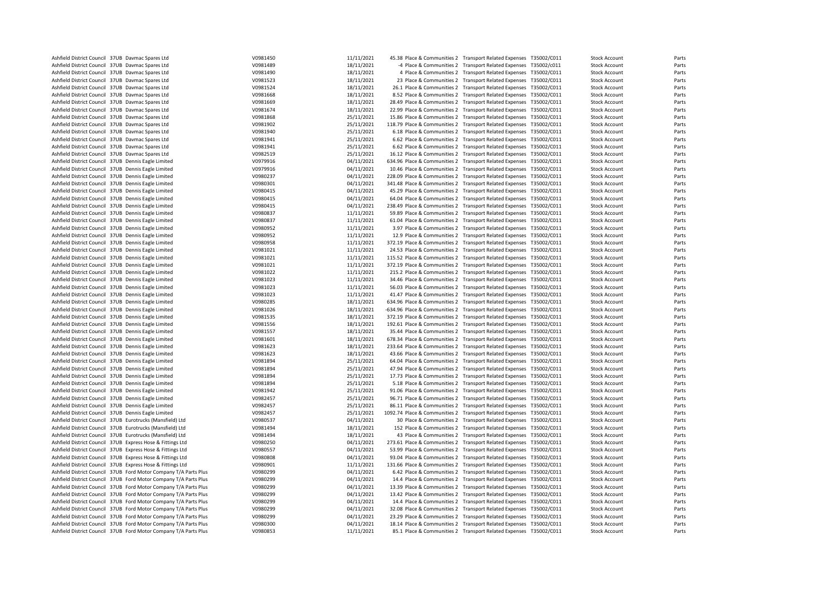| Ashfield District Council 37UB Davmac Spares Ltd           |                                                                                                                                      | V0981450             | 11/11/2021               | 45.38 Place & Communities 2 Transport Related Expenses T35002/C011                                                                       |                                                                 |             | <b>Stock Account</b>                         | Parts          |
|------------------------------------------------------------|--------------------------------------------------------------------------------------------------------------------------------------|----------------------|--------------------------|------------------------------------------------------------------------------------------------------------------------------------------|-----------------------------------------------------------------|-------------|----------------------------------------------|----------------|
| Ashfield District Council 37UB Davmac Spares Ltd           |                                                                                                                                      | V0981489             | 18/11/2021               |                                                                                                                                          | -4 Place & Communities 2 Transport Related Expenses             | T35002/c011 | <b>Stock Account</b>                         | Parts          |
| Ashfield District Council 37UB Davmac Spares Ltd           |                                                                                                                                      | V0981490             | 18/11/2021               |                                                                                                                                          | 4 Place & Communities 2 Transport Related Expenses T35002/C011  |             | <b>Stock Account</b>                         | Parts          |
| Ashfield District Council 37UB Davmac Spares Ltd           |                                                                                                                                      | V0981523             | 18/11/2021               |                                                                                                                                          | 23 Place & Communities 2 Transport Related Expenses T35002/C011 |             | <b>Stock Account</b>                         | Parts          |
| Ashfield District Council 37UB Davmac Spares Ltd           |                                                                                                                                      | V0981524             | 18/11/2021               | 26.1 Place & Communities 2 Transport Related Expenses T35002/C011                                                                        |                                                                 |             | <b>Stock Account</b>                         | Parts          |
| Ashfield District Council 37UB Davmac Spares Ltd           |                                                                                                                                      | V0981668             | 18/11/2021               | 8.52 Place & Communities 2 Transport Related Expenses T35002/C011                                                                        |                                                                 |             | <b>Stock Account</b>                         | Parts          |
|                                                            |                                                                                                                                      |                      | 18/11/2021               |                                                                                                                                          |                                                                 |             |                                              | Parts          |
| Ashfield District Council 37UB Davmac Spares Ltd           |                                                                                                                                      | V0981669             |                          | 28.49 Place & Communities 2 Transport Related Expenses T35002/C011                                                                       |                                                                 |             | <b>Stock Account</b>                         |                |
| Ashfield District Council 37UB Davmac Spares Ltd           |                                                                                                                                      | V0981674             | 18/11/2021               | 22.99 Place & Communities 2 Transport Related Expenses T35002/C011                                                                       |                                                                 |             | <b>Stock Account</b>                         | Parts          |
| Ashfield District Council 37UB Davmac Spares Ltd           |                                                                                                                                      | V0981868             | 25/11/2021               | 15.86 Place & Communities 2 Transport Related Expenses                                                                                   |                                                                 | T35002/C011 | <b>Stock Account</b>                         | Parts          |
| Ashfield District Council 37UB Davmac Spares Ltd           |                                                                                                                                      | V0981902             | 25/11/2021               | 118.79 Place & Communities 2 Transport Related Expenses T35002/C011                                                                      |                                                                 |             | <b>Stock Account</b>                         | Parts          |
| Ashfield District Council 37UB Davmac Spares Ltd           |                                                                                                                                      | V0981940             | 25/11/2021               | 6.18 Place & Communities 2 Transport Related Expenses T35002/C011                                                                        |                                                                 |             | <b>Stock Account</b>                         | Parts          |
| Ashfield District Council 37UB Davmac Spares Ltd           |                                                                                                                                      | V0981941             | 25/11/2021               | 6.62 Place & Communities 2 Transport Related Expenses T35002/C011                                                                        |                                                                 |             | <b>Stock Account</b>                         | Parts          |
| Ashfield District Council 37UB Davmac Spares Ltd           |                                                                                                                                      | V0981941             | 25/11/2021               | 6.62 Place & Communities 2 Transport Related Expenses T35002/C011                                                                        |                                                                 |             | <b>Stock Account</b>                         | Parts          |
| Ashfield District Council 37UB Davmac Spares Ltd           |                                                                                                                                      | V0982519             | 25/11/2021               | 16.12 Place & Communities 2 Transport Related Expenses T35002/C011                                                                       |                                                                 |             | <b>Stock Account</b>                         | Parts          |
| Ashfield District Council 37UB Dennis Eagle Limited        |                                                                                                                                      | V0979916             | 04/11/2021               | 634.96 Place & Communities 2 Transport Related Expenses                                                                                  |                                                                 | T35002/C011 | <b>Stock Account</b>                         | Parts          |
| Ashfield District Council 37UB Dennis Eagle Limited        |                                                                                                                                      | V0979916             | 04/11/2021               | 10.46 Place & Communities 2 Transport Related Expenses                                                                                   |                                                                 | T35002/C011 | <b>Stock Account</b>                         | Parts          |
| Ashfield District Council 37UB Dennis Eagle Limited        |                                                                                                                                      | V0980237             | 04/11/2021               | 228.09 Place & Communities 2 Transport Related Expenses T35002/C011                                                                      |                                                                 |             | <b>Stock Account</b>                         | Parts          |
| Ashfield District Council 37UB Dennis Eagle Limited        |                                                                                                                                      | V0980301             | 04/11/2021               | 341.48 Place & Communities 2 Transport Related Expenses T35002/C011                                                                      |                                                                 |             | <b>Stock Account</b>                         | Parts          |
| Ashfield District Council 37UB Dennis Eagle Limited        |                                                                                                                                      | V0980415             | 04/11/2021               | 45.29 Place & Communities 2 Transport Related Expenses T35002/C011                                                                       |                                                                 |             | <b>Stock Account</b>                         | Parts          |
| Ashfield District Council 37UB Dennis Eagle Limited        |                                                                                                                                      | V0980415             | 04/11/2021               | 64.04 Place & Communities 2 Transport Related Expenses T35002/C011                                                                       |                                                                 |             | <b>Stock Account</b>                         | Parts          |
| Ashfield District Council 37UB Dennis Eagle Limited        |                                                                                                                                      | V0980415             | 04/11/2021               | 238.49 Place & Communities 2 Transport Related Expenses T35002/C011                                                                      |                                                                 |             | <b>Stock Account</b>                         | Parts          |
| Ashfield District Council 37UB Dennis Eagle Limited        |                                                                                                                                      | V0980837             | 11/11/2021               | 59.89 Place & Communities 2 Transport Related Expenses                                                                                   |                                                                 | T35002/C011 | <b>Stock Account</b>                         | Parts          |
| Ashfield District Council 37UB Dennis Eagle Limited        |                                                                                                                                      | V0980837             | 11/11/2021               | 61.04 Place & Communities 2 Transport Related Expenses T35002/C011                                                                       |                                                                 |             | <b>Stock Account</b>                         | Parts          |
| Ashfield District Council 37UB Dennis Eagle Limited        |                                                                                                                                      | V0980952             | 11/11/2021               | 3.97 Place & Communities 2 Transport Related Expenses T35002/C011                                                                        |                                                                 |             | <b>Stock Account</b>                         | Parts          |
| Ashfield District Council 37UB Dennis Eagle Limited        |                                                                                                                                      | V0980952             | 11/11/2021               | 12.9 Place & Communities 2 Transport Related Expenses T35002/C011                                                                        |                                                                 |             | <b>Stock Account</b>                         | Parts          |
| Ashfield District Council 37UB Dennis Eagle Limited        |                                                                                                                                      | V0980958             | 11/11/2021               | 372.19 Place & Communities 2 Transport Related Expenses T35002/C011                                                                      |                                                                 |             | <b>Stock Account</b>                         | Parts          |
| Ashfield District Council 37UB Dennis Eagle Limited        |                                                                                                                                      | V0981021             | 11/11/2021               | 24.53 Place & Communities 2 Transport Related Expenses T35002/C011                                                                       |                                                                 |             | <b>Stock Account</b>                         | Parts          |
| Ashfield District Council 37UB Dennis Eagle Limited        |                                                                                                                                      | V0981021             | 11/11/2021               | 115.52 Place & Communities 2 Transport Related Expenses T35002/C011                                                                      |                                                                 |             | <b>Stock Account</b>                         | Parts          |
| Ashfield District Council 37UB Dennis Eagle Limited        |                                                                                                                                      | V0981021             | 11/11/2021               | 372.19 Place & Communities 2 Transport Related Expenses                                                                                  |                                                                 | T35002/C011 | <b>Stock Account</b>                         | Parts          |
| Ashfield District Council 37UB Dennis Eagle Limited        |                                                                                                                                      | V0981022             | 11/11/2021               | 215.2 Place & Communities 2 Transport Related Expenses T35002/C011                                                                       |                                                                 |             | <b>Stock Account</b>                         | Parts          |
| Ashfield District Council 37UB Dennis Eagle Limited        |                                                                                                                                      | V0981023             | 11/11/2021               | 34.46 Place & Communities 2 Transport Related Expenses T35002/C011                                                                       |                                                                 |             | <b>Stock Account</b>                         | Parts          |
| Ashfield District Council 37UB Dennis Eagle Limited        |                                                                                                                                      | V0981023             | 11/11/2021               | 56.03 Place & Communities 2 Transport Related Expenses T35002/C011                                                                       |                                                                 |             | <b>Stock Account</b>                         | Parts          |
| Ashfield District Council 37UB Dennis Eagle Limited        |                                                                                                                                      | V0981023             | 11/11/2021               | 41.47 Place & Communities 2 Transport Related Expenses T35002/C011                                                                       |                                                                 |             | <b>Stock Account</b>                         | Parts          |
| Ashfield District Council 37UB Dennis Eagle Limited        |                                                                                                                                      | V0980285             | 18/11/2021               | 634.96 Place & Communities 2 Transport Related Expenses T35002/C011                                                                      |                                                                 |             | <b>Stock Account</b>                         | Parts          |
| Ashfield District Council 37UB Dennis Eagle Limited        |                                                                                                                                      | V0981026             | 18/11/2021               | -634.96 Place & Communities 2 Transport Related Expenses                                                                                 |                                                                 | T35002/C011 | <b>Stock Account</b>                         | Parts          |
| Ashfield District Council 37UB Dennis Eagle Limited        |                                                                                                                                      | V0981535             | 18/11/2021               | 372.19 Place & Communities 2 Transport Related Expenses T35002/C011                                                                      |                                                                 |             | <b>Stock Account</b>                         | Parts          |
| Ashfield District Council 37UB Dennis Eagle Limited        |                                                                                                                                      | V0981556             | 18/11/2021               | 192.61 Place & Communities 2 Transport Related Expenses T35002/C011                                                                      |                                                                 |             | <b>Stock Account</b>                         | Parts          |
| Ashfield District Council 37UB Dennis Eagle Limited        |                                                                                                                                      | V0981557             | 18/11/2021               | 35.44 Place & Communities 2 Transport Related Expenses T35002/C011                                                                       |                                                                 |             | <b>Stock Account</b>                         | Parts          |
| Ashfield District Council 37UB Dennis Eagle Limited        |                                                                                                                                      | V0981601             | 18/11/2021               | 678.34 Place & Communities 2 Transport Related Expenses T35002/C011                                                                      |                                                                 |             | <b>Stock Account</b>                         | Parts          |
| Ashfield District Council 37UB Dennis Eagle Limited        |                                                                                                                                      | V0981623             | 18/11/2021               | 233.64 Place & Communities 2 Transport Related Expenses T35002/C011                                                                      |                                                                 |             | <b>Stock Account</b>                         | Parts          |
| Ashfield District Council 37UB Dennis Eagle Limited        |                                                                                                                                      | V0981623             | 18/11/2021               | 43.66 Place & Communities 2 Transport Related Expenses T35002/C011                                                                       |                                                                 |             | <b>Stock Account</b>                         | Parts          |
| Ashfield District Council 37UB Dennis Eagle Limited        |                                                                                                                                      | V0981894             | 25/11/2021               | 64.04 Place & Communities 2 Transport Related Expenses                                                                                   |                                                                 | T35002/C011 | <b>Stock Account</b>                         | Parts          |
| Ashfield District Council 37UB Dennis Eagle Limited        |                                                                                                                                      | V0981894             | 25/11/2021               | 47.94 Place & Communities 2 Transport Related Expenses T35002/C011                                                                       |                                                                 |             | <b>Stock Account</b>                         | Parts          |
| Ashfield District Council 37UB Dennis Eagle Limited        |                                                                                                                                      | V0981894             | 25/11/2021               | 17.73 Place & Communities 2 Transport Related Expenses T35002/C011                                                                       |                                                                 |             | <b>Stock Account</b>                         | Parts          |
| Ashfield District Council 37UB Dennis Eagle Limited        |                                                                                                                                      | V0981894             | 25/11/2021               | 5.18 Place & Communities 2 Transport Related Expenses T35002/C011                                                                        |                                                                 |             | <b>Stock Account</b>                         | Parts          |
| Ashfield District Council 37UB Dennis Eagle Limited        |                                                                                                                                      | V0981942             | 25/11/2021               | 91.06 Place & Communities 2 Transport Related Expenses T35002/C011                                                                       |                                                                 |             | <b>Stock Account</b>                         | Parts          |
| Ashfield District Council 37UB Dennis Eagle Limited        |                                                                                                                                      | V0982457             | 25/11/2021               | 96.71 Place & Communities 2 Transport Related Expenses T35002/C011                                                                       |                                                                 |             | <b>Stock Account</b>                         | Parts          |
| Ashfield District Council 37UB Dennis Eagle Limited        |                                                                                                                                      | V0982457             | 25/11/2021               | 86.11 Place & Communities 2 Transport Related Expenses                                                                                   |                                                                 | T35002/C011 | <b>Stock Account</b>                         | Parts          |
| Ashfield District Council 37UB Dennis Eagle Limited        |                                                                                                                                      | V0982457             | 25/11/2021               | 1092.74 Place & Communities 2 Transport Related Expenses T35002/C011                                                                     |                                                                 |             | <b>Stock Account</b>                         | Parts          |
| Ashfield District Council 37UB Eurotrucks (Mansfield) Ltd  |                                                                                                                                      | V0980537             | 04/11/2021               |                                                                                                                                          | 30 Place & Communities 2 Transport Related Expenses T35002/C011 |             | <b>Stock Account</b>                         | Parts          |
| Ashfield District Council 37UB Eurotrucks (Mansfield) Ltd  |                                                                                                                                      | V0981494             | 18/11/2021               | 152 Place & Communities 2 Transport Related Expenses T35002/C011                                                                         |                                                                 |             | <b>Stock Account</b>                         | Parts          |
| Ashfield District Council 37UB Eurotrucks (Mansfield) Ltd  |                                                                                                                                      | V0981494             | 18/11/2021               |                                                                                                                                          | 43 Place & Communities 2 Transport Related Expenses T35002/C011 |             | <b>Stock Account</b>                         | Parts          |
| Ashfield District Council 37UB Express Hose & Fittings Ltd |                                                                                                                                      | V0980250             | 04/11/2021               | 273.61 Place & Communities 2 Transport Related Expenses T35002/C011                                                                      |                                                                 |             | <b>Stock Account</b>                         | Parts          |
| Ashfield District Council 37UB Express Hose & Fittings Ltd |                                                                                                                                      | V0980557             | 04/11/2021               |                                                                                                                                          |                                                                 |             |                                              | Parts          |
|                                                            |                                                                                                                                      | V0980808             |                          | 53.99 Place & Communities 2 Transport Related Expenses T35002/C011                                                                       |                                                                 | T35002/C011 | <b>Stock Account</b><br><b>Stock Account</b> | Parts          |
| Ashfield District Council 37UB Express Hose & Fittings Ltd |                                                                                                                                      |                      | 04/11/2021<br>11/11/2021 | 93.04 Place & Communities 2 Transport Related Expenses                                                                                   |                                                                 |             |                                              |                |
| Ashfield District Council 37UB Express Hose & Fittings Ltd | Ashfield District Council 37UB Ford Motor Company T/A Parts Plus                                                                     | V0980901             | 04/11/2021               | 131.66 Place & Communities 2 Transport Related Expenses T35002/C011                                                                      |                                                                 |             | <b>Stock Account</b>                         | Parts<br>Parts |
|                                                            |                                                                                                                                      | V0980299             |                          | 6.42 Place & Communities 2 Transport Related Expenses T35002/C011                                                                        |                                                                 |             | <b>Stock Account</b>                         |                |
|                                                            | Ashfield District Council 37UB Ford Motor Company T/A Parts Plus                                                                     | V0980299             | 04/11/2021               | 14.4 Place & Communities 2 Transport Related Expenses T35002/C011                                                                        |                                                                 |             | <b>Stock Account</b>                         | Parts          |
|                                                            | Ashfield District Council 37UB Ford Motor Company T/A Parts Plus                                                                     | V0980299             | 04/11/2021               | 13.39 Place & Communities 2 Transport Related Expenses T35002/C011                                                                       |                                                                 |             | <b>Stock Account</b>                         | Parts          |
|                                                            | Ashfield District Council 37UB Ford Motor Company T/A Parts Plus                                                                     | V0980299             | 04/11/2021               | 13.42 Place & Communities 2 Transport Related Expenses T35002/C011                                                                       |                                                                 |             | <b>Stock Account</b>                         | Parts          |
|                                                            | Ashfield District Council 37UB Ford Motor Company T/A Parts Plus<br>Ashfield District Council 37UB Ford Motor Company T/A Parts Plus | V0980299<br>V0980299 | 04/11/2021<br>04/11/2021 | 14.4 Place & Communities 2 Transport Related Expenses T35002/C011<br>32.08 Place & Communities 2 Transport Related Expenses T35002/C011  |                                                                 |             | <b>Stock Account</b><br><b>Stock Account</b> | Parts<br>Parts |
|                                                            |                                                                                                                                      |                      |                          |                                                                                                                                          |                                                                 |             |                                              |                |
|                                                            | Ashfield District Council 37UB Ford Motor Company T/A Parts Plus<br>Ashfield District Council 37UB Ford Motor Company T/A Parts Plus | V0980299<br>V0980300 | 04/11/2021<br>04/11/2021 | 23.29 Place & Communities 2 Transport Related Expenses T35002/C011<br>18.14 Place & Communities 2 Transport Related Expenses T35002/C011 |                                                                 |             | <b>Stock Account</b>                         | Parts<br>Parts |
|                                                            | Ashfield District Council 37UB Ford Motor Company T/A Parts Plus                                                                     | V0980853             | 11/11/2021               | 85.1 Place & Communities 2 Transport Related Expenses T35002/C011                                                                        |                                                                 |             | <b>Stock Account</b><br><b>Stock Account</b> | Parts          |
|                                                            |                                                                                                                                      |                      |                          |                                                                                                                                          |                                                                 |             |                                              |                |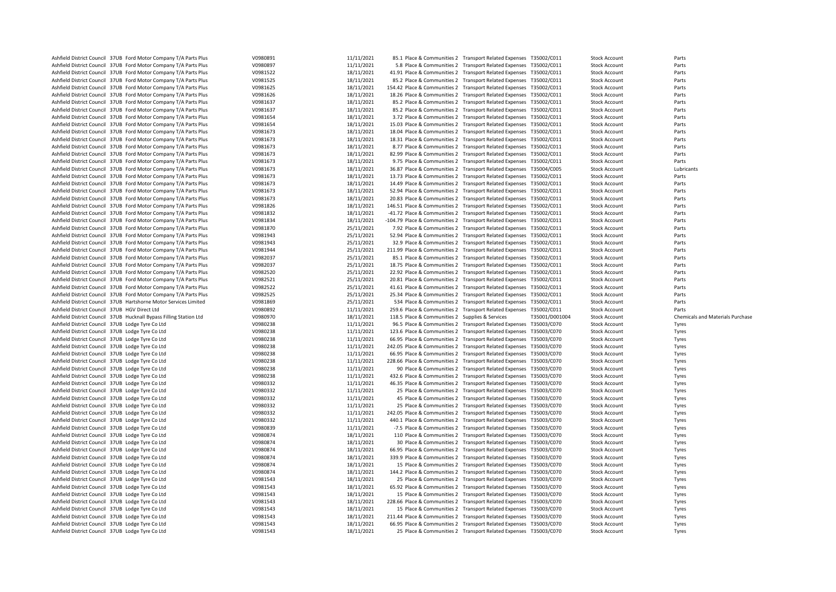| Ashfield District Council 37UB Ford Motor Company T/A Parts Plus                                     | V0980891             | 11/11/2021               | 85.1 Place & Communities 2 Transport Related Expenses T35002/C011    |                                                                  |                | <b>Stock Account</b>                         | Parts                            |
|------------------------------------------------------------------------------------------------------|----------------------|--------------------------|----------------------------------------------------------------------|------------------------------------------------------------------|----------------|----------------------------------------------|----------------------------------|
|                                                                                                      |                      |                          |                                                                      |                                                                  |                |                                              |                                  |
| Ashfield District Council 37UB Ford Motor Company T/A Parts Plus                                     | V0980897             | 11/11/2021               |                                                                      | 5.8 Place & Communities 2 Transport Related Expenses T35002/C011 |                | <b>Stock Account</b>                         | Parts                            |
| Ashfield District Council 37UB Ford Motor Company T/A Parts Plus                                     | V0981522             | 18/11/2021               | 41.91 Place & Communities 2 Transport Related Expenses T35002/C011   |                                                                  |                | <b>Stock Account</b>                         | Parts                            |
| Ashfield District Council 37UB Ford Motor Company T/A Parts Plus                                     | V0981525             | 18/11/2021               | 85.2 Place & Communities 2 Transport Related Expenses T35002/C011    |                                                                  |                | <b>Stock Account</b>                         | Parts                            |
| Ashfield District Council 37UB Ford Motor Company T/A Parts Plus                                     | V0981625             | 18/11/2021               | 154.42 Place & Communities 2 Transport Related Expenses T35002/C011  |                                                                  |                | <b>Stock Account</b>                         | Parts                            |
| Ashfield District Council 37UB Ford Motor Company T/A Parts Plus                                     | V0981626             | 18/11/2021               | 18.26 Place & Communities 2 Transport Related Expenses T35002/C011   |                                                                  |                | <b>Stock Account</b>                         | Parts                            |
| Ashfield District Council 37UB Ford Motor Company T/A Parts Plus                                     | V0981637             | 18/11/2021               | 85.2 Place & Communities 2 Transport Related Expenses T35002/C011    |                                                                  |                | <b>Stock Account</b>                         | Parts                            |
|                                                                                                      |                      |                          |                                                                      |                                                                  |                |                                              |                                  |
| Ashfield District Council 37UB Ford Motor Company T/A Parts Plus                                     | V0981637             | 18/11/2021               | 85.2 Place & Communities 2 Transport Related Expenses T35002/C011    |                                                                  |                | <b>Stock Account</b>                         | Parts                            |
| Ashfield District Council 37UB Ford Motor Company T/A Parts Plus                                     | V0981654             | 18/11/2021               | 3.72 Place & Communities 2 Transport Related Expenses T35002/C011    |                                                                  |                | <b>Stock Account</b>                         | Parts                            |
| Ashfield District Council 37UB Ford Motor Company T/A Parts Plus                                     | V0981654             | 18/11/2021               | 15.03 Place & Communities 2 Transport Related Expenses T35002/C011   |                                                                  |                | <b>Stock Account</b>                         | Parts                            |
| Ashfield District Council 37UB Ford Motor Company T/A Parts Plus                                     | V0981673             | 18/11/2021               | 18.04 Place & Communities 2 Transport Related Expenses T35002/C011   |                                                                  |                | <b>Stock Account</b>                         | Parts                            |
| Ashfield District Council 37UB Ford Motor Company T/A Parts Plus                                     | V0981673             | 18/11/2021               | 18.31 Place & Communities 2 Transport Related Expenses T35002/C011   |                                                                  |                | <b>Stock Account</b>                         | Parts                            |
|                                                                                                      |                      |                          |                                                                      |                                                                  |                |                                              | Parts                            |
| Ashfield District Council 37UB Ford Motor Company T/A Parts Plus                                     | V0981673             | 18/11/2021               | 8.77 Place & Communities 2 Transport Related Expenses T35002/C011    |                                                                  |                | <b>Stock Account</b>                         |                                  |
| Ashfield District Council 37UB Ford Motor Company T/A Parts Plus                                     | V0981673             | 18/11/2021               | 82.99 Place & Communities 2 Transport Related Expenses T35002/C011   |                                                                  |                | <b>Stock Account</b>                         | Parts                            |
| Ashfield District Council 37UB Ford Motor Company T/A Parts Plus                                     | V0981673             | 18/11/2021               | 9.75 Place & Communities 2 Transport Related Expenses T35002/C011    |                                                                  |                | <b>Stock Account</b>                         | Parts                            |
| Ashfield District Council 37UB Ford Motor Company T/A Parts Plus                                     | V0981673             | 18/11/2021               | 36.87 Place & Communities 2 Transport Related Expenses T35004/C005   |                                                                  |                | <b>Stock Account</b>                         | Lubricants                       |
| Ashfield District Council 37UB Ford Motor Company T/A Parts Plus                                     | V0981673             | 18/11/2021               | 13.73 Place & Communities 2 Transport Related Expenses T35002/C011   |                                                                  |                | <b>Stock Account</b>                         | Parts                            |
| Ashfield District Council 37UB Ford Motor Company T/A Parts Plus                                     | V0981673             | 18/11/2021               | 14.49 Place & Communities 2 Transport Related Expenses T35002/C011   |                                                                  |                | <b>Stock Account</b>                         | Parts                            |
|                                                                                                      |                      |                          |                                                                      |                                                                  |                |                                              |                                  |
| Ashfield District Council 37UB Ford Motor Company T/A Parts Plus                                     | V0981673             | 18/11/2021               | 52.94 Place & Communities 2 Transport Related Expenses T35002/C011   |                                                                  |                | <b>Stock Account</b>                         | Parts                            |
| Ashfield District Council 37UB Ford Motor Company T/A Parts Plus                                     | V0981673             | 18/11/2021               | 20.83 Place & Communities 2 Transport Related Expenses T35002/C011   |                                                                  |                | <b>Stock Account</b>                         | Parts                            |
| Ashfield District Council 37UB Ford Motor Company T/A Parts Plus                                     | V0981826             | 18/11/2021               | 146.51 Place & Communities 2 Transport Related Expenses T35002/C011  |                                                                  |                | <b>Stock Account</b>                         | Parts                            |
| Ashfield District Council 37UB Ford Motor Company T/A Parts Plus                                     | V0981832             | 18/11/2021               | -41.72 Place & Communities 2 Transport Related Expenses T35002/C011  |                                                                  |                | <b>Stock Account</b>                         | Parts                            |
| Ashfield District Council 37UB Ford Motor Company T/A Parts Plus                                     | V0981834             | 18/11/2021               | -104.79 Place & Communities 2 Transport Related Expenses T35002/C011 |                                                                  |                | <b>Stock Account</b>                         | Parts                            |
| Ashfield District Council 37UB Ford Motor Company T/A Parts Plus                                     | V0981870             | 25/11/2021               | 7.92 Place & Communities 2 Transport Related Expenses T35002/C011    |                                                                  |                |                                              |                                  |
|                                                                                                      |                      |                          |                                                                      |                                                                  |                | <b>Stock Account</b>                         | Parts                            |
| Ashfield District Council 37UB Ford Motor Company T/A Parts Plus                                     | V0981943             | 25/11/2021               | 52.94 Place & Communities 2 Transport Related Expenses T35002/C011   |                                                                  |                | <b>Stock Account</b>                         | Parts                            |
| Ashfield District Council 37UB Ford Motor Company T/A Parts Plus                                     | V0981943             | 25/11/2021               | 32.9 Place & Communities 2 Transport Related Expenses T35002/C011    |                                                                  |                | <b>Stock Account</b>                         | Parts                            |
| Ashfield District Council 37UB Ford Motor Company T/A Parts Plus                                     | V0981944             | 25/11/2021               | 211.99 Place & Communities 2 Transport Related Expenses T35002/C011  |                                                                  |                | <b>Stock Account</b>                         | Parts                            |
| Ashfield District Council 37UB Ford Motor Company T/A Parts Plus                                     | V0982037             | 25/11/2021               | 85.1 Place & Communities 2 Transport Related Expenses T35002/C011    |                                                                  |                | <b>Stock Account</b>                         | Parts                            |
| Ashfield District Council 37UB Ford Motor Company T/A Parts Plus                                     | V0982037             | 25/11/2021               | 18.75 Place & Communities 2 Transport Related Expenses T35002/C011   |                                                                  |                | <b>Stock Account</b>                         | Parts                            |
|                                                                                                      |                      |                          |                                                                      |                                                                  |                |                                              |                                  |
| Ashfield District Council 37UB Ford Motor Company T/A Parts Plus                                     | V0982520             | 25/11/2021               | 22.92 Place & Communities 2 Transport Related Expenses T35002/C011   |                                                                  |                | <b>Stock Account</b>                         | Parts                            |
| Ashfield District Council 37UB Ford Motor Company T/A Parts Plus                                     | V0982521             | 25/11/2021               | 20.81 Place & Communities 2 Transport Related Expenses T35002/C011   |                                                                  |                | <b>Stock Account</b>                         | Parts                            |
| Ashfield District Council 37UB Ford Motor Company T/A Parts Plus                                     | V0982522             | 25/11/2021               | 41.61 Place & Communities 2 Transport Related Expenses T35002/C011   |                                                                  |                | <b>Stock Account</b>                         | Parts                            |
|                                                                                                      |                      |                          |                                                                      |                                                                  |                |                                              |                                  |
|                                                                                                      |                      |                          |                                                                      |                                                                  |                |                                              |                                  |
| Ashfield District Council 37UB Ford Motor Company T/A Parts Plus                                     | V0982525             | 25/11/2021               | 25.34 Place & Communities 2 Transport Related Expenses T35002/C011   |                                                                  |                | <b>Stock Account</b>                         | Parts                            |
| Ashfield District Council 37UB Hartshorne Motor Services Limited                                     | V0981869             | 25/11/2021               | 534 Place & Communities 2 Transport Related Expenses T35002/C011     |                                                                  |                | <b>Stock Account</b>                         | Parts                            |
| Ashfield District Council 37UB HGV Direct Ltd                                                        | V0980892             | 11/11/2021               | 259.6 Place & Communities 2 Transport Related Expenses T35002/C011   |                                                                  |                | <b>Stock Account</b>                         | Parts                            |
| Ashfield District Council 37UB Hucknall Bypass Filling Station Ltd                                   | V0980970             | 18/11/2021               | 118.5 Place & Communities 2 Supplies & Services                      |                                                                  | T35001/D001004 | <b>Stock Account</b>                         | Chemicals and Materials Purchase |
| Ashfield District Council 37UB Lodge Tyre Co Ltd                                                     | V0980238             | 11/11/2021               | 96.5 Place & Communities 2 Transport Related Expenses T35003/C070    |                                                                  |                | <b>Stock Account</b>                         | Tyres                            |
|                                                                                                      | V0980238             |                          |                                                                      |                                                                  |                | <b>Stock Account</b>                         |                                  |
| Ashfield District Council 37UB Lodge Tyre Co Ltd                                                     |                      | 11/11/2021               | 123.6 Place & Communities 2 Transport Related Expenses T35003/C070   |                                                                  |                |                                              | Tyres                            |
| Ashfield District Council 37UB Lodge Tyre Co Ltd                                                     | V0980238             | 11/11/2021               | 66.95 Place & Communities 2 Transport Related Expenses T35003/C070   |                                                                  |                | <b>Stock Account</b>                         | Tyres                            |
| Ashfield District Council 37UB Lodge Tyre Co Ltd                                                     | V0980238             | 11/11/2021               | 242.05 Place & Communities 2 Transport Related Expenses T35003/C070  |                                                                  |                | <b>Stock Account</b>                         | Tyres                            |
| Ashfield District Council 37UB Lodge Tyre Co Ltd                                                     | V0980238             | 11/11/2021               | 66.95 Place & Communities 2 Transport Related Expenses T35003/C070   |                                                                  |                | <b>Stock Account</b>                         | Tyres                            |
| Ashfield District Council 37UB Lodge Tyre Co Ltd                                                     | V0980238             | 11/11/2021               | 228.66 Place & Communities 2 Transport Related Expenses T35003/C070  |                                                                  |                | <b>Stock Account</b>                         | Tyres                            |
| Ashfield District Council 37UB Lodge Tyre Co Ltd                                                     | V0980238             | 11/11/2021               |                                                                      | 90 Place & Communities 2 Transport Related Expenses T35003/C070  |                | <b>Stock Account</b>                         | Tyres                            |
|                                                                                                      |                      |                          |                                                                      |                                                                  |                |                                              |                                  |
| Ashfield District Council 37UB Lodge Tyre Co Ltd                                                     | V0980238             | 11/11/2021               | 432.6 Place & Communities 2 Transport Related Expenses T35003/C070   |                                                                  |                | <b>Stock Account</b>                         | Tyres                            |
| Ashfield District Council 37UB Lodge Tyre Co Ltd                                                     | V0980332             | 11/11/2021               | 46.35 Place & Communities 2 Transport Related Expenses T35003/C070   |                                                                  |                | <b>Stock Account</b>                         | Tyres                            |
| Ashfield District Council 37UB Lodge Tyre Co Ltd                                                     | V0980332             | 11/11/2021               |                                                                      | 25 Place & Communities 2 Transport Related Expenses T35003/C070  |                | <b>Stock Account</b>                         | Tyres                            |
| Ashfield District Council 37UB Lodge Tyre Co Ltd                                                     | V0980332             | 11/11/2021               |                                                                      | 45 Place & Communities 2 Transport Related Expenses T35003/C070  |                | <b>Stock Account</b>                         | Tyres                            |
| Ashfield District Council 37UB Lodge Tyre Co Ltd                                                     | V0980332             | 11/11/2021               |                                                                      | 25 Place & Communities 2 Transport Related Expenses T35003/C070  |                | <b>Stock Account</b>                         | Tyres                            |
| Ashfield District Council 37UB Lodge Tyre Co Ltd                                                     | V0980332             | 11/11/2021               | 242.05 Place & Communities 2 Transport Related Expenses T35003/C070  |                                                                  |                | <b>Stock Account</b>                         | Tyres                            |
|                                                                                                      |                      |                          |                                                                      |                                                                  |                |                                              |                                  |
| Ashfield District Council 37UB Lodge Tyre Co Ltd                                                     | V0980332             | 11/11/2021               | 440.1 Place & Communities 2 Transport Related Expenses T35003/C070   |                                                                  |                | <b>Stock Account</b>                         | Tyres                            |
| Ashfield District Council 37UB Lodge Tyre Co Ltd                                                     | V0980839             | 11/11/2021               | -7.5 Place & Communities 2 Transport Related Expenses T35003/C070    |                                                                  |                | <b>Stock Account</b>                         | Tyres                            |
| Ashfield District Council 37UB Lodge Tyre Co Ltd                                                     | V0980874             | 18/11/2021               | 110 Place & Communities 2 Transport Related Expenses T35003/C070     |                                                                  |                | <b>Stock Account</b>                         | Tyres                            |
| Ashfield District Council 37UB Lodge Tyre Co Ltd                                                     | V0980874             | 18/11/2021               |                                                                      | 30 Place & Communities 2 Transport Related Expenses T35003/C070  |                | <b>Stock Account</b>                         | Tyres                            |
| Ashfield District Council 37UB Lodge Tyre Co Ltd                                                     | V0980874             | 18/11/2021               | 66.95 Place & Communities 2 Transport Related Expenses T35003/C070   |                                                                  |                | <b>Stock Account</b>                         | Tyres                            |
| Ashfield District Council 37UB Lodge Tyre Co Ltd                                                     | V0980874             | 18/11/2021               | 339.9 Place & Communities 2 Transport Related Expenses T35003/C070   |                                                                  |                | <b>Stock Account</b>                         | Tyres                            |
|                                                                                                      |                      |                          |                                                                      |                                                                  |                |                                              |                                  |
| Ashfield District Council 37UB Lodge Tyre Co Ltd                                                     | V0980874             | 18/11/2021               |                                                                      | 15 Place & Communities 2 Transport Related Expenses T35003/C070  |                | <b>Stock Account</b>                         | Tyres                            |
| Ashfield District Council 37UB Lodge Tyre Co Ltd                                                     | V0980874             | 18/11/2021               | 144.2 Place & Communities 2 Transport Related Expenses T35003/C070   |                                                                  |                | <b>Stock Account</b>                         | Tyres                            |
| Ashfield District Council 37UB Lodge Tyre Co Ltd                                                     | V0981543             | 18/11/2021               |                                                                      | 25 Place & Communities 2 Transport Related Expenses T35003/C070  |                | <b>Stock Account</b>                         | Tyres                            |
| Ashfield District Council 37UB Lodge Tyre Co Ltd                                                     | V0981543             | 18/11/2021               | 65.92 Place & Communities 2 Transport Related Expenses T35003/C070   |                                                                  |                | <b>Stock Account</b>                         | Tyres                            |
| Ashfield District Council 37UB Lodge Tyre Co Ltd                                                     | V0981543             | 18/11/2021               |                                                                      | 15 Place & Communities 2 Transport Related Expenses T35003/C070  |                | <b>Stock Account</b>                         | Tyres                            |
|                                                                                                      |                      |                          |                                                                      |                                                                  |                |                                              |                                  |
| Ashfield District Council 37UB Lodge Tyre Co Ltd                                                     | V0981543             | 18/11/2021               | 228.66 Place & Communities 2 Transport Related Expenses T35003/C070  |                                                                  |                | <b>Stock Account</b>                         | Tyres                            |
| Ashfield District Council 37UB Lodge Tyre Co Ltd                                                     | V0981543             | 18/11/2021               |                                                                      | 15 Place & Communities 2 Transport Related Expenses T35003/C070  |                | <b>Stock Account</b>                         | Tyres                            |
| Ashfield District Council 37UB Lodge Tyre Co Ltd                                                     | V0981543             | 18/11/2021               | 211.44 Place & Communities 2 Transport Related Expenses T35003/C070  |                                                                  |                | <b>Stock Account</b>                         | Tyres                            |
| Ashfield District Council 37UB Lodge Tyre Co Ltd<br>Ashfield District Council 37UB Lodge Tyre Co Ltd | V0981543<br>V0981543 | 18/11/2021<br>18/11/2021 | 66.95 Place & Communities 2 Transport Related Expenses T35003/C070   | 25 Place & Communities 2 Transport Related Expenses T35003/C070  |                | <b>Stock Account</b><br><b>Stock Account</b> | Tyres<br>Tyres                   |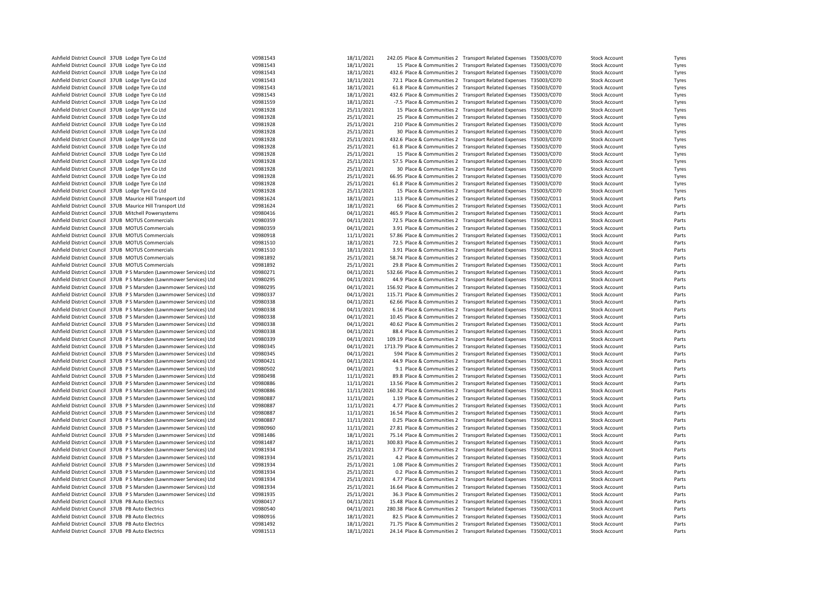| Ashfield District Council 37UB Lodge Tyre Co Ltd                    | V0981543 | 18/11/2021 | 242.05 Place & Communities 2 Transport Related Expenses T35003/C070                                                                     |                                                                   | <b>Stock Account</b> | Tyres |
|---------------------------------------------------------------------|----------|------------|-----------------------------------------------------------------------------------------------------------------------------------------|-------------------------------------------------------------------|----------------------|-------|
| Ashfield District Council 37UB Lodge Tyre Co Ltd                    | V0981543 | 18/11/2021 |                                                                                                                                         | 15 Place & Communities 2 Transport Related Expenses T35003/C070   | <b>Stock Account</b> | Tyres |
| Ashfield District Council 37UB Lodge Tyre Co Ltd                    | V0981543 | 18/11/2021 | 432.6 Place & Communities 2 Transport Related Expenses T35003/C070                                                                      |                                                                   | <b>Stock Account</b> | Tyres |
| Ashfield District Council 37UB Lodge Tyre Co Ltd                    | V0981543 | 18/11/2021 | 72.1 Place & Communities 2 Transport Related Expenses T35003/C070                                                                       |                                                                   | <b>Stock Account</b> | Tyres |
| Ashfield District Council 37UB Lodge Tyre Co Ltd                    | V0981543 | 18/11/2021 | 61.8 Place & Communities 2 Transport Related Expenses T35003/C070                                                                       |                                                                   | <b>Stock Account</b> | Tyres |
| Ashfield District Council 37UB Lodge Tyre Co Ltd                    | V0981543 | 18/11/2021 | 432.6 Place & Communities 2 Transport Related Expenses T35003/C070                                                                      |                                                                   | <b>Stock Account</b> | Tyres |
| Ashfield District Council 37UB Lodge Tyre Co Ltd                    | V0981559 | 18/11/2021 |                                                                                                                                         | -7.5 Place & Communities 2 Transport Related Expenses T35003/C070 | <b>Stock Account</b> | Tyres |
| Ashfield District Council 37UB Lodge Tyre Co Ltd                    | V0981928 | 25/11/2021 |                                                                                                                                         | 15 Place & Communities 2 Transport Related Expenses T35003/C070   | <b>Stock Account</b> | Tyres |
| Ashfield District Council 37UB Lodge Tyre Co Ltd                    | V0981928 | 25/11/2021 |                                                                                                                                         | 25 Place & Communities 2 Transport Related Expenses T35003/C070   | <b>Stock Account</b> | Tyres |
| Ashfield District Council 37UB Lodge Tyre Co Ltd                    | V0981928 | 25/11/2021 |                                                                                                                                         | 210 Place & Communities 2 Transport Related Expenses T35003/C070  | <b>Stock Account</b> | Tyres |
| Ashfield District Council 37UB Lodge Tyre Co Ltd                    | V0981928 | 25/11/2021 |                                                                                                                                         | 30 Place & Communities 2 Transport Related Expenses T35003/C070   | <b>Stock Account</b> | Tyres |
| Ashfield District Council 37UB Lodge Tyre Co Ltd                    | V0981928 | 25/11/2021 |                                                                                                                                         |                                                                   |                      |       |
| Ashfield District Council 37UB Lodge Tyre Co Ltd                    | V0981928 |            | 432.6 Place & Communities 2 Transport Related Expenses T35003/C070<br>61.8 Place & Communities 2 Transport Related Expenses T35003/C070 |                                                                   | <b>Stock Account</b> | Tyres |
|                                                                     |          | 25/11/2021 |                                                                                                                                         |                                                                   | <b>Stock Account</b> | Tyres |
| Ashfield District Council 37UB Lodge Tyre Co Ltd                    | V0981928 | 25/11/2021 |                                                                                                                                         | 15 Place & Communities 2 Transport Related Expenses T35003/C070   | <b>Stock Account</b> | Tyres |
| Ashfield District Council 37UB Lodge Tyre Co Ltd                    | V0981928 | 25/11/2021 | 57.5 Place & Communities 2 Transport Related Expenses T35003/C070                                                                       |                                                                   | <b>Stock Account</b> | Tyres |
| Ashfield District Council 37UB Lodge Tyre Co Ltd                    | V0981928 | 25/11/2021 |                                                                                                                                         | 30 Place & Communities 2 Transport Related Expenses T35003/C070   | <b>Stock Account</b> | Tyres |
| Ashfield District Council 37UB Lodge Tyre Co Ltd                    | V0981928 | 25/11/2021 | 66.95 Place & Communities 2 Transport Related Expenses T35003/C070                                                                      |                                                                   | <b>Stock Account</b> | Tyres |
| Ashfield District Council 37UB Lodge Tyre Co Ltd                    | V0981928 | 25/11/2021 | 61.8 Place & Communities 2 Transport Related Expenses T35003/C070                                                                       |                                                                   | <b>Stock Account</b> | Tyres |
| Ashfield District Council 37UB Lodge Tyre Co Ltd                    | V0981928 | 25/11/2021 |                                                                                                                                         | 15 Place & Communities 2 Transport Related Expenses T35003/C070   | <b>Stock Account</b> | Tyres |
| Ashfield District Council 37UB Maurice Hill Transport Ltd           | V0981624 | 18/11/2021 |                                                                                                                                         | 113 Place & Communities 2 Transport Related Expenses T35002/C011  | <b>Stock Account</b> | Parts |
| Ashfield District Council 37UB Maurice Hill Transport Ltd           | V0981624 | 18/11/2021 |                                                                                                                                         | 66 Place & Communities 2 Transport Related Expenses T35002/C011   | <b>Stock Account</b> | Parts |
| Ashfield District Council 37UB Mitchell Powersystems                | V0980416 | 04/11/2021 | 465.9 Place & Communities 2                                                                                                             | Transport Related Expenses T35002/C011                            | <b>Stock Account</b> | Parts |
| Ashfield District Council 37UB MOTUS Commercials                    | V0980359 | 04/11/2021 | 72.5 Place & Communities 2 Transport Related Expenses T35002/C011                                                                       |                                                                   | <b>Stock Account</b> | Parts |
| Ashfield District Council 37UB MOTUS Commercials                    | V0980359 | 04/11/2021 | 3.91 Place & Communities 2 Transport Related Expenses T35002/C011                                                                       |                                                                   | <b>Stock Account</b> | Parts |
| Ashfield District Council 37UB MOTUS Commercials                    | V0980918 | 11/11/2021 | 57.86 Place & Communities 2 Transport Related Expenses T35002/C011                                                                      |                                                                   | <b>Stock Account</b> | Parts |
| Ashfield District Council 37UB MOTUS Commercials                    | V0981510 | 18/11/2021 | 72.5 Place & Communities 2 Transport Related Expenses T35002/C011                                                                       |                                                                   | <b>Stock Account</b> | Parts |
| Ashfield District Council 37UB MOTUS Commercials                    | V0981510 | 18/11/2021 | 3.91 Place & Communities 2 Transport Related Expenses T35002/C011                                                                       |                                                                   | <b>Stock Account</b> | Parts |
| Ashfield District Council 37UB MOTUS Commercials                    | V0981892 | 25/11/2021 | 58.74 Place & Communities 2 Transport Related Expenses T35002/C011                                                                      |                                                                   | <b>Stock Account</b> | Parts |
| Ashfield District Council 37UB MOTUS Commercials                    | V0981892 | 25/11/2021 | 29.8 Place & Communities 2                                                                                                              | Transport Related Expenses T35002/C011                            | <b>Stock Account</b> | Parts |
| Ashfield District Council 37UB PS Marsden (Lawnmower Services) Ltd  | V0980271 | 04/11/2021 | 532.66 Place & Communities 2 Transport Related Expenses T35002/C011                                                                     |                                                                   | <b>Stock Account</b> | Parts |
| Ashfield District Council 37UB PS Marsden (Lawnmower Services) Ltd  | V0980295 | 04/11/2021 | 44.9 Place & Communities 2 Transport Related Expenses T35002/C011                                                                       |                                                                   | <b>Stock Account</b> | Parts |
| Ashfield District Council 37UB P S Marsden (Lawnmower Services) Ltd | V0980295 | 04/11/2021 | 156.92 Place & Communities 2 Transport Related Expenses T35002/C011                                                                     |                                                                   | <b>Stock Account</b> | Parts |
| Ashfield District Council 37UB P S Marsden (Lawnmower Services) Ltd | V0980337 | 04/11/2021 | 115.71 Place & Communities 2 Transport Related Expenses T35002/C011                                                                     |                                                                   | <b>Stock Account</b> | Parts |
| Ashfield District Council 37UB P S Marsden (Lawnmower Services) Ltd | V0980338 | 04/11/2021 | 62.66 Place & Communities 2 Transport Related Expenses T35002/C011                                                                      |                                                                   | <b>Stock Account</b> | Parts |
| Ashfield District Council 37UB PS Marsden (Lawnmower Services) Ltd  | V0980338 | 04/11/2021 | 6.16 Place & Communities 2 Transport Related Expenses T35002/C011                                                                       |                                                                   | <b>Stock Account</b> | Parts |
| Ashfield District Council 37UB P S Marsden (Lawnmower Services) Ltd | V0980338 | 04/11/2021 | 10.45 Place & Communities 2 Transport Related Expenses T35002/C011                                                                      |                                                                   | <b>Stock Account</b> | Parts |
| Ashfield District Council 37UB P S Marsden (Lawnmower Services) Ltd | V0980338 | 04/11/2021 | 40.62 Place & Communities 2 Transport Related Expenses T35002/C011                                                                      |                                                                   | <b>Stock Account</b> | Parts |
| Ashfield District Council 37UB PS Marsden (Lawnmower Services) Ltd  | V0980338 | 04/11/2021 | 88.4 Place & Communities 2 Transport Related Expenses T35002/C011                                                                       |                                                                   | <b>Stock Account</b> | Parts |
| Ashfield District Council 37UB P S Marsden (Lawnmower Services) Ltd | V0980339 | 04/11/2021 |                                                                                                                                         |                                                                   |                      | Parts |
|                                                                     |          |            | 109.19 Place & Communities 2 Transport Related Expenses T35002/C011                                                                     |                                                                   | <b>Stock Account</b> |       |
| Ashfield District Council 37UB P S Marsden (Lawnmower Services) Ltd | V0980345 | 04/11/2021 | 1713.79 Place & Communities 2 Transport Related Expenses T35002/C011                                                                    |                                                                   | <b>Stock Account</b> | Parts |
| Ashfield District Council 37UB P S Marsden (Lawnmower Services) Ltd | V0980345 | 04/11/2021 |                                                                                                                                         | 594 Place & Communities 2 Transport Related Expenses T35002/C011  | <b>Stock Account</b> | Parts |
| Ashfield District Council 37UB PS Marsden (Lawnmower Services) Ltd  | V0980421 | 04/11/2021 | 44.9 Place & Communities 2 Transport Related Expenses T35002/C011                                                                       |                                                                   | <b>Stock Account</b> | Parts |
| Ashfield District Council 37UB PS Marsden (Lawnmower Services) Ltd  | V0980502 | 04/11/2021 |                                                                                                                                         | 9.1 Place & Communities 2 Transport Related Expenses T35002/C011  | <b>Stock Account</b> | Parts |
| Ashfield District Council 37UB P S Marsden (Lawnmower Services) Ltd | V0980498 | 11/11/2021 | 89.8 Place & Communities 2 Transport Related Expenses T35002/C011                                                                       |                                                                   | <b>Stock Account</b> | Parts |
| Ashfield District Council 37UB P S Marsden (Lawnmower Services) Ltd | V0980886 | 11/11/2021 | 13.56 Place & Communities 2 Transport Related Expenses T35002/C011                                                                      |                                                                   | <b>Stock Account</b> | Parts |
| Ashfield District Council 37UB P S Marsden (Lawnmower Services) Ltd | V0980886 | 11/11/2021 | 160.32 Place & Communities 2 Transport Related Expenses T35002/C011                                                                     |                                                                   | <b>Stock Account</b> | Parts |
| Ashfield District Council 37UB P S Marsden (Lawnmower Services) Ltd | V0980887 | 11/11/2021 | 1.19 Place & Communities 2 Transport Related Expenses T35002/C011                                                                       |                                                                   | <b>Stock Account</b> | Parts |
| Ashfield District Council 37UB P S Marsden (Lawnmower Services) Ltd | V0980887 | 11/11/2021 | 4.77 Place & Communities 2 Transport Related Expenses T35002/C011                                                                       |                                                                   | <b>Stock Account</b> | Parts |
| Ashfield District Council 37UB P S Marsden (Lawnmower Services) Ltd | V0980887 | 11/11/2021 | 16.54 Place & Communities 2 Transport Related Expenses T35002/C011                                                                      |                                                                   | <b>Stock Account</b> | Parts |
| Ashfield District Council 37UB P S Marsden (Lawnmower Services) Ltd | V0980887 | 11/11/2021 | 0.25 Place & Communities 2 Transport Related Expenses T35002/C011                                                                       |                                                                   | <b>Stock Account</b> | Parts |
| Ashfield District Council 37UB P S Marsden (Lawnmower Services) Ltd | V0980960 | 11/11/2021 | 27.81 Place & Communities 2 Transport Related Expenses T35002/C011                                                                      |                                                                   | <b>Stock Account</b> | Parts |
| Ashfield District Council 37UB P S Marsden (Lawnmower Services) Ltd | V0981486 | 18/11/2021 | 75.14 Place & Communities 2 Transport Related Expenses T35002/C011                                                                      |                                                                   | <b>Stock Account</b> | Parts |
| Ashfield District Council 37UB P S Marsden (Lawnmower Services) Ltd | V0981487 | 18/11/2021 | 300.83 Place & Communities 2 Transport Related Expenses T35002/C011                                                                     |                                                                   | <b>Stock Account</b> | Parts |
| Ashfield District Council 37UB P S Marsden (Lawnmower Services) Ltd | V0981934 | 25/11/2021 | 3.77 Place & Communities 2 Transport Related Expenses T35002/C011                                                                       |                                                                   | <b>Stock Account</b> | Parts |
| Ashfield District Council 37UB P S Marsden (Lawnmower Services) Ltd | V0981934 | 25/11/2021 | 4.2 Place & Communities 2                                                                                                               | Transport Related Expenses T35002/C011                            | <b>Stock Account</b> | Parts |
| Ashfield District Council 37UB P S Marsden (Lawnmower Services) Ltd | V0981934 | 25/11/2021 | 1.08 Place & Communities 2 Transport Related Expenses T35002/C011                                                                       |                                                                   | <b>Stock Account</b> | Parts |
| Ashfield District Council 37UB P S Marsden (Lawnmower Services) Ltd | V0981934 | 25/11/2021 |                                                                                                                                         | 0.2 Place & Communities 2 Transport Related Expenses T35002/C011  | <b>Stock Account</b> | Parts |
| Ashfield District Council 37UB PS Marsden (Lawnmower Services) Ltd  | V0981934 | 25/11/2021 | 4.77 Place & Communities 2 Transport Related Expenses T35002/C011                                                                       |                                                                   | <b>Stock Account</b> | Parts |
| Ashfield District Council 37UB P S Marsden (Lawnmower Services) Ltd | V0981934 | 25/11/2021 | 16.64 Place & Communities 2 Transport Related Expenses T35002/C011                                                                      |                                                                   | <b>Stock Account</b> | Parts |
| Ashfield District Council 37UB P S Marsden (Lawnmower Services) Ltd | V0981935 | 25/11/2021 | 36.3 Place & Communities 2 Transport Related Expenses T35002/C011                                                                       |                                                                   | <b>Stock Account</b> | Parts |
| Ashfield District Council 37UB PB Auto Electrics                    | V0980417 | 04/11/2021 | 15.48 Place & Communities 2 Transport Related Expenses T35002/C011                                                                      |                                                                   | <b>Stock Account</b> | Parts |
| Ashfield District Council 37UB PB Auto Electrics                    | V0980540 | 04/11/2021 | 280.38 Place & Communities 2 Transport Related Expenses T35002/C011                                                                     |                                                                   | <b>Stock Account</b> | Parts |
| Ashfield District Council 37UB PB Auto Electrics                    | V0980916 | 18/11/2021 | 82.5 Place & Communities 2 Transport Related Expenses T35002/C011                                                                       |                                                                   | <b>Stock Account</b> | Parts |
| Ashfield District Council 37UB PB Auto Electrics                    | V0981492 | 18/11/2021 | 71.75 Place & Communities 2 Transport Related Expenses T35002/C011                                                                      |                                                                   | <b>Stock Account</b> | Parts |
| Ashfield District Council 37UB PB Auto Electrics                    | V0981513 | 18/11/2021 | 24.14 Place & Communities 2 Transport Related Expenses T35002/C011                                                                      |                                                                   | <b>Stock Account</b> | Parts |
|                                                                     |          |            |                                                                                                                                         |                                                                   |                      |       |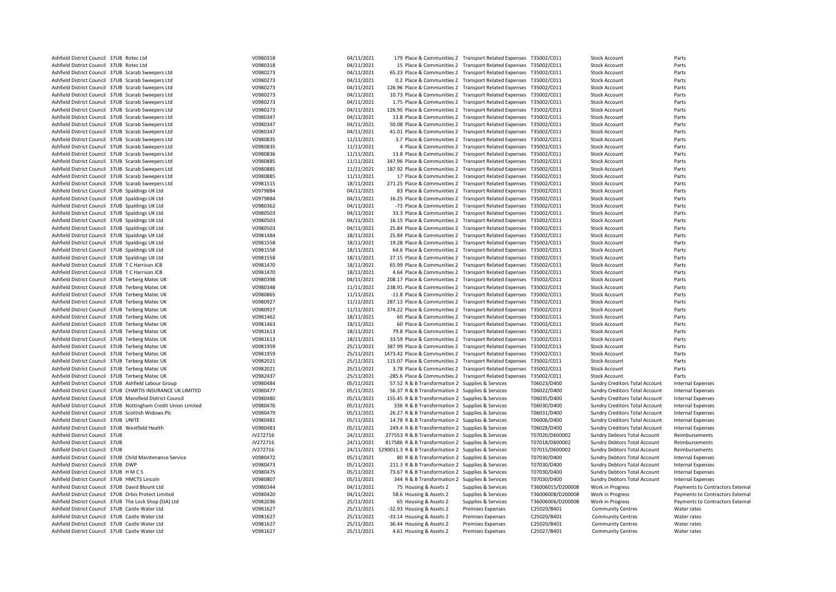| Ashfield District Council 37UB Rotec Ltd                       | V0980318 | 04/11/2021 |                                                                      | 179 Place & Communities 2 Transport Related Expenses T35002/C011 |                   | <b>Stock Account</b>                  | Parts                            |
|----------------------------------------------------------------|----------|------------|----------------------------------------------------------------------|------------------------------------------------------------------|-------------------|---------------------------------------|----------------------------------|
| Ashfield District Council 37UB Rotec Ltd                       | V0980318 | 04/11/2021 |                                                                      | 15 Place & Communities 2 Transport Related Expenses T35002/C011  |                   | <b>Stock Account</b>                  | Parts                            |
| Ashfield District Council 37UB Scarab Sweepers Ltd             | V0980273 | 04/11/2021 | 65.23 Place & Communities 2 Transport Related Expenses T35002/C011   |                                                                  |                   | <b>Stock Account</b>                  | Parts                            |
| Ashfield District Council 37UB Scarab Sweepers Ltd             | V0980273 | 04/11/2021 |                                                                      | 0.2 Place & Communities 2 Transport Related Expenses T35002/C011 |                   | <b>Stock Account</b>                  | Parts                            |
| Ashfield District Council 37UB Scarab Sweepers Ltd             | V0980273 | 04/11/2021 | 126.96 Place & Communities 2 Transport Related Expenses T35002/C011  |                                                                  |                   | <b>Stock Account</b>                  | Parts                            |
| Ashfield District Council 37UB Scarab Sweepers Ltd             | V0980273 | 04/11/2021 | 10.73 Place & Communities 2 Transport Related Expenses T35002/C011   |                                                                  |                   | <b>Stock Account</b>                  | Parts                            |
| Ashfield District Council 37UB Scarab Sweepers Ltd             | V0980273 | 04/11/2021 | 1.75 Place & Communities 2 Transport Related Expenses T35002/C011    |                                                                  |                   | <b>Stock Account</b>                  | Parts                            |
| Ashfield District Council 37UB Scarab Sweepers Ltd             | V0980273 | 04/11/2021 | 126.95 Place & Communities 2 Transport Related Expenses T35002/C011  |                                                                  |                   | <b>Stock Account</b>                  | Parts                            |
|                                                                |          |            |                                                                      |                                                                  |                   |                                       |                                  |
| Ashfield District Council 37UB Scarab Sweepers Ltd             | V0980347 | 04/11/2021 | 13.8 Place & Communities 2 Transport Related Expenses T35002/C011    |                                                                  |                   | <b>Stock Account</b>                  | Parts                            |
| Ashfield District Council 37UB Scarab Sweepers Ltd             | V0980347 | 04/11/2021 | 50.08 Place & Communities 2 Transport Related Expenses T35002/C011   |                                                                  |                   | <b>Stock Account</b>                  | Parts                            |
| Ashfield District Council 37UB Scarab Sweepers Ltd             | V0980347 | 04/11/2021 | 41.01 Place & Communities 2 Transport Related Expenses T35002/C011   |                                                                  |                   | <b>Stock Account</b>                  | Parts                            |
| Ashfield District Council 37UB Scarab Sweepers Ltd             | V0980835 | 11/11/2021 |                                                                      | 3.7 Place & Communities 2 Transport Related Expenses T35002/C011 |                   | <b>Stock Account</b>                  | Parts                            |
| Ashfield District Council 37UB Scarab Sweepers Ltd             | V0980835 | 11/11/2021 |                                                                      | 4 Place & Communities 2 Transport Related Expenses T35002/C011   |                   | <b>Stock Account</b>                  | Parts                            |
| Ashfield District Council 37UB Scarab Sweepers Ltd             | V0980836 | 11/11/2021 | 13.8 Place & Communities 2 Transport Related Expenses T35002/C011    |                                                                  |                   | <b>Stock Account</b>                  | Parts                            |
| Ashfield District Council 37UB Scarab Sweepers Ltd             | V0980885 | 11/11/2021 | 347.96 Place & Communities 2 Transport Related Expenses T35002/C011  |                                                                  |                   | <b>Stock Account</b>                  | Parts                            |
| Ashfield District Council 37UB Scarab Sweepers Ltd             | V0980885 | 11/11/2021 | 187.92 Place & Communities 2 Transport Related Expenses T35002/C011  |                                                                  |                   | <b>Stock Account</b>                  | Parts                            |
| Ashfield District Council 37UB Scarab Sweepers Ltd             | V0980885 | 11/11/2021 |                                                                      | 17 Place & Communities 2 Transport Related Expenses T35002/C011  |                   | <b>Stock Account</b>                  | Parts                            |
| Ashfield District Council 37UB Scarab Sweepers Ltd             | V0981515 | 18/11/2021 | 271.25 Place & Communities 2 Transport Related Expenses T35002/C011  |                                                                  |                   | <b>Stock Account</b>                  | Parts                            |
| Ashfield District Council 37UB Spaldings UK Ltd                | V0979884 | 04/11/2021 |                                                                      | 83 Place & Communities 2 Transport Related Expenses T35002/C011  |                   | <b>Stock Account</b>                  | Parts                            |
|                                                                |          |            |                                                                      |                                                                  |                   |                                       |                                  |
| Ashfield District Council 37UB Spaldings UK Ltd                | V0979884 | 04/11/2021 | 16.25 Place & Communities 2 Transport Related Expenses T35002/C011   |                                                                  |                   | <b>Stock Account</b>                  | Parts                            |
| Ashfield District Council 37UB Spaldings UK Ltd                | V0980362 | 04/11/2021 |                                                                      | -73 Place & Communities 2 Transport Related Expenses T35002/C011 |                   | <b>Stock Account</b>                  | Parts                            |
| Ashfield District Council 37UB Spaldings UK Ltd                | V0980503 | 04/11/2021 | 33.3 Place & Communities 2 Transport Related Expenses T35002/C011    |                                                                  |                   | <b>Stock Account</b>                  | Parts                            |
| Ashfield District Council 37UB Spaldings UK Ltd                | V0980503 | 04/11/2021 | 16.15 Place & Communities 2 Transport Related Expenses T35002/C011   |                                                                  |                   | <b>Stock Account</b>                  | Parts                            |
| Ashfield District Council 37UB Spaldings UK Ltd                | V0980503 | 04/11/2021 | 25.84 Place & Communities 2 Transport Related Expenses T35002/C011   |                                                                  |                   | <b>Stock Account</b>                  | Parts                            |
| Ashfield District Council 37UB Spaldings UK Ltd                | V0981484 | 18/11/2021 | 25.84 Place & Communities 2 Transport Related Expenses T35002/C011   |                                                                  |                   | <b>Stock Account</b>                  | Parts                            |
| Ashfield District Council 37UB Spaldings UK Ltd                | V0981558 | 18/11/2021 | 19.28 Place & Communities 2 Transport Related Expenses T35002/C011   |                                                                  |                   | <b>Stock Account</b>                  | Parts                            |
| Ashfield District Council 37UB Spaldings UK Ltd                | V0981558 | 18/11/2021 | 64.6 Place & Communities 2 Transport Related Expenses T35002/C011    |                                                                  |                   | <b>Stock Account</b>                  | Parts                            |
| Ashfield District Council 37UB Spaldings UK Ltd                | V0981558 | 18/11/2021 | 27.15 Place & Communities 2 Transport Related Expenses T35002/C011   |                                                                  |                   | <b>Stock Account</b>                  | Parts                            |
| Ashfield District Council 37UB T C Harrison JCB                | V0981470 | 18/11/2021 | 65.99 Place & Communities 2 Transport Related Expenses T35002/C011   |                                                                  |                   | <b>Stock Account</b>                  | Parts                            |
| Ashfield District Council 37UB T C Harrison JCB                | V0981470 | 18/11/2021 | 4.64 Place & Communities 2 Transport Related Expenses T35002/C011    |                                                                  |                   | <b>Stock Account</b>                  | Parts                            |
|                                                                |          |            |                                                                      |                                                                  |                   |                                       |                                  |
| Ashfield District Council 37UB Terberg Matec UK                | V0980398 | 04/11/2021 | 208.17 Place & Communities 2 Transport Related Expenses T35002/C011  |                                                                  |                   | <b>Stock Account</b>                  | Parts                            |
| Ashfield District Council 37UB Terberg Matec UK                | V0980348 | 11/11/2021 | 238.91 Place & Communities 2 Transport Related Expenses T35002/C011  |                                                                  |                   | <b>Stock Account</b>                  | Parts                            |
| Ashfield District Council 37UB Terberg Matec UK                | V0980865 | 11/11/2021 | -11.8 Place & Communities 2 Transport Related Expenses T35002/C011   |                                                                  |                   | <b>Stock Account</b>                  | Parts                            |
| Ashfield District Council 37UB Terberg Matec UK                | V0980927 | 11/11/2021 | 287.13 Place & Communities 2 Transport Related Expenses T35002/C011  |                                                                  |                   | <b>Stock Account</b>                  | Parts                            |
| Ashfield District Council 37UB Terberg Matec UK                | V0980927 | 11/11/2021 | 374.22 Place & Communities 2 Transport Related Expenses T35002/C011  |                                                                  |                   | <b>Stock Account</b>                  | Parts                            |
| Ashfield District Council 37UB Terberg Matec UK                | V0981462 | 18/11/2021 |                                                                      | 60 Place & Communities 2 Transport Related Expenses T35002/C011  |                   | <b>Stock Account</b>                  | Parts                            |
| Ashfield District Council 37UB Terberg Matec UK                | V0981463 | 18/11/2021 |                                                                      | 60 Place & Communities 2 Transport Related Expenses T35002/C011  |                   | <b>Stock Account</b>                  | Parts                            |
| Ashfield District Council 37UB Terberg Matec UK                | V0981613 | 18/11/2021 | 79.8 Place & Communities 2 Transport Related Expenses T35002/C011    |                                                                  |                   | <b>Stock Account</b>                  | Parts                            |
| Ashfield District Council 37UB Terberg Matec UK                | V0981613 | 18/11/2021 | 33.59 Place & Communities 2 Transport Related Expenses T35002/C011   |                                                                  |                   | <b>Stock Account</b>                  | Parts                            |
| Ashfield District Council 37UB Terberg Matec UK                | V0981959 | 25/11/2021 | 387.99 Place & Communities 2 Transport Related Expenses T35002/C011  |                                                                  |                   | <b>Stock Account</b>                  | Parts                            |
| Ashfield District Council 37UB Terberg Matec UK                | V0981959 | 25/11/2021 | 1473.42 Place & Communities 2 Transport Related Expenses T35002/C011 |                                                                  |                   | <b>Stock Account</b>                  | Parts                            |
| Ashfield District Council 37UB Terberg Matec UK                | V0982021 | 25/11/2021 | 115.07 Place & Communities 2 Transport Related Expenses              |                                                                  | T35002/C011       | <b>Stock Account</b>                  | Parts                            |
|                                                                |          |            |                                                                      |                                                                  |                   |                                       |                                  |
| Ashfield District Council 37UB Terberg Matec UK                | V0982021 | 25/11/2021 | 3.78 Place & Communities 2 Transport Related Expenses T35002/C011    |                                                                  |                   | <b>Stock Account</b>                  | Parts                            |
| Ashfield District Council 37UB Terberg Matec UK                | V0982437 | 25/11/2021 | -285.6 Place & Communities 2 Transport Related Expenses              |                                                                  | T35002/C011       | <b>Stock Account</b>                  | Parts                            |
| Ashfield District Council 37UB Ashfield Labour Group           | V0980484 | 05/11/2021 | 57.52 R & B Transformation 2 Supplies & Services                     |                                                                  | T06023/D400       | Sundry Creditors Total Account        | <b>Internal Expenses</b>         |
| Ashfield District Council 37UB CHARTIS INSURANCE UK LIMITED    | V0980477 | 05/11/2021 | 56.37 R & B Transformation 2 Supplies & Services                     |                                                                  | T06022/D400       | Sundry Creditors Total Account        | Internal Expenses                |
| Ashfield District Council 37UB Mansfield District Council      | V0980480 | 05/11/2021 | 155.45 R & B Transformation 2 Supplies & Services                    |                                                                  | T06035/D400       | <b>Sundry Creditors Total Account</b> | <b>Internal Expenses</b>         |
| Ashfield District Council 37UB Nottingham Credit Union Limited | V0980476 | 05/11/2021 | 336 R & B Transformation 2 Supplies & Services                       |                                                                  | T06030/D400       | Sundry Creditors Total Account        | <b>Internal Expenses</b>         |
| Ashfield District Council 37UB Scottish Widows Plc             | V0980479 | 05/11/2021 | 26.27 R & B Transformation 2 Supplies & Services                     |                                                                  | T06031/D400       | Sundry Creditors Total Account        | <b>Internal Expenses</b>         |
| Ashfield District Council 37UB UNITE                           | V0980481 | 05/11/2021 | 14.78 R & B Transformation 2 Supplies & Services                     |                                                                  | T06006/D400       | <b>Sundry Creditors Total Account</b> | <b>Internal Expenses</b>         |
| Ashfield District Council 37UB Westfield Health                | V0980483 | 05/11/2021 | 249.4 R & B Transformation 2 Supplies & Services                     |                                                                  | T06028/D400       | Sundry Creditors Total Account        | <b>Internal Expenses</b>         |
| Ashfield District Council 37UB                                 | JV272716 | 24/11/2021 | 277553 R & B Transformation 2 Supplies & Services                    |                                                                  | T07020/D600002    | <b>Sundry Debtors Total Account</b>   | Reimbursements                   |
| Ashfield District Council 37UB                                 | JV272716 | 24/11/2021 | 817586 R & B Transformation 2 Supplies & Services                    |                                                                  | T07018/D600002    | Sundry Debtors Total Account          | Reimbursements                   |
| Ashfield District Council 37UB                                 | JV272716 |            |                                                                      |                                                                  |                   |                                       | Reimbursements                   |
|                                                                |          |            | 24/11/2021 5290011.3 R & B Transformation 2 Supplies & Services      |                                                                  | T07015/D600002    | <b>Sundry Debtors Total Account</b>   |                                  |
| Ashfield District Council 37UB Child Maintenance Service       | V0980472 | 05/11/2021 | 80 R & B Transformation 2 Supplies & Services                        |                                                                  | T07030/D400       | <b>Sundry Debtors Total Account</b>   | Internal Expenses                |
| Ashfield District Council 37UB DWP                             | V0980473 | 05/11/2021 | 211.3 R & B Transformation 2 Supplies & Services                     |                                                                  | T07030/D400       | Sundry Debtors Total Account          | <b>Internal Expenses</b>         |
| Ashfield District Council 37UB HMCS                            | V0980475 | 05/11/2021 | 73.67 R & B Transformation 2 Supplies & Services                     |                                                                  | T07030/D400       | Sundry Debtors Total Account          | <b>Internal Expenses</b>         |
| Ashfield District Council 37UB HMCTS Lincoln                   | V0980807 | 05/11/2021 | 344 R & B Transformation 2 Supplies & Services                       |                                                                  | T07030/D400       | <b>Sundry Debtors Total Account</b>   | <b>Internal Expenses</b>         |
| Ashfield District Council 37UB David Blount Ltd                | V0980344 | 04/11/2021 | 75 Housing & Assets 2                                                | Supplies & Services                                              | T36006015/D200008 | Work in Progress                      | Payments to Contractors External |
| Ashfield District Council 37UB Orbis Protect Limited           | V0980420 | 04/11/2021 | 58.6 Housing & Assets 2                                              | Supplies & Services                                              | T36006008/D200008 | Work in Progress                      | Payments to Contractors External |
| Ashfield District Council 37UB The Lock Shop (SIA) Ltd         | V0982036 | 25/11/2021 | 65 Housing & Assets 2                                                | Supplies & Services                                              | T36006006/D200008 | Work in Progress                      | Payments to Contractors External |
| Ashfield District Council 37UB Castle Water Ltd                | V0981627 | 25/11/2021 | -32.93 Housing & Assets 2                                            | Premises Expenses                                                | C25020/B401       | <b>Community Centres</b>              | Water rates                      |
| Ashfield District Council 37UB Castle Water Ltd                | V0981627 | 25/11/2021 | -33.14 Housing & Assets 2                                            | <b>Premises Expenses</b>                                         | C25020/B401       | <b>Community Centres</b>              | Water rates                      |
| Ashfield District Council 37UB Castle Water Ltd                | V0981627 | 25/11/2021 | 36.44 Housing & Assets 2                                             | <b>Premises Expenses</b>                                         | C25020/B401       | <b>Community Centres</b>              | Water rates                      |
| Ashfield District Council 37UB Castle Water Ltd                | V0981627 | 25/11/2021 |                                                                      | <b>Premises Expenses</b>                                         | C25027/B401       | <b>Community Centres</b>              | Water rates                      |
|                                                                |          |            | 4.61 Housing & Assets 2                                              |                                                                  |                   |                                       |                                  |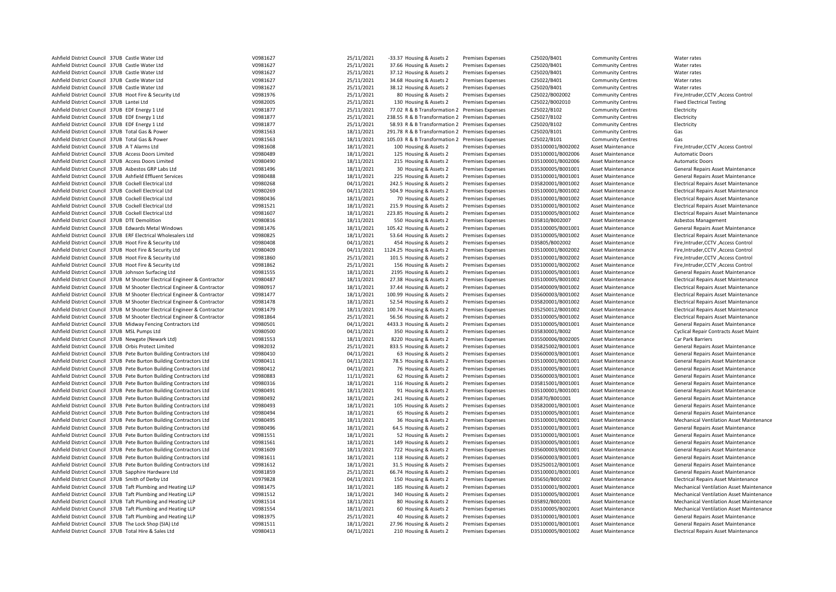| Ashfield District Council 37UB Castle Water Ltd                                                                 | V0981627             | 25/11/2021               | -33.37 Housing & Assets 2                              | <b>Premises Expenses</b> | C25020/B401                            | <b>Community Centres</b> | Water rates                                     |
|-----------------------------------------------------------------------------------------------------------------|----------------------|--------------------------|--------------------------------------------------------|--------------------------|----------------------------------------|--------------------------|-------------------------------------------------|
| Ashfield District Council 37UB Castle Water Ltd                                                                 | V0981627             | 25/11/2021               | 37.66 Housing & Assets 2                               | <b>Premises Expenses</b> | C25020/B401                            | <b>Community Centres</b> | Water rates                                     |
| Ashfield District Council 37UB Castle Water Ltd                                                                 | V0981627             | 25/11/2021               | 37.12 Housing & Assets 2                               | <b>Premises Expenses</b> | C25020/B401                            | <b>Community Centres</b> | Water rates                                     |
| Ashfield District Council 37UB Castle Water Ltd                                                                 | V0981627             | 25/11/2021               | 34.68 Housing & Assets 2                               | <b>Premises Expenses</b> | C25022/B401                            | <b>Community Centres</b> | Water rates                                     |
| Ashfield District Council 37UB Castle Water Ltd                                                                 | V0981627             | 25/11/2021               | 38.12 Housing & Assets 2                               | <b>Premises Expenses</b> | C25020/B401                            | <b>Community Centres</b> | Water rates                                     |
| Ashfield District Council 37UB Hoot Fire & Security Ltd                                                         | V0981976             | 25/11/2021               | 80 Housing & Assets 2                                  | <b>Premises Expenses</b> | C25022/B002002                         | <b>Community Centres</b> | Fire, Intruder, CCTV, Access Control            |
| Ashfield District Council 37UB Lantei Ltd                                                                       | V0982005             | 25/11/2021               | 130 Housing & Assets 2                                 | <b>Premises Expenses</b> | C25022/B002010                         | <b>Community Centres</b> | <b>Fixed Electrical Testing</b>                 |
| Ashfield District Council 37UB EDF Energy 1 Ltd                                                                 | V0981877             | 25/11/2021               | 77.02 R & B Transformation 2 Premises Expenses         |                          | C25022/B102                            | <b>Community Centres</b> | Electricity                                     |
| Ashfield District Council 37UB EDF Energy 1 Ltd                                                                 | V0981877             | 25/11/2021               | 238.55 R & B Transformation 2 Premises Expenses        |                          | C25027/B102                            | <b>Community Centres</b> | Electricity                                     |
| Ashfield District Council 37UB EDF Energy 1 Ltd                                                                 | V0981877             | 25/11/2021               | 58.93 R & B Transformation 2 Premises Expenses         |                          | C25020/B102                            | <b>Community Centres</b> | Electricity                                     |
| Ashfield District Council 37UB Total Gas & Power                                                                | V0981563             | 18/11/2021               | 291.78 R & B Transformation 2 Premises Expenses        |                          | C25020/B101                            | <b>Community Centres</b> | Gas                                             |
| Ashfield District Council 37UB Total Gas & Power                                                                | V0981563             | 18/11/2021               | 105.03 R & B Transformation 2 Premises Expenses        |                          | C25022/B101                            | <b>Community Centres</b> | Gas                                             |
| Ashfield District Council 37UB AT Alarms Ltd                                                                    | V0981608             | 18/11/2021               | 100 Housing & Assets 2                                 | <b>Premises Expenses</b> | D35100001/B002002                      | Asset Maintenance        | Fire, Intruder, CCTV, Access Control            |
| Ashfield District Council 37UB Access Doors Limited                                                             | V0980489             | 18/11/2021               | 125 Housing & Assets 2                                 | <b>Premises Expenses</b> | D35100001/B002006                      | <b>Asset Maintenance</b> | <b>Automatic Doors</b>                          |
| Ashfield District Council 37UB Access Doors Limited                                                             | V0980490             | 18/11/2021               | 215 Housing & Assets 2                                 | <b>Premises Expenses</b> | D35100001/B002006                      | <b>Asset Maintenance</b> | <b>Automatic Doors</b>                          |
| Ashfield District Council 37UB Asbestos GRP Labs Ltd                                                            | V0981496             | 18/11/2021               | 30 Housing & Assets 2                                  | <b>Premises Expenses</b> | D35300005/B001001                      | <b>Asset Maintenance</b> | General Repairs Asset Maintenance               |
| Ashfield District Council 37UB Ashfield Effluent Services                                                       | V0980488             | 18/11/2021               | 225 Housing & Assets 2                                 | <b>Premises Expenses</b> | D35100001/B001001                      | Asset Maintenance        | General Repairs Asset Maintenance               |
| Ashfield District Council 37UB Cockell Electrical Ltd                                                           | V0980268             | 04/11/2021               | 242.5 Housing & Assets 2                               | Premises Expenses        | D35820001/B001002                      | Asset Maintenance        | <b>Electrical Repairs Asset Maintenance</b>     |
| Ashfield District Council 37UB Cockell Electrical Ltd                                                           | V0980269             | 04/11/2021               | 504.9 Housing & Assets 2                               | Premises Expenses        | D35100001/B001002                      | Asset Maintenance        | <b>Electrical Repairs Asset Maintenance</b>     |
| Ashfield District Council 37UB Cockell Electrical Ltd                                                           | V0980436             | 18/11/2021               | 70 Housing & Assets 2                                  | Premises Expenses        | D35100001/B001002                      | Asset Maintenance        | <b>Electrical Repairs Asset Maintenance</b>     |
| Ashfield District Council 37UB Cockell Electrical Ltd                                                           | V0981521             | 18/11/2021               | 215.9 Housing & Assets 2                               | <b>Premises Expenses</b> | D35100001/B001002                      | <b>Asset Maintenance</b> | <b>Electrical Repairs Asset Maintenance</b>     |
| Ashfield District Council 37UB Cockell Electrical Ltd                                                           | V0981607             | 18/11/2021               | 223.85 Housing & Assets 2                              | <b>Premises Expenses</b> | D35100005/B001002                      | <b>Asset Maintenance</b> | <b>Electrical Repairs Asset Maintenance</b>     |
| Ashfield District Council 37UB DTE Demolition                                                                   | V0980816             | 18/11/2021               | 550 Housing & Assets 2                                 | <b>Premises Expenses</b> | D35810/B002007                         | Asset Maintenance        | Asbestos Management                             |
| Ashfield District Council 37UB Edwards Metal Windows                                                            | V0981476             | 18/11/2021               | 105.42 Housing & Assets 2                              | Premises Expenses        | D35100005/B001001                      | Asset Maintenance        | General Repairs Asset Maintenance               |
| Ashfield District Council 37UB ERF Electrical Wholesalers Ltd                                                   | V0980825             | 18/11/2021               | 53.64 Housing & Assets 2                               | Premises Expenses        | D35100005/B001002                      | <b>Asset Maintenance</b> | <b>Electrical Repairs Asset Maintenance</b>     |
| Ashfield District Council 37UB Hoot Fire & Security Ltd                                                         | V0980408             | 04/11/2021               | 454 Housing & Assets 2                                 | <b>Premises Expenses</b> | D35805/B002002                         | <b>Asset Maintenance</b> | Fire, Intruder, CCTV, Access Control            |
|                                                                                                                 |                      |                          |                                                        |                          |                                        |                          |                                                 |
| Ashfield District Council 37UB Hoot Fire & Security Ltd                                                         | V0980409<br>V0981860 | 04/11/2021<br>25/11/2021 | 1124.25 Housing & Assets 2<br>101.5 Housing & Assets 2 | Premises Expenses        | D35100001/B002002                      | <b>Asset Maintenance</b> | Fire, Intruder, CCTV, Access Control            |
| Ashfield District Council 37UB Hoot Fire & Security Ltd                                                         |                      |                          |                                                        | <b>Premises Expenses</b> | D35100001/B002002                      | Asset Maintenance        | Fire, Intruder, CCTV, Access Control            |
| Ashfield District Council 37UB Hoot Fire & Security Ltd<br>Ashfield District Council 37UB Johnson Surfacing Ltd | V0981862<br>V0981555 | 25/11/2021               | 156 Housing & Assets 2                                 | <b>Premises Expenses</b> | D35100001/B002002<br>D35100005/B001001 | Asset Maintenance        | Fire, Intruder, CCTV, Access Control            |
|                                                                                                                 |                      | 18/11/2021               | 2195 Housing & Assets 2                                | Premises Expenses        |                                        | <b>Asset Maintenance</b> | General Repairs Asset Maintenance               |
| Ashfield District Council 37UB M Shooter Electrical Engineer & Contractor                                       | V0980487             | 18/11/2021               | 27.38 Housing & Assets 2                               | <b>Premises Expenses</b> | D35100005/B001002                      | <b>Asset Maintenance</b> | <b>Electrical Repairs Asset Maintenance</b>     |
| Ashfield District Council 37UB M Shooter Electrical Engineer & Contractor                                       | V0980917             | 18/11/2021               | 37.44 Housing & Assets 2                               | <b>Premises Expenses</b> | D35400009/B001002                      | <b>Asset Maintenance</b> | <b>Electrical Repairs Asset Maintenance</b>     |
| Ashfield District Council 37UB M Shooter Electrical Engineer & Contractor                                       | V0981477             | 18/11/2021               | 100.99 Housing & Assets 2                              | Premises Expenses        | D35600003/B001002                      | Asset Maintenance        | <b>Electrical Repairs Asset Maintenance</b>     |
| Ashfield District Council 37UB M Shooter Electrical Engineer & Contractor                                       | V0981478             | 18/11/2021               | 52.54 Housing & Assets 2                               | <b>Premises Expenses</b> | D35820001/B001002                      | <b>Asset Maintenance</b> | <b>Electrical Repairs Asset Maintenance</b>     |
| Ashfield District Council 37UB M Shooter Electrical Engineer & Contractor                                       | V0981479             | 18/11/2021               | 100.74 Housing & Assets 2                              | <b>Premises Expenses</b> | D35250012/B001002                      | <b>Asset Maintenance</b> | <b>Electrical Repairs Asset Maintenance</b>     |
| Ashfield District Council 37UB M Shooter Electrical Engineer & Contractor                                       | V0981864             | 25/11/2021               | 56.56 Housing & Assets 2                               | <b>Premises Expenses</b> | D35100005/B001002                      | <b>Asset Maintenance</b> | <b>Electrical Repairs Asset Maintenance</b>     |
| Ashfield District Council 37UB Midway Fencing Contractors Ltd                                                   | V0980501             | 04/11/2021               | 4433.3 Housing & Assets 2                              | <b>Premises Expenses</b> | D35100005/B001001                      | <b>Asset Maintenance</b> | General Repairs Asset Maintenance               |
| Ashfield District Council 37UB MSL Pumps Ltd                                                                    | V0980500             | 04/11/2021               | 350 Housing & Assets 2                                 | Premises Expenses        | D35830001/B002                         | <b>Asset Maintenance</b> | <b>Cyclical Repair Contracts Asset Maint</b>    |
| Ashfield District Council 37UB Newgate (Newark Ltd)                                                             | V0981553             | 18/11/2021               | 8220 Housing & Assets 2                                | <b>Premises Expenses</b> | D35500006/B002005                      | <b>Asset Maintenance</b> | Car Park Barriers                               |
| Ashfield District Council 37UB Orbis Protect Limited                                                            | V0982032             | 25/11/2021               | 833.5 Housing & Assets 2                               | <b>Premises Expenses</b> | D35825002/B001001                      | <b>Asset Maintenance</b> | General Repairs Asset Maintenance               |
| Ashfield District Council 37UB Pete Burton Building Contractors Ltd                                             | V0980410             | 04/11/2021               | 63 Housing & Assets 2                                  | <b>Premises Expenses</b> | D35600003/B001001                      | Asset Maintenance        | General Repairs Asset Maintenance               |
| Ashfield District Council 37UB Pete Burton Building Contractors Ltd                                             | V0980411             | 04/11/2021               | 78.5 Housing & Assets 2                                | <b>Premises Expenses</b> | D35100001/B001001                      | <b>Asset Maintenance</b> | General Repairs Asset Maintenance               |
| Ashfield District Council 37UB Pete Burton Building Contractors Ltd                                             | V0980412             | 04/11/2021               | 76 Housing & Assets 2                                  | Premises Expenses        | D35100005/B001001                      | Asset Maintenance        | General Repairs Asset Maintenance               |
| Ashfield District Council 37UB Pete Burton Building Contractors Ltd                                             | V0980883             | 11/11/2021               | 62 Housing & Assets 2                                  | <b>Premises Expenses</b> | D35600003/B001001                      | Asset Maintenance        | General Repairs Asset Maintenance               |
| Ashfield District Council 37UB Pete Burton Building Contractors Ltd                                             | V0980316             | 18/11/2021               | 116 Housing & Assets 2                                 | <b>Premises Expenses</b> | D35815001/B001001                      | <b>Asset Maintenance</b> | General Repairs Asset Maintenance               |
| Ashfield District Council 37UB Pete Burton Building Contractors Ltd                                             | V0980491             | 18/11/2021               | 91 Housing & Assets 2                                  | <b>Premises Expenses</b> | D35100001/B001001                      | Asset Maintenance        | General Repairs Asset Maintenance               |
| Ashfield District Council 37UB Pete Burton Building Contractors Ltd                                             | V0980492             | 18/11/2021               | 241 Housing & Assets 2                                 | Premises Expenses        | D35870/B001001                         | Asset Maintenance        | General Repairs Asset Maintenance               |
| Ashfield District Council 37UB Pete Burton Building Contractors Ltd                                             | V0980493             | 18/11/2021               | 105 Housing & Assets 2                                 | Premises Expenses        | D35820001/B001001                      | Asset Maintenance        | General Repairs Asset Maintenance               |
| Ashfield District Council 37UB Pete Burton Building Contractors Ltd                                             | V0980494             | 18/11/2021               | 65 Housing & Assets 2                                  | <b>Premises Expenses</b> | D35100005/B001001                      | <b>Asset Maintenance</b> | General Repairs Asset Maintenance               |
| Ashfield District Council 37UB Pete Burton Building Contractors Ltd                                             | V0980495             | 18/11/2021               | 36 Housing & Assets 2                                  | <b>Premises Expenses</b> | D35100001/B002001                      | Asset Maintenance        | <b>Mechanical Ventilation Asset Maintenance</b> |
| Ashfield District Council 37UB Pete Burton Building Contractors Ltd                                             | V0980496             | 18/11/2021               | 64.5 Housing & Assets 2                                | <b>Premises Expenses</b> | D35100001/B001001                      | <b>Asset Maintenance</b> | General Repairs Asset Maintenance               |
| Ashfield District Council 37UB Pete Burton Building Contractors Ltd                                             | V0981551             | 18/11/2021               | 52 Housing & Assets 2                                  | Premises Expenses        | D35100001/B001001                      | Asset Maintenance        | General Repairs Asset Maintenance               |
| Ashfield District Council 37UB Pete Burton Building Contractors Ltd                                             | V0981561             | 18/11/2021               | 149 Housing & Assets 2                                 | Premises Expenses        | D35300005/B001001                      | Asset Maintenance        | General Repairs Asset Maintenance               |
| Ashfield District Council 37UB Pete Burton Building Contractors Ltd                                             | V0981609             | 18/11/2021               | 722 Housing & Assets 2                                 | <b>Premises Expenses</b> | D35600003/B001001                      | <b>Asset Maintenance</b> | General Repairs Asset Maintenance               |
| Ashfield District Council 37UB Pete Burton Building Contractors Ltd                                             | V0981611             | 18/11/2021               | 118 Housing & Assets 2                                 | <b>Premises Expenses</b> | D35600003/B001001                      | <b>Asset Maintenance</b> | General Repairs Asset Maintenance               |
| Ashfield District Council 37UB Pete Burton Building Contractors Ltd                                             | V0981612             | 18/11/2021               | 31.5 Housing & Assets 2                                | <b>Premises Expenses</b> | D35250012/B001001                      | <b>Asset Maintenance</b> | General Repairs Asset Maintenance               |
| Ashfield District Council 37UB Sapphire Hardware Ltd                                                            | V0981859             | 25/11/2021               | 66.74 Housing & Assets 2                               | <b>Premises Expenses</b> | D35100001/B001001                      | <b>Asset Maintenance</b> | General Repairs Asset Maintenance               |
| Ashfield District Council 37UB Smith of Derby Ltd                                                               | V0979828             | 04/11/2021               | 150 Housing & Assets 2                                 | <b>Premises Expenses</b> | D35650/B001002                         | <b>Asset Maintenance</b> | <b>Electrical Repairs Asset Maintenance</b>     |
| Ashfield District Council 37UB Taft Plumbing and Heating LLP                                                    | V0981475             | 18/11/2021               | 185 Housing & Assets 2                                 | <b>Premises Expenses</b> | D35100001/B002001                      | <b>Asset Maintenance</b> | <b>Mechanical Ventilation Asset Maintenance</b> |
| Ashfield District Council 37UB Taft Plumbing and Heating LLP                                                    | V0981512             | 18/11/2021               | 340 Housing & Assets 2                                 | <b>Premises Expenses</b> | D35100005/B002001                      | <b>Asset Maintenance</b> | <b>Mechanical Ventilation Asset Maintenance</b> |
| Ashfield District Council 37UB Taft Plumbing and Heating LLP                                                    | V0981514             | 18/11/2021               | 80 Housing & Assets 2                                  | <b>Premises Expenses</b> | D35892/B002001                         | <b>Asset Maintenance</b> | <b>Mechanical Ventilation Asset Maintenance</b> |
| Ashfield District Council 37UB Taft Plumbing and Heating LLP                                                    | V0981554             | 18/11/2021               | 60 Housing & Assets 2                                  | <b>Premises Expenses</b> | D35100005/B002001                      | <b>Asset Maintenance</b> | <b>Mechanical Ventilation Asset Maintenance</b> |
| Ashfield District Council 37UB Taft Plumbing and Heating LLP                                                    | V0981975             | 25/11/2021               | 40 Housing & Assets 2                                  | Premises Expenses        | D35100001/B001001                      | <b>Asset Maintenance</b> | General Repairs Asset Maintenance               |
| Ashfield District Council 37UB The Lock Shop (SIA) Ltd                                                          | V0981511             | 18/11/2021               | 27.96 Housing & Assets 2                               | <b>Premises Expenses</b> | D35100001/B001001                      | Asset Maintenance        | General Repairs Asset Maintenance               |
| Ashfield District Council 37UB Total Hire & Sales Ltd                                                           | V0980413             | 04/11/2021               | 210 Housing & Assets 2                                 | <b>Premises Expenses</b> | D35100005/B001002                      | <b>Asset Maintenance</b> | <b>Electrical Repairs Asset Maintenance</b>     |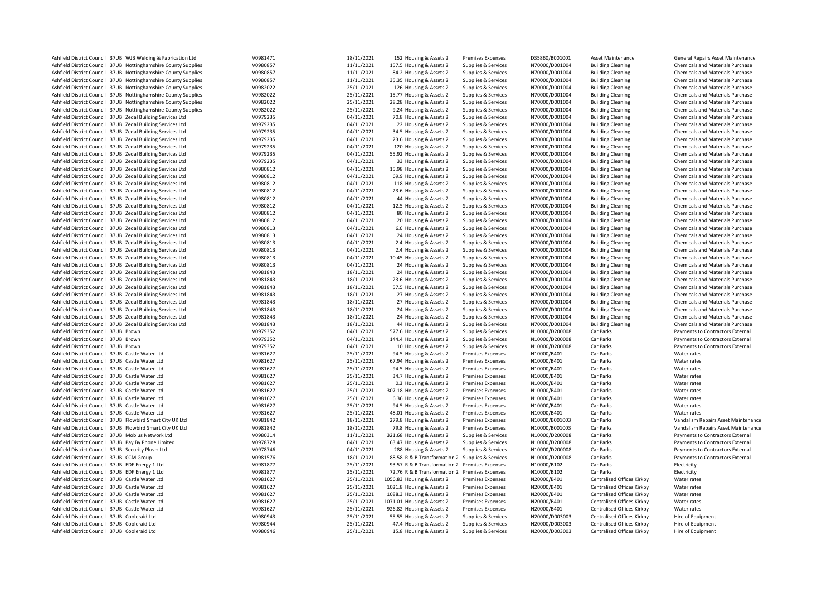| Ashfield District Council 37UB WJB Welding & Fabrication Ltd   | V0981471 | 18/11/2021 | 152 Housing & Assets 2                           | <b>Premises Expenses</b> | D35860/B001001 | Asset Maintenance          | General Repairs Asset Maintenance       |
|----------------------------------------------------------------|----------|------------|--------------------------------------------------|--------------------------|----------------|----------------------------|-----------------------------------------|
| Ashfield District Council 37UB Nottinghamshire County Supplies | V0980857 | 11/11/2021 | 157.5 Housing & Assets 2                         | Supplies & Services      | N70000/D001004 | <b>Building Cleaning</b>   | <b>Chemicals and Materials Purchase</b> |
| Ashfield District Council 37UB Nottinghamshire County Supplies | V0980857 | 11/11/2021 | 84.2 Housing & Assets 2                          | Supplies & Services      | N70000/D001004 | <b>Building Cleaning</b>   | Chemicals and Materials Purchase        |
| Ashfield District Council 37UB Nottinghamshire County Supplies | V0980857 | 11/11/2021 | 35.35 Housing & Assets 2                         | Supplies & Services      | N70000/D001004 | <b>Building Cleaning</b>   | Chemicals and Materials Purchase        |
| Ashfield District Council 37UB Nottinghamshire County Supplies | V0982022 | 25/11/2021 | 126 Housing & Assets 2                           | Supplies & Services      | N70000/D001004 | <b>Building Cleaning</b>   | Chemicals and Materials Purchase        |
| Ashfield District Council 37UB Nottinghamshire County Supplies | V0982022 | 25/11/2021 | 15.77 Housing & Assets 2                         | Supplies & Services      | N70000/D001004 | <b>Building Cleaning</b>   | Chemicals and Materials Purchase        |
| Ashfield District Council 37UB Nottinghamshire County Supplies | V0982022 | 25/11/2021 | 28.28 Housing & Assets 2                         | Supplies & Services      | N70000/D001004 | <b>Building Cleaning</b>   | Chemicals and Materials Purchase        |
| Ashfield District Council 37UB Nottinghamshire County Supplies | V0982022 | 25/11/2021 | 9.24 Housing & Assets 2                          | Supplies & Services      | N70000/D001004 | <b>Building Cleaning</b>   | Chemicals and Materials Purchase        |
| Ashfield District Council 37UB Zedal Building Services Ltd     | V0979235 | 04/11/2021 | 70.8 Housing & Assets 2                          | Supplies & Services      | N70000/D001004 | <b>Building Cleaning</b>   | Chemicals and Materials Purchase        |
| Ashfield District Council 37UB Zedal Building Services Ltd     | V0979235 | 04/11/2021 | 22 Housing & Assets 2                            | Supplies & Services      | N70000/D001004 | <b>Building Cleaning</b>   | Chemicals and Materials Purchase        |
| Ashfield District Council 37UB Zedal Building Services Ltd     | V0979235 | 04/11/2021 | 34.5 Housing & Assets 2                          | Supplies & Services      | N70000/D001004 | <b>Building Cleaning</b>   | Chemicals and Materials Purchase        |
| Ashfield District Council 37UB Zedal Building Services Ltd     | V0979235 | 04/11/2021 | 23.6 Housing & Assets 2                          | Supplies & Services      | N70000/D001004 | <b>Building Cleaning</b>   | Chemicals and Materials Purchase        |
| Ashfield District Council 37UB Zedal Building Services Ltd     | V0979235 | 04/11/2021 | 120 Housing & Assets 2                           | Supplies & Services      | N70000/D001004 | <b>Building Cleaning</b>   | Chemicals and Materials Purchase        |
| Ashfield District Council 37UB Zedal Building Services Ltd     | V0979235 | 04/11/2021 | 55.92 Housing & Assets 2                         | Supplies & Services      | N70000/D001004 | <b>Building Cleaning</b>   | Chemicals and Materials Purchase        |
| Ashfield District Council 37UB Zedal Building Services Ltd     | V0979235 | 04/11/2021 | 33 Housing & Assets 2                            | Supplies & Services      | N70000/D001004 | <b>Building Cleaning</b>   | Chemicals and Materials Purchase        |
| Ashfield District Council 37UB Zedal Building Services Ltd     | V0980812 | 04/11/2021 | 15.98 Housing & Assets 2                         | Supplies & Services      | N70000/D001004 | <b>Building Cleaning</b>   | Chemicals and Materials Purchase        |
| Ashfield District Council 37UB Zedal Building Services Ltd     | V0980812 | 04/11/2021 | 69.9 Housing & Assets 2                          | Supplies & Services      | N70000/D001004 | <b>Building Cleaning</b>   | Chemicals and Materials Purchase        |
| Ashfield District Council 37UB Zedal Building Services Ltd     | V0980812 | 04/11/2021 | 118 Housing & Assets 2                           | Supplies & Services      | N70000/D001004 | <b>Building Cleaning</b>   | Chemicals and Materials Purchase        |
| Ashfield District Council 37UB Zedal Building Services Ltd     | V0980812 | 04/11/2021 | 23.6 Housing & Assets 2                          | Supplies & Services      | N70000/D001004 | <b>Building Cleaning</b>   | Chemicals and Materials Purchase        |
| Ashfield District Council 37UB Zedal Building Services Ltd     | V0980812 | 04/11/2021 | 44 Housing & Assets 2                            | Supplies & Services      | N70000/D001004 | <b>Building Cleaning</b>   | Chemicals and Materials Purchase        |
| Ashfield District Council 37UB Zedal Building Services Ltd     | V0980812 | 04/11/2021 | 12.5 Housing & Assets 2                          | Supplies & Services      | N70000/D001004 | <b>Building Cleaning</b>   | Chemicals and Materials Purchase        |
| Ashfield District Council 37UB Zedal Building Services Ltd     | V0980812 | 04/11/2021 | 80 Housing & Assets 2                            | Supplies & Services      | N70000/D001004 | <b>Building Cleaning</b>   | Chemicals and Materials Purchase        |
| Ashfield District Council 37UB Zedal Building Services Ltd     | V0980812 | 04/11/2021 | 20 Housing & Assets 2                            | Supplies & Services      | N70000/D001004 | <b>Building Cleaning</b>   | Chemicals and Materials Purchase        |
| Ashfield District Council 37UB Zedal Building Services Ltd     |          | 04/11/2021 |                                                  |                          | N70000/D001004 | <b>Building Cleaning</b>   |                                         |
|                                                                | V0980813 |            | 6.6 Housing & Assets 2                           | Supplies & Services      |                |                            | <b>Chemicals and Materials Purchase</b> |
| Ashfield District Council 37UB Zedal Building Services Ltd     | V0980813 | 04/11/2021 | 24 Housing & Assets 2                            | Supplies & Services      | N70000/D001004 | <b>Building Cleaning</b>   | Chemicals and Materials Purchase        |
| Ashfield District Council 37UB Zedal Building Services Ltd     | V0980813 | 04/11/2021 | 2.4 Housing & Assets 2                           | Supplies & Services      | N70000/D001004 | <b>Building Cleaning</b>   | Chemicals and Materials Purchase        |
| Ashfield District Council 37UB Zedal Building Services Ltd     | V0980813 | 04/11/2021 | 2.4 Housing & Assets 2                           | Supplies & Services      | N70000/D001004 | <b>Building Cleaning</b>   | Chemicals and Materials Purchase        |
| Ashfield District Council 37UB Zedal Building Services Ltd     | V0980813 | 04/11/2021 | 10.45 Housing & Assets 2                         | Supplies & Services      | N70000/D001004 | <b>Building Cleaning</b>   | <b>Chemicals and Materials Purchase</b> |
| Ashfield District Council 37UB Zedal Building Services Ltd     | V0980813 | 04/11/2021 | 24 Housing & Assets 2                            | Supplies & Services      | N70000/D001004 | <b>Building Cleaning</b>   | Chemicals and Materials Purchase        |
| Ashfield District Council 37UB Zedal Building Services Ltd     | V0981843 | 18/11/2021 | 24 Housing & Assets 2                            | Supplies & Services      | N70000/D001004 | <b>Building Cleaning</b>   | Chemicals and Materials Purchase        |
| Ashfield District Council 37UB Zedal Building Services Ltd     | V0981843 | 18/11/2021 | 23.6 Housing & Assets 2                          | Supplies & Services      | N70000/D001004 | <b>Building Cleaning</b>   | Chemicals and Materials Purchase        |
| Ashfield District Council 37UB Zedal Building Services Ltd     | V0981843 | 18/11/2021 | 57.5 Housing & Assets 2                          | Supplies & Services      | N70000/D001004 | <b>Building Cleaning</b>   | Chemicals and Materials Purchase        |
| Ashfield District Council 37UB Zedal Building Services Ltd     | V0981843 | 18/11/2021 | 27 Housing & Assets 2                            | Supplies & Services      | N70000/D001004 | <b>Building Cleaning</b>   | Chemicals and Materials Purchase        |
| Ashfield District Council 37UB Zedal Building Services Ltd     | V0981843 | 18/11/2021 | 27 Housing & Assets 2                            | Supplies & Services      | N70000/D001004 | <b>Building Cleaning</b>   | Chemicals and Materials Purchase        |
| Ashfield District Council 37UB Zedal Building Services Ltd     | V0981843 | 18/11/2021 | 24 Housing & Assets 2                            | Supplies & Services      | N70000/D001004 | <b>Building Cleaning</b>   | <b>Chemicals and Materials Purchase</b> |
| Ashfield District Council 37UB Zedal Building Services Ltd     | V0981843 | 18/11/2021 | 24 Housing & Assets 2                            | Supplies & Services      | N70000/D001004 | <b>Building Cleaning</b>   | Chemicals and Materials Purchase        |
| Ashfield District Council 37UB Zedal Building Services Ltd     | V0981843 | 18/11/2021 | 44 Housing & Assets 2                            | Supplies & Services      | N70000/D001004 | <b>Building Cleaning</b>   | Chemicals and Materials Purchase        |
| Ashfield District Council 37UB Brown                           | V0979352 | 04/11/2021 | 577.6 Housing & Assets 2                         | Supplies & Services      | N10000/D200008 | Car Parks                  | Payments to Contractors External        |
| Ashfield District Council 37UB Brown                           | V0979352 | 04/11/2021 | 144.4 Housing & Assets 2                         | Supplies & Services      | N10000/D200008 | Car Parks                  | Payments to Contractors External        |
| Ashfield District Council 37UB Brown                           | V0979352 | 04/11/2021 | 10 Housing & Assets 2                            | Supplies & Services      | N10000/D200008 | Car Parks                  | Payments to Contractors External        |
| Ashfield District Council 37UB Castle Water Ltd                | V0981627 | 25/11/2021 | 94.5 Housing & Assets 2                          | <b>Premises Expenses</b> | N10000/B401    | Car Parks                  | Water rates                             |
| Ashfield District Council 37UB Castle Water Ltd                | V0981627 | 25/11/2021 | 67.94 Housing & Assets 2                         | <b>Premises Expenses</b> | N10000/B401    | Car Parks                  | Water rates                             |
| Ashfield District Council 37UB Castle Water Ltd                | V0981627 | 25/11/2021 | 94.5 Housing & Assets 2                          | Premises Expenses        | N10000/B401    | Car Parks                  | Water rates                             |
| Ashfield District Council 37UB Castle Water Ltd                | V0981627 | 25/11/2021 | 34.7 Housing & Assets 2                          | <b>Premises Expenses</b> | N10000/B401    | Car Parks                  | Water rates                             |
| Ashfield District Council 37UB Castle Water Ltd                | V0981627 | 25/11/2021 | 0.3 Housing & Assets 2                           | Premises Expenses        | N10000/B401    | Car Parks                  | Water rates                             |
| Ashfield District Council 37UB Castle Water Ltd                | V0981627 | 25/11/2021 | 307.18 Housing & Assets 2                        | <b>Premises Expenses</b> | N10000/B401    | Car Parks                  | Water rates                             |
| Ashfield District Council 37UB Castle Water Ltd                | V0981627 | 25/11/2021 | 6.36 Housing & Assets 2                          | Premises Expenses        | N10000/B401    | Car Parks                  | Water rates                             |
| Ashfield District Council 37UB Castle Water Ltd                | V0981627 | 25/11/2021 | 94.5 Housing & Assets 2                          | <b>Premises Expenses</b> | N10000/B401    | Car Parks                  | Water rates                             |
| Ashfield District Council 37UB Castle Water Ltd                | V0981627 | 25/11/2021 | 48.01 Housing & Assets 2                         | <b>Premises Expenses</b> | N10000/B401    | Car Parks                  | Water rates                             |
| Ashfield District Council 37UB Flowbird Smart City UK Ltd      | V0981842 | 18/11/2021 | 279.8 Housing & Assets 2                         | Premises Expenses        | N10000/B001003 | Car Parks                  | Vandalism Repairs Asset Maintenance     |
| Ashfield District Council 37UB Flowbird Smart City UK Ltd      | V0981842 | 18/11/2021 | 79.8 Housing & Assets 2                          | Premises Expenses        | N10000/B001003 | Car Parks                  | Vandalism Repairs Asset Maintenance     |
| Ashfield District Council 37UB Mobius Network Ltd              | V0980314 | 11/11/2021 | 321.68 Housing & Assets 2                        | Supplies & Services      | N10000/D200008 | Car Parks                  | Payments to Contractors External        |
| Ashfield District Council 37UB Pay By Phone Limited            | V0978728 | 04/11/2021 | 63.47 Housing & Assets 2                         | Supplies & Services      | N10000/D200008 | Car Parks                  | Payments to Contractors External        |
| Ashfield District Council 37UB Security Plus + Ltd             | V0978746 | 04/11/2021 | 288 Housing & Assets 2                           | Supplies & Services      | N10000/D200008 | Car Parks                  | Payments to Contractors External        |
| Ashfield District Council 37UB CCM Group                       | V0981576 | 18/11/2021 | 88.58 R & B Transformation 2 Supplies & Services |                          | N10000/D200008 | Car Parks                  | Payments to Contractors External        |
| Ashfield District Council 37UB EDF Energy 1 Ltd                | V0981877 | 25/11/2021 | 93.57 R & B Transformation 2 Premises Expenses   |                          | N10000/B102    | Car Parks                  | Electricity                             |
| Ashfield District Council 37UB EDF Energy 1 Ltd                | V0981877 | 25/11/2021 | 72.76 R & B Transformation 2 Premises Expenses   |                          | N10000/B102    | Car Parks                  | Electricity                             |
| Ashfield District Council 37UB Castle Water Ltd                | V0981627 | 25/11/2021 | 1056.83 Housing & Assets 2                       | Premises Expenses        | N20000/B401    | Centralised Offices Kirkby | Water rates                             |
| Ashfield District Council 37UB Castle Water Ltd                | V0981627 | 25/11/2021 | 1021.8 Housing & Assets 2                        | <b>Premises Expenses</b> | N20000/B401    | Centralised Offices Kirkby | Water rates                             |
| Ashfield District Council 37UB Castle Water Ltd                | V0981627 | 25/11/2021 | 1088.3 Housing & Assets 2                        | <b>Premises Expenses</b> | N20000/B401    | Centralised Offices Kirkby | Water rates                             |
| Ashfield District Council 37UB Castle Water Ltd                | V0981627 | 25/11/2021 | -1071.01 Housing & Assets 2                      | Premises Expenses        | N20000/B401    | Centralised Offices Kirkby | Water rates                             |
| Ashfield District Council 37UB Castle Water Ltd                | V0981627 | 25/11/2021 | -926.82 Housing & Assets 2                       | Premises Expenses        | N20000/B401    | Centralised Offices Kirkby | Water rates                             |
| Ashfield District Council 37UB Cooleraid Ltd                   | V0980943 | 25/11/2021 | 55.55 Housing & Assets 2                         | Supplies & Services      | N20000/D003003 | Centralised Offices Kirkby | Hire of Equipment                       |
| Ashfield District Council 37UB Cooleraid Ltd                   | V0980944 | 25/11/2021 | 47.4 Housing & Assets 2                          | Supplies & Services      | N20000/D003003 | Centralised Offices Kirkby | Hire of Equipment                       |
| Ashfield District Council 37UB Cooleraid Ltd                   | V0980946 | 25/11/2021 | 15.8 Housing & Assets 2                          | Supplies & Services      | N20000/D003003 | Centralised Offices Kirkby | Hire of Equipment                       |
|                                                                |          |            |                                                  |                          |                |                            |                                         |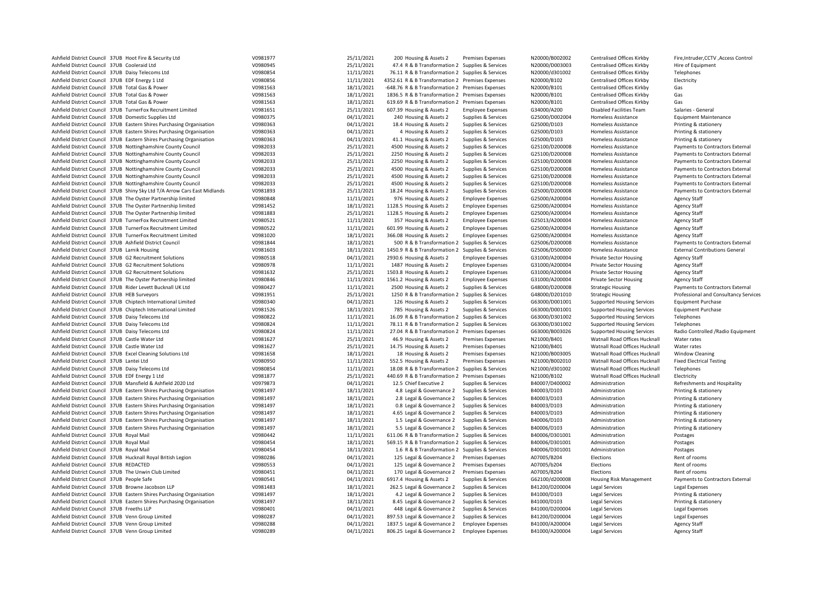| Ashfield District Council 37UB Hoot Fire & Security Ltd                                                            | V0981977             | 25/11/2021               | 200 Housing & Assets 2                            | Premises Expenses        | N20000/B002002                   | Centralised Offices Kirkby        | Fire, Intruder, CCTV, Access Control  |
|--------------------------------------------------------------------------------------------------------------------|----------------------|--------------------------|---------------------------------------------------|--------------------------|----------------------------------|-----------------------------------|---------------------------------------|
| Ashfield District Council 37UB Cooleraid Ltd                                                                       | V0980945             | 25/11/2021               | 47.4 R & B Transformation 2 Supplies & Services   |                          | N20000/D003003                   | Centralised Offices Kirkby        | Hire of Equipment                     |
| Ashfield District Council 37UB Daisy Telecoms Ltd                                                                  | V0980854             | 11/11/2021               | 76.11 R & B Transformation 2 Supplies & Services  |                          | N20000/d301002                   | Centralised Offices Kirkby        | Telephones                            |
| Ashfield District Council 37UB EDF Energy 1 Ltd                                                                    | V0980856             | 11/11/2021               | 4352.61 R & B Transformation 2 Premises Expenses  |                          | N20000/B102                      | Centralised Offices Kirkby        | Electricity                           |
| Ashfield District Council 37UB Total Gas & Power                                                                   | V0981563             | 18/11/2021               | -648.76 R & B Transformation 2 Premises Expenses  |                          | N20000/B101                      | Centralised Offices Kirkby        | Gas                                   |
| Ashfield District Council 37UB Total Gas & Power                                                                   | V0981563             | 18/11/2021               | 1836.5 R & B Transformation 2 Premises Expenses   |                          | N20000/B101                      | Centralised Offices Kirkby        | Gas                                   |
| Ashfield District Council 37UB Total Gas & Power                                                                   | V0981563             | 18/11/2021               | 619.69 R & B Transformation 2 Premises Expenses   |                          | N20000/B101                      | Centralised Offices Kirkby        | Gas                                   |
| Ashfield District Council 37UB TurnerFox Recruitment Limited                                                       | V0981651             | 25/11/2021               | 607.39 Housing & Assets 2                         | <b>Employee Expenses</b> | G34000/A200                      | <b>Disabled Facilities Team</b>   | Salaries - General                    |
| Ashfield District Council 37UB Domestic Supplies Ltd                                                               | V0980375             | 04/11/2021               | 240 Housing & Assets 2                            | Supplies & Services      | G25000/D002004                   | Homeless Assistance               | <b>Equipment Maintenance</b>          |
| Ashfield District Council 37UB Eastern Shires Purchasing Organisation                                              | V0980363             | 04/11/2021               | 18.4 Housing & Assets 2                           | Supplies & Services      | G25000/D103                      | <b>Homeless Assistance</b>        | Printing & stationery                 |
| Ashfield District Council 37UB Eastern Shires Purchasing Organisation                                              | V0980363             | 04/11/2021               | 4 Housing & Assets 2                              | Supplies & Services      | G25000/D103                      | <b>Homeless Assistance</b>        | Printing & stationery                 |
| Ashfield District Council 37UB Eastern Shires Purchasing Organisation                                              | V0980363             | 04/11/2021               | 41.1 Housing & Assets 2                           | Supplies & Services      | G25000/D103                      | Homeless Assistance               | Printing & stationery                 |
| Ashfield District Council 37UB Nottinghamshire County Council                                                      | V0982033             | 25/11/2021               | 4500 Housing & Assets 2                           | Supplies & Services      | G25100/D200008                   | <b>Homeless Assistance</b>        | Payments to Contractors External      |
| Ashfield District Council 37UB Nottinghamshire County Council                                                      | V0982033             | 25/11/2021               | 2250 Housing & Assets 2                           | Supplies & Services      | G25100/D200008                   | Homeless Assistance               | Payments to Contractors External      |
| Ashfield District Council 37UB Nottinghamshire County Council                                                      | V0982033             | 25/11/2021               | 2250 Housing & Assets 2                           | Supplies & Services      | G25100/D200008                   | <b>Homeless Assistance</b>        | Payments to Contractors External      |
| Ashfield District Council 37UB Nottinghamshire County Council                                                      | V0982033             | 25/11/2021               | 4500 Housing & Assets 2                           | Supplies & Services      | G25100/D200008                   | Homeless Assistance               | Payments to Contractors External      |
| Ashfield District Council 37UB Nottinghamshire County Council                                                      | V0982033             | 25/11/2021               | 4500 Housing & Assets 2                           | Supplies & Services      | G25100/D200008                   | <b>Homeless Assistance</b>        | Payments to Contractors External      |
| Ashfield District Council 37UB Nottinghamshire County Council                                                      | V0982033             | 25/11/2021               | 4500 Housing & Assets 2                           | Supplies & Services      | G25100/D200008                   | <b>Homeless Assistance</b>        | Payments to Contractors External      |
| Ashfield District Council 37UB Shiny Sky Ltd T/A Arrow Cars East Midlands                                          | V0981893             | 25/11/2021               | 18.24 Housing & Assets 2                          | Supplies & Services      | G25000/D200008                   | <b>Homeless Assistance</b>        | Payments to Contractors External      |
| Ashfield District Council 37UB The Oyster Partnership limited                                                      | V0980848             | 11/11/2021               | 976 Housing & Assets 2                            | <b>Employee Expenses</b> | G25000/A200004                   | <b>Homeless Assistance</b>        | <b>Agency Staff</b>                   |
| Ashfield District Council 37UB The Oyster Partnership limited                                                      | V0981452             | 18/11/2021               | 1128.5 Housing & Assets 2                         | <b>Employee Expenses</b> | G25000/A200004                   | <b>Homeless Assistance</b>        | Agency Staff                          |
| Ashfield District Council 37UB The Oyster Partnership limited                                                      | V0981883             | 25/11/2021               | 1128.5 Housing & Assets 2                         | <b>Employee Expenses</b> | G25000/A200004                   | Homeless Assistance               | Agency Staff                          |
| Ashfield District Council 37UB TurnerFox Recruitment Limited                                                       | V0980521             | 11/11/2021               | 357 Housing & Assets 2                            | <b>Employee Expenses</b> | G25013/A200004                   | <b>Homeless Assistance</b>        | Agency Staff                          |
| Ashfield District Council 37UB TurnerFox Recruitment Limited                                                       | V0980522             | 11/11/2021               | 601.99 Housing & Assets 2                         | <b>Employee Expenses</b> | G25000/A200004                   | <b>Homeless Assistance</b>        | Agency Staff                          |
| Ashfield District Council 37UB TurnerFox Recruitment Limited                                                       | V0981020             | 18/11/2021               | 366.08 Housing & Assets 2                         | <b>Employee Expenses</b> | G25000/A200004                   | <b>Homeless Assistance</b>        | <b>Agency Staff</b>                   |
| Ashfield District Council 37UB Ashfield District Council                                                           | V0981844             | 18/11/2021               | 500 R & B Transformation 2 Supplies & Services    |                          | G25006/D200008                   | <b>Homeless Assistance</b>        | Payments to Contractors External      |
|                                                                                                                    |                      |                          |                                                   |                          |                                  |                                   |                                       |
| Ashfield District Council 37UB Larnik Housing                                                                      | V0981603<br>V0980518 | 18/11/2021               | 1450.9 R & B Transformation 2 Supplies & Services |                          | G25006/D500000                   | <b>Homeless Assistance</b>        | <b>External Contributions General</b> |
| Ashfield District Council 37UB G2 Recruitment Solutions                                                            | V0980978             | 04/11/2021               | 2930.6 Housing & Assets 2                         | <b>Employee Expenses</b> | G31000/A200004                   | <b>Private Sector Housing</b>     | Agency Staff                          |
| Ashfield District Council 37UB G2 Recruitment Solutions<br>Ashfield District Council 37UB G2 Recruitment Solutions | V0981632             | 11/11/2021<br>25/11/2021 | 1487 Housing & Assets 2                           | <b>Employee Expenses</b> | G31000/A200004<br>G31000/A200004 | <b>Private Sector Housing</b>     | Agency Staff                          |
|                                                                                                                    |                      |                          | 1503.8 Housing & Assets 2                         | <b>Employee Expenses</b> |                                  | <b>Private Sector Housing</b>     | <b>Agency Staff</b>                   |
| Ashfield District Council 37UB The Oyster Partnership limited                                                      | V0980846             | 11/11/2021               | 1561.2 Housing & Assets 2                         | <b>Employee Expenses</b> | G31000/A200004                   | <b>Private Sector Housing</b>     | Agency Staff                          |
| Ashfield District Council 37UB Rider Levett Bucknall UK Ltd                                                        | V0980427             | 11/11/2021               | 2500 Housing & Assets 2                           | Supplies & Services      | G48000/D200008                   | <b>Strategic Housing</b>          | Payments to Contractors External      |
| Ashfield District Council 37UB HEB Surveyors                                                                       | V0981951             | 25/11/2021               | 1250 R & B Transformation 2 Supplies & Services   |                          | G48000/D201010                   | <b>Strategic Housing</b>          | Professional and Consultancy Services |
| Ashfield District Council 37UB Chiptech International Limited                                                      | V0980340             | 04/11/2021               | 126 Housing & Assets 2                            | Supplies & Services      | G63000/D001001                   | <b>Supported Housing Services</b> | <b>Equipment Purchase</b>             |
| Ashfield District Council 37UB Chiptech International Limited                                                      | V0981526             | 18/11/2021               | 785 Housing & Assets 2                            | Supplies & Services      | G63000/D001001                   | <b>Supported Housing Services</b> | <b>Equipment Purchase</b>             |
| Ashfield District Council 37UB Daisy Telecoms Ltd                                                                  | V0980822             | 11/11/2021               | 16.09 R & B Transformation 2 Supplies & Services  |                          | G63000/D301002                   | <b>Supported Housing Services</b> | Telephones                            |
| Ashfield District Council 37UB Daisy Telecoms Ltd                                                                  | V0980824             | 11/11/2021               | 78.11 R & B Transformation 2 Supplies & Services  |                          | G63000/D301002                   | <b>Supported Housing Services</b> | Telephones                            |
| Ashfield District Council 37UB Daisy Telecoms Ltd                                                                  | V0980824             | 11/11/2021               | 27.04 R & B Transformation 2 Premises Expenses    |                          | G63000/B003026                   | <b>Supported Housing Services</b> | Radio Controlled / Radio Equipment    |
| Ashfield District Council 37UB Castle Water Ltd                                                                    | V0981627             | 25/11/2021               | 46.9 Housing & Assets 2                           | <b>Premises Expenses</b> | N21000/B401                      | Watnall Road Offices Hucknall     | Water rates                           |
| Ashfield District Council 37UB Castle Water Ltd                                                                    | V0981627             | 25/11/2021               | 14.75 Housing & Assets 2                          | <b>Premises Expenses</b> | N21000/B401                      | Watnall Road Offices Hucknall     | Water rates                           |
| Ashfield District Council 37UB Excel Cleaning Solutions Ltd                                                        | V0981658             | 18/11/2021               | 18 Housing & Assets 2                             | <b>Premises Expenses</b> | N21000/B003005                   | Watnall Road Offices Hucknall     | <b>Window Cleaning</b>                |
| Ashfield District Council 37UB Lantei Ltd                                                                          | V0980950             | 11/11/2021               | 552.5 Housing & Assets 2                          | Premises Expenses        | N21000/B002010                   | Watnall Road Offices Hucknall     | <b>Fixed Electrical Testing</b>       |
| Ashfield District Council 37UB Daisy Telecoms Ltd                                                                  | V0980854             | 11/11/2021               | 18.08 R & B Transformation 2 Supplies & Services  |                          | N21000/d301002                   | Watnall Road Offices Hucknall     | Telephones                            |
| Ashfield District Council 37UB EDF Energy 1 Ltd                                                                    | V0981877             | 25/11/2021               | 440.69 R & B Transformation 2 Premises Expenses   |                          | N21000/B102                      | Watnall Road Offices Hucknall     | Electricity                           |
| Ashfield District Council 37UB Mansfield & Ashfield 2020 Ltd                                                       | V0979873             | 04/11/2021               | 12.5 Chief Executive 2                            | Supplies & Services      | B40007/D400002                   | Administration                    | Refreshments and Hospitality          |
| Ashfield District Council 37UB Eastern Shires Purchasing Organisation                                              | V0981497             | 18/11/2021               | 4.8 Legal & Governance 2 Supplies & Services      |                          | B40003/D103                      | Administration                    | Printing & stationery                 |
| Ashfield District Council 37UB Eastern Shires Purchasing Organisation                                              | V0981497             | 18/11/2021               | 2.8 Legal & Governance 2                          | Supplies & Services      | B40003/D103                      | Administration                    | Printing & stationery                 |
| Ashfield District Council 37UB Eastern Shires Purchasing Organisation                                              | V0981497             | 18/11/2021               | 0.8 Legal & Governance 2                          | Supplies & Services      | B40003/D103                      | Administration                    | Printing & stationery                 |
| Ashfield District Council 37UB Eastern Shires Purchasing Organisation                                              | V0981497             | 18/11/2021               | 4.65 Legal & Governance 2                         | Supplies & Services      | B40003/D103                      | Administration                    | Printing & stationery                 |
| Ashfield District Council 37UB Eastern Shires Purchasing Organisation                                              | V0981497             | 18/11/2021               | 1.5 Legal & Governance 2                          | Supplies & Services      | B40006/D103                      | Administration                    | Printing & stationery                 |
| Ashfield District Council 37UB Eastern Shires Purchasing Organisation                                              | V0981497             | 18/11/2021               | 5.5 Legal & Governance 2                          | Supplies & Services      | B40006/D103                      | Administration                    | Printing & stationery                 |
| Ashfield District Council 37UB Royal Mail                                                                          | V0980442             | 11/11/2021               | 611.06 R & B Transformation 2 Supplies & Services |                          | B40006/D301001                   | Administration                    | Postages                              |
| Ashfield District Council 37UB Royal Mail                                                                          | V0980454             | 18/11/2021               | 569.15 R & B Transformation 2 Supplies & Services |                          | B40006/D301001                   | Administration                    | Postages                              |
| Ashfield District Council 37UB Royal Mail                                                                          | V0980454             | 18/11/2021               | 1.6 R & B Transformation 2 Supplies & Services    |                          | B40006/D301001                   | Administration                    | Postages                              |
| Ashfield District Council 37UB Hucknall Royal British Legion                                                       | V0980286             | 04/11/2021               | 125 Legal & Governance 2                          | <b>Premises Expenses</b> | A07005/B204                      | Elections                         | Rent of rooms                         |
| Ashfield District Council 37UB REDACTED                                                                            | V0980553             | 04/11/2021               | 125 Legal & Governance 2                          | <b>Premises Expenses</b> | A07005/b204                      | Elections                         | Rent of rooms                         |
| Ashfield District Council 37UB The Unwin Club Limited                                                              | V0980451             | 04/11/2021               | 170 Legal & Governance 2                          | <b>Premises Expenses</b> | A07005/B204                      | Elections                         | Rent of rooms                         |
| Ashfield District Council 37UB People Safe                                                                         | V0980541             | 04/11/2021               | 6917.4 Housing & Assets 2                         | Supplies & Services      | G62100/d200008                   | <b>Housing Risk Management</b>    | Payments to Contractors External      |
| Ashfield District Council 37UB Browne Jacobson LLP                                                                 | V0981483             | 18/11/2021               | 262.5 Legal & Governance 2                        | Supplies & Services      | B41200/D200004                   | Legal Services                    | Legal Expenses                        |
| Ashfield District Council 37UB Eastern Shires Purchasing Organisation                                              | V0981497             | 18/11/2021               | 4.2 Legal & Governance 2                          | Supplies & Services      | B41000/D103                      | <b>Legal Services</b>             | Printing & stationery                 |
| Ashfield District Council 37UB Eastern Shires Purchasing Organisation                                              | V0981497             | 18/11/2021               | 8.45 Legal & Governance 2                         | Supplies & Services      | B41000/D103                      | Legal Services                    | Printing & stationery                 |
| Ashfield District Council 37UB Freeths LLP                                                                         | V0980401             | 04/11/2021               | 448 Legal & Governance 2                          | Supplies & Services      | B41000/D200004                   | Legal Services                    | Legal Expenses                        |
| Ashfield District Council 37UB Venn Group Limited                                                                  | V0980287             | 04/11/2021               | 897.53 Legal & Governance 2                       | Supplies & Services      | B41200/D200004                   | Legal Services                    | Legal Expenses                        |
| Ashfield District Council 37UB Venn Group Limited                                                                  | V0980288             | 04/11/2021               | 1837.5 Legal & Governance 2 Employee Expenses     |                          | B41000/A200004                   | Legal Services                    | <b>Agency Staff</b>                   |
| Ashfield District Council 37UB Venn Group Limited                                                                  | V0980289             | 04/11/2021               | 806.25 Legal & Governance 2                       | <b>Employee Expenses</b> | B41000/A200004                   | <b>Legal Services</b>             | <b>Agency Staff</b>                   |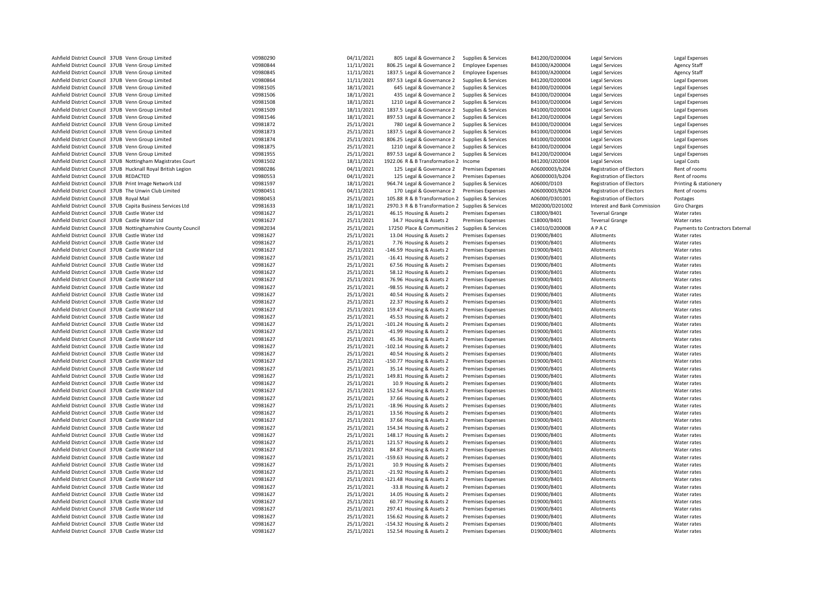| Ashfield District Council 37UB Venn Group Limited             | V0980290 | 04/11/2021 | 805 Legal & Governance 2                          | Supplies & Services      | B41200/D200004 | Legal Services                  | Legal Expenses                   |
|---------------------------------------------------------------|----------|------------|---------------------------------------------------|--------------------------|----------------|---------------------------------|----------------------------------|
|                                                               |          |            |                                                   |                          |                |                                 |                                  |
| Ashfield District Council 37UB Venn Group Limited             | V0980844 | 11/11/2021 | 806.25 Legal & Governance 2                       | <b>Employee Expenses</b> | B41000/A200004 | Legal Services                  | <b>Agency Staff</b>              |
| Ashfield District Council 37UB Venn Group Limited             | V0980845 | 11/11/2021 | 1837.5 Legal & Governance 2                       | <b>Employee Expenses</b> | B41000/A200004 | <b>Legal Services</b>           | <b>Agency Staff</b>              |
| Ashfield District Council 37UB Venn Group Limited             | V0980864 | 11/11/2021 | 897.53 Legal & Governance 2                       | Supplies & Services      | B41200/D200004 | <b>Legal Services</b>           | Legal Expenses                   |
| Ashfield District Council 37UB Venn Group Limited             | V0981505 | 18/11/2021 | 645 Legal & Governance 2                          | Supplies & Services      | B41000/D200004 | Legal Services                  | Legal Expenses                   |
| Ashfield District Council 37UB Venn Group Limited             | V0981506 | 18/11/2021 | 435 Legal & Governance 2                          | Supplies & Services      | B41000/D200004 | <b>Legal Services</b>           | Legal Expenses                   |
|                                                               | V0981508 |            |                                                   |                          | B41000/D200004 |                                 |                                  |
| Ashfield District Council 37UB Venn Group Limited             |          | 18/11/2021 | 1210 Legal & Governance 2                         | Supplies & Services      |                | Legal Services                  | Legal Expenses                   |
| Ashfield District Council 37UB Venn Group Limited             | V0981509 | 18/11/2021 | 1837.5 Legal & Governance 2                       | Supplies & Services      | B41000/D200004 | <b>Legal Services</b>           | Legal Expenses                   |
| Ashfield District Council 37UB Venn Group Limited             | V0981546 | 18/11/2021 | 897.53 Legal & Governance 2                       | Supplies & Services      | B41200/D200004 | <b>Legal Services</b>           | <b>Legal Expenses</b>            |
| Ashfield District Council 37UB Venn Group Limited             | V0981872 | 25/11/2021 | 780 Legal & Governance 2                          | Supplies & Services      | B41000/D200004 | Legal Services                  | Legal Expenses                   |
| Ashfield District Council 37UB Venn Group Limited             | V0981873 | 25/11/2021 | 1837.5 Legal & Governance 2                       | Supplies & Services      | B41000/D200004 | <b>Legal Services</b>           | Legal Expenses                   |
| Ashfield District Council 37UB Venn Group Limited             | V0981874 |            |                                                   |                          | B41000/D200004 |                                 |                                  |
|                                                               |          | 25/11/2021 | 806.25 Legal & Governance 2                       | Supplies & Services      |                | Legal Services                  | <b>Legal Expenses</b>            |
| Ashfield District Council 37UB Venn Group Limited             | V0981875 | 25/11/2021 | 1210 Legal & Governance 2                         | Supplies & Services      | B41000/D200004 | Legal Services                  | Legal Expenses                   |
| Ashfield District Council 37UB Venn Group Limited             | V0981955 | 25/11/2021 | 897.53 Legal & Governance 2                       | Supplies & Services      | B41200/D200004 | <b>Legal Services</b>           | Legal Expenses                   |
| Ashfield District Council 37UB Nottingham Magistrates Court   | V0981502 | 18/11/2021 | 1922.06 R & B Transformation 2 Income             |                          | B41200/J202004 | Legal Services                  | Legal Costs                      |
| Ashfield District Council 37UB Hucknall Royal British Legion  | V0980286 | 04/11/2021 | 125 Legal & Governance 2                          | <b>Premises Expenses</b> | A06000003/b204 | <b>Registration of Electors</b> | Rent of rooms                    |
| Ashfield District Council 37UB REDACTED                       | V0980553 | 04/11/2021 | 125 Legal & Governance 2                          | <b>Premises Expenses</b> | A06000003/b204 | <b>Registration of Electors</b> | Rent of rooms                    |
|                                                               |          |            |                                                   |                          |                |                                 |                                  |
| Ashfield District Council 37UB Print Image Network Ltd        | V0981597 | 18/11/2021 | 964.74 Legal & Governance 2                       | Supplies & Services      | A06000/D103    | <b>Registration of Electors</b> | Printing & stationery            |
| Ashfield District Council 37UB The Unwin Club Limited         | V0980451 | 04/11/2021 | 170 Legal & Governance 2                          | <b>Premises Expenses</b> | A06000003/B204 | <b>Registration of Electors</b> | Rent of rooms                    |
| Ashfield District Council 37UB Royal Mail                     | V0980453 | 25/11/2021 | 105.88 R & B Transformation 2 Supplies & Services |                          | A06000/D301001 | <b>Registration of Electors</b> | Postages                         |
| Ashfield District Council 37UB Capita Business Services Ltd   | V0981633 | 18/11/2021 | 2970.3 R & B Transformation 2                     | Supplies & Services      | M02000/D201002 | Interest and Bank Commission    | <b>Giro Charges</b>              |
|                                                               |          |            |                                                   |                          |                |                                 |                                  |
| Ashfield District Council 37UB Castle Water Ltd               | V0981627 | 25/11/2021 | 46.15 Housing & Assets 2                          | <b>Premises Expenses</b> | C18000/B401    | <b>Teversal Grange</b>          | Water rates                      |
| Ashfield District Council 37UB Castle Water Ltd               | V0981627 | 25/11/2021 | 34.7 Housing & Assets 2                           | <b>Premises Expenses</b> | C18000/B401    | <b>Teversal Grange</b>          | Water rates                      |
| Ashfield District Council 37UB Nottinghamshire County Council | V0982034 | 25/11/2021 | 17250 Place & Communities 2                       | Supplies & Services      | C14010/D200008 | APAC                            | Payments to Contractors External |
| Ashfield District Council 37UB Castle Water Ltd               | V0981627 | 25/11/2021 | 13.04 Housing & Assets 2                          | <b>Premises Expenses</b> | D19000/B401    | Allotments                      | Water rates                      |
| Ashfield District Council 37UB Castle Water Ltd               | V0981627 | 25/11/2021 | 7.76 Housing & Assets 2                           | <b>Premises Expenses</b> | D19000/B401    | Allotments                      | Water rates                      |
|                                                               |          |            |                                                   |                          |                |                                 |                                  |
| Ashfield District Council 37UB Castle Water Ltd               | V0981627 | 25/11/2021 | -146.59 Housing & Assets 2                        | <b>Premises Expenses</b> | D19000/B401    | Allotments                      | Water rates                      |
| Ashfield District Council 37UB Castle Water Ltd               | V0981627 | 25/11/2021 | -16.41 Housing & Assets 2                         | Premises Expenses        | D19000/B401    | Allotments                      | Water rates                      |
| Ashfield District Council 37UB Castle Water Ltd               | V0981627 | 25/11/2021 | 67.56 Housing & Assets 2                          | <b>Premises Expenses</b> | D19000/B401    | Allotments                      | Water rates                      |
| Ashfield District Council 37UB Castle Water Ltd               | V0981627 | 25/11/2021 | 58.12 Housing & Assets 2                          | <b>Premises Expenses</b> | D19000/B401    | Allotments                      | Water rates                      |
| Ashfield District Council 37UB Castle Water Ltd               | V0981627 | 25/11/2021 | 76.96 Housing & Assets 2                          | <b>Premises Expenses</b> | D19000/B401    | Allotments                      | Water rates                      |
|                                                               |          |            |                                                   |                          |                |                                 |                                  |
| Ashfield District Council 37UB Castle Water Ltd               | V0981627 | 25/11/2021 | -98.55 Housing & Assets 2                         | <b>Premises Expenses</b> | D19000/B401    | Allotments                      | Water rates                      |
| Ashfield District Council 37UB Castle Water Ltd               | V0981627 | 25/11/2021 | 40.54 Housing & Assets 2                          | <b>Premises Expenses</b> | D19000/B401    | Allotments                      | Water rates                      |
| Ashfield District Council 37UB Castle Water Ltd               | V0981627 | 25/11/2021 | 22.37 Housing & Assets 2                          | <b>Premises Expenses</b> | D19000/B401    | Allotments                      | Water rates                      |
| Ashfield District Council 37UB Castle Water Ltd               | V0981627 | 25/11/2021 | 159.47 Housing & Assets 2                         | <b>Premises Expenses</b> | D19000/B401    | Allotments                      | Water rates                      |
| Ashfield District Council 37UB Castle Water Ltd               | V0981627 | 25/11/2021 | 45.53 Housing & Assets 2                          | <b>Premises Expenses</b> | D19000/B401    | Allotments                      | Water rates                      |
|                                                               |          |            |                                                   |                          |                |                                 |                                  |
| Ashfield District Council 37UB Castle Water Ltd               | V0981627 | 25/11/2021 | -101.24 Housing & Assets 2                        | <b>Premises Expenses</b> | D19000/B401    | Allotments                      | Water rates                      |
| Ashfield District Council 37UB Castle Water Ltd               | V0981627 | 25/11/2021 | -41.99 Housing & Assets 2                         | Premises Expenses        | D19000/B401    | Allotments                      | Water rates                      |
| Ashfield District Council 37UB Castle Water Ltd               | V0981627 | 25/11/2021 | 45.36 Housing & Assets 2                          | <b>Premises Expenses</b> | D19000/B401    | Allotments                      | Water rates                      |
| Ashfield District Council 37UB Castle Water Ltd               | V0981627 | 25/11/2021 | -102.14 Housing & Assets 2                        | <b>Premises Expenses</b> | D19000/B401    | Allotments                      | Water rates                      |
| Ashfield District Council 37UB Castle Water Ltd               | V0981627 | 25/11/2021 | 40.54 Housing & Assets 2                          | <b>Premises Expenses</b> | D19000/B401    | Allotments                      | Water rates                      |
|                                                               |          |            |                                                   |                          |                |                                 |                                  |
| Ashfield District Council 37UB Castle Water Ltd               | V0981627 | 25/11/2021 | -150.77 Housing & Assets 2                        | <b>Premises Expenses</b> | D19000/B401    | Allotments                      | Water rates                      |
| Ashfield District Council 37UB Castle Water Ltd               | V0981627 | 25/11/2021 | 35.14 Housing & Assets 2                          | <b>Premises Expenses</b> | D19000/B401    | Allotments                      | Water rates                      |
| Ashfield District Council 37UB Castle Water Ltd               | V0981627 | 25/11/2021 | 149.81 Housing & Assets 2                         | <b>Premises Expenses</b> | D19000/B401    | Allotments                      | Water rates                      |
| Ashfield District Council 37UB Castle Water Ltd               | V0981627 | 25/11/2021 | 10.9 Housing & Assets 2                           | <b>Premises Expenses</b> | D19000/B401    | Allotments                      | Water rates                      |
| Ashfield District Council 37UB Castle Water Ltd               | V0981627 | 25/11/2021 | 152.54 Housing & Assets 2                         | <b>Premises Expenses</b> | D19000/B401    | Allotments                      | Water rates                      |
|                                                               |          |            |                                                   |                          |                |                                 |                                  |
| Ashfield District Council 37UB Castle Water Ltd               | V0981627 | 25/11/2021 | 37.66 Housing & Assets 2                          | <b>Premises Expenses</b> | D19000/B401    | Allotments                      | Water rates                      |
| Ashfield District Council 37UB Castle Water Ltd               | V0981627 | 25/11/2021 | -18.96 Housing & Assets 2                         | <b>Premises Expenses</b> | D19000/B401    | Allotments                      | Water rates                      |
| Ashfield District Council 37UB Castle Water Ltd               | V0981627 | 25/11/2021 | 13.56 Housing & Assets 2                          | <b>Premises Expenses</b> | D19000/B401    | Allotments                      | Water rates                      |
| Ashfield District Council 37UB Castle Water Ltd               | V0981627 | 25/11/2021 | 37.66 Housing & Assets 2                          | <b>Premises Expenses</b> | D19000/B401    | Allotments                      | Water rates                      |
| Ashfield District Council 37UB Castle Water Ltd               | V0981627 | 25/11/2021 | 154.34 Housing & Assets 2                         | <b>Premises Expenses</b> | D19000/B401    | Allotments                      | Water rates                      |
|                                                               |          |            |                                                   |                          |                |                                 |                                  |
| Ashfield District Council 37UB Castle Water Ltd               | V0981627 | 25/11/2021 | 148.17 Housing & Assets 2                         | <b>Premises Expenses</b> | D19000/B401    | Allotments                      | Water rates                      |
| Ashfield District Council 37UB Castle Water Ltd               | V0981627 | 25/11/2021 | 121.57 Housing & Assets 2                         | <b>Premises Expenses</b> | D19000/B401    | Allotments                      | Water rates                      |
| Ashfield District Council 37UB Castle Water Ltd               | V0981627 | 25/11/2021 | 84.87 Housing & Assets 2                          | <b>Premises Expenses</b> | D19000/B401    | Allotments                      | Water rates                      |
| Ashfield District Council 37UB Castle Water Ltd               | V0981627 | 25/11/2021 | -159.63 Housing & Assets 2                        | <b>Premises Expenses</b> | D19000/B401    | Allotments                      | Water rates                      |
| Ashfield District Council 37UB Castle Water Ltd               | V0981627 | 25/11/2021 | 10.9 Housing & Assets 2                           | <b>Premises Expenses</b> | D19000/B401    | Allotments                      | Water rates                      |
|                                                               |          |            |                                                   |                          |                |                                 |                                  |
| Ashfield District Council 37UB Castle Water Ltd               | V0981627 | 25/11/2021 | -21.92 Housing & Assets 2                         | <b>Premises Expenses</b> | D19000/B401    | Allotments                      | Water rates                      |
| Ashfield District Council 37UB Castle Water Ltd               | V0981627 | 25/11/2021 | -121.48 Housing & Assets 2                        | <b>Premises Expenses</b> | D19000/B401    | Allotments                      | Water rates                      |
| Ashfield District Council 37UB Castle Water Ltd               | V0981627 | 25/11/2021 | -33.8 Housing & Assets 2                          | <b>Premises Expenses</b> | D19000/B401    | Allotments                      | Water rates                      |
| Ashfield District Council 37UB Castle Water Ltd               | V0981627 | 25/11/2021 | 14.05 Housing & Assets 2                          | <b>Premises Expenses</b> | D19000/B401    | Allotments                      | Water rates                      |
| Ashfield District Council 37UB Castle Water Ltd               |          | 25/11/2021 |                                                   |                          | D19000/B401    | Allotments                      |                                  |
|                                                               | V0981627 |            | 60.77 Housing & Assets 2                          | <b>Premises Expenses</b> |                |                                 | Water rates                      |
| Ashfield District Council 37UB Castle Water Ltd               | V0981627 | 25/11/2021 | 297.41 Housing & Assets 2                         | <b>Premises Expenses</b> | D19000/B401    | Allotments                      | Water rates                      |
| Ashfield District Council 37UB Castle Water Ltd               | V0981627 | 25/11/2021 | 156.62 Housing & Assets 2                         | <b>Premises Expenses</b> | D19000/B401    | Allotments                      | Water rates                      |
| Ashfield District Council 37UB Castle Water Ltd               | V0981627 | 25/11/2021 | -154.32 Housing & Assets 2                        | <b>Premises Expenses</b> | D19000/B401    | Allotments                      | Water rates                      |
| Ashfield District Council 37UB Castle Water Ltd               | V0981627 | 25/11/2021 | 152.54 Housing & Assets 2                         | <b>Premises Expenses</b> | D19000/B401    | Allotments                      | Water rates                      |
|                                                               |          |            |                                                   |                          |                |                                 |                                  |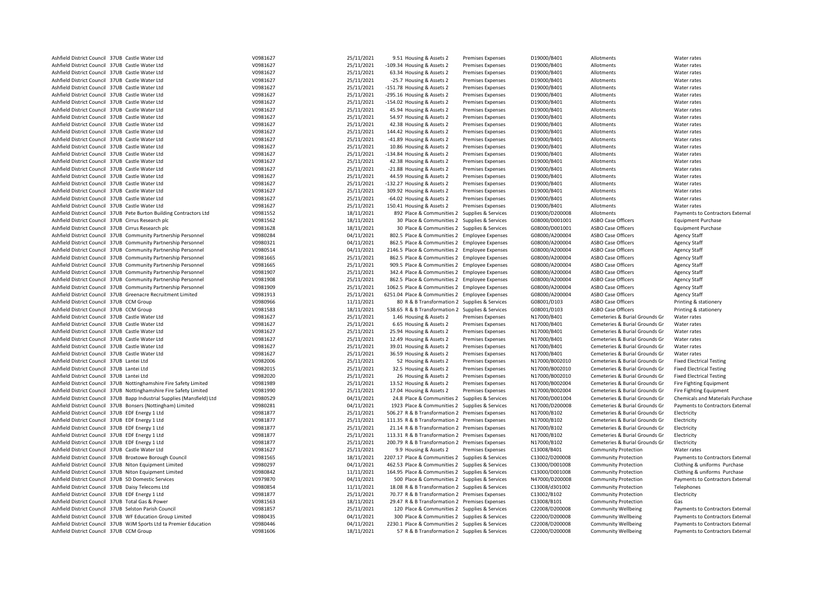| Ashfield District Council 37UB Castle Water Ltd                         | V0981627 | 25/11/2021 | 9.51 Housing & Assets 2                           | Premises Expenses        | D19000/B401    | Allotments                     | Water rates                      |
|-------------------------------------------------------------------------|----------|------------|---------------------------------------------------|--------------------------|----------------|--------------------------------|----------------------------------|
|                                                                         |          |            |                                                   |                          |                |                                |                                  |
| Ashfield District Council 37UB Castle Water Ltd                         | V0981627 | 25/11/2021 | -109.34 Housing & Assets 2                        | Premises Expenses        | D19000/B401    | Allotments                     | Water rates                      |
| Ashfield District Council 37UB Castle Water Ltd                         | V0981627 | 25/11/2021 | 63.34 Housing & Assets 2                          | Premises Expenses        | D19000/B401    | Allotments                     | Water rates                      |
| Ashfield District Council 37UB Castle Water Ltd                         | V0981627 | 25/11/2021 | -25.7 Housing & Assets 2                          | Premises Expenses        | D19000/B401    | Allotments                     | Water rates                      |
| Ashfield District Council 37UB Castle Water Ltd                         | V0981627 | 25/11/2021 | -151.78 Housing & Assets 2                        | <b>Premises Expenses</b> | D19000/B401    | Allotments                     | Water rates                      |
| Ashfield District Council 37UB Castle Water Ltd                         | V0981627 | 25/11/2021 | -295.16 Housing & Assets 2                        | <b>Premises Expenses</b> | D19000/B401    | Allotments                     | Water rates                      |
| Ashfield District Council 37UB Castle Water Ltd                         | V0981627 | 25/11/2021 | -154.02 Housing & Assets 2                        | Premises Expenses        | D19000/B401    | Allotments                     | Water rates                      |
| Ashfield District Council 37UB Castle Water Ltd                         | V0981627 | 25/11/2021 | 45.94 Housing & Assets 2                          | <b>Premises Expenses</b> | D19000/B401    | Allotments                     |                                  |
|                                                                         |          |            |                                                   |                          |                |                                | Water rates                      |
| Ashfield District Council 37UB Castle Water Ltd                         | V0981627 | 25/11/2021 | 54.97 Housing & Assets 2                          | Premises Expenses        | D19000/B401    | Allotments                     | Water rates                      |
| Ashfield District Council 37UB Castle Water Ltd                         | V0981627 | 25/11/2021 | 42.38 Housing & Assets 2                          | <b>Premises Expenses</b> | D19000/B401    | Allotments                     | Water rates                      |
| Ashfield District Council 37UB Castle Water Ltd                         | V0981627 | 25/11/2021 | 144.42 Housing & Assets 2                         | <b>Premises Expenses</b> | D19000/B401    | Allotments                     | Water rates                      |
| Ashfield District Council 37UB Castle Water Ltd                         | V0981627 | 25/11/2021 | -41.89 Housing & Assets 2                         | <b>Premises Expenses</b> | D19000/B401    | Allotments                     | Water rates                      |
| Ashfield District Council 37UB Castle Water Ltd                         | V0981627 | 25/11/2021 | 10.86 Housing & Assets 2                          | Premises Expenses        | D19000/B401    | Allotments                     | Water rates                      |
| Ashfield District Council 37UB Castle Water Ltd                         | V0981627 | 25/11/2021 | -134.84 Housing & Assets 2                        | Premises Expenses        | D19000/B401    | Allotments                     | Water rates                      |
|                                                                         |          |            |                                                   |                          |                |                                |                                  |
| Ashfield District Council 37UB Castle Water Ltd                         | V0981627 | 25/11/2021 | 42.38 Housing & Assets 2                          | Premises Expenses        | D19000/B401    | Allotments                     | Water rates                      |
| Ashfield District Council 37UB Castle Water Ltd                         | V0981627 | 25/11/2021 | -21.88 Housing & Assets 2                         | Premises Expenses        | D19000/B401    | Allotments                     | Water rates                      |
| Ashfield District Council 37UB Castle Water Ltd                         | V0981627 | 25/11/2021 | 44.59 Housing & Assets 2                          | <b>Premises Expenses</b> | D19000/B401    | Allotments                     | Water rates                      |
| Ashfield District Council 37UB Castle Water Ltd                         | V0981627 | 25/11/2021 | -132.27 Housing & Assets 2                        | Premises Expenses        | D19000/B401    | Allotments                     | Water rates                      |
| Ashfield District Council 37UB Castle Water Ltd                         | V0981627 | 25/11/2021 | 309.92 Housing & Assets 2                         | <b>Premises Expenses</b> | D19000/B401    | Allotments                     | Water rates                      |
| Ashfield District Council 37UB Castle Water Ltd                         | V0981627 | 25/11/2021 | -64.02 Housing & Assets 2                         | <b>Premises Expenses</b> | D19000/B401    | Allotments                     | Water rates                      |
|                                                                         |          |            |                                                   |                          |                |                                |                                  |
| Ashfield District Council 37UB Castle Water Ltd                         | V0981627 | 25/11/2021 | 150.41 Housing & Assets 2                         | <b>Premises Expenses</b> | D19000/B401    | Allotments                     | Water rates                      |
| Ashfield District Council 37UB Pete Burton Building Contractors Ltd     | V0981552 | 18/11/2021 | 892 Place & Communities 2 Supplies & Services     |                          | D19000/D200008 | Allotments                     | Payments to Contractors External |
| Ashfield District Council 37UB Cirrus Research plc                      | V0981562 | 18/11/2021 | 30 Place & Communities 2 Supplies & Services      |                          | G08000/D001001 | <b>ASBO Case Officers</b>      | <b>Equipment Purchase</b>        |
| Ashfield District Council 37UB Cirrus Research plc                      | V0981628 | 18/11/2021 | 30 Place & Communities 2 Supplies & Services      |                          | G08000/D001001 | <b>ASBO Case Officers</b>      | <b>Equipment Purchase</b>        |
| Ashfield District Council 37UB Community Partnership Personnel          | V0980284 | 04/11/2021 | 802.5 Place & Communities 2 Employee Expenses     |                          | G08000/A200004 | <b>ASBO Case Officers</b>      | <b>Agency Staff</b>              |
| Ashfield District Council 37UB Community Partnership Personnel          | V0980321 | 04/11/2021 | 862.5 Place & Communities 2 Employee Expenses     |                          | G08000/A200004 | <b>ASBO Case Officers</b>      |                                  |
|                                                                         |          |            |                                                   |                          |                |                                | <b>Agency Staff</b>              |
| Ashfield District Council 37UB Community Partnership Personnel          | V0980514 | 04/11/2021 | 2146.5 Place & Communities 2 Employee Expenses    |                          | G08000/A200004 | <b>ASBO Case Officers</b>      | <b>Agency Staff</b>              |
| Ashfield District Council 37UB Community Partnership Personnel          | V0981665 | 25/11/2021 | 862.5 Place & Communities 2 Employee Expenses     |                          | G08000/A200004 | <b>ASBO Case Officers</b>      | <b>Agency Staff</b>              |
| Ashfield District Council 37UB Community Partnership Personnel          | V0981665 | 25/11/2021 | 909.5 Place & Communities 2 Employee Expenses     |                          | G08000/A200004 | <b>ASBO Case Officers</b>      | <b>Agency Staff</b>              |
| Ashfield District Council 37UB Community Partnership Personnel          | V0981907 | 25/11/2021 | 342.4 Place & Communities 2 Employee Expenses     |                          | G08000/A200004 | <b>ASBO Case Officers</b>      | <b>Agency Staff</b>              |
| Ashfield District Council 37UB Community Partnership Personnel          | V0981908 | 25/11/2021 | 862.5 Place & Communities 2 Employee Expenses     |                          | G08000/A200004 | <b>ASBO Case Officers</b>      | <b>Agency Staff</b>              |
| Ashfield District Council 37UB Community Partnership Personnel          | V0981909 | 25/11/2021 | 1062.5 Place & Communities 2 Employee Expenses    |                          | G08000/A200004 | <b>ASBO Case Officers</b>      | <b>Agency Staff</b>              |
|                                                                         |          |            |                                                   |                          |                |                                |                                  |
| Ashfield District Council 37UB Greenacre Recruitment Limited            | V0981913 | 25/11/2021 | 6251.04 Place & Communities 2 Employee Expenses   |                          | G08000/A200004 | <b>ASBO Case Officers</b>      | <b>Agency Staff</b>              |
| Ashfield District Council 37UB CCM Group                                | V0980966 | 11/11/2021 | 80 R & B Transformation 2 Supplies & Services     |                          | G08001/D103    | <b>ASBO Case Officers</b>      | Printing & stationery            |
| Ashfield District Council 37UB CCM Group                                | V0981583 | 18/11/2021 | 538.65 R & B Transformation 2 Supplies & Services |                          | G08001/D103    | <b>ASBO Case Officers</b>      | Printing & stationery            |
| Ashfield District Council 37UB Castle Water Ltd                         | V0981627 | 25/11/2021 | 1.46 Housing & Assets 2                           | <b>Premises Expenses</b> | N17000/B401    | Cemeteries & Burial Grounds Gr | Water rates                      |
| Ashfield District Council 37UB Castle Water Ltd                         | V0981627 | 25/11/2021 | 6.65 Housing & Assets 2                           | Premises Expenses        | N17000/B401    | Cemeteries & Burial Grounds Gr | Water rates                      |
| Ashfield District Council 37UB Castle Water Ltd                         | V0981627 | 25/11/2021 | 25.94 Housing & Assets 2                          | Premises Expenses        | N17000/B401    | Cemeteries & Burial Grounds Gr | Water rates                      |
| Ashfield District Council 37UB Castle Water Ltd                         |          | 25/11/2021 |                                                   |                          |                |                                |                                  |
|                                                                         | V0981627 |            | 12.49 Housing & Assets 2                          | <b>Premises Expenses</b> | N17000/B401    | Cemeteries & Burial Grounds Gr | Water rates                      |
| Ashfield District Council 37UB Castle Water Ltd                         | V0981627 | 25/11/2021 | 39.01 Housing & Assets 2                          | <b>Premises Expenses</b> | N17000/B401    | Cemeteries & Burial Grounds Gr | Water rates                      |
| Ashfield District Council 37UB Castle Water Ltd                         | V0981627 | 25/11/2021 | 36.59 Housing & Assets 2                          | <b>Premises Expenses</b> | N17000/B401    | Cemeteries & Burial Grounds Gr | Water rates                      |
| Ashfield District Council 37UB Lantei Ltd                               | V0982006 | 25/11/2021 | 52 Housing & Assets 2                             | Premises Expenses        | N17000/B002010 | Cemeteries & Burial Grounds Gr | <b>Fixed Electrical Testing</b>  |
| Ashfield District Council 37UB Lantei Ltd                               | V0982015 | 25/11/2021 | 32.5 Housing & Assets 2                           | <b>Premises Expenses</b> | N17000/B002010 | Cemeteries & Burial Grounds Gr | <b>Fixed Electrical Testing</b>  |
| Ashfield District Council 37UB Lantei Ltd                               | V0982020 | 25/11/2021 | 26 Housing & Assets 2                             | Premises Expenses        | N17000/B002010 | Cemeteries & Burial Grounds Gr | <b>Fixed Electrical Testing</b>  |
| Ashfield District Council 37UB Nottinghamshire Fire Safety Limited      | V0981989 | 25/11/2021 | 13.52 Housing & Assets 2                          | <b>Premises Expenses</b> | N17000/B002004 | Cemeteries & Burial Grounds Gr | Fire Fighting Equipment          |
|                                                                         |          |            |                                                   |                          |                |                                |                                  |
| Ashfield District Council 37UB Nottinghamshire Fire Safety Limited      | V0981990 | 25/11/2021 | 17.04 Housing & Assets 2                          | <b>Premises Expenses</b> | N17000/B002004 | Cemeteries & Burial Grounds Gr | Fire Fighting Equipment          |
| Ashfield District Council 37UB Bapp Industrial Supplies (Mansfield) Ltd | V0980529 | 04/11/2021 | 24.8 Place & Communities 2 Supplies & Services    |                          | N17000/D001004 | Cemeteries & Burial Grounds Gr | Chemicals and Materials Purchase |
| Ashfield District Council 37UB Bonsers (Nottingham) Limited             | V0980281 | 04/11/2021 | 1923 Place & Communities 2 Supplies & Services    |                          | N17000/D200008 | Cemeteries & Burial Grounds Gr | Payments to Contractors External |
| Ashfield District Council 37UB EDF Energy 1 Ltd                         | V0981877 | 25/11/2021 | 506.27 R & B Transformation 2 Premises Expenses   |                          | N17000/B102    | Cemeteries & Burial Grounds Gr | Electricity                      |
| Ashfield District Council 37UB EDF Energy 1 Ltd                         | V0981877 | 25/11/2021 | 111.35 R & B Transformation 2 Premises Expenses   |                          | N17000/B102    | Cemeteries & Burial Grounds Gr | Electricity                      |
| Ashfield District Council 37UB EDF Energy 1 Ltd                         | V0981877 | 25/11/2021 | 21.14 R & B Transformation 2 Premises Expenses    |                          | N17000/B102    | Cemeteries & Burial Grounds Gr | Electricity                      |
| Ashfield District Council 37UB EDF Energy 1 Ltd                         | V0981877 |            | 113.31 R & B Transformation 2 Premises Expenses   |                          | N17000/B102    | Cemeteries & Burial Grounds Gr |                                  |
|                                                                         |          | 25/11/2021 |                                                   |                          |                |                                | Electricity                      |
| Ashfield District Council 37UB EDF Energy 1 Ltd                         | V0981877 | 25/11/2021 | 200.79 R & B Transformation 2 Premises Expenses   |                          | N17000/B102    | Cemeteries & Burial Grounds Gr | Electricity                      |
| Ashfield District Council 37UB Castle Water Ltd                         | V0981627 | 25/11/2021 | 9.9 Housing & Assets 2                            | <b>Premises Expenses</b> | C13008/B401    | <b>Community Protection</b>    | Water rates                      |
| Ashfield District Council 37UB Broxtowe Borough Council                 | V0981565 | 18/11/2021 | 2207.17 Place & Communities 2 Supplies & Services |                          | C13002/D200008 | <b>Community Protection</b>    | Payments to Contractors External |
| Ashfield District Council 37UB Niton Equipment Limited                  | V0980297 | 04/11/2021 | 462.53 Place & Communities 2 Supplies & Services  |                          | C13000/D001008 | <b>Community Protection</b>    | Clothing & uniforms Purchase     |
| Ashfield District Council 37UB Niton Equipment Limited                  | V0980842 | 11/11/2021 | 164.95 Place & Communities 2 Supplies & Services  |                          | C13000/D001008 | <b>Community Protection</b>    | Clothing & uniforms Purchase     |
| Ashfield District Council 37UB SD Domestic Services                     |          | 04/11/2021 |                                                   |                          | N47000/D200008 |                                |                                  |
|                                                                         | V0979870 |            | 500 Place & Communities 2 Supplies & Services     |                          |                | <b>Community Protection</b>    | Payments to Contractors External |
| Ashfield District Council 37UB Daisy Telecoms Ltd                       | V0980854 | 11/11/2021 | 18.08 R & B Transformation 2 Supplies & Services  |                          | C13008/d301002 | <b>Community Protection</b>    | Telephones                       |
| Ashfield District Council 37UB EDF Energy 1 Ltd                         | V0981877 | 25/11/2021 | 70.77 R & B Transformation 2 Premises Expenses    |                          | C13002/B102    | <b>Community Protection</b>    | Electricity                      |
| Ashfield District Council 37UB Total Gas & Power                        | V0981563 | 18/11/2021 | 29.47 R & B Transformation 2 Premises Expenses    |                          | C13008/B101    | <b>Community Protection</b>    | Gas                              |
| Ashfield District Council 37UB Selston Parish Council                   | V0981857 | 25/11/2021 | 120 Place & Communities 2 Supplies & Services     |                          | C22008/D200008 | <b>Community Wellbeing</b>     | Payments to Contractors External |
| Ashfield District Council 37UB WF Education Group Limited               | V0980435 | 04/11/2021 | 300 Place & Communities 2 Supplies & Services     |                          | C22000/D200008 | <b>Community Wellbeing</b>     | Payments to Contractors External |
| Ashfield District Council 37UB WJM Sports Ltd ta Premier Education      | V0980446 | 04/11/2021 | 2230.1 Place & Communities 2 Supplies & Services  |                          | C22008/D200008 | <b>Community Wellbeing</b>     | Payments to Contractors External |
|                                                                         |          |            |                                                   |                          |                |                                |                                  |
| Ashfield District Council 37UB CCM Group                                | V0981606 | 18/11/2021 | 57 R & B Transformation 2 Supplies & Services     |                          | C22000/D200008 | <b>Community Wellbeing</b>     | Payments to Contractors External |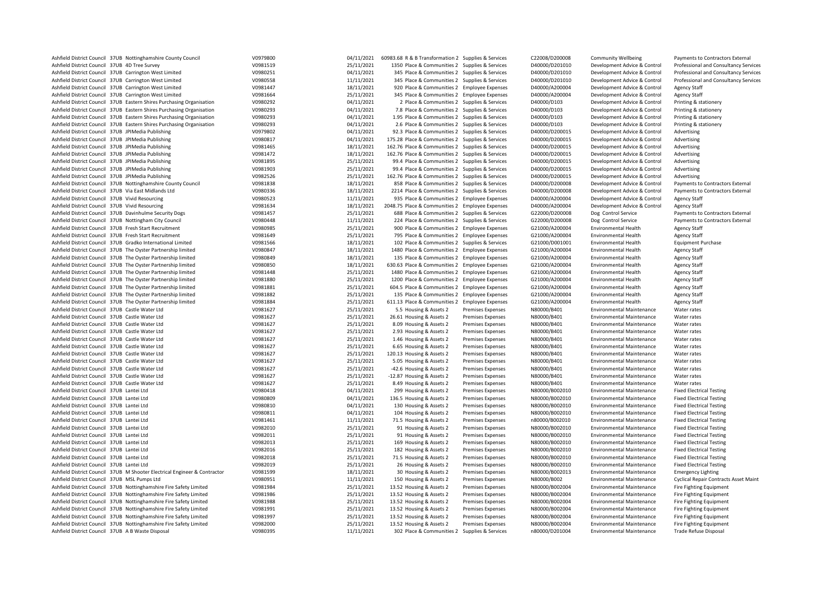| Ashfield District Council 37UB Nottinghamshire County Council             | V0979800             | 04/11/2021 | 60983.68 R & B Transformation 2 Supplies & Services |                          | C22008/D200008                   | <b>Community Wellbeing</b>       | Payments to Contractors External             |
|---------------------------------------------------------------------------|----------------------|------------|-----------------------------------------------------|--------------------------|----------------------------------|----------------------------------|----------------------------------------------|
| Ashfield District Council 37UB 4D Tree Survey                             | V0981519             | 25/11/2021 | 1350 Place & Communities 2 Supplies & Services      |                          | D40000/D201010                   | Development Advice & Control     | Professional and Consultancy Services        |
| Ashfield District Council 37UB Carrington West Limited                    | V0980251             | 04/11/2021 | 345 Place & Communities 2 Supplies & Services       |                          | D40000/D201010                   | Development Advice & Control     | Professional and Consultancy Services        |
| Ashfield District Council 37UB Carrington West Limited                    | V0980558             | 11/11/2021 | 345 Place & Communities 2 Supplies & Services       |                          | D40000/D201010                   | Development Advice & Control     | Professional and Consultancy Services        |
| Ashfield District Council 37UB Carrington West Limited                    | V0981447             | 18/11/2021 | 920 Place & Communities 2 Employee Expenses         |                          | D40000/A200004                   | Development Advice & Control     | <b>Agency Staff</b>                          |
| Ashfield District Council 37UB Carrington West Limited                    | V0981664             | 25/11/2021 | 345 Place & Communities 2 Employee Expenses         |                          | D40000/A200004                   | Development Advice & Control     | <b>Agency Staff</b>                          |
| Ashfield District Council 37UB Eastern Shires Purchasing Organisation     | V0980292             | 04/11/2021 | 2 Place & Communities 2 Supplies & Services         |                          | D40000/D103                      | Development Advice & Control     | Printing & stationery                        |
| Ashfield District Council 37UB Eastern Shires Purchasing Organisation     | V0980293             | 04/11/2021 | 7.8 Place & Communities 2 Supplies & Services       |                          | D40000/D103                      | Development Advice & Control     | Printing & stationery                        |
| Ashfield District Council 37UB Eastern Shires Purchasing Organisation     | V0980293             | 04/11/2021 | 1.95 Place & Communities 2 Supplies & Services      |                          | D40000/D103                      | Development Advice & Control     | Printing & stationery                        |
| Ashfield District Council 37UB Eastern Shires Purchasing Organisation     | V0980293             | 04/11/2021 | 2.6 Place & Communities 2 Supplies & Services       |                          | D40000/D103                      | Development Advice & Control     | Printing & stationery                        |
| Ashfield District Council 37UB JPIMedia Publishing                        | V0979802             | 04/11/2021 | 92.3 Place & Communities 2 Supplies & Services      |                          | D40000/D200015                   | Development Advice & Control     | Advertising                                  |
| Ashfield District Council 37UB JPIMedia Publishing                        | V0980817             | 04/11/2021 | 175.28 Place & Communities 2 Supplies & Services    |                          | D40000/D200015                   | Development Advice & Control     | Advertising                                  |
| Ashfield District Council 37UB JPIMedia Publishing                        | V0981465             | 18/11/2021 | 162.76 Place & Communities 2 Supplies & Services    |                          | D40000/D200015                   | Development Advice & Control     | Advertising                                  |
| Ashfield District Council 37UB JPIMedia Publishing                        | V0981472             | 18/11/2021 | 162.76 Place & Communities 2 Supplies & Services    |                          | D40000/D200015                   | Development Advice & Control     | Advertising                                  |
| Ashfield District Council 37UB JPIMedia Publishing                        | V0981895             | 25/11/2021 | 99.4 Place & Communities 2 Supplies & Services      |                          | D40000/D200015                   | Development Advice & Control     | Advertising                                  |
| Ashfield District Council 37UB JPIMedia Publishing                        | V0981903             | 25/11/2021 | 99.4 Place & Communities 2 Supplies & Services      |                          | D40000/D200015                   | Development Advice & Control     | Advertising                                  |
| Ashfield District Council 37UB JPIMedia Publishing                        | V0982526             | 25/11/2021 | 162.76 Place & Communities 2 Supplies & Services    |                          | D40000/D200015                   | Development Advice & Control     | Advertising                                  |
| Ashfield District Council 37UB Nottinghamshire County Council             | V0981838             | 18/11/2021 | 858 Place & Communities 2 Supplies & Services       |                          | D40000/D200008                   | Development Advice & Control     | Payments to Contractors External             |
| Ashfield District Council 37UB Via East Midlands Ltd                      | V0980336             | 18/11/2021 | 2214 Place & Communities 2 Supplies & Services      |                          | D40000/D200008                   | Development Advice & Control     | Payments to Contractors External             |
| Ashfield District Council 37UB Vivid Resourcing                           | V0980523             | 11/11/2021 | 935 Place & Communities 2 Employee Expenses         |                          | D40000/A200004                   | Development Advice & Control     | <b>Agency Staff</b>                          |
| Ashfield District Council 37UB Vivid Resourcing                           | V0981634             | 18/11/2021 | 2048.75 Place & Communities 2 Employee Expenses     |                          | D40000/A200004                   | Development Advice & Control     | Agency Staff                                 |
| Ashfield District Council 37UB Davinhulme Security Dogs                   | V0981457             | 25/11/2021 | 688 Place & Communities 2 Supplies & Services       |                          | G22000/D200008                   | Dog Control Service              | Payments to Contractors External             |
| Ashfield District Council 37UB Nottingham City Council                    | V0980448             | 11/11/2021 | 224 Place & Communities 2 Supplies & Services       |                          | G22000/D200008                   | Dog Control Service              | Payments to Contractors External             |
| Ashfield District Council 37UB Fresh Start Recruitment                    | V0980985             | 25/11/2021 | 900 Place & Communities 2 Employee Expenses         |                          | G21000/A200004                   | <b>Environmental Health</b>      | <b>Agency Staff</b>                          |
| Ashfield District Council 37UB Fresh Start Recruitment                    | V0981649             | 25/11/2021 | 795 Place & Communities 2 Employee Expenses         |                          | G21000/A200004                   | <b>Environmental Health</b>      | Agency Staff                                 |
|                                                                           | V0981566             | 18/11/2021 |                                                     |                          |                                  | <b>Environmental Health</b>      |                                              |
| Ashfield District Council 37UB Gradko International Limited               | V0980847             | 18/11/2021 | 102 Place & Communities 2 Supplies & Services       |                          | G21000/D001001<br>G21000/A200004 |                                  | <b>Equipment Purchase</b>                    |
| Ashfield District Council 37UB The Oyster Partnership limited             |                      |            | 1480 Place & Communities 2 Employee Expenses        |                          |                                  | <b>Environmental Health</b>      | <b>Agency Staff</b>                          |
| Ashfield District Council 37UB The Oyster Partnership limited             | V0980849<br>V0980850 | 18/11/2021 | 135 Place & Communities 2 Employee Expenses         |                          | G21000/A200004                   | <b>Environmental Health</b>      | <b>Agency Staff</b>                          |
| Ashfield District Council 37UB The Oyster Partnership limited             |                      | 18/11/2021 | 630.63 Place & Communities 2 Employee Expenses      |                          | G21000/A200004                   | <b>Environmental Health</b>      | Agency Staff                                 |
| Ashfield District Council 37UB The Oyster Partnership limited             | V0981448             | 25/11/2021 | 1480 Place & Communities 2 Employee Expenses        |                          | G21000/A200004                   | <b>Environmental Health</b>      | <b>Agency Staff</b>                          |
| Ashfield District Council 37UB The Oyster Partnership limited             | V0981880             | 25/11/2021 | 1200 Place & Communities 2 Employee Expenses        |                          | G21000/A200004                   | <b>Environmental Health</b>      | Agency Staff                                 |
| Ashfield District Council 37UB The Oyster Partnership limited             | V0981881             | 25/11/2021 | 604.5 Place & Communities 2 Employee Expenses       |                          | G21000/A200004                   | <b>Environmental Health</b>      | <b>Agency Staff</b>                          |
| Ashfield District Council 37UB The Oyster Partnership limited             | V0981882             | 25/11/2021 | 135 Place & Communities 2 Employee Expenses         |                          | G21000/A200004                   | <b>Environmental Health</b>      | <b>Agency Staff</b>                          |
| Ashfield District Council 37UB The Oyster Partnership limited             | V0981884             | 25/11/2021 | 611.13 Place & Communities 2 Employee Expenses      |                          | G21000/A200004                   | <b>Environmental Health</b>      | Agency Staff                                 |
| Ashfield District Council 37UB Castle Water Ltd                           | V0981627             | 25/11/2021 | 5.5 Housing & Assets 2                              | <b>Premises Expenses</b> | N80000/B401                      | <b>Environmental Maintenance</b> | Water rates                                  |
| Ashfield District Council 37UB Castle Water Ltd                           | V0981627             | 25/11/2021 | 26.61 Housing & Assets 2                            | Premises Expenses        | N80000/B401                      | <b>Environmental Maintenance</b> | Water rates                                  |
| Ashfield District Council 37UB Castle Water Ltd                           | V0981627             | 25/11/2021 | 8.09 Housing & Assets 2                             | <b>Premises Expenses</b> | N80000/B401                      | <b>Environmental Maintenance</b> | Water rates                                  |
| Ashfield District Council 37UB Castle Water Ltd                           | V0981627             | 25/11/2021 | 2.93 Housing & Assets 2                             | <b>Premises Expenses</b> | N80000/B401                      | <b>Environmental Maintenance</b> | Water rates                                  |
| Ashfield District Council 37UB Castle Water Ltd                           | V0981627             | 25/11/2021 | 1.46 Housing & Assets 2                             | <b>Premises Expenses</b> | N80000/B401                      | <b>Environmental Maintenance</b> | Water rates                                  |
| Ashfield District Council 37UB Castle Water Ltd                           | V0981627             | 25/11/2021 | 6.65 Housing & Assets 2                             | <b>Premises Expenses</b> | N80000/B401                      | <b>Environmental Maintenance</b> | Water rates                                  |
| Ashfield District Council 37UB Castle Water Ltd                           | V0981627             | 25/11/2021 | 120.13 Housing & Assets 2                           | <b>Premises Expenses</b> | N80000/B401                      | <b>Environmental Maintenance</b> | Water rates                                  |
| Ashfield District Council 37UB Castle Water Ltd                           | V0981627             | 25/11/2021 | 5.05 Housing & Assets 2                             | <b>Premises Expenses</b> | N80000/B401                      | <b>Environmental Maintenance</b> | Water rates                                  |
| Ashfield District Council 37UB Castle Water Ltd                           | V0981627             | 25/11/2021 | -42.6 Housing & Assets 2                            | <b>Premises Expenses</b> | N80000/B401                      | <b>Environmental Maintenance</b> | Water rates                                  |
| Ashfield District Council 37UB Castle Water Ltd                           | V0981627             | 25/11/2021 | -12.87 Housing & Assets 2                           | <b>Premises Expenses</b> | N80000/B401                      | <b>Environmental Maintenance</b> | Water rates                                  |
| Ashfield District Council 37UB Castle Water Ltd                           | V0981627             | 25/11/2021 | 8.49 Housing & Assets 2                             | <b>Premises Expenses</b> | N80000/B401                      | <b>Environmental Maintenance</b> | Water rates                                  |
| Ashfield District Council 37UB Lantei Ltd                                 | V0980418             | 04/11/2021 | 299 Housing & Assets 2                              | <b>Premises Expenses</b> | N80000/B002010                   | <b>Environmental Maintenance</b> | <b>Fixed Electrical Testing</b>              |
| Ashfield District Council 37UB Lantei Ltd                                 | V0980809             | 04/11/2021 | 136.5 Housing & Assets 2                            | <b>Premises Expenses</b> | N80000/B002010                   | <b>Environmental Maintenance</b> | <b>Fixed Electrical Testing</b>              |
| Ashfield District Council 37UB Lantei Ltd                                 | V0980810             | 04/11/2021 | 130 Housing & Assets 2                              | <b>Premises Expenses</b> | N80000/B002010                   | <b>Environmental Maintenance</b> | <b>Fixed Electrical Testing</b>              |
| Ashfield District Council 37UB Lantei Ltd                                 | V0980811             | 04/11/2021 | 104 Housing & Assets 2                              | <b>Premises Expenses</b> | N80000/B002010                   | <b>Environmental Maintenance</b> | <b>Fixed Electrical Testing</b>              |
| Ashfield District Council 37UB Lantei Ltd                                 | V0981461             | 11/11/2021 | 71.5 Housing & Assets 2                             | <b>Premises Expenses</b> | n80000/B002010                   | <b>Environmental Maintenance</b> | <b>Fixed Electrical Testing</b>              |
| Ashfield District Council 37UB Lantei Ltd                                 | V0982010             | 25/11/2021 | 91 Housing & Assets 2                               | <b>Premises Expenses</b> | N80000/B002010                   | <b>Environmental Maintenance</b> | <b>Fixed Electrical Testing</b>              |
| Ashfield District Council 37UB Lantei Ltd                                 | V0982011             | 25/11/2021 | 91 Housing & Assets 2                               | <b>Premises Expenses</b> | N80000/B002010                   | <b>Environmental Maintenance</b> | <b>Fixed Electrical Testing</b>              |
| Ashfield District Council 37UB Lantei Ltd                                 | V0982013             | 25/11/2021 | 169 Housing & Assets 2                              | <b>Premises Expenses</b> | N80000/B002010                   | <b>Environmental Maintenance</b> | <b>Fixed Electrical Testing</b>              |
| Ashfield District Council 37UB Lantei Ltd                                 | V0982016             | 25/11/2021 | 182 Housing & Assets 2                              | <b>Premises Expenses</b> | N80000/B002010                   | <b>Environmental Maintenance</b> | <b>Fixed Electrical Testing</b>              |
| Ashfield District Council 37UB Lantei Ltd                                 | V0982018             | 25/11/2021 | 71.5 Housing & Assets 2                             | <b>Premises Expenses</b> | N80000/B002010                   | <b>Environmental Maintenance</b> | <b>Fixed Electrical Testing</b>              |
| Ashfield District Council 37UB Lantei Ltd                                 | V0982019             | 25/11/2021 | 26 Housing & Assets 2                               | <b>Premises Expenses</b> | N80000/B002010                   | <b>Environmental Maintenance</b> | <b>Fixed Electrical Testing</b>              |
| Ashfield District Council 37UB M Shooter Electrical Engineer & Contractor | V0981599             | 18/11/2021 | 30 Housing & Assets 2                               | <b>Premises Expenses</b> | N80000/B002013                   | <b>Environmental Maintenance</b> | <b>Emergency Lighting</b>                    |
| Ashfield District Council 37UB MSL Pumps Ltd                              | V0980951             | 11/11/2021 | 150 Housing & Assets 2                              | <b>Premises Expenses</b> | N80000/B002                      | <b>Environmental Maintenance</b> | <b>Cyclical Repair Contracts Asset Maint</b> |
| Ashfield District Council 37UB Nottinghamshire Fire Safety Limited        | V0981984             | 25/11/2021 | 13.52 Housing & Assets 2                            | <b>Premises Expenses</b> | N80000/B002004                   | <b>Environmental Maintenance</b> | Fire Fighting Equipment                      |
| Ashfield District Council 37UB Nottinghamshire Fire Safety Limited        | V0981986             | 25/11/2021 | 13.52 Housing & Assets 2                            | <b>Premises Expenses</b> | N80000/B002004                   | <b>Environmental Maintenance</b> | <b>Fire Fighting Equipment</b>               |
| Ashfield District Council 37UB Nottinghamshire Fire Safety Limited        | V0981988             | 25/11/2021 | 13.52 Housing & Assets 2                            | <b>Premises Expenses</b> | N80000/B002004                   | <b>Environmental Maintenance</b> | Fire Fighting Equipment                      |
| Ashfield District Council 37UB Nottinghamshire Fire Safety Limited        | V0981991             | 25/11/2021 | 13.52 Housing & Assets 2                            | <b>Premises Expenses</b> | N80000/B002004                   | <b>Environmental Maintenance</b> | Fire Fighting Equipment                      |
| Ashfield District Council 37UB Nottinghamshire Fire Safety Limited        | V0981997             | 25/11/2021 | 13.52 Housing & Assets 2                            | <b>Premises Expenses</b> | N80000/B002004                   | <b>Environmental Maintenance</b> | Fire Fighting Equipment                      |
| Ashfield District Council 37UB Nottinghamshire Fire Safety Limited        | V0982000             | 25/11/2021 | 13.52 Housing & Assets 2                            | <b>Premises Expenses</b> | N80000/B002004                   | <b>Environmental Maintenance</b> | Fire Fighting Equipment                      |
| Ashfield District Council 37UB A B Waste Disposal                         | V0980395             | 11/11/2021 | 302 Place & Communities 2                           | Supplies & Services      | n80000/D201004                   | <b>Environmental Maintenance</b> | <b>Trade Refuse Disposal</b>                 |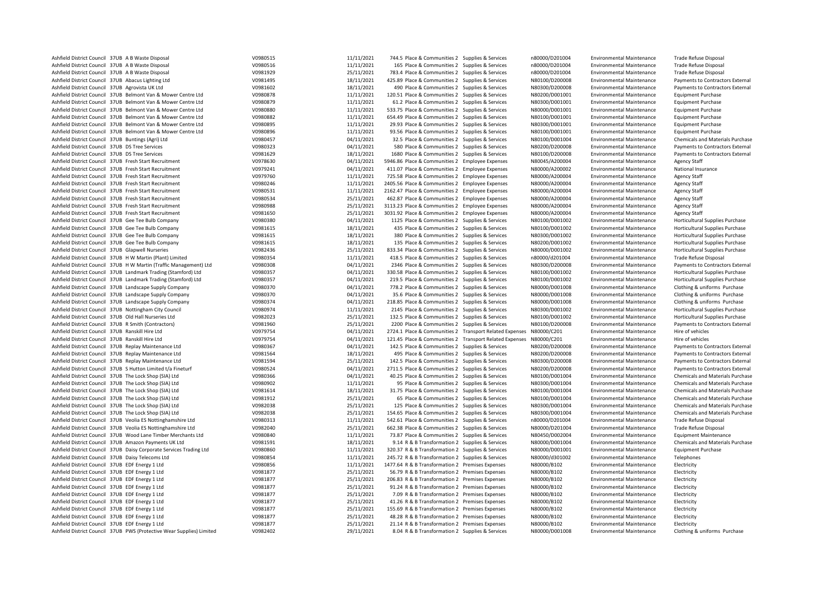| Ashfield District Council 37UB A B Waste Disposal                     | V0980515 | 11/11/2021 | 744.5 Place & Communities 2 Supplies & Services                     | n80000/D201004 | <b>Environmental Maintenance</b> | <b>Trade Refuse Disposal</b>            |
|-----------------------------------------------------------------------|----------|------------|---------------------------------------------------------------------|----------------|----------------------------------|-----------------------------------------|
| Ashfield District Council 37UB A B Waste Disposal                     | V0980516 | 11/11/2021 | 165 Place & Communities 2 Supplies & Services                       | n80000/D201004 | <b>Environmental Maintenance</b> | Trade Refuse Disposal                   |
| Ashfield District Council 37UB A B Waste Disposal                     | V0981929 | 25/11/2021 | 783.4 Place & Communities 2 Supplies & Services                     | n80000/D201004 | <b>Environmental Maintenance</b> | <b>Trade Refuse Disposal</b>            |
| Ashfield District Council 37UB Abacus Lighting Ltd                    | V0981495 | 18/11/2021 | 425.89 Place & Communities 2 Supplies & Services                    | N80100/D200008 | <b>Environmental Maintenance</b> | Payments to Contractors External        |
| Ashfield District Council 37UB Agrovista UK Ltd                       | V0981602 | 18/11/2021 | 490 Place & Communities 2 Supplies & Services                       | N80300/D200008 | <b>Environmental Maintenance</b> | Payments to Contractors External        |
| Ashfield District Council 37UB Belmont Van & Mower Centre Ltd         | V0980878 | 11/11/2021 | 120.51 Place & Communities 2 Supplies & Services                    | N80200/D001001 | <b>Environmental Maintenance</b> | <b>Equipment Purchase</b>               |
| Ashfield District Council 37UB Belmont Van & Mower Centre Ltd         | V0980879 | 11/11/2021 | 61.2 Place & Communities 2 Supplies & Services                      | N80300/D001001 | <b>Environmental Maintenance</b> | <b>Equipment Purchase</b>               |
| Ashfield District Council 37UB Belmont Van & Mower Centre Ltd         | V0980880 | 11/11/2021 | 533.75 Place & Communities 2 Supplies & Services                    | N80000/D001001 |                                  | <b>Equipment Purchase</b>               |
|                                                                       |          |            |                                                                     |                | <b>Environmental Maintenance</b> |                                         |
| Ashfield District Council 37UB Belmont Van & Mower Centre Ltd         | V0980882 | 11/11/2021 | 654.49 Place & Communities 2 Supplies & Services                    | N80100/D001001 | <b>Environmental Maintenance</b> | <b>Equipment Purchase</b>               |
| Ashfield District Council 37UB Belmont Van & Mower Centre Ltd         | V0980895 | 11/11/2021 | 29.93 Place & Communities 2 Supplies & Services                     | N80300/D001001 | <b>Environmental Maintenance</b> | <b>Equipment Purchase</b>               |
| Ashfield District Council 37UB Belmont Van & Mower Centre Ltd         | V0980896 | 11/11/2021 | 93.56 Place & Communities 2 Supplies & Services                     | N80100/D001001 | <b>Environmental Maintenance</b> | <b>Equipment Purchase</b>               |
| Ashfield District Council 37UB Buntings (Agri) Ltd                    | V0980457 | 04/11/2021 | 32.5 Place & Communities 2 Supplies & Services                      | N80100/D001004 | <b>Environmental Maintenance</b> | Chemicals and Materials Purchase        |
| Ashfield District Council 37UB DS Tree Services                       | V0980323 | 04/11/2021 | 580 Place & Communities 2 Supplies & Services                       | N80200/D200008 | <b>Environmental Maintenance</b> | Payments to Contractors External        |
| Ashfield District Council 37UB DS Tree Services                       | V0981629 | 18/11/2021 | 1680 Place & Communities 2 Supplies & Services                      | N80100/D200008 | <b>Environmental Maintenance</b> | Payments to Contractors External        |
| Ashfield District Council 37UB Fresh Start Recruitment                | V0978630 | 04/11/2021 | 5946.86 Place & Communities 2 Employee Expenses                     | N80045/A200004 | <b>Environmental Maintenance</b> | Agency Staff                            |
| Ashfield District Council 37UB Fresh Start Recruitment                | V0979241 | 04/11/2021 | 411.07 Place & Communities 2 Employee Expenses                      | N80000/A200002 | <b>Environmental Maintenance</b> | National Insurance                      |
| Ashfield District Council 37UB Fresh Start Recruitment                | V0979760 | 11/11/2021 | 725.58 Place & Communities 2 Employee Expenses                      | N80000/A200004 | <b>Environmental Maintenance</b> | <b>Agency Staff</b>                     |
| Ashfield District Council 37UB Fresh Start Recruitment                | V0980246 | 11/11/2021 | 2405.56 Place & Communities 2 Employee Expenses                     | N80000/A200004 | <b>Environmental Maintenance</b> | <b>Agency Staff</b>                     |
| Ashfield District Council 37UB Fresh Start Recruitment                | V0980531 | 11/11/2021 | 2162.47 Place & Communities 2 Employee Expenses                     | N80000/A200004 | <b>Environmental Maintenance</b> | <b>Agency Staff</b>                     |
| Ashfield District Council 37UB Fresh Start Recruitment                | V0980534 | 25/11/2021 | 462.87 Place & Communities 2 Employee Expenses                      | N80000/A200004 | <b>Environmental Maintenance</b> | Agency Staff                            |
| Ashfield District Council 37UB Fresh Start Recruitment                | V0980988 | 25/11/2021 | 3113.23 Place & Communities 2 Employee Expenses                     | N80000/A200004 | <b>Environmental Maintenance</b> | <b>Agency Staff</b>                     |
| Ashfield District Council 37UB Fresh Start Recruitment                | V0981650 | 25/11/2021 | 3031.92 Place & Communities 2 Employee Expenses                     | N80000/A200004 | <b>Environmental Maintenance</b> | Agency Staff                            |
| Ashfield District Council 37UB Gee Tee Bulb Company                   | V0980380 | 04/11/2021 | 1125 Place & Communities 2 Supplies & Services                      | N80100/D001002 | <b>Environmental Maintenance</b> | Horticultural Supplies Purchase         |
| Ashfield District Council 37UB Gee Tee Bulb Company                   | V0981615 | 18/11/2021 | 435 Place & Communities 2 Supplies & Services                       | N80100/D001002 | <b>Environmental Maintenance</b> | Horticultural Supplies Purchase         |
| Ashfield District Council 37UB Gee Tee Bulb Company                   | V0981615 | 18/11/2021 | 380 Place & Communities 2 Supplies & Services                       | N80300/D001002 | <b>Environmental Maintenance</b> | Horticultural Supplies Purchase         |
| Ashfield District Council 37UB Gee Tee Bulb Company                   | V0981615 | 18/11/2021 | 135 Place & Communities 2 Supplies & Services                       | N80200/D001002 | <b>Environmental Maintenance</b> | Horticultural Supplies Purchase         |
| Ashfield District Council 37UB Glapwell Nurseries                     | V0982436 | 25/11/2021 | 833.34 Place & Communities 2 Supplies & Services                    | N80000/D001002 | <b>Environmental Maintenance</b> | Horticultural Supplies Purchase         |
| Ashfield District Council 37UB H W Martin (Plant) Limited             | V0980354 | 11/11/2021 | 418.5 Place & Communities 2 Supplies & Services                     | n80000/d201004 | <b>Environmental Maintenance</b> | <b>Trade Refuse Disposal</b>            |
| Ashfield District Council 37UB H W Martin (Traffic Management) Ltd    | V0980308 | 04/11/2021 | 2346 Place & Communities 2 Supplies & Services                      | N80300/D200008 | <b>Environmental Maintenance</b> | Payments to Contractors External        |
| Ashfield District Council 37UB Landmark Trading (Stamford) Ltd        | V0980357 | 04/11/2021 | 330.58 Place & Communities 2 Supplies & Services                    | N80100/D001002 | <b>Environmental Maintenance</b> | Horticultural Supplies Purchase         |
|                                                                       |          |            |                                                                     |                |                                  |                                         |
| Ashfield District Council 37UB Landmark Trading (Stamford) Ltd        | V0980357 | 04/11/2021 | 219.5 Place & Communities 2 Supplies & Services                     | N80100/D001002 | <b>Environmental Maintenance</b> | Horticultural Supplies Purchase         |
| Ashfield District Council 37UB Landscape Supply Company               | V0980370 | 04/11/2021 | 778.2 Place & Communities 2 Supplies & Services                     | N80000/D001008 | <b>Environmental Maintenance</b> | Clothing & uniforms Purchase            |
| Ashfield District Council 37UB Landscape Supply Company               | V0980370 | 04/11/2021 | 35.6 Place & Communities 2 Supplies & Services                      | N80000/D001008 | <b>Environmental Maintenance</b> | Clothing & uniforms Purchase            |
| Ashfield District Council 37UB Landscape Supply Company               | V0980374 | 04/11/2021 | 218.85 Place & Communities 2 Supplies & Services                    | N80000/D001008 | <b>Environmental Maintenance</b> | Clothing & uniforms Purchase            |
| Ashfield District Council 37UB Nottingham City Council                | V0980974 | 11/11/2021 | 2145 Place & Communities 2 Supplies & Services                      | N80300/D001002 | <b>Environmental Maintenance</b> | Horticultural Supplies Purchase         |
| Ashfield District Council 37UB Old Hall Nurseries Ltd                 | V0982023 | 25/11/2021 | 132.5 Place & Communities 2 Supplies & Services                     | N80100/D001002 | <b>Environmental Maintenance</b> | Horticultural Supplies Purchase         |
| Ashfield District Council 37UB R Smith (Contractors)                  | V0981960 | 25/11/2021 | 2200 Place & Communities 2 Supplies & Services                      | N80100/D200008 | <b>Environmental Maintenance</b> | Payments to Contractors External        |
| Ashfield District Council 37UB Ranskill Hire Ltd                      | V0979754 | 04/11/2021 | 2724.1 Place & Communities 2 Transport Related Expenses N80000/C201 |                | <b>Environmental Maintenance</b> | Hire of vehicles                        |
| Ashfield District Council 37UB Ranskill Hire Ltd                      | V0979754 | 04/11/2021 | 121.45 Place & Communities 2 Transport Related Expenses N80000/C201 |                | <b>Environmental Maintenance</b> | Hire of vehicles                        |
| Ashfield District Council 37UB Replay Maintenance Ltd                 | V0980367 | 04/11/2021 | 142.5 Place & Communities 2 Supplies & Services                     | N80200/D200008 | <b>Environmental Maintenance</b> | Payments to Contractors External        |
| Ashfield District Council 37UB Replay Maintenance Ltd                 | V0981564 | 18/11/2021 | 495 Place & Communities 2 Supplies & Services                       | N80200/D200008 | <b>Environmental Maintenance</b> | Payments to Contractors External        |
| Ashfield District Council 37UB Replay Maintenance Ltd                 | V0981594 | 25/11/2021 | 142.5 Place & Communities 2 Supplies & Services                     | N80300/D200008 | <b>Environmental Maintenance</b> | Payments to Contractors External        |
| Ashfield District Council 37UB S Hutton Limited t/a Fineturf          | V0980524 | 04/11/2021 | 2711.5 Place & Communities 2 Supplies & Services                    | N80200/D200008 | <b>Environmental Maintenance</b> | Payments to Contractors External        |
| Ashfield District Council 37UB The Lock Shop (SIA) Ltd                | V0980366 | 04/11/2021 | 40.25 Place & Communities 2 Supplies & Services                     | N80100/D001004 | <b>Environmental Maintenance</b> | Chemicals and Materials Purchase        |
| Ashfield District Council 37UB The Lock Shop (SIA) Ltd                | V0980902 | 11/11/2021 | 95 Place & Communities 2 Supplies & Services                        | N80300/D001004 | <b>Environmental Maintenance</b> | Chemicals and Materials Purchase        |
| Ashfield District Council 37UB The Lock Shop (SIA) Ltd                | V0981614 | 18/11/2021 | 31.75 Place & Communities 2 Supplies & Services                     | N80100/D001004 | <b>Environmental Maintenance</b> | Chemicals and Materials Purchase        |
| Ashfield District Council 37UB The Lock Shop (SIA) Ltd                | V0981912 | 25/11/2021 | 65 Place & Communities 2 Supplies & Services                        | N80100/D001004 | <b>Environmental Maintenance</b> | <b>Chemicals and Materials Purchase</b> |
| Ashfield District Council 37UB The Lock Shop (SIA) Ltd                | V0982038 | 25/11/2021 | 125 Place & Communities 2 Supplies & Services                       | N80300/D001004 | <b>Environmental Maintenance</b> | Chemicals and Materials Purchase        |
| Ashfield District Council 37UB The Lock Shop (SIA) Ltd                | V0982038 | 25/11/2021 | 154.65 Place & Communities 2 Supplies & Services                    | N80300/D001004 | <b>Environmental Maintenance</b> | Chemicals and Materials Purchase        |
| Ashfield District Council 37UB Veolia ES Nottinghamshire Ltd          | V0980313 | 11/11/2021 | 542.61 Place & Communities 2 Supplies & Services                    | n80000/D201004 | <b>Environmental Maintenance</b> | Trade Refuse Disposal                   |
| Ashfield District Council 37UB Veolia ES Nottinghamshire Ltd          | V0982040 | 25/11/2021 |                                                                     |                |                                  |                                         |
|                                                                       |          |            | 662.38 Place & Communities 2 Supplies & Services                    | N80000/D201004 | <b>Environmental Maintenance</b> | Trade Refuse Disposal                   |
| Ashfield District Council 37UB Wood Lane Timber Merchants Ltd         | V0980840 | 11/11/2021 | 73.87 Place & Communities 2 Supplies & Services                     | N80450/D002004 | <b>Environmental Maintenance</b> | <b>Equipment Maintenance</b>            |
| Ashfield District Council 37UB Amazon Payments UK Ltd                 | V0981591 | 18/11/2021 | 9.14 R & B Transformation 2 Supplies & Services                     | N80000/D001004 | <b>Environmental Maintenance</b> | Chemicals and Materials Purchase        |
| Ashfield District Council 37UB Daisy Corporate Services Trading Ltd   | V0980860 | 11/11/2021 | 320.37 R & B Transformation 2 Supplies & Services                   | N80000/D001001 | <b>Environmental Maintenance</b> | <b>Equipment Purchase</b>               |
| Ashfield District Council 37UB Daisy Telecoms Ltd                     | V0980854 | 11/11/2021 | 245.72 R & B Transformation 2 Supplies & Services                   | N80000/d301002 | <b>Environmental Maintenance</b> | Telephones                              |
| Ashfield District Council 37UB EDF Energy 1 Ltd                       | V0980856 | 11/11/2021 | 1477.64 R & B Transformation 2 Premises Expenses                    | N80000/B102    | <b>Environmental Maintenance</b> | Electricity                             |
| Ashfield District Council 37UB EDF Energy 1 Ltd                       | V0981877 | 25/11/2021 | 56.79 R & B Transformation 2 Premises Expenses                      | N80000/B102    | <b>Environmental Maintenance</b> | Electricity                             |
| Ashfield District Council 37UB EDF Energy 1 Ltd                       | V0981877 | 25/11/2021 | 206.83 R & B Transformation 2 Premises Expenses                     | N80000/B102    | <b>Environmental Maintenance</b> | Electricity                             |
| Ashfield District Council 37UB EDF Energy 1 Ltd                       | V0981877 | 25/11/2021 | 91.24 R & B Transformation 2 Premises Expenses                      | N80000/B102    | <b>Environmental Maintenance</b> | Electricity                             |
| Ashfield District Council 37UB EDF Energy 1 Ltd                       | V0981877 | 25/11/2021 | 7.09 R & B Transformation 2 Premises Expenses                       | N80000/B102    | <b>Environmental Maintenance</b> | Electricity                             |
| Ashfield District Council 37UB EDF Energy 1 Ltd                       | V0981877 | 25/11/2021 | 41.26 R & B Transformation 2 Premises Expenses                      | N80000/B102    | <b>Environmental Maintenance</b> | Electricity                             |
| Ashfield District Council 37UB EDF Energy 1 Ltd                       | V0981877 | 25/11/2021 | 155.69 R & B Transformation 2 Premises Expenses                     | N80000/B102    | <b>Environmental Maintenance</b> | Electricity                             |
| Ashfield District Council 37UB EDF Energy 1 Ltd                       | V0981877 | 25/11/2021 | 48.28 R & B Transformation 2 Premises Expenses                      | N80000/B102    | <b>Environmental Maintenance</b> | Electricity                             |
| Ashfield District Council 37UB EDF Energy 1 Ltd                       | V0981877 | 25/11/2021 | 21.14 R & B Transformation 2 Premises Expenses                      | N80000/B102    | <b>Environmental Maintenance</b> | Electricity                             |
| Ashfield District Council 37UB PWS (Protective Wear Supplies) Limited | V0982402 | 29/11/2021 | 8.04 R & B Transformation 2 Supplies & Services                     | N80000/D001008 | <b>Environmental Maintenance</b> | Clothing & uniforms Purchase            |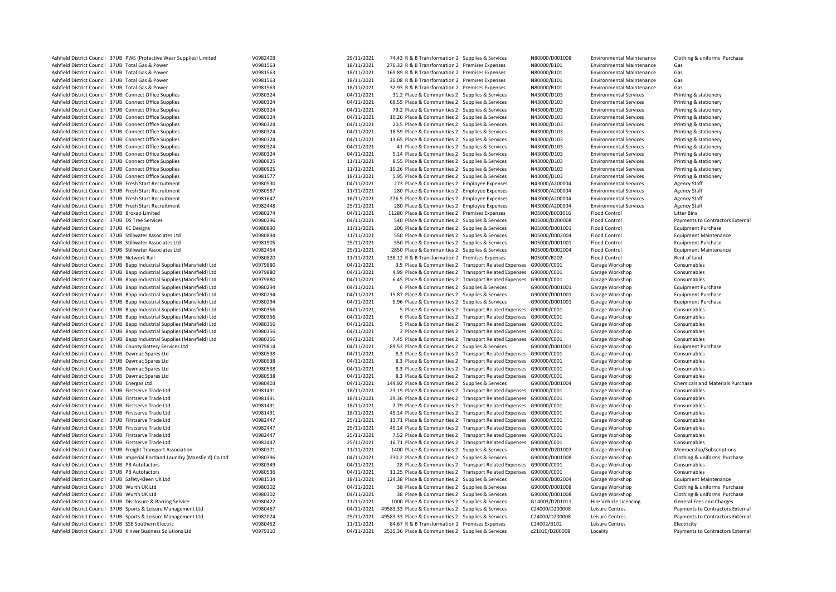| Ashfield District Council 37UB PWS (Protective Wear Supplies) Limited       | V0982403             | 29/11/2021               | 74.43 R & B Transformation 2 Supplies & Services                   |                                                                  | N80000/D001008 | <b>Environmental Maintenance</b> | Clothing & uniforms Purchase     |
|-----------------------------------------------------------------------------|----------------------|--------------------------|--------------------------------------------------------------------|------------------------------------------------------------------|----------------|----------------------------------|----------------------------------|
| Ashfield District Council 37UB Total Gas & Power                            | V0981563             | 18/11/2021               | 276.32 R & B Transformation 2 Premises Expenses                    |                                                                  | N80000/B101    | <b>Environmental Maintenance</b> | Gas                              |
| Ashfield District Council 37UB Total Gas & Power                            | V0981563             | 18/11/2021               | 169.89 R & B Transformation 2 Premises Expenses                    |                                                                  | N80000/B101    | <b>Environmental Maintenance</b> | Gas                              |
| Ashfield District Council 37UB Total Gas & Power                            | V0981563             | 18/11/2021               | 26.08 R & B Transformation 2 Premises Expenses                     |                                                                  | N80000/B101    | <b>Environmental Maintenance</b> | Gas                              |
| Ashfield District Council 37UB Total Gas & Power                            | V0981563             | 18/11/2021               | 32.93 R & B Transformation 2 Premises Expenses                     |                                                                  | N80000/B101    | <b>Environmental Maintenance</b> | Gas                              |
| Ashfield District Council 37UB Connect Office Supplies                      | V0980324             | 04/11/2021               | 31.2 Place & Communities 2 Supplies & Services                     |                                                                  | N43000/D103    | <b>Environmental Services</b>    | Printing & stationery            |
| Ashfield District Council 37UB Connect Office Supplies                      | V0980324             | 04/11/2021               | 69.55 Place & Communities 2 Supplies & Services                    |                                                                  | N43000/D103    | <b>Environmental Services</b>    | Printing & stationery            |
| Ashfield District Council 37UB Connect Office Supplies                      | V0980324             | 04/11/2021               | 79.2 Place & Communities 2 Supplies & Services                     |                                                                  | N43000/D103    | <b>Environmental Services</b>    | Printing & stationery            |
| Ashfield District Council 37UB Connect Office Supplies                      | V0980324             | 04/11/2021               | 10.26 Place & Communities 2 Supplies & Services                    |                                                                  | N43000/D103    | <b>Environmental Services</b>    | Printing & stationery            |
| Ashfield District Council 37UB Connect Office Supplies                      | V0980324             | 04/11/2021               | 20.5 Place & Communities 2 Supplies & Services                     |                                                                  | N43000/D103    | <b>Environmental Services</b>    | Printing & stationery            |
| Ashfield District Council 37UB Connect Office Supplies                      | V0980324             | 04/11/2021               | 18.59 Place & Communities 2 Supplies & Services                    |                                                                  | N43000/D103    | <b>Environmental Services</b>    | Printing & stationery            |
| Ashfield District Council 37UB Connect Office Supplies                      | V0980324             | 04/11/2021               | 13.65 Place & Communities 2 Supplies & Services                    |                                                                  | N43000/D103    | <b>Environmental Services</b>    | Printing & stationery            |
| Ashfield District Council 37UB Connect Office Supplies                      | V0980324             | 04/11/2021               | 41 Place & Communities 2 Supplies & Services                       |                                                                  | N43000/D103    | <b>Environmental Services</b>    | Printing & stationery            |
| Ashfield District Council 37UB Connect Office Supplies                      | V0980324             | 04/11/2021               | 5.14 Place & Communities 2 Supplies & Services                     |                                                                  | N43000/D103    | <b>Environmental Services</b>    | Printing & stationery            |
| Ashfield District Council 37UB Connect Office Supplies                      | V0980925             | 11/11/2021               | 8.55 Place & Communities 2 Supplies & Services                     |                                                                  | N43000/D103    | <b>Environmental Services</b>    | Printing & stationery            |
| Ashfield District Council 37UB Connect Office Supplies                      | V0980925             | 11/11/2021               | 10.26 Place & Communities 2 Supplies & Services                    |                                                                  | N43000/D103    | <b>Environmental Services</b>    | Printing & stationery            |
| Ashfield District Council 37UB Connect Office Supplies                      | V0981577             | 18/11/2021               | 5.95 Place & Communities 2 Supplies & Services                     |                                                                  | N43000/D103    | <b>Environmental Services</b>    | Printing & stationery            |
| Ashfield District Council 37UB Fresh Start Recruitment                      | V0980530             | 04/11/2021               | 273 Place & Communities 2 Employee Expenses                        |                                                                  | N43000/A200004 | <b>Environmental Services</b>    | Agency Staff                     |
| Ashfield District Council 37UB Fresh Start Recruitment                      | V0980987             | 11/11/2021               | 280 Place & Communities 2 Employee Expenses                        |                                                                  | N43000/A200004 | <b>Environmental Services</b>    | <b>Agency Staff</b>              |
| Ashfield District Council 37UB Fresh Start Recruitment                      | V0981647             | 18/11/2021               | 276.5 Place & Communities 2 Employee Expenses                      |                                                                  | N43000/A200004 | <b>Environmental Services</b>    | <b>Agency Staff</b>              |
| Ashfield District Council 37UB Fresh Start Recruitment                      | V0982448             | 25/11/2021               | 280 Place & Communities 2 Employee Expenses                        |                                                                  | N43000/A200004 | <b>Environmental Services</b>    | <b>Agency Staff</b>              |
| Ashfield District Council 37UB Broxap Limited                               | V0980274             | 04/11/2021               | 11280 Place & Communities 2 Premises Expenses                      |                                                                  | N05000/B003016 | <b>Flood Control</b>             | <b>Litter Bins</b>               |
| Ashfield District Council 37UB DS Tree Services                             | V0980296             | 04/11/2021               | 540 Place & Communities 2 Supplies & Services                      |                                                                  | N05000/D200008 | <b>Flood Control</b>             | Payments to Contractors External |
| Ashfield District Council 37UB KC Designs                                   | V0980890             | 11/11/2021               | 200 Place & Communities 2 Supplies & Services                      |                                                                  | N05000/D001001 | <b>Flood Control</b>             | <b>Equipment Purchase</b>        |
| Ashfield District Council 37UB Stillwater Associates Ltd                    | V0980894             | 11/11/2021               | 550 Place & Communities 2 Supplies & Services                      |                                                                  | N05000/D002004 | Flood Control                    | <b>Equipment Maintenance</b>     |
| Ashfield District Council 37UB Stillwater Associates Ltd                    | V0981905             | 25/11/2021               | 550 Place & Communities 2 Supplies & Services                      |                                                                  | N05000/D001001 | <b>Flood Control</b>             | <b>Equipment Purchase</b>        |
| Ashfield District Council 37UB Stillwater Associates Ltd                    | V0982454             | 25/11/2021               | 2850 Place & Communities 2 Supplies & Services                     |                                                                  | N05000/D002004 | Flood Control                    | <b>Equipment Maintenance</b>     |
| Ashfield District Council 37UB Network Rail                                 | V0980820             | 11/11/2021               | 138.12 R & B Transformation 2 Premises Expenses                    |                                                                  | N05000/B202    | <b>Flood Control</b>             | Rent of land                     |
| Ashfield District Council 37UB Bapp Industrial Supplies (Mansfield) Ltd     | V0979880             | 04/11/2021               |                                                                    | 3.5 Place & Communities 2 Transport Related Expenses G90000/C001 |                | Garage Workshop                  | Consumables                      |
| Ashfield District Council 37UB Bapp Industrial Supplies (Mansfield) Ltd     | V0979880             | 04/11/2021               | 4.99 Place & Communities 2 Transport Related Expenses G90000/C001  |                                                                  |                | Garage Workshop                  | Consumables                      |
| Ashfield District Council 37UB Bapp Industrial Supplies (Mansfield) Ltd     | V0979880             | 04/11/2021               | 6.45 Place & Communities 2 Transport Related Expenses G90000/C001  |                                                                  |                | Garage Workshop                  | Consumables                      |
| Ashfield District Council 37UB Bapp Industrial Supplies (Mansfield) Ltd     | V0980294             | 04/11/2021               | 6 Place & Communities 2 Supplies & Services                        |                                                                  | G90000/D001001 | Garage Workshop                  | <b>Equipment Purchase</b>        |
| Ashfield District Council 37UB Bapp Industrial Supplies (Mansfield) Ltd     | V0980294             | 04/11/2021               | 15.87 Place & Communities 2 Supplies & Services                    |                                                                  | G90000/D001001 | Garage Workshop                  | <b>Equipment Purchase</b>        |
| Ashfield District Council 37UB Bapp Industrial Supplies (Mansfield) Ltd     | V0980294             | 04/11/2021               | 5.96 Place & Communities 2 Supplies & Services                     |                                                                  | G90000/D001001 | Garage Workshop                  | <b>Equipment Purchase</b>        |
| Ashfield District Council 37UB Bapp Industrial Supplies (Mansfield) Ltd     | V0980356             | 04/11/2021               |                                                                    | 5 Place & Communities 2 Transport Related Expenses G90000/C001   |                | Garage Workshop                  | Consumables                      |
| Ashfield District Council 37UB Bapp Industrial Supplies (Mansfield) Ltd     | V0980356             | 04/11/2021               |                                                                    | 6 Place & Communities 2 Transport Related Expenses G90000/C001   |                | Garage Workshop                  | Consumables                      |
| Ashfield District Council 37UB Bapp Industrial Supplies (Mansfield) Ltd     | V0980356             | 04/11/2021               |                                                                    | 5 Place & Communities 2 Transport Related Expenses G90000/C001   |                | Garage Workshop                  | Consumables                      |
| Ashfield District Council 37UB Bapp Industrial Supplies (Mansfield) Ltd     | V0980356             | 04/11/2021               |                                                                    |                                                                  |                |                                  | Consumables                      |
|                                                                             |                      |                          |                                                                    | 2 Place & Communities 2 Transport Related Expenses G90000/C001   |                | Garage Workshop                  |                                  |
| Ashfield District Council 37UB Bapp Industrial Supplies (Mansfield) Ltd     | V0980356             | 04/11/2021               | 7.45 Place & Communities 2 Transport Related Expenses G90000/C001  |                                                                  |                | Garage Workshop                  | Consumables                      |
| Ashfield District Council 37UB County Battery Services Ltd                  | V0979814             | 04/11/2021               | 89.53 Place & Communities 2 Supplies & Services                    |                                                                  | G90000/D001001 | Garage Workshop                  | <b>Equipment Purchase</b>        |
| Ashfield District Council 37UB Davmac Spares Ltd                            | V0980538             | 04/11/2021               |                                                                    | 8.3 Place & Communities 2 Transport Related Expenses G90000/C001 |                | Garage Workshop                  | Consumables                      |
| Ashfield District Council 37UB Davmac Spares Ltd                            | V0980538<br>V0980538 | 04/11/2021<br>04/11/2021 |                                                                    | 8.3 Place & Communities 2 Transport Related Expenses G90000/C001 |                | Garage Workshop                  | Consumables<br>Consumables       |
| Ashfield District Council 37UB Davmac Spares Ltd                            |                      |                          |                                                                    | 8.3 Place & Communities 2 Transport Related Expenses G90000/C001 |                | Garage Workshop                  |                                  |
| Ashfield District Council 37UB Davmac Spares Ltd                            | V0980538             | 04/11/2021               |                                                                    | 8.3 Place & Communities 2 Transport Related Expenses G90000/C001 |                | Garage Workshop                  | Consumables                      |
| Ashfield District Council 37UB Energas Ltd                                  | V0980403             | 04/11/2021               | 144.92 Place & Communities 2 Supplies & Services                   |                                                                  | G90000/D001004 | Garage Workshop                  | Chemicals and Materials Purchase |
| Ashfield District Council 37UB Firstserve Trade Ltd                         | V0981491             | 18/11/2021               | 23.19 Place & Communities 2 Transport Related Expenses G90000/C001 |                                                                  |                | Garage Workshop                  | Consumables                      |
| Ashfield District Council 37UB Firstserve Trade Ltd                         | V0981491             | 18/11/2021               | 29.36 Place & Communities 2 Transport Related Expenses G90000/C001 |                                                                  |                | Garage Workshop                  | Consumables                      |
| Ashfield District Council 37UB Firstserve Trade Ltd                         | V0981491             | 18/11/2021               | 7.79 Place & Communities 2 Transport Related Expenses G90000/C001  |                                                                  |                | Garage Workshop                  | Consumables                      |
| Ashfield District Council 37UB Firstserve Trade Ltd                         | V0981491             | 18/11/2021               | 45.14 Place & Communities 2 Transport Related Expenses G90000/C001 |                                                                  |                | Garage Workshop                  | Consumables                      |
| Ashfield District Council 37UB Firstserve Trade Ltd                         | V0982447             | 25/11/2021               | 13.71 Place & Communities 2 Transport Related Expenses G90000/C001 |                                                                  |                | Garage Workshop                  | Consumables                      |
| Ashfield District Council 37UB Firstserve Trade Ltd                         | V0982447             | 25/11/2021               | 45.14 Place & Communities 2 Transport Related Expenses G90000/C001 |                                                                  |                | Garage Workshop                  | Consumables                      |
| Ashfield District Council 37UB Firstserve Trade Ltd                         | V0982447             | 25/11/2021               | 7.52 Place & Communities 2 Transport Related Expenses G90000/C001  |                                                                  |                | Garage Workshop                  | Consumables                      |
| Ashfield District Council 37UB Firstserve Trade Ltd                         | V0982447             | 25/11/2021               | 16.71 Place & Communities 2 Transport Related Expenses G90000/C001 |                                                                  |                | Garage Workshop                  | Consumables                      |
| Ashfield District Council 37UB Freight Transport Association                | V0980371             | 11/11/2021               | 1400 Place & Communities 2 Supplies & Services                     |                                                                  | G90000/D201007 | Garage Workshop                  | Membership/Subscriptions         |
| Ashfield District Council 37UB Imperial Portland Laundry (Mansfield) Co Ltd | V0980396             | 04/11/2021               | 230.2 Place & Communities 2 Supplies & Services                    |                                                                  | G90000/D001008 | Garage Workshop                  | Clothing & uniforms Purchase     |
| Ashfield District Council 37UB PB Autofactors                               | V0980349             | 04/11/2021               |                                                                    | 28 Place & Communities 2 Transport Related Expenses G90000/C001  |                | Garage Workshop                  | Consumables                      |
| Ashfield District Council 37UB PB Autofactors                               | V0980536             | 04/11/2021               | 11.25 Place & Communities 2 Transport Related Expenses G90000/C001 |                                                                  |                | Garage Workshop                  | Consumables                      |
| Ashfield District Council 37UB Safety-Kleen UK Ltd                          | V0981534             | 18/11/2021               | 124.38 Place & Communities 2 Supplies & Services                   |                                                                  | G90000/D002004 | Garage Workshop                  | <b>Equipment Maintenance</b>     |
| Ashfield District Council 37UB Wurth UK Ltd                                 | V0980302             | 04/11/2021               | 38 Place & Communities 2 Supplies & Services                       |                                                                  | G90000/D001008 | Garage Workshop                  | Clothing & uniforms Purchase     |
| Ashfield District Council 37UB Wurth UK Ltd                                 | V0980302             | 04/11/2021               | 38 Place & Communities 2 Supplies & Services                       |                                                                  | G90000/D001008 | Garage Workshop                  | Clothing & uniforms Purchase     |
| Ashfield District Council 37UB Disclosure & Barring Service                 | V0980422             | 11/11/2021               | 1000 Place & Communities 2 Supplies & Services                     |                                                                  | G14003/D201011 | Hire Vehicle Licencing           | General Fees and Charges         |
| Ashfield District Council 37UB Sports & Leisure Management Ltd              | V0980467             | 04/11/2021               | 49583.33 Place & Communities 2 Supplies & Services                 |                                                                  | C24000/D200008 | Leisure Centres                  | Payments to Contractors External |
| Ashfield District Council 37UB Sports & Leisure Management Ltd              | V0982024             | 25/11/2021               | 49583.33 Place & Communities 2 Supplies & Services                 |                                                                  | C24000/D200008 | Leisure Centres                  | Payments to Contractors External |
| Ashfield District Council 37UB SSE Southern Electric                        | V0980452             | 11/11/2021               | 84.67 R & B Transformation 2 Premises Expenses                     |                                                                  | C24002/B102    | Leisure Centres                  | Electricity                      |
| Ashfield District Council 37UB Kinver Business Solutions Ltd                | V0979310             | 04/11/2021               | 2535.36 Place & Communities 2 Supplies & Services                  |                                                                  | c21010/D200008 | Locality                         | Payments to Contractors External |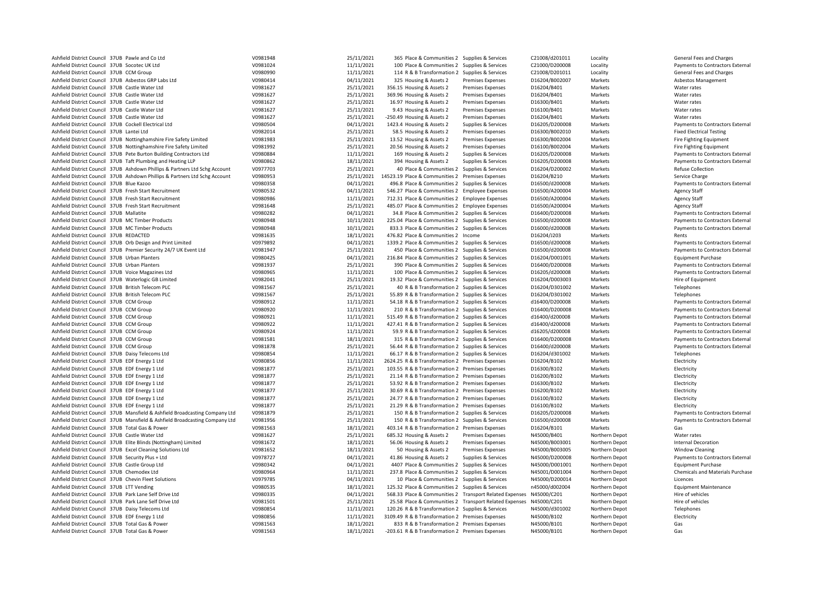| Ashfield District Council 37UB Pawle and Co Ltd                                                        | V0981948             | 25/11/2021 | 365 Place & Communities 2 Supplies & Services                       |                          | C21008/d201011                | Locality           | General Fees and Charges         |
|--------------------------------------------------------------------------------------------------------|----------------------|------------|---------------------------------------------------------------------|--------------------------|-------------------------------|--------------------|----------------------------------|
| Ashfield District Council 37UB Socotec UK Ltd                                                          | V0981024             | 11/11/2021 | 100 Place & Communities 2 Supplies & Services                       |                          | C21000/D200008                | Locality           | Payments to Contractors External |
| Ashfield District Council 37UB CCM Group                                                               | V0980990             | 11/11/2021 | 114 R & B Transformation 2 Supplies & Services                      |                          | C21008/D201011                | Locality           | General Fees and Charges         |
| Ashfield District Council 37UB Asbestos GRP Labs Ltd                                                   | V0980414             | 04/11/2021 | 325 Housing & Assets 2                                              | <b>Premises Expenses</b> | D16204/B002007                | Markets            | Asbestos Management              |
| Ashfield District Council 37UB Castle Water Ltd                                                        | V0981627             | 25/11/2021 | 356.15 Housing & Assets 2                                           | <b>Premises Expenses</b> | D16204/B401                   | Markets            | Water rates                      |
| Ashfield District Council 37UB Castle Water Ltd                                                        | V0981627             | 25/11/2021 | 369.96 Housing & Assets 2                                           | Premises Expenses        | D16204/B401                   | Markets            | Water rates                      |
| Ashfield District Council 37UB Castle Water Ltd                                                        | V0981627             | 25/11/2021 | 16.97 Housing & Assets 2                                            | <b>Premises Expenses</b> | D16300/B401                   | Markets            | Water rates                      |
| Ashfield District Council 37UB Castle Water Ltd                                                        | V0981627             | 25/11/2021 | 9.43 Housing & Assets 2                                             | <b>Premises Expenses</b> | D16100/B401                   | Markets            | Water rates                      |
| Ashfield District Council 37UB Castle Water Ltd                                                        | V0981627             | 25/11/2021 | -250.49 Housing & Assets 2                                          | Premises Expenses        | D16204/B401                   | Markets            | Water rates                      |
| Ashfield District Council 37UB Cockell Electrical Ltd                                                  | V0980504             | 04/11/2021 | 1423.4 Housing & Assets 2                                           | Supplies & Services      | D16205/D200008                | Markets            | Payments to Contractors External |
| Ashfield District Council 37UB Lantei Ltd                                                              | V0982014             | 25/11/2021 | 58.5 Housing & Assets 2                                             | <b>Premises Expenses</b> | D16300/B002010                | Markets            | <b>Fixed Electrical Testing</b>  |
| Ashfield District Council 37UB Nottinghamshire Fire Safety Limited                                     | V0981983             | 25/11/2021 | 13.52 Housing & Assets 2                                            | <b>Premises Expenses</b> | D16300/B002004                | Markets            | Fire Fighting Equipment          |
| Ashfield District Council 37UB Nottinghamshire Fire Safety Limited                                     | V0981992             | 25/11/2021 | 20.56 Housing & Assets 2                                            | Premises Expenses        | D16100/B002004                | Markets            | Fire Fighting Equipment          |
| Ashfield District Council 37UB Pete Burton Building Contractors Ltd                                    | V0980884             | 11/11/2021 | 169 Housing & Assets 2                                              | Supplies & Services      | D16205/D200008                | Markets            | Payments to Contractors External |
| Ashfield District Council 37UB Taft Plumbing and Heating LLP                                           | V0980862             | 18/11/2021 | 394 Housing & Assets 2                                              | Supplies & Services      | D16205/D200008                | Markets            | Payments to Contractors External |
| Ashfield District Council 37UB Ashdown Phillips & Partners Ltd Schg Account                            | V0977703             | 25/11/2021 | 40 Place & Communities 2                                            | Supplies & Services      | D16204/D200002                | Markets            | <b>Refuse Collection</b>         |
| Ashfield District Council 37UB Ashdown Phillips & Partners Ltd Schg Account                            | V0980953             | 25/11/2021 | 14523.19 Place & Communities 2 Premises Expenses                    |                          | D16204/B210                   | Markets            | Service Charge                   |
| Ashfield District Council 37UB Blue Kazoo                                                              | V0980358             | 04/11/2021 | 496.8 Place & Communities 2 Supplies & Services                     |                          | D16500/d200008                | Markets            | Payments to Contractors External |
| Ashfield District Council 37UB Fresh Start Recruitment                                                 | V0980532             | 04/11/2021 | 546.27 Place & Communities 2 Employee Expenses                      |                          | D16500/A200004                | Markets            | <b>Agency Staff</b>              |
| Ashfield District Council 37UB Fresh Start Recruitment                                                 | V0980986             | 11/11/2021 | 712.31 Place & Communities 2 Employee Expenses                      |                          | D16500/A200004                | Markets            | <b>Agency Staff</b>              |
| Ashfield District Council 37UB Fresh Start Recruitment                                                 | V0981648             | 25/11/2021 | 485.07 Place & Communities 2 Employee Expenses                      |                          | D16500/A200004                | Markets            | <b>Agency Staff</b>              |
| Ashfield District Council 37UB Mallatite                                                               | V0980282             | 04/11/2021 | 34.8 Place & Communities 2 Supplies & Services                      |                          | D16400/D200008                | Markets            | Payments to Contractors External |
| Ashfield District Council 37UB MC Timber Products                                                      | V0980948             | 10/11/2021 | 225.04 Place & Communities 2 Supplies & Services                    |                          | D16500/d200008                | Markets            | Payments to Contractors External |
| Ashfield District Council 37UB MC Timber Products                                                      | V0980948             | 10/11/2021 | 833.3 Place & Communities 2 Supplies & Services                     |                          | D16000/d200008                | Markets            | Payments to Contractors External |
|                                                                                                        |                      | 18/11/2021 |                                                                     |                          |                               |                    | Rents                            |
| Ashfield District Council 37UB REDACTED<br>Ashfield District Council 37UB Orb Design and Print Limited | V0981635<br>V0979892 |            | 476.82 Place & Communities 2 Income                                 |                          | D16204/J203<br>D16500/d200008 | Markets<br>Markets | Payments to Contractors External |
|                                                                                                        |                      | 04/11/2021 | 1339.2 Place & Communities 2 Supplies & Services                    |                          |                               |                    |                                  |
| Ashfield District Council 37UB Premier Security 24/7 UK Event Ltd                                      | V0981947             | 25/11/2021 | 450 Place & Communities 2 Supplies & Services                       |                          | D16500/d200008                | Markets            | Payments to Contractors External |
| Ashfield District Council 37UB Urban Planters                                                          | V0980425             | 04/11/2021 | 216.84 Place & Communities 2 Supplies & Services                    |                          | D16204/D001001                | Markets            | <b>Equipment Purchase</b>        |
| Ashfield District Council 37UB Urban Planters                                                          | V0981937             | 25/11/2021 | 390 Place & Communities 2 Supplies & Services                       |                          | D16400/D200008                | Markets            | Payments to Contractors External |
| Ashfield District Council 37UB Voice Magazines Ltd                                                     | V0980965             | 11/11/2021 | 100 Place & Communities 2 Supplies & Services                       |                          | D16205/d200008                | Markets            | Payments to Contractors External |
| Ashfield District Council 37UB Waterlogic GB Limited                                                   | V0982041             | 25/11/2021 | 19.32 Place & Communities 2 Supplies & Services                     |                          | D16204/D003003                | Markets            | Hire of Equipment                |
| Ashfield District Council 37UB British Telecom PLC                                                     | V0981567             | 25/11/2021 | 40 R & B Transformation 2 Supplies & Services                       |                          | D16204/D301002                | Markets            | Telephones                       |
| Ashfield District Council 37UB British Telecom PLC                                                     | V0981567             | 25/11/2021 | 55.89 R & B Transformation 2 Supplies & Services                    |                          | D16204/D301002                | Markets            | Telephones                       |
| Ashfield District Council 37UB CCM Group                                                               | V0980912             | 11/11/2021 | 54.18 R & B Transformation 2 Supplies & Services                    |                          | d16400/D200008                | Markets            | Payments to Contractors External |
| Ashfield District Council 37UB CCM Group                                                               | V0980920             | 11/11/2021 | 210 R & B Transformation 2 Supplies & Services                      |                          | D16400/D200008                | Markets            | Payments to Contractors External |
| Ashfield District Council 37UB CCM Group                                                               | V0980921             | 11/11/2021 | 515.49 R & B Transformation 2 Supplies & Services                   |                          | d16400/d200008                | Markets            | Payments to Contractors External |
| Ashfield District Council 37UB CCM Group                                                               | V0980922             | 11/11/2021 | 427.41 R & B Transformation 2 Supplies & Services                   |                          | d16400/d200008                | Markets            | Payments to Contractors External |
| Ashfield District Council 37UB CCM Group                                                               | V0980924             | 11/11/2021 | 59.9 R & B Transformation 2 Supplies & Services                     |                          | d16205/d200008                | Markets            | Payments to Contractors External |
| Ashfield District Council 37UB CCM Group                                                               | V0981581             | 18/11/2021 | 315 R & B Transformation 2 Supplies & Services                      |                          | D16400/D200008                | Markets            | Payments to Contractors External |
| Ashfield District Council 37UB CCM Group                                                               | V0981878             | 25/11/2021 | 56.44 R & B Transformation 2 Supplies & Services                    |                          | D16400/d200008                | Markets            | Payments to Contractors External |
| Ashfield District Council 37UB Daisy Telecoms Ltd                                                      | V0980854             | 11/11/2021 | 66.17 R & B Transformation 2 Supplies & Services                    |                          | D16204/d301002                | Markets            | Telephones                       |
| Ashfield District Council 37UB EDF Energy 1 Ltd                                                        | V0980856             | 11/11/2021 | 2624.25 R & B Transformation 2 Premises Expenses                    |                          | D16204/B102                   | Markets            | Electricity                      |
| Ashfield District Council 37UB EDF Energy 1 Ltd                                                        | V0981877             | 25/11/2021 | 103.55 R & B Transformation 2 Premises Expenses                     |                          | D16300/B102                   | Markets            | Electricity                      |
| Ashfield District Council 37UB EDF Energy 1 Ltd                                                        | V0981877             | 25/11/2021 | 21.14 R & B Transformation 2 Premises Expenses                      |                          | D16200/B102                   | Markets            | Electricity                      |
| Ashfield District Council 37UB EDF Energy 1 Ltd                                                        | V0981877             | 25/11/2021 | 53.92 R & B Transformation 2 Premises Expenses                      |                          | D16300/B102                   | Markets            | Electricity                      |
| Ashfield District Council 37UB EDF Energy 1 Ltd                                                        | V0981877             | 25/11/2021 | 30.69 R & B Transformation 2 Premises Expenses                      |                          | D16200/B102                   | Markets            | Electricity                      |
| Ashfield District Council 37UB EDF Energy 1 Ltd                                                        | V0981877             | 25/11/2021 | 24.77 R & B Transformation 2 Premises Expenses                      |                          | D16100/B102                   | Markets            | Electricity                      |
| Ashfield District Council 37UB EDF Energy 1 Ltd                                                        | V0981877             | 25/11/2021 | 21.29 R & B Transformation 2 Premises Expenses                      |                          | D16100/B102                   | Markets            | Electricity                      |
| Ashfield District Council 37UB Mansfield & Ashfield Broadcasting Company Ltd                           | V0981879             | 25/11/2021 | 150 R & B Transformation 2 Supplies & Services                      |                          | D16205/D200008                | Markets            | Payments to Contractors External |
| Ashfield District Council 37UB Mansfield & Ashfield Broadcasting Company Ltd                           | V0981956             | 25/11/2021 | 150 R & B Transformation 2 Supplies & Services                      |                          | D16500/d200008                | Markets            | Payments to Contractors External |
| Ashfield District Council 37UB Total Gas & Power                                                       | V0981563             | 18/11/2021 | 403.14 R & B Transformation 2 Premises Expenses                     |                          | D16204/B101                   | Markets            | Gas                              |
| Ashfield District Council 37UB Castle Water Ltd                                                        | V0981627             | 25/11/2021 | 685.32 Housing & Assets 2                                           | <b>Premises Expenses</b> | N45000/B401                   | Northern Depot     | Water rates                      |
| Ashfield District Council 37UB Elite Blinds (Nottingham) Limited                                       | V0981672             | 18/11/2021 | 56.06 Housing & Assets 2                                            | <b>Premises Expenses</b> | N45000/B003001                | Northern Depot     | <b>Internal Decoration</b>       |
| Ashfield District Council 37UB Excel Cleaning Solutions Ltd                                            | V0981652             | 18/11/2021 | 50 Housing & Assets 2                                               | <b>Premises Expenses</b> | N45000/B003005                | Northern Depot     | <b>Window Cleaning</b>           |
| Ashfield District Council 37UB Security Plus + Ltd                                                     | V0978727             | 04/11/2021 | 41.86 Housing & Assets 2                                            | Supplies & Services      | N45000/D200008                | Northern Depot     | Payments to Contractors External |
| Ashfield District Council 37UB Castle Group Ltd                                                        | V0980342             | 04/11/2021 | 4407 Place & Communities 2 Supplies & Services                      |                          | N45000/D001001                | Northern Depot     | <b>Equipment Purchase</b>        |
| Ashfield District Council 37UB Chemodex Ltd                                                            | V0980964             | 11/11/2021 | 237.8 Place & Communities 2 Supplies & Services                     |                          | N45001/D001004                | Northern Depot     | Chemicals and Materials Purchase |
| Ashfield District Council 37UB Chevin Fleet Solutions                                                  | V0979785             | 04/11/2021 | 10 Place & Communities 2 Supplies & Services                        |                          | N45000/D200014                | Northern Depot     | Licences                         |
| Ashfield District Council 37UB LTT Vending                                                             | V0980535             | 18/11/2021 | 125.32 Place & Communities 2 Supplies & Services                    |                          | n45000/d002004                | Northern Depot     | <b>Equipment Maintenance</b>     |
| Ashfield District Council 37UB Park Lane Self Drive Ltd                                                | V0980335             | 04/11/2021 | 568.33 Place & Communities 2 Transport Related Expenses N45000/C201 |                          |                               | Northern Depot     | Hire of vehicles                 |
| Ashfield District Council 37UB Park Lane Self Drive Ltd                                                | V0981501             | 25/11/2021 | 25.58 Place & Communities 2 Transport Related Expenses N45000/C201  |                          |                               | Northern Depot     | Hire of vehicles                 |
| Ashfield District Council 37UB Daisy Telecoms Ltd                                                      | V0980854             | 11/11/2021 | 120.26 R & B Transformation 2 Supplies & Services                   |                          | N45000/d301002                | Northern Depot     | Telephones                       |
| Ashfield District Council 37UB EDF Energy 1 Ltd                                                        | V0980856             | 11/11/2021 | 3109.49 R & B Transformation 2 Premises Expenses                    |                          | N45000/B102                   | Northern Depot     | Electricity                      |
| Ashfield District Council 37UB Total Gas & Power                                                       | V0981563             | 18/11/2021 | 833 R & B Transformation 2 Premises Expenses                        |                          | N45000/B101                   | Northern Depot     | Gas                              |
| Ashfield District Council 37UB Total Gas & Power                                                       | V0981563             | 18/11/2021 | -203.61 R & B Transformation 2 Premises Expenses                    |                          | N45000/B101                   | Northern Depot     | Gas                              |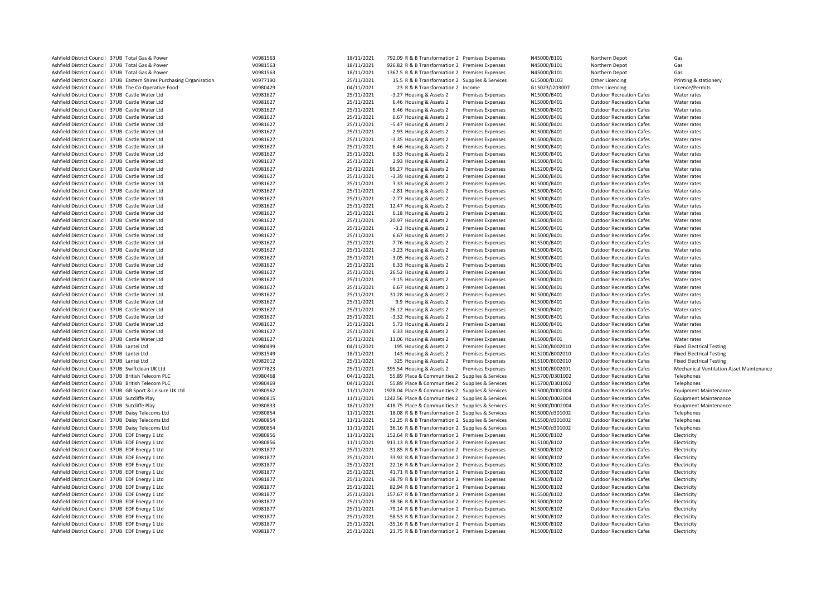| Ashfield District Council 37UB Total Gas & Power                      | V0981563 | 18/11/2021 | 792.09 R & B Transformation 2 Premises Expenses   |                          | N45000/B101    | Northern Depot                  | Gas                                             |
|-----------------------------------------------------------------------|----------|------------|---------------------------------------------------|--------------------------|----------------|---------------------------------|-------------------------------------------------|
| Ashfield District Council 37UB Total Gas & Power                      | V0981563 | 18/11/2021 | 926.82 R & B Transformation 2 Premises Expenses   |                          | N45000/B101    | Northern Depot                  | Gas                                             |
| Ashfield District Council 37UB Total Gas & Power                      | V0981563 | 18/11/2021 | 1367.5 R & B Transformation 2 Premises Expenses   |                          | N45000/B101    | Northern Depot                  | Gas                                             |
| Ashfield District Council 37UB Eastern Shires Purchasing Organisation | V0977190 | 25/11/2021 | 15.5 R & B Transformation 2 Supplies & Services   |                          | G15000/D103    | Other Licencing                 | Printing & stationery                           |
| Ashfield District Council 37UB The Co-Operative Food                  | V0980429 | 04/11/2021 | 23 R & B Transformation 2 Income                  |                          | G15023/J203007 | Other Licencing                 | Licence/Permits                                 |
| Ashfield District Council 37UB Castle Water Ltd                       | V0981627 | 25/11/2021 | -3.27 Housing & Assets 2                          | Premises Expenses        | N15000/B401    | <b>Outdoor Recreation Cafes</b> | Water rates                                     |
| Ashfield District Council 37UB Castle Water Ltd                       | V0981627 | 25/11/2021 | 6.46 Housing & Assets 2                           | <b>Premises Expenses</b> | N15000/B401    | <b>Outdoor Recreation Cafes</b> | Water rates                                     |
| Ashfield District Council 37UB Castle Water Ltd                       | V0981627 | 25/11/2021 | 6.46 Housing & Assets 2                           | <b>Premises Expenses</b> | N15000/B401    | <b>Outdoor Recreation Cafes</b> | Water rates                                     |
| Ashfield District Council 37UB Castle Water Ltd                       | V0981627 | 25/11/2021 | 6.67 Housing & Assets 2                           | <b>Premises Expenses</b> | N15000/B401    | <b>Outdoor Recreation Cafes</b> | Water rates                                     |
| Ashfield District Council 37UB Castle Water Ltd                       | V0981627 | 25/11/2021 | -5.47 Housing & Assets 2                          | Premises Expenses        | N15000/B401    | <b>Outdoor Recreation Cafes</b> | Water rates                                     |
| Ashfield District Council 37UB Castle Water Ltd                       | V0981627 | 25/11/2021 | 2.93 Housing & Assets 2                           | Premises Expenses        | N15000/B401    | <b>Outdoor Recreation Cafes</b> | Water rates                                     |
| Ashfield District Council 37UB Castle Water Ltd                       | V0981627 | 25/11/2021 | -3.35 Housing & Assets 2                          | <b>Premises Expenses</b> | N15000/B401    | <b>Outdoor Recreation Cafes</b> | Water rates                                     |
| Ashfield District Council 37UB Castle Water Ltd                       | V0981627 | 25/11/2021 | 6.46 Housing & Assets 2                           | Premises Expenses        | N15000/B401    | <b>Outdoor Recreation Cafes</b> | Water rates                                     |
| Ashfield District Council 37UB Castle Water Ltd                       | V0981627 | 25/11/2021 | 6.33 Housing & Assets 2                           | <b>Premises Expenses</b> | N15000/B401    | <b>Outdoor Recreation Cafes</b> | Water rates                                     |
| Ashfield District Council 37UB Castle Water Ltd                       | V0981627 | 25/11/2021 | 2.93 Housing & Assets 2                           | Premises Expenses        | N15000/B401    | <b>Outdoor Recreation Cafes</b> | Water rates                                     |
| Ashfield District Council 37UB Castle Water Ltd                       | V0981627 | 25/11/2021 | 96.27 Housing & Assets 2                          | Premises Expenses        | N15200/B401    | <b>Outdoor Recreation Cafes</b> | Water rates                                     |
| Ashfield District Council 37UB Castle Water Ltd                       | V0981627 | 25/11/2021 | -3.39 Housing & Assets 2                          | <b>Premises Expenses</b> | N15000/B401    | <b>Outdoor Recreation Cafes</b> | Water rates                                     |
| Ashfield District Council 37UB Castle Water Ltd                       | V0981627 | 25/11/2021 | 3.33 Housing & Assets 2                           | Premises Expenses        | N15000/B401    | <b>Outdoor Recreation Cafes</b> | Water rates                                     |
| Ashfield District Council 37UB Castle Water Ltd                       | V0981627 | 25/11/2021 | -2.81 Housing & Assets 2                          | <b>Premises Expenses</b> | N15000/B401    | <b>Outdoor Recreation Cafes</b> | Water rates                                     |
| Ashfield District Council 37UB Castle Water Ltd                       | V0981627 | 25/11/2021 | -2.77 Housing & Assets 2                          | Premises Expenses        | N15000/B401    | <b>Outdoor Recreation Cafes</b> | Water rates                                     |
| Ashfield District Council 37UB Castle Water Ltd                       | V0981627 | 25/11/2021 | 12.47 Housing & Assets 2                          | <b>Premises Expenses</b> | N15000/B401    | <b>Outdoor Recreation Cafes</b> | Water rates                                     |
| Ashfield District Council 37UB Castle Water Ltd                       | V0981627 | 25/11/2021 | 6.18 Housing & Assets 2                           | <b>Premises Expenses</b> | N15000/B401    | <b>Outdoor Recreation Cafes</b> | Water rates                                     |
| Ashfield District Council 37UB Castle Water Ltd                       | V0981627 | 25/11/2021 | 20.97 Housing & Assets 2                          | Premises Expenses        | N15000/B401    | <b>Outdoor Recreation Cafes</b> | Water rates                                     |
| Ashfield District Council 37UB Castle Water Ltd                       | V0981627 | 25/11/2021 | -3.2 Housing & Assets 2                           | <b>Premises Expenses</b> | N15000/B401    | <b>Outdoor Recreation Cafes</b> | Water rates                                     |
| Ashfield District Council 37UB Castle Water Ltd                       | V0981627 | 25/11/2021 | 6.67 Housing & Assets 2                           | Premises Expenses        | N15000/B401    | <b>Outdoor Recreation Cafes</b> | Water rates                                     |
| Ashfield District Council 37UB Castle Water Ltd                       | V0981627 | 25/11/2021 | 7.76 Housing & Assets 2                           | <b>Premises Expenses</b> | N15500/B401    | <b>Outdoor Recreation Cafes</b> | Water rates                                     |
| Ashfield District Council 37UB Castle Water Ltd                       | V0981627 | 25/11/2021 | -3.23 Housing & Assets 2                          | <b>Premises Expenses</b> | N15000/B401    | <b>Outdoor Recreation Cafes</b> | Water rates                                     |
| Ashfield District Council 37UB Castle Water Ltd                       | V0981627 | 25/11/2021 | -3.05 Housing & Assets 2                          | Premises Expenses        | N15000/B401    | <b>Outdoor Recreation Cafes</b> | Water rates                                     |
| Ashfield District Council 37UB Castle Water Ltd                       | V0981627 | 25/11/2021 | 6.33 Housing & Assets 2                           | <b>Premises Expenses</b> | N15000/B401    | <b>Outdoor Recreation Cafes</b> | Water rates                                     |
| Ashfield District Council 37UB Castle Water Ltd                       | V0981627 | 25/11/2021 | 26.52 Housing & Assets 2                          | Premises Expenses        | N15000/B401    | <b>Outdoor Recreation Cafes</b> | Water rates                                     |
| Ashfield District Council 37UB Castle Water Ltd                       | V0981627 | 25/11/2021 | -3.15 Housing & Assets 2                          | <b>Premises Expenses</b> | N15000/B401    | <b>Outdoor Recreation Cafes</b> | Water rates                                     |
| Ashfield District Council 37UB Castle Water Ltd                       | V0981627 | 25/11/2021 | 6.67 Housing & Assets 2                           | <b>Premises Expenses</b> | N15000/B401    | <b>Outdoor Recreation Cafes</b> | Water rates                                     |
| Ashfield District Council 37UB Castle Water Ltd                       | V0981627 | 25/11/2021 | 31.28 Housing & Assets 2                          | Premises Expenses        | N15000/B401    | <b>Outdoor Recreation Cafes</b> | Water rates                                     |
| Ashfield District Council 37UB Castle Water Ltd                       | V0981627 | 25/11/2021 | 9.9 Housing & Assets 2                            | <b>Premises Expenses</b> | N15000/B401    | <b>Outdoor Recreation Cafes</b> | Water rates                                     |
| Ashfield District Council 37UB Castle Water Ltd                       | V0981627 | 25/11/2021 | 26.12 Housing & Assets 2                          | Premises Expenses        | N15000/B401    | <b>Outdoor Recreation Cafes</b> | Water rates                                     |
| Ashfield District Council 37UB Castle Water Ltd                       | V0981627 | 25/11/2021 | -3.32 Housing & Assets 2                          | <b>Premises Expenses</b> | N15000/B401    | <b>Outdoor Recreation Cafes</b> | Water rates                                     |
| Ashfield District Council 37UB Castle Water Ltd                       | V0981627 | 25/11/2021 | 5.73 Housing & Assets 2                           | <b>Premises Expenses</b> | N15000/B401    | <b>Outdoor Recreation Cafes</b> | Water rates                                     |
| Ashfield District Council 37UB Castle Water Ltd                       | V0981627 | 25/11/2021 | 6.33 Housing & Assets 2                           | Premises Expenses        | N15000/B401    | <b>Outdoor Recreation Cafes</b> | Water rates                                     |
| Ashfield District Council 37UB Castle Water Ltd                       | V0981627 | 25/11/2021 | 11.06 Housing & Assets 2                          | Premises Expenses        | N15000/B401    | <b>Outdoor Recreation Cafes</b> | Water rates                                     |
| Ashfield District Council 37UB Lantei Ltd                             | V0980499 | 04/11/2021 | 195 Housing & Assets 2                            | Premises Expenses        | N15200/B002010 | <b>Outdoor Recreation Cafes</b> | <b>Fixed Electrical Testing</b>                 |
| Ashfield District Council 37UB Lantei Ltd                             | V0981549 | 18/11/2021 | 143 Housing & Assets 2                            | <b>Premises Expenses</b> | N15200/B002010 | <b>Outdoor Recreation Cafes</b> | <b>Fixed Electrical Testing</b>                 |
| Ashfield District Council 37UB Lantei Ltd                             | V0982012 | 25/11/2021 | 325 Housing & Assets 2                            | <b>Premises Expenses</b> | N15100/B002010 | <b>Outdoor Recreation Cafes</b> | <b>Fixed Electrical Testing</b>                 |
| Ashfield District Council 37UB Swiftclean UK Ltd                      | V0977823 | 25/11/2021 | 395.54 Housing & Assets 2                         | <b>Premises Expenses</b> | N15100/B002001 | <b>Outdoor Recreation Cafes</b> | <b>Mechanical Ventilation Asset Maintenance</b> |
| Ashfield District Council 37UB British Telecom PLC                    | V0980468 | 04/11/2021 | 55.89 Place & Communities 2 Supplies & Services   |                          | N15700/D301002 | <b>Outdoor Recreation Cafes</b> | Telephones                                      |
| Ashfield District Council 37UB British Telecom PLC                    | V0980469 | 04/11/2021 | 55.89 Place & Communities 2 Supplies & Services   |                          | N15700/D301002 | <b>Outdoor Recreation Cafes</b> | Telephones                                      |
| Ashfield District Council 37UB GB Sport & Leisure UK Ltd              | V0980962 | 11/11/2021 | 1928.04 Place & Communities 2 Supplies & Services |                          | N15000/D002004 | <b>Outdoor Recreation Cafes</b> | <b>Equipment Maintenance</b>                    |
| Ashfield District Council 37UB Sutcliffe Play                         | V0980815 | 11/11/2021 | 1242.56 Place & Communities 2 Supplies & Services |                          | N15000/D002004 | <b>Outdoor Recreation Cafes</b> | <b>Equipment Maintenance</b>                    |
| Ashfield District Council 37UB Sutcliffe Play                         | V0980833 | 18/11/2021 | 418.75 Place & Communities 2 Supplies & Services  |                          | N15000/D002004 | <b>Outdoor Recreation Cafes</b> | <b>Equipment Maintenance</b>                    |
| Ashfield District Council 37UB Daisy Telecoms Ltd                     | V0980854 | 11/11/2021 | 18.08 R & B Transformation 2 Supplies & Services  |                          | N15000/d301002 | <b>Outdoor Recreation Cafes</b> | Telephones                                      |
| Ashfield District Council 37UB Daisy Telecoms Ltd                     | V0980854 | 11/11/2021 | 52.25 R & B Transformation 2 Supplies & Services  |                          | N15500/d301002 | <b>Outdoor Recreation Cafes</b> | Telephones                                      |
| Ashfield District Council 37UB Daisy Telecoms Ltd                     | V0980854 | 11/11/2021 | 36.16 R & B Transformation 2 Supplies & Services  |                          | N15400/d301002 | <b>Outdoor Recreation Cafes</b> | Telephones                                      |
| Ashfield District Council 37UB EDF Energy 1 Ltd                       | V0980856 | 11/11/2021 | 152.64 R & B Transformation 2 Premises Expenses   |                          | N15000/B102    | <b>Outdoor Recreation Cafes</b> | Electricity                                     |
| Ashfield District Council 37UB EDF Energy 1 Ltd                       | V0980856 | 11/11/2021 | 913.13 R & B Transformation 2 Premises Expenses   |                          | N15100/B102    | <b>Outdoor Recreation Cafes</b> | Electricity                                     |
| Ashfield District Council 37UB EDF Energy 1 Ltd                       | V0981877 | 25/11/2021 | 31.85 R & B Transformation 2 Premises Expenses    |                          | N15000/B102    | <b>Outdoor Recreation Cafes</b> | Electricity                                     |
| Ashfield District Council 37UB EDF Energy 1 Ltd                       | V0981877 | 25/11/2021 | 33.92 R & B Transformation 2 Premises Expenses    |                          | N15000/B102    | <b>Outdoor Recreation Cafes</b> | Electricity                                     |
| Ashfield District Council 37UB EDF Energy 1 Ltd                       | V0981877 | 25/11/2021 | 22.16 R & B Transformation 2 Premises Expenses    |                          | N15000/B102    | <b>Outdoor Recreation Cafes</b> | Electricity                                     |
| Ashfield District Council 37UB EDF Energy 1 Ltd                       | V0981877 | 25/11/2021 | 41.71 R & B Transformation 2 Premises Expenses    |                          | N15000/B102    | <b>Outdoor Recreation Cafes</b> | Electricity                                     |
| Ashfield District Council 37UB EDF Energy 1 Ltd                       | V0981877 | 25/11/2021 | -38.79 R & B Transformation 2 Premises Expenses   |                          | N15000/B102    | <b>Outdoor Recreation Cafes</b> | Electricity                                     |
| Ashfield District Council 37UB EDF Energy 1 Ltd                       | V0981877 | 25/11/2021 | 82.94 R & B Transformation 2 Premises Expenses    |                          | N15000/B102    | <b>Outdoor Recreation Cafes</b> | Electricity                                     |
| Ashfield District Council 37UB EDF Energy 1 Ltd                       | V0981877 | 25/11/2021 | 157.67 R & B Transformation 2 Premises Expenses   |                          | N15500/B102    | <b>Outdoor Recreation Cafes</b> | Electricity                                     |
| Ashfield District Council 37UB EDF Energy 1 Ltd                       | V0981877 | 25/11/2021 | 38.36 R & B Transformation 2 Premises Expenses    |                          | N15000/B102    | <b>Outdoor Recreation Cafes</b> | Electricity                                     |
| Ashfield District Council 37UB EDF Energy 1 Ltd                       | V0981877 | 25/11/2021 | -79.14 R & B Transformation 2 Premises Expenses   |                          | N15000/B102    | <b>Outdoor Recreation Cafes</b> | Electricity                                     |
| Ashfield District Council 37UB EDF Energy 1 Ltd                       | V0981877 | 25/11/2021 | -58.53 R & B Transformation 2 Premises Expenses   |                          | N15000/B102    | <b>Outdoor Recreation Cafes</b> | Electricity                                     |
| Ashfield District Council 37UB EDF Energy 1 Ltd                       | V0981877 | 25/11/2021 | -35.16 R & B Transformation 2 Premises Expenses   |                          | N15000/B102    | <b>Outdoor Recreation Cafes</b> | Electricity                                     |
| Ashfield District Council 37UB EDF Energy 1 Ltd                       | V0981877 | 25/11/2021 | 23.75 R & B Transformation 2 Premises Expenses    |                          | N15000/B102    | <b>Outdoor Recreation Cafes</b> | Electricity                                     |
|                                                                       |          |            |                                                   |                          |                |                                 |                                                 |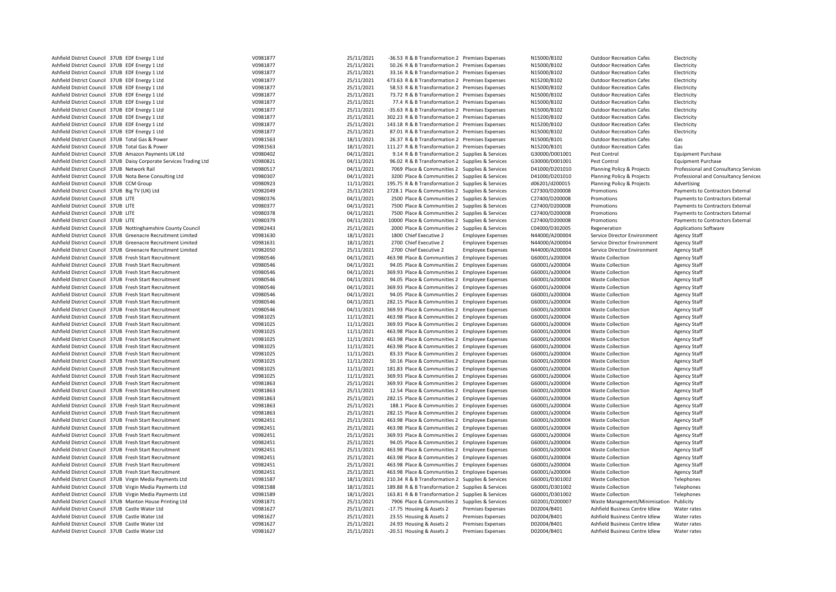| Ashfield District Council 37UB EDF Energy 1 Ltd                                                                      | V0981877             | 25/11/2021               | -36.53 R & B Transformation 2 Premises Expenses                                                        |                                                      | N15000/B102                      | <b>Outdoor Recreation Cafes</b>                                  | Electricity                                |
|----------------------------------------------------------------------------------------------------------------------|----------------------|--------------------------|--------------------------------------------------------------------------------------------------------|------------------------------------------------------|----------------------------------|------------------------------------------------------------------|--------------------------------------------|
| Ashfield District Council 37UB EDF Energy 1 Ltd                                                                      | V0981877             | 25/11/2021               | 50.26 R & B Transformation 2 Premises Expenses                                                         |                                                      | N15000/B102                      | <b>Outdoor Recreation Cafes</b>                                  | Electricity                                |
| Ashfield District Council 37UB EDF Energy 1 Ltd                                                                      | V0981877             | 25/11/2021               | 33.16 R & B Transformation 2 Premises Expenses                                                         |                                                      | N15000/B102                      | <b>Outdoor Recreation Cafes</b>                                  | Electricity                                |
| Ashfield District Council 37UB EDF Energy 1 Ltd                                                                      | V0981877             | 25/11/2021               | 473.63 R & B Transformation 2 Premises Expenses                                                        |                                                      | N15200/B102                      | <b>Outdoor Recreation Cafes</b>                                  | Electricity                                |
| Ashfield District Council 37UB EDF Energy 1 Ltd                                                                      | V0981877             | 25/11/2021               | 58.53 R & B Transformation 2 Premises Expenses                                                         |                                                      | N15000/B102                      | <b>Outdoor Recreation Cafes</b>                                  | Electricity                                |
| Ashfield District Council 37UB EDF Energy 1 Ltd                                                                      | V0981877             | 25/11/2021               | 73.72 R & B Transformation 2 Premises Expenses                                                         |                                                      | N15000/B102                      | <b>Outdoor Recreation Cafes</b>                                  | Electricity                                |
| Ashfield District Council 37UB EDF Energy 1 Ltd                                                                      | V0981877             | 25/11/2021               | 77.4 R & B Transformation 2 Premises Expenses                                                          |                                                      | N15000/B102                      | <b>Outdoor Recreation Cafes</b>                                  | Electricity                                |
| Ashfield District Council 37UB EDF Energy 1 Ltd                                                                      | V0981877             | 25/11/2021               | -35.63 R & B Transformation 2 Premises Expenses                                                        |                                                      | N15000/B102                      | <b>Outdoor Recreation Cafes</b>                                  | Electricity                                |
| Ashfield District Council 37UB EDF Energy 1 Ltd                                                                      | V0981877             | 25/11/2021               | 302.23 R & B Transformation 2 Premises Expenses                                                        |                                                      | N15200/B102                      | <b>Outdoor Recreation Cafes</b>                                  | Electricity                                |
| Ashfield District Council 37UB EDF Energy 1 Ltd                                                                      | V0981877             | 25/11/2021               | 143.18 R & B Transformation 2 Premises Expenses                                                        |                                                      | N15200/B102                      | <b>Outdoor Recreation Cafes</b>                                  | Electricity                                |
| Ashfield District Council 37UB EDF Energy 1 Ltd                                                                      | V0981877             | 25/11/2021               | 87.01 R & B Transformation 2 Premises Expenses                                                         |                                                      | N15000/B102                      | <b>Outdoor Recreation Cafes</b>                                  | Electricity                                |
| Ashfield District Council 37UB Total Gas & Power                                                                     | V0981563             | 18/11/2021               | 26.37 R & B Transformation 2 Premises Expenses                                                         |                                                      | N15000/B101                      | <b>Outdoor Recreation Cafes</b>                                  | Gas                                        |
| Ashfield District Council 37UB Total Gas & Power                                                                     | V0981563             | 18/11/2021               | 111.27 R & B Transformation 2 Premises Expenses                                                        |                                                      | N15200/B101                      | <b>Outdoor Recreation Cafes</b>                                  | Gas                                        |
| Ashfield District Council 37UB Amazon Payments UK Ltd                                                                | V0980402             | 04/11/2021               | 9.14 R & B Transformation 2 Supplies & Services                                                        |                                                      | G30000/D001001                   | Pest Control                                                     | <b>Equipment Purchase</b>                  |
| Ashfield District Council 37UB Daisy Corporate Services Trading Ltd                                                  | V0980821             | 04/11/2021               | 96.02 R & B Transformation 2 Supplies & Services                                                       |                                                      | G30000/D001001                   | Pest Control                                                     | <b>Equipment Purchase</b>                  |
| Ashfield District Council 37UB Network Rail                                                                          | V0980517             | 04/11/2021               | 7069 Place & Communities 2 Supplies & Services                                                         |                                                      | D41000/D201010                   | Planning Policy & Projects                                       | Professional and Consultancy Services      |
| Ashfield District Council 37UB Nota Bene Consulting Ltd                                                              | V0980307             | 04/11/2021               | 3200 Place & Communities 2 Supplies & Services                                                         |                                                      | D41000/D201010                   | Planning Policy & Projects                                       | Professional and Consultancy Services      |
| Ashfield District Council 37UB CCM Group                                                                             | V0980923             | 11/11/2021               | 195.75 R & B Transformation 2 Supplies & Services                                                      |                                                      | d06201/d200015                   | Planning Policy & Projects                                       | Advertising                                |
| Ashfield District Council 37UB Big TV (UK) Ltd                                                                       | V0982049             | 25/11/2021               | 2728.1 Place & Communities 2 Supplies & Services                                                       |                                                      | C27300/D200008                   | Promotions                                                       | Payments to Contractors External           |
| Ashfield District Council 37UB LITE                                                                                  | V0980376             | 04/11/2021               | 2500 Place & Communities 2 Supplies & Services                                                         |                                                      | C27400/D200008                   | Promotions                                                       | Payments to Contractors External           |
| Ashfield District Council 37UB LITE                                                                                  | V0980377             | 04/11/2021               | 7500 Place & Communities 2 Supplies & Services                                                         |                                                      | C27400/D200008                   | Promotions                                                       | Payments to Contractors External           |
| Ashfield District Council 37UB LITE                                                                                  | V0980378             | 04/11/2021               | 7500 Place & Communities 2 Supplies & Services                                                         |                                                      | C27400/D200008                   | Promotions                                                       | Payments to Contractors External           |
| Ashfield District Council 37UB LITE                                                                                  | V0980379             | 04/11/2021               | 10000 Place & Communities 2 Supplies & Services                                                        |                                                      | C27400/D200008                   | Promotions                                                       | Payments to Contractors External           |
| Ashfield District Council 37UB Nottinghamshire County Council                                                        | V0982443             | 25/11/2021               | 2000 Place & Communities 2 Supplies & Services                                                         |                                                      | C04000/D302005                   | Regeneration                                                     | <b>Applications Software</b>               |
| Ashfield District Council 37UB Greenacre Recruitment Limited                                                         | V0981630             | 18/11/2021               | 1800 Chief Executive 2                                                                                 | <b>Employee Expenses</b>                             | N44000/A200004                   | Service Director Environment                                     | <b>Agency Staff</b>                        |
| Ashfield District Council 37UB Greenacre Recruitment Limited                                                         | V0981631             | 18/11/2021               | 2700 Chief Executive 2                                                                                 | <b>Employee Expenses</b>                             | N44000/A200004                   | Service Director Environment                                     | <b>Agency Staff</b>                        |
| Ashfield District Council 37UB Greenacre Recruitment Limited                                                         | V0982050             | 25/11/2021               | 2700 Chief Executive 2                                                                                 | <b>Employee Expenses</b>                             | N44000/A200004                   | Service Director Environment                                     | <b>Agency Staff</b>                        |
| Ashfield District Council 37UB Fresh Start Recruitment                                                               | V0980546             | 04/11/2021               | 463.98 Place & Communities 2 Employee Expenses                                                         |                                                      | G60001/a200004                   | <b>Waste Collection</b>                                          | <b>Agency Staff</b>                        |
| Ashfield District Council 37UB Fresh Start Recruitment                                                               | V0980546             | 04/11/2021               | 94.05 Place & Communities 2 Employee Expenses                                                          |                                                      | G60001/a200004                   | <b>Waste Collection</b>                                          | <b>Agency Staff</b>                        |
| Ashfield District Council 37UB Fresh Start Recruitment                                                               | V0980546             | 04/11/2021               | 369.93 Place & Communities 2 Employee Expenses                                                         |                                                      | G60001/a200004                   | <b>Waste Collection</b>                                          | <b>Agency Staff</b>                        |
| Ashfield District Council 37UB Fresh Start Recruitment                                                               | V0980546             | 04/11/2021               | 94.05 Place & Communities 2 Employee Expenses                                                          |                                                      | G60001/a200004                   | <b>Waste Collection</b>                                          | <b>Agency Staff</b>                        |
| Ashfield District Council 37UB Fresh Start Recruitment                                                               | V0980546             | 04/11/2021               | 369.93 Place & Communities 2 Employee Expenses                                                         |                                                      | G60001/a200004                   | <b>Waste Collection</b>                                          | <b>Agency Staff</b>                        |
| Ashfield District Council 37UB Fresh Start Recruitment                                                               | V0980546             | 04/11/2021               | 94.05 Place & Communities 2 Employee Expenses                                                          |                                                      | G60001/a200004                   | <b>Waste Collection</b>                                          | <b>Agency Staff</b>                        |
| Ashfield District Council 37UB Fresh Start Recruitment                                                               | V0980546             | 04/11/2021               | 282.15 Place & Communities 2 Employee Expenses                                                         |                                                      | G60001/a200004                   | <b>Waste Collection</b>                                          | <b>Agency Staff</b>                        |
| Ashfield District Council 37UB Fresh Start Recruitment                                                               | V0980546             | 04/11/2021               | 369.93 Place & Communities 2 Employee Expenses                                                         |                                                      | G60001/a200004                   | <b>Waste Collection</b>                                          | <b>Agency Staff</b>                        |
| Ashfield District Council 37UB Fresh Start Recruitment                                                               | V0981025             | 11/11/2021               | 463.98 Place & Communities 2 Employee Expenses                                                         |                                                      | G60001/a200004                   | <b>Waste Collection</b>                                          | <b>Agency Staff</b>                        |
| Ashfield District Council 37UB Fresh Start Recruitment                                                               | V0981025             | 11/11/2021               | 369.93 Place & Communities 2 Employee Expenses                                                         |                                                      | G60001/a200004                   | <b>Waste Collection</b>                                          | <b>Agency Staff</b>                        |
| Ashfield District Council 37UB Fresh Start Recruitment                                                               | V0981025             | 11/11/2021               | 463.98 Place & Communities 2 Employee Expenses                                                         |                                                      | G60001/a200004                   | <b>Waste Collection</b>                                          | <b>Agency Staff</b>                        |
| Ashfield District Council 37UB Fresh Start Recruitment                                                               | V0981025             | 11/11/2021               | 463.98 Place & Communities 2 Employee Expenses                                                         |                                                      | G60001/a200004                   | <b>Waste Collection</b>                                          | <b>Agency Staff</b>                        |
| Ashfield District Council 37UB Fresh Start Recruitment                                                               | V0981025             | 11/11/2021               | 463.98 Place & Communities 2 Employee Expenses                                                         |                                                      | G60001/a200004                   | <b>Waste Collection</b>                                          | <b>Agency Staff</b>                        |
| Ashfield District Council 37UB Fresh Start Recruitment                                                               | V0981025             | 11/11/2021               |                                                                                                        |                                                      | G60001/a200004                   | <b>Waste Collection</b>                                          | Agency Staff                               |
| Ashfield District Council 37UB Fresh Start Recruitment                                                               | V0981025             | 11/11/2021               | 83.33 Place & Communities 2 Employee Expenses<br>50.16 Place & Communities 2 Employee Expenses         |                                                      | G60001/a200004                   | <b>Waste Collection</b>                                          | <b>Agency Staff</b>                        |
| Ashfield District Council 37UB Fresh Start Recruitment                                                               | V0981025             | 11/11/2021               | 181.83 Place & Communities 2 Employee Expenses                                                         |                                                      | G60001/a200004                   | <b>Waste Collection</b>                                          | <b>Agency Staff</b>                        |
| Ashfield District Council 37UB Fresh Start Recruitment                                                               | V0981025             | 11/11/2021               | 369.93 Place & Communities 2 Employee Expenses                                                         |                                                      | G60001/a200004                   | <b>Waste Collection</b>                                          | <b>Agency Staff</b>                        |
| Ashfield District Council 37UB Fresh Start Recruitment                                                               | V0981863             | 25/11/2021               | 369.93 Place & Communities 2 Employee Expenses                                                         |                                                      | G60001/a200004                   | <b>Waste Collection</b>                                          | <b>Agency Staff</b>                        |
| Ashfield District Council 37UB Fresh Start Recruitment                                                               | V0981863             | 25/11/2021               | 12.54 Place & Communities 2 Employee Expenses                                                          |                                                      | G60001/a200004                   | <b>Waste Collection</b>                                          | <b>Agency Staff</b>                        |
| Ashfield District Council 37UB Fresh Start Recruitment                                                               | V0981863             | 25/11/2021               | 282.15 Place & Communities 2 Employee Expenses                                                         |                                                      | G60001/a200004                   | <b>Waste Collection</b>                                          | <b>Agency Staff</b>                        |
| Ashfield District Council 37UB Fresh Start Recruitment                                                               | V0981863             | 25/11/2021               | 188.1 Place & Communities 2 Employee Expenses                                                          |                                                      | G60001/a200004                   | <b>Waste Collection</b>                                          | <b>Agency Staff</b>                        |
| Ashfield District Council 37UB Fresh Start Recruitment                                                               | V0981863             | 25/11/2021               | 282.15 Place & Communities 2 Employee Expenses                                                         |                                                      | G60001/a200004                   | <b>Waste Collection</b>                                          | <b>Agency Staff</b>                        |
| Ashfield District Council 37UB Fresh Start Recruitment                                                               | V0982451             | 25/11/2021               | 463.98 Place & Communities 2 Employee Expenses                                                         |                                                      | G60001/a200004                   | <b>Waste Collection</b>                                          | <b>Agency Staff</b>                        |
| Ashfield District Council 37UB Fresh Start Recruitment                                                               | V0982451             | 25/11/2021               | 463.98 Place & Communities 2 Employee Expenses                                                         |                                                      | G60001/a200004                   | <b>Waste Collection</b>                                          | <b>Agency Staff</b>                        |
| Ashfield District Council 37UB Fresh Start Recruitment                                                               | V0982451             | 25/11/2021               | 369.93 Place & Communities 2 Employee Expenses                                                         |                                                      | G60001/a200004                   | <b>Waste Collection</b>                                          | <b>Agency Staff</b>                        |
| Ashfield District Council 37UB Fresh Start Recruitment                                                               | V0982451             | 25/11/2021               | 94.05 Place & Communities 2 Employee Expenses                                                          |                                                      | G60001/a200004                   | <b>Waste Collection</b>                                          | <b>Agency Staff</b>                        |
| Ashfield District Council 37UB Fresh Start Recruitment                                                               | V0982451             | 25/11/2021               |                                                                                                        |                                                      | G60001/a200004                   | <b>Waste Collection</b>                                          |                                            |
| Ashfield District Council 37UB Fresh Start Recruitment                                                               | V0982451             | 25/11/2021               | 463.98 Place & Communities 2 Employee Expenses<br>463.98 Place & Communities 2 Employee Expenses       |                                                      | G60001/a200004                   | <b>Waste Collection</b>                                          | <b>Agency Staff</b><br><b>Agency Staff</b> |
| Ashfield District Council 37UB Fresh Start Recruitment                                                               |                      | 25/11/2021               |                                                                                                        |                                                      |                                  |                                                                  |                                            |
| Ashfield District Council 37UB Fresh Start Recruitment                                                               | V0982451<br>V0982451 | 25/11/2021               | 463.98 Place & Communities 2 Employee Expenses<br>463.98 Place & Communities 2 Employee Expenses       |                                                      | G60001/a200004<br>G60001/a200004 | <b>Waste Collection</b><br><b>Waste Collection</b>               | Agency Staff<br><b>Agency Staff</b>        |
|                                                                                                                      |                      |                          |                                                                                                        |                                                      |                                  |                                                                  |                                            |
| Ashfield District Council 37UB Virgin Media Payments Ltd                                                             | V0981587<br>V0981588 | 18/11/2021               | 210.34 R & B Transformation 2 Supplies & Services                                                      |                                                      | G60001/D301002                   | <b>Waste Collection</b><br><b>Waste Collection</b>               | Telephones                                 |
| Ashfield District Council 37UB Virgin Media Payments Ltd<br>Ashfield District Council 37UB Virgin Media Payments Ltd | V0981589             | 18/11/2021<br>18/11/2021 | 189.88 R & B Transformation 2 Supplies & Services<br>163.81 R & B Transformation 2 Supplies & Services |                                                      | G60001/D301002<br>G60001/D301002 | <b>Waste Collection</b>                                          | Telephones<br>Telephones                   |
| Ashfield District Council 37UB Manton House Printing Ltd                                                             | V0981871             | 25/11/2021               |                                                                                                        |                                                      | G02001/D200007                   |                                                                  | Publicity                                  |
| Ashfield District Council 37UB Castle Water Ltd                                                                      | V0981627             | 25/11/2021               | 7906 Place & Communities 2 Supplies & Services                                                         | <b>Premises Expenses</b>                             | D02004/B401                      | Waste Management/Minimisation<br>Ashfield Business Centre Idlew  | Water rates                                |
|                                                                                                                      |                      | 25/11/2021               | -17.75 Housing & Assets 2                                                                              |                                                      |                                  |                                                                  |                                            |
| Ashfield District Council 37UB Castle Water Ltd<br>Ashfield District Council 37UB Castle Water Ltd                   | V0981627<br>V0981627 | 25/11/2021               | 23.55 Housing & Assets 2<br>24.93 Housing & Assets 2                                                   | <b>Premises Expenses</b>                             | D02004/B401<br>D02004/B401       | Ashfield Business Centre Idlew<br>Ashfield Business Centre Idlew | Water rates<br>Water rates                 |
| Ashfield District Council 37UB Castle Water Ltd                                                                      | V0981627             | 25/11/2021               | -20.51 Housing & Assets 2                                                                              | <b>Premises Expenses</b><br><b>Premises Expenses</b> | D02004/B401                      | Ashfield Business Centre Idlew                                   |                                            |
|                                                                                                                      |                      |                          |                                                                                                        |                                                      |                                  |                                                                  | Water rates                                |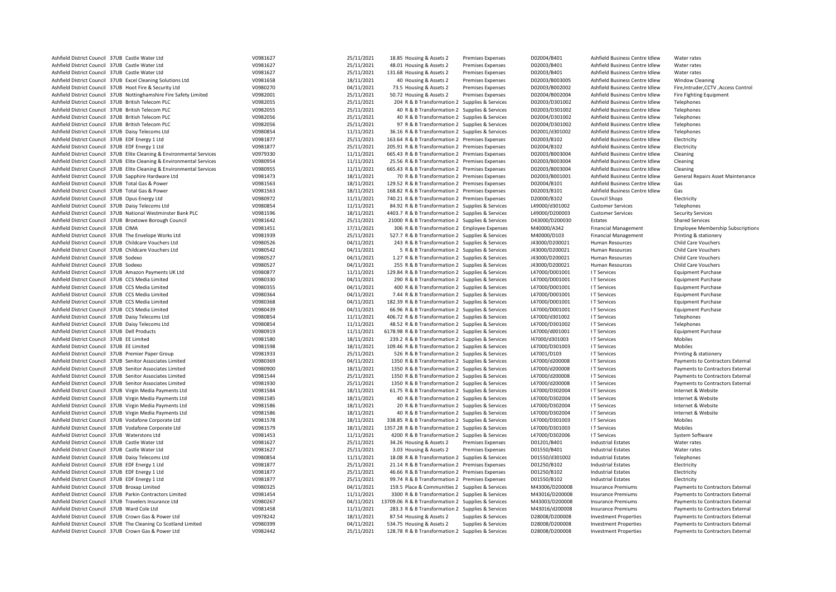| Ashfield District Council 37UB Castle Water Ltd                                                          | V0981627             | 25/11/2021               | 18.85 Housing & Assets 2                                                                            | <b>Premises Expenses</b> | D02004/B401                   | Ashfield Business Centre Idlew                                   | Water rates                              |
|----------------------------------------------------------------------------------------------------------|----------------------|--------------------------|-----------------------------------------------------------------------------------------------------|--------------------------|-------------------------------|------------------------------------------------------------------|------------------------------------------|
| Ashfield District Council 37UB Castle Water Ltd                                                          | V0981627             | 25/11/2021               | 48.01 Housing & Assets 2                                                                            | <b>Premises Expenses</b> | D02003/B401                   | Ashfield Business Centre Idlew                                   | Water rates                              |
| Ashfield District Council 37UB Castle Water Ltd                                                          | V0981627             | 25/11/2021               | 131.68 Housing & Assets 2                                                                           | <b>Premises Expenses</b> | D02003/B401                   | Ashfield Business Centre Idlew                                   | Water rates                              |
| Ashfield District Council 37UB Excel Cleaning Solutions Ltd                                              | V0981658             | 18/11/2021               | 40 Housing & Assets 2                                                                               | <b>Premises Expenses</b> | D02003/B003005                | Ashfield Business Centre Idlew                                   | <b>Window Cleaning</b>                   |
| Ashfield District Council 37UB Hoot Fire & Security Ltd                                                  | V0980270             | 04/11/2021               | 73.5 Housing & Assets 2                                                                             | Premises Expenses        | D02003/B002002                | Ashfield Business Centre Idlew                                   | Fire, Intruder, CCTV, Access Control     |
| Ashfield District Council 37UB Nottinghamshire Fire Safety Limited                                       | V0982001             | 25/11/2021               | 50.72 Housing & Assets 2                                                                            | Premises Expenses        | D02004/B002004                | Ashfield Business Centre Idlew                                   | <b>Fire Fighting Equipment</b>           |
| Ashfield District Council 37UB British Telecom PLC                                                       | V0982055             | 25/11/2021               | 204 R & B Transformation 2 Supplies & Services                                                      |                          | D02003/D301002                | Ashfield Business Centre Idlew                                   | Telephones                               |
| Ashfield District Council 37UB British Telecom PLC                                                       | V0982055             | 25/11/2021               | 40 R & B Transformation 2 Supplies & Services                                                       |                          | D02003/D301002                | Ashfield Business Centre Idlew                                   | Telephones                               |
| Ashfield District Council 37UB British Telecom PLC                                                       | V0982056             | 25/11/2021               | 40 R & B Transformation 2 Supplies & Services                                                       |                          | D02004/D301002                | Ashfield Business Centre Idlew                                   | Telephones                               |
| Ashfield District Council 37UB British Telecom PLC                                                       | V0982056             | 25/11/2021               | 97 R & B Transformation 2 Supplies & Services                                                       |                          | D02004/D301002                | Ashfield Business Centre Idlew                                   | Telephones                               |
| Ashfield District Council 37UB Daisy Telecoms Ltd                                                        | V0980854             | 11/11/2021               | 36.16 R & B Transformation 2 Supplies & Services                                                    |                          | D02001/d301002                | Ashfield Business Centre Idlew                                   | Telephones                               |
| Ashfield District Council 37UB EDF Energy 1 Ltd                                                          | V0981877             | 25/11/2021               | 163.64 R & B Transformation 2 Premises Expenses                                                     |                          | D02003/B102                   | Ashfield Business Centre Idlew                                   | Electricity                              |
| Ashfield District Council 37UB EDF Energy 1 Ltd                                                          | V0981877             | 25/11/2021               | 205.91 R & B Transformation 2 Premises Expenses                                                     |                          | D02004/B102                   | Ashfield Business Centre Idlew                                   | Electricity                              |
| Ashfield District Council 37UB Elite Cleaning & Environmental Services                                   | V0979330             | 11/11/2021               | 665.43 R & B Transformation 2 Premises Expenses                                                     |                          | D02003/B003004                | Ashfield Business Centre Idlew                                   | Cleaning                                 |
| Ashfield District Council 37UB Elite Cleaning & Environmental Services                                   | V0980954             | 11/11/2021               | 25.56 R & B Transformation 2 Premises Expenses                                                      |                          | D02003/B003004                | Ashfield Business Centre Idlew                                   | Cleaning                                 |
| Ashfield District Council 37UB Elite Cleaning & Environmental Services                                   | V0980955             | 11/11/2021               | 665.43 R & B Transformation 2 Premises Expenses                                                     |                          | D02003/B003004                | Ashfield Business Centre Idlew                                   | Cleaning                                 |
| Ashfield District Council 37UB Sapphire Hardware Ltd<br>Ashfield District Council 37UB Total Gas & Power | V0981473             | 18/11/2021               | 70 R & B Transformation 2 Premises Expenses                                                         |                          | D02003/B001001                | Ashfield Business Centre Idlew                                   | General Repairs Asset Maintenance        |
| Ashfield District Council 37UB Total Gas & Power                                                         | V0981563<br>V0981563 | 18/11/2021<br>18/11/2021 | 129.52 R & B Transformation 2 Premises Expenses<br>168.82 R & B Transformation 2 Premises Expenses  |                          | D02004/B101<br>D02003/B101    | Ashfield Business Centre Idlew<br>Ashfield Business Centre Idlew | Gas                                      |
|                                                                                                          |                      | 11/11/2021               |                                                                                                     |                          |                               |                                                                  | Gas                                      |
| Ashfield District Council 37UB Opus Energy Ltd<br>Ashfield District Council 37UB Daisy Telecoms Ltd      | V0980972<br>V0980854 | 11/11/2021               | 740.21 R & B Transformation 2 Premises Expenses<br>84.92 R & B Transformation 2 Supplies & Services |                          | D20000/B102<br>L49000/d301002 | <b>Council Shops</b><br><b>Customer Services</b>                 | Electricity<br>Telephones                |
| Ashfield District Council 37UB National Westminster Bank PLC                                             | V0981596             | 18/11/2021               | 4403.7 R & B Transformation 2 Supplies & Services                                                   |                          | L49000/D200003                | <b>Customer Services</b>                                         | <b>Security Services</b>                 |
| Ashfield District Council 37UB Broxtowe Borough Council                                                  | V0981642             | 25/11/2021               | 21000 R & B Transformation 2 Supplies & Services                                                    |                          | D43000/D200030                | Estates                                                          | <b>Shared Services</b>                   |
| Ashfield District Council 37UB CIMA                                                                      | V0981451             | 17/11/2021               | 306 R & B Transformation 2 Employee Expenses                                                        |                          | M40000/A342                   | <b>Financial Management</b>                                      | <b>Employee Membership Subscriptions</b> |
| Ashfield District Council 37UB The Envelope Works Ltd                                                    | V0981939             | 25/11/2021               | 527.7 R & B Transformation 2 Supplies & Services                                                    |                          | M40000/D103                   | <b>Financial Management</b>                                      | Printing & stationery                    |
| Ashfield District Council 37UB Childcare Vouchers Ltd                                                    | V0980526             | 04/11/2021               | 243 R & B Transformation 2 Supplies & Services                                                      |                          | J43000/D200021                | Human Resources                                                  | <b>Child Care Vouchers</b>               |
| Ashfield District Council 37UB Childcare Vouchers Ltd                                                    | V0980542             | 04/11/2021               | 5 R & B Transformation 2 Supplies & Services                                                        |                          | J43000/D200021                | Human Resources                                                  | Child Care Vouchers                      |
| Ashfield District Council 37UB Sodexo                                                                    | V0980527             | 04/11/2021               | 1.27 R & B Transformation 2 Supplies & Services                                                     |                          | J43000/D200021                | Human Resources                                                  | Child Care Vouchers                      |
| Ashfield District Council 37UB Sodexo                                                                    | V0980527             | 04/11/2021               | 255 R & B Transformation 2 Supplies & Services                                                      |                          | J43000/D200021                | Human Resources                                                  | <b>Child Care Vouchers</b>               |
| Ashfield District Council 37UB Amazon Payments UK Ltd                                                    | V0980877             | 11/11/2021               | 129.84 R & B Transformation 2 Supplies & Services                                                   |                          | L47000/D001001                | I T Services                                                     | <b>Equipment Purchase</b>                |
| Ashfield District Council 37UB CCS Media Limited                                                         | V0980330             | 04/11/2021               | 290 R & B Transformation 2 Supplies & Services                                                      |                          | L47000/D001001                | I T Services                                                     | <b>Equipment Purchase</b>                |
| Ashfield District Council 37UB CCS Media Limited                                                         | V0980355             | 04/11/2021               | 400 R & B Transformation 2 Supplies & Services                                                      |                          | L47000/D001001                | I T Services                                                     | <b>Equipment Purchase</b>                |
| Ashfield District Council 37UB CCS Media Limited                                                         | V0980364             | 04/11/2021               | 7.44 R & B Transformation 2 Supplies & Services                                                     |                          | L47000/D001001                | I T Services                                                     | <b>Equipment Purchase</b>                |
| Ashfield District Council 37UB CCS Media Limited                                                         | V0980368             | 04/11/2021               | 182.39 R & B Transformation 2 Supplies & Services                                                   |                          | L47000/D001001                | <b>IT Services</b>                                               | <b>Equipment Purchase</b>                |
| Ashfield District Council 37UB CCS Media Limited                                                         | V0980439             | 04/11/2021               | 66.96 R & B Transformation 2 Supplies & Services                                                    |                          | L47000/D001001                | I T Services                                                     | <b>Equipment Purchase</b>                |
| Ashfield District Council 37UB Daisy Telecoms Ltd                                                        | V0980854             | 11/11/2021               | 406.72 R & B Transformation 2 Supplies & Services                                                   |                          | L47000/d301002                | I T Services                                                     | Telephones                               |
| Ashfield District Council 37UB Daisy Telecoms Ltd                                                        | V0980854             | 11/11/2021               | 48.52 R & B Transformation 2 Supplies & Services                                                    |                          | L47000/D301002                | I T Services                                                     | Telephones                               |
| Ashfield District Council 37UB Dell Products                                                             | V0980919             | 11/11/2021               | 6178.98 R & B Transformation 2 Supplies & Services                                                  |                          | L47000/d001001                | I T Services                                                     | <b>Equipment Purchase</b>                |
| Ashfield District Council 37UB EE Limited                                                                | V0981580             | 18/11/2021               | 239.2 R & B Transformation 2 Supplies & Services                                                    |                          | I47000/d301003                | I T Services                                                     | Mobiles                                  |
| Ashfield District Council 37UB EE Limited                                                                | V0981598             | 18/11/2021               | 109.46 R & B Transformation 2 Supplies & Services                                                   |                          | L47000/D301003                | I T Services                                                     | Mobiles                                  |
| Ashfield District Council 37UB Premier Paper Group                                                       | V0981933             | 25/11/2021               | 526 R & B Transformation 2 Supplies & Services                                                      |                          | L47001/D103                   | I T Services                                                     | Printing & stationery                    |
| Ashfield District Council 37UB Senitor Associates Limited                                                | V0980369             | 04/11/2021               | 1350 R & B Transformation 2 Supplies & Services                                                     |                          | L47000/d200008                | I T Services                                                     | Payments to Contractors External         |
| Ashfield District Council 37UB Senitor Associates Limited                                                | V0980900             | 18/11/2021               | 1350 R & B Transformation 2 Supplies & Services                                                     |                          | L47000/d200008                | I T Services                                                     | Payments to Contractors External         |
| Ashfield District Council 37UB Senitor Associates Limited                                                | V0981544             | 25/11/2021               | 1350 R & B Transformation 2 Supplies & Services                                                     |                          | L47000/d200008                | I T Services                                                     | Payments to Contractors External         |
| Ashfield District Council 37UB Senitor Associates Limited                                                | V0981930             | 25/11/2021               | 1350 R & B Transformation 2 Supplies & Services                                                     |                          | L47000/d200008                | I T Services                                                     | Payments to Contractors External         |
| Ashfield District Council 37UB Virgin Media Payments Ltd                                                 | V0981584             | 18/11/2021               | 61.75 R & B Transformation 2 Supplies & Services                                                    |                          | L47000/D302004                | I T Services                                                     | Internet & Website                       |
| Ashfield District Council 37UB Virgin Media Payments Ltd                                                 | V0981585             | 18/11/2021               | 40 R & B Transformation 2 Supplies & Services                                                       |                          | L47000/D302004                | I T Services                                                     | Internet & Website                       |
| Ashfield District Council 37UB Virgin Media Payments Ltd                                                 | V0981586             | 18/11/2021               | 20 R & B Transformation 2 Supplies & Services                                                       |                          | L47000/D302004                | I T Services                                                     | Internet & Website                       |
| Ashfield District Council 37UB Virgin Media Payments Ltd                                                 | V0981586             | 18/11/2021               | 40 R & B Transformation 2 Supplies & Services                                                       |                          | L47000/D302004                | I T Services                                                     | Internet & Website                       |
| Ashfield District Council 37UB Vodafone Corporate Ltd                                                    | V0981578             | 18/11/2021               | 338.85 R & B Transformation 2 Supplies & Services                                                   |                          | L47000/D301003                | I T Services                                                     | Mobiles                                  |
| Ashfield District Council 37UB Vodafone Corporate Ltd                                                    | V0981579             | 18/11/2021               | 1357.28 R & B Transformation 2 Supplies & Services                                                  |                          | L47000/D301003                | I T Services                                                     | Mobiles                                  |
| Ashfield District Council 37UB Waterstons Ltd                                                            | V0981453             | 11/11/2021               | 4200 R & B Transformation 2 Supplies & Services                                                     |                          | L47000/D302006                | I T Services                                                     | System Software                          |
| Ashfield District Council 37UB Castle Water Ltd                                                          | V0981627             | 25/11/2021               | 34.26 Housing & Assets 2                                                                            | <b>Premises Expenses</b> | D01201/B401                   | <b>Industrial Estates</b>                                        | Water rates                              |
| Ashfield District Council 37UB Castle Water Ltd                                                          | V0981627             | 25/11/2021               | 3.03 Housing & Assets 2                                                                             | Premises Expenses        | D01550/B401                   | <b>Industrial Estates</b>                                        | Water rates                              |
| Ashfield District Council 37UB Daisy Telecoms Ltd                                                        | V0980854             | 11/11/2021               | 18.08 R & B Transformation 2 Supplies & Services                                                    |                          | D01550/d301002                | <b>Industrial Estates</b>                                        | Telephones                               |
| Ashfield District Council 37UB EDF Energy 1 Ltd                                                          | V0981877             | 25/11/2021               | 21.14 R & B Transformation 2 Premises Expenses                                                      |                          | D01250/B102                   | <b>Industrial Estates</b>                                        | Electricity                              |
| Ashfield District Council 37UB EDF Energy 1 Ltd                                                          | V0981877             | 25/11/2021               | 46.66 R & B Transformation 2 Premises Expenses                                                      |                          | D01250/B102                   | <b>Industrial Estates</b>                                        | Electricity                              |
| Ashfield District Council 37UB EDF Energy 1 Ltd                                                          | V0981877             | 25/11/2021               | 99.74 R & B Transformation 2 Premises Expenses                                                      |                          | D01550/B102                   | <b>Industrial Estates</b>                                        | Electricity                              |
| Ashfield District Council 37UB Broxap Limited                                                            | V0980325             | 04/11/2021               | 159.5 Place & Communities 2 Supplies & Services                                                     |                          | M43006/D200008                | <b>Insurance Premiums</b>                                        | Payments to Contractors External         |
| Ashfield District Council 37UB Parkin Contractors Limited                                                | V0981454             | 11/11/2021               | 3300 R & B Transformation 2 Supplies & Services                                                     |                          | M43016/D200008                | <b>Insurance Premiums</b>                                        | Payments to Contractors External         |
| Ashfield District Council 37UB Travelers Insurance Ltd                                                   | V0980267             | 04/11/2021               | 13709.06 R & B Transformation 2 Supplies & Services                                                 |                          | M43003/D200008                | <b>Insurance Premiums</b>                                        | Payments to Contractors External         |
| Ashfield District Council 37UB Ward Cole Ltd                                                             | V0981458             | 11/11/2021               | 283.3 R & B Transformation 2 Supplies & Services                                                    |                          | M43016/d200008                | <b>Insurance Premiums</b>                                        | Payments to Contractors External         |
| Ashfield District Council 37UB Crown Gas & Power Ltd                                                     | V0978242             | 18/11/2021               | 87.54 Housing & Assets 2                                                                            | Supplies & Services      | D28008/D200008                | <b>Investment Properties</b>                                     | Payments to Contractors External         |
| Ashfield District Council 37UB The Cleaning Co Scotland Limited                                          | V0980399             | 04/11/2021               | 534.75 Housing & Assets 2                                                                           | Supplies & Services      | D28008/D200008                | <b>Investment Properties</b>                                     | Payments to Contractors External         |
| Ashfield District Council 37UB Crown Gas & Power Ltd                                                     | V0982442             | 25/11/2021               | 128.78 R & B Transformation 2 Supplies & Services                                                   |                          | D28008/D200008                | <b>Investment Properties</b>                                     | Payments to Contractors External         |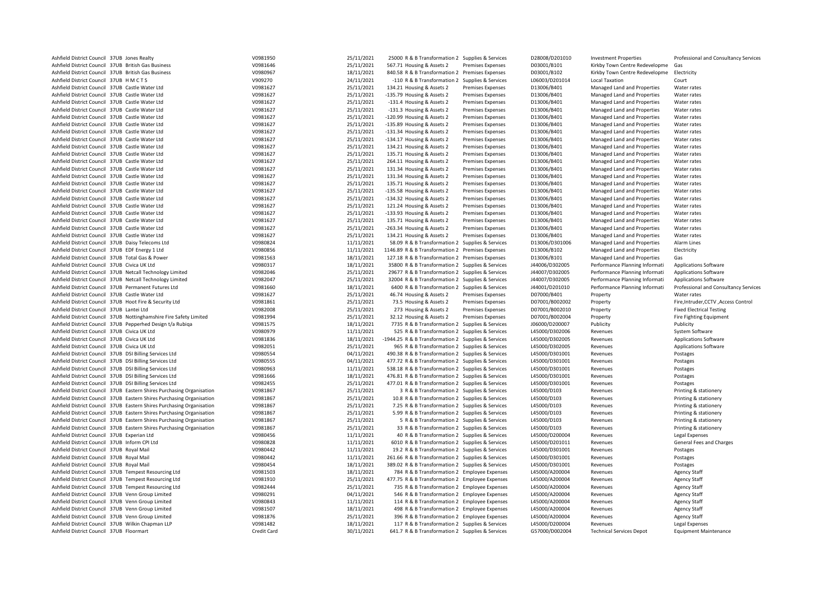| Ashfield District Council 37UB Jones Realty                           | V0981950    | 25/11/2021 | 25000 R & B Transformation 2 Supplies & Services    |                          | D28008/D201010 | <b>Investment Properties</b>    | Professional and Consultancy Services |
|-----------------------------------------------------------------------|-------------|------------|-----------------------------------------------------|--------------------------|----------------|---------------------------------|---------------------------------------|
| Ashfield District Council 37UB British Gas Business                   | V0981646    | 25/11/2021 | 567.71 Housing & Assets 2                           | <b>Premises Expenses</b> | D03001/B101    | Kirkby Town Centre Redevelopme  | Gas                                   |
| Ashfield District Council 37UB British Gas Business                   | V0980967    | 18/11/2021 | 840.58 R & B Transformation 2 Premises Expenses     |                          | D03001/B102    | Kirkby Town Centre Redevelopme  | Electricity                           |
| Ashfield District Council 37UB HMCTS                                  | V909270     | 24/11/2021 | -110 R & B Transformation 2 Supplies & Services     |                          | L06003/D201014 | <b>Local Taxation</b>           | Court                                 |
| Ashfield District Council 37UB Castle Water Ltd                       | V0981627    | 25/11/2021 | 134.21 Housing & Assets 2                           | <b>Premises Expenses</b> | D13006/B401    | Managed Land and Properties     | Water rates                           |
| Ashfield District Council 37UB Castle Water Ltd                       | V0981627    | 25/11/2021 | -135.79 Housing & Assets 2                          | <b>Premises Expenses</b> | D13006/B401    | Managed Land and Properties     | Water rates                           |
| Ashfield District Council 37UB Castle Water Ltd                       | V0981627    | 25/11/2021 | -131.4 Housing & Assets 2                           | <b>Premises Expenses</b> | D13006/B401    | Managed Land and Properties     | Water rates                           |
| Ashfield District Council 37UB Castle Water Ltd                       | V0981627    | 25/11/2021 | -131.3 Housing & Assets 2                           | <b>Premises Expenses</b> | D13006/B401    | Managed Land and Properties     | Water rates                           |
| Ashfield District Council 37UB Castle Water Ltd                       | V0981627    | 25/11/2021 | -120.99 Housing & Assets 2                          | Premises Expenses        | D13006/B401    | Managed Land and Properties     | Water rates                           |
| Ashfield District Council 37UB Castle Water Ltd                       | V0981627    | 25/11/2021 | -135.89 Housing & Assets 2                          | <b>Premises Expenses</b> | D13006/B401    | Managed Land and Properties     | Water rates                           |
| Ashfield District Council 37UB Castle Water Ltd                       | V0981627    | 25/11/2021 | -131.34 Housing & Assets 2                          | <b>Premises Expenses</b> | D13006/B401    | Managed Land and Properties     | Water rates                           |
| Ashfield District Council 37UB Castle Water Ltd                       | V0981627    | 25/11/2021 | -134.17 Housing & Assets 2                          | <b>Premises Expenses</b> | D13006/B401    | Managed Land and Properties     | Water rates                           |
| Ashfield District Council 37UB Castle Water Ltd                       | V0981627    | 25/11/2021 | 134.21 Housing & Assets 2                           | <b>Premises Expenses</b> | D13006/B401    | Managed Land and Properties     | Water rates                           |
| Ashfield District Council 37UB Castle Water Ltd                       | V0981627    | 25/11/2021 | 135.71 Housing & Assets 2                           | <b>Premises Expenses</b> | D13006/B401    | Managed Land and Properties     | Water rates                           |
| Ashfield District Council 37UB Castle Water Ltd                       | V0981627    | 25/11/2021 | 264.11 Housing & Assets 2                           | <b>Premises Expenses</b> | D13006/B401    | Managed Land and Properties     | Water rates                           |
| Ashfield District Council 37UB Castle Water Ltd                       | V0981627    | 25/11/2021 | 131.34 Housing & Assets 2                           | <b>Premises Expenses</b> | D13006/B401    | Managed Land and Properties     | Water rates                           |
| Ashfield District Council 37UB Castle Water Ltd                       | V0981627    | 25/11/2021 | 131.34 Housing & Assets 2                           | <b>Premises Expenses</b> | D13006/B401    | Managed Land and Properties     | Water rates                           |
| Ashfield District Council 37UB Castle Water Ltd                       | V0981627    | 25/11/2021 | 135.71 Housing & Assets 2                           | <b>Premises Expenses</b> | D13006/B401    | Managed Land and Properties     | Water rates                           |
| Ashfield District Council 37UB Castle Water Ltd                       | V0981627    | 25/11/2021 | -135.58 Housing & Assets 2                          | <b>Premises Expenses</b> | D13006/B401    | Managed Land and Properties     | Water rates                           |
| Ashfield District Council 37UB Castle Water Ltd                       | V0981627    | 25/11/2021 | -134.32 Housing & Assets 2                          | <b>Premises Expenses</b> | D13006/B401    | Managed Land and Properties     | Water rates                           |
| Ashfield District Council 37UB Castle Water Ltd                       | V0981627    | 25/11/2021 | 121.24 Housing & Assets 2                           | <b>Premises Expenses</b> | D13006/B401    | Managed Land and Properties     | Water rates                           |
| Ashfield District Council 37UB Castle Water Ltd                       | V0981627    | 25/11/2021 | -133.93 Housing & Assets 2                          | Premises Expenses        | D13006/B401    | Managed Land and Properties     | Water rates                           |
| Ashfield District Council 37UB Castle Water Ltd                       | V0981627    | 25/11/2021 | 135.71 Housing & Assets 2                           | <b>Premises Expenses</b> | D13006/B401    | Managed Land and Properties     | Water rates                           |
| Ashfield District Council 37UB Castle Water Ltd                       | V0981627    | 25/11/2021 | -263.34 Housing & Assets 2                          | <b>Premises Expenses</b> | D13006/B401    | Managed Land and Properties     | Water rates                           |
| Ashfield District Council 37UB Castle Water Ltd                       | V0981627    | 25/11/2021 |                                                     |                          | D13006/B401    |                                 |                                       |
|                                                                       |             |            | 134.21 Housing & Assets 2                           | <b>Premises Expenses</b> |                | Managed Land and Properties     | Water rates                           |
| Ashfield District Council 37UB Daisy Telecoms Ltd                     | V0980824    | 11/11/2021 | 58.09 R & B Transformation 2 Supplies & Services    |                          | D13006/D301006 | Managed Land and Properties     | Alarm Lines                           |
| Ashfield District Council 37UB EDF Energy 1 Ltd                       | V0980856    | 11/11/2021 | 1146.89 R & B Transformation 2 Premises Expenses    |                          | D13006/B102    | Managed Land and Properties     | Electricity                           |
| Ashfield District Council 37UB Total Gas & Power                      | V0981563    | 18/11/2021 | 127.18 R & B Transformation 2 Premises Expenses     |                          | D13006/B101    | Managed Land and Properties     | Gas                                   |
| Ashfield District Council 37UB Civica UK Ltd                          | V0980317    | 18/11/2021 | 35800 R & B Transformation 2 Supplies & Services    |                          | J44006/D302005 | Performance Planning Informati  | <b>Applications Software</b>          |
| Ashfield District Council 37UB Netcall Technology Limited             | V0982046    | 25/11/2021 | 29677 R & B Transformation 2 Supplies & Services    |                          | J44007/D302005 | Performance Planning Informati  | <b>Applications Software</b>          |
| Ashfield District Council 37UB Netcall Technology Limited             | V0982047    | 25/11/2021 | 32004 R & B Transformation 2 Supplies & Services    |                          | J44007/D302005 | Performance Planning Informati  | <b>Applications Software</b>          |
| Ashfield District Council 37UB Permanent Futures Ltd                  | V0981660    | 18/11/2021 | 6400 R & B Transformation 2 Supplies & Services     |                          | J44001/D201010 | Performance Planning Informati  | Professional and Consultancy Services |
| Ashfield District Council 37UB Castle Water Ltd                       | V0981627    | 25/11/2021 | 46.74 Housing & Assets 2                            | <b>Premises Expenses</b> | D07000/B401    | Property                        | Water rates                           |
| Ashfield District Council 37UB Hoot Fire & Security Ltd               | V0981861    | 25/11/2021 | 73.5 Housing & Assets 2                             | <b>Premises Expenses</b> | D07001/B002002 | Property                        | Fire, Intruder, CCTV, Access Control  |
| Ashfield District Council 37UB Lantei Ltd                             | V0982008    | 25/11/2021 | 273 Housing & Assets 2                              | Premises Expenses        | D07001/B002010 | Property                        | <b>Fixed Electrical Testing</b>       |
| Ashfield District Council 37UB Nottinghamshire Fire Safety Limited    | V0981994    | 25/11/2021 | 32.12 Housing & Assets 2                            | Premises Expenses        | D07001/B002004 | Property                        | <b>Fire Fighting Equipment</b>        |
| Ashfield District Council 37UB Pepperhed Design t/a Rubiga            | V0981575    | 18/11/2021 | 7735 R & B Transformation 2 Supplies & Services     |                          | J06000/D200007 | Publicity                       | Publicity                             |
| Ashfield District Council 37UB Civica UK Ltd                          | V0980979    | 11/11/2021 | 525 R & B Transformation 2 Supplies & Services      |                          | L45000/D302006 | Revenues                        | System Software                       |
| Ashfield District Council 37UB Civica UK Ltd                          | V0981836    | 18/11/2021 | -1944.25 R & B Transformation 2 Supplies & Services |                          | L45000/D302005 | Revenues                        | Applications Software                 |
| Ashfield District Council 37UB Civica UK Ltd                          | V0982051    | 25/11/2021 | 965 R & B Transformation 2 Supplies & Services      |                          | L45000/D302005 | Revenues                        | <b>Applications Software</b>          |
| Ashfield District Council 37UB DSI Billing Services Ltd               | V0980554    | 04/11/2021 | 490.38 R & B Transformation 2 Supplies & Services   |                          | L45000/D301001 | Revenues                        | Postages                              |
| Ashfield District Council 37UB DSI Billing Services Ltd               | V0980555    | 04/11/2021 | 477.72 R & B Transformation 2 Supplies & Services   |                          | L45000/D301001 | Revenues                        | Postages                              |
| Ashfield District Council 37UB DSI Billing Services Ltd               | V0980963    | 11/11/2021 | 538.18 R & B Transformation 2 Supplies & Services   |                          | L45000/D301001 | Revenues                        | Postages                              |
| Ashfield District Council 37UB DSI Billing Services Ltd               | V0981666    | 18/11/2021 | 476.81 R & B Transformation 2 Supplies & Services   |                          | L45000/D301001 | Revenues                        | Postages                              |
| Ashfield District Council 37UB DSI Billing Services Ltd               | V0982455    | 25/11/2021 | 477.01 R & B Transformation 2 Supplies & Services   |                          | L45000/D301001 | Revenues                        | Postages                              |
| Ashfield District Council 37UB Eastern Shires Purchasing Organisation | V0981867    | 25/11/2021 | 3 R & B Transformation 2 Supplies & Services        |                          | L45000/D103    | Revenues                        | Printing & stationery                 |
| Ashfield District Council 37UB Eastern Shires Purchasing Organisation | V0981867    | 25/11/2021 | 10.8 R & B Transformation 2 Supplies & Services     |                          | L45000/D103    | Revenues                        | Printing & stationery                 |
| Ashfield District Council 37UB Eastern Shires Purchasing Organisation | V0981867    | 25/11/2021 | 7.25 R & B Transformation 2 Supplies & Services     |                          | L45000/D103    | Revenues                        | Printing & stationery                 |
| Ashfield District Council 37UB Eastern Shires Purchasing Organisation | V0981867    | 25/11/2021 | 5.99 R & B Transformation 2 Supplies & Services     |                          | L45000/D103    | Revenues                        | Printing & stationery                 |
| Ashfield District Council 37UB Eastern Shires Purchasing Organisation | V0981867    | 25/11/2021 | 5 R & B Transformation 2 Supplies & Services        |                          | L45000/D103    | Revenues                        | Printing & stationery                 |
| Ashfield District Council 37UB Eastern Shires Purchasing Organisation | V0981867    | 25/11/2021 | 33 R & B Transformation 2 Supplies & Services       |                          | L45000/D103    | Revenues                        | Printing & stationery                 |
| Ashfield District Council 37UB Experian Ltd                           | V0980456    | 11/11/2021 | 40 R & B Transformation 2 Supplies & Services       |                          | L45000/D200004 | Revenues                        | Legal Expenses                        |
| Ashfield District Council 37UB Inform CPI Ltd                         | V0980828    | 11/11/2021 | 6010 R & B Transformation 2 Supplies & Services     |                          | L45000/D201011 | Revenues                        | General Fees and Charges              |
| Ashfield District Council 37UB Royal Mail                             | V0980442    | 11/11/2021 | 19.2 R & B Transformation 2 Supplies & Services     |                          | L45000/D301001 | Revenues                        | Postages                              |
| Ashfield District Council 37UB Royal Mail                             | V0980442    | 11/11/2021 | 261.66 R & B Transformation 2 Supplies & Services   |                          | L45000/D301001 | Revenues                        | Postages                              |
| Ashfield District Council 37UB Royal Mail                             | V0980454    | 18/11/2021 | 389.02 R & B Transformation 2 Supplies & Services   |                          | L45000/D301001 | Revenues                        | Postages                              |
| Ashfield District Council 37UB Tempest Resourcing Ltd                 | V0981503    | 18/11/2021 | 784 R & B Transformation 2 Employee Expenses        |                          | L45000/A200004 | Revenues                        | <b>Agency Staff</b>                   |
| Ashfield District Council 37UB Tempest Resourcing Ltd                 | V0981910    | 25/11/2021 | 477.75 R & B Transformation 2 Employee Expenses     |                          | L45000/A200004 | Revenues                        | <b>Agency Staff</b>                   |
| Ashfield District Council 37UB Tempest Resourcing Ltd                 | V0982444    | 25/11/2021 | 735 R & B Transformation 2 Employee Expenses        |                          | L45000/A200004 | Revenues                        | <b>Agency Staff</b>                   |
| Ashfield District Council 37UB Venn Group Limited                     | V0980291    | 04/11/2021 | 546 R & B Transformation 2 Employee Expenses        |                          | L45000/A200004 | Revenues                        | <b>Agency Staff</b>                   |
| Ashfield District Council 37UB Venn Group Limited                     | V0980843    | 11/11/2021 | 114 R & B Transformation 2 Employee Expenses        |                          | L45000/A200004 | Revenues                        | <b>Agency Staff</b>                   |
| Ashfield District Council 37UB Venn Group Limited                     | V0981507    | 18/11/2021 | 498 R & B Transformation 2 Employee Expenses        |                          | L45000/A200004 | Revenues                        | <b>Agency Staff</b>                   |
| Ashfield District Council 37UB Venn Group Limited                     | V0981876    | 25/11/2021 | 396 R & B Transformation 2 Employee Expenses        |                          | L45000/A200004 | Revenues                        | <b>Agency Staff</b>                   |
| Ashfield District Council 37UB Wilkin Chapman LLP                     | V0981482    | 18/11/2021 | 117 R & B Transformation 2 Supplies & Services      |                          | L45000/D200004 | Revenues                        | Legal Expenses                        |
| Ashfield District Council 37UB Floormart                              | Credit Card | 30/11/2021 | 641.7 R & B Transformation 2 Supplies & Services    |                          | G57000/D002004 | <b>Technical Services Depot</b> | <b>Equipment Maintenance</b>          |